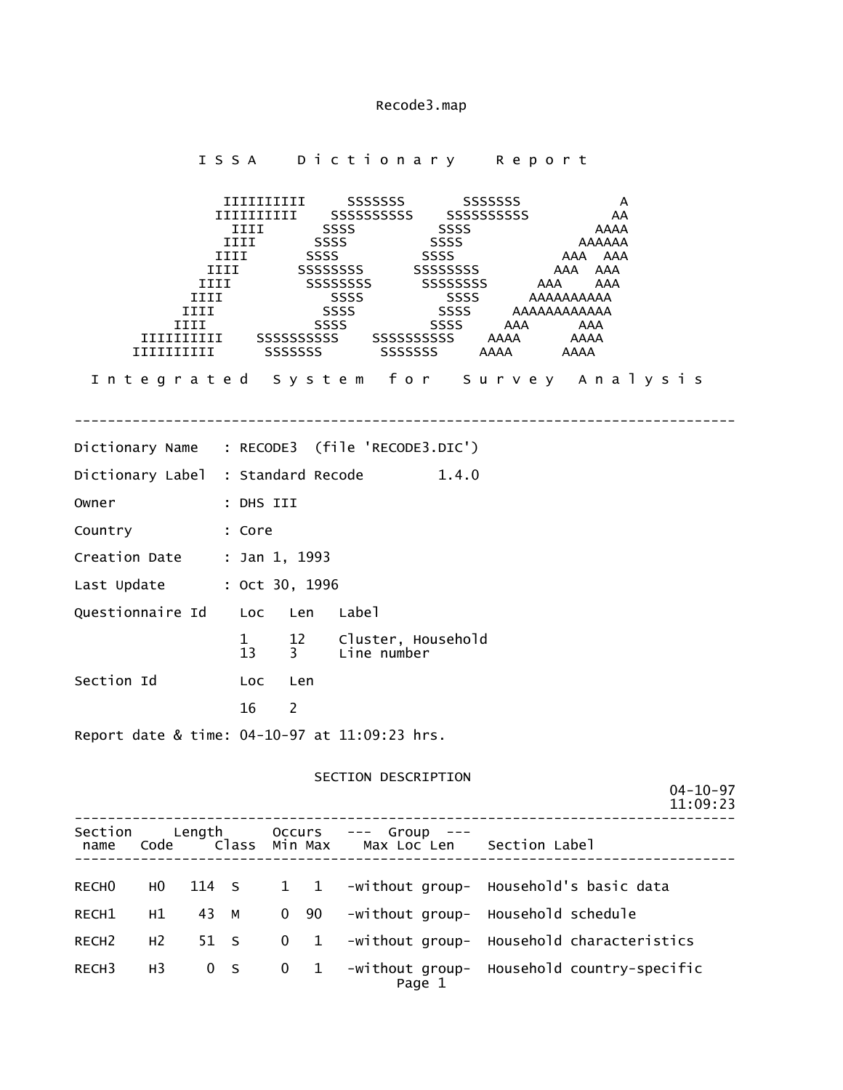I S S A Dictionary Report IIIIIIIIII SSSSSSS SSSSSSS A IIIIIIIIII SSSSSSSSSS SSSSSSSSSS AA iiii SSSS SSSS SSSS AAAA IIII SSSS SSSS AAAAAA IIII SSSS SSSS AAA AAA<br>IIII SSSSSSSSS SSSSSSSSS AAA AAA IIII SSSSSSSS SSSSSSSS AAA AAA IIII SSSSSSSSSS SSSSSSSSSSSSS AAA AAA IIII SSSS SSSS AAAAAAAAAA IIII SSSS SSSS AAAAAAAAAAAA IIII SSSS SSSS AAA AAA IIIIIIIIII SSSSSSSSSS SSSSSSSSSS AAAA AAAA IIIIIIIIII SSSSSSS SSSSSSS AAAA AAAA I n t e g r a t e d S y s t e m f o r S u r v e y A n a l y s i s -------------------------------------------------------------------------------- Dictionary Name : RECODE3 (file 'RECODE3.DIC') Dictionary Label : Standard Recode 1.4.0 Owner : DHS III Country : Core Creation Date : Jan 1, 1993 Last Update : Oct 30, 1996 Questionnaire Id Loc Len Label 1 12 Cluster, Household<br>13 3 Line number Line number Section Id **Loc** Len 16 2 Report date & time: 04-10-97 at 11:09:23 hrs. SECTION DESCRIPTION 04-10-97 11:09:23 -------------------------------------------------------------------------------- Section Length Occurs --- Group -- name Code Class Min Max Max Loc Len Section Label -------------------------------------------------------------------------------- RECHO HO 114 S 1 1 -without group- Household's basic data RECH1 H1 43 M 0 90 -without group- Household schedule RECH2 H2 51 S 0 1 -without group- Household characteristics RECH3 H3 0 S 0 1 -without group- Household country-specific

Page 1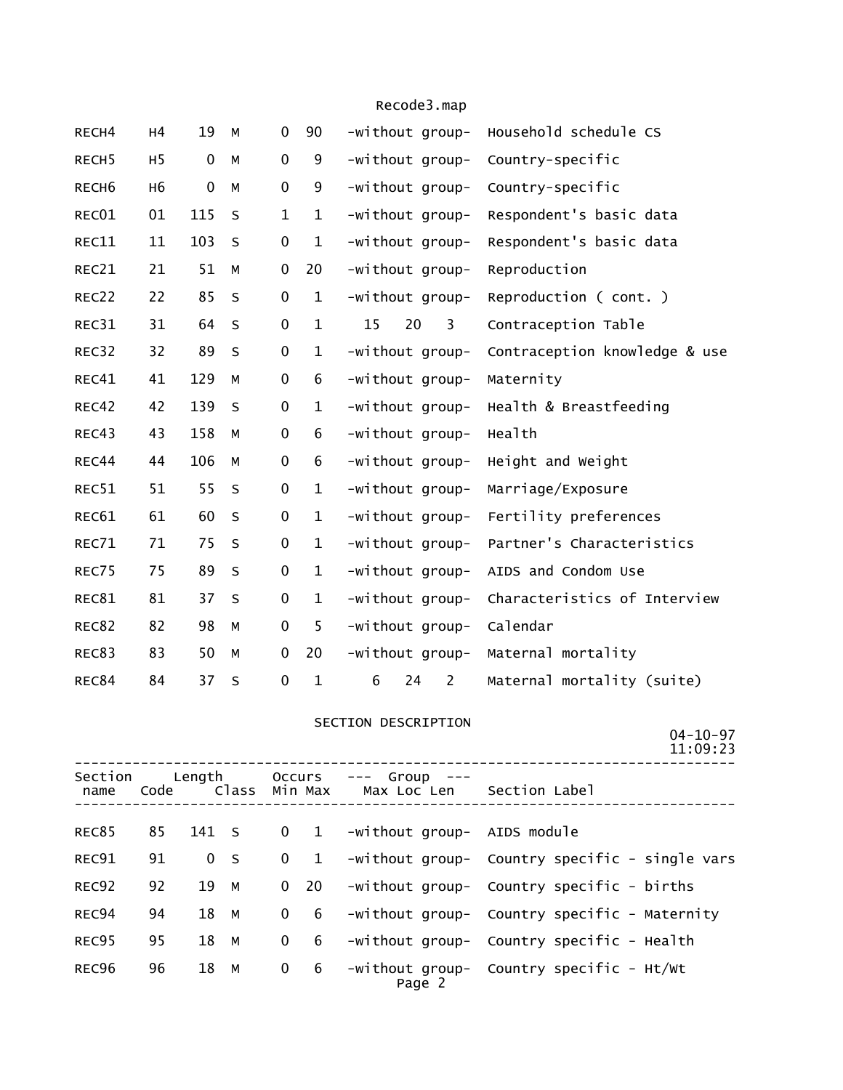| RECH4             | H4             | 19               | M       | 0                | 90           | -without group-           | Household schedule CS         |
|-------------------|----------------|------------------|---------|------------------|--------------|---------------------------|-------------------------------|
| RECH <sub>5</sub> | H <sub>5</sub> | $\boldsymbol{0}$ | M       | 0                | 9            | -without group-           | Country-specific              |
| RECH <sub>6</sub> | H <sub>6</sub> | $\mathbf 0$      | M       | $\mathbf 0$      | 9            | -without group-           | Country-specific              |
| REC01             | 01             | 115              | $\sf S$ | $\mathbf 1$      | $\mathbf 1$  | -without group-           | Respondent's basic data       |
| REC11             | 11             | 103              | $\sf S$ | 0                | $\mathbf 1$  | -without group-           | Respondent's basic data       |
| REC21             | 21             | 51               | M       | 0                | 20           | -without group-           | Reproduction                  |
| REC22             | 22             | 85               | $\sf S$ | 0                | $\mathbf 1$  | -without group-           | Reproduction (cont.)          |
| REC31             | 31             | 64               | S       | 0                | $\mathbf 1$  | 15<br>20<br>3             | Contraception Table           |
| REC32             | 32             | 89               | $\sf S$ | $\boldsymbol{0}$ | $\mathbf 1$  | -without group-           | Contraception knowledge & use |
| REC41             | 41             | 129              | М       | $\boldsymbol{0}$ | 6            | -without group-           | Maternity                     |
| REC42             | 42             | 139              | S       | 0                | $\mathbf 1$  | -without group-           | Health & Breastfeeding        |
| REC43             | 43             | 158              | М       | 0                | 6            | -without group-           | Health                        |
| REC44             | 44             | 106              | М       | 0                | 6            | -without group-           | Height and Weight             |
| REC51             | 51             | 55               | $\sf S$ | 0                | $\mathbf 1$  | -without group-           | Marriage/Exposure             |
| REC61             | 61             | 60               | $\sf S$ | 0                | $\mathbf 1$  | -without group-           | Fertility preferences         |
| REC71             | 71             | 75               | $\sf S$ | 0                | $\mathbf 1$  | -without group-           | Partner's Characteristics     |
| REC75             | 75             | 89               | S       | 0                | $\mathbf 1$  | -without group-           | AIDS and Condom Use           |
| REC81             | 81             | 37               | S       | 0                | $\mathbf 1$  | -without group-           | Characteristics of Interview  |
| REC82             | 82             | 98               | M       | $\boldsymbol{0}$ | 5            | -without group-           | Calendar                      |
| REC83             | 83             | 50               | M       | 0                | 20           | -without group-           | Maternal mortality            |
| REC84             | 84             | 37               | S       | 0                | $\mathbf{1}$ | 6<br>$\overline{2}$<br>24 | Maternal mortality (suite)    |

# SECTION DESCRIPTION

04-10-97

|                 |                         |                |         |              |                                                  |                                 | 11:09:23                                       |
|-----------------|-------------------------|----------------|---------|--------------|--------------------------------------------------|---------------------------------|------------------------------------------------|
| Section<br>name | Length<br>Class<br>Code |                | Min Max |              | Occurs --- Group<br>Max Loc Len    Section Label |                                 |                                                |
| <b>REC85</b>    | 85                      | 141 S          |         |              |                                                  | 0 1 -without group- AIDS module |                                                |
| REC91           | 91                      | 0 <sub>5</sub> |         |              | $0\quad 1$                                       |                                 | -without group- Country specific - single vars |
| REC92           | 92                      | 19 M           |         |              |                                                  |                                 | 0 20 -without group- Country specific - births |
| REC94           | 94                      | 18 M           |         |              | $0 \quad 6$                                      |                                 | -without group- Country specific - Maternity   |
| REC95           | 95                      | 18 M           |         | $\mathbf{0}$ | $6\overline{6}$                                  |                                 | -without group- Country specific - Health      |
| REC96           | 96                      | 18 M           |         |              | $0 \quad 6$                                      | Page 2                          | $-wit$ hout group- Country specific - $Ht/Wt$  |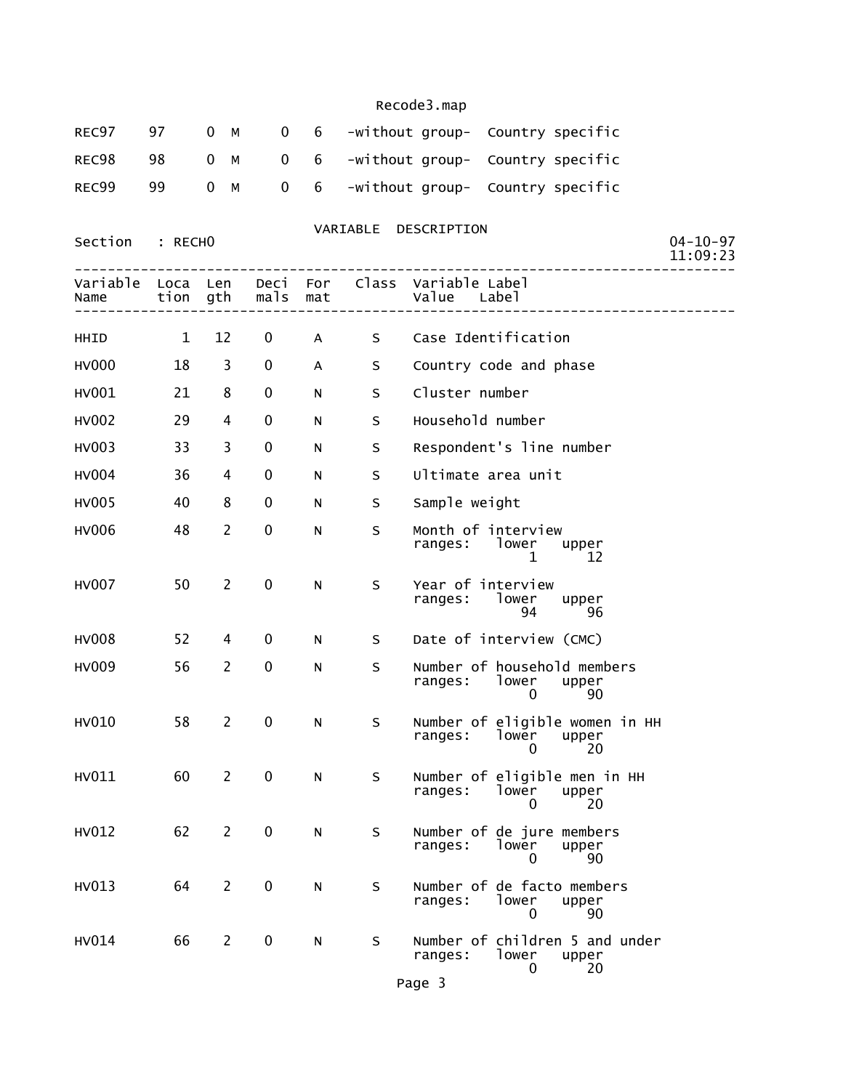|  |  |  | REC97 97 0 M 0 6 -without group- Country specific |  |
|--|--|--|---------------------------------------------------|--|
|  |  |  | REC98 98 0 M 0 6 -without group- Country specific |  |
|  |  |  | REC99 99 0 M 0 6 -without group- Country specific |  |

VARIABLE DESCRIPTION

Section : RECHO

|                  |              |                |              |            |   | 11:09:23                                                               |
|------------------|--------------|----------------|--------------|------------|---|------------------------------------------------------------------------|
| Variable<br>Name | Loca<br>tion | Len<br>gth     | Deci<br>mals | For<br>mat |   | Class Variable Label<br>Value<br>Label                                 |
| HHID             | $\mathbf{1}$ | 12             | 0            | A          | S | Case Identification                                                    |
| HV000            | 18           | 3              | 0            | A          | S | Country code and phase                                                 |
| HV001            | 21           | 8              | 0            | N          | S | Cluster number                                                         |
| <b>HV002</b>     | 29           | 4              | 0            | N          | S | Household number                                                       |
| HV003            | 33           | 3              | 0            | N          | S | Respondent's line number                                               |
| <b>HV004</b>     | 36           | 4              | 0            | N          | S | Ultimate area unit                                                     |
| HV005            | 40           | 8              | 0            | N          | S | Sample weight                                                          |
| <b>HV006</b>     | 48           | $\overline{2}$ | 0            | N          | S | Month of interview<br>ranges: lower<br>upper<br>1<br>12                |
| <b>HV007</b>     | 50           | $\overline{2}$ | 0            | N          | S | Year of interview<br>ranges:<br>lower<br>upper<br>94<br>96             |
| <b>HV008</b>     | 52           | 4              | 0            | N          | S | Date of interview (CMC)                                                |
| HV009            | 56           | $\overline{2}$ | 0            | N          | S | Number of household members<br>ranges:<br>lower<br>upper<br>90<br>0    |
| HV010            | 58           | 2              | $\mathbf 0$  | N          | S | Number of eligible women in HH<br>lower<br>ranges:<br>upper<br>20<br>0 |
| HV011            | 60           | $\overline{2}$ | 0            | N          | S | Number of eligible men in HH<br>ranges:<br>lower<br>upper<br>20<br>0   |
| HV012            | 62           | $\overline{2}$ | 0            | N          | S | Number of de jure members<br>ranges:<br>lower<br>upper<br>90<br>0      |
| HV013            | 64           | 2              | $\mathbf 0$  | N          | S | Number of de facto members<br>lower<br>ranges:<br>upper<br>90<br>0     |
| HV014            | 66           | $\overline{2}$ | 0            | N          | S | Number of children 5 and under<br>ranges:<br>lower<br>upper<br>20<br>0 |

Page 3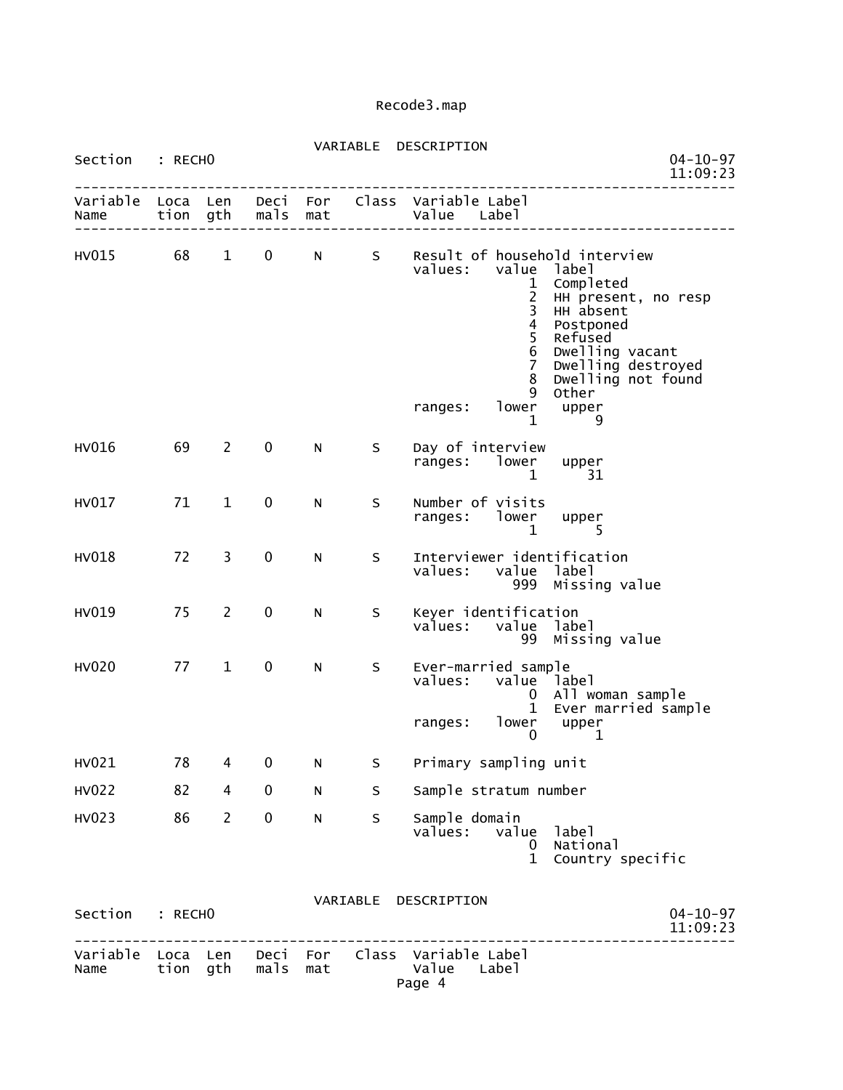| Section : RECHO           |                  |                |              |             |         | VARIABLE DESCRIPTION                                                                                                                                                                     | $04 - 10 - 97$<br>11:09:23                                                                                                                                           |
|---------------------------|------------------|----------------|--------------|-------------|---------|------------------------------------------------------------------------------------------------------------------------------------------------------------------------------------------|----------------------------------------------------------------------------------------------------------------------------------------------------------------------|
| Variable Loca Len<br>Name |                  | tion gth       | mals         | mat         |         | Deci For Class Variable Label<br>Value Label                                                                                                                                             |                                                                                                                                                                      |
| HV015                     | 68               | $\mathbf{1}$   | $\mathbf 0$  | $N$ and $N$ |         | S Result of household interview<br>values:<br>value<br>$\mathbf{1}$<br>$\frac{2}{3}$<br>$\overline{4}$<br>5<br>$\sqrt{6}$<br>$\overline{7}$<br>8<br>9<br>lower<br>ranges:<br>$\mathbf 1$ | label<br>Completed<br>HH present, no resp<br>HH absent<br>Postponed<br>Refused<br>Dwelling vacant<br>Dwelling destroyed<br>Dwelling not found<br>Other<br>upper<br>9 |
| HV016                     | 69               | 2              | 0            | N           | S       | Day of interview<br>ranges: lower<br>$\mathbf{1}$                                                                                                                                        | upper<br>31                                                                                                                                                          |
| HV017                     | 71               | $\mathbf{1}$   | 0            | N           | S       | Number of visits<br>ranges: lower upper<br>$\mathbf{1}$                                                                                                                                  | 5                                                                                                                                                                    |
| <b>HV018</b>              | 72               | 3              | $\mathbf 0$  | N           | S.      | Interviewer identification<br>values: value label                                                                                                                                        | 999 Missing value                                                                                                                                                    |
| HV019                     | 75               | $\overline{2}$ | 0            | N           | S       | Keyer identification<br>values: value label                                                                                                                                              | 99 Missing value                                                                                                                                                     |
| <b>HV020</b>              | 77               | $\mathbf{1}$   | 0            | N           | S       | Ever-married sample<br>values: value label<br>$\mathbf{0}$<br>$\mathbf{1}$<br>lower<br>ranges:<br>$\mathbf{0}$                                                                           | All woman sample<br>Ever married sample<br>upper<br>$\mathbf 1$                                                                                                      |
| HV021                     | 78               | 4              | 0            | N           | S       | Primary sampling unit                                                                                                                                                                    |                                                                                                                                                                      |
| <b>HV022</b>              | 82               | 4              | 0            | N           | S       | Sample stratum number                                                                                                                                                                    |                                                                                                                                                                      |
| HV023                     | 86               | $\overline{2}$ | 0            | N           | $\sf S$ | Sample domain<br>values:<br>value<br>0<br>$\mathbf{1}$                                                                                                                                   | label<br>National<br>Country specific                                                                                                                                |
| Section                   | : RECHO          |                |              |             |         | VARIABLE DESCRIPTION                                                                                                                                                                     | $04 - 10 - 97$<br>11:09:23                                                                                                                                           |
| Variable<br>Name          | Loca Len<br>tion | gth            | Deci<br>mals | For<br>mat  |         | Class Variable Label<br>Value<br>Label<br>Page 4                                                                                                                                         |                                                                                                                                                                      |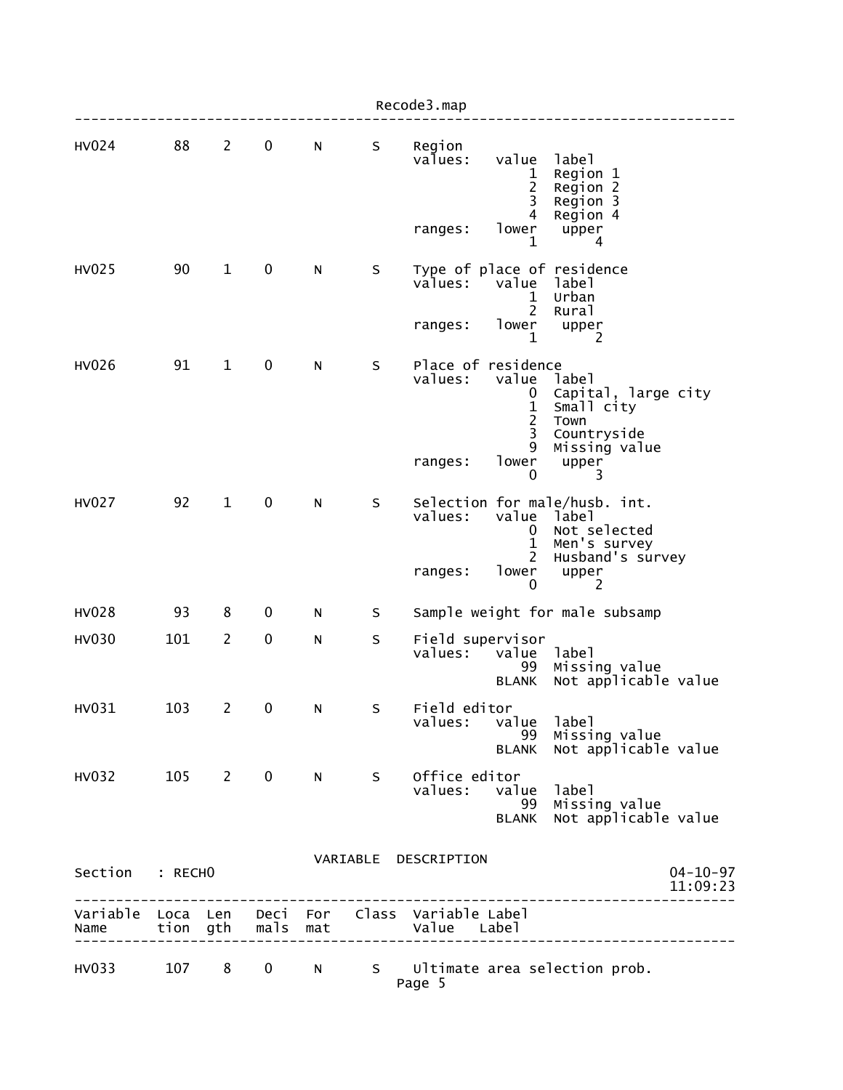|                 |     |                |                   |            |         | Recode3.map                                                    |                                                        |                                                                                            |
|-----------------|-----|----------------|-------------------|------------|---------|----------------------------------------------------------------|--------------------------------------------------------|--------------------------------------------------------------------------------------------|
| <b>HV024</b>    | 88  | $\overline{2}$ | 0                 | N          | S       | Region<br>values:                                              | value<br>1<br>$\overline{c}$<br>3<br>4                 | label<br>Region 1<br>Region 2<br>Region 3                                                  |
|                 |     |                |                   |            |         | ranges:                                                        | lower<br>1                                             | Region 4<br>upper<br>4                                                                     |
| HV025           | 90  | $\mathbf{1}$   | 0                 | N          | S       | values:                                                        | value<br>1<br>$\overline{2}$                           | Type of place of residence<br>label<br>Urban<br>Rural                                      |
|                 |     |                |                   |            |         | ranges:                                                        | lower<br>1                                             | upper<br>2                                                                                 |
| HV026           | 91  | $\mathbf{1}$   | $\pmb{0}$         | N          | $\sf S$ | Place of residence<br>values:                                  | value<br>0<br>$\mathbf{1}$<br>$\overline{c}$<br>3<br>9 | label<br>Capital, large city<br>Small city<br>Town<br>Countryside<br>Missing value         |
|                 |     |                |                   |            |         | ranges:                                                        | lower<br>0                                             | upper<br>3                                                                                 |
| <b>HV027</b>    | 92  | $\mathbf{1}$   | $\pmb{0}$         | N          | S       | values:<br>ranges:                                             | value label<br>U<br>$\mathbf 1$<br>2<br>lower          | Selection for male/husb. int.<br>Not selected<br>Men's survey<br>Husband's survey<br>upper |
|                 |     |                |                   |            |         |                                                                | 0                                                      | 2                                                                                          |
| <b>HV028</b>    | 93  | 8              | 0                 | N          | S       |                                                                |                                                        | Sample weight for male subsamp                                                             |
| <b>HV030</b>    | 101 | $\overline{2}$ | $\pmb{0}$         | N          | $\sf S$ | Field supervisor<br>values:                                    | value<br>99<br><b>BLANK</b>                            | label<br>Missing value<br>Not applicable value                                             |
| HV031           | 103 | $\overline{2}$ | $\boldsymbol{0}$  | N          | S       | Field editor<br>values:                                        | value<br>99<br><b>BLANK</b>                            | label<br>Missing value<br>Not applicable value                                             |
| HV032 105 2 0   |     |                |                   | $N \sim 1$ | S       | Office editor<br>values:                                       | value<br>99<br><b>BLANK</b>                            | label<br>Missing value<br>Not applicable value                                             |
| Section : RECHO |     |                |                   |            |         | VARIABLE DESCRIPTION                                           |                                                        | $04 - 10 - 97$<br>11:09:23<br>-----------------                                            |
| Name            |     |                | tion gth mals mat |            |         | Variable Loca Len Deci For Class Variable Label<br>Value Label |                                                        |                                                                                            |
| HV033           | 107 | 8              | $\mathbf 0$       | N          |         | Page 5                                                         |                                                        | S Ultimate area selection prob.                                                            |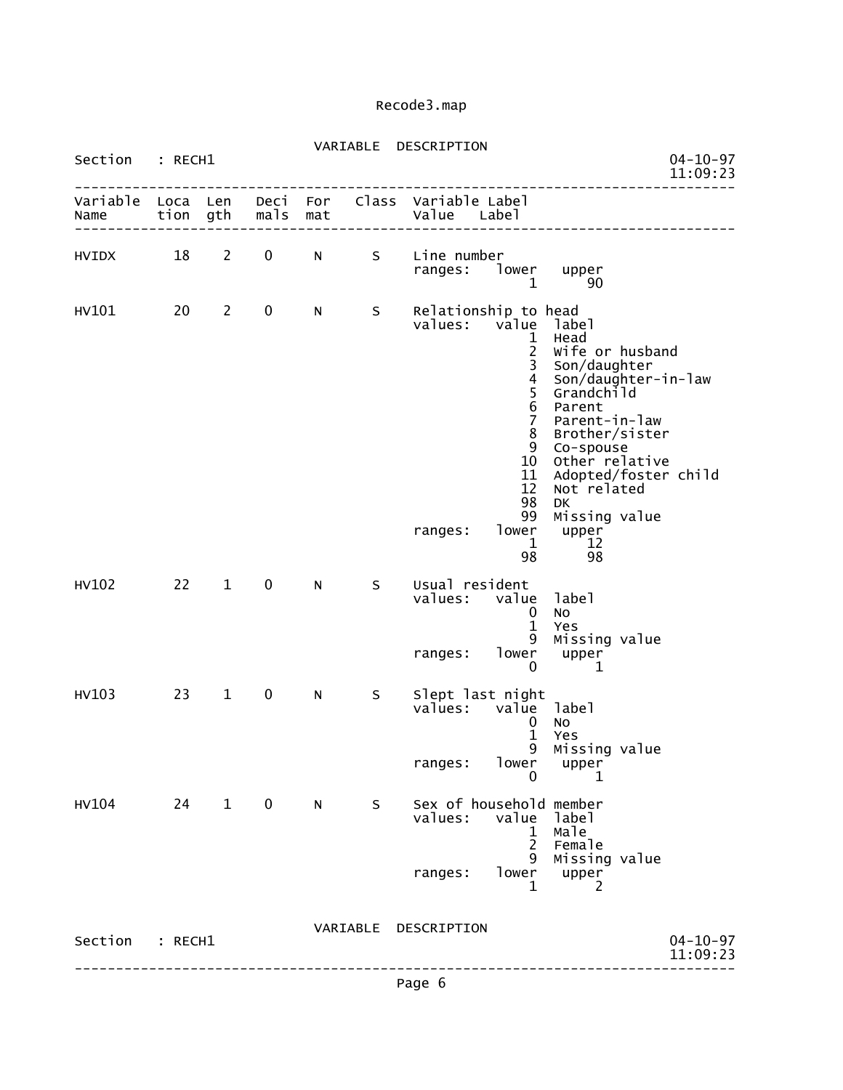| Section          | $:$ RECH $1$ |                |              |            | VARIABLE | DESCRIPTION                                   |                                                                                                                                                                          |                                                                                                                                                                                                                                                      | $04 - 10 - 97$<br>11:09:23 |
|------------------|--------------|----------------|--------------|------------|----------|-----------------------------------------------|--------------------------------------------------------------------------------------------------------------------------------------------------------------------------|------------------------------------------------------------------------------------------------------------------------------------------------------------------------------------------------------------------------------------------------------|----------------------------|
| Variable<br>Name | Loca<br>tion | Len<br>gth     | Deci<br>mals | For<br>mat | Class    | Variable Label<br>Value                       | Label                                                                                                                                                                    |                                                                                                                                                                                                                                                      |                            |
| <b>HVIDX</b>     | 18           | $\overline{2}$ | 0            | N          | S        | Line number<br>ranges:                        | lower<br>1                                                                                                                                                               | upper<br>90                                                                                                                                                                                                                                          |                            |
| HV101            | 20           | $\overline{2}$ | 0            | N          | S        | Relationship to head<br>values:<br>ranges:    | value<br>1<br>$\overline{c}$<br>3<br>$\begin{array}{c} 4 \\ 5 \\ 6 \end{array}$<br>$\overline{7}$<br>8<br>9<br>10<br>11<br>12<br>98<br>99<br>lower<br>$\mathbf{1}$<br>98 | label<br>Head<br>Wife or husband<br>Son/daughter<br>Son/daughter-in-law<br>Grandchild<br>Parent<br>Parent-in-law<br>Brother/sister<br>Co-spouse<br>Other relative<br>Adopted/foster child<br>Not related<br>DK<br>Missing value<br>upper<br>12<br>98 |                            |
| HV102            | 22           | $\mathbf{1}$   | $\pmb{0}$    | N          | S        | Usual resident<br>values:<br>ranges:          | value<br>0<br>$\mathbf{1}$<br>9<br>lower<br>0                                                                                                                            | label<br>No<br>Yes<br>Missing value<br>upper<br>1                                                                                                                                                                                                    |                            |
| HV103            | 23           | $\mathbf{1}$   | $\mathbf 0$  | N          | S        | Slept last night<br>values:<br>ranges:        | value label<br>0<br>$\mathbf{1}$<br>9<br>lower<br>0                                                                                                                      | No<br>Yes<br>Missing value<br>upper<br>1                                                                                                                                                                                                             |                            |
| <b>HV104</b>     | 24           | $\mathbf{1}$   | $\mathbf 0$  | N          | S        | Sex of household member<br>values:<br>ranges: | value<br>1<br>$\overline{c}$<br>9<br>lower<br>1                                                                                                                          | label<br>male<br>Female<br>Missing value<br>upper<br>2                                                                                                                                                                                               |                            |
| Section          | : RECH1      |                |              |            | VARIABLE | DESCRIPTION                                   |                                                                                                                                                                          |                                                                                                                                                                                                                                                      | $04 - 10 - 97$<br>11:09:23 |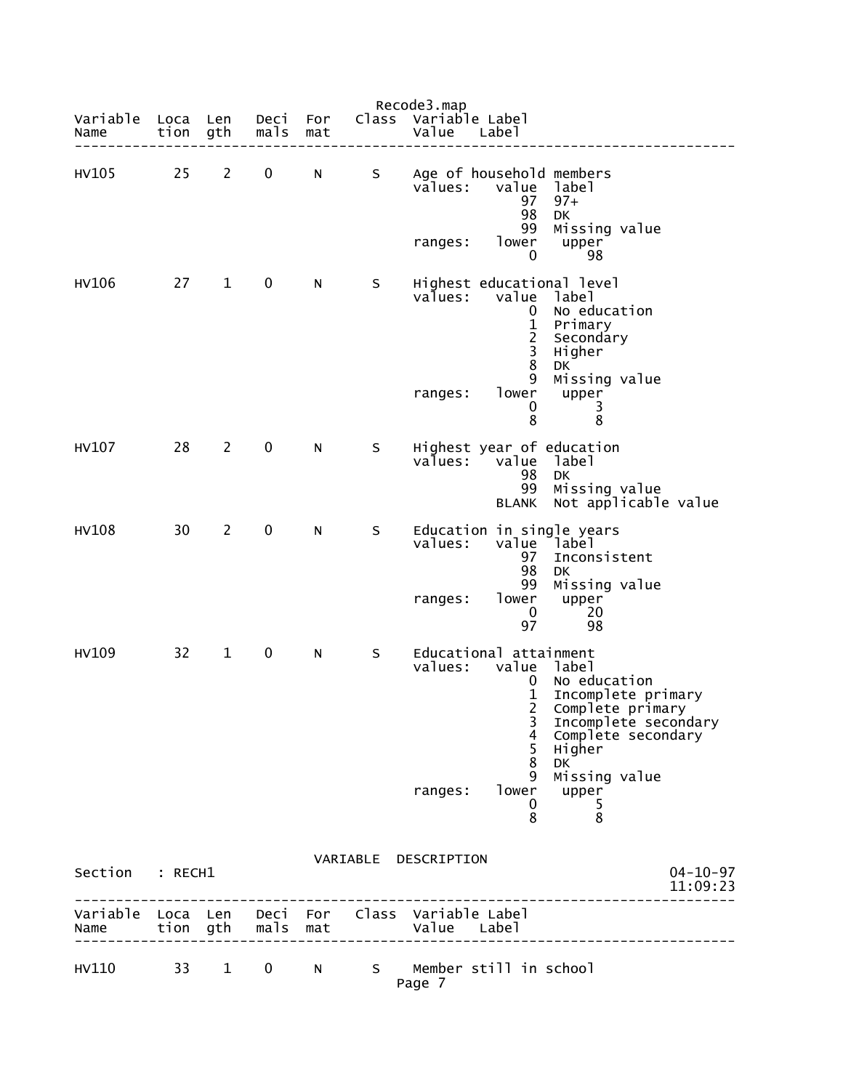| Variable<br>Name          | Loca<br>tion gth | Len            | Deci<br>mals | For<br>mat      |    | Recode3.map<br>Class Variable Label<br>Value<br>Labe <sub>1</sub>                                                  |                                                                                                                                                |
|---------------------------|------------------|----------------|--------------|-----------------|----|--------------------------------------------------------------------------------------------------------------------|------------------------------------------------------------------------------------------------------------------------------------------------|
| HV105                     | 25               | $2^{\circ}$    | $\mathbf 0$  | N               | S  | Age of household members<br>values:<br>97<br>98                                                                    | value label<br>$97+$<br>DK                                                                                                                     |
|                           |                  |                |              |                 |    | 99<br>lower<br>ranges:<br>0                                                                                        | Missing value<br>upper<br>98                                                                                                                   |
| HV106                     | 27               | $\mathbf{1}$   | $\mathbf 0$  | N               | S. | Highest educational level<br>value<br>values:<br>0<br>$\frac{1}{2}$<br>8<br>9<br>ranges:<br>lower<br>0<br>8        | label<br>No education<br>Primary<br>Secondary<br>Higher<br><b>DK</b><br>Missing value<br>upper<br>3<br>8                                       |
| HV107                     | 28               | $\overline{2}$ | $\mathbf 0$  | N               | S  | Highest year of education<br>values:<br>value<br>98<br>99<br>BLANK                                                 | label<br><b>DK</b><br>Missing value<br>Not applicable value                                                                                    |
| <b>HV108</b>              | 30               | $\overline{2}$ | $\mathbf 0$  | N               | S  | Education in single years<br>values:<br>97<br>98<br>99<br>lower<br>ranges:<br>$\mathbf 0$<br>97                    | value label<br>Inconsistent<br>DK<br>Missing value<br>upper<br>20<br>98                                                                        |
| HV109                     | 32               | $\mathbf{1}$   | $\mathbf 0$  | N               | S  | Educational attainment<br>values:<br>value<br>0<br>$\mathbf 1$<br>$\overline{2}$<br>3<br>4<br>5<br>8<br>9<br>lower | label<br>No education<br>Incomplete primary<br>Complete primary<br>Incomplete secondary<br>Complete secondary<br>Higher<br>DK<br>Missing value |
|                           |                  |                |              |                 |    | ranges:<br>0<br>8                                                                                                  | upper<br>5<br>8                                                                                                                                |
| Section                   | : RECH1          |                |              |                 |    | VARIABLE DESCRIPTION                                                                                               | $04 - 10 - 97$<br>11:09:23                                                                                                                     |
| Variable Loca Len<br>Name |                  | tion gth       | mals         | Deci For<br>mat |    | Class Variable Label<br>Value Label                                                                                |                                                                                                                                                |
| HV110                     | 33               | $\mathbf{1}$   | $\mathbf 0$  | N               |    | S Member still in school<br>Page 7                                                                                 |                                                                                                                                                |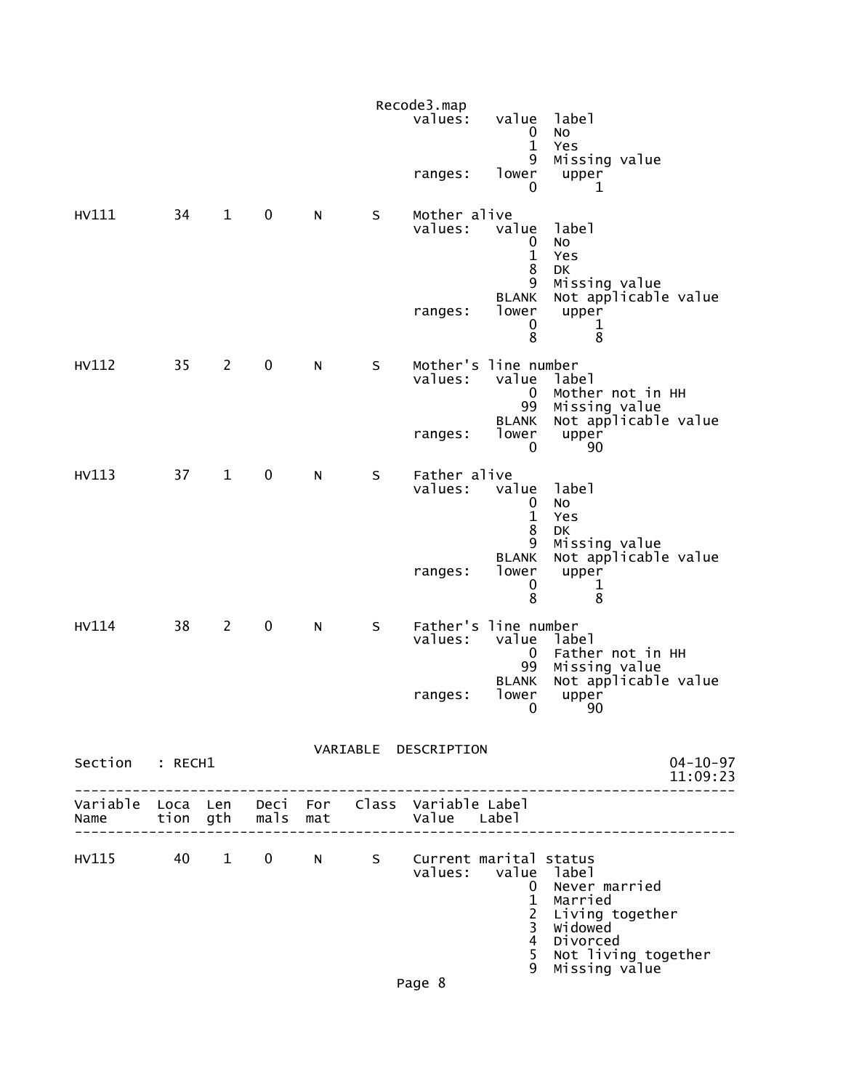|                                         |    |                |             |   |         | Recode3.map<br>values:  | value<br>0                                                      | label<br>No                                                                                                  |
|-----------------------------------------|----|----------------|-------------|---|---------|-------------------------|-----------------------------------------------------------------|--------------------------------------------------------------------------------------------------------------|
|                                         |    |                |             |   |         | ranges:                 | $\mathbf{1}$<br>9<br>lower<br>0                                 | Yes<br>Missing value<br>upper<br>1                                                                           |
| HV111                                   | 34 | $\mathbf{1}$   | $\mathbf 0$ | N | $\sf S$ | Mother alive<br>values: | value<br>0<br>$\mathbf{1}$<br>8                                 | label<br>No<br>Yes<br>DK                                                                                     |
|                                         |    |                |             |   |         | ranges:                 | 9<br><b>BLANK</b><br>lower<br>0<br>8                            | Missing value<br>Not applicable value<br>upper<br>1<br>8                                                     |
| HV112                                   | 35 | $2^{\sim}$     | $\mathbf 0$ | N | S       | values:                 | Mother's line number<br>value<br>$\bf{0}$<br>99<br><b>BLANK</b> | label<br>Mother not in HH<br>Missing value<br>Not applicable value                                           |
|                                         |    |                |             |   |         | ranges:                 | lower<br>$\mathbf{0}$                                           | upper<br>90                                                                                                  |
| HV113                                   | 37 | $\mathbf{1}$   | $\mathbf 0$ | N | $\sf S$ | Father alive<br>values: | value<br>0<br>$\mathbf{1}$<br>8                                 | label<br>No<br>Yes<br><b>DK</b>                                                                              |
|                                         |    |                |             |   |         | ranges:                 | 9<br><b>BLANK</b><br>lower<br>0<br>8                            | Missing value<br>Not applicable value<br>upper<br>1<br>8                                                     |
| HV114                                   | 38 | $\overline{2}$ | $\mathbf 0$ | N | $\sf S$ | values:                 | Father's line number<br>value<br>0<br>99                        | label<br>Father not in HH<br>Missing value                                                                   |
|                                         |    |                |             |   |         | ranges:                 | <b>BLANK</b><br>lower<br>$\mathbf 0$                            | Not applicable value<br>upper<br>90                                                                          |
| Section : RECH1                         |    |                |             |   |         | VARIABLE DESCRIPTION    |                                                                 | $04 - 10 - 97$<br>11:09:23<br>-------------------                                                            |
|                                         |    |                |             |   |         |                         |                                                                 |                                                                                                              |
| HV115 40 1 0 N S Current marital status |    |                |             |   |         | values: value label     | $\mathbf{1}$<br>$\frac{2}{3}$<br>$\overline{4}$<br>5<br>9       | 0 Never married<br>Married<br>Living together<br>widowed<br>Divorced<br>Not living together<br>Missing value |
|                                         |    |                |             |   |         | Page 8                  |                                                                 |                                                                                                              |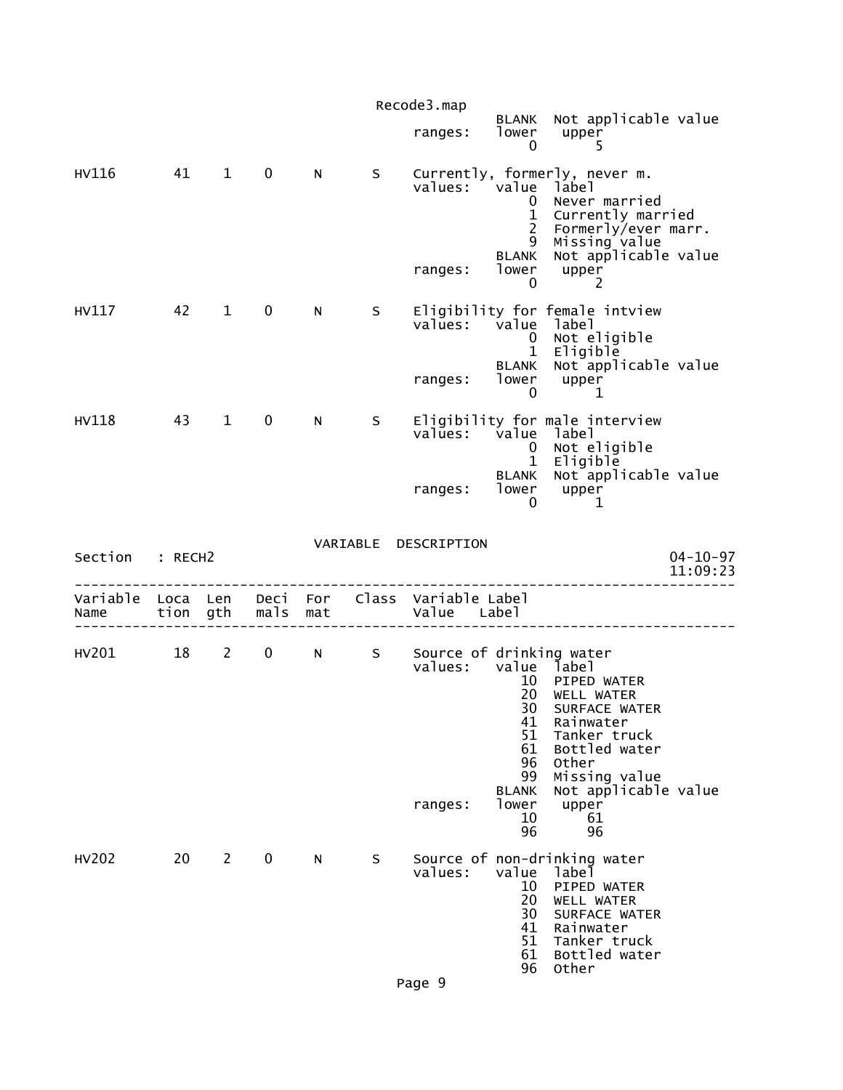|                                    |          |              |             |     |          | Recode3.map                                    |                                                                                            |                                                                                                                                                                                 |                            |
|------------------------------------|----------|--------------|-------------|-----|----------|------------------------------------------------|--------------------------------------------------------------------------------------------|---------------------------------------------------------------------------------------------------------------------------------------------------------------------------------|----------------------------|
|                                    |          |              |             |     |          | ranges:                                        | <b>BLANK</b><br>lower<br>0                                                                 | Not applicable value<br>upper<br>5                                                                                                                                              |                            |
| HV116                              | 41       | $\mathbf 1$  | $\mathbf 0$ | N   | S        | values: value<br>ranges:                       | $\mathbf 0$<br>$\mathbf{1}$<br>$\overline{2}$<br>9<br><b>BLANK</b><br>lower<br>0           | Currently, formerly, never m.<br>label<br>Never married<br>Currently married<br>Formerly/ever marr.<br>Missing value<br>Not applicable value<br>upper<br>2                      |                            |
| HV117                              | 42       | $\mathbf{1}$ | 0           | N   | S        | values: value label                            | 0<br>$\mathbf{1}$<br>BLANK                                                                 | Eligibility for female intview<br>Not eligible<br>Eligible<br>Not applicable value                                                                                              |                            |
|                                    |          |              |             |     |          | ranges:                                        | lower<br>$\mathbf 0$                                                                       | upper<br>1                                                                                                                                                                      |                            |
| HV118                              | 43       | $\mathbf{1}$ | $\mathbf 0$ | N   | S        | values:                                        | value<br>$\mathbf{0}$<br>$\mathbf 1$                                                       | Eligibility for male interview<br>label<br>Not eligible<br>Eligible                                                                                                             |                            |
|                                    |          |              |             |     |          | ranges:                                        | BLANK<br>lower<br>0                                                                        | Not applicable value<br>upper<br>1                                                                                                                                              |                            |
| Section                            | : RECH2  |              |             |     | VARIABLE | DESCRIPTION                                    |                                                                                            |                                                                                                                                                                                 | $04 - 10 - 97$<br>11:09:23 |
| Variable Loca Len Deci For<br>Name | tion gth |              | mals        | mat |          | Class Variable Label<br>Value Label            |                                                                                            |                                                                                                                                                                                 |                            |
| HV201                              | 18       | $2^{\circ}$  | $\mathbf 0$ | N   | S        | Source of drinking water<br>values:<br>ranges: | value<br>10<br>20<br>30<br>41<br>51<br>61<br>96<br>99<br><b>BLANK</b><br>lower<br>10<br>96 | label<br>PIPED WATER<br><b>WELL WATER</b><br>SURFACE WATER<br>Rainwater<br>Tanker truck<br>Bottled water<br>Other<br>Missing value<br>Not applicable value<br>upper<br>61<br>96 |                            |
| HV202                              | 20       | $\mathbf{2}$ | 0           | N   | S        | values:                                        | value<br>10<br>20<br>30<br>41<br>51<br>61                                                  | Source of non-drinking water<br>label<br>PIPED WATER<br>WELL WATER<br>SURFACE WATER<br>Rainwater<br>Tanker truck<br>Bottled water                                               |                            |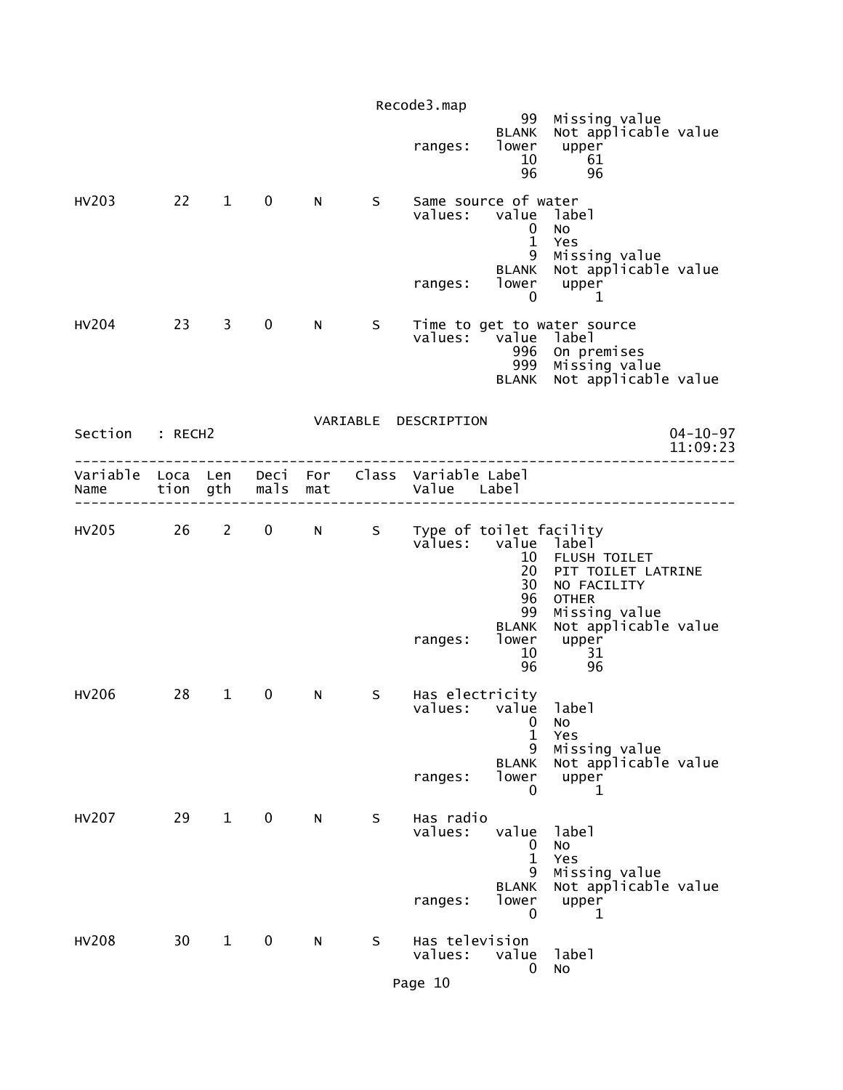|                                                                 |           |              |             |     |              | Recode3.map                          | 99<br><b>BLANK</b>                                                                | Missing value<br>Not applicable value                                                                                      |                            |
|-----------------------------------------------------------------|-----------|--------------|-------------|-----|--------------|--------------------------------------|-----------------------------------------------------------------------------------|----------------------------------------------------------------------------------------------------------------------------|----------------------------|
|                                                                 |           |              |             |     |              | ranges:                              | lower<br>10<br>96                                                                 | upper<br>61<br>96                                                                                                          |                            |
| HV203                                                           | $22 \t 1$ |              | $\mathbf 0$ | N   | $\mathsf{S}$ | ranges:                              | Same source of water<br>values: value label<br>0<br>$\mathbf{1}$<br>9<br>0        | No<br>Yes<br>Missing value<br>BLANK Not applicable value<br>$lower$ upper<br>1                                             |                            |
| HV204                                                           | 23 3      |              | $\mathbf 0$ | N – | S            |                                      | values: value label<br>996                                                        | Time to get to water source<br>On premises<br>999 Missing value<br>BLANK Not applicable value                              |                            |
| Section : RECH2                                                 |           |              |             |     |              | VARIABLE DESCRIPTION                 |                                                                                   |                                                                                                                            | $04 - 10 - 97$<br>11:09:23 |
| Variable Loca Len Deci For Class Variable Label<br>Name         |           |              |             |     |              | tion gth mals mat by alue Label      |                                                                                   |                                                                                                                            |                            |
| HV205 26 2 0 N S Type of toilet facility<br>values: value label |           |              |             |     |              | ranges:                              | 10<br>20<br>30<br>96<br>99<br><b>BLANK</b><br>lower<br>10                         | FLUSH TOILET<br>PIT TOILET LATRINE<br>NO FACILITY<br><b>OTHER</b><br>Missing value<br>Not applicable value<br>upper<br>-31 |                            |
| HV206                                                           | 28        | $1 \quad$    | $\mathbf 0$ | N   | S.           | Has electricity<br>ranges:           | 96<br>values: value label<br>0<br>$\mathbf{1}$<br>9<br><b>BLANK</b><br>lower<br>0 | 96<br>No<br>Yes<br>Missing value<br>Not applicable value<br>upper<br>1                                                     |                            |
| <b>HV207</b>                                                    | 29        | $\mathbf{1}$ | $\mathbf 0$ | N   | S            | Has radio<br>values:<br>ranges:      | value<br>0<br>$\mathbf{1}$<br>9<br><b>BLANK</b><br>lower<br>0                     | label<br>No<br>Yes<br>Missing value<br>Not applicable value<br>upper<br>1                                                  |                            |
| <b>HV208</b>                                                    | 30        | $\mathbf{1}$ | $\mathbf 0$ | N   | S            | Has television<br>values:<br>Page 10 | value<br>0                                                                        | label<br>NO                                                                                                                |                            |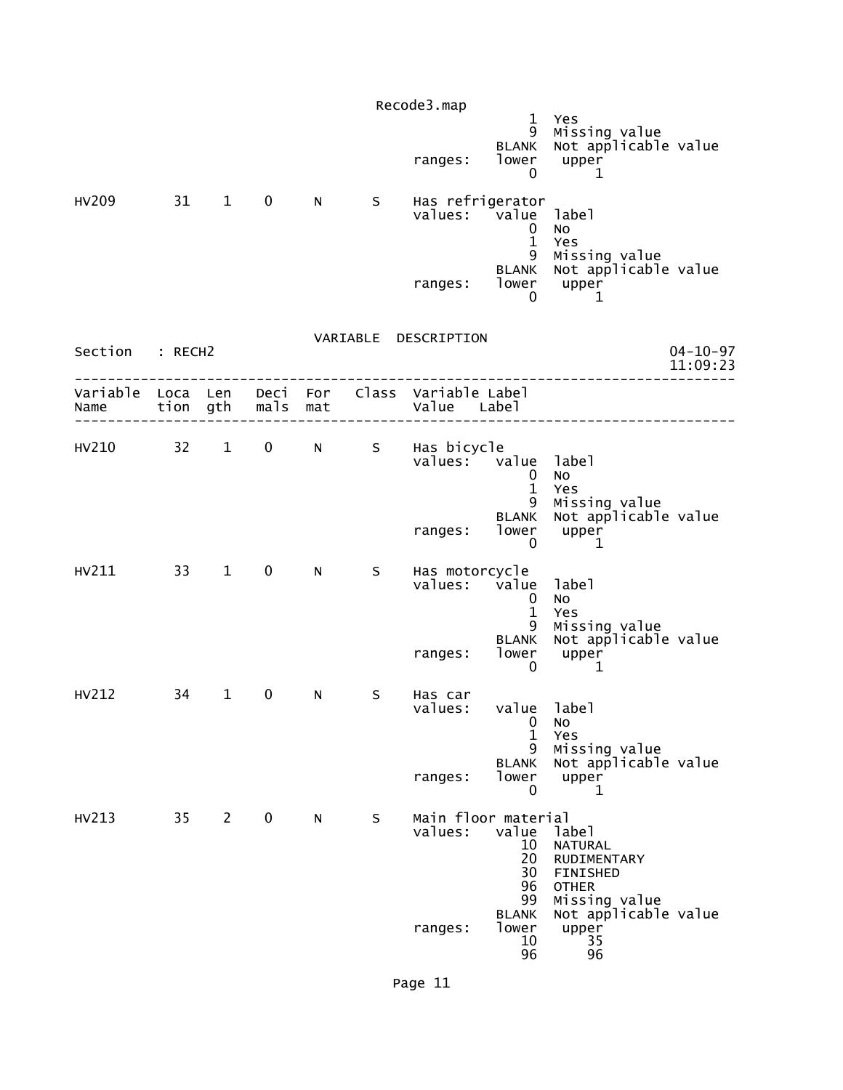|                                                         |      |                        |                   |   |    | Recode3.map          | $\mathbf{1}$<br>9                                                | Yes<br>Missing value                                                                |                            |
|---------------------------------------------------------|------|------------------------|-------------------|---|----|----------------------|------------------------------------------------------------------|-------------------------------------------------------------------------------------|----------------------------|
|                                                         |      |                        |                   |   |    | ranges:              | <b>BLANK</b><br>lower<br>0                                       | Not applicable value<br>upper<br>1                                                  |                            |
| HV209                                                   | 31   | $1 \quad \blacksquare$ | $\mathbf 0$       | N | S  |                      | Has refrigerator<br>values: value<br>0<br>$\mathbf{1}$<br>9      | label<br>No<br>Yes<br>Missing value                                                 |                            |
|                                                         |      |                        |                   |   |    |                      | <b>BLANK</b><br>ranges: lower upper<br>0                         | Not applicable value<br>1                                                           |                            |
| Section : RECH2                                         |      |                        |                   |   |    | VARIABLE DESCRIPTION |                                                                  |                                                                                     | $04 - 10 - 97$<br>11:09:23 |
| Variable Loca Len Deci For Class Variable Label<br>Name |      |                        | tion gth mals mat |   |    | Value Label          |                                                                  |                                                                                     |                            |
| HV210 32 1                                              |      |                        |                   |   |    | 0 N S Has bicycle    | values: value label<br>$\mathbf 0$<br>$\mathbf{1}$               | No<br>Yes                                                                           |                            |
|                                                         |      |                        |                   |   |    | ranges:              | 9<br><b>BLANK</b><br>lower<br>$\mathbf{0}$                       | Missing value<br>Not applicable value<br>upper<br>1                                 |                            |
| HV211                                                   | 33 1 |                        | $\mathbf{0}$      | N | S. |                      | Has motorcycle<br>values: value<br>$\Omega$<br>$\mathbf{1}$<br>9 | label<br>No<br>Yes<br>Missing value                                                 |                            |
|                                                         |      |                        |                   |   |    | ranges:              | <b>BLANK</b><br>lower<br>$\mathbf 0$                             | Not applicable value<br>upper<br>1                                                  |                            |
| HV212                                                   | 34   | $\mathbf{1}$           | $\mathbf 0$       | N | S  | Has car<br>values:   | value<br>$\boldsymbol{0}$<br>$\mathbf{1}$<br>9                   | label<br>No<br>Yes<br>Missing value                                                 |                            |
|                                                         |      |                        |                   |   |    | ranges:              | <b>BLANK</b><br>lower<br>0                                       | Not applicable value<br>upper<br>1                                                  |                            |
| HV213                                                   | 35   | $2^{\circ}$            | $\mathbf 0$       | N | S  | values:              | Main floor material<br>value<br>10<br>20<br>30<br>96<br>99       | label<br><b>NATURAL</b><br>RUDIMENTARY<br>FINISHED<br><b>OTHER</b><br>Missing value |                            |
|                                                         |      |                        |                   |   |    | ranges:              | <b>BLANK</b><br>lower<br>10<br>96                                | Not applicable value<br>upper<br>35<br>96                                           |                            |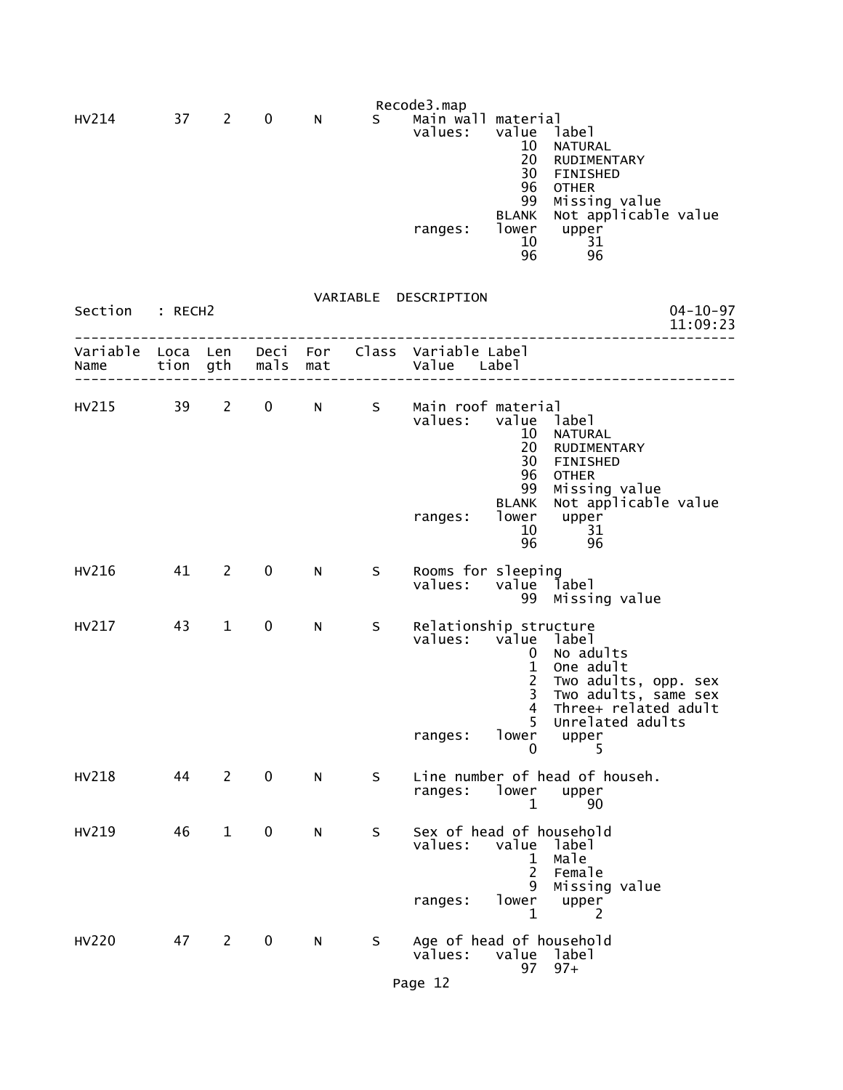| HV214 | 37 | <sup>2</sup> | 0 | N | S. | Recode3.map<br>Main wall material |       |                      |
|-------|----|--------------|---|---|----|-----------------------------------|-------|----------------------|
|       |    |              |   |   |    | values:                           | value | label                |
|       |    |              |   |   |    |                                   | 10    | <b>NATURAL</b>       |
|       |    |              |   |   |    |                                   | 20    | <b>RUDIMENTARY</b>   |
|       |    |              |   |   |    |                                   | 30    | <b>FINISHED</b>      |
|       |    |              |   |   |    |                                   | 96    | <b>OTHER</b>         |
|       |    |              |   |   |    |                                   | 99    | Missing value        |
|       |    |              |   |   |    |                                   | BLANK | Not applicable value |
|       |    |              |   |   |    | ranges:                           | lower | upper                |
|       |    |              |   |   |    |                                   | 10    | 31                   |
|       |    |              |   |   |    |                                   | 96    | 96                   |

| Section : RECH2       |      |                |                   |            |      | VARIABLE DESCRIPTION<br>$04 - 10 - 97$<br>11:09:23                                                                                                                                                                                                                                         |
|-----------------------|------|----------------|-------------------|------------|------|--------------------------------------------------------------------------------------------------------------------------------------------------------------------------------------------------------------------------------------------------------------------------------------------|
| Variable Loca<br>Name | tion | Len<br>gth     | Deci<br>mals      | For<br>mat |      | Class Variable Label<br>Value Label                                                                                                                                                                                                                                                        |
| HV215                 | 39   | $2^{\sim}$     | $0 \qquad \qquad$ | N.         | S.   | Main roof material<br>values:<br>value label<br>NATURAL<br>10<br>20<br>RUDIMENTARY<br>30<br>FINISHED<br>96<br><b>OTHER</b><br>99<br>Missing value<br>Not applicable value<br><b>BLANK</b><br>lower<br>upper<br>ranges:<br>10<br>31<br>96<br>96                                             |
| HV216                 | 41   | 2              | 0                 | N          | S.   | Rooms for sleeping<br>values: value<br>label<br>99 Missing value                                                                                                                                                                                                                           |
| HV217                 | 43   | $\mathbf 1$    | $\mathbf 0$       | N          | S.   | Relationship structure<br>values:<br>value label<br>No adults<br>0<br>$\mathbf{1}$<br>One adult<br>$2^{\circ}$<br>Two adults, opp. sex<br>Two adults, same sex<br>Three+ related adult<br>$\overline{3}$<br>$\overline{4}$<br>5<br>Unrelated adults<br>lower<br>upper<br>ranges:<br>5<br>0 |
| <b>HV218</b>          | 44   | 2              | $\mathbf{0}$      | N          | S    | Line number of head of househ.<br>ranges: lower upper<br>90<br>$\mathbf{1}$                                                                                                                                                                                                                |
| HV219                 | 46   | $\mathbf 1$    | $\mathbf 0$       | N          | S    | Sex of head of household<br>value label<br>values:<br>1 Male<br>2 <sup>1</sup><br>Female<br>9 Missing value<br>ranges: lower upper<br>$\mathbf{1}$<br>2                                                                                                                                    |
| <b>HV220</b>          | 47   | $\overline{2}$ | 0                 | N          | S in | Age of head of household<br>values: value label<br>$97+$<br>97<br>$P = 42 \cdot 12$                                                                                                                                                                                                        |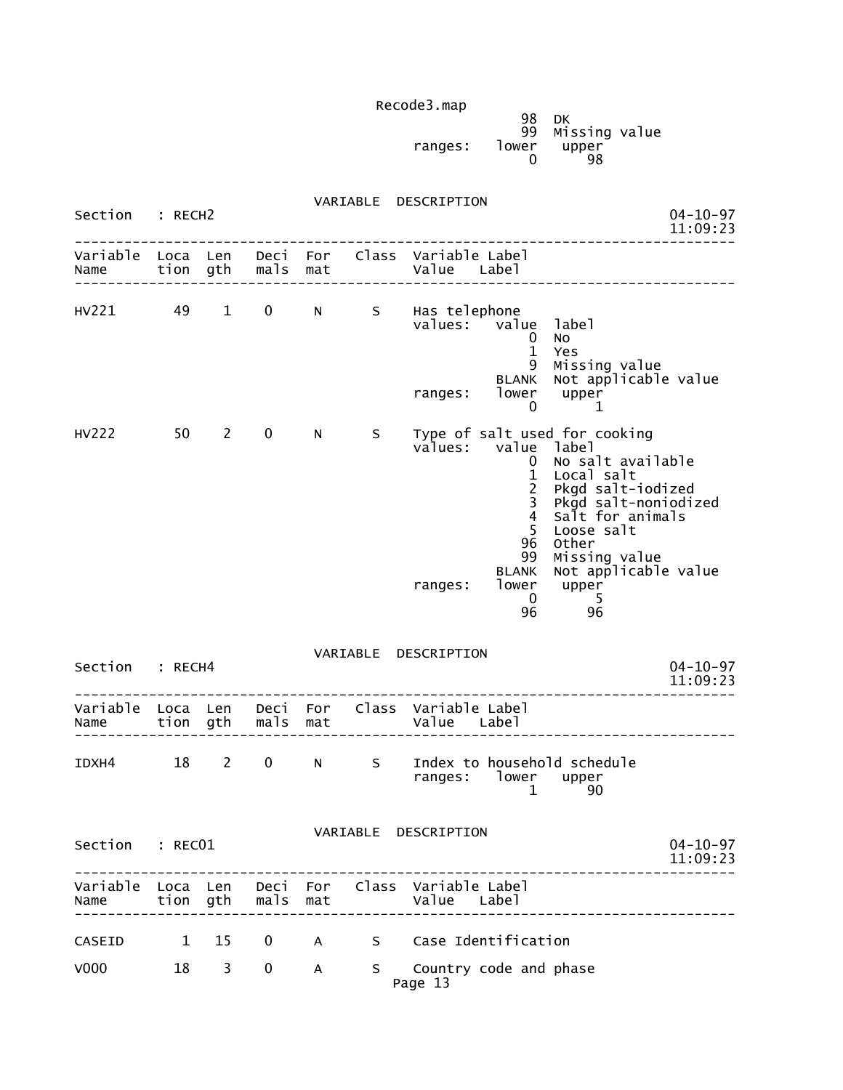|         | 98    | DK<br>99 Missing value |  |
|---------|-------|------------------------|--|
| ranges: | lower | upper<br>98            |  |

| Section                    | : RECH2       |            |                            |                     |                  | VARIABLE DESCRIPTION                                                                                                                                                                                                                                                                  | $04 - 10 - 97$<br>11:09:23                                                                                                       |
|----------------------------|---------------|------------|----------------------------|---------------------|------------------|---------------------------------------------------------------------------------------------------------------------------------------------------------------------------------------------------------------------------------------------------------------------------------------|----------------------------------------------------------------------------------------------------------------------------------|
| Variable<br>Name           | Loca Len      |            | tion gth mals mat          |                     |                  | Deci For Class Variable Label<br>Value Label                                                                                                                                                                                                                                          |                                                                                                                                  |
| HV221                      | 49 1          |            | $0 \qquad \qquad$          | $N$ and $N$         |                  | S Has telephone<br>values: value label<br>0<br>No<br>$\mathbf{1}$<br>Yes<br>9<br><b>BLANK</b><br>lower upper<br>ranges:                                                                                                                                                               | Missing value<br>Not applicable value                                                                                            |
| HV222                      | $50 \qquad 2$ |            | $\mathbf 0$                | N                   | S                | 0<br>Type of salt used for cooking<br>values: value label<br>$\mathbf{0}$<br>$\mathbf{1}$<br>Local salt<br>$\overline{2}$<br>$\overline{3}$<br>$\overline{4}$<br>5<br>Loose salt<br>96<br>Other<br>99<br><b>BLANK</b><br>lower<br>upper<br>ranges:<br>$\mathbf{0}$<br>- 5<br>96<br>96 | 1<br>No salt available<br>Pkgd salt-iodized<br>Pkgd salt-noniodized<br>Salt for animals<br>Missing value<br>Not applicable value |
| Section : RECH4            |               |            |                            |                     |                  | VARIABLE DESCRIPTION                                                                                                                                                                                                                                                                  | $04 - 10 - 97$<br>11:09:23                                                                                                       |
| Name tion gth mals mat     |               |            |                            |                     |                  | Variable Loca Len Deci For Class Variable Label<br>Value Label                                                                                                                                                                                                                        |                                                                                                                                  |
| IDXH4                      | $18$ 2        |            | $\overline{0}$             |                     | S<br>$N$ and $N$ | Index to household schedule<br>ranges: lower upper<br>1                                                                                                                                                                                                                               | 90                                                                                                                               |
| Section : RECO1            |               |            |                            |                     |                  | VARIABLE DESCRIPTION                                                                                                                                                                                                                                                                  | $04 - 10 - 97$<br>11:09:23                                                                                                       |
| Name                       |               |            | tion gth mals              | mat                 |                  | -------------<br>Variable Loca Len Deci For Class Variable Label<br>value<br>Labe]                                                                                                                                                                                                    | _______________________                                                                                                          |
| CASEID<br>V <sub>000</sub> | $\sim$ 1      | 15<br>18 3 | $\mathbf 0$<br>$\mathbf 0$ | $\overline{A}$<br>A |                  | S Case Identification<br>S Country code and phase<br>Page 13                                                                                                                                                                                                                          |                                                                                                                                  |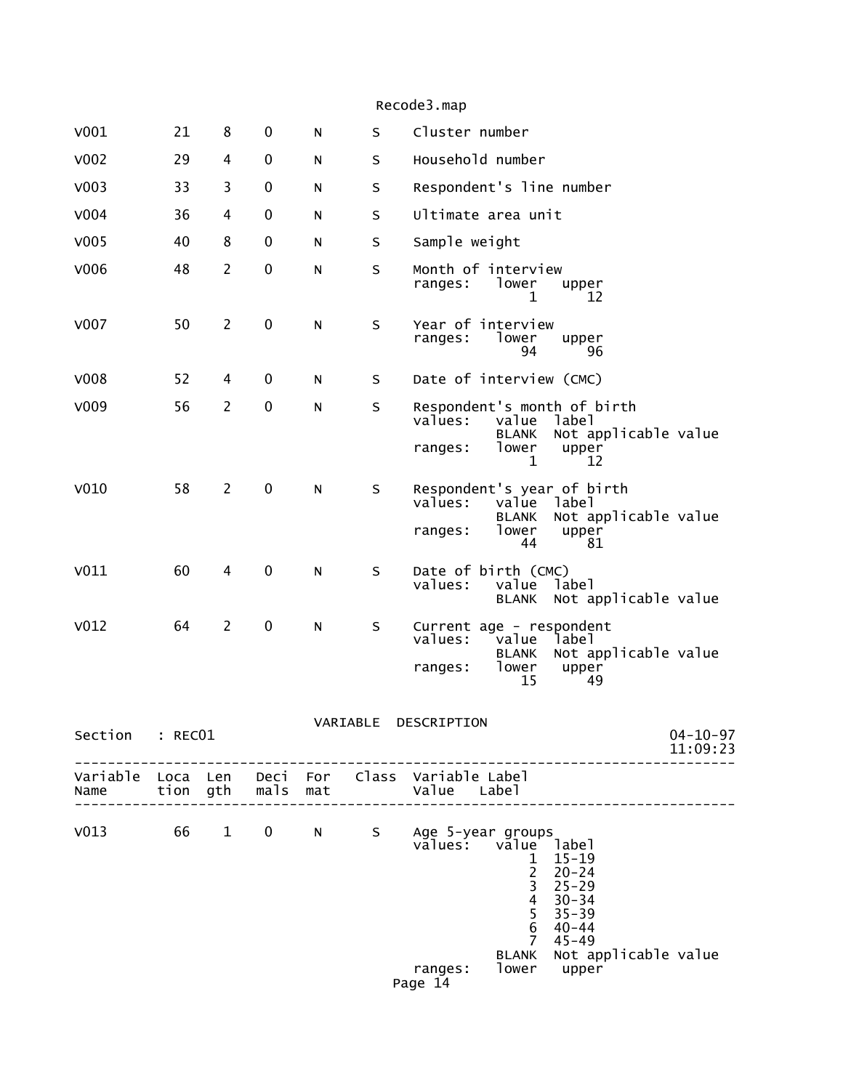| Recode3.map |  |
|-------------|--|

| V001             | 21               | 8              | 0            | N          | S        | Cluster number                                                                                                                                                                                                                                                                                                              |
|------------------|------------------|----------------|--------------|------------|----------|-----------------------------------------------------------------------------------------------------------------------------------------------------------------------------------------------------------------------------------------------------------------------------------------------------------------------------|
| V002             | 29               | 4              | 0            | N          | S        | Household number                                                                                                                                                                                                                                                                                                            |
| V <sub>003</sub> | 33               | 3              | 0            | N          | S        | Respondent's line number                                                                                                                                                                                                                                                                                                    |
| V004             | 36               | 4              | 0            | N          | S        | Ultimate area unit                                                                                                                                                                                                                                                                                                          |
| V005             | 40               | 8              | 0            | N          | S        | Sample weight                                                                                                                                                                                                                                                                                                               |
| V006             | 48               | $\overline{2}$ | $\pmb{0}$    | N          | S        | Month of interview<br>lower<br>ranges:<br>upper<br>12<br>1                                                                                                                                                                                                                                                                  |
| V007             | 50               | $\overline{2}$ | 0            | N          | S        | Year of interview<br>lower<br>ranges:<br>upper<br>94<br>96                                                                                                                                                                                                                                                                  |
| V008             | 52               | 4              | 0            | N          | S        | Date of interview (CMC)                                                                                                                                                                                                                                                                                                     |
| V009             | 56               | $\overline{2}$ | $\mathbf 0$  | N          | S        | Respondent's month of birth<br>values:<br>value<br>label<br>Not applicable value<br><b>BLANK</b><br>lower<br>upper<br>ranges:<br>1<br>12                                                                                                                                                                                    |
| V010             | 58               | $\overline{2}$ | 0            | N          | S        | Respondent's year of birth<br>values:<br>value<br>label<br>Not applicable value<br><b>BLANK</b><br>lower<br>upper<br>ranges:<br>44<br>81                                                                                                                                                                                    |
| V011             | 60               | 4              | $\mathbf 0$  | N          | S        | Date of birth (CMC)<br>values:<br>label<br>value<br>Not applicable value<br><b>BLANK</b>                                                                                                                                                                                                                                    |
| V <sub>012</sub> | 64               | $\overline{2}$ | $\pmb{0}$    | N          | S        | Current age - respondent<br>values:<br>value<br>label<br>Not applicable value<br><b>BLANK</b><br>lower<br>upper<br>ranges:<br>15<br>49                                                                                                                                                                                      |
| Section          | : REC01          |                |              |            | VARIABLE | DESCRIPTION<br>$04 - 10 - 97$<br>11:09:23                                                                                                                                                                                                                                                                                   |
| Variable<br>Name | Loca Len<br>tion | gth            | Deci<br>mals | For<br>mat | Class    | Variable Label<br>Value<br>Label                                                                                                                                                                                                                                                                                            |
| V <sub>013</sub> | 66               | $\mathbf{1}$   | 0            | N          | S        | Age 5-year groups<br>values: value<br>label<br>$15 - 19$<br>1<br>$\overline{\mathbf{c}}$<br>$20 - 24$<br>$\begin{array}{c} 3 \\ 4 \\ 5 \\ 6 \end{array}$<br>$25 - 29$<br>$30 - 34$<br>$35 - 39$<br>$40 - 44$<br>$\overline{7}$<br>$45 - 49$<br>Not applicable value<br><b>BLANK</b><br>lower<br>upper<br>ranges:<br>Dago 14 |

#### Page 14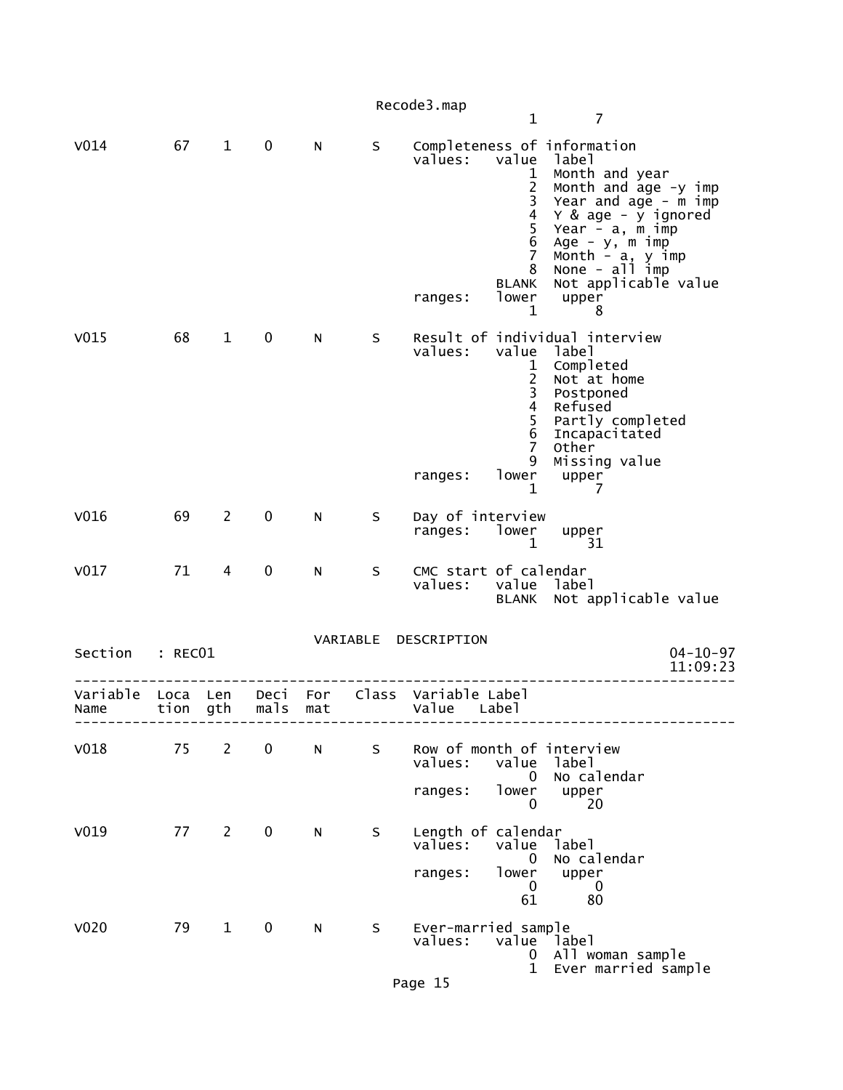Recode3.map 1 7 V014 67 1 0 N S Completeness of information<br>values: value label value label 1 Month and year 2 Month and age -y imp 3 Year and age - m imp 4 Y & age - y ignored 5 Year - a, m imp 6 Age - y, m imp 7 Month - a, y imp 8 None - all imp BLANK Not applicable value<br>ranges: lower upper ranges: lower upper  $1 \t 8$ V015 68 1 0 N S Result of individual interview value label 1 Completed 2 Not at home 3 Postponed 4 Refused<br>5 Partly c 5 Partly completed 6 Incapacitated 7 Other 9 Missing value<br>ranges: lower upper lower upper  $1 \t 7$ V016 69 2 0 N S Day of interview ranges: lower upper  $1$  31 31 V017 71 4 0 N S CMC start of calendar<br>values: value labe value label BLANK Not applicable value VARIABLE DESCRIPTION Section : RECO1 04-10-97<br>11:09:23 11:09:23 -------------------------------------------------------------------------------- Variable Loca Len Deci For Class Variable Label mals mat value Label -------------------------------------------------------------------------------- V018 75 2 0 N S Row of month of interview values: value label (1999) values: value label (1999) value label (1999) value label (1999) value  $\sim$  0 No calendar ranges: lower upper<br>0 20  $\sim$  20 V019 77 2 0 N S Length of calendar<br>values: value la value label o No calendar<br>ranges: lower upper er upper<br>0 0  $\sim$  0  $\sim$  0  $\sim$  0  $\sim$  0  $\sim$  0  $\sim$  0  $\sim$  0  $\sim$  0  $\sim$  0  $\sim$  0  $\sim$  0  $\sim$  0  $\sim$  0  $\sim$  0  $\sim$  0  $\sim$  0  $\sim$  0  $\sim$  0  $\sim$  0  $\sim$  0  $\sim$  0  $\sim$  0  $\sim$  0  $\sim$  0  $\sim$  0  $\sim$  0  $\sim$  0  $\sim$  0  $\sim$  0  $\sim$  0  $\sim$  0  $\sim$  $\sim$  61 80 V020 79 1 0 N S Ever-married sample values: value label 0 All woman sample 1 Ever married sample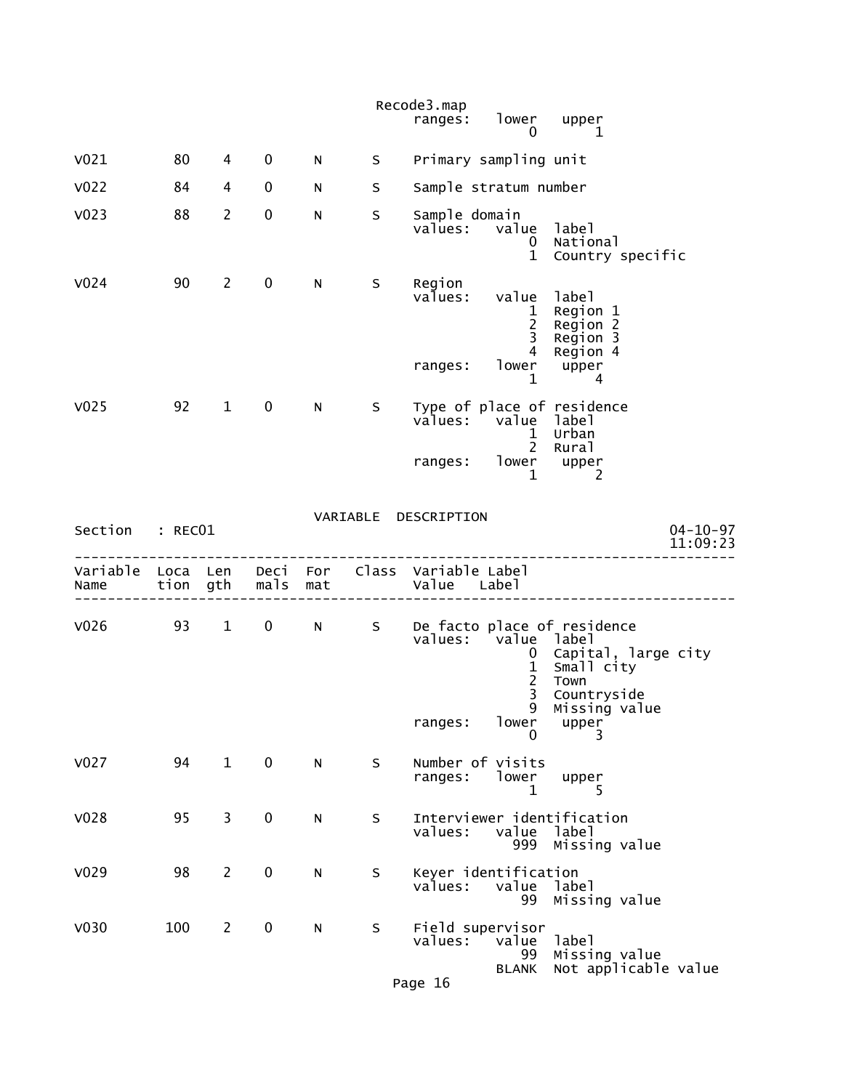|                                                                           |     |                |             |           |         | Recode3.map                     | ranges: lower upper<br>$\mathbf{0}$                                        | 1                                                                                                                                          |                            |
|---------------------------------------------------------------------------|-----|----------------|-------------|-----------|---------|---------------------------------|----------------------------------------------------------------------------|--------------------------------------------------------------------------------------------------------------------------------------------|----------------------------|
| V <sub>021</sub>                                                          | 80  | 4              | 0           | N         | S -     |                                 | Primary sampling unit                                                      |                                                                                                                                            |                            |
| V <sub>022</sub>                                                          | 84  | 4              | 0           | N         | S       |                                 | Sample stratum number                                                      |                                                                                                                                            |                            |
| V <sub>023</sub>                                                          | 88  | $\overline{2}$ | $\pmb{0}$   | N         | S       | Sample domain                   | values: value label<br>0                                                   | National<br>1 Country specific                                                                                                             |                            |
| V <sub>024</sub>                                                          | 90  | $\mathbf{2}$   | $\mathbf 0$ | N         | S.      | Region<br>values:<br>ranges:    | value label<br>$\mathbf{1}$<br>$\frac{2}{3}$<br>$\mathbf{1}$               | Region 1<br>Region 2<br>Region 3<br>4 Region 4<br>lower upper<br>$\sim$ 4                                                                  |                            |
| V <sub>025</sub>                                                          | 92  | $\mathbf{1}$   | $\mathbf 0$ | N         | S       |                                 | values: value label<br>$\mathbf{1}$<br>ranges: lower upper<br>$\mathbf{1}$ | Type of place of residence<br>Urban<br>2 Rural<br>2                                                                                        |                            |
| Section : RECO1                                                           |     |                |             |           |         | VARIABLE DESCRIPTION            |                                                                            |                                                                                                                                            | $04 - 10 - 97$<br>11:09:23 |
| Variable Loca Len Deci For Class Variable Label<br>Name tion gth mals mat |     |                |             |           |         | Value Label<br>---------------- |                                                                            |                                                                                                                                            |                            |
|                                                                           |     |                |             |           |         | ranges:                         | values: value label<br>$\frac{1}{2}$<br>3<br>lower<br>0                    | V026 93 1 0 N S De facto place of residence<br>0 Capital, large city<br>Small city<br>Town<br>Countryside<br>9 Missing value<br>upper<br>3 |                            |
| V <sub>027</sub>                                                          | 94  | $\mathbf{1}$   | $\mathbf 0$ | ${\sf N}$ | S       | ranges:                         | Number of visits<br>lower<br>1                                             | upper<br>5.                                                                                                                                |                            |
| V028                                                                      | 95  | 3              | $\pmb{0}$   | ${\sf N}$ | $\sf S$ | values:                         | value<br>999                                                               | Interviewer identification<br>label<br>Missing value                                                                                       |                            |
| V <sub>029</sub>                                                          | 98  | $\mathbf{2}$   | 0           | ${\sf N}$ | S       | values:                         | Keyer identification<br>value<br>99                                        | label<br>Missing value                                                                                                                     |                            |
| V <sub>030</sub>                                                          | 100 | $\overline{2}$ | $\pmb{0}$   | N         | S       | values:<br>Page 16              | Field supervisor<br>value<br>99<br><b>BLANK</b>                            | label<br>Missing value<br>Not applicable value                                                                                             |                            |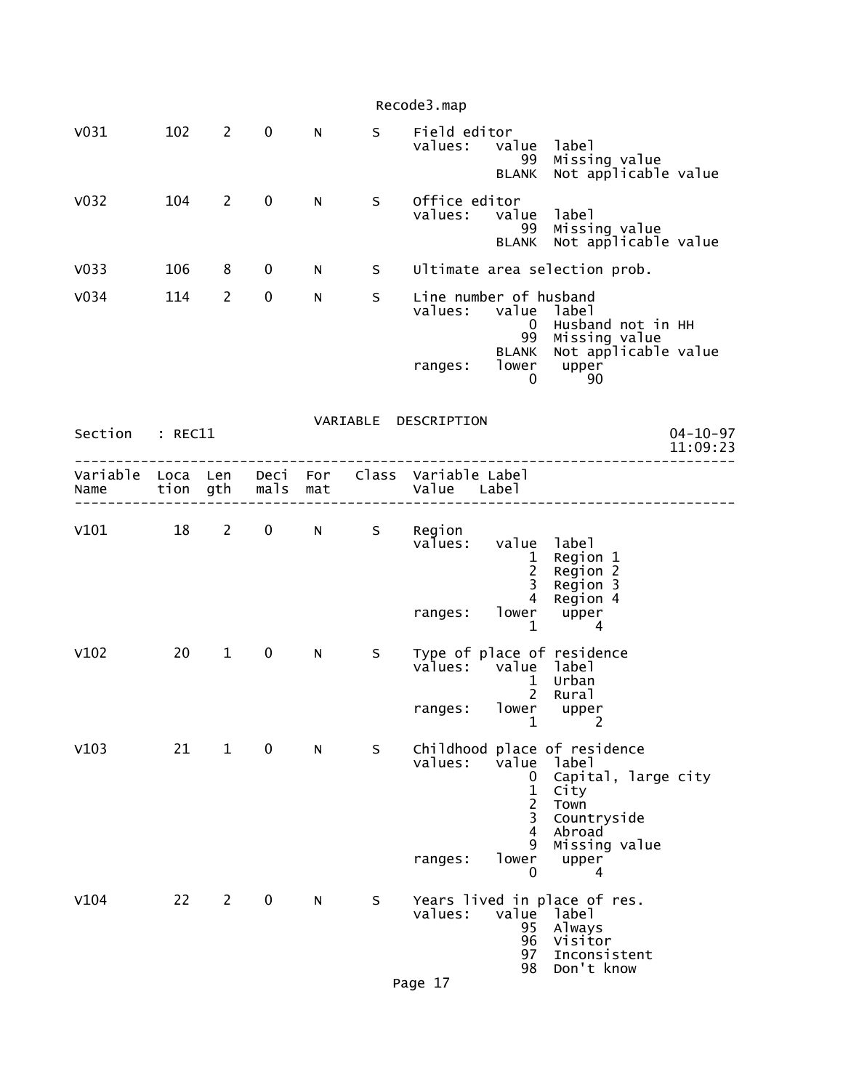|                  |                  |                |             |           |   | Recode3.map                                  |                                                            |                                                                                                                        |
|------------------|------------------|----------------|-------------|-----------|---|----------------------------------------------|------------------------------------------------------------|------------------------------------------------------------------------------------------------------------------------|
| V <sub>031</sub> | 102              | $\overline{2}$ | $\mathbf 0$ | ${\sf N}$ | S | Field editor<br>values:                      | value<br>99<br><b>BLANK</b>                                | label<br>Missing value<br>Not applicable value                                                                         |
| V <sub>032</sub> | 104              | $\overline{2}$ | $\mathbf 0$ | N         | S | Office editor<br>values:                     | value<br>99<br><b>BLANK</b>                                | label<br>Missing value<br>Not applicable value                                                                         |
| V <sub>033</sub> | 106              | 8              | $\mathbf 0$ | N         | S |                                              |                                                            | Ultimate area selection prob.                                                                                          |
| V <sub>034</sub> | 114              | 2              | 0           | N         | S | Line number of husband<br>values: value      | $\bf{0}$<br>99                                             | label<br>Husband not in HH<br>Missing value<br>Not applicable value                                                    |
|                  |                  |                |             |           |   | ranges:                                      | <b>BLANK</b><br>lower<br>0                                 | upper<br>90                                                                                                            |
|                  |                  |                |             |           |   | VARIABLE DESCRIPTION                         |                                                            |                                                                                                                        |
| Section          | : REC11          |                |             |           |   |                                              |                                                            | $04 - 10 - 97$<br>11:09:23                                                                                             |
| Variable<br>Name | Loca Len<br>tion | gth            | mals        | mat       |   | Deci For Class Variable Label<br>Value Label |                                                            |                                                                                                                        |
| V101             | 18               | $\overline{2}$ | $\mathbf 0$ | N         | S | Region<br>values:                            | value<br>$\mathbf{1}$<br>$\overline{c}$<br>3               | label<br>Region 1<br>Region 2<br>Region 3                                                                              |
|                  |                  |                |             |           |   | ranges:                                      | 4<br>lower<br>$\mathbf 1$                                  | Region 4<br>upper<br>4                                                                                                 |
| V102             | 20               | $\mathbf{1}$   | $\mathbf 0$ | N         | S | values:                                      | value label<br>$\mathbf{1}$<br>2                           | Type of place of residence<br>Urban<br>Rural                                                                           |
|                  |                  |                |             |           |   | ranges:                                      | $\mathbf 1$                                                | lower upper<br>$\overline{c}$                                                                                          |
| V103             | 21               | $\mathbf{1}$   | $\mathbf 0$ | N         | S | values:                                      | value<br>0<br>$\mathbf 1$<br>$\overline{2}$<br>3<br>4<br>9 | Childhood place of residence<br>label<br>Capital, large city<br>City<br>Town<br>Countryside<br>Abroad<br>Missing value |
|                  |                  |                |             |           |   | ranges:                                      | lower<br>0                                                 | upper<br>4                                                                                                             |
| V104             | 22               | $\overline{2}$ | $\mathbf 0$ | N         | S | values:                                      | value label<br>95<br>96<br>97<br>98                        | Years lived in place of res.<br>Always<br>Visitor<br>Inconsistent<br>Don't know                                        |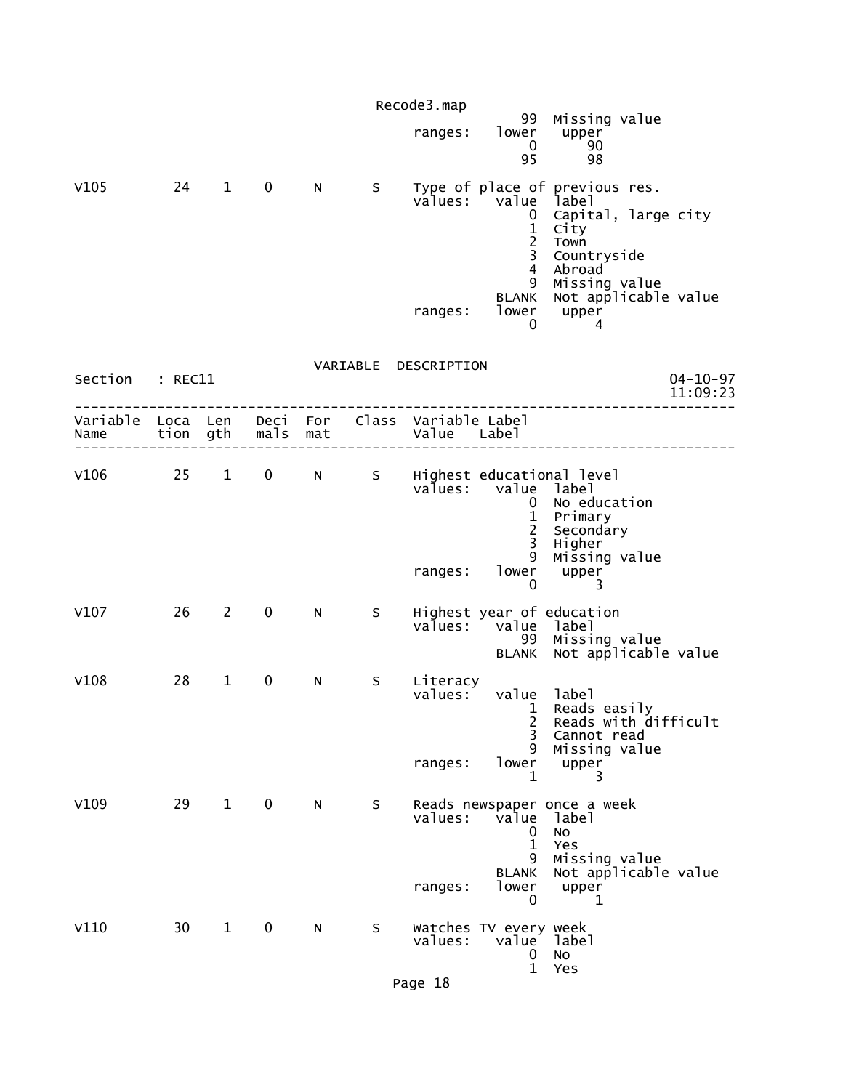|                 |      |                |              |             |    | Recode3.map                    |                                                                                                                      |                                                                                                                                                                      |
|-----------------|------|----------------|--------------|-------------|----|--------------------------------|----------------------------------------------------------------------------------------------------------------------|----------------------------------------------------------------------------------------------------------------------------------------------------------------------|
|                 |      |                |              |             |    | ranges:                        | lower<br>$\mathbf{0}$<br>95                                                                                          | 99 Missing value<br>upper<br>90<br>98                                                                                                                                |
| V105            | 24   | $1 \quad$      | $\mathbf 0$  | N           | S  | values:<br>ranges:             | value<br>0<br>$\mathbf{1}$<br>$\frac{2}{3}$<br>$\overline{4}$<br>9<br>BLANK<br>0                                     | Type of place of previous res.<br>label<br>Capital, large city<br>City<br>Town<br>Countryside<br>Abroad<br>Missing value<br>Not applicable value<br>lower upper<br>4 |
| Section : REC11 |      |                |              |             |    | VARIABLE DESCRIPTION           |                                                                                                                      | $04 - 10 - 97$<br>11:09:23                                                                                                                                           |
|                 |      | ----------     |              |             |    |                                |                                                                                                                      |                                                                                                                                                                      |
| V106            | 25 1 |                | $\mathbf{0}$ | $N$ and $N$ | S  | ranges:                        | values: value label<br>$\mathbf{0}$<br>$\mathbf{1}$<br>$\overline{2}$<br>$\overline{3}$<br>9<br>lower<br>$\mathbf 0$ | Highest educational level<br>No education<br>Primary<br>Secondary<br>Higher<br>Missing value<br>upper<br>3                                                           |
| V107            | 26   | $\overline{2}$ | $\mathbf 0$  | N           | S. | values:                        | value label<br><b>BLANK</b>                                                                                          | Highest year of education<br>99 Missing value<br>Not applicable value                                                                                                |
| V108            | 28   | $\mathbf{1}$   | $\mathbf 0$  | N           | S  | Literacy<br>values:<br>ranges: | value label<br>2<br>3<br>9<br>lower<br>1                                                                             | 1 Reads easily<br>Reads with difficult<br>Cannot read<br>Missing value<br>upper<br>3                                                                                 |
| V109            | 29   | $\mathbf{1}$   | $\mathbf 0$  | N           | S  | values:<br>ranges:             | value<br>0<br>$\mathbf{1}$<br>9<br><b>BLANK</b><br>lower<br>0                                                        | Reads newspaper once a week<br>label<br>No<br>Yes<br>Missing value<br>Not applicable value<br>upper<br>1                                                             |
| V110            | 30   | $\mathbf{1}$   | 0            | N           | S  | values:                        | Watches TV every week<br>value<br>$\mathbf 0$<br>$\mathbf{1}$                                                        | label<br>No<br>Yes                                                                                                                                                   |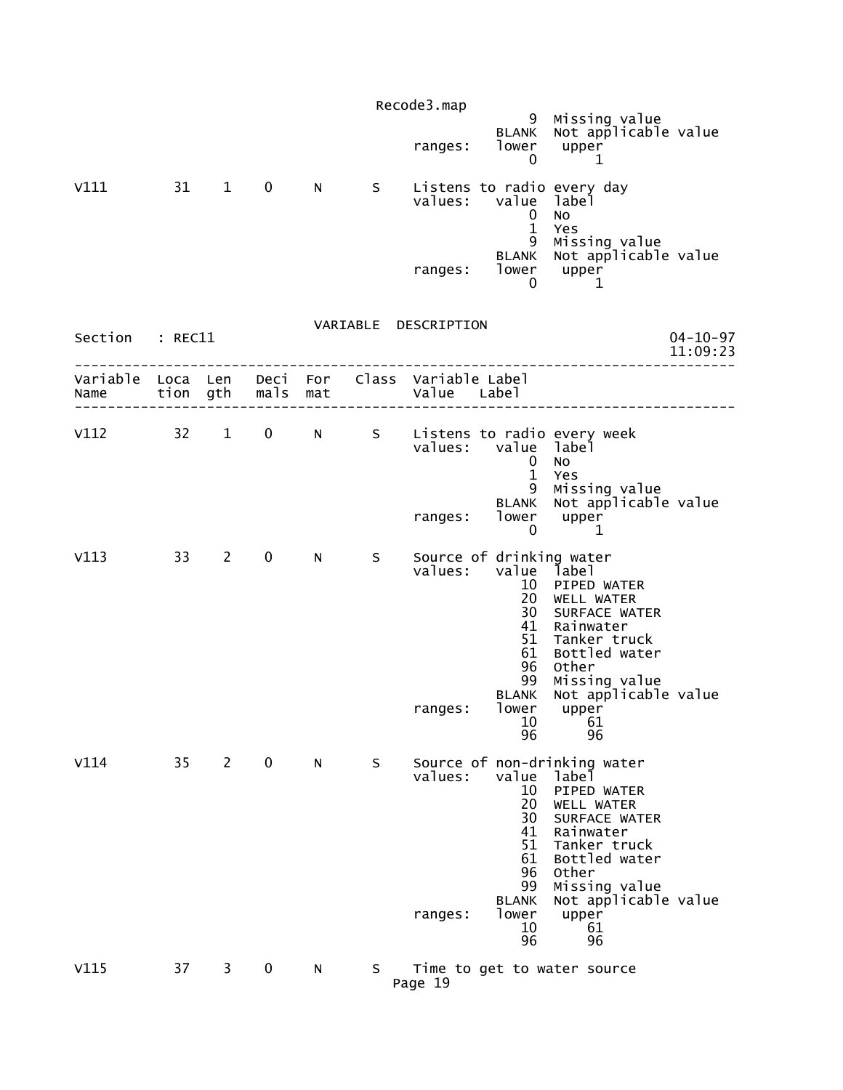|                                                                                           |    |              |             |   |    | Recode3.map          |                                                                                                                        | 9 Missing value                                                                                                                                                                                                |                            |
|-------------------------------------------------------------------------------------------|----|--------------|-------------|---|----|----------------------|------------------------------------------------------------------------------------------------------------------------|----------------------------------------------------------------------------------------------------------------------------------------------------------------------------------------------------------------|----------------------------|
|                                                                                           |    |              |             |   |    | ranges:              | <b>BLANK</b><br>lower<br>$\mathbf 0$                                                                                   | Not applicable value<br>upper<br>1                                                                                                                                                                             |                            |
| V111 31 1 0                                                                               |    |              |             | N |    | values:              | value label<br>$\overline{0}$<br>$\mathbf{1}$                                                                          | S    Listens to radio every day<br>No.<br>Yes                                                                                                                                                                  |                            |
|                                                                                           |    |              |             |   |    | ranges:              | 9<br><b>BLANK</b><br>0                                                                                                 | Missing value<br>Not applicable value<br>$1$ ower upper<br>1                                                                                                                                                   |                            |
|                                                                                           |    |              |             |   |    | VARIABLE DESCRIPTION |                                                                                                                        |                                                                                                                                                                                                                |                            |
| Section : REC11                                                                           |    |              |             |   |    |                      |                                                                                                                        |                                                                                                                                                                                                                | $04 - 10 - 97$<br>11:09:23 |
| Variable Loca Len Deci For Class Variable Label<br>Name tion gth mals mat and value Label |    |              |             |   |    |                      |                                                                                                                        |                                                                                                                                                                                                                |                            |
|                                                                                           |    |              |             |   |    | values:              | value label<br>$\mathbf{0}$                                                                                            | V112 32 1 0 N S Listens to radio every week<br>No                                                                                                                                                              |                            |
|                                                                                           |    |              |             |   |    | ranges:              | $\mathbf{1}$<br>9<br><b>BLANK</b><br>0                                                                                 | Yes<br>Missing value<br>Not applicable value<br>lower upper<br>1                                                                                                                                               |                            |
| V113                                                                                      |    | 33 2         | $\mathbf 0$ | N | S  | values:<br>ranges:   | Source of drinking water<br>value label<br>10<br>20<br>30<br>41<br>51<br>61<br>96<br>99<br><b>BLANK</b><br>lower<br>10 | PIPED WATER<br>WELL WATER<br>SURFACE WATER<br>Rainwater<br>Tanker truck<br>Bottled water<br>Other<br>Missing value<br>Not applicable value<br>upper<br>61                                                      |                            |
| V114                                                                                      | 35 | $\mathbf{2}$ | $\mathbf 0$ | N | S  | values:<br>ranges:   | 96<br>value<br>10<br>20<br>30<br>41<br>51<br>61<br>96<br>99<br><b>BLANK</b><br>lower<br>10<br>96                       | 96<br>Source of non-drinking water<br>label<br>PIPED WATER<br>WELL WATER<br>SURFACE WATER<br>Rainwater<br>Tanker truck<br>Bottled water<br>Other<br>Missing value<br>Not applicable value<br>upper<br>61<br>96 |                            |
| V115                                                                                      | 37 | 3            | 0           | N | S. | Page 19              |                                                                                                                        | Time to get to water source                                                                                                                                                                                    |                            |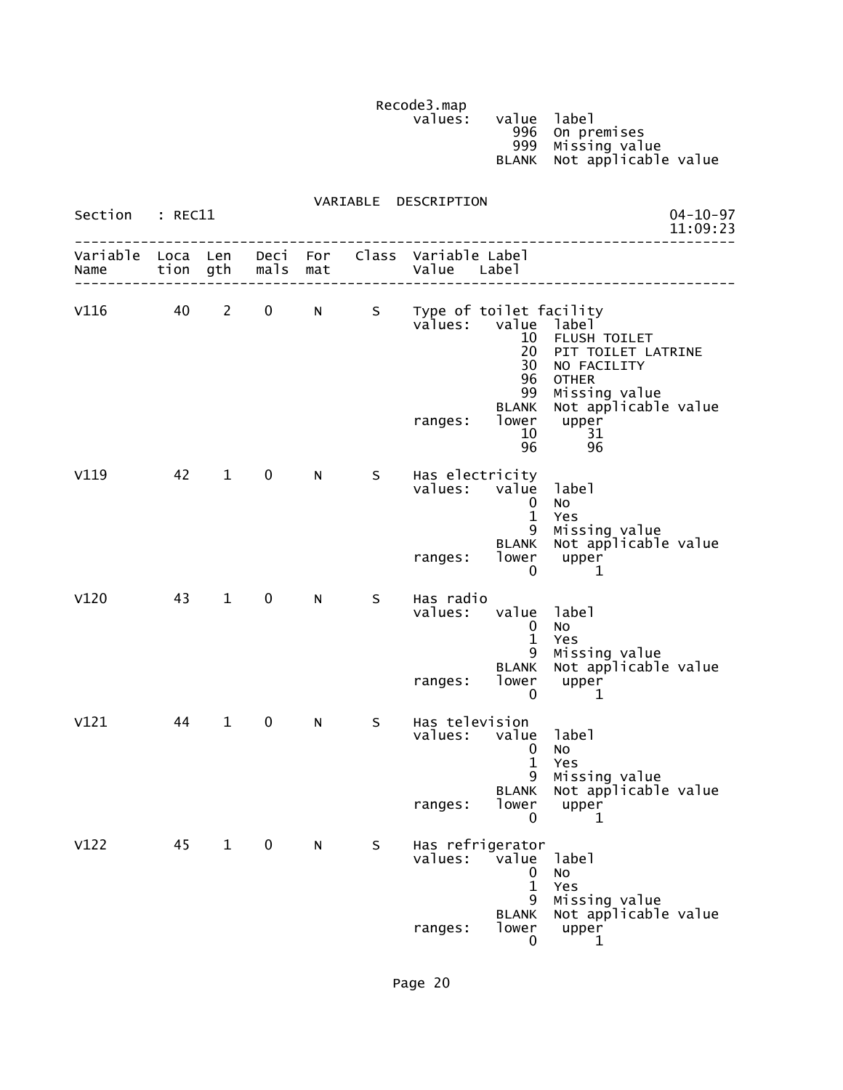Recode3.map<br>values:

values: value label (1999) values: value label (1999) value label (1999) value label (1999) value  $\sim$  996 On premises 999 Missing value BLANK Not applicable value

| Section : REC11 |    |              |                   |   |   | VARIABLE DESCRIPTION                                                                    |                                                    |                                                                                                                                          | $04 - 10 - 97$<br>11:09:23 |
|-----------------|----|--------------|-------------------|---|---|-----------------------------------------------------------------------------------------|----------------------------------------------------|------------------------------------------------------------------------------------------------------------------------------------------|----------------------------|
| Name            |    |              | tion gth mals mat |   |   | Variable Loca Len Deci For Class Variable Label<br>  Value Labe<br>-------------------- |                                                    |                                                                                                                                          |                            |
| v116 40 2       |    |              |                   |   |   | 0 N S Type of toilet facility<br>values: value label<br>ranges:                         | 10<br>20<br>30<br>96<br>99<br><b>BLANK</b><br>96   | FLUSH TOILET<br>PIT TOILET LATRINE<br>NO FACILITY<br><b>OTHER</b><br>Missing value<br>Not applicable value<br>lower upper<br>10 31<br>96 |                            |
| V119            | 42 | $1 \quad$    | $\mathbf 0$       | N |   | S Has electricity<br>values: value<br>ranges: lower                                     | $\mathbf 0$<br>$\mathbf{1}$<br>9<br>0              | 1abe1<br>No<br>Yes<br>Missing value<br>BLANK Not applicable value<br>upper<br>1                                                          |                            |
| V120            |    | 43 1         | $\mathbf{0}$      | N | S | Has radio<br>values: value label<br>ranges:                                             | $\mathbf 0$<br>$\mathbf{1}$<br>9<br>lower<br>0     | No<br>Yes<br>Missing value<br>BLANK Not applicable value<br>upper<br>-1                                                                  |                            |
| V121            | 44 | $\mathbf{1}$ | $\mathbf 0$       | N | S | Has television<br>values: value<br>ranges:                                              | 0<br>$\mathbf{1}$<br>9<br>0                        | label<br>No<br>Yes<br>Missing value<br>BLANK Not applicable value<br>lower upper<br>1                                                    |                            |
| V122            | 45 | $\mathbf{1}$ | $\mathbf 0$       | N | S | Has refrigerator<br>values:<br>ranges:                                                  | value<br>0<br>1<br>9<br><b>BLANK</b><br>lower<br>0 | label<br>No<br>Yes<br>Missing value<br>Not applicable value<br>upper<br>1                                                                |                            |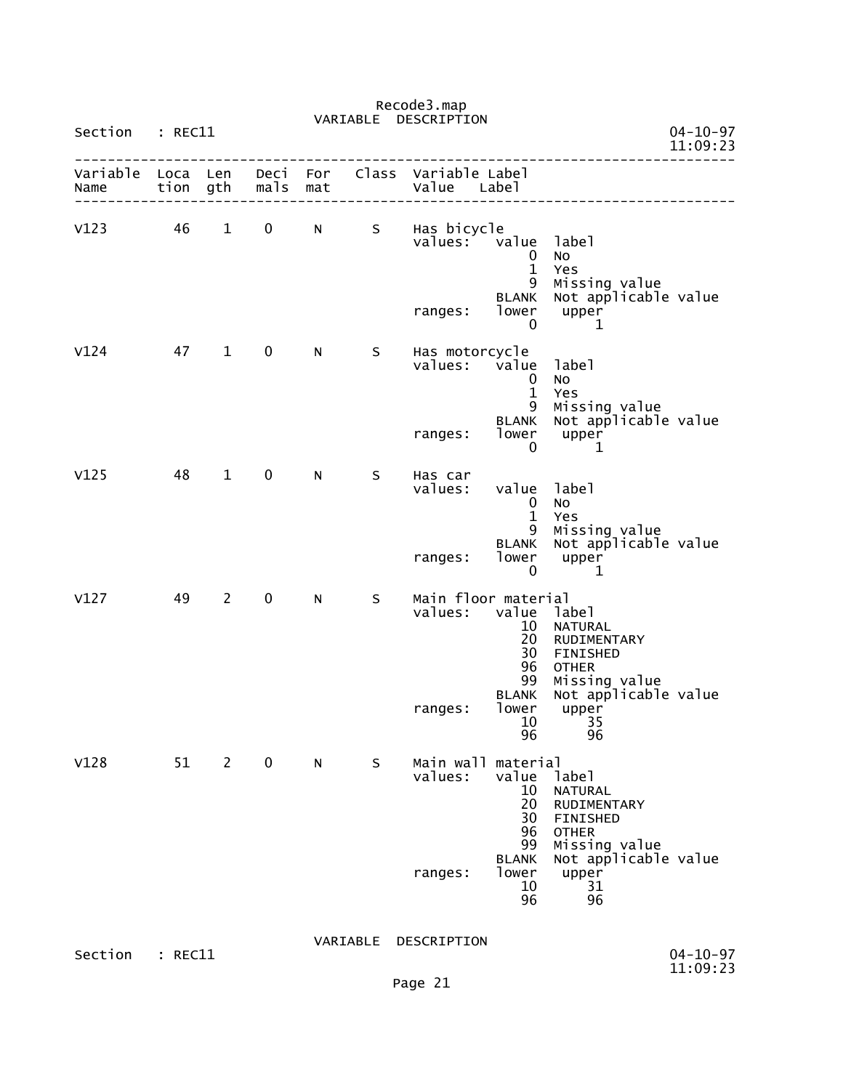| Section          | $:$ REC11    |                |                  |            | VARIABLE | DESCRIPTION                    |                                                          |                                                                                     | $04 - 10 - 97$<br>11:09:23 |
|------------------|--------------|----------------|------------------|------------|----------|--------------------------------|----------------------------------------------------------|-------------------------------------------------------------------------------------|----------------------------|
| Variable<br>Name | Loca<br>tion | Len<br>gth     | Deci<br>mals     | For<br>mat | Class    | Variable Label<br>Value        | Label                                                    |                                                                                     |                            |
| V123             | 46           | $\mathbf{1}$   | $\boldsymbol{0}$ | N          | S.       | Has bicycle<br>values:         | value<br>0<br>$\mathbf{1}$<br>9<br><b>BLANK</b><br>lower | label<br>No<br>Yes<br>Missing value<br>Not applicable value<br>upper                |                            |
|                  |              |                |                  |            |          | ranges:                        | 0                                                        | 1                                                                                   |                            |
| V124             | 47           | $\mathbf{1}$   | $\mathbf 0$      | N          | S        | Has motorcycle<br>values:      | value<br>0<br>$\mathbf{1}$<br>9                          | label<br>NO<br>Yes<br>Missing value                                                 |                            |
|                  |              |                |                  |            |          | ranges:                        | <b>BLANK</b><br>lower<br>0                               | Not applicable value<br>upper<br>1                                                  |                            |
| V125             | 48           | $\mathbf{1}$   | 0                | N          | S        | Has car<br>values:             | value<br>0<br>$\mathbf{1}$<br>9                          | label<br>No<br>Yes<br>Missing value                                                 |                            |
|                  |              |                |                  |            |          | ranges:                        | <b>BLANK</b><br>lower<br>0                               | Not applicable value<br>upper<br>1                                                  |                            |
| V127             | 49           | $\overline{2}$ | 0                | N          | S        | Main floor material<br>values: | value<br>10<br>20<br>30<br>96<br>99                      | label<br><b>NATURAL</b><br>RUDIMENTARY<br>FINISHED<br><b>OTHER</b><br>Missing value |                            |
|                  |              |                |                  |            |          | ranges:                        | <b>BLANK</b><br>lower<br>10<br>96                        | Not applicable value<br>upper<br>35<br>96                                           |                            |
| V128             | 51           | 2              | $\mathbf 0$      | N          | S.       | Main wall material<br>values:  | value<br>10<br>20<br>30<br>96<br>99                      | label<br><b>NATURAL</b><br>RUDIMENTARY<br>FINISHED<br><b>OTHER</b><br>Missing value |                            |
|                  |              |                |                  |            |          | ranges:                        | <b>BLANK</b><br>lower<br>10<br>96                        | Not applicable value<br>upper<br>31<br>96                                           |                            |
| Section          | : REC11      |                |                  |            | VARIABLE | DESCRIPTION                    |                                                          |                                                                                     | $04 - 10 - 97$             |

Recode3.map

Page 21

11:09:23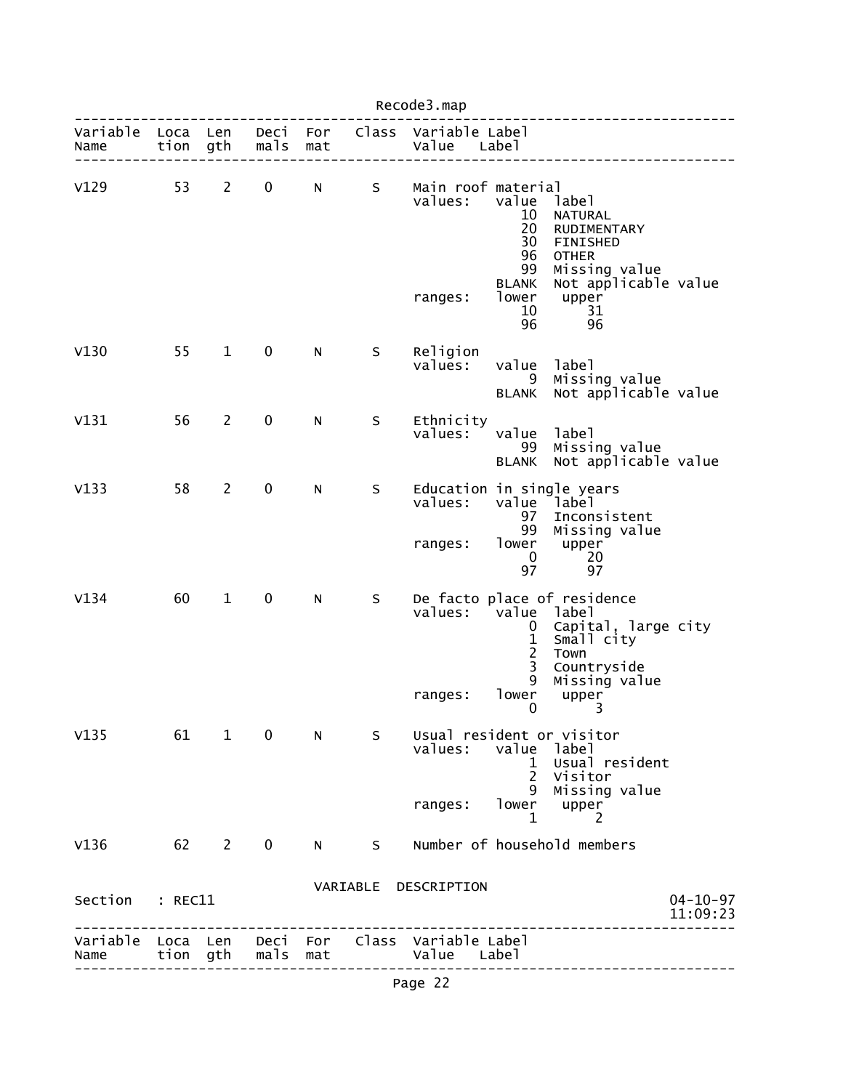| Recode3.map      |              |                |              |             |   |                                                          |                                                                                              |                                                                                                                               |                            |  |  |
|------------------|--------------|----------------|--------------|-------------|---|----------------------------------------------------------|----------------------------------------------------------------------------------------------|-------------------------------------------------------------------------------------------------------------------------------|----------------------------|--|--|
| Variable<br>Name | Loca<br>tion | Len<br>gth     | Deci<br>mals | For<br>mat  |   | Class Variable Label<br>Value                            | Labe <sup>1</sup>                                                                            |                                                                                                                               |                            |  |  |
| V129             | 53           | $\mathbf{2}$   | 0            | N           | S | Main roof material<br>values:<br>ranges:                 | value<br>10<br>20<br>30<br>96<br>99<br><b>BLANK</b><br>lower<br>10<br>96                     | label<br>NATURAL<br>RUDIMENTARY<br>FINISHED<br><b>OTHER</b><br>Missing value<br>Not applicable value<br>upper<br>31<br>96     |                            |  |  |
| V130             | 55           | $\mathbf{1}$   | $\mathbf 0$  | N           | S | Religion<br>values:                                      | value<br>9<br><b>BLANK</b>                                                                   | label<br>Missing value<br>Not applicable value                                                                                |                            |  |  |
| V131             | 56           | $\mathbf{2}$   | 0            | N           | S | Ethnicity<br>values:                                     | value<br>99<br><b>BLANK</b>                                                                  | label<br>Missing value<br>Not applicable value                                                                                |                            |  |  |
| V133             | 58           | $\overline{2}$ | $\pmb{0}$    | N           | S | Education in single years<br>values:<br>ranges:          | value label<br>97<br>99<br>lower<br>$\mathbf 0$<br>97                                        | Inconsistent<br>Missing value<br>upper<br>20<br>97                                                                            |                            |  |  |
| V134             | 60           | $\mathbf{1}$   | $\mathbf 0$  | N           | S | values:<br>ranges:                                       | value label<br>0<br>$\frac{1}{2}$<br>$\overline{\mathbf{3}}$<br>9<br>lower<br>$\overline{0}$ | De facto place of residence<br>Capital, large city<br>Small city<br>Town<br>Countryside<br>Missing value<br>upper<br>$\sim$ 3 |                            |  |  |
| V135             |              | 61 1           | $\mathbf 0$  | N.          | S | Usual resident or visitor<br>values:<br>ranges:          | value<br>ı.<br>$2^{\circ}$<br>9<br>lower<br>1                                                | label<br>Usual resident<br>Visitor<br>Missing value<br>upper<br>2                                                             |                            |  |  |
| V136             | 62 2         |                | $\mathbf 0$  | $N$ and $N$ | S |                                                          |                                                                                              | Number of household members                                                                                                   |                            |  |  |
| Section : REC11  |              |                |              |             |   | VARIABLE DESCRIPTION                                     |                                                                                              |                                                                                                                               | $04 - 10 - 97$<br>11:09:23 |  |  |
| Name             | tion         | gth            | mals         | mat         |   | Variable Loca Len Deci For Class Variable Label<br>Value | Label                                                                                        |                                                                                                                               |                            |  |  |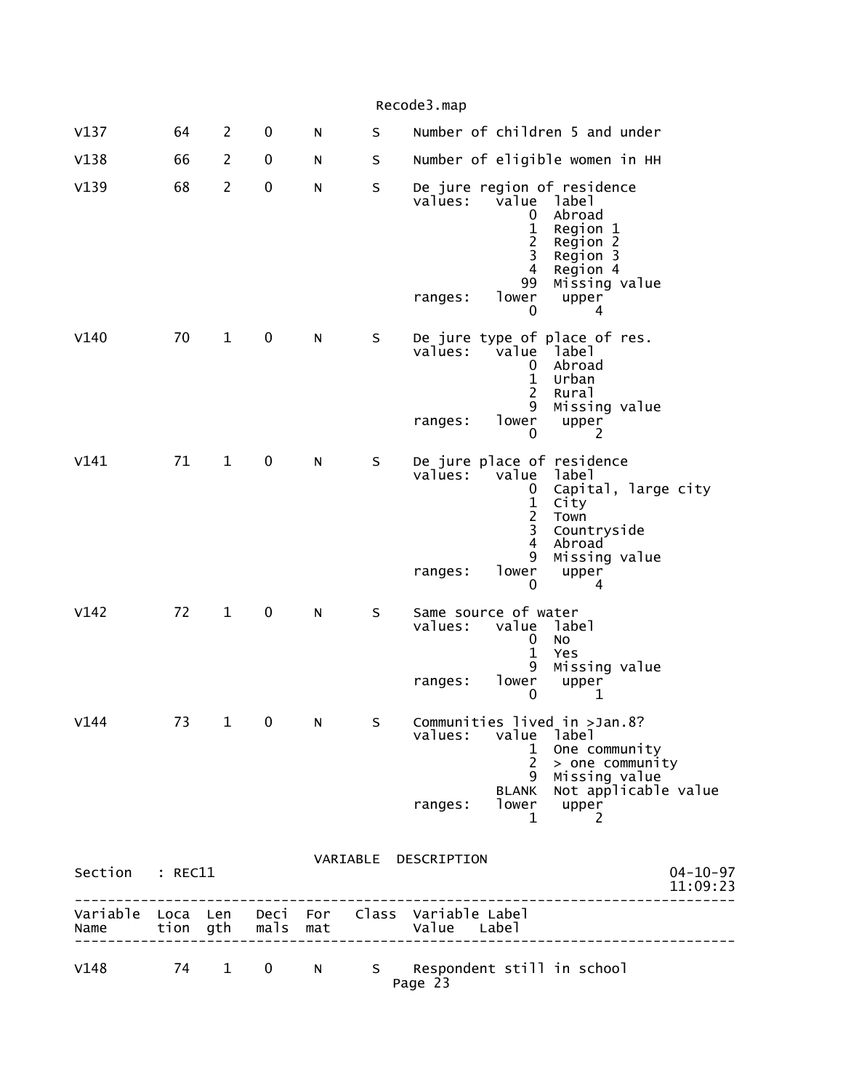|                 |    |                |             |   |   | Variable Loca Len Deci For Class Variable Label                                                                                                                                        |  |
|-----------------|----|----------------|-------------|---|---|----------------------------------------------------------------------------------------------------------------------------------------------------------------------------------------|--|
| Section : REC11 |    |                |             |   |   | VARIABLE DESCRIPTION<br>$04 - 10 - 97$<br>11:09:23<br><u>. 2 2 2 2 2 2 2 2 2 2 2 2 2 2 2</u>                                                                                           |  |
|                 |    |                |             |   |   | 1 One community<br>$2$ > one community<br>9 Missing value<br>BLANK Not applicable value<br>lower upper<br>ranges:<br>$\mathbf{1}$<br>2                                                 |  |
| V144            | 73 |                | $1 \quad 0$ | N |   | S Communities lived in >Jan.8?<br>values: value<br>label                                                                                                                               |  |
|                 |    |                |             |   |   | $\mathbf{1}$<br>Yes<br>9<br>Missing value<br>lower<br>ranges:<br>upper<br>0<br>1                                                                                                       |  |
| V142            | 72 | $\mathbf{1}$   | 0           | N | S | Same source of water<br>values:<br>value<br>label<br>0<br><b>NO</b>                                                                                                                    |  |
|                 |    |                |             |   |   | Capital, large city<br>0<br>$\mathbf 1$<br>City<br>$\overline{c}$<br>Town<br>3<br>Countryside<br>$\overline{4}$<br>Abroad<br>9<br>Missing value<br>lower<br>ranges:<br>upper<br>0<br>4 |  |
| V141            | 71 | $\mathbf{1}$   | $\mathbf 0$ | N | S | De jure place of residence<br>values:<br>value<br>label                                                                                                                                |  |
|                 |    |                |             |   |   | $\mathbf{1}$<br>Urban<br>$\overline{2}$<br>Rural<br>9<br>Missing value<br>lower<br>upper<br>ranges:<br>0<br>2                                                                          |  |
| V140            | 70 | $\mathbf 1$    | $\pmb{0}$   | N | S | De jure type of place of res.<br>values:<br>value<br>1abe1<br>Abroad<br>0                                                                                                              |  |
|                 |    |                |             |   |   | label<br>Abroad<br>0<br>1<br>Region 1<br>$\overline{2}$<br>Region 2<br>3<br>Region 3<br>$\overline{4}$<br>Region 4<br>99<br>Missing value<br>lower<br>ranges:<br>upper<br>0<br>4       |  |
| V139            | 68 | $\overline{2}$ | $\pmb{0}$   | N | S | De jure region of residence<br>values:<br>value                                                                                                                                        |  |
| V138            | 66 | $\overline{2}$ | 0           | N | S | Number of eligible women in HH                                                                                                                                                         |  |
| V137            | 64 | $\overline{2}$ | 0           | N | S | Recoues.map<br>Number of children 5 and under                                                                                                                                          |  |

| V148 |  |  | 74 1 0 N S Respondent still in school<br>Page 23 |  |
|------|--|--|--------------------------------------------------|--|

--------------------------------------------------------------------------------

Name tion gth mals mat Value Label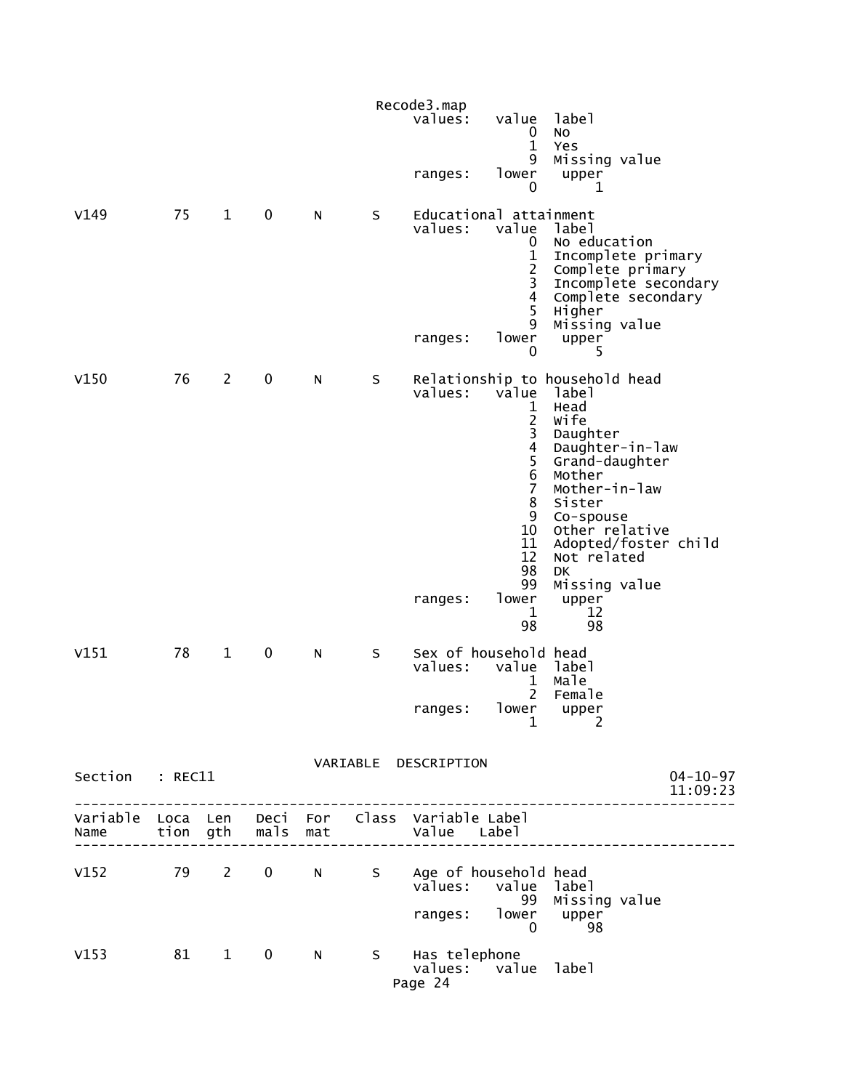|                                                                                       |    |                |             |    |   | Recode3.map          |                                          |                                            |                |
|---------------------------------------------------------------------------------------|----|----------------|-------------|----|---|----------------------|------------------------------------------|--------------------------------------------|----------------|
|                                                                                       |    |                |             |    |   | values:              | value<br>$\bf{0}$                        | label<br>No                                |                |
|                                                                                       |    |                |             |    |   |                      | $\mathbf 1$                              | Yes                                        |                |
|                                                                                       |    |                |             |    |   | ranges:              | 9<br>lower                               | Missing value<br>upper                     |                |
|                                                                                       |    |                |             |    |   |                      | 0                                        | 1                                          |                |
| V149                                                                                  | 75 | $\mathbf{1}$   | $\mathbf 0$ | N  | S | values:              | Educational attainment                   |                                            |                |
|                                                                                       |    |                |             |    |   |                      | value<br>0                               | label<br>No education                      |                |
|                                                                                       |    |                |             |    |   |                      | $\mathbf 1$                              | Incomplete primary<br>Complete primary     |                |
|                                                                                       |    |                |             |    |   |                      | $\frac{2}{3}$<br>$\overline{\mathbf{4}}$ | Incomplete secondary<br>Complete secondary |                |
|                                                                                       |    |                |             |    |   |                      | 5                                        | Higher                                     |                |
|                                                                                       |    |                |             |    |   | ranges:              | 9<br>lower                               | Missing value<br>upper                     |                |
|                                                                                       |    |                |             |    |   |                      | 0                                        | 5.                                         |                |
| V150                                                                                  | 76 | $\overline{2}$ | 0           | N  | S | values:              | value                                    | Relationship to household head             |                |
|                                                                                       |    |                |             |    |   |                      | 1                                        | label<br>Head                              |                |
|                                                                                       |    |                |             |    |   |                      | $\frac{2}{3}$                            | Wife<br>Daughter                           |                |
|                                                                                       |    |                |             |    |   |                      | $\overline{4}$                           | Daughter-in-law<br>Grand-daughter          |                |
|                                                                                       |    |                |             |    |   |                      | $\frac{5}{6}$                            | Mother                                     |                |
|                                                                                       |    |                |             |    |   |                      | $\overline{7}$<br>8                      | Mother-in-law<br>Sister                    |                |
|                                                                                       |    |                |             |    |   |                      | 9<br>10                                  | Co-spouse<br>Other relative                |                |
|                                                                                       |    |                |             |    |   |                      | 11<br>12                                 | Adopted/foster child<br>Not related        |                |
|                                                                                       |    |                |             |    |   |                      | 98                                       | DK                                         |                |
|                                                                                       |    |                |             |    |   | ranges:              | 99<br>lower                              | Missing value<br>upper                     |                |
|                                                                                       |    |                |             |    |   |                      | $\mathbf 1$<br>98                        | 12<br>98                                   |                |
| V151                                                                                  | 78 | $\mathbf{1}$   | 0           | N  | S |                      | Sex of household head                    |                                            |                |
|                                                                                       |    |                |             |    |   | values:              | value<br>1                               | label<br>Male                              |                |
|                                                                                       |    |                |             |    |   |                      | $\overline{2}$                           | Female                                     |                |
|                                                                                       |    |                |             |    |   | ranges:              | lower<br>$\mathbf 1$                     | $\n  upper\n  2\n$                         |                |
|                                                                                       |    |                |             |    |   |                      |                                          |                                            |                |
| Section : REC11                                                                       |    |                |             |    |   | VARIABLE DESCRIPTION |                                          |                                            | $04 - 10 - 97$ |
|                                                                                       |    |                |             |    |   |                      |                                          |                                            | 11:09:23       |
| Variable Loca Len Deci For Class Variable Label<br>Name tion gth mals mat Value Label |    |                |             |    |   |                      |                                          |                                            |                |
| V152 79 2 0 N S Age of household head                                                 |    |                |             |    |   |                      |                                          |                                            |                |
|                                                                                       |    |                |             |    |   |                      | values: value label                      | 99 Missing value                           |                |
|                                                                                       |    |                |             |    |   |                      | ranges: lower upper                      |                                            |                |
|                                                                                       |    |                |             |    |   |                      | $\overline{0}$                           | 98                                         |                |
| v153 81 1                                                                             |    |                | $\mathbf 0$ | N. |   | S Has telephone      | values: value label                      |                                            |                |
|                                                                                       |    |                |             |    |   | Page 24              |                                          |                                            |                |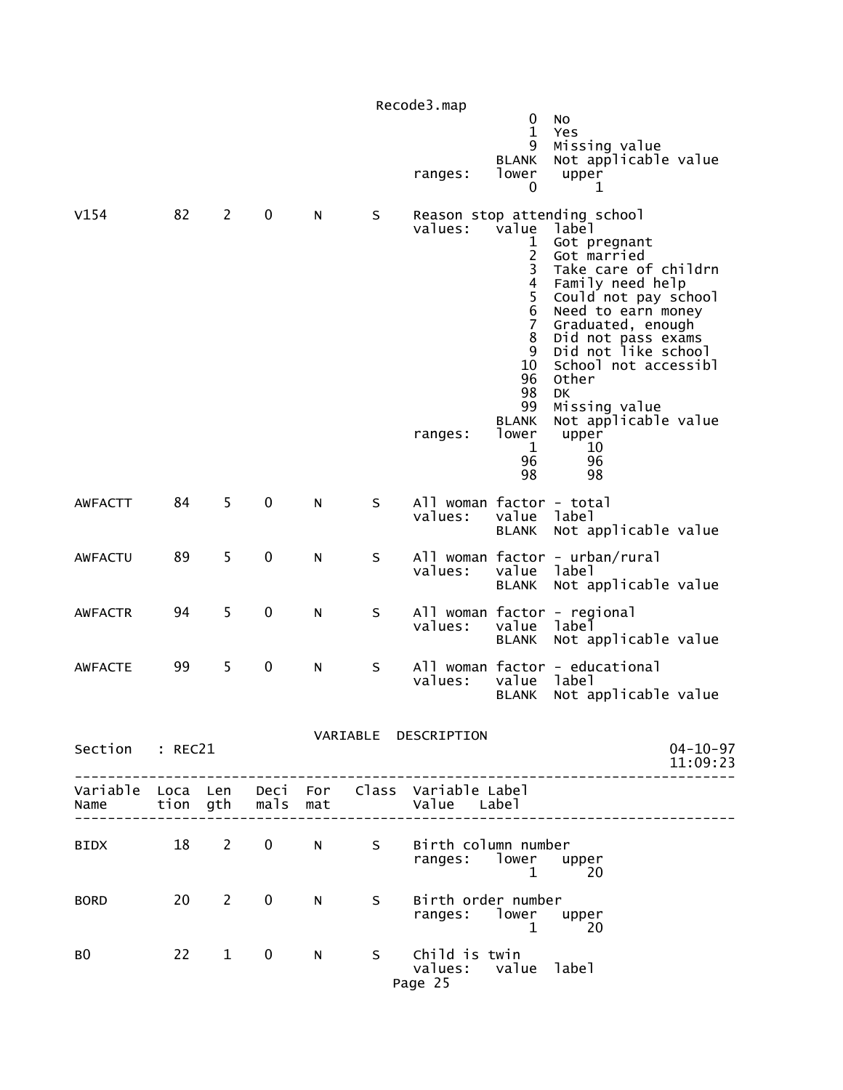|                 |    |                |                   |   |   | Recode3.map                                                    | 0<br>$\mathbf{1}$                                                                                                                                     | No<br>Yes                                                                                                                                                                                                                                                                                                                                          |                            |
|-----------------|----|----------------|-------------------|---|---|----------------------------------------------------------------|-------------------------------------------------------------------------------------------------------------------------------------------------------|----------------------------------------------------------------------------------------------------------------------------------------------------------------------------------------------------------------------------------------------------------------------------------------------------------------------------------------------------|----------------------------|
|                 |    |                |                   |   |   | ranges:                                                        | 9<br><b>BLANK</b><br>lower<br>0                                                                                                                       | Missing value<br>Not applicable value<br>upper<br>1                                                                                                                                                                                                                                                                                                |                            |
| V154            | 82 | $\overline{2}$ | 0                 | N | S | values:<br>ranges:                                             | value<br>1<br>$\frac{2}{3}$<br>$\overline{4}$<br>5<br>6<br>$\overline{7}$<br>8<br>9<br>10<br>96<br>98<br>99<br><b>BLANK</b><br>lower<br>1<br>96<br>98 | Reason stop attending school<br>label<br>Got pregnant<br>Got married<br>Take care of childrn<br>Family need help<br>Could not pay school<br>Need to earn money<br>Graduated, enough<br>Did not pass exams<br>Did not like school<br>School not accessibl<br>Other<br><b>DK</b><br>Missing value<br>Not applicable value<br>upper<br>10<br>96<br>98 |                            |
| <b>AWFACTT</b>  | 84 | 5              | 0                 | N | S | All woman factor - total<br>values:                            | value<br><b>BLANK</b>                                                                                                                                 | label<br>Not applicable value                                                                                                                                                                                                                                                                                                                      |                            |
| <b>AWFACTU</b>  | 89 | 5              | 0                 | N | S | values:                                                        | value<br><b>BLANK</b>                                                                                                                                 | All woman factor - urban/rural<br>label<br>Not applicable value                                                                                                                                                                                                                                                                                    |                            |
| <b>AWFACTR</b>  | 94 | 5              | 0                 | N | S | values:                                                        | value<br><b>BLANK</b>                                                                                                                                 | All woman factor - regional<br>label<br>Not applicable value                                                                                                                                                                                                                                                                                       |                            |
| <b>AWFACTE</b>  | 99 | 5              | 0                 | N | S | values:                                                        | value<br><b>BLANK</b>                                                                                                                                 | All woman factor - educational<br>label<br>Not applicable value                                                                                                                                                                                                                                                                                    |                            |
| Section : REC21 |    |                |                   |   |   | VARIABLE DESCRIPTION                                           |                                                                                                                                                       |                                                                                                                                                                                                                                                                                                                                                    | $04 - 10 - 97$<br>11:09:23 |
| Name            |    |                | tion gth mals mat |   |   | Variable Loca Len Deci For Class Variable Label<br>Value Label |                                                                                                                                                       |                                                                                                                                                                                                                                                                                                                                                    |                            |
| BIDX 18 2       |    |                | $\mathbf 0$       | N |   | S Birth column number<br>ranges: lower                         | $\mathbf{1}$                                                                                                                                          | upper<br>20                                                                                                                                                                                                                                                                                                                                        |                            |
| <b>BORD</b>     |    | $20 \qquad 2$  | $\mathbf 0$       | N | S | Birth order number<br>ranges: lower upper                      | $\mathbf{1}$                                                                                                                                          | 20                                                                                                                                                                                                                                                                                                                                                 |                            |
| BO.             |    | $22 \t 1$      | $\mathbf{0}$      | N |   | S Child is twin<br>values: value label<br>Page 25              |                                                                                                                                                       |                                                                                                                                                                                                                                                                                                                                                    |                            |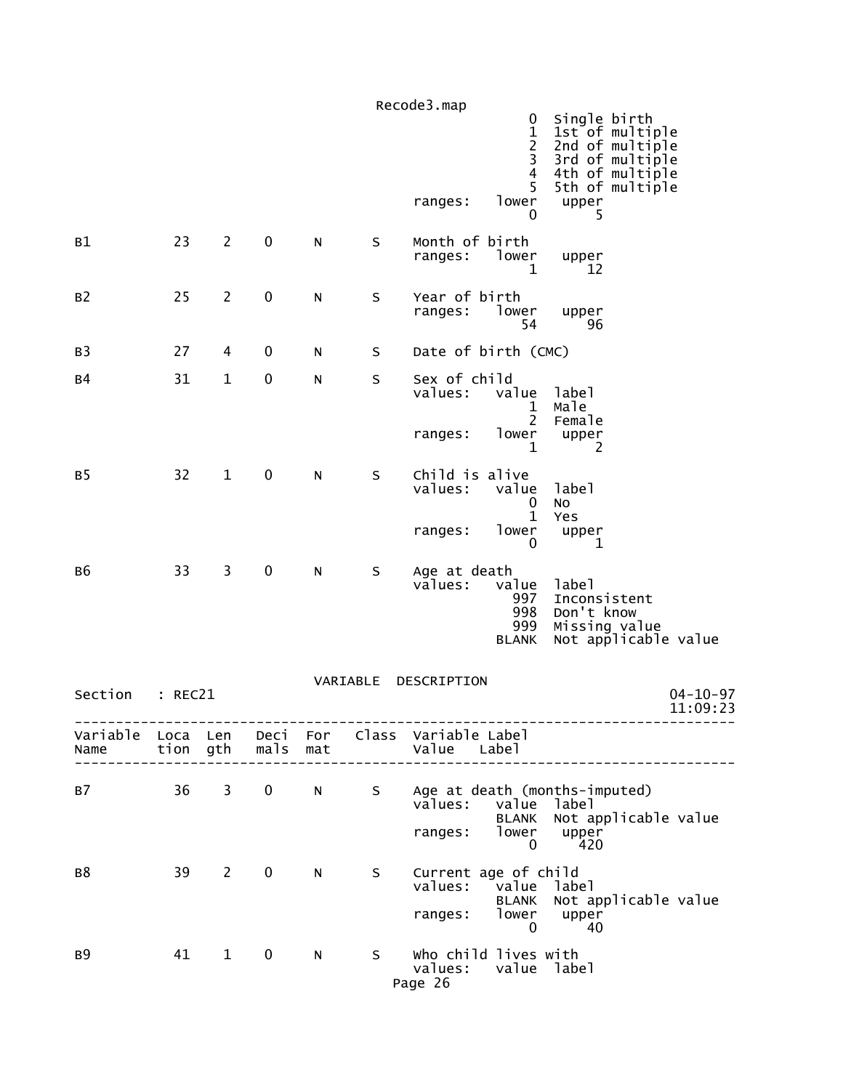|                |         |                |                   |              |          | Recode3.map                                                                                     | 0<br>$\mathbf{1}$<br>$\frac{2}{3}$         | Single birth<br>1st of multiple<br>2nd of multiple                            |                            |
|----------------|---------|----------------|-------------------|--------------|----------|-------------------------------------------------------------------------------------------------|--------------------------------------------|-------------------------------------------------------------------------------|----------------------------|
|                |         |                |                   |              |          | ranges:                                                                                         | $\overline{4}$<br>5<br>lower<br>0          | 3rd of multiple<br>4th of multiple<br>5th of multiple<br>upper<br>5           |                            |
| B1             | 23      | $\overline{2}$ | $\mathbf 0$       | ${\sf N}$    | $\sf S$  | Month of birth<br>ranges:                                                                       | lower<br>1                                 | upper<br>12                                                                   |                            |
| B <sub>2</sub> | 25      | $\overline{2}$ | $\pmb{0}$         | $\mathsf{N}$ | $\sf S$  | Year of birth<br>ranges:                                                                        | lower<br>54                                | upper<br>96                                                                   |                            |
| B <sub>3</sub> | 27      | 4              | $\mathbf 0$       | ${\sf N}$    | S        | Date of birth (CMC)                                                                             |                                            |                                                                               |                            |
| <b>B4</b>      | 31      | $\mathbf{1}$   | $\pmb{0}$         | ${\sf N}$    | $\sf S$  | Sex of child<br>values:                                                                         | value<br>1<br>$\overline{2}$               | label<br>Male<br>Female                                                       |                            |
|                |         |                |                   |              |          | ranges:                                                                                         | lower<br>$\mathbf{1}$                      | upper<br>2                                                                    |                            |
| B5             | 32      | $\mathbf{1}$   | $\mathbf 0$       | ${\sf N}$    | $\sf S$  | Child is alive<br>values:                                                                       | value<br>0<br>$\mathbf{1}$                 | label<br>No<br>Yes                                                            |                            |
|                |         |                |                   |              |          | ranges:                                                                                         | lower<br>$\mathbf{0}$                      | upper<br>1                                                                    |                            |
| в6             | 33      | 3              | $\pmb{0}$         | ${\sf N}$    | S        | Age at death<br>values:                                                                         | value<br>997<br>998<br>999<br><b>BLANK</b> | label<br>Inconsistent<br>Don't know<br>Missing value<br>Not applicable value  |                            |
| Section        | : REC21 |                |                   |              | VARIABLE | DESCRIPTION                                                                                     |                                            |                                                                               | $04 - 10 - 97$<br>11:09:23 |
| Name           |         |                | tion gth mals mat |              |          | Variable Loca Len Deci For Class Variable-Label<br>Value Label<br>----------------------------- |                                            |                                                                               |                            |
| B7             | 36 3    |                | $\mathbf{0}$      | N            |          | values: value label<br>ranges: lower                                                            | $\mathbf{0}$                               | S Age at death (months-imputed)<br>BLANK Not applicable value<br>upper<br>420 |                            |
| <b>B8</b>      | 39      | $2^{\circ}$    | $\mathbf 0$       | N            | S.       | Current age of child<br>values: value label<br>ranges: lower upper                              | $\overline{\phantom{0}}$                   | BLANK Not applicable value<br>- 40                                            |                            |
| <b>B9</b>      | 41      | $\mathbf 1$    | 0                 | N            | S.       | Who child lives with<br>values: value label<br>Page 26                                          |                                            |                                                                               |                            |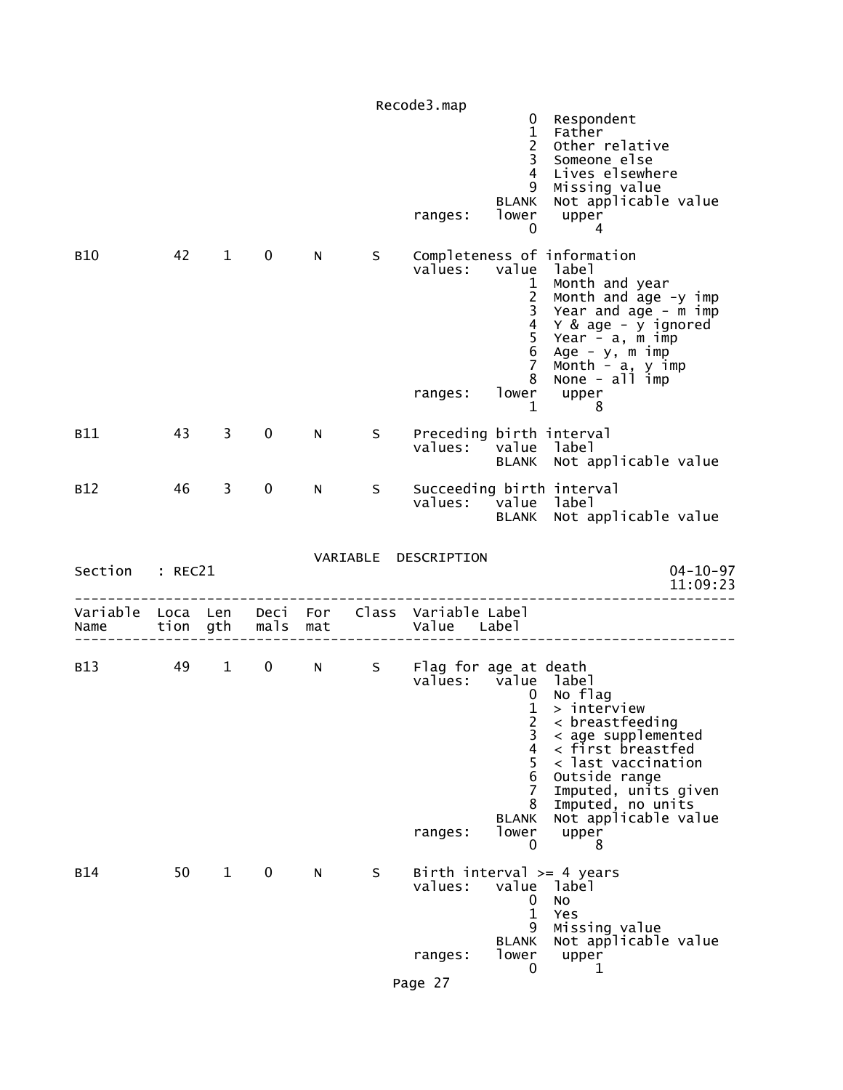|                  |          |                        |                   |    |    | Recode3.map                                                 |                                                                                                                      |                                                                                                                                                                                                                                  |
|------------------|----------|------------------------|-------------------|----|----|-------------------------------------------------------------|----------------------------------------------------------------------------------------------------------------------|----------------------------------------------------------------------------------------------------------------------------------------------------------------------------------------------------------------------------------|
|                  |          |                        |                   |    |    | ranges:                                                     | 0<br>$\mathbf{1}$<br>$\overline{2}$<br>$\overline{3}$<br>$\overline{4}$<br>9<br><b>BLANK</b><br>lower<br>$\mathbf 0$ | Respondent<br>Father<br>Other relative<br>Someone else<br>Lives elsewhere<br>Missing value<br>Not applicable value<br>upper<br>4                                                                                                 |
| <b>B10</b>       | 42       | $1 \quad$              | $\mathbf 0$       | N  | S. | values:<br>ranges:                                          | value<br>$\mathbf{1}$<br>$\begin{array}{c} 2 \\ 3 \\ 4 \\ 5 \end{array}$<br>6<br>$\overline{7}$<br>8<br>$\mathbf{1}$ | Completeness of information<br>label<br>Month and year<br>Month and age -y imp<br>Year and age - m imp<br>Y & age - y ignored<br>Year $-$ a, $m$ imp<br>Age - y, m imp<br>Month - a, y imp<br>None - all imp<br>lower upper<br>8 |
| <b>B11</b>       | 43       | 3                      | 0                 | N. | S  | Preceding birth interval<br>values:                         |                                                                                                                      | value label<br>BLANK Not applicable value                                                                                                                                                                                        |
| B <sub>12</sub>  | 46       | 3                      | 0                 | N  | S  | values: value label                                         |                                                                                                                      | Succeeding birth interval<br>BLANK Not applicable value                                                                                                                                                                          |
| Section          | : REC21  |                        |                   |    |    | VARIABLE DESCRIPTION                                        |                                                                                                                      | $04 - 10 - 97$<br>11:09:23                                                                                                                                                                                                       |
| Variable<br>Name | Loca Len | tion gth               | mals mat          |    |    | Deci For Class Variable Label<br>Value Label                |                                                                                                                      |                                                                                                                                                                                                                                  |
| B13              | 49       | $1 \quad \blacksquare$ | $0 \qquad \qquad$ |    |    | N S Flag for age at death<br>values: value label<br>ranges: | $\mathbf{0}$<br>$\mathbf 1$<br>2<br>3<br>4<br>5<br>6<br>7<br>8<br><b>BLANK</b><br>lower<br>0                         | No flag<br>> interview<br>$\langle$ breastfeeding<br>< age supplemented<br>< first breastfed<br>< last vaccination<br>Outside range<br>Imputed, units given<br>Imputed, no units<br>Not applicable value<br>upper<br>8           |
| <b>B14</b>       | 50       | $\mathbf{1}$           | $\mathbf 0$       | N  | S  | values:                                                     | value<br>0<br>$\mathbf{1}$<br>9<br><b>BLANK</b>                                                                      | Birth interval $>= 4$ years<br>label<br>No<br>Yes<br>Missing value<br>Not applicable value                                                                                                                                       |
|                  |          |                        |                   |    |    | ranges:                                                     | lower<br>0                                                                                                           | upper<br>1                                                                                                                                                                                                                       |
|                  |          |                        |                   |    |    | Page 27                                                     |                                                                                                                      |                                                                                                                                                                                                                                  |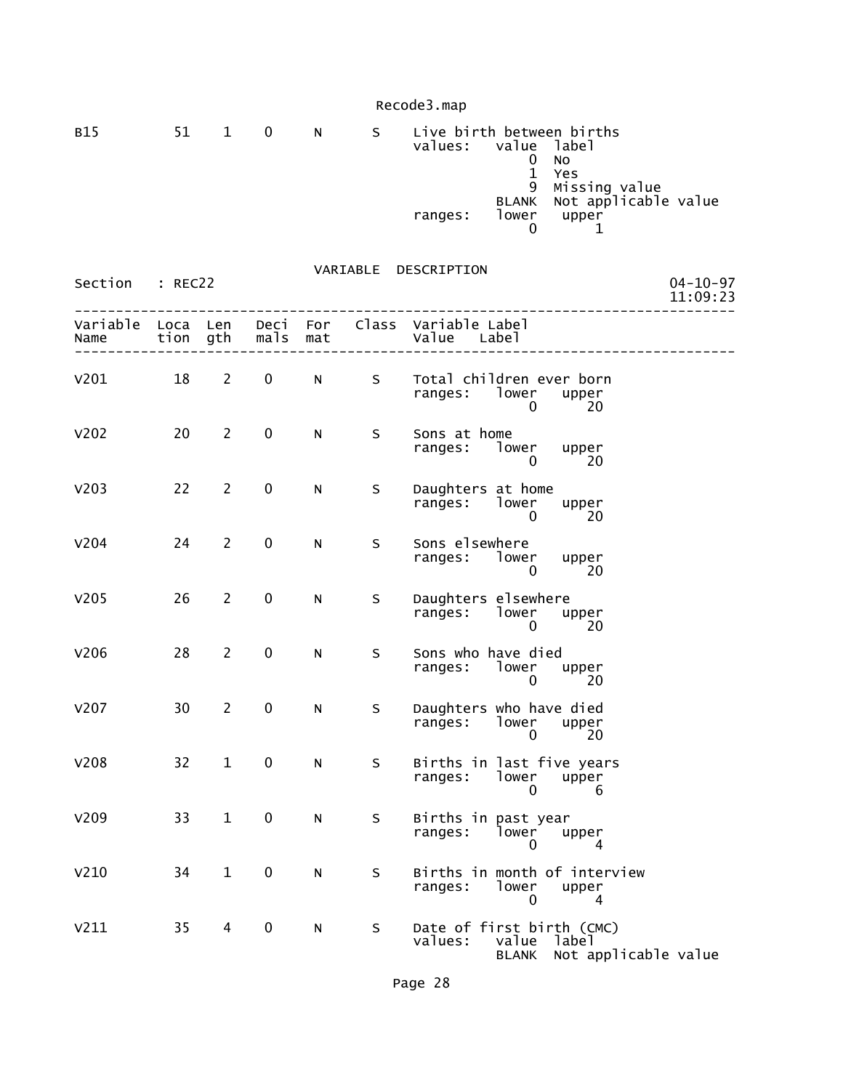| <b>B15</b> | 51 | $\mathbf{1}$ | 0 | N | <sub>S</sub> | Live birth between births<br>values:<br>ranges: | value label<br><b>BLANK</b><br>lower | No<br>Yes<br>9 Missing value<br>Not applicable value<br>upper |
|------------|----|--------------|---|---|--------------|-------------------------------------------------|--------------------------------------|---------------------------------------------------------------|
|            |    |              |   |   |              |                                                 |                                      |                                                               |

| Section : REC22                             |    |                 |              |              |                | VARIABLE DESCRIPTION                                                                    | $04 - 10 - 97$<br>11:09:23 |
|---------------------------------------------|----|-----------------|--------------|--------------|----------------|-----------------------------------------------------------------------------------------|----------------------------|
| Variable Loca Len<br>Name tion gth mals mat |    |                 |              |              |                | Deci For Class Variable Label<br>Value Label                                            |                            |
| V201                                        | 18 | $2 \rightarrow$ | $\mathbf{0}$ |              | N <sub>S</sub> | Total children ever born<br>ranges: lower upper<br>- 20<br>$\mathbf{0}$                 |                            |
| v202                                        | 20 | $\overline{2}$  | $\mathbf 0$  | $\mathsf{N}$ | S              | Sons at home<br>ranges: lower upper<br>$\Omega$<br>$\sim$ 20                            |                            |
| V203                                        | 22 | $\overline{2}$  | $\mathbf 0$  | N            | S              | Daughters at home<br>ranges: lower upper<br>$\Omega$<br>20                              |                            |
| V204                                        | 24 | $\overline{2}$  | $\pmb{0}$    | N            | S.             | Sons elsewhere<br>ranges: lower upper<br>$\sim 20$<br>$\overline{0}$                    |                            |
| V205                                        | 26 | 2               | $\mathbf 0$  | N            | S              | Daughters elsewhere<br>ranges: lower upper<br>$\overline{0}$<br>20                      |                            |
| V206                                        | 28 | $\overline{2}$  | $\mathbf 0$  | N            | S.             | Sons who have died<br>ranges: lower upper<br>$\overline{20}$<br>$\overline{0}$          |                            |
| v207                                        | 30 | $\overline{2}$  | $\mathbf 0$  | N            | S              | Daughters who have died<br>ranges: lower upper<br>0 20                                  |                            |
| V208                                        | 32 | 1               | 0            | N            | S.             | Births in last five years<br>ranges: lower upper<br>$\Omega$<br>6                       |                            |
| v209                                        | 33 | $\mathbf 1$     | $\pmb{0}$    | N            | S              | Births in past year<br>ranges: lower upper<br>4 0 4                                     |                            |
| V <sub>210</sub>                            | 34 | $\mathbf{1}$    | $\pmb{0}$    | N            | S              | Births in month of interview<br>ranges: lower upper<br>$\overline{0}$<br>$\overline{4}$ |                            |
| V211                                        | 35 | 4               | $\pmb{0}$    | N            | S              | Date of first birth (CMC)<br>values: value label<br>BLANK Not applicable value          |                            |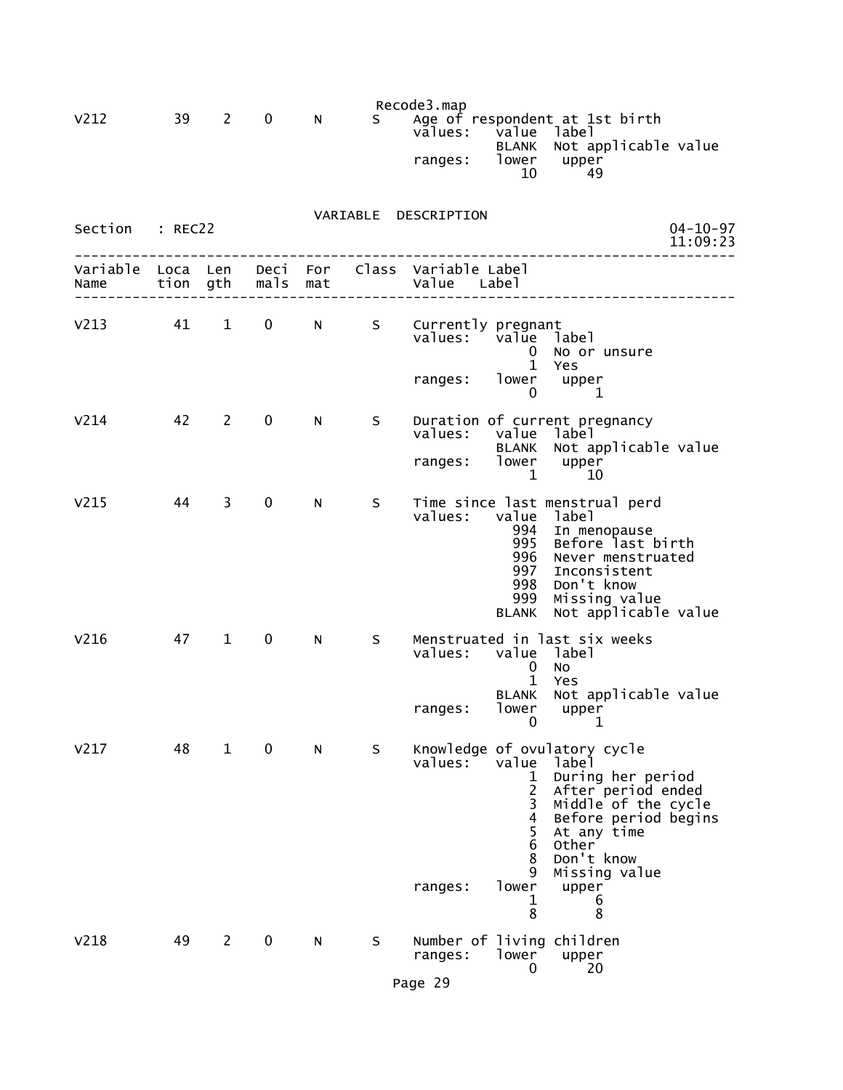| V212             | 39               | $\mathbf{2}$   | $\mathbf 0$  | N          | S. | Recode3.map<br>values:<br>ranges:   | value<br><b>BLANK</b><br>lower<br>10                                          | Age of respondent at 1st birth<br>label<br>Not applicable value<br>upper<br>49                                                                                                                                   |
|------------------|------------------|----------------|--------------|------------|----|-------------------------------------|-------------------------------------------------------------------------------|------------------------------------------------------------------------------------------------------------------------------------------------------------------------------------------------------------------|
| Section          | : REC22          |                |              |            |    | VARIABLE DESCRIPTION                |                                                                               | $04 - 10 - 97$<br>11:09:23                                                                                                                                                                                       |
| Variable<br>Name | Loca Len<br>tion | gth            | Deci<br>mals | For<br>mat |    | Class Variable Label<br>Value Label |                                                                               |                                                                                                                                                                                                                  |
| V <sub>213</sub> | 41               | $\mathbf{1}$   | 0            | N          | S  | Currently pregnant<br>values:       | value<br>0<br>$\mathbf{1}$                                                    | label<br>No or unsure<br>Yes                                                                                                                                                                                     |
|                  |                  |                |              |            |    | ranges:                             | lower<br>0                                                                    | upper<br>1                                                                                                                                                                                                       |
| V <sub>214</sub> | 42               | $\overline{2}$ | $\mathbf 0$  | N          | S  | values:<br>ranges:                  | value<br><b>BLANK</b><br>lower                                                | Duration of current pregnancy<br>label<br>Not applicable value<br>upper                                                                                                                                          |
| V <sub>215</sub> | 44               | 3              | $\mathbf 0$  | N          | S  | values:                             | 1<br>value<br>994<br>995<br>996<br>997<br>998<br>999<br><b>BLANK</b>          | 10<br>Time since last menstrual perd<br>label<br>In menopause<br>Before last birth<br>Never menstruated<br>Inconsistent<br>Don't know<br>Missing value<br>Not applicable value                                   |
| V <sub>216</sub> | 47               | $\mathbf{1}$   | 0            | N          | S  | values:                             | value<br>0<br>$\mathbf 1$<br><b>BLANK</b>                                     | Menstruated in last six weeks<br>label<br><b>NO</b><br>Yes<br>Not applicable value                                                                                                                               |
|                  |                  |                |              |            |    | ranges:                             | lower<br>0                                                                    | upper<br>1                                                                                                                                                                                                       |
| V <sub>217</sub> | 48               | $\mathbf{1}$   | $\mathbf 0$  | N          | S  | values:<br>ranges:                  | value<br>ı<br>$\overline{2}$<br>3<br>4<br>5<br>6<br>8<br>9<br>lower<br>1<br>8 | Knowledge of ovulatory cycle<br>label<br>During her period<br>After period ended<br>Middle of the cycle<br>Before period begins<br>At any time<br><b>Other</b><br>Don't know<br>Missing value<br>upper<br>6<br>8 |
| V218             | 49               | $\overline{2}$ | $\mathbf 0$  | N          | S  | ranges:                             | lower<br>0                                                                    | Number of living children<br>upper<br>20                                                                                                                                                                         |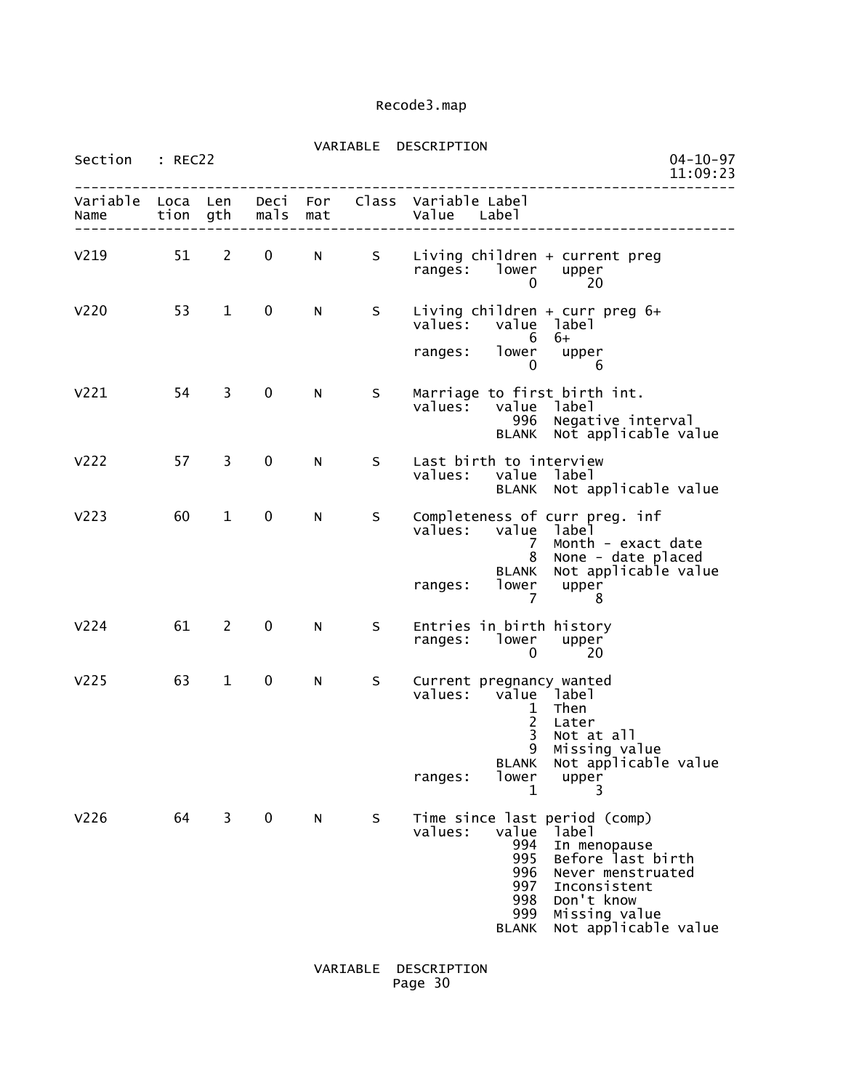| Section          | : REC22      |                |              |            | VARIABLE | DESCRIPTION                                                                                                                                                                                                                                           | $04 - 10 - 97$<br>11:09:23 |
|------------------|--------------|----------------|--------------|------------|----------|-------------------------------------------------------------------------------------------------------------------------------------------------------------------------------------------------------------------------------------------------------|----------------------------|
| Variable<br>Name | Loca<br>tion | Len<br>gth     | Deci<br>mals | For<br>mat | Class    | Variable Label<br>Value Label                                                                                                                                                                                                                         |                            |
| V <sub>219</sub> | 51           | $\mathbf{2}$   | 0            | N          | S.       | Living children + current preg<br>ranges: lower<br>upper<br>20<br>0                                                                                                                                                                                   |                            |
| V <sub>220</sub> | 53           | $\mathbf{1}$   | 0            | N          | S.       | Living children + curr preg $6+$<br>value<br>values:<br>label<br>6<br>6+                                                                                                                                                                              |                            |
|                  |              |                |              |            |          | lower<br>ranges:<br>upper<br>0<br>6                                                                                                                                                                                                                   |                            |
| V <sub>221</sub> | 54           | 3              | 0            | N          | S        | Marriage to first birth int.<br>values:<br>value<br>label<br>Negative interval<br>996<br>Not applicable value<br><b>BLANK</b>                                                                                                                         |                            |
| V <sub>222</sub> | 57           | 3              | $\mathbf 0$  | N          | S        | Last birth to interview<br>value label<br>values:<br>BLANK Not applicable value                                                                                                                                                                       |                            |
| V <sub>223</sub> | 60           | 1              | 0            | N          | S        | Completeness of curr preg. inf<br>values:<br>value<br>label<br>Month - exact date<br>7<br>None - date placed<br>8<br>Not applicable value<br><b>BLANK</b><br>lower<br>upper<br>ranges:<br>7<br>8                                                      |                            |
| V <sub>224</sub> | 61           | $\overline{2}$ | 0            | N          | S        | Entries in birth history<br>lower<br>ranges:<br>upper<br>0<br>20                                                                                                                                                                                      |                            |
| V <sub>225</sub> | 63           | $\mathbf 1$    | 0            | N          | S        | Current pregnancy wanted<br>value label<br>values:<br>Then<br>$\frac{1}{2}$<br>Later<br>$\overline{3}$<br>Not at all<br>9<br>Missing value<br><b>BLANK</b><br>Not applicable value<br>lower<br>ranges:<br>upper<br>1<br>3                             |                            |
| V <sub>226</sub> | 64           | 3              | $\mathbf 0$  | N          | S.       | Time since last period (comp)<br>values:<br>value<br>label<br>994<br>In menopause<br>995<br>Before last birth<br>996<br>Never menstruated<br>997<br>Inconsistent<br>Don't know<br>998<br>999<br>Missing value<br>Not applicable value<br><b>BLANK</b> |                            |

 VARIABLE DESCRIPTION Page 30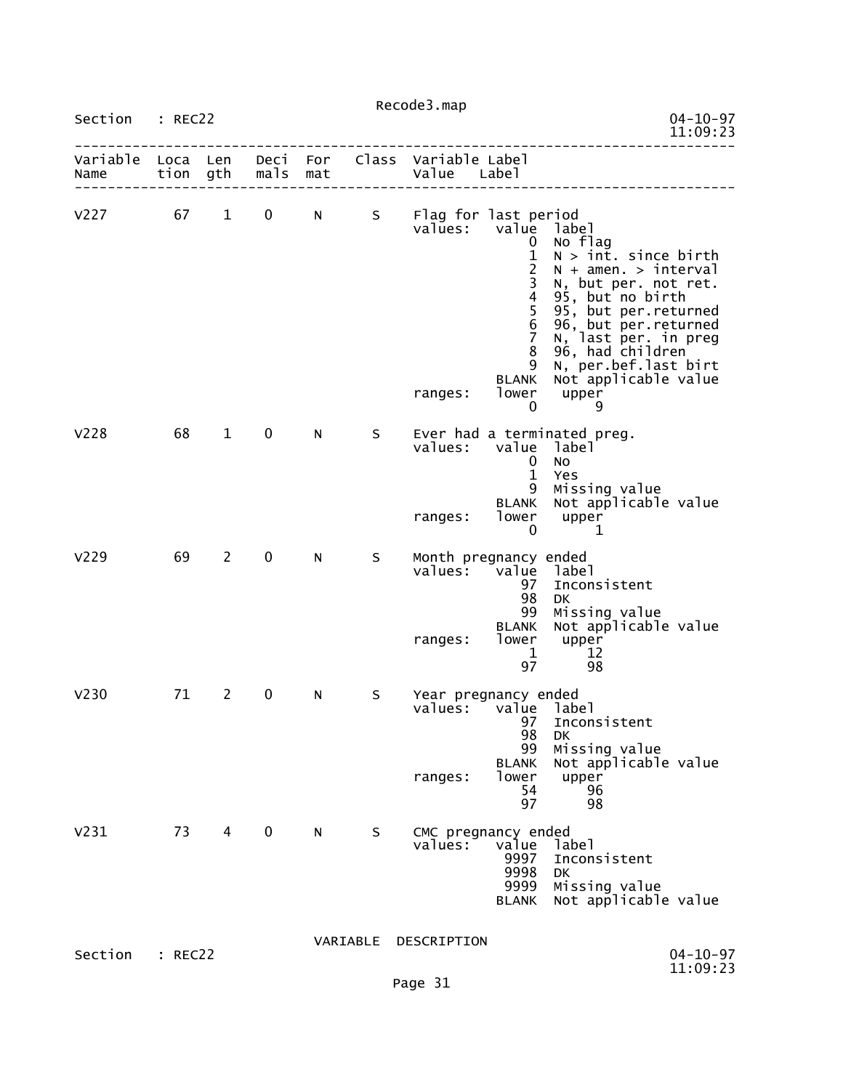| Section : REC22           |         |                |             |     |    |                                                         |                                                                                                                                         |                                                                                                                                                                                                                                                                                  | $04 - 10 - 97$<br>11:09:23 |
|---------------------------|---------|----------------|-------------|-----|----|---------------------------------------------------------|-----------------------------------------------------------------------------------------------------------------------------------------|----------------------------------------------------------------------------------------------------------------------------------------------------------------------------------------------------------------------------------------------------------------------------------|----------------------------|
| Variable Loca Len<br>Name |         | tion gth       | mals        | mat |    | Deci For Class Variable Label<br>Value Label            |                                                                                                                                         |                                                                                                                                                                                                                                                                                  |                            |
| $V227$ 67                 |         | $\mathbf{1}$   |             |     |    | 0 N S Flag for last period<br>values:<br>ranges:        | value<br>$\mathbf{0}$<br>$\mathbf{1}$<br>$\overline{2}$<br>3<br>4<br>5<br>$\,$ 6<br>7<br>8<br>9<br><b>BLANK</b><br>lower<br>$\mathbf 0$ | label<br>No flag<br>$N > \text{int. since birth}$<br>$N + amen. > interval$<br>N, but per. not ret.<br>95, but no birth<br>95, but per.returned<br>96, but per returned<br>N, last per in preg<br>96, had children<br>N, per.bef.last birt<br>Not applicable value<br>upper<br>9 |                            |
| V228                      | 68      | $\mathbf{1}$   | $\mathbf 0$ | N.  | S. | values:<br>ranges:                                      | value<br>$\mathbf{0}$<br>$\mathbf{1}$<br>9<br><b>BLANK</b><br>lower<br>$\Omega$                                                         | Ever had a terminated preg.<br>label<br>No<br>Yes<br>Missing value<br>Not applicable value<br>upper<br>- 1                                                                                                                                                                       |                            |
| V <sub>229</sub>          | 69      | $\overline{2}$ | $\mathbf 0$ | N   | S. | Month pregnancy ended<br>values: value label<br>ranges: | 97<br>98<br>99<br><b>BLANK</b><br>lower<br>$\mathbf{1}$<br>97                                                                           | Inconsistent<br>DK<br>Missing value<br>Not applicable value<br>upper<br>12<br>98                                                                                                                                                                                                 |                            |
| V <sub>230</sub>          | 71      | $2^{\circ}$    | 0           | N   | S  | Year pregnancy ended<br>values: value label<br>ranges:  | 97<br>98<br>99<br><b>BLANK</b><br>lower<br>54<br>97                                                                                     | Inconsistent<br><b>DK</b><br>Missing value<br>Not applicable value<br>upper<br>96<br>98                                                                                                                                                                                          |                            |
| V <sub>231</sub>          | 73      | 4              | $\mathbf 0$ | N   | S  | CMC pregnancy ended<br>values:                          | value<br>9997<br>9998<br>9999<br><b>BLANK</b>                                                                                           | label<br>Inconsistent<br>DK<br>Missing value<br>Not applicable value                                                                                                                                                                                                             |                            |
| Section                   | : REC22 |                |             |     |    | VARIABLE DESCRIPTION                                    |                                                                                                                                         |                                                                                                                                                                                                                                                                                  | $04 - 10 - 97$<br>11:09:23 |
|                           |         |                |             |     |    | Page 31                                                 |                                                                                                                                         |                                                                                                                                                                                                                                                                                  |                            |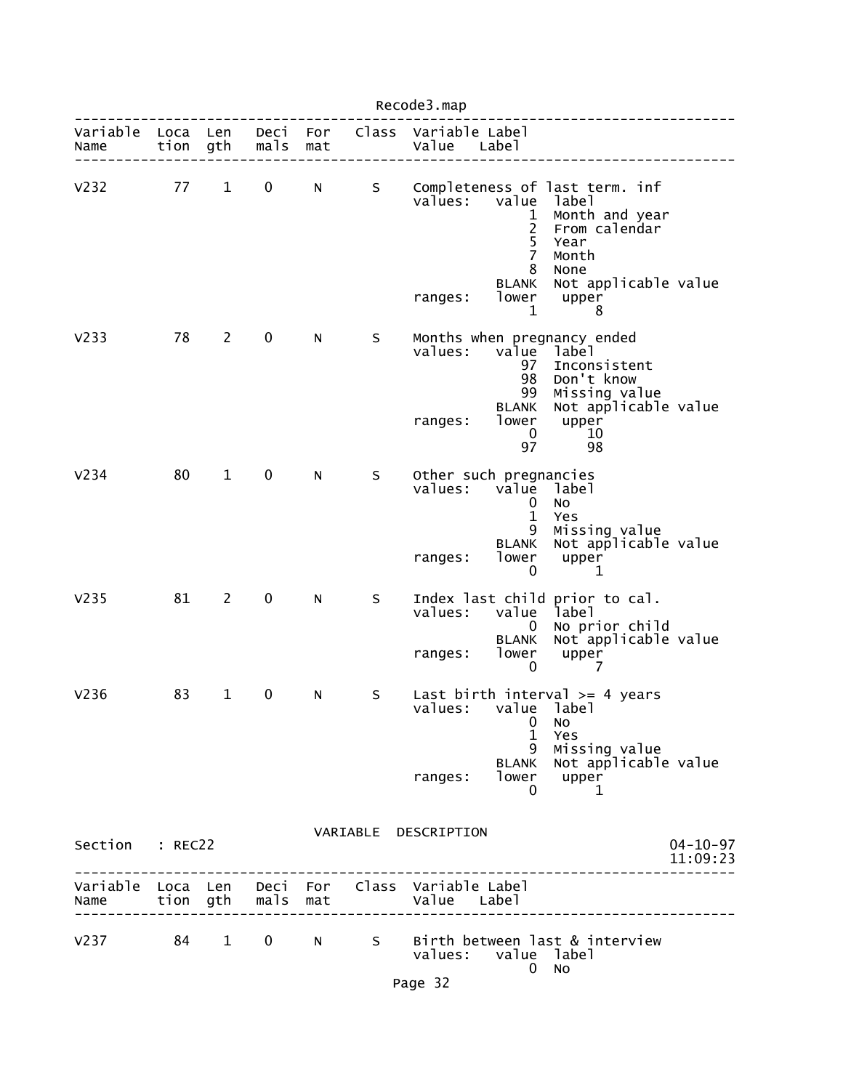|                  |              |              |              |            |   | Recode3.map                                  |                                                                                        |                                                                                                                                           |                            |
|------------------|--------------|--------------|--------------|------------|---|----------------------------------------------|----------------------------------------------------------------------------------------|-------------------------------------------------------------------------------------------------------------------------------------------|----------------------------|
| Variable<br>Name | Loca<br>tion | Len<br>gth   | Deci<br>mals | For<br>mat |   | Class Variable Label<br>Value                | Label                                                                                  |                                                                                                                                           |                            |
| V232             | 77           | $\mathbf{1}$ | 0            | N          | S | values:<br>ranges:                           | value<br>1<br>2<br>$\overline{5}$<br>$\overline{7}$<br>8<br><b>BLANK</b><br>lower<br>1 | Completeness of last term. inf<br>label<br>Month and year<br>From calendar<br>Year<br>Month<br>None<br>Not applicable value<br>upper<br>8 |                            |
| V <sub>233</sub> | 78           | $\mathbf{2}$ | 0            | N          | S | values:<br>ranges:                           | value<br>97<br>98<br>99<br><b>BLANK</b><br>lower<br>$\bf{0}$<br>97                     | Months when pregnancy ended<br>label<br>Inconsistent<br>Don't know<br>Missing value<br>Not applicable value<br>upper<br>10<br>98          |                            |
| V <sub>234</sub> | 80           | $\mathbf{1}$ | $\mathbf 0$  | N          | S | Other such pregnancies<br>values:<br>ranges: | value<br>$\bf{0}$<br>$\mathbf{1}$<br>9<br><b>BLANK</b><br>lower<br>$\mathbf 0$         | label<br>No<br>Yes<br>Missing value<br>Not applicable value<br>upper<br>1                                                                 |                            |
| V <sub>235</sub> | 81           | $2^{\circ}$  | 0            | N          | S | values:<br>ranges:                           | value<br>0<br><b>BLANK</b><br>lower<br>0                                               | Index last child prior to cal.<br>label<br>No prior child<br>Not applicable value<br>upper<br>7                                           |                            |
| V <sub>236</sub> | 83           | $\mathbf{1}$ | 0            | N          | S | values: value label<br>ranges:               | $\mathbf 0$<br>$\mathbf 1$<br>9                                                        | Last birth interval $>=$ 4 years<br>NO.<br>Yes<br>Missing value<br>BLANK Not applicable value<br>lower upper<br>0 1                       |                            |
| Section : REC22  |              |              |              |            |   | VARIABLE DESCRIPTION                         |                                                                                        |                                                                                                                                           | $04 - 10 - 97$<br>11:09:23 |
|                  |              |              |              |            |   |                                              |                                                                                        | ____________                                                                                                                              |                            |
|                  |              |              |              |            |   | values: value label<br>Page 32               |                                                                                        | V237 84 1 0 N S Birth between last & interview<br>$0$ No                                                                                  |                            |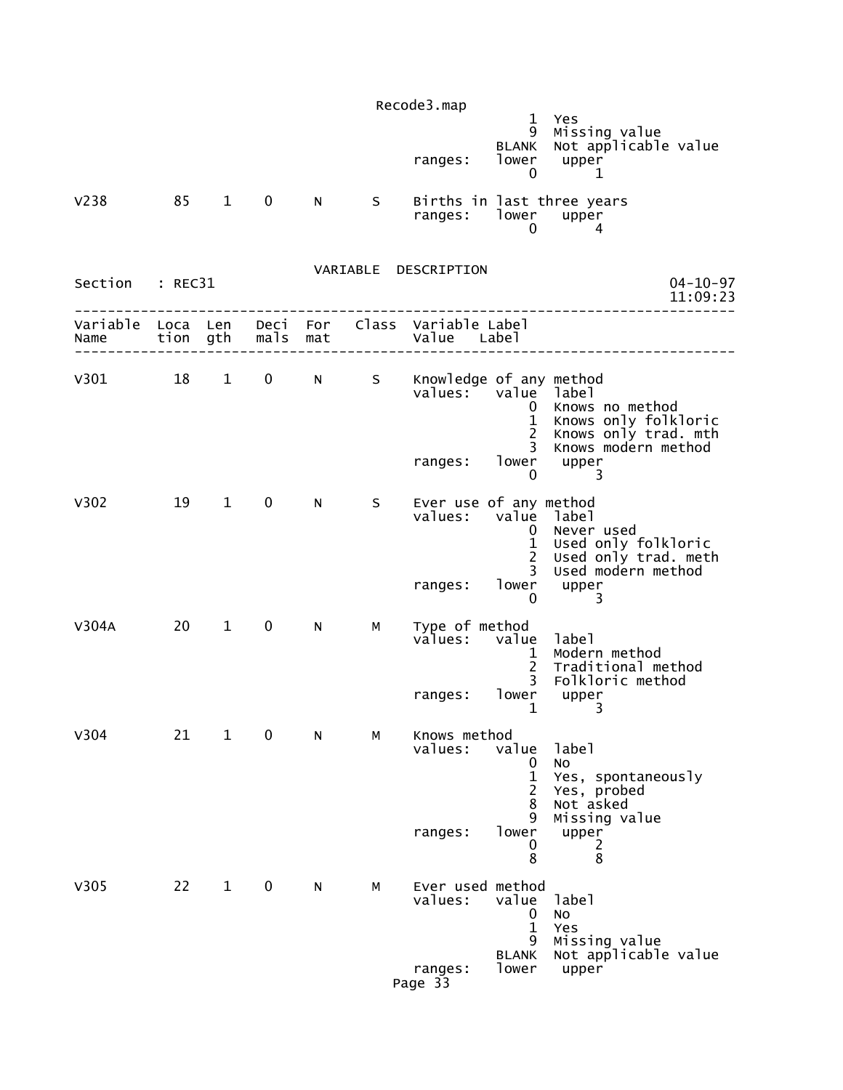|                  |          |                        |                   |                 |   | Recode3.map                          | $\mathbf{1}$                                                                    | Yes                                                                             |  |
|------------------|----------|------------------------|-------------------|-----------------|---|--------------------------------------|---------------------------------------------------------------------------------|---------------------------------------------------------------------------------|--|
|                  |          |                        |                   |                 |   | ranges:                              | 9<br><b>BLANK</b><br>lower<br>0                                                 | Missing value<br>Not applicable value<br>upper<br>1                             |  |
| V <sub>238</sub> | 85       | $1 \quad$              | $\mathbf 0$       | N               | S | ranges: lower                        | 0                                                                               | Births in last three years<br>upper<br>4                                        |  |
| Section          | : REC31  |                        |                   |                 |   | VARIABLE DESCRIPTION                 |                                                                                 | $04 - 10 - 97$<br>11:09:23                                                      |  |
| Variable<br>Name | Loca Len | tion gth               | mals              | Deci For<br>mat |   | Class Variable Label<br>Value Label  |                                                                                 |                                                                                 |  |
| v301 18          |          | $1 \quad \blacksquare$ | $0 \qquad \qquad$ | N               |   | S Knowledge of any method<br>values: | value label<br>0<br>$\mathbf{1}$<br>$2^{\circ}$<br>$\mathbf{3}$                 | Knows no method<br>Knows only folkloric<br>Knows only trad. mth                 |  |
|                  |          |                        |                   |                 |   | ranges:                              | $\mathbf 0$                                                                     | Knows modern method<br>lower upper<br>3                                         |  |
| V302             | 19       | $1 \quad \blacksquare$ | $\mathbf 0$       | N               | S | Ever use of any method<br>values:    | value label<br>$\mathbf{0}$<br>$\mathbf{1}$<br>$\overline{2}$<br>$\overline{3}$ | Never used<br>Used only folkloric<br>Used only trad. meth<br>Used modern method |  |
|                  |          |                        |                   |                 |   | ranges:                              | lower<br>0                                                                      | upper                                                                           |  |
| V304A            | 20       | $\mathbf{1}$           | $\mathbf 0$       | N               | м | Type of method<br>values:            | value<br>1<br>$\overline{2}$<br>$\overline{3}$                                  | label<br>Modern method<br>Traditional method<br>Folkloric method                |  |
|                  |          |                        |                   |                 |   | ranges:                              | lower<br>1                                                                      | upper<br>3                                                                      |  |
| V304             | 21       | $\mathbf{1}$           | $\mathbf 0$       | N               | м | Knows method<br>values:              | value<br>0<br>1<br>$\overline{c}$<br>8<br>9                                     | label<br>No<br>Yes, spontaneously<br>Yes, probed<br>Not asked                   |  |
|                  |          |                        |                   |                 |   | ranges:                              | lower<br>0<br>8                                                                 | Missing value<br>upper<br>2<br>8                                                |  |
| V305             | 22       | $\mathbf{1}$           | $\mathbf 0$       | N               | M | Ever used method<br>values:          | value<br>$\mathbf 0$<br>$\mathbf{1}$<br>9                                       | label<br>No<br>Yes<br>Missing value                                             |  |
|                  |          |                        |                   |                 |   | ranges:<br>Page 33                   | <b>BLANK</b><br>lower                                                           | Not applicable value<br>upper                                                   |  |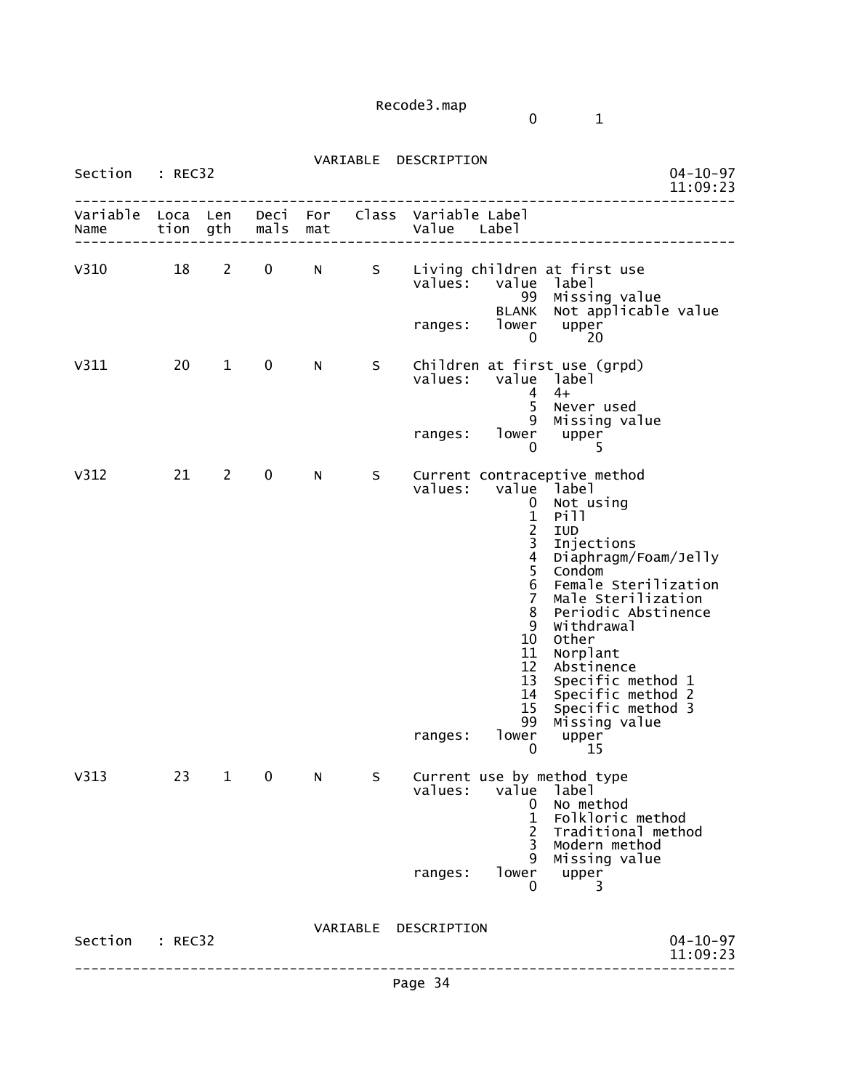0 1

| Section : REC32           |         |                            |             |     |          | VARIABLE DESCRIPTION                                                                                                                                                                                                | $04 - 10 - 97$<br>11:09:23                                                                                                                                                                                                                                                                                          |
|---------------------------|---------|----------------------------|-------------|-----|----------|---------------------------------------------------------------------------------------------------------------------------------------------------------------------------------------------------------------------|---------------------------------------------------------------------------------------------------------------------------------------------------------------------------------------------------------------------------------------------------------------------------------------------------------------------|
| Variable Loca Len<br>Name |         | tion gth                   | mals        | mat |          | Deci For Class Variable Label<br>Value Label                                                                                                                                                                        |                                                                                                                                                                                                                                                                                                                     |
| V310                      | 18      | 2                          | $\mathbf 0$ | N   | S        | Living children at first use<br>$value$ s:<br>value<br>99<br><b>BLANK</b><br>lower<br>ranges:<br>0                                                                                                                  | label<br>Missing value<br>Not applicable value<br>upper<br>20                                                                                                                                                                                                                                                       |
| V311                      | 20      | $\mathbf{1}$               | $\mathbf 0$ | N   | S.       | Children at first use (grpd)<br>values: value label<br>4<br>5 <sup>1</sup><br>9<br>lower<br>ranges:<br>$\mathbf 0$                                                                                                  | $4+$<br>Never used<br>Missing value<br>upper<br>5                                                                                                                                                                                                                                                                   |
| V312                      | 21      | $\overline{\phantom{a}}$ 2 | 0           | N   | S        | Current contraceptive method<br>value<br>values:<br>0<br>$\frac{1}{2}$<br>3<br>$\overline{4}$<br>5<br>6<br>$\overline{7}$<br>8<br>9<br>10<br>11<br>12<br>13<br>14<br>15 <sub>1</sub><br>99<br>lower<br>ranges:<br>0 | <sup>'</sup> label<br>Not using<br>Pill<br>IUD<br>Injections<br>Diaphragm/Foam/Jelly<br>Condom<br>Female Sterilization<br>Male Sterilization<br>Periodic Abstinence<br>Withdrawal<br>Other<br>Norplant<br>Abstinence<br>Specific method 1<br>Specific method 2<br>Specific method 3<br>Missing value<br>upper<br>15 |
| V313                      | 23      | $\mathbf{1}$               | 0           | N   | S        | Current use by method type<br>values:<br>value<br>0<br>1<br>$\overline{2}$<br>3<br>9<br>lower<br>ranges:<br>0                                                                                                       | label<br>No method<br>Folkloric method<br>Traditional method<br>Modern method<br>Missing value<br>upper<br>3                                                                                                                                                                                                        |
| Section                   | : REC32 |                            |             |     | VARIABLE | DESCRIPTION                                                                                                                                                                                                         | $04 - 10 - 97$<br>11:09:23                                                                                                                                                                                                                                                                                          |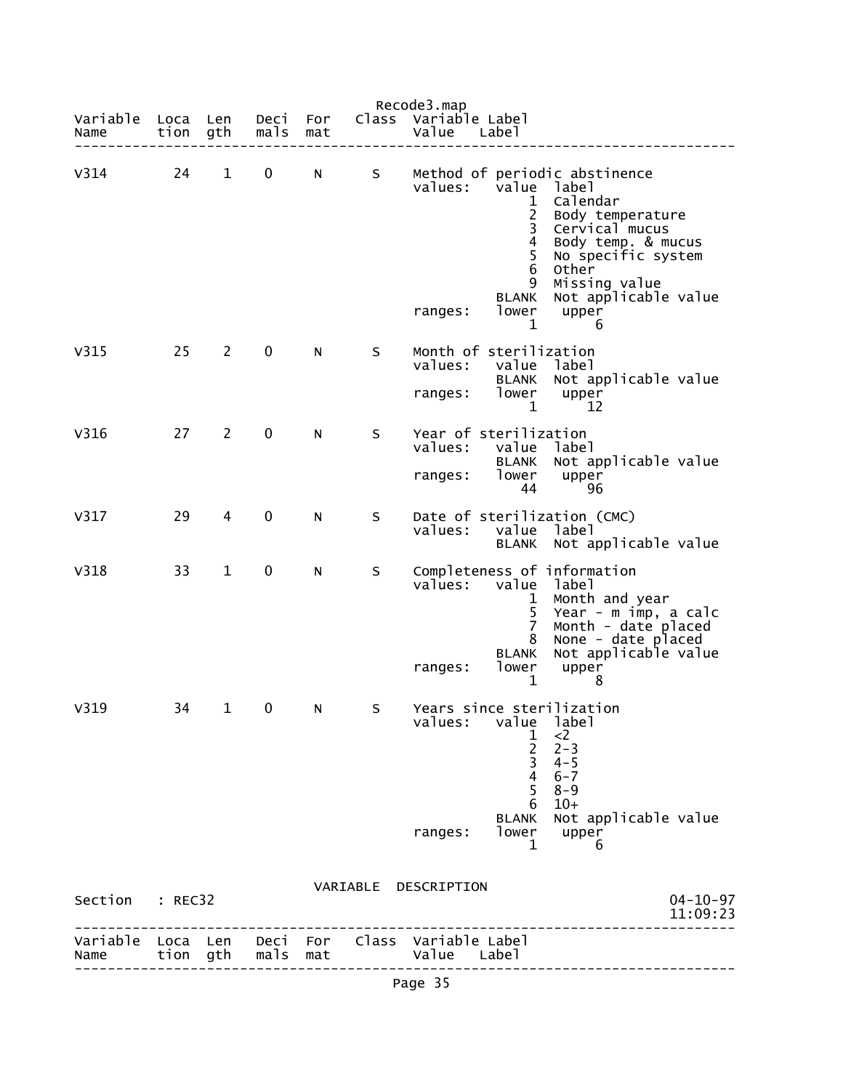| Variable | Loca     | Len          | Deci<br>mals | For | Class    | Recode3.map<br>Variable Label                                                                                                                                                                                                                                                                                     |
|----------|----------|--------------|--------------|-----|----------|-------------------------------------------------------------------------------------------------------------------------------------------------------------------------------------------------------------------------------------------------------------------------------------------------------------------|
| Name     | tion     | gth          |              | mat |          | Value<br>Labe]                                                                                                                                                                                                                                                                                                    |
| V314     | 24       | $\mathbf 1$  | $\mathbf 0$  | N   | S        | Method of periodic abstinence<br>values:<br>value<br>1abe1<br>Calendar<br>1<br>$\overline{2}$<br>Body temperature<br>3<br>Cervical mucus<br>4<br>Body temp. & mucus<br>5<br>No specific system<br>6<br>Other<br>Missing value<br>9<br>Not applicable value<br><b>BLANK</b><br>lower<br>upper<br>ranges:<br>1<br>6 |
| V315     | 25       | $\mathbf{2}$ | 0            | N   | S        | Month of sterilization<br>values:<br>value<br>label<br>Not applicable value<br><b>BLANK</b><br>lower<br>ranges:<br>upper<br>1<br>12                                                                                                                                                                               |
| V316     | 27       | 2            | $\mathbf 0$  | N   | S        | Year of sterilization<br>values:<br>value label<br>Not applicable value<br><b>BLANK</b><br>lower<br>ranges:<br>upper<br>44<br>96                                                                                                                                                                                  |
| V317     | 29       | 4            | 0            | N   | S        | Date of sterilization (CMC)<br>values:<br>value<br>label<br>Not applicable value<br><b>BLANK</b>                                                                                                                                                                                                                  |
| V318     | 33       | 1            | 0            | N   | S        | Completeness of information<br>values:<br>value<br>label<br>Month and year<br>$\mathbf{1}$<br>Year - m imp, a calc<br>$\overline{7}$<br>Month - date placed<br>8<br>None - date placed<br><b>BLANK</b><br>Not applicable value<br>lower<br>ranges:<br>upper<br>$\mathbf 1$<br>8                                   |
| V319     | 34       | 1            | 0            | N   | S        | Years since sterilization<br>values:<br>value<br>label<br>$\frac{1}{2}$<br>$<$ 2<br>$2 - 3$<br>$\overline{3}$<br>$4 - 5$<br>$\overline{4}$<br>$6 - 7$<br>5<br>$8 - 9$<br>$10+$<br>6<br>Not applicable value<br><b>BLANK</b><br>lower<br>ranges:<br>upper<br>1<br>6                                                |
| Section  | : REC32  |              |              |     | VARIABLE | DESCRIPTION<br>$04 - 10 - 97$<br>11:09:23                                                                                                                                                                                                                                                                         |
| Name     | tion gth |              | mals mat     |     |          | Variable Loca Len Deci For Class Variable Label<br>Value Label                                                                                                                                                                                                                                                    |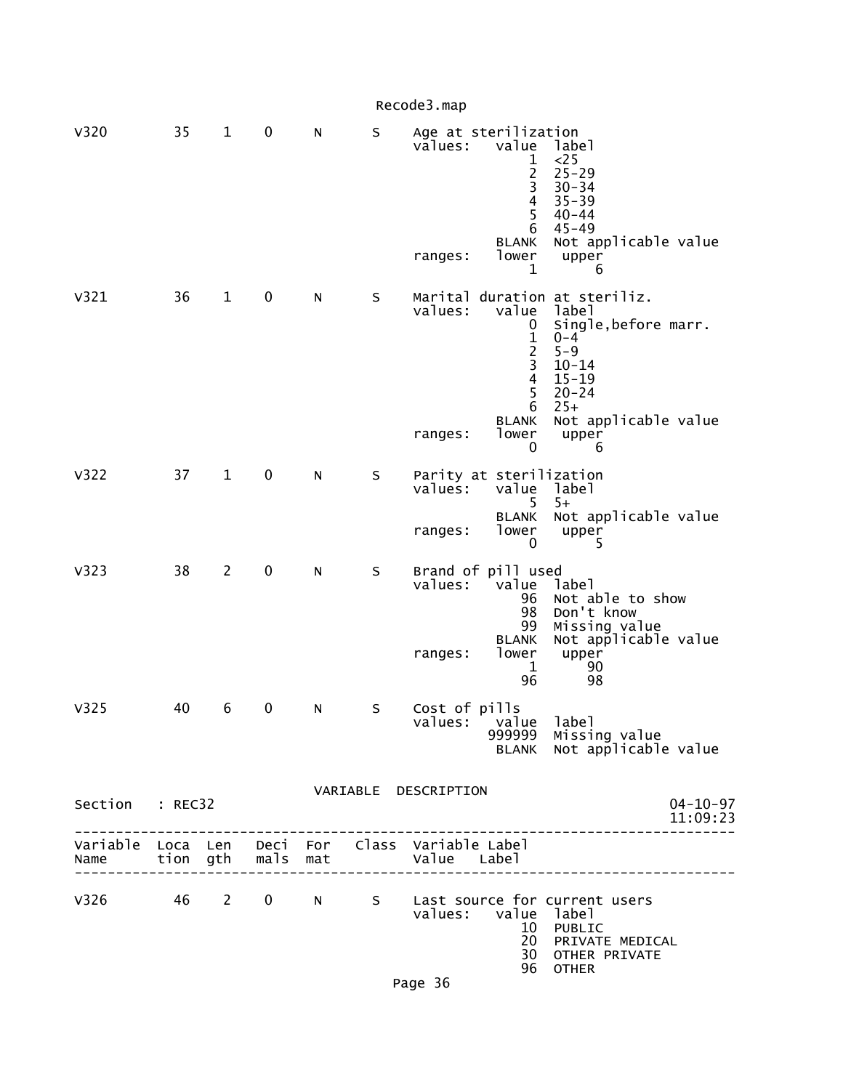|                                                         |    |                |                   |             |         | Recode3.map          |                                                                                                                     |                                                                                                                                                                       |
|---------------------------------------------------------|----|----------------|-------------------|-------------|---------|----------------------|---------------------------------------------------------------------------------------------------------------------|-----------------------------------------------------------------------------------------------------------------------------------------------------------------------|
| <b>V320</b>                                             | 35 | $\mathbf{1}$   | $\mathbf 0$       | N           | S       | values:<br>ranges:   | Age at sterilization<br>value<br>1<br>$\overline{c}$<br>3<br>$\overline{4}$<br>5<br>6<br><b>BLANK</b><br>lower<br>1 | label<br><25<br>$25 - 29$<br>$30 - 34$<br>$35 - 39$<br>$40 - 44$<br>$45 - 49$<br>Not applicable value<br>upper<br>6                                                   |
| V321                                                    | 36 | $\mathbf{1}$   | $\mathbf 0$       | N           | $\sf S$ | values:<br>ranges:   | value<br>0<br>$\mathbf 1$<br>$\overline{2}$<br>3<br>$\overline{4}$<br>5<br>6<br><b>BLANK</b><br>lower               | Marital duration at steriliz.<br>label<br>Single, before marr.<br>$0 - 4$<br>$5 - 9$<br>$10 - 14$<br>$15 - 19$<br>$20 - 24$<br>$25+$<br>Not applicable value<br>upper |
|                                                         |    |                |                   |             |         |                      | 0                                                                                                                   | 6                                                                                                                                                                     |
| V322                                                    | 37 | $\mathbf{1}$   | $\mathbf 0$       | N           | S       | values:              | Parity at sterilization<br>value<br>5                                                                               | label<br>$5+$                                                                                                                                                         |
|                                                         |    |                |                   |             |         | ranges:              | <b>BLANK</b><br>lower<br>$\mathbf{0}$                                                                               | Not applicable value<br>upper<br>5                                                                                                                                    |
| V323                                                    | 38 | $\overline{2}$ | $\mathbf 0$       | N           | S       | values:<br>ranges:   | Brand of pill used<br>value<br>96<br>98<br>99<br><b>BLANK</b><br>lower<br>1<br>96                                   | label<br>Not able to show<br>Don't know<br>Missing value<br>Not applicable value<br>upper<br>90<br>98                                                                 |
| V325                                                    | 40 | 6              | 0                 | N           | S       |                      | Cost of pills<br>values: value label<br>999999<br><b>BLANK</b>                                                      | Missing value<br>Not applicable value                                                                                                                                 |
| Section : REC32                                         |    |                |                   |             |         | VARIABLE DESCRIPTION |                                                                                                                     | $04 - 10 - 97$                                                                                                                                                        |
|                                                         |    |                |                   |             |         |                      |                                                                                                                     | 11:09:23                                                                                                                                                              |
| Variable Loca Len Deci For Class Variable Label<br>Name |    |                | tion gth mals mat |             |         | Value Label          |                                                                                                                     |                                                                                                                                                                       |
| V326 46 2                                               |    |                | $\mathbf{0}$      | $N$ and $N$ |         |                      | values: value label<br>10<br>20<br>30                                                                               | S Last source for current users<br>PUBLIC<br>PRIVATE MEDICAL<br>OTHER PRIVATE<br>96 OTHER                                                                             |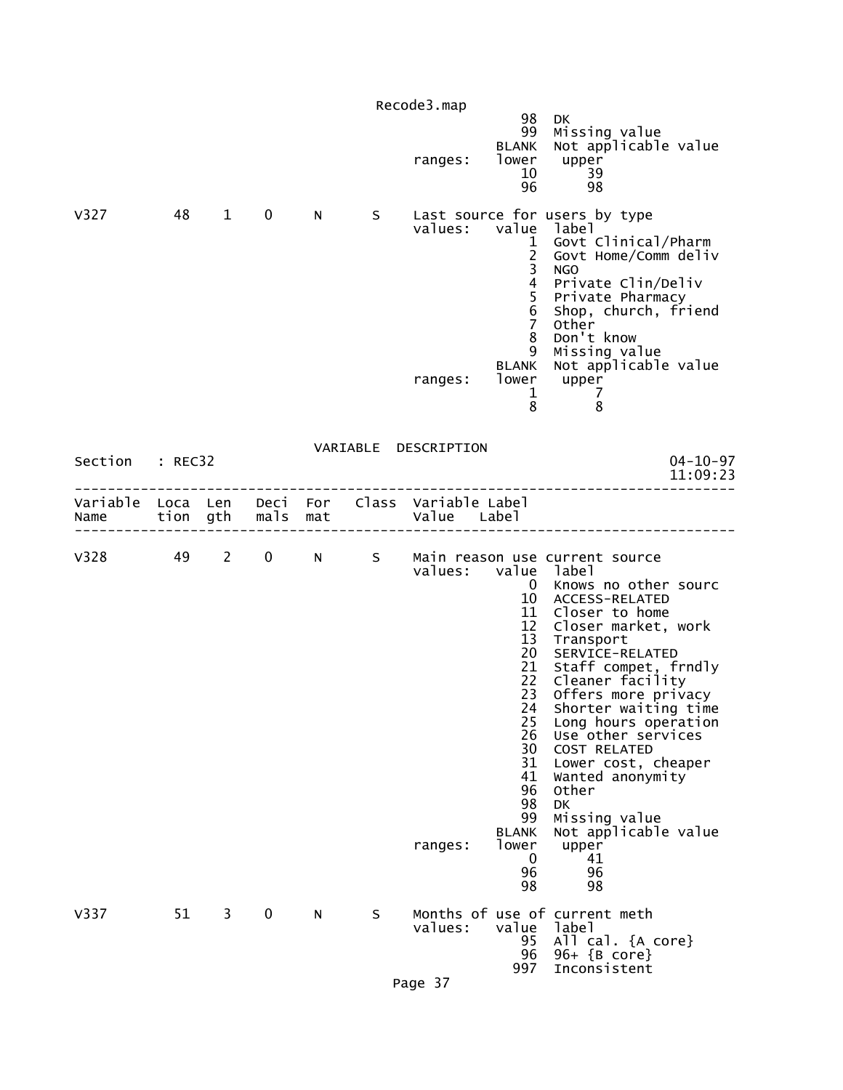|         |          |                        |              |     |    | Recode3.map<br>ranges:                                         | 98<br>99<br><b>BLANK</b><br>lower<br>10<br>96                                                                                                                              | DK.<br>Missing value<br>Not applicable value<br>upper<br>39<br>98                                                                                                                                                                                                                                                                                                                                                                               |
|---------|----------|------------------------|--------------|-----|----|----------------------------------------------------------------|----------------------------------------------------------------------------------------------------------------------------------------------------------------------------|-------------------------------------------------------------------------------------------------------------------------------------------------------------------------------------------------------------------------------------------------------------------------------------------------------------------------------------------------------------------------------------------------------------------------------------------------|
| V327    | 48       | $\mathbf{1}$           | $\mathbf 0$  | N.  | S. | values:<br>ranges:                                             | value label<br>$\mathbf{1}$<br>$\overline{2}$<br>3<br>4<br>5<br>$\overline{6}$<br>$\overline{7}$<br>8<br>9<br><b>BLANK</b><br>lower<br>$\mathbf{1}$<br>8                   | Last source for users by type<br>Govt Clinical/Pharm<br>Govt Home/Comm deliv<br><b>NGO</b><br>Private Clin/Deliv<br>Private Pharmacy<br>Shop, church, friend<br>Other<br>Don't know<br>Missing value<br>Not applicable value<br>upper<br>$\overline{7}$<br>8                                                                                                                                                                                    |
| Section | : REC32  |                        |              |     |    | VARIABLE DESCRIPTION                                           |                                                                                                                                                                            | $04 - 10 - 97$<br>11:09:23                                                                                                                                                                                                                                                                                                                                                                                                                      |
| Name    | tion gth |                        | mals         | mat |    | Variable Loca Len Deci For Class Variable Label<br>Value Label |                                                                                                                                                                            |                                                                                                                                                                                                                                                                                                                                                                                                                                                 |
| V328    | 49       | $2 \quad \blacksquare$ | $\mathbf{0}$ | N   | S  | values:<br>ranges:                                             | value label<br>0<br>10<br>11<br>12<br>13<br>20<br>21<br>22<br>23<br>24<br>25<br>26<br>30<br>31<br>41<br>96<br>98<br>99<br><b>BLANK</b><br>lower<br>$\mathbf 0$<br>96<br>98 | Main reason use current source<br>Knows no other sourc<br>ACCESS-RELATED<br>Closer to home<br>Closer market, work<br>Transport<br>SERVICE-RELATED<br>Staff compet, frndly<br>Cleaner facility<br>Offers more privacy<br>Shorter waiting time<br>Long hours operation<br>Use other services<br>COST RELATED<br>Lower cost, cheaper<br>Wanted anonymity<br>Other<br><b>DK</b><br>Missing value<br>Not applicable value<br>upper<br>41<br>96<br>98 |
| V337    | 51       | $\mathbf{3}$           | $\mathbf 0$  | N   | S. | values:                                                        | value<br>95<br>96<br>997                                                                                                                                                   | Months of use of current meth<br>label<br>All cal. {A core}<br>96+ {B core}<br>Inconsistent                                                                                                                                                                                                                                                                                                                                                     |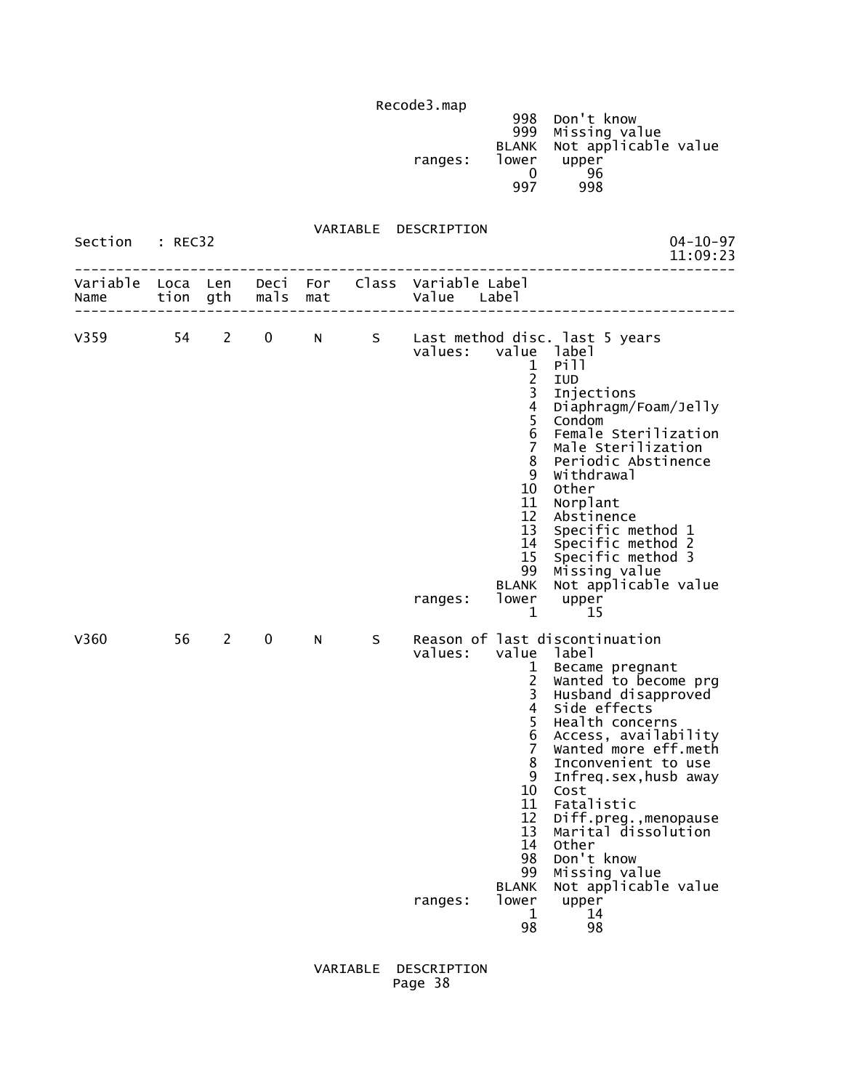998 Don't know 999 Missing value BLANK Not applicable value ranges: lower upper<br>0 96  $\sim$  0 96 997 998

 VARIABLE DESCRIPTION Section : REC32 04-10-97<br>11:09:23 11:09:23 11:09:23 -------------------------------------------------------------------------------- Variable Loca Len Deci For Class Variable Label Name tion gth mals mat Value Label -------------------------------------------------------------------------------- V359 54 2 0 N S Last method disc. last 5 years values: value label the contract of the contract of the contract of the contract of the contract of the contract of the contract o 2 IUD 3 Injections 4 Diaphragm/Foam/Jelly<br>5 Condom 5 Condom 6 Female Sterilization 7 Male Sterilization 8 Periodic Abstinence 9 Withdrawal 10 Other<br>11 Norpl 11 Norplant<br>12 Abstinen 12 Abstinence 13 Specific method 1 14 Specific method 2 15 Specific method 3 99 Missing value BLANK Not applicable value ranges: lower upper<br>15 1 1 15  $\frac{1}{1}$  15 V360 56 2 0 N S Reason of last discontinuation values: value label 1 Became pregnant 2 Wanted to become prg 3 Husband disapproved 4 Side effects 5 Health concerns<br>6 Access, availab 6 Access, availability 7 wanted more eff.meth<br>8 Inconvenient to use 8 Inconvenient to use<br>9 Infreq.sex.husb.away 9 Infreq.sex,husb away the contract of the contract of the contract of the contract of the contract of the contract of the contract of the contract of the contract of the contract of the contract of the contract of the contract of the contract o 11 Fatalistic<br>12 Diff.preg. 12 Diff.preg.,menopause 13 Marital dissolution the control of the control of the control of the control of the control of the control of the control of the c 98 Don't know<br>99 Missing ya Missing value BLANK Not applicable value<br>lower upper ranges: lower upper<br>14 14 1 14 98 98

### VARIABLE DESCRIPTION Page 38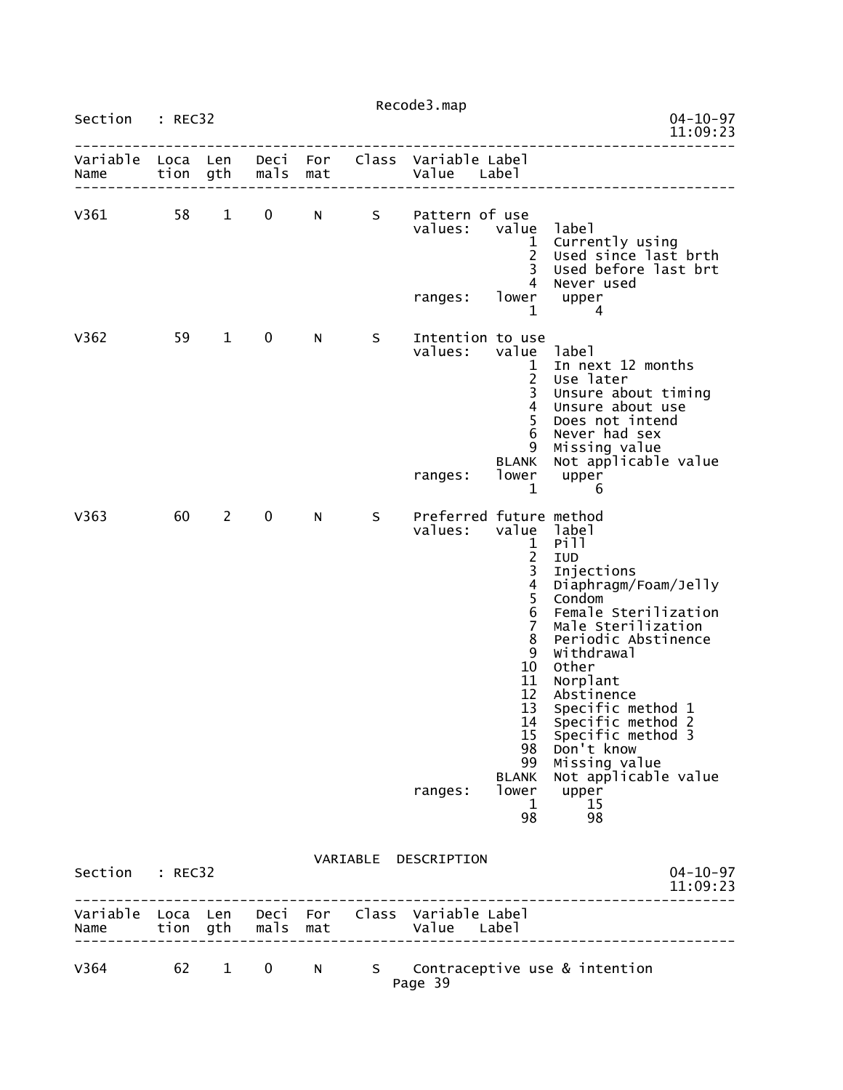| Section                | : REC32  |                        |             |     |    | Recode3.map                                                    |                                                                                                                                                                                                     | $04 - 10 - 97$                                                                                                                                                                                                                                                                                                               |
|------------------------|----------|------------------------|-------------|-----|----|----------------------------------------------------------------|-----------------------------------------------------------------------------------------------------------------------------------------------------------------------------------------------------|------------------------------------------------------------------------------------------------------------------------------------------------------------------------------------------------------------------------------------------------------------------------------------------------------------------------------|
|                        |          |                        |             |     |    |                                                                |                                                                                                                                                                                                     | 11:09:23                                                                                                                                                                                                                                                                                                                     |
| Variable<br>Name       | Loca Len | tion gth               | mals        | mat |    | Deci For Class Variable Label<br>Value Label                   |                                                                                                                                                                                                     |                                                                                                                                                                                                                                                                                                                              |
| v361                   | 58       | $\mathbf{1}$           | 0           | N   | S  | Pattern of use<br>values:<br>ranges:                           | value<br>$\mathbf{1}$<br>$\overline{2}$<br>3<br>4<br>lower<br>1                                                                                                                                     | label<br>Currently using<br>Used since last brth<br>Used before last brt<br>Never used<br>upper<br>4                                                                                                                                                                                                                         |
| V362                   | 59       | $\mathbf 1$            | 0           | N   | S  | Intention to use<br>values:<br>ranges:                         | value<br>$\mathbf{1}$<br>$\overline{c}$<br>$\frac{1}{4}$<br>5<br>6<br>9<br><b>BLANK</b><br>lower<br>$\mathbf{1}$                                                                                    | label<br>In next 12 months<br>Use later<br>Unsure about timing<br>Unsure about use<br>Does not intend<br>Never had sex<br>Missing value<br>Not applicable value<br>upper<br>6                                                                                                                                                |
| V363                   | 60       | $2^{\sim}$             | $\mathbf 0$ | N   | S. | Preferred future method<br>values:<br>ranges:                  | value label<br>1<br>$\begin{array}{c} 2 \\ 3 \\ 4 \\ 5 \end{array}$<br>6<br>$\overline{7}$<br>8<br>9<br>10<br>11<br>12<br>13<br>14<br>15<br>98<br>99<br><b>BLANK</b><br>lower<br>$\mathbf{1}$<br>98 | Pill<br>IUD<br>Injections<br>Diaphragm/Foam/Jelly<br>Condom<br>Female Sterilization<br>Male Sterilization<br>Periodic Abstinence<br>Withdrawal<br>Other<br>Norplant<br>Abstinence<br>Specific method 1<br>Specific method 2<br>Specific method 3<br>Don't know<br>Missing value<br>Not applicable value<br>upper<br>15<br>98 |
| Section : REC32        |          |                        |             |     |    | VARIABLE DESCRIPTION                                           |                                                                                                                                                                                                     | $04 - 10 - 97$<br>11:09:23                                                                                                                                                                                                                                                                                                   |
| Name tion gth mals mat |          |                        |             |     |    | Variable Loca Len Deci For Class Variable Label<br>Value Label |                                                                                                                                                                                                     |                                                                                                                                                                                                                                                                                                                              |
| V364                   | 62       | $1 \quad \blacksquare$ |             |     |    |                                                                |                                                                                                                                                                                                     | 0 N S Contraceptive use & intention                                                                                                                                                                                                                                                                                          |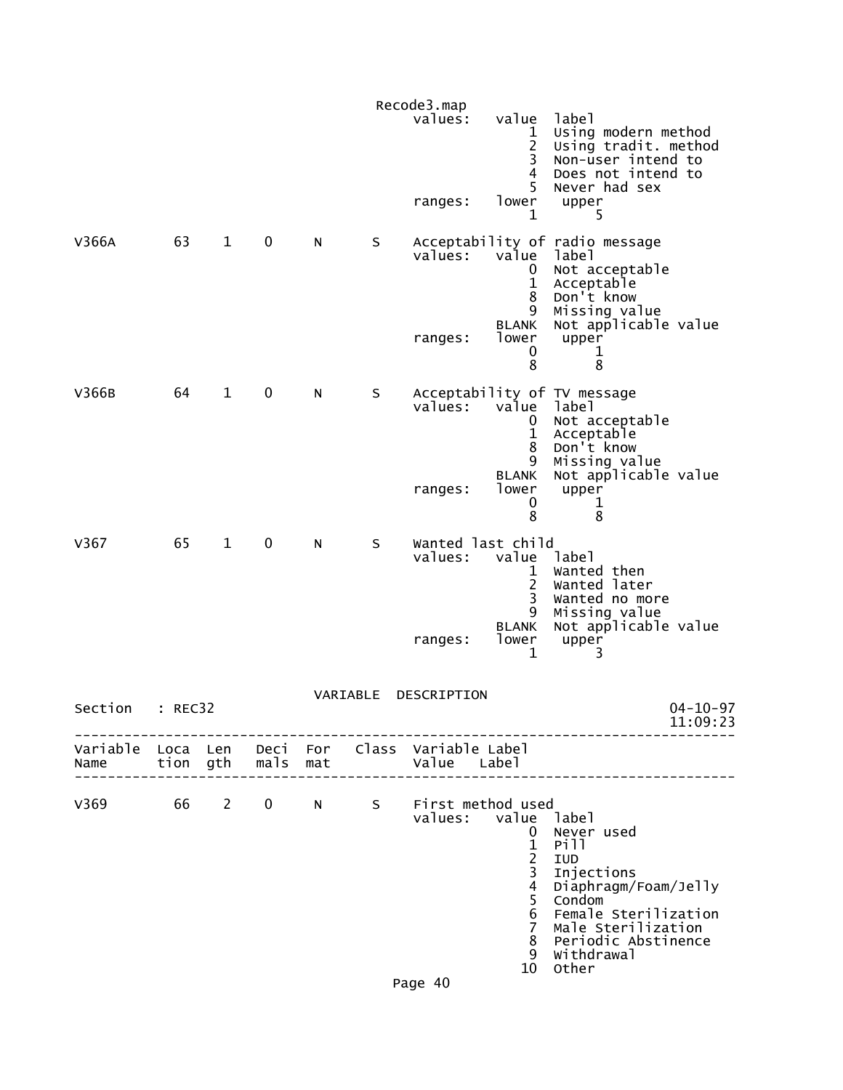|                           |         |              |               |     |          | Recode3.map<br>values:                       | value<br>1<br>$\overline{c}$<br>3<br>4<br>5                                                                                                          | label<br>Using modern method<br>Using tradit. method<br>Non-user intend to<br>Does not intend to<br>Never had sex                                                     |
|---------------------------|---------|--------------|---------------|-----|----------|----------------------------------------------|------------------------------------------------------------------------------------------------------------------------------------------------------|-----------------------------------------------------------------------------------------------------------------------------------------------------------------------|
|                           |         |              |               |     |          | ranges:                                      | lower<br>1                                                                                                                                           | upper<br>5                                                                                                                                                            |
| V366A                     | 63      | $\mathbf 1$  | 0             | N   | $\sf S$  | values:                                      | value<br>0<br>1<br>8<br>9                                                                                                                            | Acceptability of radio message<br>label<br>Not acceptable<br>Acceptable<br>Don't know<br>Missing value                                                                |
|                           |         |              |               |     |          | ranges:                                      | <b>BLANK</b><br>lower<br>0<br>8                                                                                                                      | Not applicable value<br>upper<br>1<br>8                                                                                                                               |
| V366B                     | 64      | $\mathbf{1}$ | $\pmb{0}$     | N   | $\sf S$  | values:                                      | value<br>0<br>$\mathbf{1}$<br>8<br>9                                                                                                                 | Acceptability of TV message<br>label<br>Not acceptable<br>Acceptable<br>Don't know<br>Missing value                                                                   |
|                           |         |              |               |     |          | ranges:                                      | <b>BLANK</b><br>lower<br>0<br>8                                                                                                                      | Not applicable value<br>upper<br>1<br>8                                                                                                                               |
| V367                      | 65      | $\mathbf{1}$ | 0             | N   | S        | Wanted last child<br>values:                 | value<br>1<br>2<br>3<br>9                                                                                                                            | label<br>Wanted then<br>Wanted later<br>Wanted no more<br>Missing value                                                                                               |
|                           |         |              |               |     |          | ranges:                                      | <b>BLANK</b><br>lower<br>1                                                                                                                           | Not applicable value<br>upper<br>3                                                                                                                                    |
| Section                   | : REC32 |              |               |     | VARIABLE | DESCRIPTION                                  |                                                                                                                                                      | $04 - 10 - 97$<br>11:09:23                                                                                                                                            |
| Variable Loca Len<br>Name |         |              | tion gth mals | mat |          | Deci For Class Variable Label<br>Value Label |                                                                                                                                                      |                                                                                                                                                                       |
| V369                      | 66      | $2^{\circ}$  | $\mathbf 0$   | N   |          | S First method used<br>values: value label   | $\mathbf{0}$<br>$\mathbf{1}$<br>$\overline{c}$<br>$\overline{\mathbf{3}}$<br>$\overline{4}$<br>5<br>$6\phantom{1}$<br>$\overline{7}$<br>8<br>9<br>10 | Never used<br>Pill<br>IUD<br>Injections<br>Diaphragm/Foam/Jelly<br>Condom<br>Female Sterilization<br>Male Sterilization<br>Periodic Abstinence<br>Withdrawal<br>Other |
|                           |         |              |               |     |          | Dane 40                                      |                                                                                                                                                      |                                                                                                                                                                       |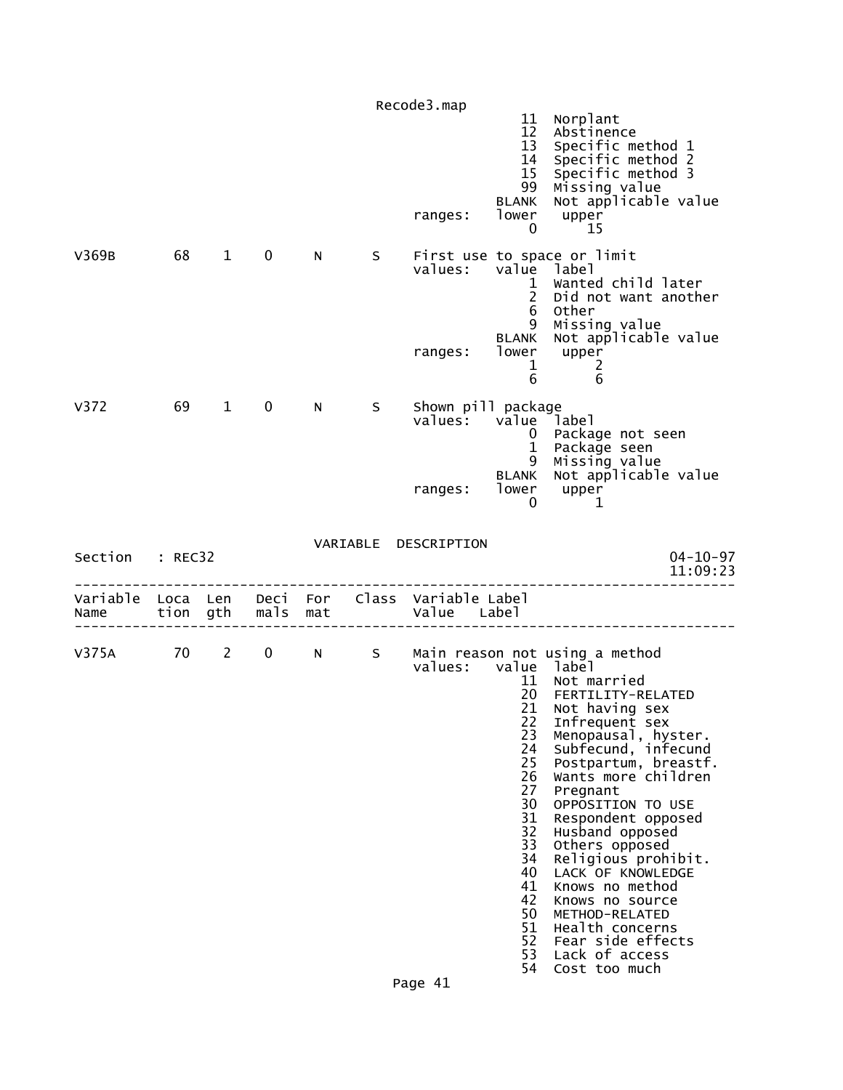|                  |    |              |               |     |    | Recode3.map                                                    |                                                                                                                                  |                                                                                                                                                                                                                                                                                                                                                                                                                                                                                |
|------------------|----|--------------|---------------|-----|----|----------------------------------------------------------------|----------------------------------------------------------------------------------------------------------------------------------|--------------------------------------------------------------------------------------------------------------------------------------------------------------------------------------------------------------------------------------------------------------------------------------------------------------------------------------------------------------------------------------------------------------------------------------------------------------------------------|
|                  |    |              |               |     |    | ranges:                                                        | 11<br>12 <sup>2</sup><br>13<br>14<br>15<br>99<br><b>BLANK</b><br>lower<br>0                                                      | Norplant<br>Abstinence<br>Specific method 1<br>Specific method 2<br>Specific method 3<br>Missing value<br>Not applicable value<br>upper<br>15                                                                                                                                                                                                                                                                                                                                  |
| V369B            | 68 | $1 \quad$    | 0             | N.  | S. | values:<br>ranges:                                             | value label<br>$\mathbf{1}$<br>$2^{\circ}$<br>6<br>9<br><b>BLANK</b><br>$\mathbf{1}$<br>6                                        | First use to space or limit<br>Wanted child later<br>Did not want another<br>Other<br>Missing value<br>Not applicable value<br>lower upper<br>$\overline{2}$<br>6                                                                                                                                                                                                                                                                                                              |
| V <sub>372</sub> | 69 | $\mathbf{1}$ | 0             | N.  | S. | Shown pill package<br>values: value label<br>ranges:           | $\overline{0}$<br>$\mathbf{1}$<br>9<br><b>BLANK</b><br>lower<br>0                                                                | Package not seen<br>Package seen<br>Missing value<br>Not applicable value<br>upper<br>1                                                                                                                                                                                                                                                                                                                                                                                        |
| Section : REC32  |    |              |               |     |    | VARIABLE DESCRIPTION                                           |                                                                                                                                  | $04 - 10 - 97$<br>11:09:23                                                                                                                                                                                                                                                                                                                                                                                                                                                     |
| Name             |    |              | tion gth mals | mat |    | Variable Loca Len Deci For Class Variable Label<br>Value Label |                                                                                                                                  |                                                                                                                                                                                                                                                                                                                                                                                                                                                                                |
| V375A 70 2 0 N S |    |              |               |     |    | values: value label                                            | 11<br>20<br>21<br>22<br>23<br>24<br>25<br>26<br>27<br>30<br>31<br>32<br>33<br>34<br>40<br>41<br>42<br>50<br>51<br>52<br>53<br>54 | Main reason not using a method<br>Not married<br>FERTILITY-RELATED<br>Not having sex<br>Infrequent sex<br>Menopausal, hyster.<br>Subfecund, infecund<br>Postpartum, breastf.<br>Wants more children<br>Pregnant<br>OPPOSITION TO USE<br>Respondent opposed<br>Husband opposed<br>Others opposed<br>Religious prohibit.<br>LACK OF KNOWLEDGE<br>Knows no method<br>Knows no source<br>METHOD-RELATED<br>Health concerns<br>Fear side effects<br>Lack of access<br>Cost too much |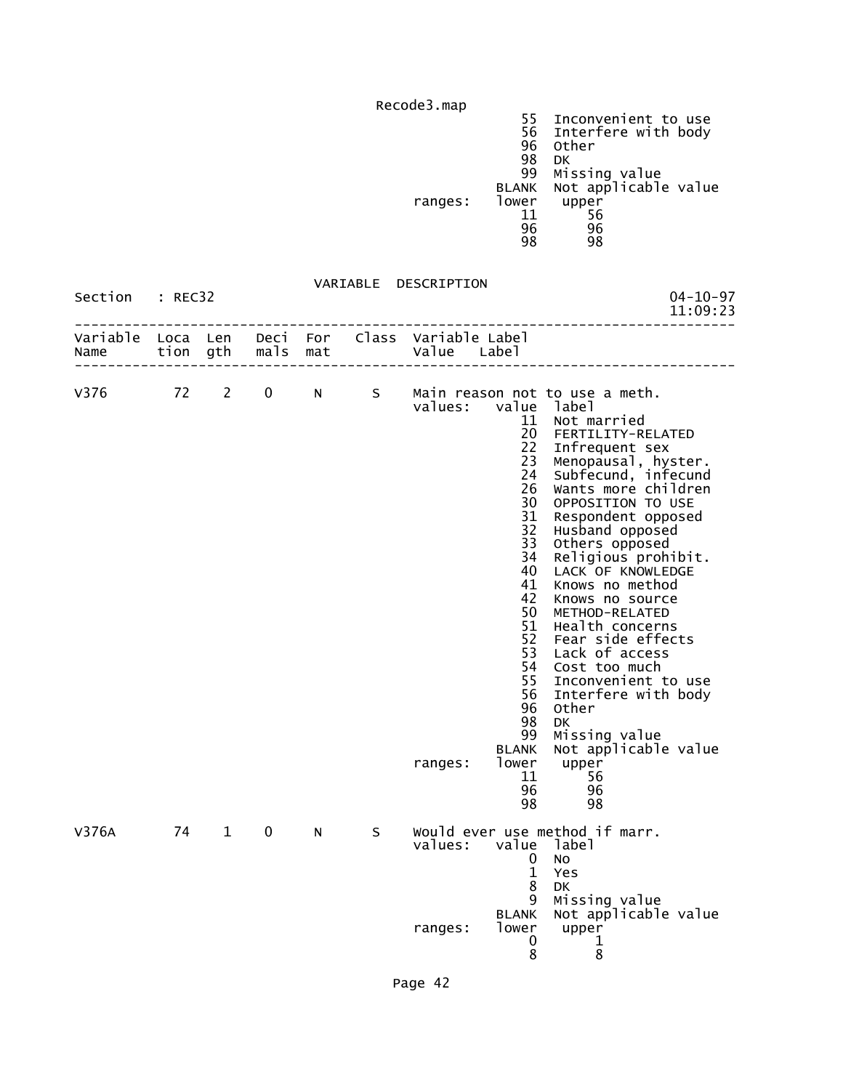|                  |                      |              |              |            |       | Recode3.map             |                                                                                                                                                                                                  |                                                                                                                                                                                                                                                                                                                                                                                                                                                                                                                                                                    |
|------------------|----------------------|--------------|--------------|------------|-------|-------------------------|--------------------------------------------------------------------------------------------------------------------------------------------------------------------------------------------------|--------------------------------------------------------------------------------------------------------------------------------------------------------------------------------------------------------------------------------------------------------------------------------------------------------------------------------------------------------------------------------------------------------------------------------------------------------------------------------------------------------------------------------------------------------------------|
|                  |                      |              |              |            |       | ranges:                 | 55<br>56<br>96<br>98<br>99<br><b>BLANK</b><br>lower<br>11<br>96<br>98                                                                                                                            | Inconvenient to use<br>Interfere with body<br>Other<br><b>DK</b><br>Missing value<br>Not applicable value<br>upper<br>56<br>96<br>98                                                                                                                                                                                                                                                                                                                                                                                                                               |
| Section          | : REC32              |              |              |            |       | VARIABLE DESCRIPTION    |                                                                                                                                                                                                  | $04 - 10 - 97$<br>11:09:23                                                                                                                                                                                                                                                                                                                                                                                                                                                                                                                                         |
| Variable<br>Name | Loca Len<br>tion gth |              | Deci<br>mals | For<br>mat | Class | Variable Label<br>Value | Label                                                                                                                                                                                            |                                                                                                                                                                                                                                                                                                                                                                                                                                                                                                                                                                    |
| V376             | 72                   | $\mathbf{2}$ | 0            | N -        | S.    | values:<br>ranges:      | value<br>11<br>20<br>22<br>23<br>24<br>26<br>30<br>31<br>32<br>33<br>34<br>40<br>41<br>42<br>50<br>51<br>52<br>53<br>54<br>55<br>56<br>96<br>98<br>99<br><b>BLANK</b><br>lower<br>11<br>96<br>98 | Main reason not to use a meth.<br>label<br>Not married<br>FERTILITY-RELATED<br>Infrequent sex<br>Menopausal, hyster.<br>Subfecund, infecund<br>Wants more children<br>OPPOSITION TO USE<br>Respondent opposed<br>Husband opposed<br>Others opposed<br>Religious prohibit.<br>LACK OF KNOWLEDGE<br>Knows no method<br>Knows no source<br>METHOD-RELATED<br>Health concerns<br>Fear side effects<br>Lack of access<br>Cost too much<br>Inconvenient to use<br>Interfere with body<br>Other<br>DK<br>Missing value<br>Not applicable value<br>upper<br>56<br>96<br>98 |
| V376A            | 74                   | $\mathbf{1}$ | $\mathbf 0$  | N          | S     | values:<br>ranges:      | value<br>0<br>$\mathbf{1}$<br>8<br>9<br><b>BLANK</b><br>lower<br>0<br>8                                                                                                                          | Would ever use method if marr.<br>label<br>No<br>Yes<br>DK<br>Missing value<br>Not applicable value<br>upper<br>1<br>8                                                                                                                                                                                                                                                                                                                                                                                                                                             |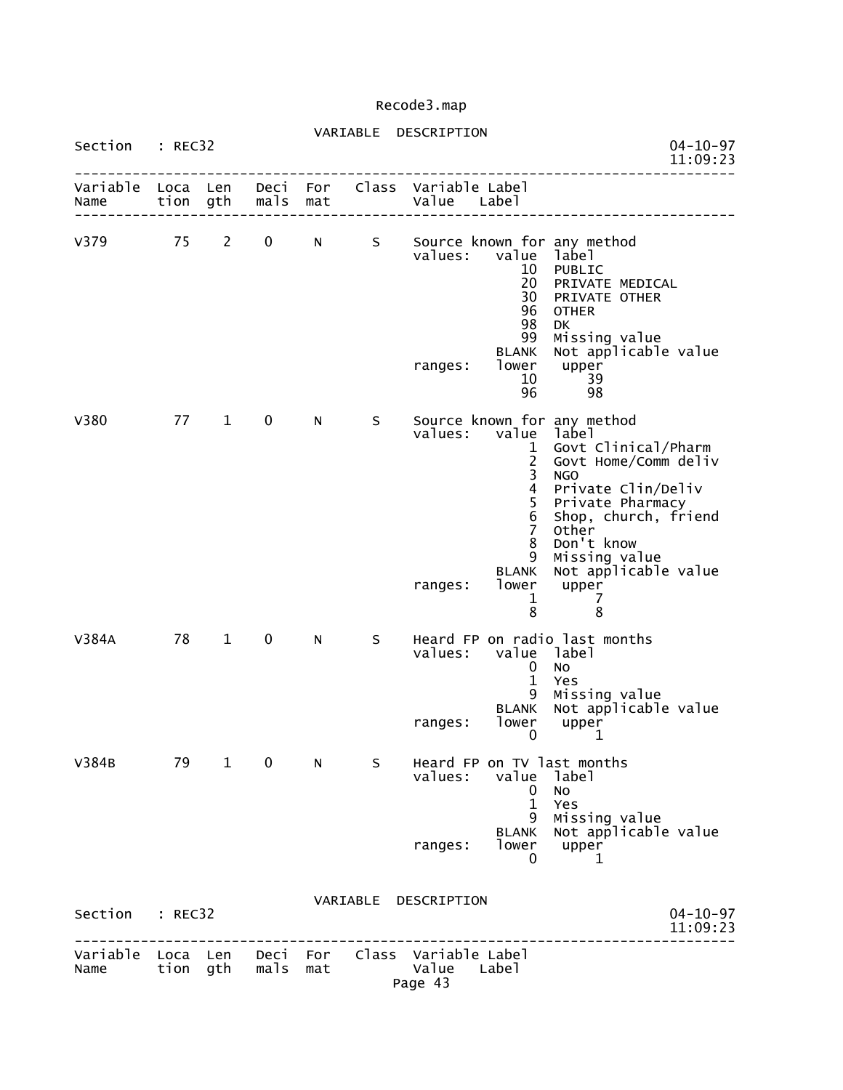## VARIABLE DESCRIPTION Section : REC32 04-10-97<br>11:09:23 11:09:23 11:09:23 -------------------------------------------------------------------------------- Variable Loca Len Deci For Class Variable Label Name tion gth mals mat Value Label -------------------------------------------------------------------------------- V379 75 2 0 N S Source known for any method values: value label **10 PUBLIC** PUBLIC **10 PUBLIC**  20 PRIVATE MEDICAL **30 PRIVATE MEDICA** 96 OTHER<br>98 DK en de la construction de la construction de la construction de la construction de la construction de la constr 99 Missing value BLANK Not applicable value<br>lower upper ranges: lower upper  $10$  39  $\sim$  96  $\sim$  98  $\sim$  98 V380 77 1 0 N S Source known for any method values: value label 1 Govt Clinical/Pharm 2 Govt Home/Comm deliv and the contract of the contract of the contract of the contract of the contract of the contract of the contract of the contract of the contract of the contract of the contract of the contract of the contract of the contra 4 Private Clin/Deliv 5 Private Pharmacy 6 Shop, church, friend 7 Other 8 Don't know 9 Missing value BLANK Not applicable value ranges: lower upper<br>1 7 1 7 entration of the state of the state of the state of the state of the state of the state of the state of the st V384A 78 1 0 N S Heard FP on radio last months values: value label 0 No 1 Yes 9 Missing value BLANK Not applicable value ranges: lower upper  $\sim$  0  $\sim$  1 V384B 79 1 0 N S Heard FP on TV last months<br>values: value label values: value label 0 No 1 Yes 9 Missing value BLANK Not applicable value ranges: lower upper<br>0 1  $\sim$  0  $\sim$  1 VARIABLE DESCRIPTION Section : REC32 04-10-97<br>11:09:23 11:09:23 11:09:23 -------------------------------------------------------------------------------- Variable Loca Len Deci For Class Variable Label Name tion gth mals mat Value Label Page 43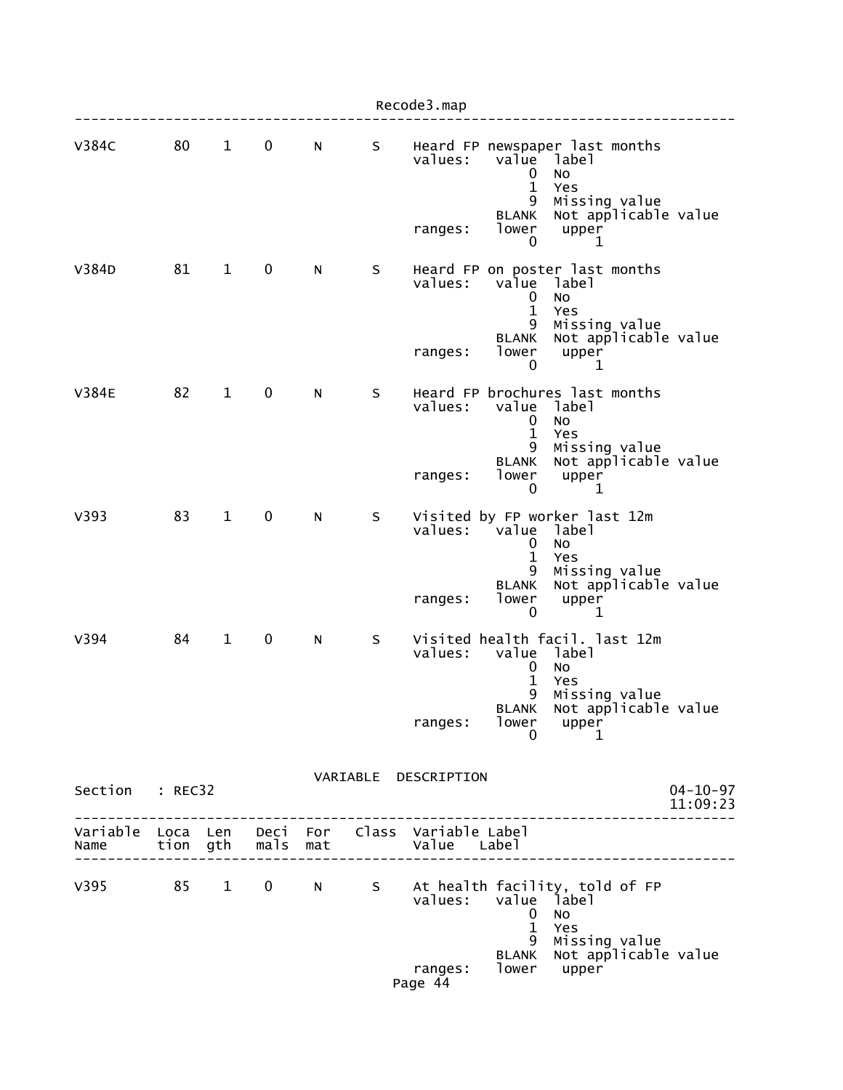|                           |    |              |                   |          |   | Recode3.map                                                                                                                                                                                                        |
|---------------------------|----|--------------|-------------------|----------|---|--------------------------------------------------------------------------------------------------------------------------------------------------------------------------------------------------------------------|
| <b>V384C</b>              | 80 | $\mathbf{1}$ | $\mathbf 0$       | N        | S | Heard FP newspaper last months<br>values:<br>value<br>label<br><b>NO</b><br>0<br>$\mathbf{1}$<br>Yes<br>Missing value<br>9<br>Not applicable value<br><b>BLANK</b><br>lower<br>upper<br>ranges:<br>0<br>1          |
| V384D                     | 81 | $\mathbf{1}$ | $\mathbf 0$       | N        | S | Heard FP on poster last months<br>values:<br>value<br>1abe1<br><b>NO</b><br>0<br>$\mathbf{1}$<br>Yes<br>Missing value<br>9<br>Not applicable value<br><b>BLANK</b><br>lower<br>upper<br>ranges:<br>0<br>1          |
| <b>V384E</b>              | 82 | $\mathbf{1}$ | 0                 | N        | S | Heard FP brochures last months<br>values:<br>value<br>label<br>$\mathbf 0$<br><b>NO</b><br>$\mathbf 1$<br>Yes<br>9<br>Missing value<br>Not applicable value<br><b>BLANK</b><br>lower<br>upper<br>ranges:<br>0<br>1 |
| V393                      | 83 | $\mathbf{1}$ | $\mathbf 0$       | N        | S | Visited by FP worker last 12m<br>values:<br>value<br>label<br>0<br>No<br>$\mathbf{1}$<br>Yes<br>9<br>Missing value<br>Not applicable value<br><b>BLANK</b><br>lower<br>ranges:<br>upper<br>0<br>1                  |
| V394                      | 84 | $\mathbf{1}$ | 0                 | N        | S | Visited health facil. last 12m<br>value label<br>values:<br>$\mathbf 0$<br>No<br>$\mathbf{1}$<br>Yes<br>9<br>Missing value<br>Not applicable value<br><b>BLANK</b><br>lower<br>ranges:<br>upper<br>0<br>1          |
| Section : REC32           |    |              |                   |          |   | VARIABLE DESCRIPTION<br>$04 - 10 - 97$<br>11:09:23                                                                                                                                                                 |
| Variable Loca Len<br>Name |    |              | tion gth mals mat | Deci For |   | Class Variable Label<br>Value Label                                                                                                                                                                                |
| v395 85                   |    | $1 \quad$    | $\mathbf 0$       | N        |   | S At health facility, told of FP<br>values:<br>value label<br><b>NO</b><br>$\bf{0}$<br>$\mathbf{1}$<br>Yes<br>9<br>Missing value<br>Not applicable value<br><b>BLANK</b><br>lower<br>ranges:<br>upper<br>Page 44   |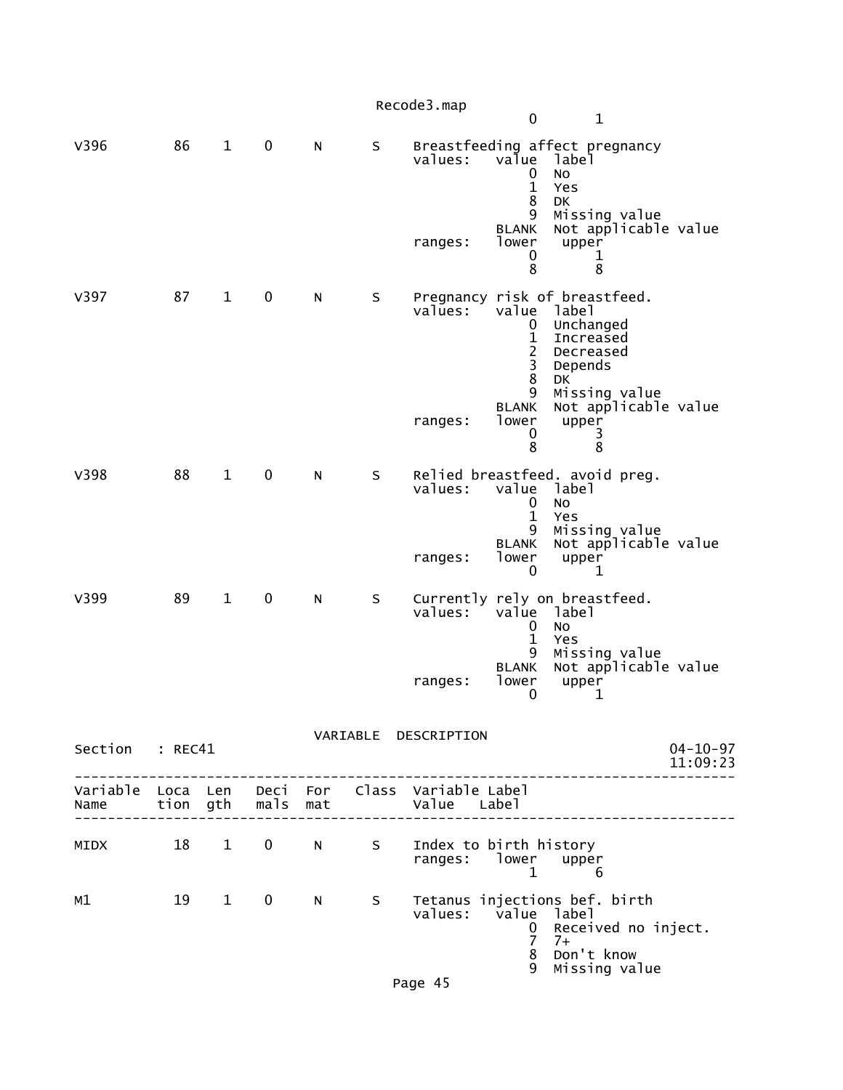|                 |    |              |                   |          |             | Recode3.map                                   | $\mathbf 0$                                                                                                                                 | $\mathbf{1}$                                                                                                                                               |                            |
|-----------------|----|--------------|-------------------|----------|-------------|-----------------------------------------------|---------------------------------------------------------------------------------------------------------------------------------------------|------------------------------------------------------------------------------------------------------------------------------------------------------------|----------------------------|
| V396            | 86 | $\mathbf{1}$ | $\mathbf 0$       | N        | S           | values:<br>ranges:                            | value<br>0<br>$\mathbf{1}$<br>8<br>9<br><b>BLANK</b><br>lower<br>0<br>8                                                                     | Breastfeeding affect pregnancy<br>label<br><b>NO</b><br>Yes<br>DK<br>Missing value<br>Not applicable value<br>upper<br>1<br>8                              |                            |
| V397            | 87 | $\mathbf{1}$ | 0                 | N        | S           | values:<br>ranges:                            | value<br>0<br>$\mathbf{1}$<br>$\overline{c}$<br>$\overline{\mathbf{3}}$<br>$\overline{8}$<br>9<br><b>BLANK</b><br>lower<br>$\mathbf 0$<br>8 | Pregnancy risk of breastfeed.<br>label<br>Unchanged<br>Increased<br>Decreased<br>Depends<br>DK<br>Missing value<br>Not applicable value<br>upper<br>3<br>8 |                            |
| V398            | 88 | $\mathbf{1}$ | $\pmb{0}$         | N        | S           | values:<br>ranges:                            | value<br>0<br>$\mathbf{1}$<br>9<br><b>BLANK</b><br>lower<br>0                                                                               | Relied breastfeed. avoid preg.<br>label<br>No<br>Yes<br>Missing value<br>Not applicable value<br>upper<br>$\mathbf 1$                                      |                            |
| V399            | 89 | $\mathbf{1}$ | $\pmb{0}$         | N        | $\sf S$     | values:<br>ranges:                            | value<br>0<br>$\mathbf{1}$<br>9<br><b>BLANK</b><br>lower<br>0                                                                               | Currently rely on breastfeed.<br>label<br>No<br>Yes<br>Missing value<br>Not applicable value<br>upper<br>1                                                 |                            |
| Section : REC41 |    |              |                   |          |             | VARIABLE DESCRIPTION                          |                                                                                                                                             |                                                                                                                                                            | $04 - 10 - 97$<br>11:09:23 |
|                 |    |              |                   |          |             |                                               |                                                                                                                                             | _____________                                                                                                                                              |                            |
| MIDX            |    | 18 1         | $0 \qquad \qquad$ | $N \sim$ | S           | Index to birth history<br>ranges: lower upper | $\mathbf{1}$                                                                                                                                | 6                                                                                                                                                          |                            |
| м1              |    | 19 1         | $\mathbf 0$       | N        | $S_{\perp}$ | values: value label<br>Page 45                | $\mathbf 0$<br>$\overline{7}$<br>8<br>9                                                                                                     | Tetanus injections bef. birth<br>Received no inject.<br>$7+$<br>Don't know<br>Missing value                                                                |                            |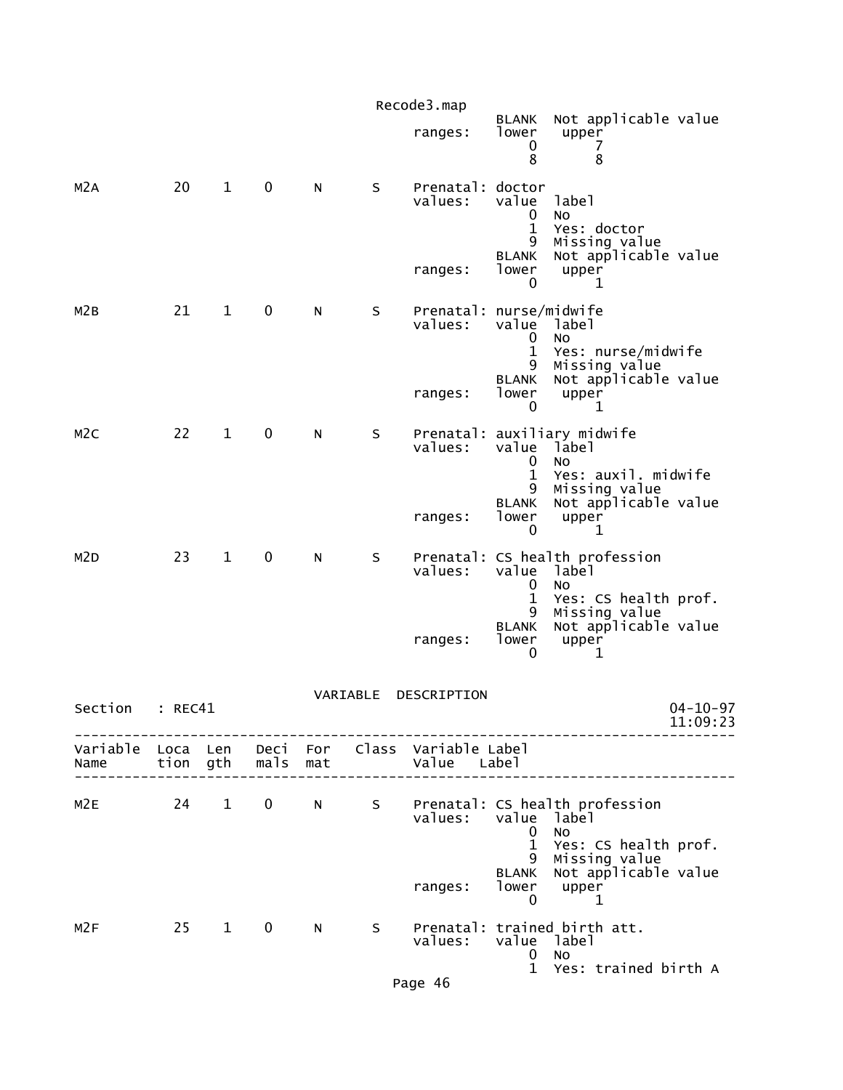|                  |         |                        |                   |                                                                                                                                                                                                                                |             | Recode3.map                                                    |                                                   |                                                                                               |                            |
|------------------|---------|------------------------|-------------------|--------------------------------------------------------------------------------------------------------------------------------------------------------------------------------------------------------------------------------|-------------|----------------------------------------------------------------|---------------------------------------------------|-----------------------------------------------------------------------------------------------|----------------------------|
|                  |         |                        |                   |                                                                                                                                                                                                                                |             | ranges:                                                        | <b>BLANK</b><br>lower<br>0<br>8                   | Not applicable value<br>upper<br>7<br>8                                                       |                            |
| M <sub>2</sub> A | 20      | $\mathbf{1}$           | 0                 | N                                                                                                                                                                                                                              | S           | Prenatal: doctor<br>values:                                    | value<br>$\mathbf 0$<br>1<br>9<br><b>BLANK</b>    | label<br><b>NO</b><br>Yes: doctor<br>Missing value<br>Not applicable value                    |                            |
|                  |         |                        |                   |                                                                                                                                                                                                                                |             | ranges:                                                        | lower<br>0                                        | upper<br>1                                                                                    |                            |
| M <sub>2</sub> B | 21      | $\mathbf{1}$           | 0                 | N                                                                                                                                                                                                                              | S           | Prenatal: nurse/midwife<br>values:                             | value<br>0<br>$\mathbf 1$                         | label<br>NO<br>Yes: nurse/midwife                                                             |                            |
|                  |         |                        |                   |                                                                                                                                                                                                                                |             | ranges:                                                        | 9<br><b>BLANK</b><br>lower<br>0                   | Missing value<br>Not applicable value<br>upper<br>1                                           |                            |
| M <sub>2</sub> C | 22      | $\mathbf 1$            | 0                 | N                                                                                                                                                                                                                              | S           | Prenatal:<br>values:                                           | value<br>$\mathbf 0$<br>$\mathbf 1$               | auxiliary midwife<br>label<br>NO<br>Yes: auxil. midwife                                       |                            |
|                  |         |                        |                   |                                                                                                                                                                                                                                |             | ranges:                                                        | 9<br><b>BLANK</b><br>lower<br>0                   | Missing value<br>Not applicable value<br>upper<br>1                                           |                            |
| M <sub>2</sub> D | 23      | $\mathbf{1}$           | 0                 | N                                                                                                                                                                                                                              | S           | values:                                                        | value<br>0<br>$\mathbf 1$<br>9                    | Prenatal: CS health profession<br>label<br><b>NO</b><br>Yes: CS health prof.<br>Missing value |                            |
|                  |         |                        |                   |                                                                                                                                                                                                                                |             | ranges:                                                        | <b>BLANK</b><br>lower<br>0                        | Not applicable value<br>upper<br>1                                                            |                            |
| Section          | : REC41 |                        |                   |                                                                                                                                                                                                                                | VARIABLE    | DESCRIPTION                                                    |                                                   |                                                                                               | $04 - 10 - 97$<br>11:09:23 |
| Name             |         |                        | tion gth mals mat |                                                                                                                                                                                                                                |             | Variable Loca Len Deci For Class Variable Label<br>Value Label |                                                   |                                                                                               |                            |
| M2E              | 24      | $1 \quad \blacksquare$ | $\mathbf 0$       |                                                                                                                                                                                                                                |             | values:                                                        | value label<br>0                                  | N S Prenatal: CS health profession<br>No.                                                     |                            |
|                  |         |                        |                   |                                                                                                                                                                                                                                |             | ranges:                                                        | $\mathbf{1}$<br>9<br><b>BLANK</b><br>$\mathbf{0}$ | Yes: CS health prof.<br>Missing value<br>Not applicable value<br>lower upper<br>$\mathbf 1$   |                            |
| M2F              | 25      | $1 \quad$              | $\mathbf{0}$      | N and the set of the set of the set of the set of the set of the set of the set of the set of the set of the set of the set of the set of the set of the set of the set of the set of the set of the set of the set of the set | $S_{\perp}$ | values:                                                        | value label<br>$\mathbf 0$                        | Prenatal: trained birth att.<br>No                                                            |                            |
|                  |         |                        |                   |                                                                                                                                                                                                                                |             | Page 46                                                        |                                                   | 1 Yes: trained birth A                                                                        |                            |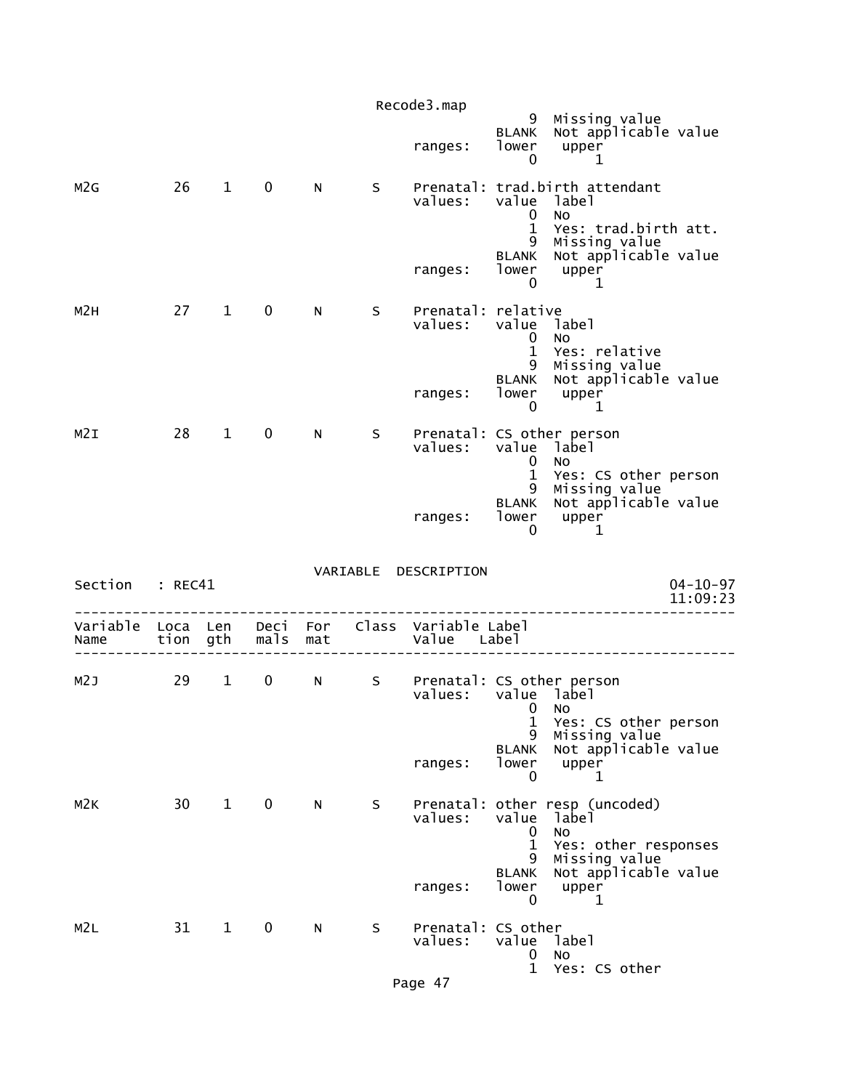|                  |                 |                        |                   |          |             | Recode3.map                                                                                                                                                       |                                                     |                                                                                              |
|------------------|-----------------|------------------------|-------------------|----------|-------------|-------------------------------------------------------------------------------------------------------------------------------------------------------------------|-----------------------------------------------------|----------------------------------------------------------------------------------------------|
|                  |                 |                        |                   |          |             | ranges:                                                                                                                                                           | 9<br><b>BLANK</b><br>lower<br>0                     | Missing value<br>Not applicable value<br>upper<br>1                                          |
| M2G              |                 | $26 \qquad 1$          | $\mathbf 0$       | N        | S.          | values:                                                                                                                                                           | $\mathbf{0}$<br>$\mathbf{1}$                        | Prenatal: trad.birth attendant<br>value label<br><b>NO</b><br>Yes: trad.birth att.           |
|                  |                 |                        |                   |          |             | ranges:                                                                                                                                                           | lower<br>$\mathbf 0$                                | 9 Missing value<br>BLANK Not applicable value<br>upper<br>$\overline{\phantom{1}}$ 1         |
| M <sub>2</sub> H | 27              | $\mathbf{1}$           | $\mathbf 0$       | N        | S.          | Prenatal: relative<br>values:                                                                                                                                     | value label<br>0<br>$\mathbf{1}$                    | No<br>Yes: relative                                                                          |
|                  |                 |                        |                   |          |             | ranges:                                                                                                                                                           | lower<br>$\mathbf 0$                                | 9 Missing value<br>BLANK Not applicable value<br>upper<br>1                                  |
| M2I              | 28              | $1 \quad$              | $\mathbf 0$       | N.       | S.          | Prenatal: CS other person<br>values:                                                                                                                              | 0                                                   | value label<br><b>NO</b>                                                                     |
|                  |                 |                        |                   |          |             | ranges:                                                                                                                                                           | $\mathbf{1}$<br>lower<br>0                          | Yes: CS other person<br>9 Missing value<br>BLANK Not applicable value<br>upper<br>1          |
|                  |                 |                        |                   |          |             | VARIABLE DESCRIPTION                                                                                                                                              |                                                     | $04 - 10 - 97$                                                                               |
|                  | Section : REC41 |                        |                   |          |             |                                                                                                                                                                   |                                                     |                                                                                              |
|                  |                 |                        |                   |          |             |                                                                                                                                                                   |                                                     | 11:09:23                                                                                     |
| Variable<br>Name | Loca Len        |                        | tion gth mals mat | Deci For |             | Class Variable Label<br>Value Label                                                                                                                               |                                                     |                                                                                              |
| M2J              | 29              | $1 \quad$              | $\mathbf 0$       | N        | $S$ and $S$ | Prenatal: CS other person<br>values: value label<br>and the contract of the North States of the North States of the North States of the North States of the North |                                                     |                                                                                              |
|                  |                 |                        |                   |          |             | ranges:                                                                                                                                                           | 1<br>9<br><b>BLANK</b><br>lower<br>0                | Yes: CS other person<br>Missing value<br>Not applicable value<br>upper<br>1                  |
| M <sub>2K</sub>  | 30 <sup>7</sup> | $1 \quad \blacksquare$ | $\mathbf 0$       | N        | S.          | values:                                                                                                                                                           | value                                               | Prenatal: other resp (uncoded)<br>label                                                      |
|                  |                 |                        |                   |          |             | ranges:                                                                                                                                                           | 0<br>$\mathbf 1$<br>9<br><b>BLANK</b><br>lower<br>0 | No<br>Yes: other responses<br>Missing value<br>Not applicable value<br>upper<br>$\mathbf{1}$ |
| M2L              | 31              | $\mathbf{1}$           | $\mathbf 0$       | N        | S           | Prenatal: CS other<br>values:                                                                                                                                     | value<br>0<br>$\mathbf{1}$                          | label<br>NO<br>Yes: CS other                                                                 |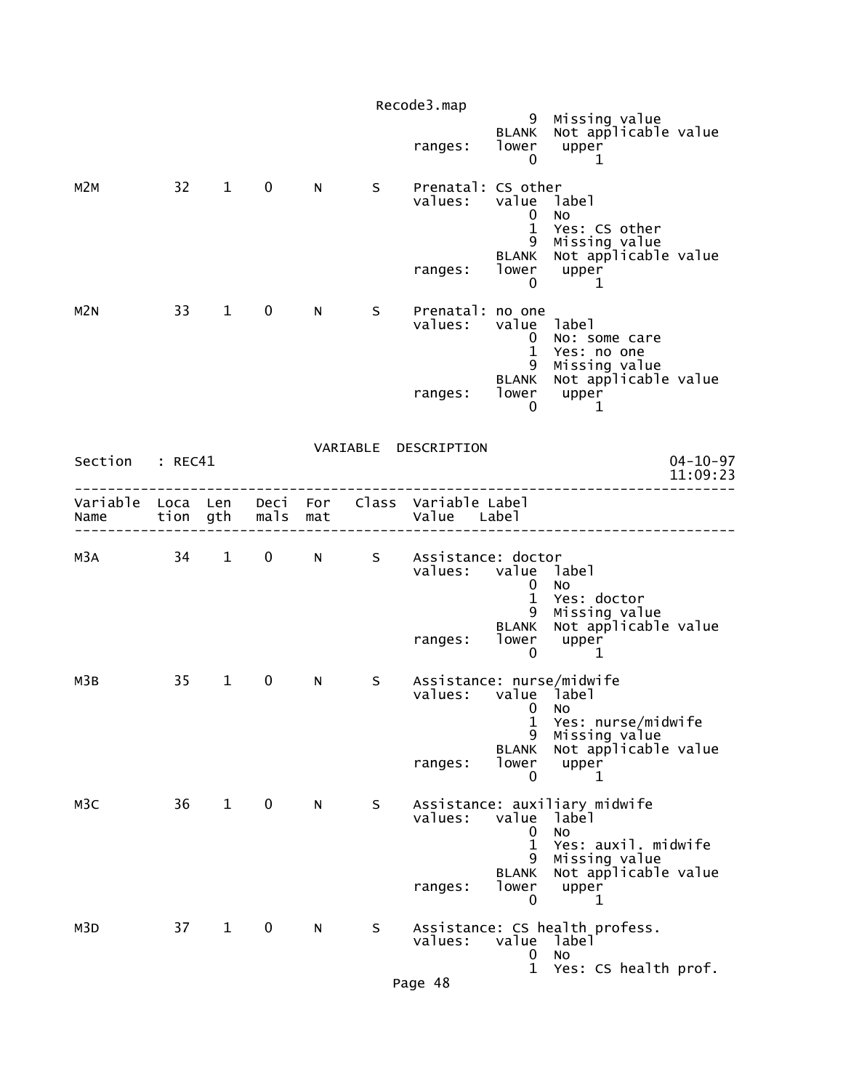|                  |                  |                        |              |            |    | Recode3.map                                          |                                                                                    |                                                                                                                            |                            |
|------------------|------------------|------------------------|--------------|------------|----|------------------------------------------------------|------------------------------------------------------------------------------------|----------------------------------------------------------------------------------------------------------------------------|----------------------------|
|                  |                  |                        |              |            |    | ranges:                                              | 9<br><b>BLANK</b><br>lower<br>$\mathbf 0$                                          | Missing value<br>Not applicable value<br>upper<br>1                                                                        |                            |
| M2M              | $32 -$           | $1 \quad$              | $\mathbf 0$  | N          | S. | Prenatal: CS other<br>values:<br>ranges:             | value label<br>0<br>$\mathbf{1}$<br>9<br><b>BLANK</b><br>lower<br>0                | <b>NO</b><br>Yes: CS other<br>Missing value<br>Not applicable value<br>upper<br>1                                          |                            |
| M <sub>2N</sub>  | 33               | 1                      | $\mathbf 0$  | N.         | S. | Prenatal: no one<br>values:                          | value label<br>0<br>$\mathbf{1}$                                                   | No: some care<br>Yes: no one                                                                                               |                            |
|                  |                  |                        |              |            |    | ranges:                                              | 9<br><b>BLANK</b><br>lower<br>0                                                    | Missing value<br>Not applicable value<br>upper<br>1                                                                        |                            |
| Section          | : REC41          |                        |              |            |    | VARIABLE DESCRIPTION                                 |                                                                                    |                                                                                                                            | $04 - 10 - 97$<br>11:09:23 |
| Variable<br>Name | Loca Len<br>tion | gth                    | Deci<br>mals | For<br>mat |    | Class Variable Label<br>Value Label                  |                                                                                    |                                                                                                                            |                            |
| м3а              | 34               | $1 \quad$              | $\mathbf 0$  | N          | S  | Assistance: doctor<br>values: value label<br>ranges: | 0<br>$\mathbf{1}$<br>9<br><b>BLANK</b><br>lower                                    | <b>NO</b><br>Yes: doctor<br>Missing value<br>Not applicable value<br>upper                                                 |                            |
| мЗв              | 35               | $\mathbf{1}$           | $\mathbf 0$  | N          | S  | Assistance: nurse/midwife<br>values:<br>ranges:      | $\mathbf 0$<br>value label<br>$\mathbf{0}$<br>1<br>9<br><b>BLANK</b><br>lower<br>0 | 1<br>NO<br>Yes: nurse/midwife<br>Missing value<br>Not applicable value<br>upper<br>1                                       |                            |
| M <sub>3</sub> C | 36               | $1 \quad \blacksquare$ | $\mathbf 0$  | N          | S  | values:<br>ranges:                                   | value<br>0<br>$\mathbf 1$<br>9<br><b>BLANK</b><br>lower<br>0                       | Assistance: auxiliary midwife<br>label<br>No<br>Yes: auxil. midwife<br>Missing value<br>Not applicable value<br>upper<br>1 |                            |
| M3D              | 37               | $\mathbf{1}$           | 0            | N          | S  | values:                                              | value<br>0                                                                         | Assistance: CS health profess.<br>label<br>No                                                                              |                            |
|                  |                  |                        |              |            |    | Page 48                                              | $\mathbf{1}$                                                                       | Yes: CS health prof.                                                                                                       |                            |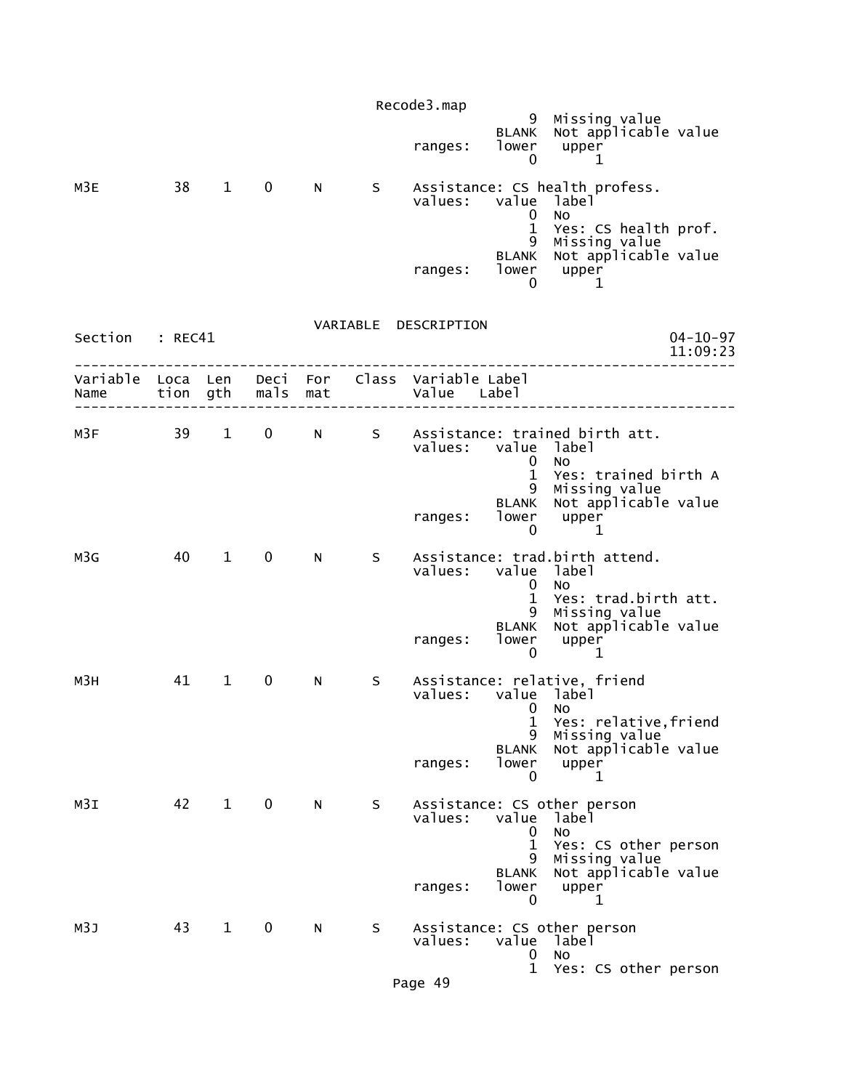|                 |        |                        |                   |    |     | Recode3.map                                                    |                                        |                                                                                                                      |
|-----------------|--------|------------------------|-------------------|----|-----|----------------------------------------------------------------|----------------------------------------|----------------------------------------------------------------------------------------------------------------------|
|                 |        |                        |                   |    |     | ranges:                                                        | 0                                      | 9 Missing value<br>BLANK Not applicable value<br>lower upper<br>1                                                    |
| M3E             | 38 1 0 |                        |                   | N  |     | values: value label                                            | 0<br>$\mathbf{1}$                      | s Assistance: CS health profess.<br><b>NO</b><br>Yes: CS health prof.<br>9 Missing value                             |
|                 |        |                        |                   |    |     | ranges:                                                        | 0                                      | BLANK Not applicable value<br>$1$ ower upper<br>-1                                                                   |
| Section : REC41 |        |                        |                   |    |     | VARIABLE DESCRIPTION                                           |                                        | $04 - 10 - 97$<br>11:09:23                                                                                           |
| Name            |        |                        | tion gth mals mat |    |     | Variable Loca Len Deci For Class Variable Label<br>Value Label |                                        |                                                                                                                      |
| M3F             |        |                        |                   |    |     | values: value label                                            | $\mathbf{0}$                           | 39 1 0 N S Assistance: trained birth att.<br><b>NO</b><br>1 Yes: trained birth A                                     |
|                 |        |                        |                   |    |     | ranges:                                                        | lower upper<br>0                       | 9 Missing value<br>BLANK Not applicable value<br>$\mathbf{1}$                                                        |
| M3G             | 40     | $1 \quad \Box$         | $\mathbf 0$       | N  | S - | values: value label                                            | 0<br>$\mathbf{1}$                      | Assistance: trad.birth attend.<br><b>NO</b><br>Yes: trad.birth att.<br>9 Missing value<br>BLANK Not applicable value |
|                 |        |                        |                   |    |     | ranges:                                                        | $\mathbf 0$                            | $1$ ower upper<br>1                                                                                                  |
| мЗн             | 41     | $1 \quad$              | $\mathbf 0$       | N, | S   | values: value label                                            | $\mathbf{0}$<br>1<br>9<br><b>BLANK</b> | Assistance: relative, friend<br>NO.<br>Yes: relative,friend<br>Missing value<br>Not applicable value                 |
|                 |        |                        |                   |    |     | ranges:                                                        | lower<br>0                             | upper<br>1                                                                                                           |
| M3I             | 42     | $1 \quad \blacksquare$ | $\mathbf 0$       | N. | S   | values:                                                        | value<br>0<br>$\mathbf 1$<br>9         | Assistance: CS other person<br>label<br>No<br>Yes: CS other person<br>Missing value                                  |
|                 |        |                        |                   |    |     | ranges:                                                        | <b>BLANK</b><br>lower<br>0             | Not applicable value<br>upper<br>1                                                                                   |
| M3J             | 43     | $\mathbf{1}$           | $\mathbf 0$       | N. | S   | values:                                                        | value<br>0                             | Assistance: CS other person<br>label<br>No                                                                           |
|                 |        |                        |                   |    |     | Page 49                                                        | $\mathbf 1$                            | Yes: CS other person                                                                                                 |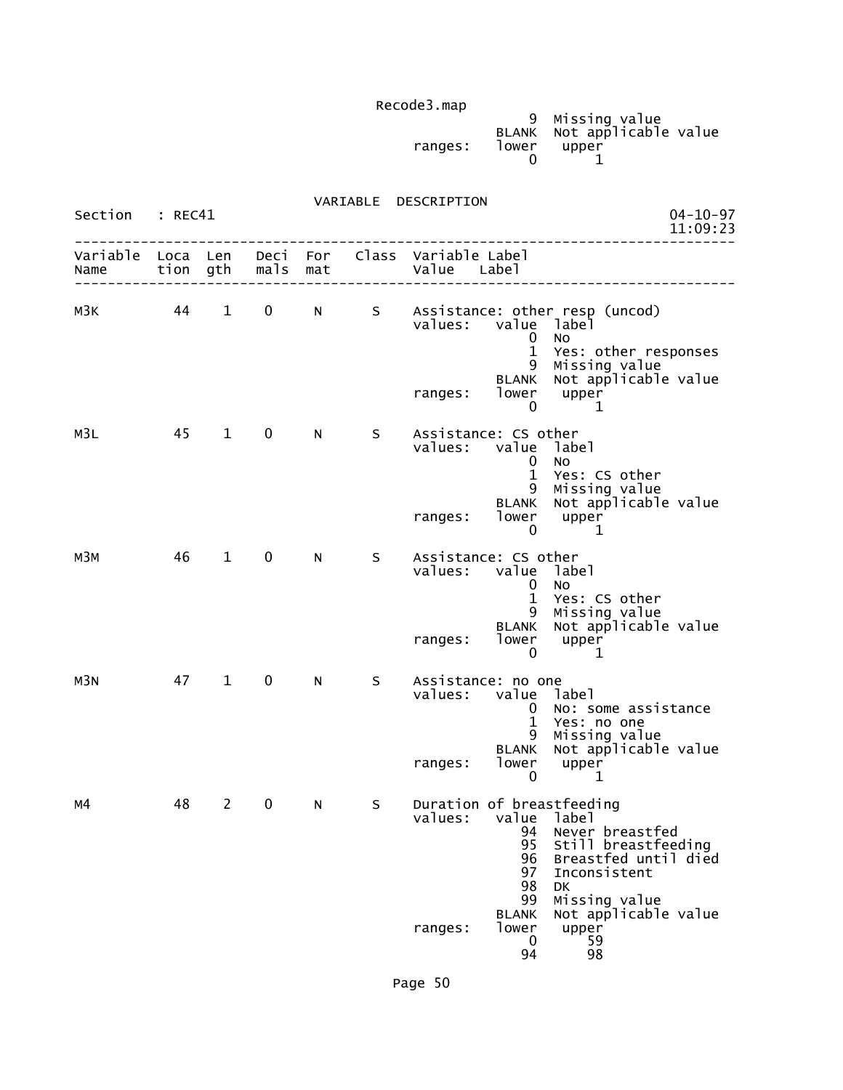| Recodes.map |       |                                                        |
|-------------|-------|--------------------------------------------------------|
| ranges:     | lower | 9 Missing value<br>BLANK Not applicable value<br>upper |

# VARIABLE DESCRIPTION

| Section          | : REC41  |                        |                   |     |    |                                                                                                                                                                                                                                                                                                  |  |
|------------------|----------|------------------------|-------------------|-----|----|--------------------------------------------------------------------------------------------------------------------------------------------------------------------------------------------------------------------------------------------------------------------------------------------------|--|
| Variable<br>Name | Loca Len |                        | tion gth mals     | mat |    | Deci For Class Variable Label<br>Value Label                                                                                                                                                                                                                                                     |  |
| мЗк              | 44       | $1 \quad \blacksquare$ | $0 \qquad \qquad$ |     |    | N S Assistance: other resp (uncod)<br>value label<br>values:<br><b>NO</b><br>0<br>$\mathbf{1}$<br>Yes: other responses<br>9 Missing value<br>BLANK Not applicable value<br>lower upper<br>ranges:<br>0<br>1                                                                                      |  |
| M3L              | 45       | $\mathbf{1}$           | $\mathbf 0$       | N   | S. | Assistance: CS other<br>values: value label<br>No<br>0<br>$\mathbf{1}$<br>Yes: CS other<br>9 Missing value<br>BLANK Not applicable value<br>lower upper<br>ranges:<br>0<br>1                                                                                                                     |  |
| мЗм              | 46       | $1 \quad \blacksquare$ | $\mathbf 0$       | N   | S  | Assistance: CS other<br>value label<br>values:<br>No<br>$\mathbf{0}$<br>$\mathbf{1}$<br>Yes: CS other<br>9 Missing value<br>BLANK Not applicable value<br>lower upper<br>ranges:<br>0<br>1                                                                                                       |  |
| M3N              | 47       | $1 \quad$              | $\mathbf 0$       | N   | S. | Assistance: no one<br>values: value label<br>No: some assistance<br>$\mathbf{0}$<br>$\mathbf{1}$<br>Yes: no one<br>9 Missing value<br>BLANK Not applicable value<br>lower upper<br>ranges:<br>0<br>1                                                                                             |  |
| м4               | 48       | $\mathbf{2}$           | $\mathbf 0$       | N   | S. | Duration of breastfeeding<br>values: value label<br>Never breastfed<br>94<br>Still breastfeeding<br>95<br>Breastfed until died<br>96<br>Inconsistent<br>97<br>98<br><b>DK</b><br>99<br>Missing value<br>Not applicable value<br><b>BLANK</b><br>lower<br>upper<br>ranges:<br>0<br>59<br>94<br>98 |  |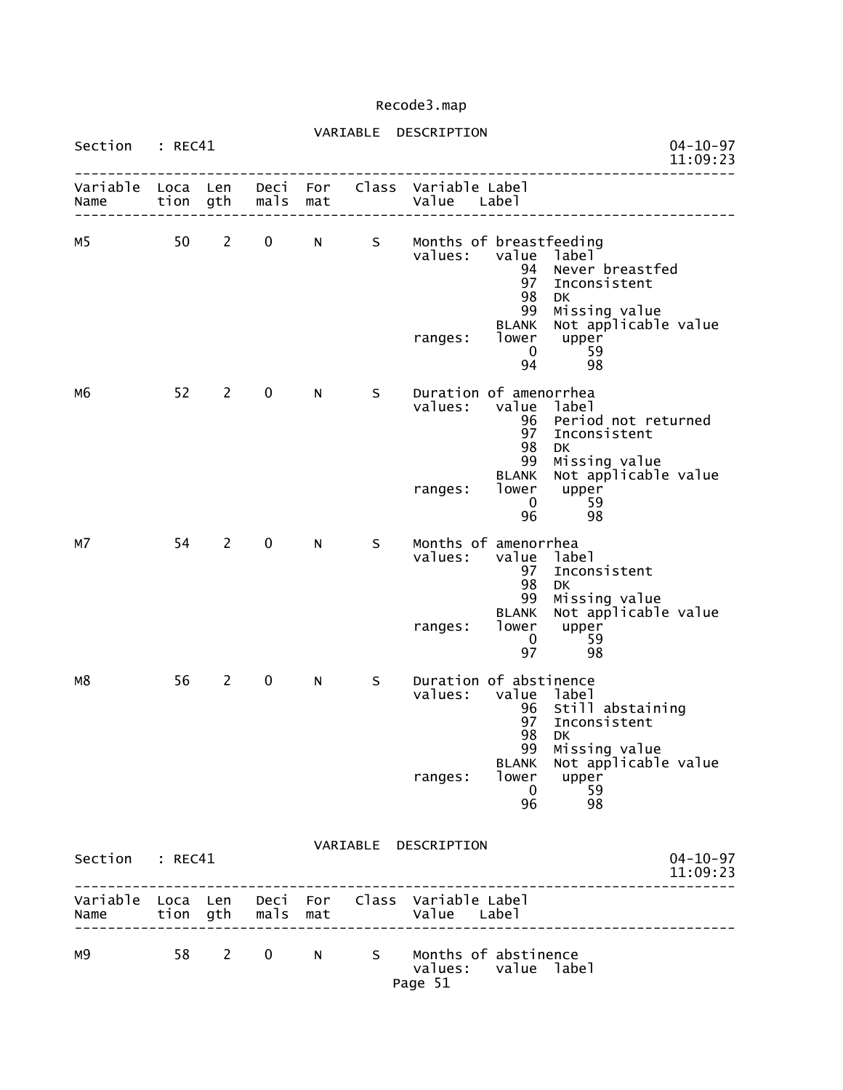### VARIABLE DESCRIPTION Section : REC41 **DESCRIPTION** 04-10-97

|                  |          |                |              |            |   | . <i>.</i><br>11:09:23                                                                                                                                                                                                                              |
|------------------|----------|----------------|--------------|------------|---|-----------------------------------------------------------------------------------------------------------------------------------------------------------------------------------------------------------------------------------------------------|
| Variable<br>Name | Loca Len | tion gth       | Deci<br>mals | For<br>mat |   | Class Variable Label<br>Value Label                                                                                                                                                                                                                 |
| м5               | 50       | $\overline{2}$ | $\mathbf 0$  | N.         | S | Months of breastfeeding<br>value<br>values:<br>label<br>94<br>Never breastfed<br>97<br>Inconsistent<br>98<br><b>DK</b><br>99<br>Missing value<br>Not applicable value<br><b>BLANK</b><br>lower<br>upper<br>ranges:<br>59<br>$\mathbf 0$<br>94<br>98 |
| м6               | 52       | 2              | $\mathbf 0$  | N.         | S | Duration of amenorrhea<br>values:<br>value<br>label<br>96<br>Period not returned<br>97<br>Inconsistent<br>98<br>DK<br>99<br>Missing value<br>Not applicable value<br><b>BLANK</b><br>lower<br>upper<br>ranges:<br>$\mathbf{0}$<br>59<br>96<br>98    |
| м7               | 54       | $\overline{2}$ | $\mathbf 0$  | N          | S | Months of amenorrhea<br>values:<br>value<br>label<br>97<br>Inconsistent<br>98<br><b>DK</b><br>99<br>Missing value<br>Not applicable value<br><b>BLANK</b><br>lower<br>upper<br>ranges:<br>59<br>0<br>97<br>98                                       |
| M8               | 56       | $\overline{2}$ | $\mathbf 0$  | N          | S | Duration of abstinence<br>values:<br>value label<br>Still abstaining<br>96<br>97<br>Inconsistent<br>98<br>DK<br>99<br>Missing value<br>Not applicable value<br><b>BLANK</b><br>lower<br>ranges:<br>upper<br>59<br>- 0<br>96<br>98                   |
| Section : REC41  |          |                |              |            |   | VARIABLE DESCRIPTION<br>$04 - 10 - 97$<br>11:09:23                                                                                                                                                                                                  |
| Name             |          | tion gth       | mals         | mat        |   | Variable Loca Len Deci For Class Variable Label<br>Value Label                                                                                                                                                                                      |
| м9               | 58       | $2^{\sim}$     | $\mathbf 0$  | N          |   | S Months of abstinence<br>values:<br>value label<br>Page 51                                                                                                                                                                                         |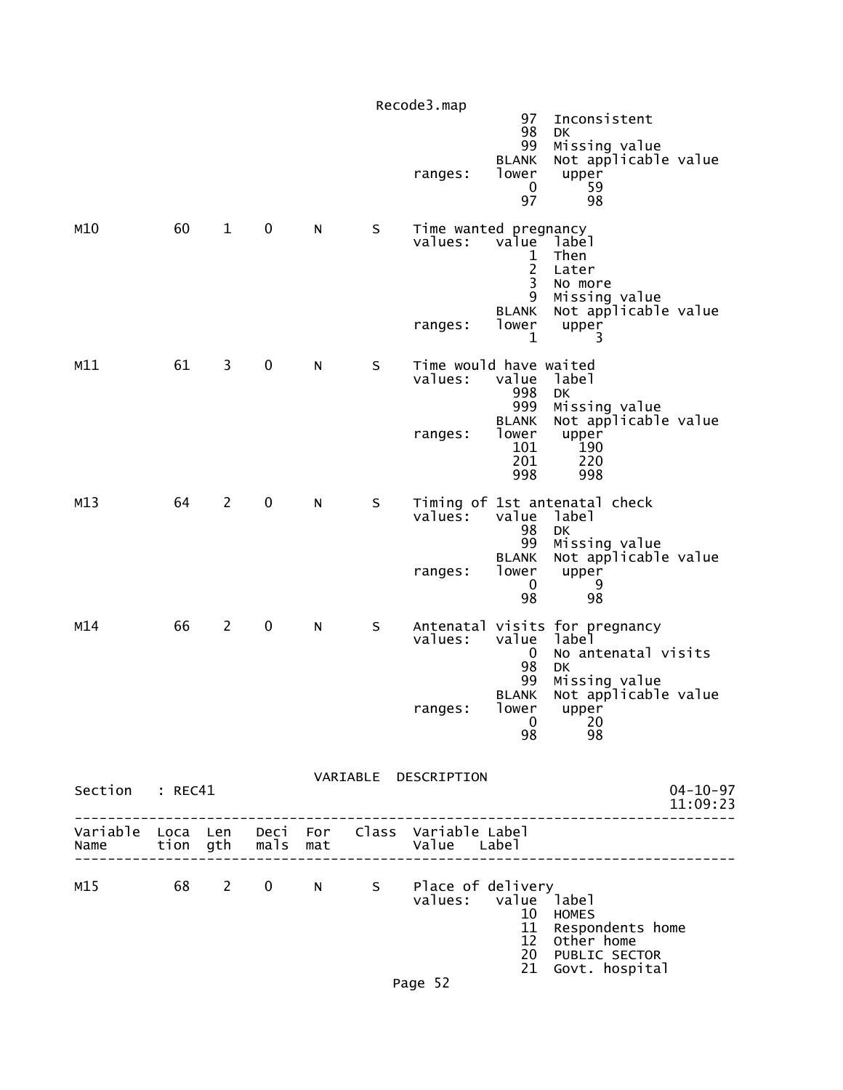|                           |    |                         |             |     |         | Page 52                                      | 12 <sup>2</sup><br>20<br>21                                     | Other home<br>PUBLIC SECTOR<br>Govt. hospital                                           |  |
|---------------------------|----|-------------------------|-------------|-----|---------|----------------------------------------------|-----------------------------------------------------------------|-----------------------------------------------------------------------------------------|--|
| M15                       | 68 | $\mathbf{2}$            | $\mathbf 0$ | N - |         | s Place of delivery<br>values: value label   | 10<br>11                                                        | <b>HOMES</b><br>Respondents home                                                        |  |
| Variable Loca Len<br>Name |    | tion gth                | mals        | mat |         | Deci For Class Variable Label<br>Value Label |                                                                 |                                                                                         |  |
| Section : REC41           |    |                         |             |     |         | VARIABLE DESCRIPTION                         |                                                                 | $04 - 10 - 97$<br>11:09:23                                                              |  |
|                           |    |                         |             |     |         | ranges:                                      | 99<br><b>BLANK</b><br>lower<br>0<br>98                          | Missing value<br>Not applicable value<br>upper<br>20<br>98                              |  |
| M14                       | 66 | $\overline{2}$          | $\pmb{0}$   | N   | S       | values:                                      | value<br>$\bf{0}$<br>98                                         | Antenatal visits for pregnancy<br>labe <sup>1</sup><br>No antenatal visits<br><b>DK</b> |  |
|                           |    |                         |             |     |         | ranges:                                      | 99<br><b>BLANK</b><br>lower<br>0<br>98                          | Missing value<br>Not applicable value<br>upper<br>9<br>98                               |  |
| M13                       | 64 | $\overline{2}$          | $\mathbf 0$ | N   | S       | values:                                      | value<br>98                                                     | Timing of 1st antenatal check<br>label<br>DK                                            |  |
|                           |    |                         |             |     |         | ranges:                                      | 998<br>999<br><b>BLANK</b><br>lower<br>101<br>201<br>998        | <b>DK</b><br>Missing value<br>Not applicable value<br>upper<br>190<br>220<br>998        |  |
| M11                       | 61 | $\overline{\mathbf{3}}$ | $\pmb{0}$   | N   | $\sf S$ | Time would have waited<br>values:            | 1<br>value                                                      | 3<br>label                                                                              |  |
| M10                       | 60 | $\mathbf{1}$            | $\pmb{0}$   | N   | S       | Time wanted pregnancy<br>values:<br>ranges:  | value<br>1<br>$\overline{c}$<br>3<br>9<br><b>BLANK</b><br>lower | label<br>Then<br>Later<br>No more<br>Missing value<br>Not applicable value<br>upper     |  |
|                           |    |                         |             |     |         | ranges:                                      | <b>BLANK</b><br>lower<br>0<br>97                                | Not applicable value<br>upper<br>59<br>98                                               |  |
|                           |    |                         |             |     |         | Recode3.map                                  | 97<br>98<br>99                                                  | Inconsistent<br>DK<br>Missing value                                                     |  |
|                           |    |                         |             |     |         |                                              |                                                                 |                                                                                         |  |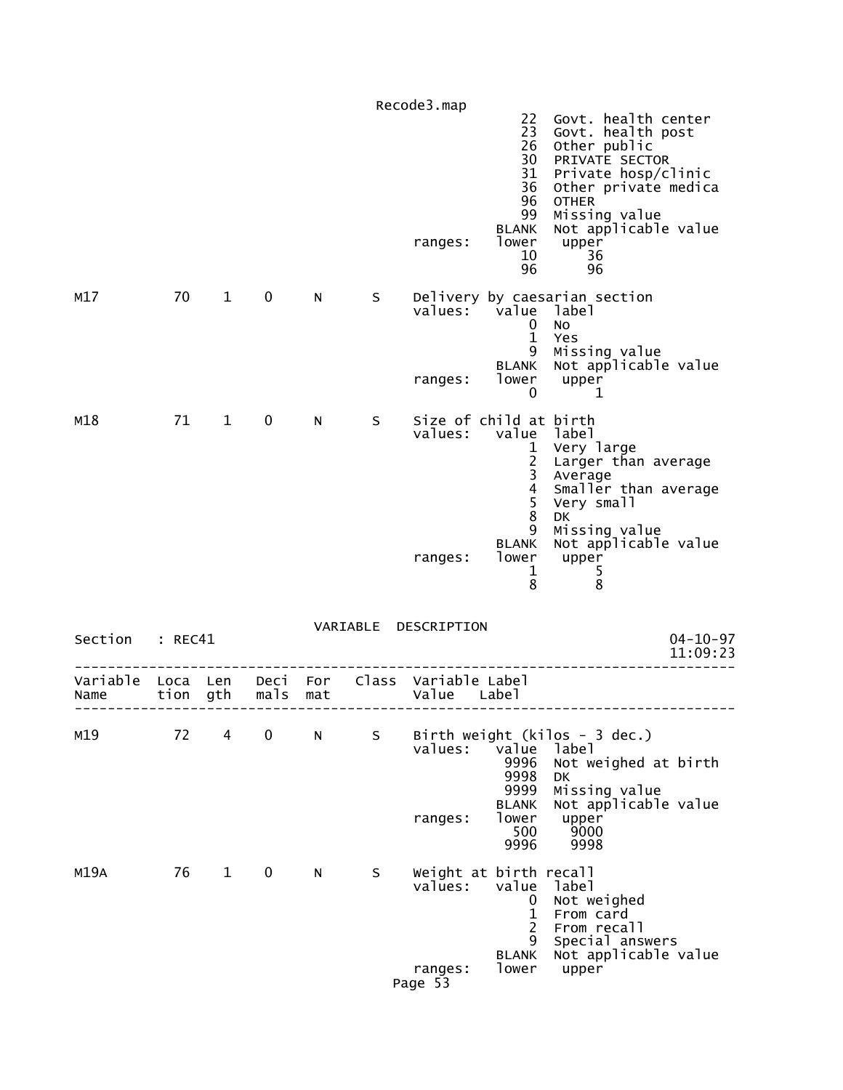|                  |          |              |             |                |   | Recode3.map                                  |                                                                                   | Govt. health center                                                                                                                                                              |
|------------------|----------|--------------|-------------|----------------|---|----------------------------------------------|-----------------------------------------------------------------------------------|----------------------------------------------------------------------------------------------------------------------------------------------------------------------------------|
|                  |          |              |             |                |   | ranges:                                      | 22<br>23<br>26<br>30<br>31<br>36<br>96<br>99<br><b>BLANK</b><br>lower<br>10<br>96 | Govt. health post<br>Other public<br>PRIVATE SECTOR<br>Private hosp/clinic<br>Other private medica<br><b>OTHER</b><br>Missing value<br>Not applicable value<br>upper<br>36<br>96 |
| M17              | 70       | $\mathbf 1$  | 0           | N.             | S | values: value<br>ranges:                     | 0<br>$\mathbf{1}$<br>9<br><b>BLANK</b><br>lower                                   | Delivery by caesarian section<br>label<br>No<br>Yes<br>Missing value<br>Not applicable value<br>upper                                                                            |
|                  |          |              |             |                |   |                                              | 0                                                                                 | 1                                                                                                                                                                                |
| M18              | 71 1     |              | $\mathbf 0$ | N <sub>1</sub> | S | Size of child at birth<br>values:            | value label<br>$\mathbf{1}$<br>$\frac{2}{3}$<br>$\frac{4}{5}$<br>$\bf 8$          | Very large<br>Larger than average<br>Average<br>Smaller than average<br>Very small<br><b>DK</b>                                                                                  |
|                  |          |              |             |                |   | ranges:                                      | 9<br><b>BLANK</b><br>lower<br>$\mathbf{1}$<br>8                                   | Missing value<br>Not applicable value<br>upper<br>5<br>8                                                                                                                         |
|                  |          |              |             |                |   | VARIABLE DESCRIPTION                         |                                                                                   |                                                                                                                                                                                  |
| Section : REC41  |          |              |             |                |   |                                              |                                                                                   | $04 - 10 - 97$<br>11:09:23                                                                                                                                                       |
| Variable<br>Name | Loca Len | tion gth     | mals        | mat            |   | Deci For Class Variable Label<br>Value Label |                                                                                   |                                                                                                                                                                                  |
| M19              | 72       | 4            | 0           | N              | S | values:<br>ranges:                           | value<br>9996<br>9998<br>9999<br><b>BLANK</b><br>lower                            | Birth weight (kilos - 3 dec.)<br>label<br>Not weighed at birth<br>DK<br>Missing value<br>Not applicable value<br>upper                                                           |
|                  |          |              |             |                |   |                                              | 500<br>9996                                                                       | 9000<br>9998                                                                                                                                                                     |
| M19A             | 76       | $\mathbf{1}$ | 0           | N              | S | Weight at birth recall<br>values:            | value<br>0<br>$\mathbf{1}$<br>2<br>9<br><b>BLANK</b>                              | label<br>Not weighed<br>From card<br>From recall<br>Special answers<br>Not applicable value                                                                                      |
|                  |          |              |             |                |   | ranges:<br>Page 53                           | lower                                                                             | upper                                                                                                                                                                            |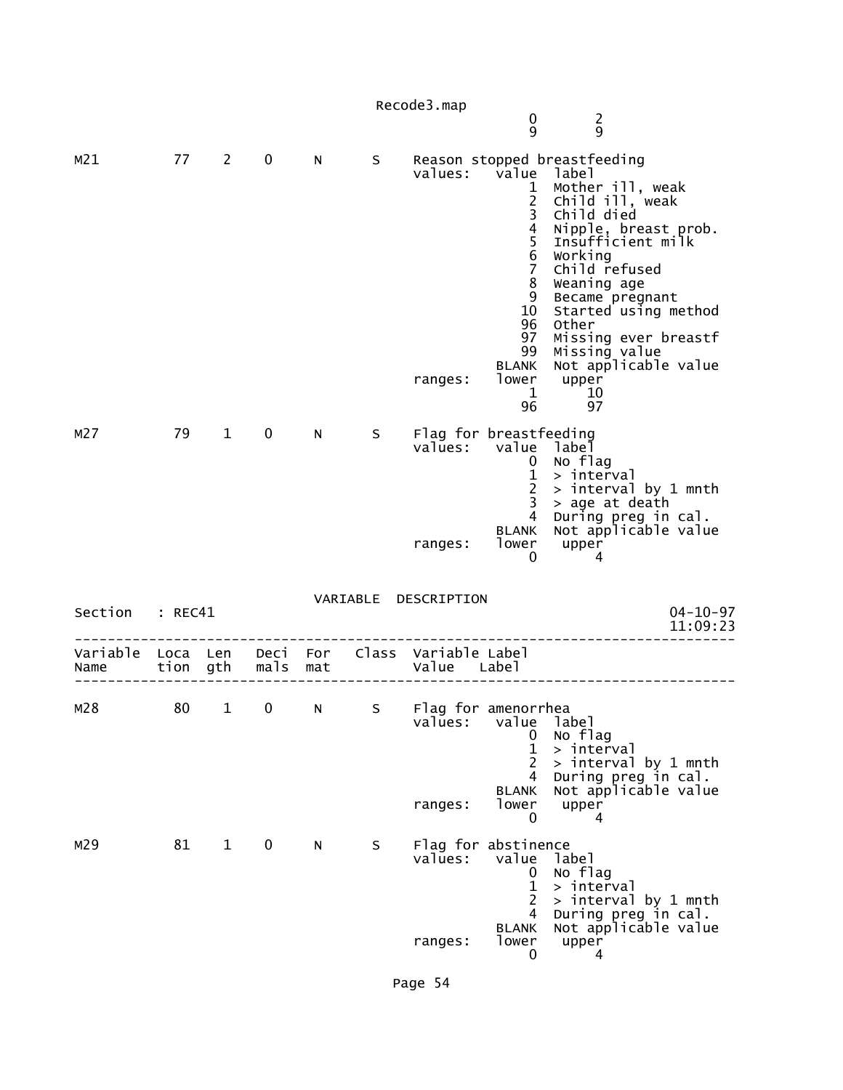|                                                         |    |              |                         |             |    | Recode3.map                                              | 0<br>9                                                                                                                                                                       | $\overline{2}$<br>9                                                                                                                                                                                                                                                                                                          |
|---------------------------------------------------------|----|--------------|-------------------------|-------------|----|----------------------------------------------------------|------------------------------------------------------------------------------------------------------------------------------------------------------------------------------|------------------------------------------------------------------------------------------------------------------------------------------------------------------------------------------------------------------------------------------------------------------------------------------------------------------------------|
| M21                                                     | 77 | $2^{\sim}$   | 0                       | N           | S  | values:<br>ranges:                                       | value<br>$\mathbf{1}$<br>$\frac{2}{3}$<br>$\overline{4}$<br>5<br>$6\phantom{1}6$<br>$\overline{7}$<br>8<br>9<br>10<br>96<br>97<br>99<br>BLANK<br>lower<br>$\mathbf{1}$<br>96 | Reason stopped breastfeeding<br>label<br>Mother ill, weak<br>Child ill, weak<br>Child died<br>Nipple, breast prob.<br>Insufficient milk<br>Working<br>Child refused<br>Weaning age<br>Became pregnant<br>Started using method<br>Other<br>Missing ever breastf<br>Missing value<br>Not applicable value<br>upper<br>10<br>97 |
| M27                                                     | 79 | $\mathbf{1}$ | 0                       | N.          | S. | Flag for breastfeeding<br>values: value label<br>ranges: | 0<br>$\mathbf{1}$<br>$\overline{2}$<br>3<br>$\overline{4}$<br><b>BLANK</b><br>lower<br>0                                                                                     | No flag<br>> interval<br>> interval by 1 mnth<br>> age at death<br>During preg in cal.<br>Not applicable value<br>upper<br>4                                                                                                                                                                                                 |
| Section : REC41                                         |    |              |                         |             |    | VARIABLE DESCRIPTION                                     |                                                                                                                                                                              | $04 - 10 - 97$<br>11:09:23                                                                                                                                                                                                                                                                                                   |
| Variable Loca Len Deci For Class Variable Label<br>Name |    | tion gth     | mals                    | mat         |    | Value Label                                              |                                                                                                                                                                              |                                                                                                                                                                                                                                                                                                                              |
| M28                                                     | 80 | $\mathbf{1}$ | $\overline{\mathbf{0}}$ | $N_{\odot}$ | S  | Flag for amenorrhea<br>values:<br>ranges:                | value<br>0<br>$\mathbf 1$<br>2<br>4<br><b>BLANK</b><br>lower<br>0                                                                                                            | label<br>No flag<br>> interval<br>> interval by 1 mnth<br>During preg in cal.<br>Not applicable value<br>upper<br>4                                                                                                                                                                                                          |
| M29                                                     | 81 | $\mathbf{1}$ | 0                       | N           | S  | Flag for abstinence<br>values:<br>ranges:                | value<br>0<br>$\mathbf{1}$<br>2<br>4<br><b>BLANK</b><br>lower<br>0                                                                                                           | label<br>No flag<br>> interval<br>$>$ interval by 1 mnth<br>During preg in cal.<br>Not applicable value<br>upper<br>4                                                                                                                                                                                                        |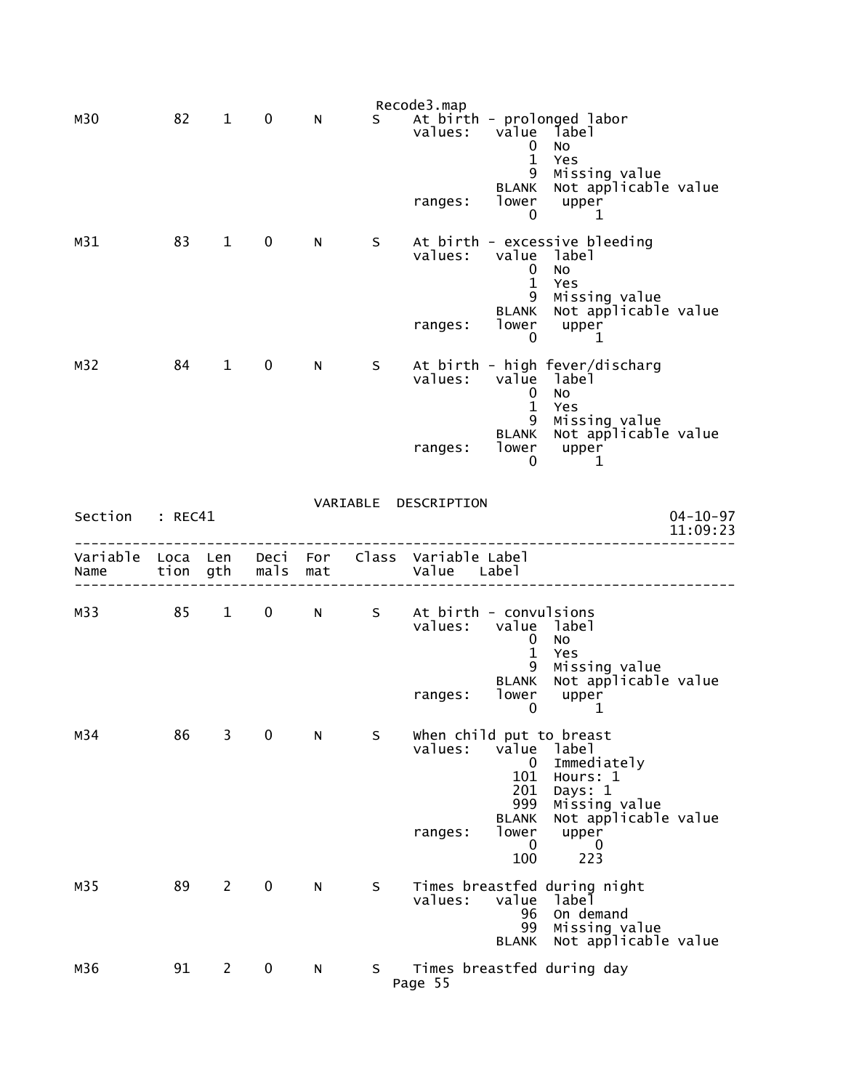|                  |              |                |              |            |    | Recode3.map                         |                                                 |                                                                                             |                |
|------------------|--------------|----------------|--------------|------------|----|-------------------------------------|-------------------------------------------------|---------------------------------------------------------------------------------------------|----------------|
| M30              | 82           | $\mathbf 1$    | $\pmb{0}$    | N          | S. | values:                             | value<br>0<br>$\mathbf{1}$<br>9<br><b>BLANK</b> | At birth - prolonged labor<br>label<br>No<br>Yes<br>Missing value<br>Not applicable value   |                |
|                  |              |                |              |            |    | ranges:                             | lower<br>0                                      | upper<br>1                                                                                  |                |
| M <sub>31</sub>  | 83           | $\mathbf 1$    | $\mathbf 0$  | N          | S  | values:                             | value<br>0<br>$\mathbf{1}$<br>9                 | At birth - excessive bleeding<br>label<br><b>NO</b><br>Yes<br>Missing value                 |                |
|                  |              |                |              |            |    | ranges:                             | <b>BLANK</b><br>lower<br>0                      | Not applicable value<br>upper<br>1                                                          |                |
| M32              | 84           | $\mathbf{1}$   | $\mathbf 0$  | N          | S  | values:                             | value<br>$\bf{0}$<br>$\mathbf{1}$               | At birth - high fever/discharg<br>label<br><b>NO</b><br>Yes                                 |                |
|                  |              |                |              |            |    | ranges:                             | 9<br>BLANK<br>lower<br>0                        | Missing value<br>Not applicable value<br>upper<br>1                                         |                |
| Section          | : REC41      |                |              |            |    | VARIABLE DESCRIPTION                |                                                 |                                                                                             | $04 - 10 - 97$ |
|                  |              |                |              |            |    |                                     |                                                 |                                                                                             | 11:09:23       |
|                  |              |                |              |            |    |                                     |                                                 |                                                                                             |                |
| Variable<br>Name | Loca<br>tion | Len<br>gth     | Deci<br>mals | For<br>mat |    | Class Variable Label<br>Value Label |                                                 |                                                                                             |                |
| M33              | 85           | $\mathbf{1}$   | 0            | N          | S  | At birth - convulsions<br>values:   | 0                                               | value label<br>No                                                                           |                |
|                  |              |                |              |            |    | ranges:                             | $\mathbf{1}$<br>9<br><b>BLANK</b><br>lower<br>0 | Yes<br>Missing value<br>Not applicable value<br>upper<br>1                                  |                |
| M34              | 86           | 3              | 0            | N          | S  | values:                             | value<br>$\mathbf 0$<br>101<br>201<br>999       | when child put to breast<br>label<br>Immediately<br>Hours: 1<br>Days: 1<br>Missing value    |                |
|                  |              |                |              |            |    | ranges:                             | <b>BLANK</b><br>lower<br>0<br>100               | Not applicable value<br>upper<br>0<br>223                                                   |                |
| M35              | 89           | $\overline{2}$ | $\mathbf 0$  | N          | S  | values:                             | value<br>96<br>99<br><b>BLANK</b>               | Times breastfed during night<br>label<br>On demand<br>Missing value<br>Not applicable value |                |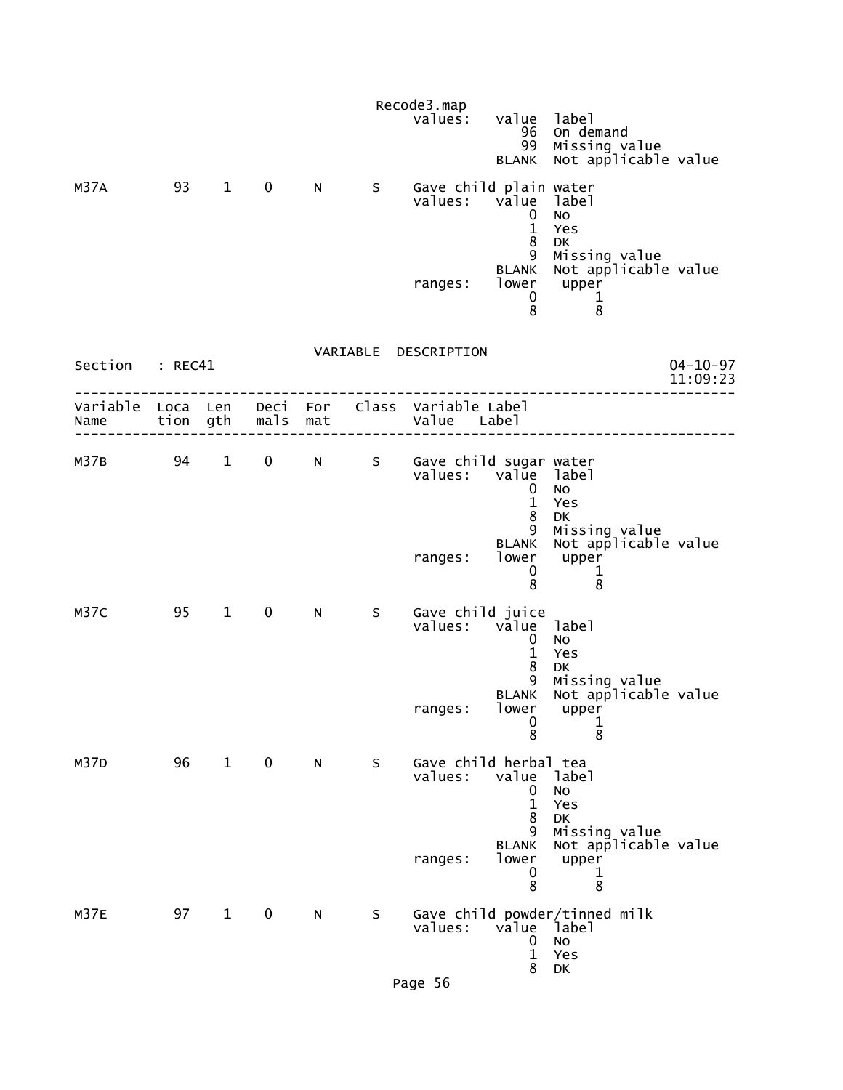|                  |                  |              |              |            |   | Recode3.map<br>values:                  | value<br>96<br>99<br><b>BLANK</b>                          | label<br>On demand<br>Missing value<br>Not applicable value              |                            |
|------------------|------------------|--------------|--------------|------------|---|-----------------------------------------|------------------------------------------------------------|--------------------------------------------------------------------------|----------------------------|
| M37A             | 93               | $\mathbf{1}$ | $\mathbf 0$  | N.         | S | Gave child plain water<br>values:       | value<br>0<br>$\mathbf{1}$<br>$\bf 8$<br>9<br><b>BLANK</b> | label<br><b>NO</b><br>Yes<br>DK<br>Missing value<br>Not applicable value |                            |
|                  |                  |              |              |            |   | ranges:                                 | lower<br>0<br>8                                            | upper<br>$\mathbf{1}$<br>8                                               |                            |
| Section          | : REC41          |              |              |            |   | VARIABLE DESCRIPTION                    |                                                            |                                                                          | $04 - 10 - 97$<br>11:09:23 |
| Variable<br>Name | Loca Len<br>tion | gth          | Deci<br>mals | For<br>mat |   | Class Variable Label<br>Value Label     |                                                            |                                                                          |                            |
| M37B             | 94               | $\mathbf{1}$ | $\mathbf 0$  | N          | S | Gave child sugar water<br>values: value | 0<br>$\mathbf{1}$<br>8                                     | label<br><b>NO</b><br>Yes<br><b>DK</b>                                   |                            |
|                  |                  |              |              |            |   | ranges:                                 | 9<br><b>BLANK</b><br>lower<br>0<br>8                       | Missing value<br>Not applicable value<br>upper<br>$\mathbf 1$<br>8       |                            |
| M37C             | 95               | $\mathbf{1}$ | $\mathbf 0$  | N          | S | Gave child juice<br>values:             | vālue<br>0<br>$\mathbf{1}$<br>8<br>9                       | label<br>No<br>Yes<br>DK<br>Missing value                                |                            |
|                  |                  |              |              |            |   | ranges:                                 | <b>BLANK</b><br>lower<br>0<br>$\bar{8}$                    | Not applicable value<br>upper<br>$\frac{1}{8}$                           |                            |
| M37D             | 96               | $\mathbf{1}$ | $\mathbf 0$  | N          | S | Gave child herbal tea<br>values:        | value<br>0<br>$\mathbf{1}$<br>8<br>9                       | label<br>No<br>Yes<br>DK<br>Missing value                                |                            |
|                  |                  |              |              |            |   | ranges:                                 | <b>BLANK</b><br>lower<br>0<br>8                            | Not applicable value<br>upper<br>$\mathbf 1$<br>8                        |                            |
| <b>M37E</b>      | 97               | $\mathbf{1}$ | $\mathbf 0$  | N          | S | values:                                 | value<br>0<br>$\mathbf{1}$<br>8                            | Gave child powder/tinned milk<br>label<br><b>NO</b><br>Yes<br>DK         |                            |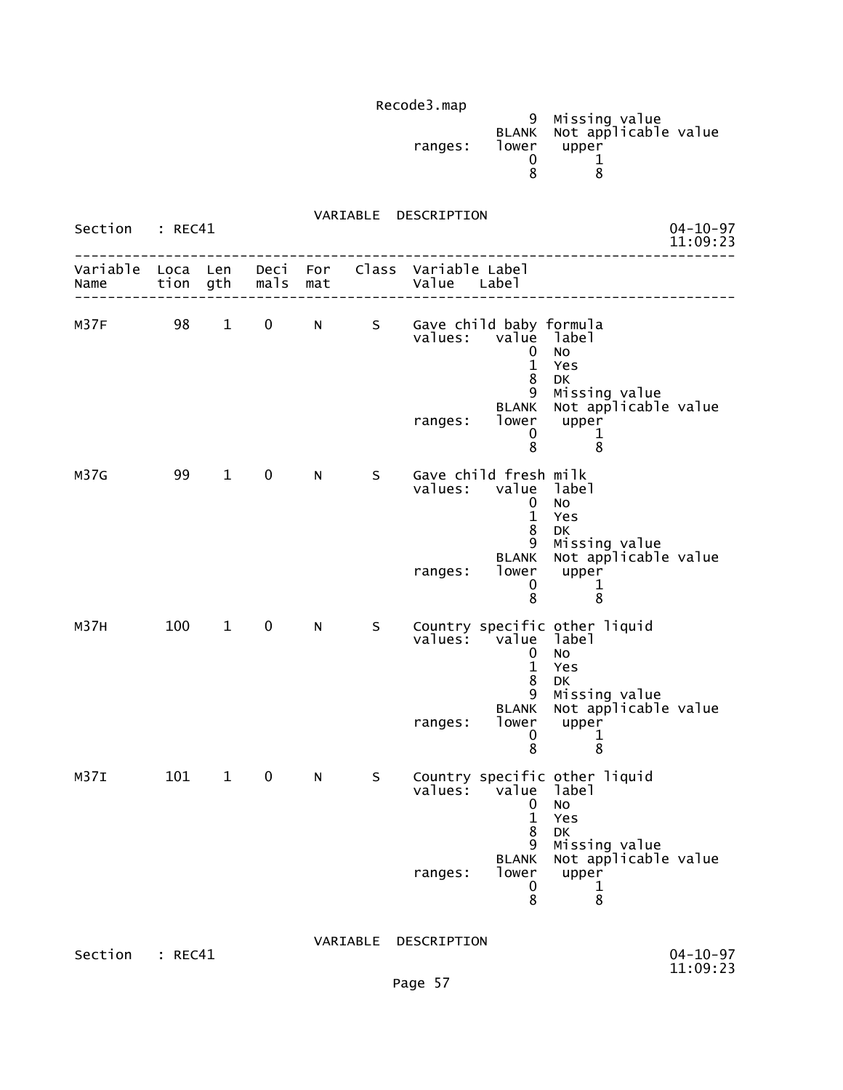|         |       | 9 Missing value            |
|---------|-------|----------------------------|
|         |       | BLANK Not applicable value |
| ranges: | lower | upper                      |
|         |       |                            |
|         |       |                            |

 VARIABLE DESCRIPTION Section : REC41 04-10-97<br>11:09:23 11:09:23 -------------------------------------------------------------------------------- Variable Loca Len Deci For Class Variable Label Name tion gth mals mat Value Label -------------------------------------------------------------------------------- M37F 98 1 0 N S Gave child baby formula<br>values: value label value label<br>0 No de la construcción de la construcción de la construcción de la construcción de la construcción de la construcc 1 Yes en de la construction de la construction de la construction de la construction de la construction de la constr 9 Missing value BLANK Not applicable value ranges: lower upper  $\sim$  0 1 entration of the state of the state of the state of the state of the state of the state of the state of the st M37G 99 1 0 N S Gave child fresh milk value label<br>0 No de la construcción de la construcción de la construcción de la construcción de la construcción de la construcc 1 Yes en de la construction de la construction de la construction de la construction de la construction de la constr 9 Missing value BLANK Not applicable value<br>lower upper ranges: lower upper<br>0 1  $\sim$  0  $\sim$  1 entitive and the state of the state of the state of the state of the state of the state of the state of the st M37H 100 1 0 N S Country specific other liquid values: value label (1999) values: value label (1999) value label (1999) value label (1999) value  $\sim$ de la construcción de la construcción de la construcción de la construcción de la construcción de la construcc 1 Yes en de la provincia de la provincia de la provincia de la provincia de la provincia de la provincia de la provi 9 Missing value BLANK Not applicable value<br>lower upper ranges: lower upper<br>0 1  $\sim$  0  $\sim$  1 entitive and the state of the state of the state of the state of the state of the state of the state of the st M37I 101 1 0 N S Country specific other liquid values: value label<br>0 No 0 No 1 Yes entities are a strategies of the strategies of the strategies of the DK 9 Missing value BLANK Not applicable value ranges: lower upper  $\sim$  0  $\sim$  1 entration of the state of the state of the state of the state of the state of the state of the state of the st VARIABLE DESCRIPTION

Section : REC41 04-10-97<br>11:09:23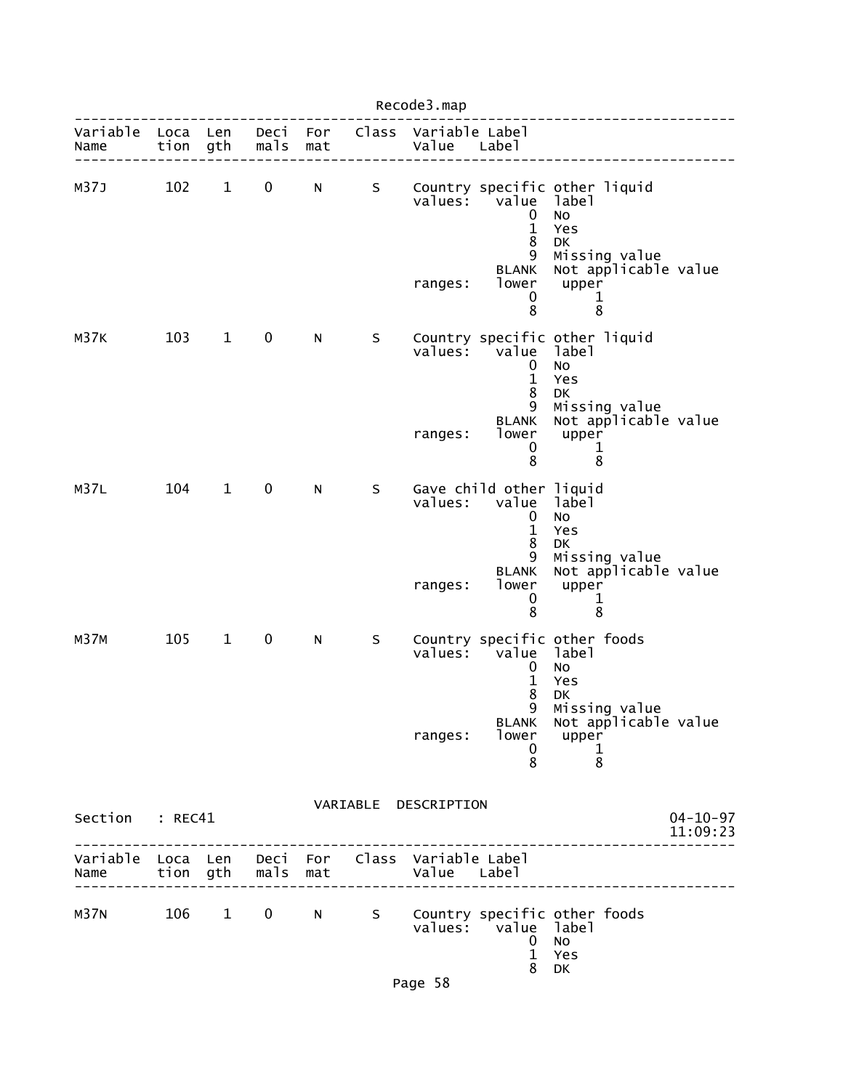|                                                         |              |              |                   |              |         | Recode3.map                         |                                                                                                    |                                                                                                                                        |                            |
|---------------------------------------------------------|--------------|--------------|-------------------|--------------|---------|-------------------------------------|----------------------------------------------------------------------------------------------------|----------------------------------------------------------------------------------------------------------------------------------------|----------------------------|
| Variable<br>Name                                        | Loca<br>tion | Len<br>gth   | Deci<br>mals      | For<br>mat   |         | Class Variable Label<br>Value Label |                                                                                                    |                                                                                                                                        |                            |
| M37J                                                    | 102          | $\mathbf{1}$ | 0                 | N            | S       | $value5$ :<br>ranges:               | value<br>0<br>$\mathbf{1}$<br>8<br>9<br><b>BLANK</b><br>lower<br>0<br>8                            | Country specific other liquid<br>label<br>No<br>Yes<br>DK<br>Missing value<br>Not applicable value<br>upper<br>1<br>8                  |                            |
| M37K                                                    | 103          | $\mathbf{1}$ | 0                 | N            | $\sf S$ | values:<br>ranges:                  | value<br>0<br>$\mathbf{1}$<br>8<br>9<br><b>BLANK</b><br>lower<br>0<br>8                            | Country specific other liquid<br>label<br>No<br>Yes<br>DK<br>Missing value<br>Not applicable value<br>upper<br>1<br>8                  |                            |
| M37L                                                    | 104          | $\mathbf{1}$ | 0                 | $\mathsf{N}$ | S       | values:<br>ranges:                  | Gave child other liquid<br>value<br>0<br>$\mathbf{1}$<br>8<br>9<br><b>BLANK</b><br>lower<br>0<br>8 | label<br>No<br>Yes<br><b>DK</b><br>Missing value<br>Not applicable value<br>upper<br>1<br>8                                            |                            |
| <b>M37M</b>                                             | 105          | $\mathbf{1}$ | 0                 | N            | S       | values:<br>ranges:                  | value<br>0<br>$\mathbf{1}$<br>8<br>BLANK<br>0<br>8                                                 | Country specific other foods<br>label<br>No<br>Yes<br>DK<br>9 Missing value<br>Not applicable value<br>lower upper<br>$\mathbf 1$<br>8 |                            |
| Section : REC41                                         |              |              |                   |              |         | VARIABLE DESCRIPTION                |                                                                                                    |                                                                                                                                        | $04 - 10 - 97$<br>11:09:23 |
| Variable Loca Len Deci For Class Variable Label<br>Name |              |              | tion gth mals mat |              |         | Value Label                         |                                                                                                    |                                                                                                                                        |                            |
| M37N                                                    |              | 106 1        |                   |              |         |                                     | values: value label<br>$\mathbf 0$<br>$\mathbf{1}$<br>8                                            | 0 N S Country specific other foods<br>No<br>Yes<br>DK                                                                                  |                            |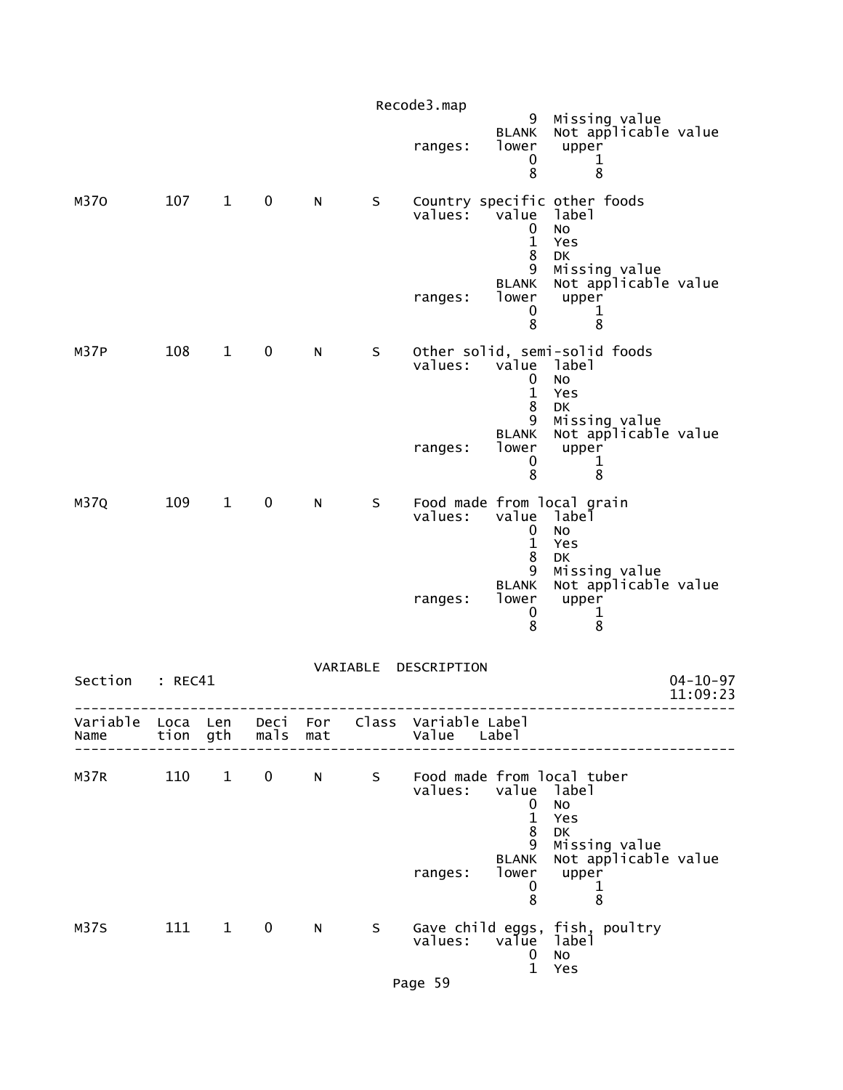|                  |              |                        |                |            |          | Recode3.map                   |                                                                                         |                                                                                                                                       |                            |
|------------------|--------------|------------------------|----------------|------------|----------|-------------------------------|-----------------------------------------------------------------------------------------|---------------------------------------------------------------------------------------------------------------------------------------|----------------------------|
|                  |              |                        |                |            |          | ranges:                       | 9<br><b>BLANK</b><br>lower<br>0<br>8                                                    | Missing value<br>Not applicable value<br>upper<br>1<br>8                                                                              |                            |
| M370             | 107          | $1 \quad \blacksquare$ | $\mathbf 0$    | N          | S        | ranges:                       | values: value<br>0<br>$\mathbf 1$<br>8<br>9<br><b>BLANK</b><br>lower<br>0<br>8          | Country specific other foods<br>label<br>No<br>Yes<br><b>DK</b><br>Missing value<br>Not applicable value<br>upper<br>$\mathbf 1$<br>8 |                            |
| M37P             | 108          | $\mathbf{1}$           | $\mathbf 0$    | N          | S.       | ranges:                       | values: value label<br>0<br>$\mathbf{1}$<br>8<br>9<br><b>BLANK</b><br>lower<br>0<br>8   | Other solid, semi-solid foods<br>No<br>Yes<br>DK<br>Missing value<br>Not applicable value<br>upper<br>1<br>8                          |                            |
| M37Q             | 109          | $\mathbf{1}$           | $\mathbf 0$    | N          | S        | values:<br>ranges:            | value label<br>$\mathbf 0$<br>$\mathbf{1}$<br>8<br>9<br><b>BLANK</b><br>lower<br>0<br>8 | Food made from local grain<br>No<br>Yes<br>DK<br>Missing value<br>Not applicable value<br>upper<br>$\mathbf{1}$<br>8                  |                            |
| Section          | : REC41      |                        |                |            | VARIABLE | DESCRIPTION                   |                                                                                         |                                                                                                                                       | $04 - 10 - 97$<br>11:09:23 |
| Variable<br>Name | Loca<br>tion | Len<br>gth             | Deci<br>mals   | For<br>mat |          | Class Variable Label<br>Value | Labe <sub>1</sub>                                                                       |                                                                                                                                       |                            |
| M37R             | 110          | $\mathbf{1}$           | $\overline{0}$ | N          | S        | values:<br>ranges:            | value<br>0<br>$\mathbf{1}$<br>8<br>9<br><b>BLANK</b><br>lower<br>0                      | Food made from local tuber<br>label<br>No<br>Yes<br>DK<br>Missing value<br>Not applicable value<br>upper<br>1                         |                            |
| M37S             | 111          | $\mathbf{1}$           | $\bf{0}$       | N          | S        | values:<br>Page 59            | 8<br>value<br>$\mathbf 0$<br>$\mathbf{1}$                                               | 8<br>Gave child eggs, fish, poultry<br>labeİ<br>No<br>Yes                                                                             |                            |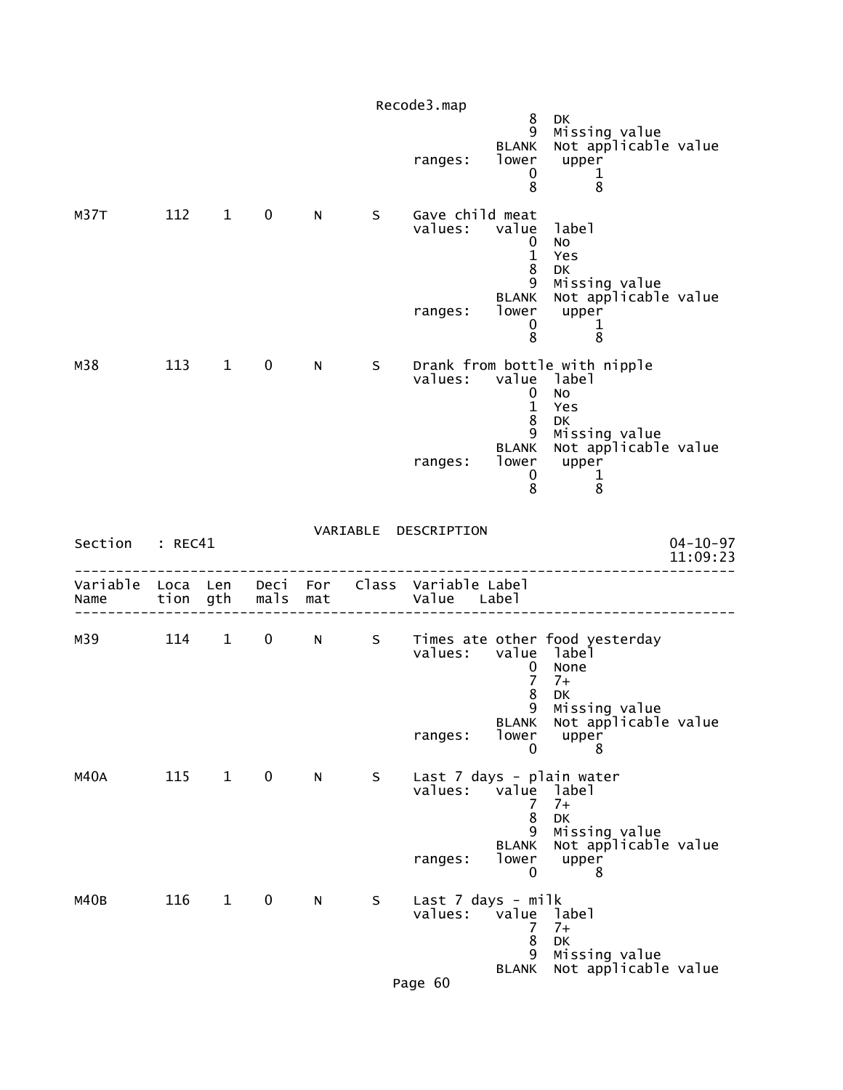|                  |                  |              |              |            |             | Recode3.map                   | 8                                    | <b>DK</b>                                                                          |                            |
|------------------|------------------|--------------|--------------|------------|-------------|-------------------------------|--------------------------------------|------------------------------------------------------------------------------------|----------------------------|
|                  |                  |              |              |            |             | ranges:                       | 9<br><b>BLANK</b><br>lower<br>0<br>8 | Missing value<br>Not applicable value<br>upper<br>1<br>8                           |                            |
| M37T             | 112              | $\mathbf{1}$ | $\mathbf 0$  | N          | S           | Gave child meat<br>values:    | value<br>0<br>$\mathbf{1}$<br>8<br>9 | label<br>No<br>Yes<br>DK                                                           |                            |
|                  |                  |              |              |            |             | ranges:                       | <b>BLANK</b><br>lower<br>0<br>8      | Missing value<br>Not applicable value<br>upper<br>$\mathbf 1$<br>8                 |                            |
| M38              | 113              | $\mathbf{1}$ | $\mathbf 0$  | N          | S           | values:                       | value<br>0<br>$\mathbf{1}$<br>8      | Drank from bottle with nipple<br>label<br>No<br>Yes<br>DK                          |                            |
|                  |                  |              |              |            |             | ranges:                       | 9<br><b>BLANK</b><br>lower<br>0<br>8 | Missing value<br>Not applicable value<br>upper<br>$\mathbf{1}$<br>8                |                            |
| Section          | : REC41          |              |              |            | VARIABLE    | DESCRIPTION                   |                                      |                                                                                    | $04 - 10 - 97$<br>11:09:23 |
| Variable<br>Name | Loca Len<br>tion | gth          | Deci<br>mals | For<br>mat |             | Class Variable Label<br>Value | Label                                |                                                                                    |                            |
| м39              | 114              | $\mathbf{1}$ | $\mathbf 0$  | N          | $S_{\perp}$ |                               | 0<br>7<br>8                          | Times ate other food yesterday<br>values: value label<br>None<br>$7+$<br><b>DK</b> |                            |
|                  |                  |              |              |            |             | ranges:                       | 9<br><b>BLANK</b><br>lower<br>0      | Missing value<br>Not applicable value<br>upper<br>8                                |                            |
| M40A             | 115              | $\mathbf{1}$ | $\mathbf 0$  | N          | S           | values:                       | value<br>7<br>8                      | Last 7 days - plain water<br>label<br>$7+$<br>DK                                   |                            |
|                  |                  |              |              |            |             | ranges:                       | 9<br><b>BLANK</b><br>lower<br>0      | Missing value<br>Not applicable value<br>upper<br>8                                |                            |
| M40B             | 116              | $\mathbf{1}$ | 0            | N          | S           | Last 7 days - milk<br>values: | value                                | label<br>$7+$                                                                      |                            |
|                  |                  |              |              |            |             |                               | 7<br>8                               | DK                                                                                 |                            |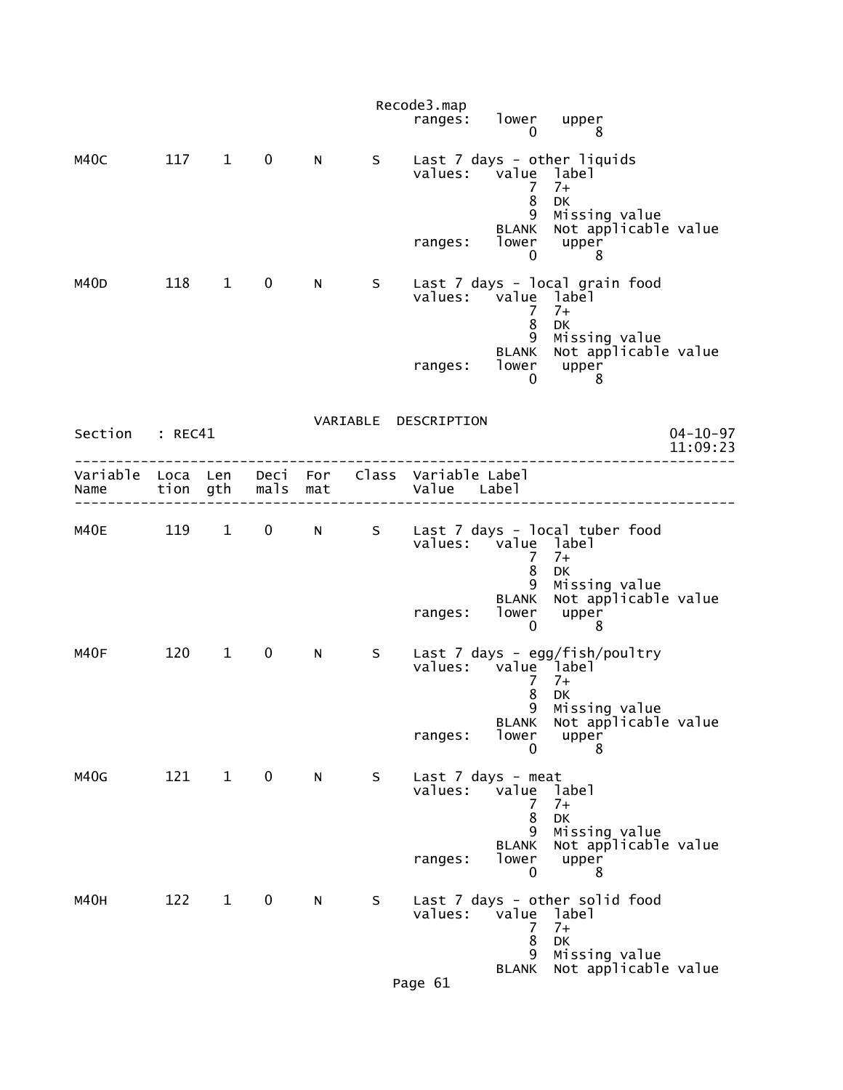|                 |         |              |             |                |   | Recode3.map          | ranges: lower upper<br>0                                                 | 8                                                                                                                                 |                            |
|-----------------|---------|--------------|-------------|----------------|---|----------------------|--------------------------------------------------------------------------|-----------------------------------------------------------------------------------------------------------------------------------|----------------------------|
| M40C            | 117 1 0 |              |             | N              | S | ranges:              | values: value label<br>7<br>8<br>9                                       | Last 7 days - other liquids<br>$7+$<br>DK<br>Missing value<br>BLANK Not applicable value<br>lower upper                           |                            |
| M40D            | 118 1   |              | $\mathbf 0$ | N <sub>1</sub> | S |                      | 0<br>values: value label<br>7<br>8<br>9                                  | 8<br>Last 7 days - local grain food<br>$7+$<br><b>DK</b>                                                                          |                            |
|                 |         |              |             |                |   | ranges:              | <b>BLANK</b><br>0                                                        | Missing value<br>Not applicable value<br>lower upper<br>8                                                                         |                            |
| Section : REC41 |         |              |             |                |   | VARIABLE DESCRIPTION |                                                                          |                                                                                                                                   | $04 - 10 - 97$<br>11:09:23 |
|                 |         |              |             |                |   |                      |                                                                          |                                                                                                                                   |                            |
|                 |         |              |             |                |   | ranges:              | values: value label<br>7<br>8<br>9<br><b>BLANK</b><br>$\mathbf{0}$       | M40E 119 1 0 N S Last 7 days - local tuber food<br>$7+$<br><b>DK</b><br>Missing value<br>Not applicable value<br>lower upper<br>8 |                            |
| M40F            |         | 120 1        | 0           | N              | S | ranges:              | values: value label<br>7<br>8<br>9<br><b>BLANK</b><br>lower<br>0         | Last 7 days - egg/fish/poultry<br>$7+$<br>DK<br>Missing value<br>Not applicable value<br>upper<br>8                               |                            |
| M40G            | 121     | $\mathbf{1}$ | $\mathbf 0$ | N              | S | values:<br>ranges:   | Last 7 days - meat<br>value<br>7<br>8<br>9<br><b>BLANK</b><br>lower<br>0 | label<br>$7+$<br>DK<br>Missing value<br>Not applicable value<br>upper<br>8                                                        |                            |
| M40H            | 122     | $\mathbf{1}$ | $\mathbf 0$ | N              | S | values:<br>Page 61   | value<br>7<br>8<br>9<br>BLANK                                            | Last 7 days - other solid food<br>label<br>$7+$<br>DK<br>Missing value<br>Not applicable value                                    |                            |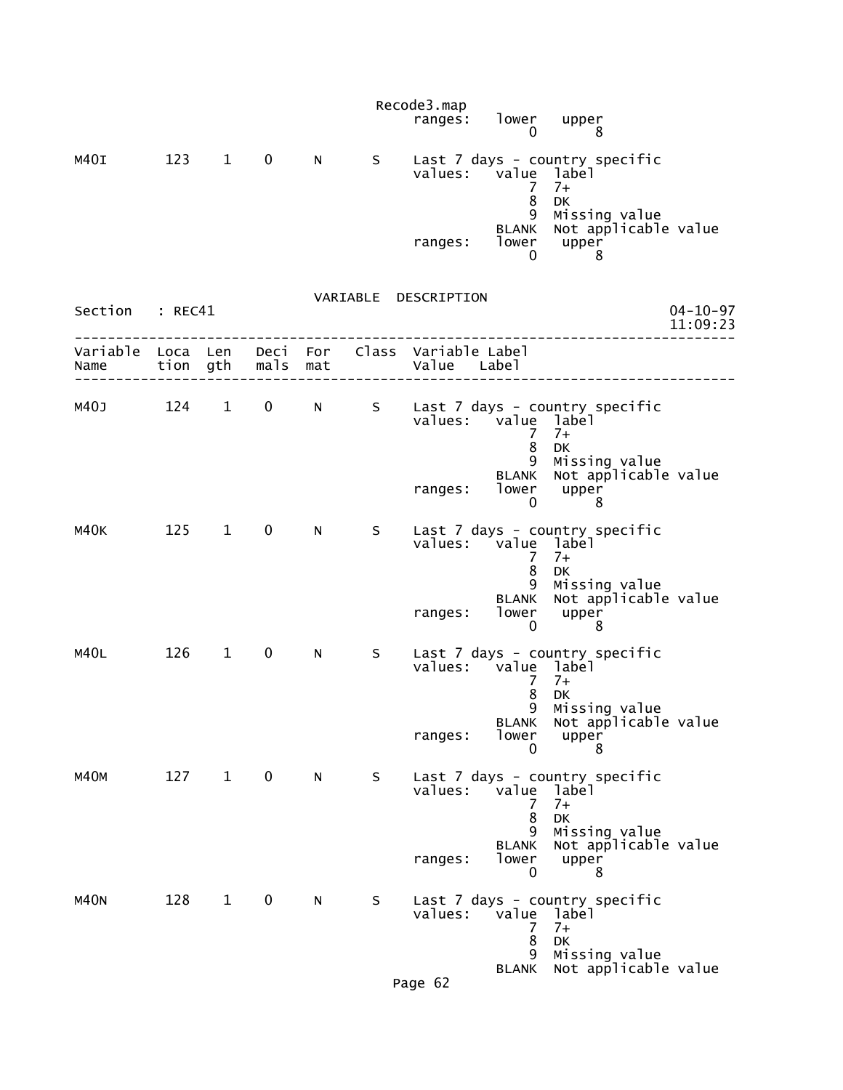|                           |            |                        |                |     |    | Recode3.map<br>ranges:                       | lower upper<br>0                     | 8                                                                                            |                            |
|---------------------------|------------|------------------------|----------------|-----|----|----------------------------------------------|--------------------------------------|----------------------------------------------------------------------------------------------|----------------------------|
| M4OI                      | 123 1      |                        | $\mathbf 0$    | N   | S. | values: value label                          | 7<br>8                               | Last 7 days - country specific<br>$7+$<br><b>DK</b>                                          |                            |
|                           |            |                        |                |     |    | ranges:                                      | 9<br><b>BLANK</b><br>lower<br>0      | Missing value<br>Not applicable value<br>upper<br>8                                          |                            |
| Section : REC41           |            |                        |                |     |    | VARIABLE DESCRIPTION                         |                                      |                                                                                              | $04 - 10 - 97$<br>11:09:23 |
| Variable Loca Len<br>Name |            |                        | tion gth mals  | mat |    | Deci For Class Variable Label<br>Value Label |                                      |                                                                                              |                            |
| M40J 124 1                |            |                        | $\overline{0}$ | N   | S  | values: value label                          | 7<br>8                               | Last 7 days - country specific<br>$7+$<br><b>DK</b>                                          |                            |
|                           |            |                        |                |     |    | ranges:                                      | 9<br><b>BLANK</b><br>lower<br>0      | Missing value<br>Not applicable value<br>upper<br>8                                          |                            |
| м40к                      | $125 \t 1$ |                        | $\mathbf 0$    | N   | S. | values: value label                          | 7<br>8<br>9<br><b>BLANK</b><br>lower | Last 7 days - country specific<br>$7+$<br><b>DK</b><br>Missing value<br>Not applicable value |                            |
| M40L                      | 126        | $1 \quad$              | $\mathbf 0$    | N - | S. | ranges:<br>values: value label               | 0                                    | upper<br>8<br>Last 7 days - country specific                                                 |                            |
|                           |            |                        |                |     |    | ranges:                                      | 7<br>8<br>q<br>BLANK<br>lower<br>0   | $7+$<br><b>DK</b><br>Missing value<br>Not applicable value<br>upper<br>8                     |                            |
| M40M                      | 127        | $1 \quad \blacksquare$ | $\mathbf 0$    | N   | S  | values:                                      | value<br>7<br>8<br>9                 | Last 7 days - country specific<br>label<br>$7+$<br><b>DK</b><br>Missing value                |                            |
|                           |            |                        |                |     |    | ranges:                                      | <b>BLANK</b><br>lower<br>0           | Not applicable value<br>upper<br>8                                                           |                            |
| <b>M40N</b>               | 128        | $\mathbf{1}$           | $\mathbf 0$    | N   | S  | values:                                      | value<br>7<br>8<br>9                 | Last 7 days - country specific<br>]abe]<br>$7+$<br>DK<br>Missing value                       |                            |
|                           |            |                        |                |     |    | P20062                                       | <b>BLANK</b>                         | Not applicable value                                                                         |                            |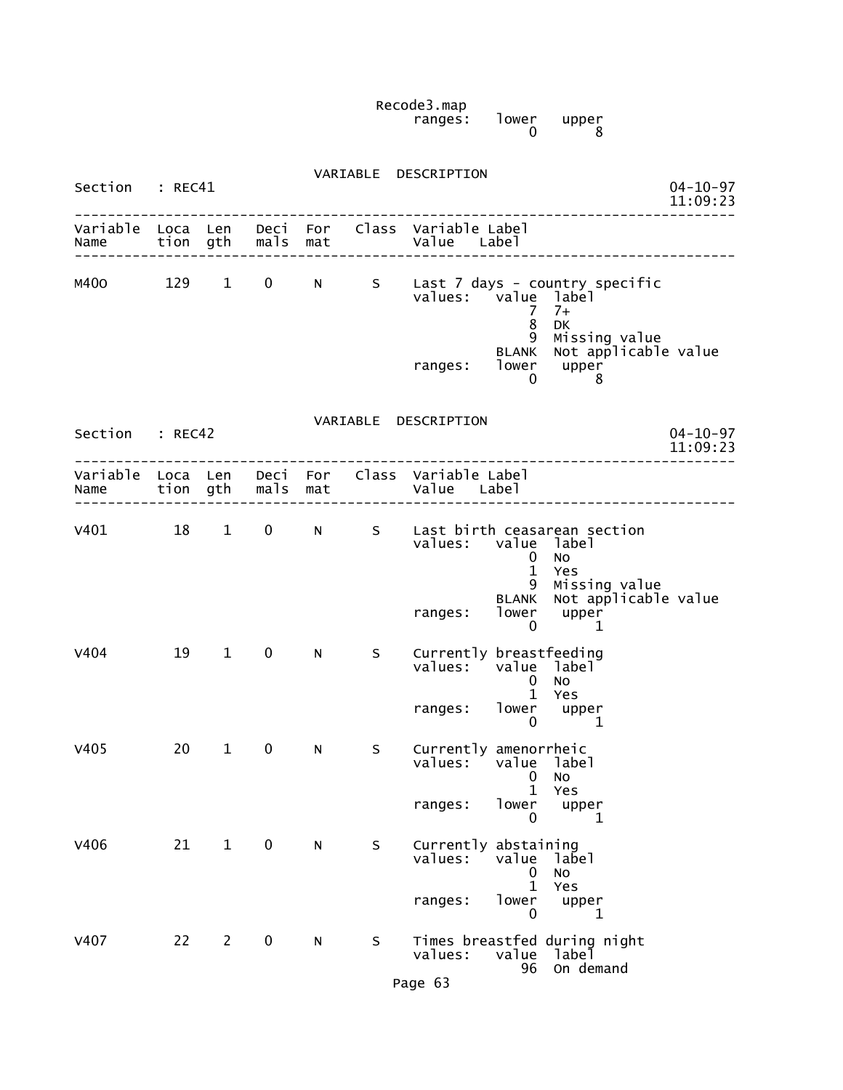Recode3.map ranges: lower upper 0 8

| Section : REC41           |     |                        |                   |           |             | VARIABLE DESCRIPTION                                                                                                                                                                                        | $04 - 10 - 97$<br>11:09:23 |
|---------------------------|-----|------------------------|-------------------|-----------|-------------|-------------------------------------------------------------------------------------------------------------------------------------------------------------------------------------------------------------|----------------------------|
| Variable Loca Len<br>Name |     |                        | tion gth mals mat |           |             | Deci For Class Variable Label<br>Value Label                                                                                                                                                                |                            |
| M400                      | 129 | $\mathbf{1}$           | 0                 | N         | $S_{\perp}$ | Last 7 days - country specific<br>value label<br>values:<br>7<br>$7+$<br>8<br>DK                                                                                                                            |                            |
|                           |     |                        |                   |           |             | 9<br>Missing value<br>Not applicable value<br><b>BLANK</b><br>lower<br>upper<br>ranges:<br>0<br>8                                                                                                           |                            |
| Section : REC42           |     |                        |                   |           |             | VARIABLE DESCRIPTION                                                                                                                                                                                        | $04 - 10 - 97$<br>11:09:23 |
| Name                      |     |                        | tion gth mals mat |           |             | Variable Loca Len Deci For Class Variable Label<br>Value Label                                                                                                                                              |                            |
| V401                      | 18  | $\mathbf{1}$           | $\mathbf 0$       | N         | S           | Last birth ceasarean section<br>values: value label<br><b>NO</b><br>0<br>$\mathbf{1}$<br>Yes<br>9<br>Missing value<br>Not applicable value<br><b>BLANK</b><br>lower<br>upper<br>ranges:<br>$\mathbf 0$<br>1 |                            |
| V404                      | 19  | $1 \quad \blacksquare$ | $\mathbf 0$       | N         | S.          | Currently breastfeeding<br>values:<br>value label<br><b>NO</b><br>$\mathbf 0$<br>Yes<br>$\mathbf{1}$<br>lower upper<br>ranges:<br>$\mathbf{0}$<br>$\mathbf{1}$                                              |                            |
| V405                      | 20  | $\mathbf{1}$           | 0                 | N         | S.          | Currently amenorrheic<br>values:<br>value label<br><b>NO</b><br>0<br>$\mathbf 1$<br>Yes<br>lower<br>ranges:<br>upper                                                                                        |                            |
| V406                      | 21  | $\mathbf{1}$           | $\mathbf 0$       | ${\sf N}$ | S           | 0<br>1<br>Currently abstaining<br>values:<br>value<br>label<br>No<br>0<br>1<br>Yes<br>lower<br>ranges:<br>upper<br>0<br>1                                                                                   |                            |
| <b>V407</b>               | 22  | $\overline{2}$         | $\mathbf 0$       | N         | S           | Times breastfed during night<br>values:<br>value<br>label<br>On demand<br>96                                                                                                                                |                            |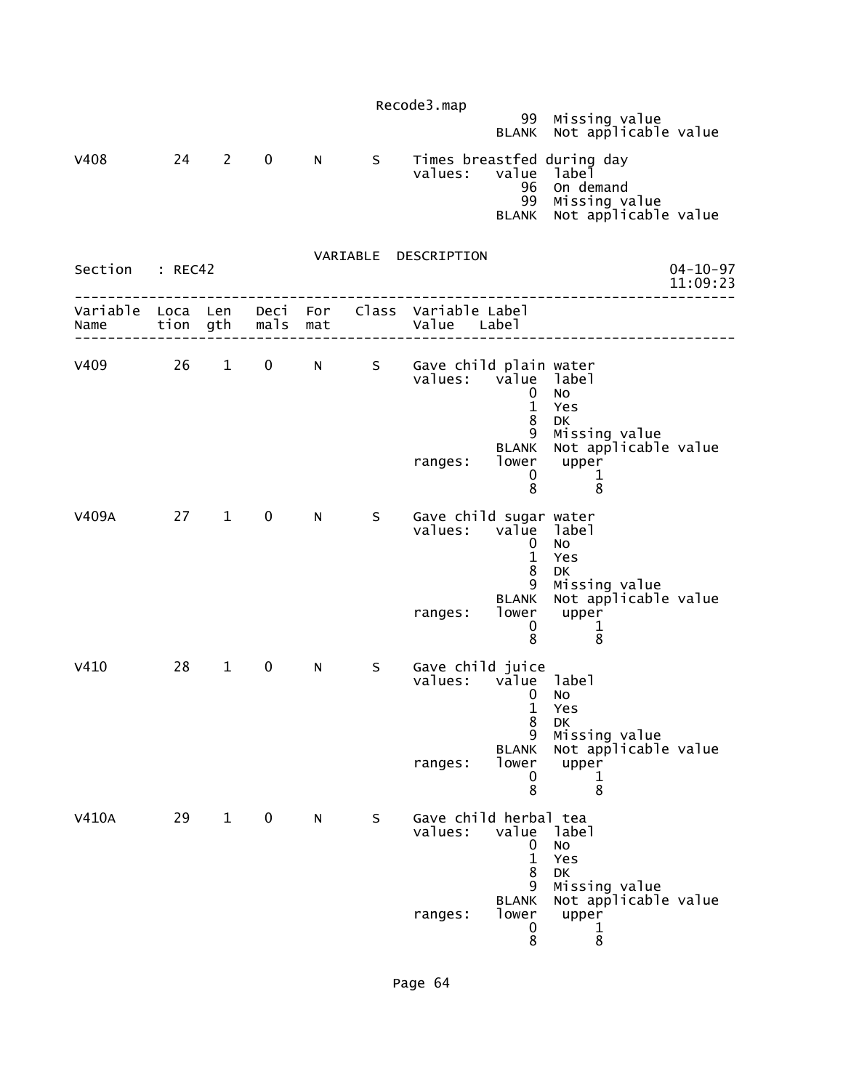|                 |      |              |             |             |                                                                                                                                                                                                                                | Recode3.map                                                                               |                                                       |                                                                                           |                            |
|-----------------|------|--------------|-------------|-------------|--------------------------------------------------------------------------------------------------------------------------------------------------------------------------------------------------------------------------------|-------------------------------------------------------------------------------------------|-------------------------------------------------------|-------------------------------------------------------------------------------------------|----------------------------|
|                 |      |              |             |             |                                                                                                                                                                                                                                |                                                                                           |                                                       | 99 Missing value<br>BLANK Not applicable value                                            |                            |
| V408            |      | 24 2         | $\mathbf 0$ | $N$ and $N$ | S                                                                                                                                                                                                                              | values: value                                                                             | 96<br>99<br><b>BLANK</b>                              | Times breastfed during day<br>label<br>On demand<br>Missing value<br>Not applicable value |                            |
| Section : REC42 |      |              |             |             |                                                                                                                                                                                                                                | VARIABLE DESCRIPTION                                                                      |                                                       |                                                                                           | $04 - 10 - 97$<br>11:09:23 |
|                 |      |              |             |             |                                                                                                                                                                                                                                | Variable Loca Len Deci For Class Variable Label<br>Name tion gth mals mat and value Label |                                                       |                                                                                           |                            |
|                 |      |              |             |             |                                                                                                                                                                                                                                | v409 26 1 0 N S Gave child plain water<br>values: value label                             | 0<br>$\mathbf{1}$<br>8<br>9<br><b>BLANK</b>           | No<br>Yes<br><b>DK</b><br>Missing value<br>Not applicable value                           |                            |
|                 |      |              |             |             |                                                                                                                                                                                                                                | ranges:                                                                                   | 0<br>8                                                | lower upper<br>$\mathbf 1$<br>8                                                           |                            |
| V409A           | 27 1 |              | $\mathbf 0$ | N           | S –                                                                                                                                                                                                                            | Gave child sugar water<br>values: value label                                             | $\mathbf 0$<br>$\mathbf{1}$<br>8<br>9<br><b>BLANK</b> | No<br>Yes<br>DK<br>Missing value<br>Not applicable value                                  |                            |
|                 |      |              |             |             |                                                                                                                                                                                                                                | ranges:                                                                                   | lower<br>0<br>8                                       | upper<br>$\mathbf 1$<br>8                                                                 |                            |
| V410            | 28   | $\mathbf{1}$ | 0           | N           | S and the set of the set of the set of the set of the set of the set of the set of the set of the set of the set of the set of the set of the set of the set of the set of the set of the set of the set of the set of the set | Gave child juice<br>values: value label                                                   | $\mathbf 0$<br>8<br>9                                 | No<br>1 Yes<br>DK<br>Missing value                                                        |                            |
|                 |      |              |             |             |                                                                                                                                                                                                                                | ranges:                                                                                   | <b>BLANK</b><br>lower<br>0<br>8                       | Not applicable value<br>upper<br>ı<br>8                                                   |                            |
| <b>V410A</b>    | 29   | $\mathbf{1}$ | $\mathbf 0$ | N           | S                                                                                                                                                                                                                              | Gave child herbal tea<br>values:                                                          | value<br>0<br>$\mathbf{1}$<br>8<br>9                  | label<br>NO<br>Yes<br>DK<br>Missing value                                                 |                            |
|                 |      |              |             |             |                                                                                                                                                                                                                                | ranges:                                                                                   | <b>BLANK</b><br>lower<br>0<br>8                       | Not applicable value<br>upper<br>T<br>8                                                   |                            |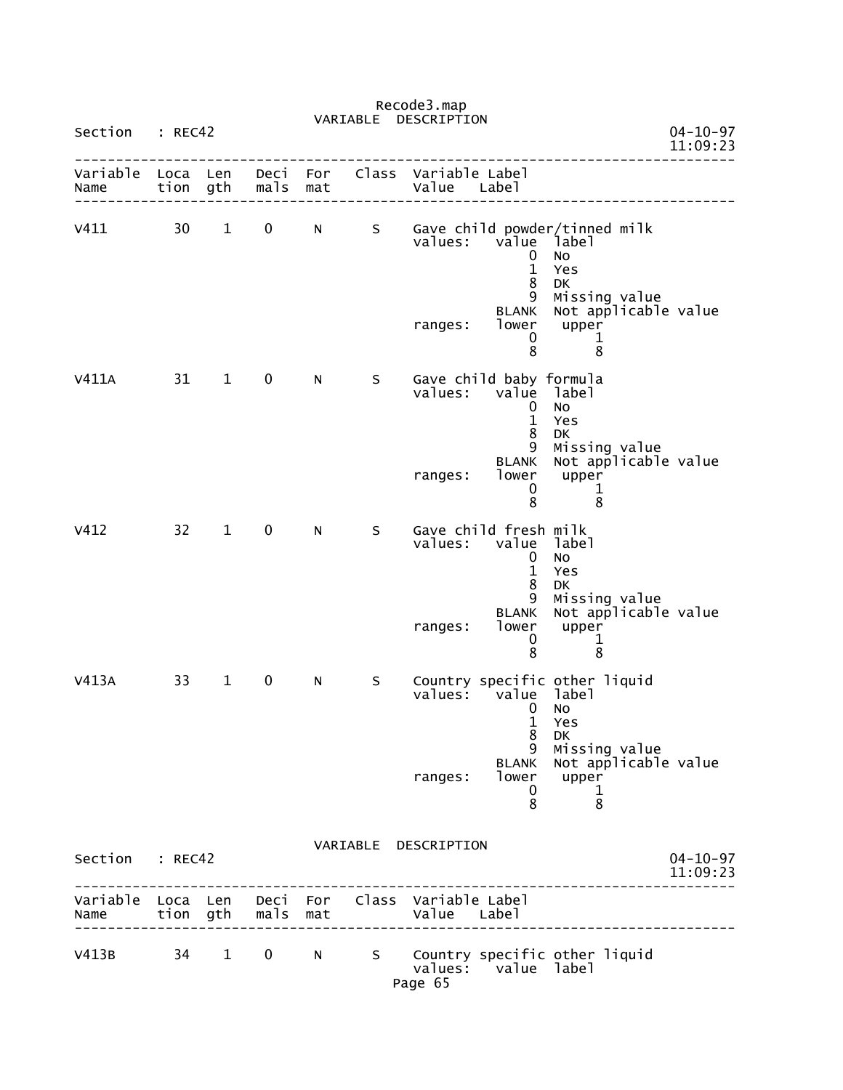|                                                 |              |              |              |            | VARIABLE | DESCRIPTION             |                                                                                                    |                                                                                                                                        |                            |
|-------------------------------------------------|--------------|--------------|--------------|------------|----------|-------------------------|----------------------------------------------------------------------------------------------------|----------------------------------------------------------------------------------------------------------------------------------------|----------------------------|
| Section                                         | : REC42      |              |              |            |          |                         |                                                                                                    |                                                                                                                                        | $04 - 10 - 97$<br>11:09:23 |
| Variable<br>Name                                | Loca<br>tion | Len<br>gth   | Deci<br>mals | For<br>mat | Class    | Variable Label<br>Value | Label                                                                                              |                                                                                                                                        |                            |
| v411                                            | 30           | $\mathbf{1}$ | 0            | N          | S        | values:<br>ranges:      | value<br>0<br>$\mathbf{1}$<br>8<br>9<br><b>BLANK</b><br>lower<br>0<br>8                            | Gave child powder/tinned milk<br>label<br>No<br>Yes<br><b>DK</b><br>Missing value<br>Not applicable value<br>upper<br>$\mathbf 1$<br>8 |                            |
| V411A                                           | 31           | $\mathbf{1}$ | $\mathbf 0$  | N          | S        | values:<br>ranges:      | Gave child baby formula<br>value<br>0<br>$\mathbf{1}$<br>8<br>9<br><b>BLANK</b><br>lower<br>0<br>8 | label<br>No<br>Yes<br><b>DK</b><br>Missing value<br>Not applicable value<br>upper<br>1<br>8                                            |                            |
| V412                                            | 32           | $\mathbf{1}$ | $\mathbf 0$  | N          | S        | values:<br>ranges:      | Gave child fresh milk<br>value<br>0<br>$\mathbf{1}$<br>8<br>9<br><b>BLANK</b><br>lower<br>0<br>8   | label<br>No<br>Yes<br>DK<br>Missing value<br>Not applicable value<br>upper<br>$\mathbf{1}$<br>8                                        |                            |
| V413A                                           | 33           | $\mathbf{1}$ | 0            | N          | S        | values:<br>ranges:      | value<br>0<br>$\mathbf{1}$<br>8<br>9<br><b>BLANK</b><br>$\mathbf{0}$<br>8                          | Country specific other liquid<br>label<br>No<br>Yes<br>DK<br>Missing value<br>Not applicable value<br>lower upper<br>$\mathbf{1}$<br>8 |                            |
| Section : REC42                                 |              |              |              |            |          | VARIABLE DESCRIPTION    |                                                                                                    |                                                                                                                                        | $04 - 10 - 97$<br>11:09:23 |
| Variable Loca Len Deci For Class Variable Label |              |              |              |            |          |                         |                                                                                                    |                                                                                                                                        |                            |
| V413B 34 1 0 N                                  |              |              |              |            |          | Page 65                 | values: value label                                                                                | S Country specific other liquid                                                                                                        |                            |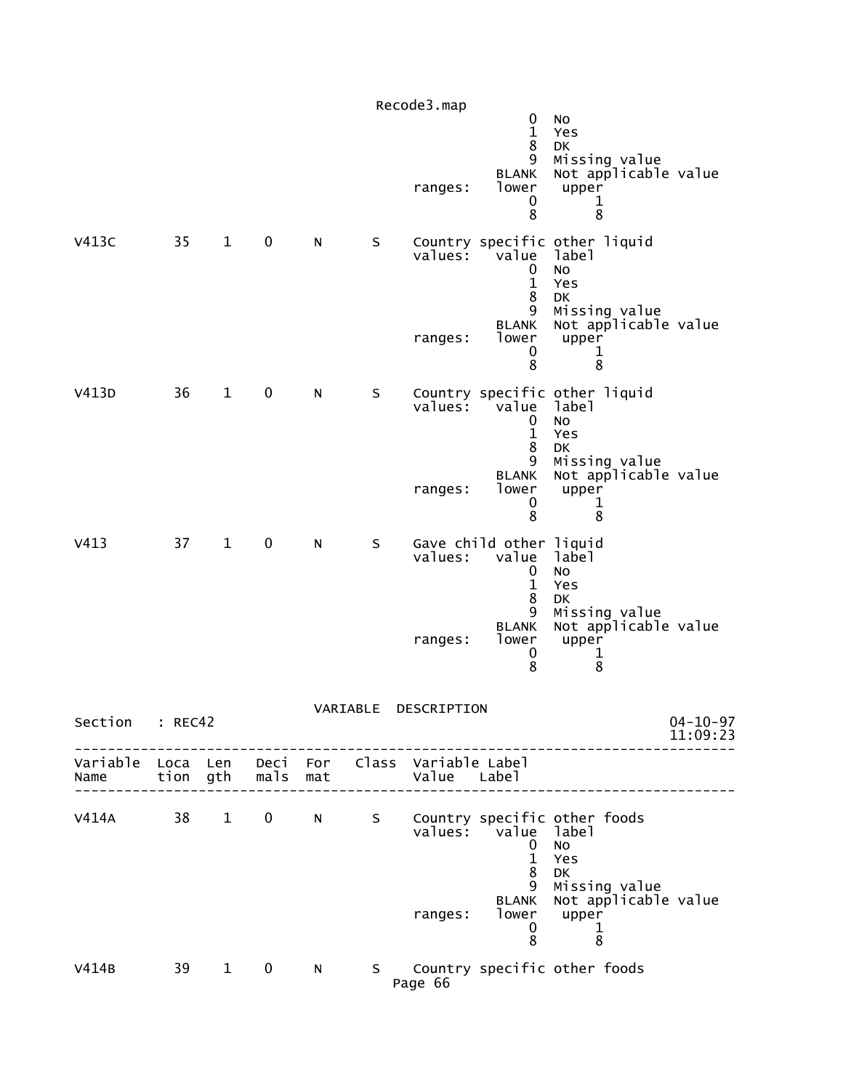|                  |                  |              |                  |           |                                                                                                                                                                                                                                | Recode3.map<br>ranges:        | 0<br>$\mathbf{1}$<br>8<br>9<br><b>BLANK</b><br>lower<br>0<br>8 | No<br>Yes<br>DK<br>Missing value<br>Not applicable value<br>upper<br>1<br>8                                              |                            |
|------------------|------------------|--------------|------------------|-----------|--------------------------------------------------------------------------------------------------------------------------------------------------------------------------------------------------------------------------------|-------------------------------|----------------------------------------------------------------|--------------------------------------------------------------------------------------------------------------------------|----------------------------|
| <b>V413C</b>     | 35               | $\mathbf{1}$ | 0                | N         | S                                                                                                                                                                                                                              | $value5$ :<br>ranges:         | value<br>0<br>$\mathbf{1}$<br>8<br>9<br><b>BLANK</b><br>lower  | Country specific other liquid<br>label<br><b>NO</b><br>Yes<br>DK<br>Missing value<br>Not applicable value<br>upper       |                            |
|                  |                  |              |                  |           |                                                                                                                                                                                                                                |                               | 0<br>8                                                         | 1<br>8                                                                                                                   |                            |
| V413D            | 36               | $\mathbf{1}$ | $\pmb{0}$        | N         | S                                                                                                                                                                                                                              | values:                       | value<br>0<br>$\mathbf{1}$<br>8                                | Country specific other liquid<br>label<br>No<br>Yes<br><b>DK</b>                                                         |                            |
|                  |                  |              |                  |           |                                                                                                                                                                                                                                | ranges:                       | 9<br><b>BLANK</b><br>lower<br>0<br>8                           | Missing value<br>Not applicable value<br>upper<br>1<br>8                                                                 |                            |
| V413             | 37               | $\mathbf{1}$ | $\pmb{0}$        | ${\sf N}$ | S                                                                                                                                                                                                                              | values:                       | Gave child other liquid<br>value<br>0<br>$\mathbf{1}$<br>8     | label<br>No<br>Yes<br><b>DK</b>                                                                                          |                            |
|                  |                  |              |                  |           |                                                                                                                                                                                                                                | ranges:                       | 9<br><b>BLANK</b><br>lower<br>0<br>8                           | Missing value<br>Not applicable value<br>upper<br>1<br>8                                                                 |                            |
| Section          | : REC42          |              |                  |           | VARIABLE                                                                                                                                                                                                                       | DESCRIPTION                   |                                                                |                                                                                                                          | $04 - 10 - 97$<br>11:09:23 |
| Variable<br>Name | Loca Len<br>tion | gth          | Deci For<br>mals | mat       |                                                                                                                                                                                                                                | Class Variable Label<br>Value | Label                                                          |                                                                                                                          |                            |
| V414A            | 38               | $\mathbf{1}$ | $\mathbf 0$      | N         | S                                                                                                                                                                                                                              | values:<br>ranges:            | value<br>0<br>$\mathbf{1}$<br>8<br>9<br><b>BLANK</b><br>lower  | Country specific other foods<br>label<br><b>NO</b><br>Yes<br><b>DK</b><br>Missing value<br>Not applicable value<br>upper |                            |
|                  |                  |              |                  |           |                                                                                                                                                                                                                                |                               | 0<br>8                                                         | $\mathbf 1$<br>8                                                                                                         |                            |
| V414B            | 39               | $\mathbf{1}$ | $\bf{0}$         | ${\sf N}$ | S and the set of the set of the set of the set of the set of the set of the set of the set of the set of the set of the set of the set of the set of the set of the set of the set of the set of the set of the set of the set | Page 66                       |                                                                | Country specific other foods                                                                                             |                            |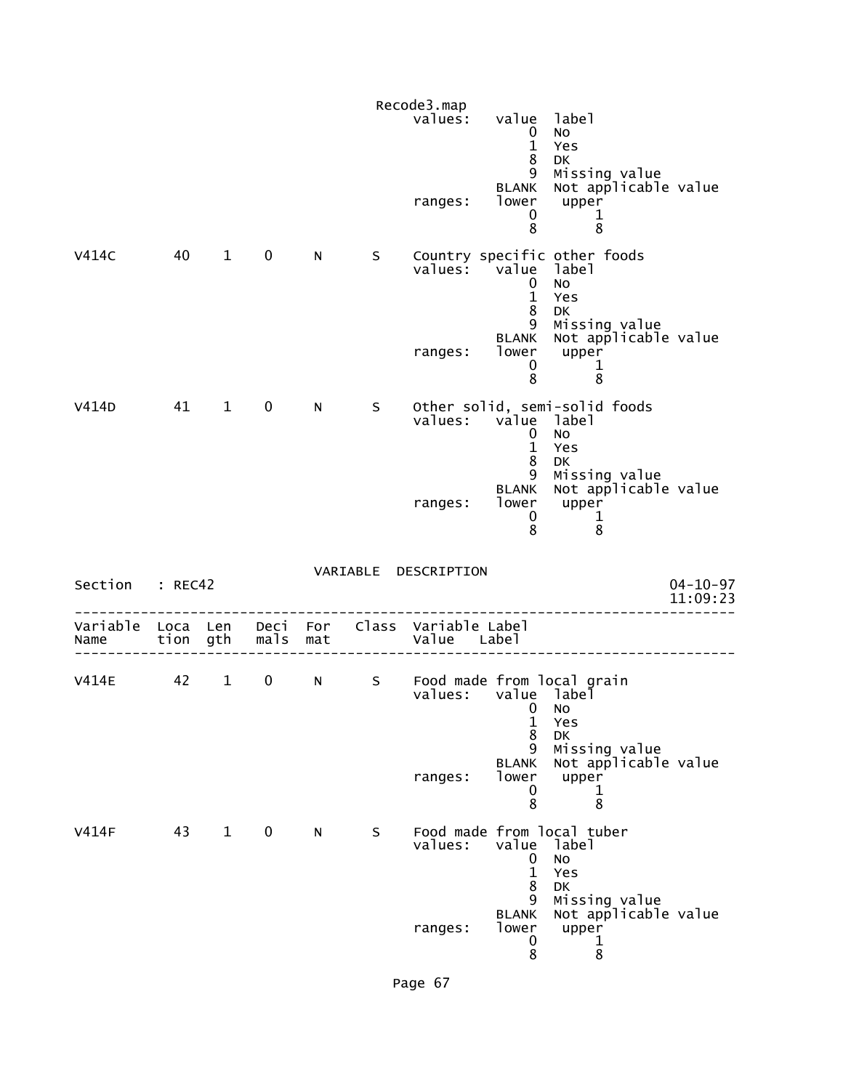|                           |      |                        |             |   |             | Recode3.map<br>values: value label<br>ranges: | $\mathbf 0$<br>$\mathbf{1}$<br>8<br>9<br><b>BLANK</b><br>lower<br>0<br>8            | No<br>Yes<br><b>DK</b><br>Missing value<br>Not applicable value<br>upper<br>1<br>8                                               |                            |
|---------------------------|------|------------------------|-------------|---|-------------|-----------------------------------------------|-------------------------------------------------------------------------------------|----------------------------------------------------------------------------------------------------------------------------------|----------------------------|
| V414C                     | 40   | $\mathbf{1}$           | $\mathbf 0$ | N | S –         | values: value label<br>ranges:                | $\mathbf 0$<br>$\mathbf{1}$<br>8<br>9<br>BLANK<br>lower<br>0<br>8                   | Country specific other foods<br>No<br>Yes<br>DK<br>Missing value<br>Not applicable value<br>upper<br>$\mathbf 1$<br>8            |                            |
| V414D                     | 41 1 |                        | $\mathbf 0$ | N | S           | values: value<br>ranges:                      | $\mathbf 0$<br>$\mathbf{1}$<br>8<br>9<br><b>BLANK</b><br>lower<br>0<br>8            | Other solid, semi-solid foods<br>label<br>NO<br>Yes<br>DK<br>Missing value<br>Not applicable value<br>upper<br>$\mathbf{1}$<br>8 |                            |
| Section : REC42           |      |                        |             |   |             | VARIABLE DESCRIPTION                          |                                                                                     |                                                                                                                                  | $04 - 10 - 97$<br>11:09:23 |
| Variable Loca Len<br>Name |      | tion gth               | mals mat    |   |             | Deci For Class Variable Label<br>Value Label  |                                                                                     |                                                                                                                                  |                            |
| <b>V414E</b>              | 42   | $1 \quad \blacksquare$ | $\mathbf 0$ |   | $N$ and $N$ | values:<br>ranges:                            | value label̃<br>$\mathbf 0$<br>$\mathbf{1}$<br>8<br>9<br><b>BLANK</b><br>lower<br>0 | S Food made from local grain<br>No.<br>Yes<br>DK<br>Missing value<br>Not applicable value<br>upper<br>1                          |                            |
| <b>V414F</b>              | 43   | $\mathbf{1}$           | $\mathbf 0$ | N | S           | values:                                       | 8<br>value<br>0<br>$\mathbf{1}$<br>8<br>9<br><b>BLANK</b>                           | 8<br>Food made from local tuber<br>label<br><b>NO</b><br>Yes<br><b>DK</b><br>Missing value<br>Not applicable value               |                            |
|                           |      |                        |             |   |             | ranges:                                       | lower<br>0<br>8                                                                     | upper<br>1<br>8                                                                                                                  |                            |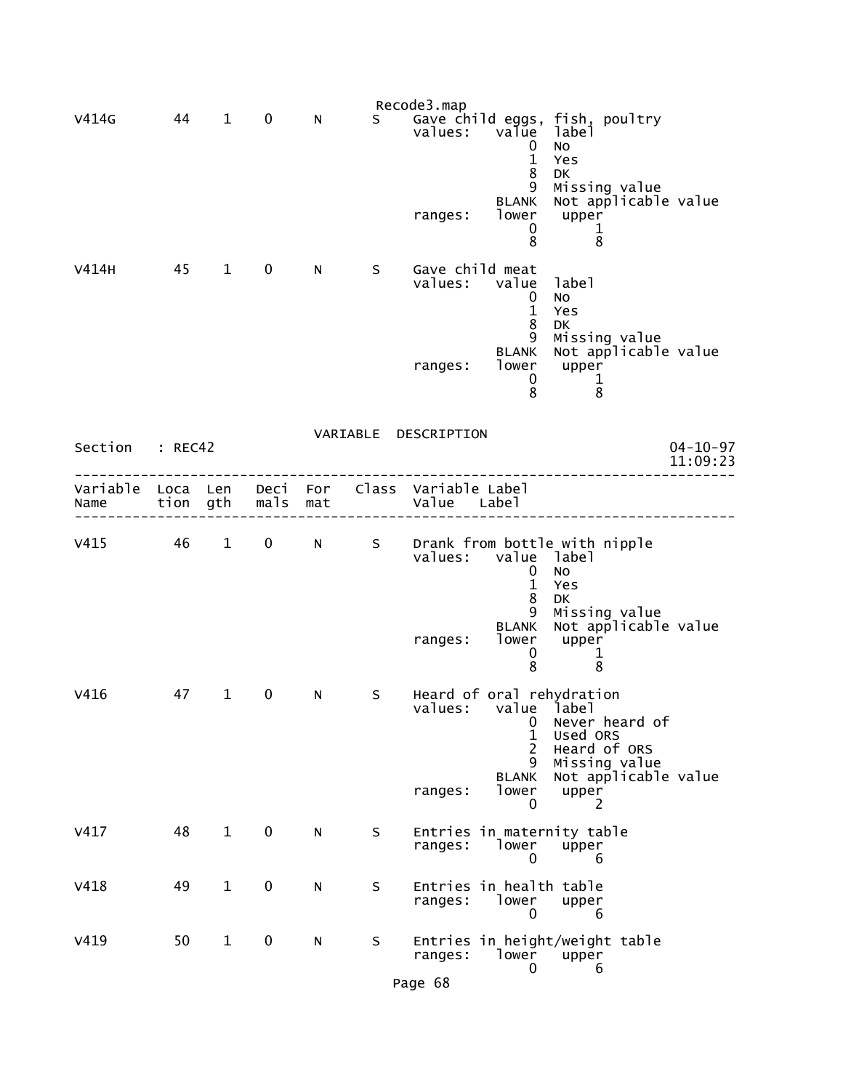|                  |              |              |              |            |          | Recode3.map                |                                                              |                                                                                                                  |                            |
|------------------|--------------|--------------|--------------|------------|----------|----------------------------|--------------------------------------------------------------|------------------------------------------------------------------------------------------------------------------|----------------------------|
| V414G            | 44           | $\mathbf 1$  | 0            | N          | S.       | values:                    | value<br>0<br>$\mathbf{1}$<br>8<br>9                         | Gave child eggs, fish, poultry<br>label<br>No<br>Yes<br>DK<br>Missing value                                      |                            |
|                  |              |              |              |            |          | ranges:                    | <b>BLANK</b><br>lower<br>0<br>8                              | Not applicable value<br>upper<br>1<br>8                                                                          |                            |
| V414H            | 45           | $\mathbf{1}$ | 0            | N          | S        | Gave child meat<br>values: | value<br>0<br>$\mathbf{1}$<br>8<br>9                         | label<br>No<br>Yes<br>DK<br>Missing value                                                                        |                            |
|                  |              |              |              |            |          | ranges:                    | <b>BLANK</b><br>lower<br>0<br>8                              | Not applicable value<br>upper<br>1<br>8                                                                          |                            |
|                  |              |              |              |            | VARIABLE | DESCRIPTION                |                                                              |                                                                                                                  |                            |
| Section          | : REC42      |              |              |            |          |                            |                                                              |                                                                                                                  | $04 - 10 - 97$<br>11:09:23 |
| Variable<br>Name | Loca<br>tion | Len<br>gth   | Deci<br>mals | For<br>mat | Class    | Variable Label<br>Value    | Label                                                        |                                                                                                                  |                            |
| V415             | 46           | $\mathbf{1}$ | $\pmb{0}$    | N          | S        | values:                    | value<br>0<br>$\mathbf{1}$<br>8                              | Drank from bottle with nipple<br>label<br>No<br>Yes<br><b>DK</b>                                                 |                            |
|                  |              |              |              |            |          | ranges:                    | 9<br><b>BLANK</b><br>lower<br>0<br>8                         | Missing value<br>Not applicable value<br>upper<br>1<br>8                                                         |                            |
| V416             | 47           | 1            | 0            | N          | S        | values:                    | value label<br>0<br>1<br>$\overline{2}$<br>9<br><b>BLANK</b> | Heard of oral rehydration<br>Never heard of<br>Used ORS<br>Heard of ORS<br>Missing value<br>Not applicable value |                            |
|                  |              |              |              |            |          | ranges:                    | lower<br>0                                                   | upper<br>2                                                                                                       |                            |
| V417             | 48           | $\mathbf{1}$ | $\mathbf 0$  | ${\sf N}$  | S        | ranges:                    | lower<br>0                                                   | Entries in maternity table<br>upper<br>6                                                                         |                            |
| V418             | 49           | $\mathbf{1}$ | $\pmb{0}$    | ${\sf N}$  | S        | ranges:                    | Entries in health table<br>lower<br>0                        | upper<br>6                                                                                                       |                            |
| V419             | 50           | $\mathbf{1}$ | 0            | ${\sf N}$  | S        | ranges:                    | lower<br>0                                                   | Entries in height/weight table<br>upper<br>6                                                                     |                            |
|                  |              |              |              |            |          | Page 68                    |                                                              |                                                                                                                  |                            |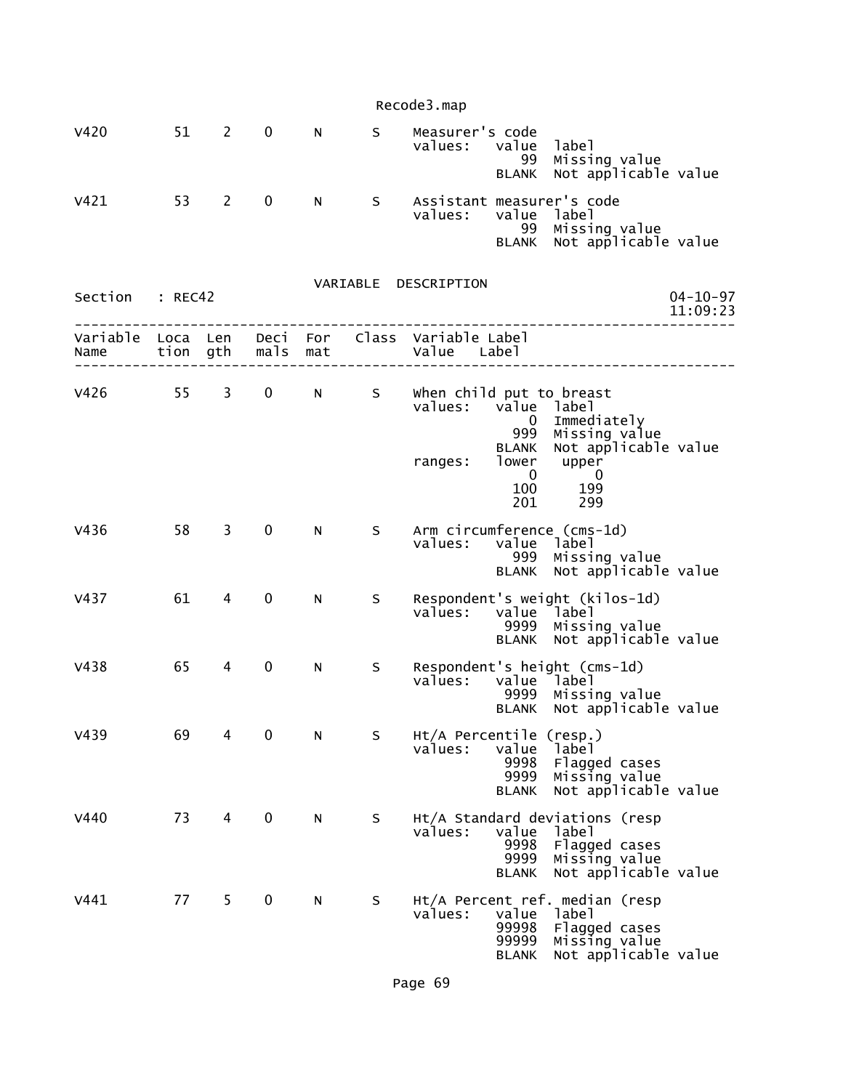|                           |         |                |              |            |          | Recode3.map                                                                                                                                                                                                            |  |
|---------------------------|---------|----------------|--------------|------------|----------|------------------------------------------------------------------------------------------------------------------------------------------------------------------------------------------------------------------------|--|
| <b>V420</b>               | 51      | $\overline{2}$ | 0            | N          | S        | Measurer's code<br>values:<br>value<br>label<br>Missing value<br>99<br>Not applicable value<br><b>BLANK</b>                                                                                                            |  |
| V421                      | 53      | 2              | $\mathbf 0$  | N          | S.       | Assistant measurer's code<br>values:<br>value<br>label<br>99<br>Missing value<br>Not applicable value<br><b>BLANK</b>                                                                                                  |  |
| Section                   | : REC42 |                |              |            | VARIABLE | DESCRIPTION<br>$04 - 10 - 97$<br>11:09:23                                                                                                                                                                              |  |
| Variable Loca Len<br>Name | tion    | gth            | Deci<br>mals | For<br>mat |          | Class Variable Label<br>Value<br>Label                                                                                                                                                                                 |  |
| V426                      | 55      | 3              | 0            | N          | S        | when child put to breast<br>values:<br>value<br>label<br>Immediately<br>0<br>999<br>Missing value<br>Not applicable value<br><b>BLANK</b><br>lower<br>upper<br>ranges:<br>$\mathbf 0$<br>0<br>100<br>199<br>201<br>299 |  |
| V436                      | 58      | 3              | 0            | N          | S        | Arm circumference (cms-1d)<br>values:<br>value label<br>999<br>Missing value<br>Not applicable value<br><b>BLANK</b>                                                                                                   |  |
| V437                      | 61      | 4              | 0            | N          | S        | Respondent's weight (kilos-1d)<br>values:<br>value<br>label<br>Missing value<br>9999<br>Not applicable value<br><b>BLANK</b>                                                                                           |  |
| V438                      | 65      | 4              | $\mathbf 0$  | N          | S        | Respondent's height (cms-1d)<br>values:<br>value label<br>9999<br>Missing value<br>Not applicable value<br><b>BLANK</b>                                                                                                |  |
| V439                      | 69      | 4              | 0            | N          | S        | $Ht/A$ Percentile (resp.)<br>values:<br>value<br>label<br>9998<br>Flagged cases<br>9999<br>Missing value<br>Not applicable value<br><b>BLANK</b>                                                                       |  |
| V440                      | 73      | 4              | 0            | N          | S        | Ht/A Standard deviations (resp<br>value<br>values:<br>label<br>9998<br>Flagged cases<br>9999<br>Missing value<br>Not applicable value<br><b>BLANK</b>                                                                  |  |
| V441                      | 77      | 5              | 0            | N          | S        | Ht/A Percent ref. median (resp<br>values:<br>value<br>label<br>99998<br>Flagged cases<br>99999<br>Missing value<br>Not applicable value<br><b>BLANK</b>                                                                |  |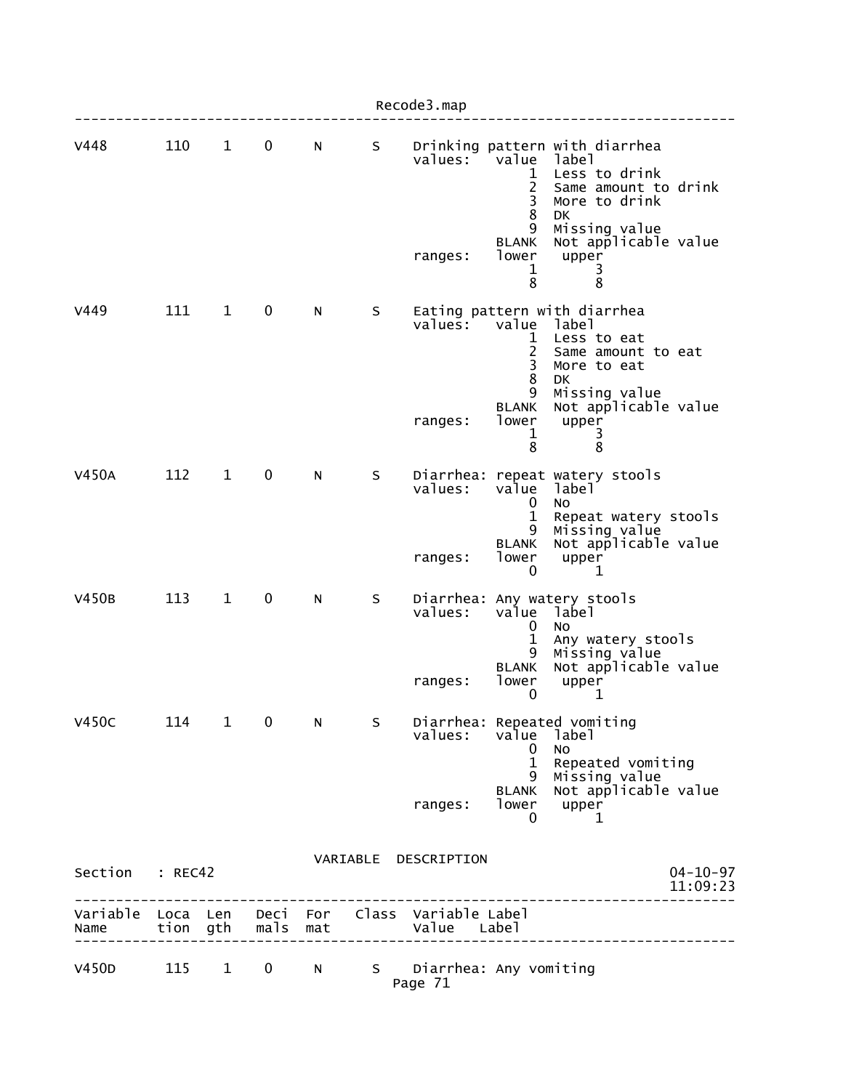|                 |       |              |                   |                |   | Recode3.map                                                    |                                                 |                                                                                                                                 |                            |
|-----------------|-------|--------------|-------------------|----------------|---|----------------------------------------------------------------|-------------------------------------------------|---------------------------------------------------------------------------------------------------------------------------------|----------------------------|
| V448            | 110   | $\mathbf{1}$ | $\pmb{0}$         | N              | S | values:                                                        | value<br>1<br>$\overline{c}$<br>3<br>8<br>9     | Drinking pattern with diarrhea<br>label<br>Less to drink<br>Same amount to drink<br>More to drink<br><b>DK</b><br>Missing value |                            |
|                 |       |              |                   |                |   | ranges:                                                        | <b>BLANK</b><br>lower<br>1<br>8                 | Not applicable value<br>upper<br>3<br>$\overline{8}$                                                                            |                            |
| V449            | 111   | $\mathbf{1}$ | 0                 | N              | S | values:                                                        | value<br>1<br>$\overline{2}$<br>3<br>8<br>9     | Eating pattern with diarrhea<br>label<br>Less to eat<br>Same amount to eat<br>More to eat<br><b>DK</b><br>Missing value         |                            |
|                 |       |              |                   |                |   | ranges:                                                        | <b>BLANK</b><br>lower<br>1<br>8                 | Not applicable value<br>upper<br>3<br>8                                                                                         |                            |
| <b>V450A</b>    | 112   | $\mathbf{1}$ | 0                 | N              | S | values:                                                        | value<br>0                                      | Diarrhea: repeat watery stools<br>label<br>No.                                                                                  |                            |
|                 |       |              |                   |                |   | ranges:                                                        | $\mathbf{1}$<br>9<br><b>BLANK</b><br>lower<br>0 | Repeat watery stools<br>Missing value<br>Not applicable value<br>upper<br>1                                                     |                            |
| <b>V450B</b>    | 113   | $\mathbf 1$  | 0                 | N              | S | values:                                                        | value<br>0<br>1                                 | Diarrhea: Any watery stools<br>label<br><b>NO</b><br>Any watery stools                                                          |                            |
|                 |       |              |                   |                |   | ranges:                                                        | 9<br><b>BLANK</b><br>lower<br>0                 | Missing value<br>Not applicable value<br>upper<br>1                                                                             |                            |
| <b>V450C</b>    | 114   | 1            | 0                 | N              | S | values:                                                        | value<br>0                                      | Diarrhea: Repeated vomiting<br>label<br>No.                                                                                     |                            |
|                 |       |              |                   |                |   | ranges:                                                        | $\mathbf{1}$<br>9<br><b>BLANK</b><br>lower<br>0 | Repeated vomiting<br>Missing value<br>Not applicable value<br>upper<br>1                                                        |                            |
| Section : REC42 |       |              |                   |                |   | VARIABLE DESCRIPTION                                           |                                                 | --------------------                                                                                                            | $04 - 10 - 97$<br>11:09:23 |
| Name            |       |              | tion gth mals mat |                |   | Variable Loca Len Deci For Class Variable Label<br>Value Label |                                                 |                                                                                                                                 |                            |
| V450D           | 115 1 |              | $\mathbf{0}$      | N <sub>1</sub> |   | S Diarrhea: Any vomiting<br>Page 71                            |                                                 |                                                                                                                                 |                            |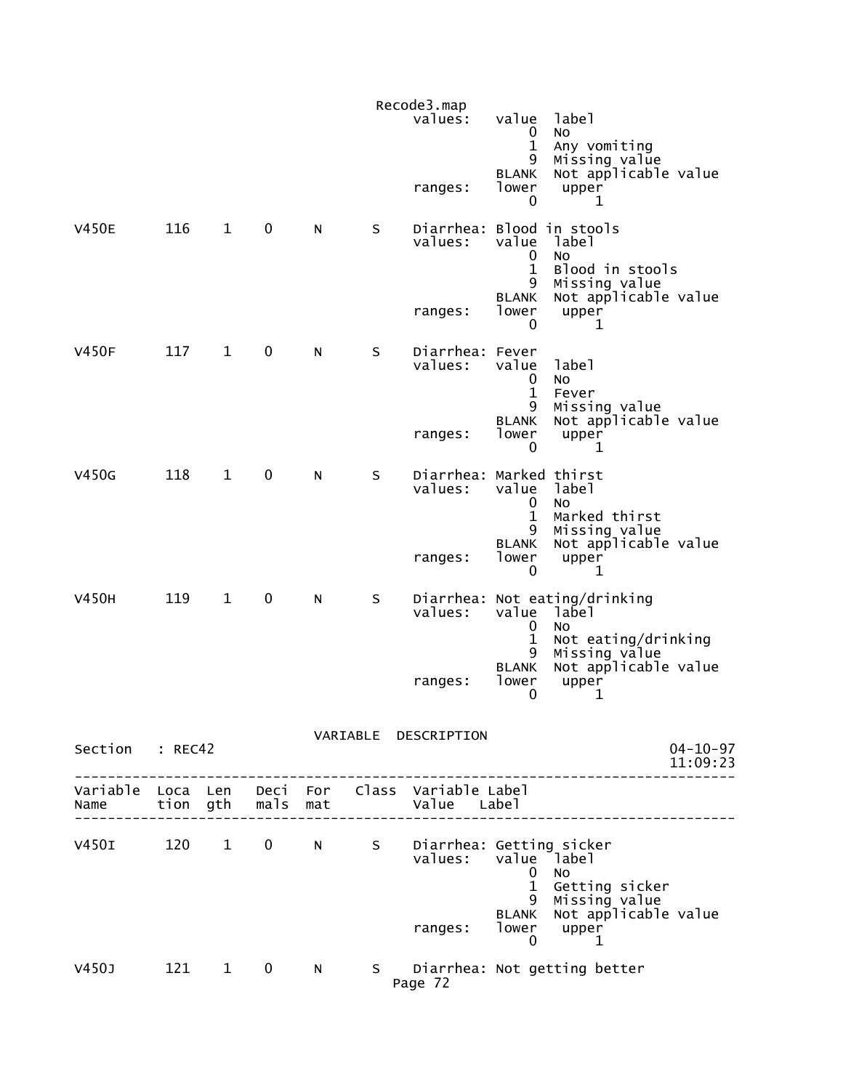|                        |       |              |              |   |         | Recode3.map<br>values:                                         | value<br>0<br>$\mathbf 1$                  | label<br><b>NO</b><br>Any vomiting                                         |                            |
|------------------------|-------|--------------|--------------|---|---------|----------------------------------------------------------------|--------------------------------------------|----------------------------------------------------------------------------|----------------------------|
|                        |       |              |              |   |         | ranges:                                                        | 9<br><b>BLANK</b><br>lower<br>$\mathbf{0}$ | Missing value<br>Not applicable value<br>upper<br>1                        |                            |
| <b>V450E</b>           | 116   | $\mathbf{1}$ | $\mathbf 0$  | N | S       | Diarrhea: Blood in stools<br>values:                           | value<br>0<br>$\mathbf{1}$<br>9            | label<br>NO<br>Blood in stools<br>Missing value                            |                            |
|                        |       |              |              |   |         | ranges:                                                        | <b>BLANK</b><br>lower<br>0                 | Not applicable value<br>upper<br>1                                         |                            |
| <b>V450F</b>           | 117   | $\mathbf{1}$ | 0            | N | S       | Diarrhea: Fever<br>values:                                     | value<br>0<br>$\mathbf{1}$<br>9            | label<br><b>NO</b><br>Fever<br>Missing value                               |                            |
|                        |       |              |              |   |         | ranges:                                                        | <b>BLANK</b><br>lower<br>$\mathbf{0}$      | Not applicable value<br>upper<br>$\mathbf{1}$                              |                            |
| V450G                  | 118   | $\mathbf{1}$ | 0            | N | $\sf S$ | Diarrhea: Marked thirst<br>values:                             | value<br>0<br>$\mathbf{1}$                 | label<br><b>NO</b><br>Marked thirst                                        |                            |
|                        |       |              |              |   |         | ranges:                                                        | 9<br><b>BLANK</b><br>lower<br>0            | Missing value<br>Not applicable value<br>upper<br>1                        |                            |
| <b>V450H</b>           | 119   | $\mathbf{1}$ | $\mathbf 0$  | N | S       | values:                                                        | value label<br>0<br>1                      | Diarrhea: Not eating/drinking<br><b>NO</b><br>Not eating/drinking          |                            |
|                        |       |              |              |   |         | ranges:                                                        | 9<br><b>BLANK</b><br>lower<br>0            | Missing value<br>Not applicable value<br>upper<br>1                        |                            |
| Section : REC42        |       |              |              |   |         | VARIABLE DESCRIPTION                                           |                                            |                                                                            | $04 - 10 - 97$<br>11:09:23 |
| Name tion gth mals mat |       |              |              |   |         | Variable Loca Len Deci For Class Variable Label<br>Value Label |                                            |                                                                            |                            |
| V450I 120 1 0 N        |       |              |              |   | S       | Diarrhea: Getting sicker<br>values:                            | value label<br>0<br>$\mathbf{1}$           | <b>NO</b><br>Getting sicker                                                |                            |
|                        |       |              |              |   |         | ranges:                                                        | 9<br>$\mathbf 0$                           | Missing value<br>BLANK Not applicable value<br>lower upper<br>$\mathbf{1}$ |                            |
| V450J                  | 121 1 |              | $\mathbf{0}$ | N |         | Page 72                                                        |                                            | S Diarrhea: Not getting better                                             |                            |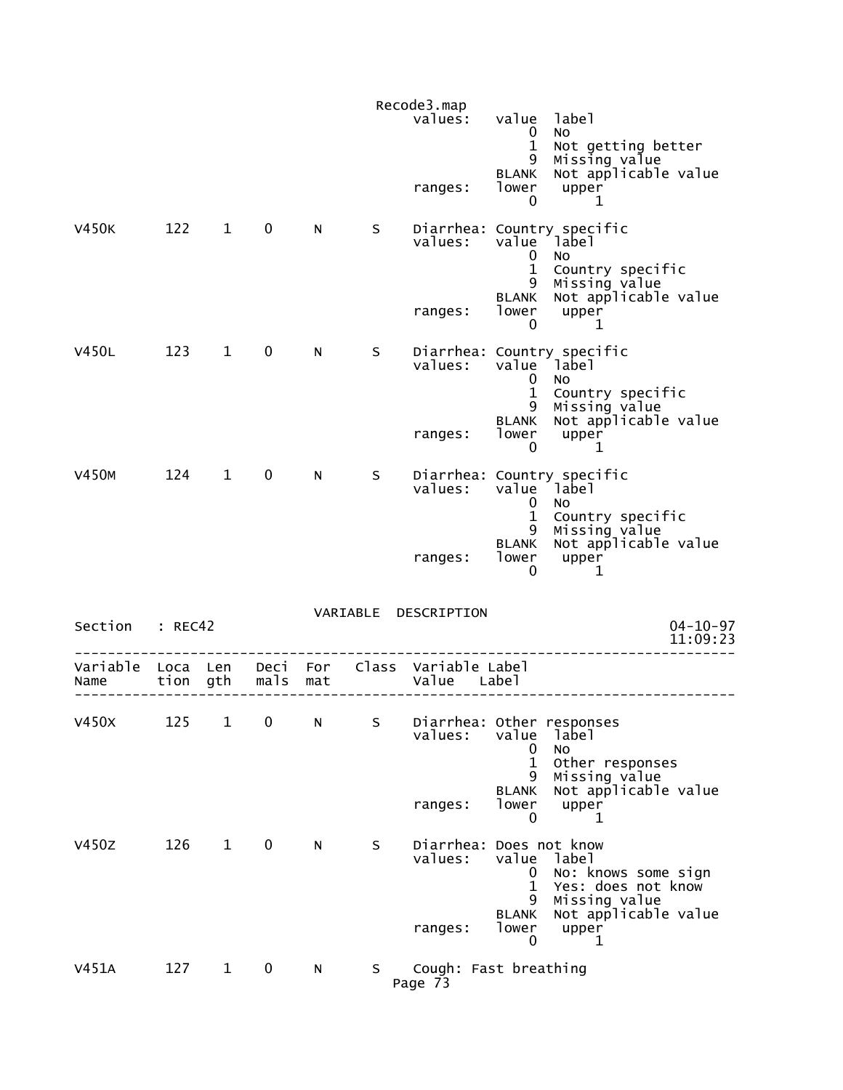|                  |                  |              |                  |     |    | Recode3.map                          |                                                            |                                                                            |
|------------------|------------------|--------------|------------------|-----|----|--------------------------------------|------------------------------------------------------------|----------------------------------------------------------------------------|
|                  |                  |              |                  |     |    | values:                              | value<br>$\mathbf{0}$                                      | label<br>No.                                                               |
|                  |                  |              |                  |     |    | ranges:                              | $\mathbf{1}$<br>9<br>BLANK<br>lower<br>0                   | Not getting better<br>Missing value<br>Not applicable value<br>upper<br>1  |
| V450K            | 122              | $\mathbf{1}$ | $\mathbf 0$      | N   | S. | values:                              | $\mathbf 0$<br>$\mathbf{1}$                                | Diarrhea: Country specific<br>value label<br>No.<br>Country specific       |
|                  |                  |              |                  |     |    | ranges:                              | 9<br><b>BLANK</b><br>lower<br>$\mathbf{0}$                 | Missing value<br>Not applicable value<br>upper<br>1                        |
| <b>V450L</b>     | 123 1            |              | $\mathbf 0$      | N.  | S. | values:                              | 0<br>$\mathbf{1}$                                          | Diarrhea: Country specific<br>value label<br><b>NO</b><br>Country specific |
|                  |                  |              |                  |     |    | ranges:                              | 9<br><b>BLANK</b><br>lower<br>$\overline{0}$               | Missing value<br>Not applicable value<br>upper<br>1                        |
| <b>V450M</b>     | 124              | $\mathbf{1}$ | $\mathbf 0$      | N.  | S  | values:                              | $\mathbf 0$                                                | Diarrhea: Country specific<br>value label<br><b>NO</b>                     |
|                  |                  |              |                  |     |    | ranges:                              | $\mathbf{1}$<br>9<br><b>BLANK</b><br>lower<br>0            | Country specific<br>Missing value<br>Not applicable value<br>upper<br>1    |
| Section          | : REC42          |              |                  |     |    | VARIABLE DESCRIPTION                 |                                                            | $04 - 10 - 97$<br>11:09:23                                                 |
| Variable<br>Name | Loca Len<br>tion | gth          | Deci For<br>mals | mat |    | Class Variable Label<br>Value        | Labe I                                                     |                                                                            |
| V450X            | 125              | $\mathbf{1}$ | $\pmb{0}$        | N   | S  | Diarrhea: Other responses<br>values: | value<br>0                                                 | label<br>No                                                                |
|                  |                  |              |                  |     |    | ranges:                              | $\mathbf{1}$<br>9<br><b>BLANK</b><br>lower<br>$\mathbf{0}$ | Other responses<br>Missing value<br>Not applicable value<br>upper<br>1     |
| V450Z            | 126              | $\mathbf{1}$ | $\mathbf 0$      | N   | S  | Diarrhea: Does not know<br>values:   | value<br>0<br>$\mathbf{1}$<br>9                            | label<br>No: knows some sign<br>Yes: does not know<br>Missing value        |
|                  |                  |              |                  |     |    | ranges:                              | <b>BLANK</b><br>lower<br>0                                 | Not applicable value<br>upper<br>1                                         |
| V451A            | 127              | $\mathbf{1}$ | $\mathbf 0$      | N   | S. | Cough: Fast breathing<br>Page 73     |                                                            |                                                                            |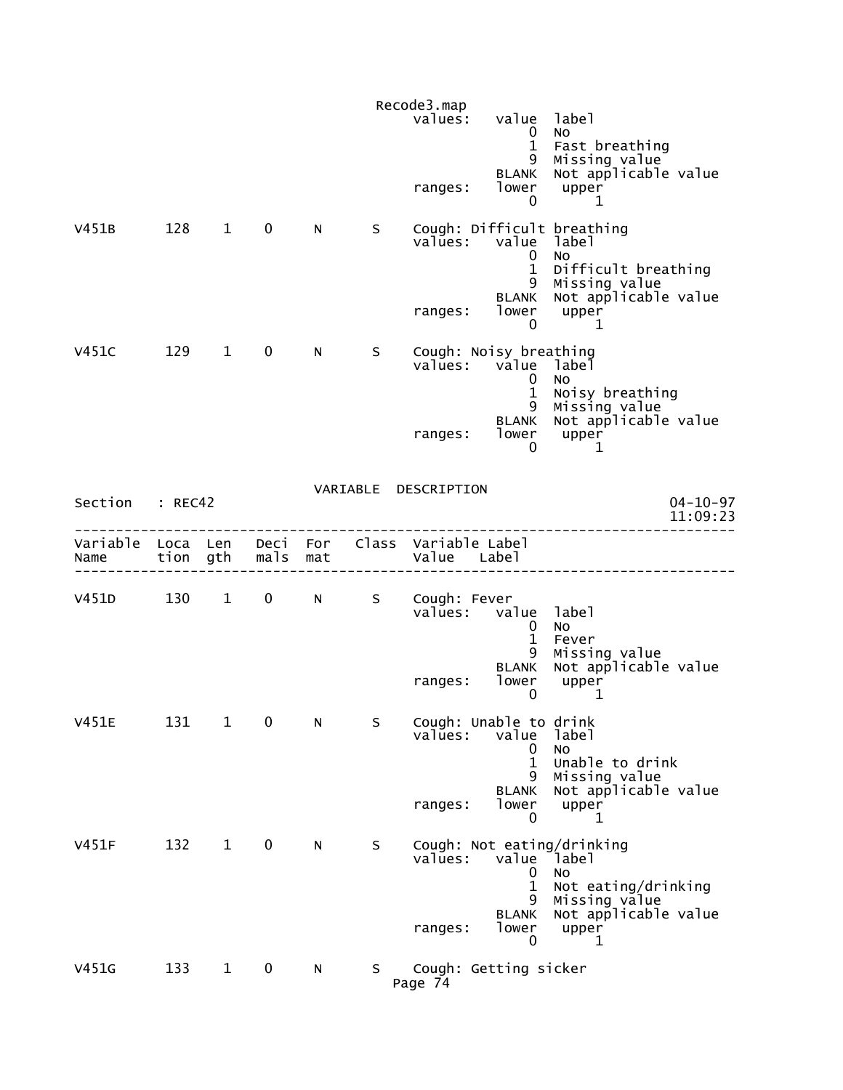|                                    |         |              |             |     |     | Recode3.map                                   |                                                 |                                                                                                           |
|------------------------------------|---------|--------------|-------------|-----|-----|-----------------------------------------------|-------------------------------------------------|-----------------------------------------------------------------------------------------------------------|
|                                    |         |              |             |     |     | values:                                       | value<br>$\mathbf{0}$<br>$\mathbf{1}$           | label<br>No<br>Fast breathing                                                                             |
|                                    |         |              |             |     |     | ranges:                                       | 9<br>BLANK<br>lower<br>0                        | Missing value<br>Not applicable value<br>upper<br>1                                                       |
| V451B                              | 128 1   |              | $\mathbf 0$ | N   | S – | values:                                       | value<br>0<br>$\mathbf{1}$<br>9<br><b>BLANK</b> | Cough: Difficult breathing<br>label<br>No<br>Difficult breathing<br>Missing value<br>Not applicable value |
|                                    |         |              |             |     |     | ranges:                                       | lower<br>$\mathbf 0$                            | upper<br>1                                                                                                |
| V451C                              | 129 1   |              | $\mathbf 0$ | N   | S.  | Cough: Noisy breathing<br>values: value label | $\overline{0}$<br>$\mathbf{1}$<br>9             | NO.<br>Noisy breathing                                                                                    |
|                                    |         |              |             |     |     | ranges:                                       | BLANK<br>lower<br>0                             | Missing value<br>Not applicable value<br>upper<br>1                                                       |
| Section : REC42                    |         |              |             |     |     | VARIABLE DESCRIPTION                          |                                                 | $04 - 10 - 97$<br>11:09:23                                                                                |
| Variable Loca Len Deci For<br>Name |         | tion gth     | mals        | mat |     | Class Variable Label<br>Value Label           |                                                 |                                                                                                           |
| V451D                              | 130 1 0 |              |             | N a | S   | Cough: Fever<br>values: value label           | 0<br>$\mathbf{1}$                               | No<br>Fever                                                                                               |
|                                    |         |              |             |     |     | ranges:                                       | 9<br><b>BLANK</b><br>lower<br>0                 | Missing value<br>Not applicable value<br>upper<br>1                                                       |
| <b>V451E</b>                       | 131     | $\mathbf{1}$ | 0           | N   | S   | Cough: Unable to drink<br>values:             | value<br>0                                      | label<br>No                                                                                               |
|                                    |         |              |             |     |     | ranges:                                       | $\mathbf{1}$<br>9<br><b>BLANK</b><br>lower<br>0 | Unable to drink<br>Missing value<br>Not applicable value<br>upper<br>1                                    |
| V451F                              | 132     | $\mathbf{1}$ | $\mathbf 0$ | N   | S   | values:                                       | value<br>0<br>1<br>9                            | Cough: Not eating/drinking<br>Iabel <sup>-</sup><br><b>NO</b><br>Not eating/drinking                      |
|                                    |         |              |             |     |     | ranges:                                       | <b>BLANK</b><br>lower<br>0                      | Missing value<br>Not applicable value<br>upper<br>1                                                       |
| V451G                              | 133     | $\mathbf{1}$ | 0           | N   | S.  | Cough: Getting sicker<br>Page 74              |                                                 |                                                                                                           |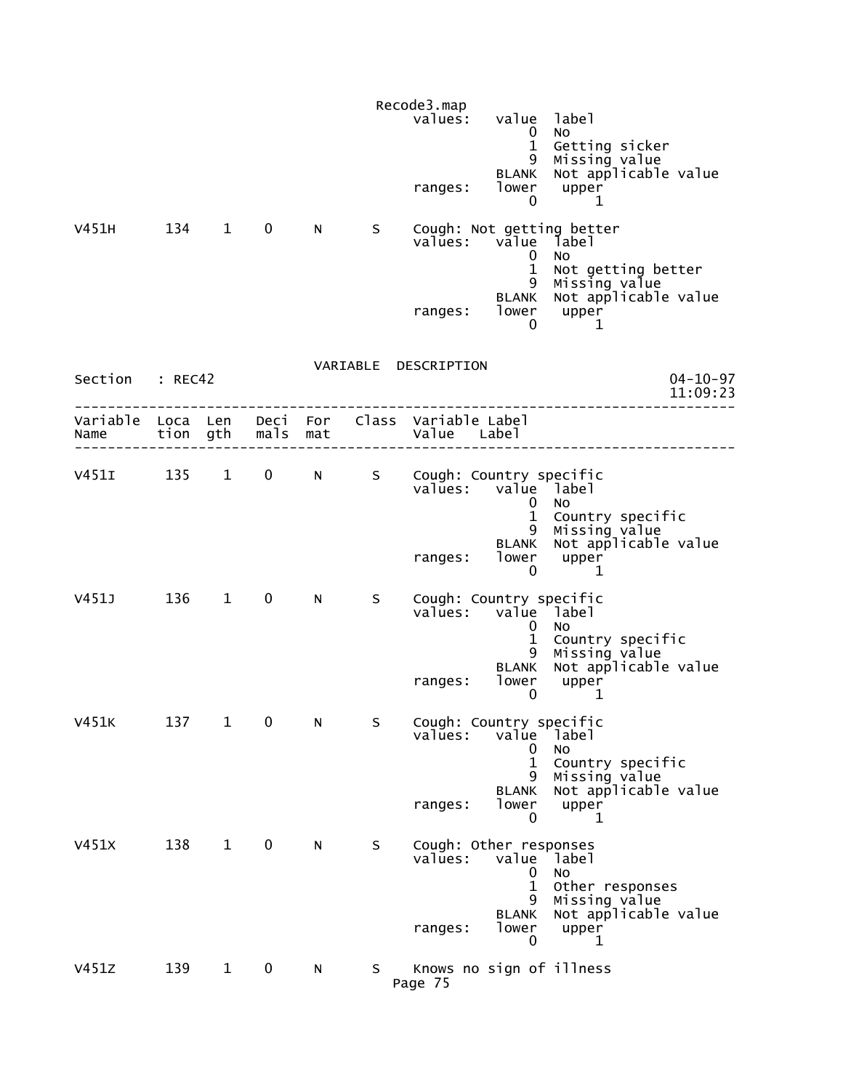|                           |          |                        |             |                 |    | Recode3.map<br>values:<br>ranges:                         | value label<br>0<br>$\mathbf{1}$<br>9<br><b>BLANK</b><br>lower<br>0 | No<br>Getting sicker<br>Missing value<br>Not applicable value<br>upper<br>1                                    |
|---------------------------|----------|------------------------|-------------|-----------------|----|-----------------------------------------------------------|---------------------------------------------------------------------|----------------------------------------------------------------------------------------------------------------|
| V451H                     | 134 1    |                        | $\mathbf 0$ | N.              | S. | values: value label<br>ranges:                            | 0<br>$\mathbf{1}$<br>9<br><b>BLANK</b><br>lower                     | Cough: Not getting better<br><b>NO</b><br>Not getting better<br>Missing value<br>Not applicable value<br>upper |
| Section : REC42           |          |                        |             |                 |    | VARIABLE DESCRIPTION                                      | 0                                                                   | 1<br>$04 - 10 - 97$<br>11:09:23                                                                                |
| Variable Loca Len<br>Name | tion gth |                        | mals        | Deci For<br>mat |    | Class Variable Label<br>Value Label                       |                                                                     |                                                                                                                |
| $V451I$ 135               |          | $1 \quad \blacksquare$ | $\mathbf 0$ | N               | S  | Cough: Country specific<br>values: value label<br>ranges: | 0<br>$\mathbf{1}$<br>9<br><b>BLANK</b><br>$\mathbf 0$               | <b>NO</b><br>Country specific<br>Missing value<br>Not applicable value<br>lower upper<br>1                     |
| V451J                     | 136 1    |                        | $\mathbf 0$ | N               | S. | Cough: Country specific<br>values:<br>ranges:             | value label<br>0<br>$\mathbf{1}$<br>9<br><b>BLANK</b><br>lower<br>0 | No<br>Country specific<br>Missing value<br>Not applicable value<br>upper<br>1                                  |
| V451K                     | 137      | $\mathbf{1}$           | 0           | N               | S  | Cough: Country specific<br>values:<br>ranges:             | value<br>0<br>$\mathbf{1}$<br>9<br><b>BLANK</b><br>lower<br>0       | label<br>No<br>Country specific<br>Missing value<br>Not applicable value<br>upper<br>1                         |
| V451X                     | 138      | $\mathbf{1}$           | $\mathbf 0$ | N               | S  | Cough: Other responses<br>values:<br>ranges:              | value<br>0<br>1<br>9<br><b>BLANK</b><br>lower<br>0                  | label<br>No<br>Other responses<br>Missing value<br>Not applicable value<br>upper<br>1                          |
| V451Z                     | 139      | $\mathbf{1}$           | $\mathbf 0$ | N               | S. | Knows no sign of illness<br>Page 75                       |                                                                     |                                                                                                                |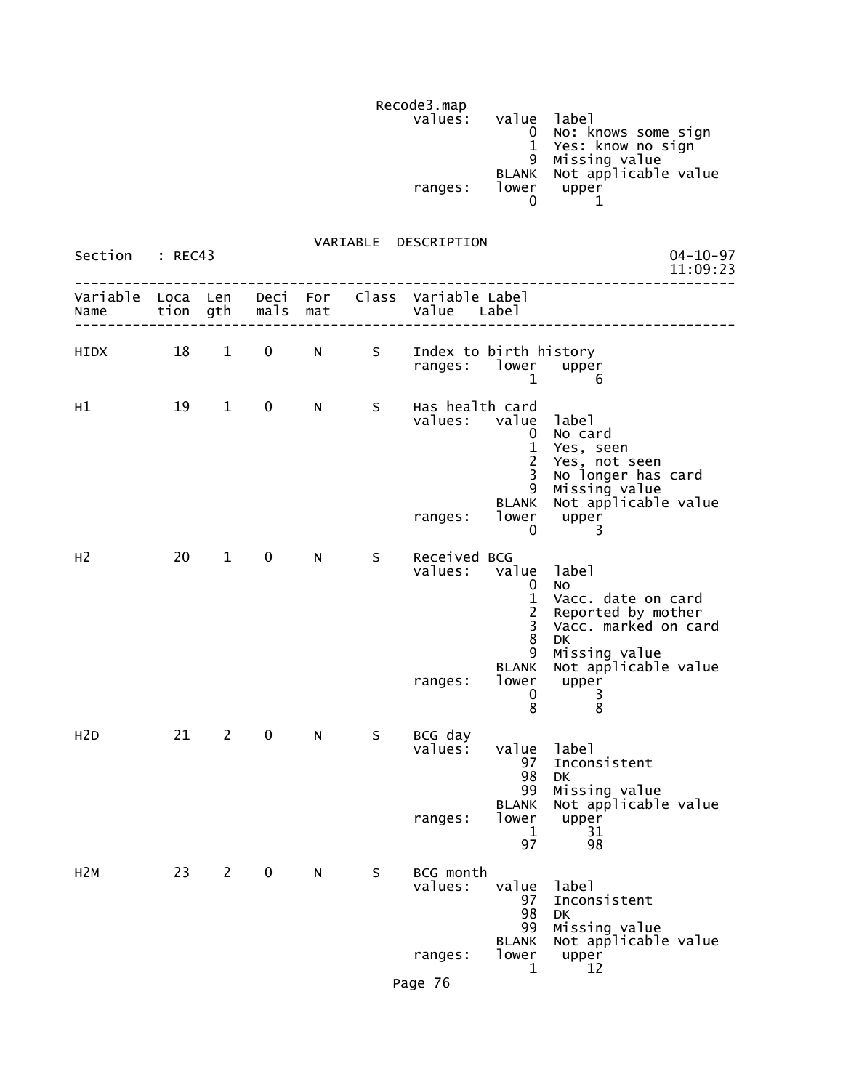Recode3.map<br>values: values: value label (1999) values: value label (1999) value label (1999) value label (1999) value  $\sim$  0 No: knows some sign 1 Yes: know no sign 9 Missing value BLANK Not applicable value ranges: lower upper  $\sim$  0  $\sim$  1

VARIABLE DESCRIPTION

| Section          | : REC43  |                |             |     |    | VANIADLE DESCRIPTION                          |                                                                                                     | 04-10-97<br>11:09:23                                                                                                                                      |
|------------------|----------|----------------|-------------|-----|----|-----------------------------------------------|-----------------------------------------------------------------------------------------------------|-----------------------------------------------------------------------------------------------------------------------------------------------------------|
| Variable<br>Name | Loca Len | tion gth       | mals        | mat |    | Deci For Class Variable Label<br>Value        | Labe <sub>1</sub>                                                                                   |                                                                                                                                                           |
| HIDX             | 18       | $\mathbf{1}$   | $\mathbf 0$ | N   | S  | Index to birth history<br>ranges: lower upper | $\mathbf{1}$                                                                                        | 6                                                                                                                                                         |
| H1               | 19       | $\mathbf{1}$   | $\mathbf 0$ | N   | S. | Has health card<br>values: value<br>ranges:   | $\mathbf{0}$<br>$\mathbf{1}$<br>$\overline{2}$<br>$\overline{3}$<br>9<br><b>BLANK</b><br>lower<br>0 | label<br>No card<br>Yes, seen<br>Yes, not seen<br>No longer has card<br>Missing value<br>Not applicable value<br>upper<br>3                               |
| H <sub>2</sub>   | 20       | $\mathbf{1}$   | $\mathbf 0$ | N   | S. | Received BCG<br>values: value<br>ranges:      | 0<br>$\mathbf{1}$<br>$\frac{2}{3}$<br>8<br>9<br><b>BLANK</b><br>lower<br>0<br>8                     | label<br>No.<br>Vacc. date on card<br>Reported by mother<br>Vacc. marked on card<br><b>DK</b><br>Missing value<br>Not applicable value<br>upper<br>3<br>8 |
| H <sub>2</sub> D | 21       | $2^{\circ}$    | $\mathbf 0$ | N,  | S. | BCG day<br>values:<br>ranges:                 | value<br>97<br>98<br>99<br><b>BLANK</b><br>lower<br>$\mathbf{1}$<br>97                              | label<br>Inconsistent<br><b>DK</b><br>Missing value<br>Not applicable value<br>upper<br>31<br>98                                                          |
| H <sub>2M</sub>  | 23       | $\overline{2}$ | 0           | N   | S  | BCG month<br>values:<br>ranges:<br>Page 76    | value<br>97<br>98<br>99<br><b>BLANK</b><br>lower<br>1                                               | label<br>Inconsistent<br>DK<br>Missing value<br>Not applicable value<br>upper<br>12                                                                       |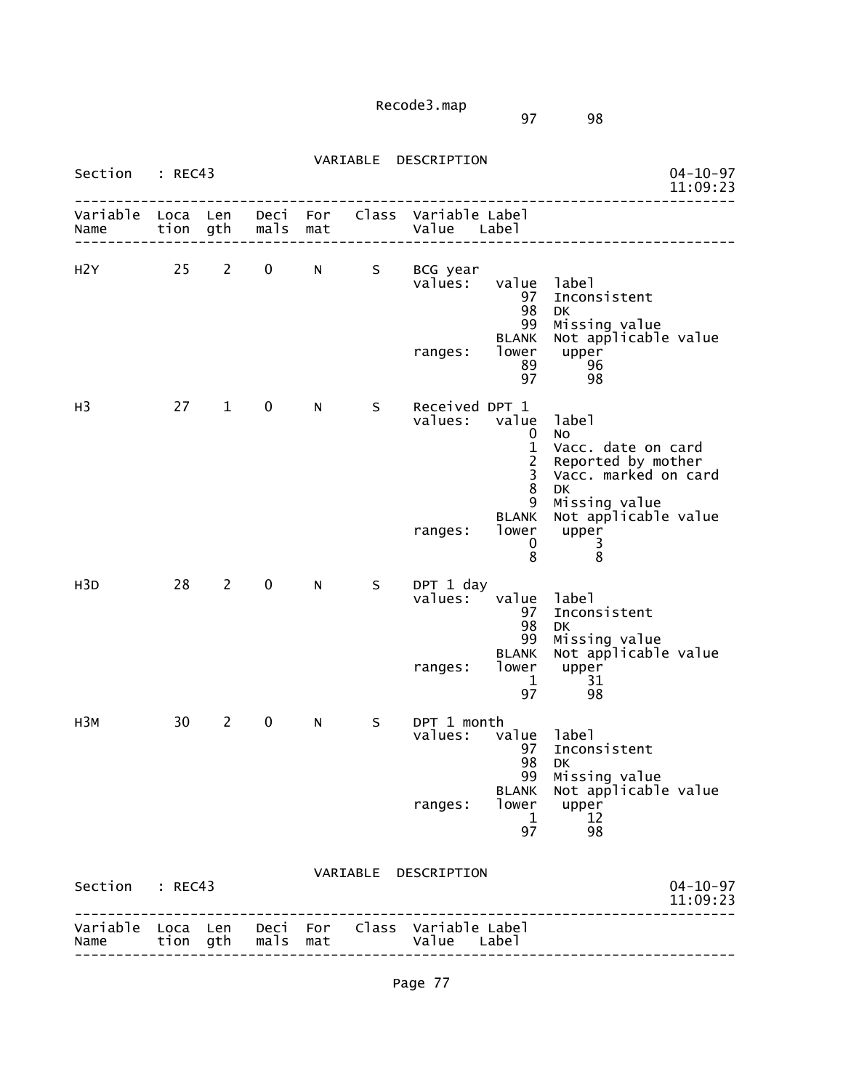97 98

| Section                   | : REC43      |                |              |                 | VARIABLE | DESCRIPTION                   |                                                  |                                                                                       | $04 - 10 - 97$<br>11:09:23 |
|---------------------------|--------------|----------------|--------------|-----------------|----------|-------------------------------|--------------------------------------------------|---------------------------------------------------------------------------------------|----------------------------|
| Variable<br>Name          | Loca<br>tion | Len<br>gth     | Deci<br>mals | For<br>mat      | Class    | Variable Label<br>Value       | Label                                            |                                                                                       |                            |
| H2Y                       | 25           | $\mathbf{2}$   | 0            | N               | S        | BCG year<br>values:           | value<br>97<br>98<br>99                          | label<br>Inconsistent<br><b>DK</b><br>Missing value                                   |                            |
|                           |              |                |              |                 |          | ranges:                       | <b>BLANK</b><br>lower<br>89<br>97                | Not applicable value<br>upper<br>96<br>98                                             |                            |
| H3                        | 27           | $\mathbf{1}$   | 0            | N               | S        | Received DPT 1<br>values:     | value<br>0<br>$\mathbf{1}$<br>$\frac{2}{3}$<br>8 | label<br>No<br>Vacc. date on card<br>Reported by mother<br>Vacc. marked on card<br>DK |                            |
|                           |              |                |              |                 |          | ranges:                       | 9<br><b>BLANK</b><br>lower<br>0<br>8             | Missing value<br>Not applicable value<br>upper<br>3<br>8                              |                            |
| H <sub>3</sub> D          | 28           | $\overline{2}$ | 0            | N               | S        | DPT 1 day<br>values:          | value<br>97<br>98<br>99                          | label<br>Inconsistent<br>DK<br>Missing value                                          |                            |
|                           |              |                |              |                 |          | ranges:                       | <b>BLANK</b><br>lower<br>1<br>97                 | Not applicable value<br>upper<br>31<br>98                                             |                            |
| H3M                       | 30           | $\overline{2}$ | 0            | N               | S        | DPT 1 month<br>values:        | value<br>97<br>98                                | label<br>Inconsistent<br>DK.                                                          |                            |
|                           |              |                |              |                 |          | ranges:                       | 99<br><b>BLANK</b><br>lower<br>1<br>97           | Missing value<br>Not applicable value<br>upper<br>12<br>98                            |                            |
| Section                   | : REC43      |                |              |                 |          | VARIABLE DESCRIPTION          |                                                  |                                                                                       | $04 - 10 - 97$<br>11:09:23 |
| Variable Loca Len<br>Name | tion gth     |                | mals         | Deci For<br>mat |          | Class Variable Label<br>value | Label                                            |                                                                                       |                            |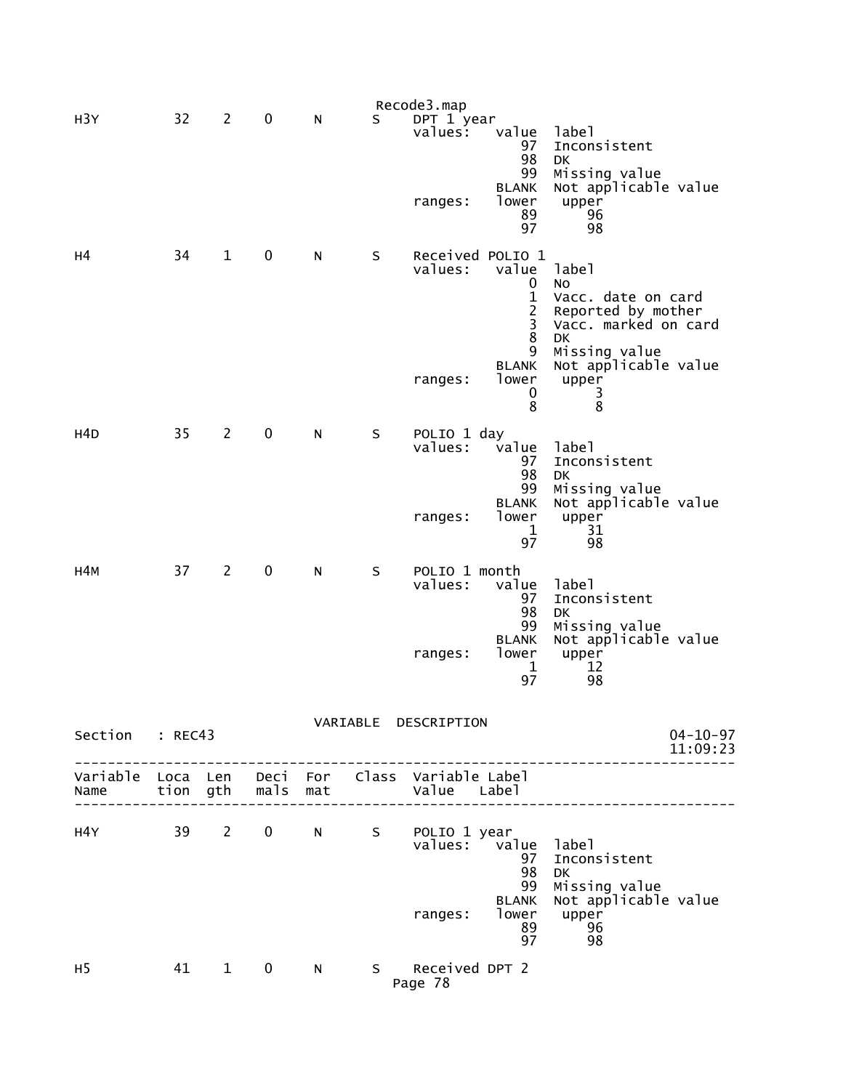|                                                         |          |                |              |     |             | Recode3.map                         |                                                                                                                    |                                                                                                                                                                |                            |
|---------------------------------------------------------|----------|----------------|--------------|-----|-------------|-------------------------------------|--------------------------------------------------------------------------------------------------------------------|----------------------------------------------------------------------------------------------------------------------------------------------------------------|----------------------------|
| H <sub>3</sub> Y                                        | 32       | $\overline{2}$ | 0            | N   | S           | DPT 1 year<br>values:<br>ranges:    | value<br>97<br>98<br>99<br><b>BLANK</b><br>lower<br>89<br>97                                                       | label<br>Inconsistent<br><b>DK</b><br>Missing value<br>Not applicable value<br>upper<br>96<br>98                                                               |                            |
| н4                                                      | 34       | $\mathbf{1}$   | 0            | N   | S           | values:<br>ranges:                  | Received POLIO 1<br>value<br>0<br>$\mathbf{1}$<br>$\overline{c}$<br>3<br>8<br>9<br><b>BLANK</b><br>lower<br>0<br>8 | label<br>No<br>Vacc. date on card<br>Reported by mother<br>Vacc. marked on card<br>DK<br>Missing value<br>Not applicable value<br>upper<br>3<br>$\overline{8}$ |                            |
| H4D                                                     | 35       | $\overline{2}$ | $\pmb{0}$    | N   | S           | POLIO 1 day<br>values:<br>ranges:   | value<br>97<br>98<br>99<br><b>BLANK</b><br>lower<br>1<br>97                                                        | label<br>Inconsistent<br><b>DK</b><br>Missing value<br>Not applicable value<br>upper<br>31<br>98                                                               |                            |
| H4M                                                     | 37       | $\overline{2}$ | 0            | N   | S           | POLIO 1 month<br>values:<br>ranges: | value<br>97<br>98<br>99<br><b>BLANK</b><br>lower<br>1<br>97                                                        | label<br>Inconsistent<br><b>DK</b><br>Missing value<br>Not applicable value<br>upper<br>12<br>98                                                               |                            |
| Section                                                 | : REC43  |                |              |     |             | VARIABLE DESCRIPTION                |                                                                                                                    |                                                                                                                                                                | $04 - 10 - 97$<br>11:09:23 |
| Variable Loca Len Deci For Class Variable Label<br>Name | tion gth |                | mals         | mat |             | Value Label                         |                                                                                                                    |                                                                                                                                                                |                            |
| H4Y L                                                   |          | 39 2           | $\mathbf{0}$ | N   | $S_{\perp}$ | POLIO 1 year<br>values:<br>ranges:  | value<br>97<br>98<br>99<br><b>BLANK</b><br>lower<br>89<br>97                                                       | label<br>Inconsistent<br>DK<br>Missing value<br>Not applicable value<br>upper<br>96<br>98                                                                      |                            |
| H <sub>5</sub>                                          |          | 41 1           | $\mathbf 0$  | N   |             | S Received DPT 2<br>Page 78         |                                                                                                                    |                                                                                                                                                                |                            |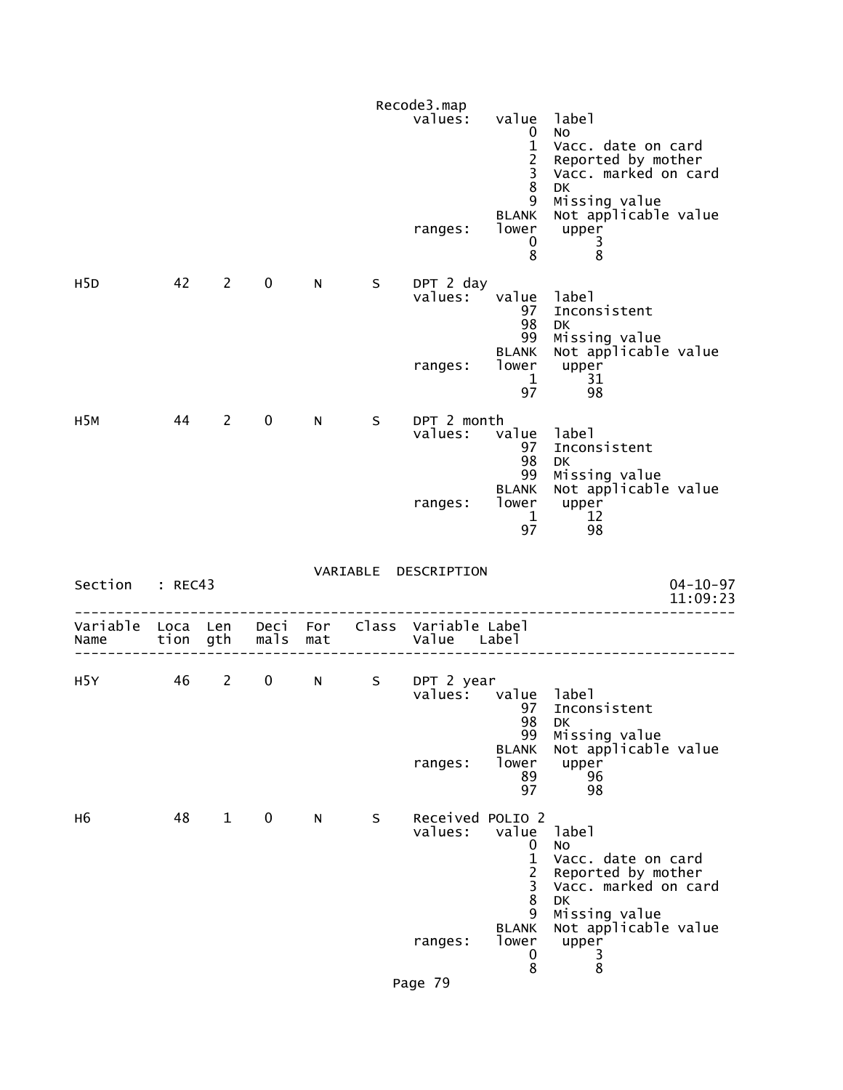|                  |      |                |                     |    |   | Recode3.map<br>values:<br>ranges:                     | value<br>$\mathbf 0$<br>$\mathbf{1}$<br>$\overline{2}$<br>3<br>$\bf 8$<br>9<br><b>BLANK</b><br>lower | label<br>No<br>Vacc. date on card<br>Reported by mother<br>Vacc. marked on card<br>DK<br>Missing value<br>Not applicable value<br>upper |
|------------------|------|----------------|---------------------|----|---|-------------------------------------------------------|------------------------------------------------------------------------------------------------------|-----------------------------------------------------------------------------------------------------------------------------------------|
|                  |      |                |                     |    |   |                                                       | $\bf{0}$<br>8                                                                                        | $\frac{3}{8}$                                                                                                                           |
| H <sub>5</sub> D | 42   | $\overline{2}$ | $\mathbf 0$         | N. | S | DPT 2 day<br>values:                                  | value<br>97<br>98<br>99                                                                              | label<br>Inconsistent<br>DK.<br>Missing value                                                                                           |
|                  |      |                |                     |    |   | ranges:                                               | <b>BLANK</b><br>$\mathbf{1}$<br>97                                                                   | Not applicable value<br>lower upper<br>31<br>98                                                                                         |
| H <sub>5M</sub>  | 44   | $2^{\sim}$     | $\mathbf 0$         | N  | S | DPT 2 month<br>values:                                | value<br>97<br>98                                                                                    | label<br>Inconsistent<br><b>DK</b>                                                                                                      |
|                  |      |                |                     |    |   | ranges:                                               | 99<br><b>BLANK</b><br>lower<br>$\mathbf{1}$<br>97                                                    | Missing value<br>Not applicable value<br>upper<br>12<br>98                                                                              |
| Section : REC43  |      |                |                     |    |   | VARIABLE DESCRIPTION                                  |                                                                                                      | $04 - 10 - 97$<br>11:09:23                                                                                                              |
| Variable<br>Name |      |                | tion gth  mals  mat |    |   | Loca Len Deci For Class Variable Label<br>Value Label |                                                                                                      |                                                                                                                                         |
| H5Y              | 46 2 |                | $\mathbf 0$         | N  | S | DPT 2 year<br>values: value label                     | 97<br>98                                                                                             | Inconsistent<br>DK                                                                                                                      |
|                  |      |                |                     |    |   | ranges:                                               | 99<br><b>BLANK</b><br>lower<br>89<br>97                                                              | Missing value<br>Not applicable value<br>upper<br>96<br>98                                                                              |
| н6               | 48   | $\mathbf{1}$   | $\mathbf 0$         | N. | S | Received POLIO 2<br>values:                           | value<br>0<br>$\mathbf{1}$<br>$\overline{2}$<br>3<br>8                                               | label<br>No<br>Vacc. date on card<br>Reported by mother<br>Vacc. marked on card<br><b>DK</b>                                            |
|                  |      |                |                     |    |   | ranges:                                               | 9<br><b>BLANK</b><br>lower<br>0<br>8                                                                 | Missing value<br>Not applicable value<br>upper<br>3<br>8                                                                                |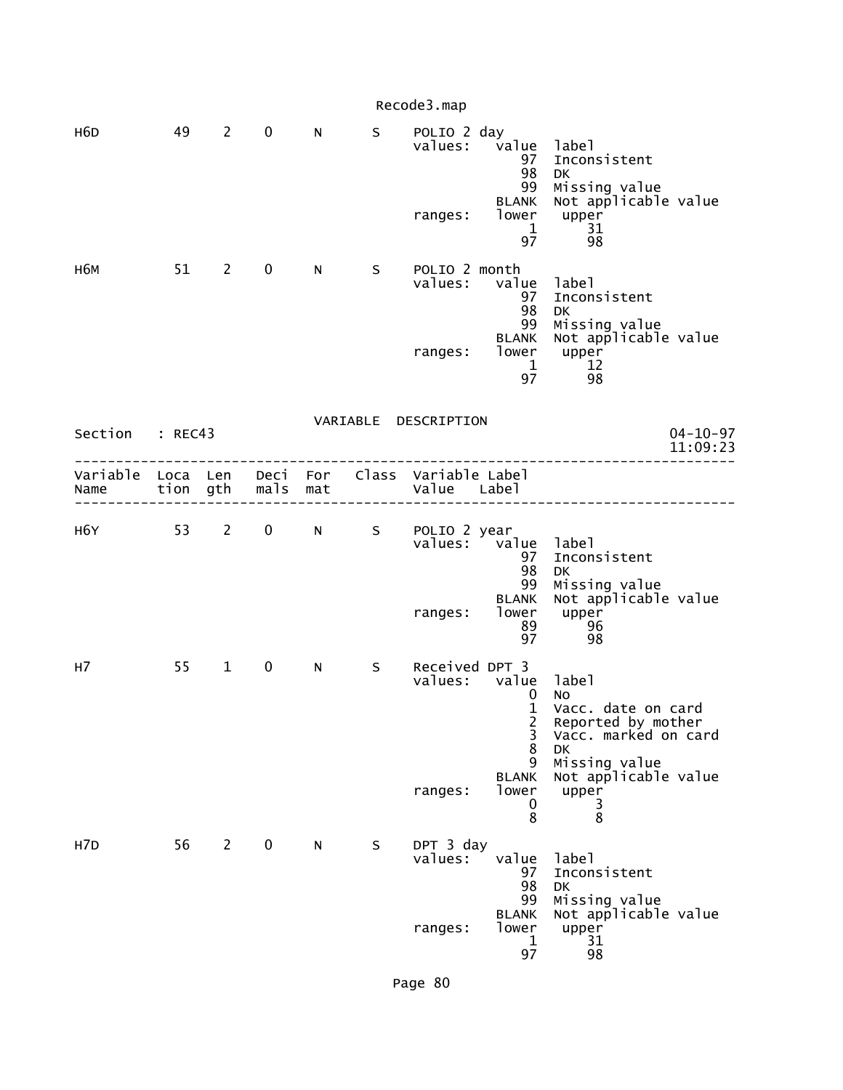|                                                         |    |                |                     |     |    | Recode3.map                          |                                                                                                                 |                                                                                                                                                          |
|---------------------------------------------------------|----|----------------|---------------------|-----|----|--------------------------------------|-----------------------------------------------------------------------------------------------------------------|----------------------------------------------------------------------------------------------------------------------------------------------------------|
| H <sub>6</sub> D                                        | 49 | $2^{\sim}$     | $\mathbf 0$         | N.  |    | S POLIO 2 day<br>ranges:             | values: value label<br>97<br>98<br>99<br>BLANK<br>lower<br>1<br>97                                              | Inconsistent<br><b>DK</b><br>Missing value<br>Not applicable value<br>upper<br>31<br>98                                                                  |
| н6м                                                     |    | 51 2           | $\mathbf{0}$        | N.  | S. | POLIO 2 month<br>values:<br>ranges:  | value<br>97<br>98<br>99<br><b>BLANK</b><br>lower<br>$\mathbf{1}$<br>97                                          | label<br>Inconsistent<br>DK<br>Missing value<br>Not applicable value<br>upper<br><b>12</b><br>98                                                         |
| Section : REC43                                         |    |                |                     |     |    | VARIABLE DESCRIPTION                 |                                                                                                                 | $04 - 10 - 97$<br>11:09:23                                                                                                                               |
| Variable Loca Len Deci For Class Variable Label<br>Name |    |                | tion gth  mals  mat |     |    | Value Label                          |                                                                                                                 |                                                                                                                                                          |
| H6Y L                                                   |    |                |                     |     |    | 53 2 0 N S POLIO 2 year<br>ranges:   | values: value label<br>97<br>98<br>99<br><b>BLANK</b><br>lower<br>89<br>97                                      | Inconsistent<br>DK<br>Missing value<br>Not applicable value<br>upper<br>96<br>98                                                                         |
| H7                                                      | 55 | $\mathbf 1$    | $\mathbf 0$         | N - | S  | Received DPT 3<br>values:<br>ranges: | value<br>$\mathbf 0$<br>$\mathbf{1}$<br>$\frac{2}{3}$<br>$\overline{8}$<br>9<br><b>BLANK</b><br>lower<br>0<br>8 | label<br>NO<br>Vacc. date on card<br>Reported by mother<br>Vacc. marked on card<br><b>DK</b><br>Missing value<br>Not applicable value<br>upper<br>3<br>8 |
| H <sub>7</sub> D                                        | 56 | $\overline{2}$ | $\mathbf 0$         | N   | S  | DPT 3 day<br>values:<br>ranges:      | value<br>97<br>98<br>99<br><b>BLANK</b><br>lower<br>$\mathbf{1}$<br>97                                          | label<br>Inconsistent<br>DK<br>Missing value<br>Not applicable value<br>upper<br>31<br>98                                                                |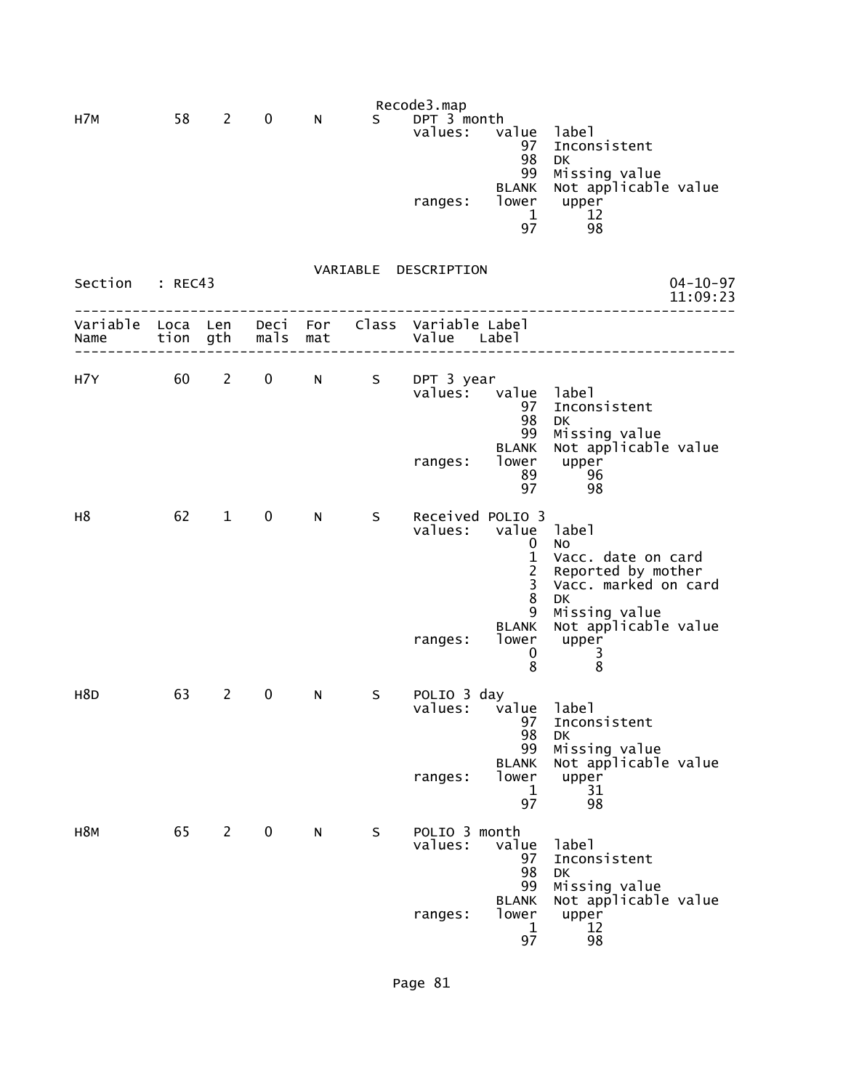|                  |                  |                |              |            |    | Recode3.map                            |                                                                                                |                                                                                                                                                          |
|------------------|------------------|----------------|--------------|------------|----|----------------------------------------|------------------------------------------------------------------------------------------------|----------------------------------------------------------------------------------------------------------------------------------------------------------|
| H7M              | 58               | $\overline{2}$ | 0            | N          | S. | DPT 3 month<br>values:<br>ranges:      | value<br>97<br>98<br>99<br><b>BLANK</b><br>lower<br>$\mathbf 1$<br>97                          | label<br>Inconsistent<br><b>DK</b><br>Missing value<br>Not applicable value<br>upper<br>12<br>98                                                         |
| Section          | : REC43          |                |              |            |    | VARIABLE DESCRIPTION                   |                                                                                                | $04 - 10 - 97$<br>11:09:23                                                                                                                               |
| Variable<br>Name | Loca Len<br>tion | gth            | Deci<br>mals | For<br>mat |    | Class Variable Label<br>Value Label    |                                                                                                |                                                                                                                                                          |
| H7Y              | 60               | $\mathbf{2}$   | $\mathbf 0$  | N          | S  | DPT 3 year<br>values:<br>ranges:       | value<br>97<br>98<br>99<br><b>BLANK</b><br>lower<br>89<br>97                                   | label<br>Inconsistent<br>DK<br>Missing value<br>Not applicable value<br>upper<br>96<br>98                                                                |
| H <sub>8</sub>   | 62               | $\mathbf{1}$   | 0            | N.         | S  | Received POLIO 3<br>values:<br>ranges: | value<br>0<br>$\mathbf{1}$<br>$\overline{c}$<br>3<br>8<br>9<br><b>BLANK</b><br>lower<br>0<br>8 | label<br>No<br>Vacc. date on card<br>Reported by mother<br>Vacc. marked on card<br><b>DK</b><br>Missing value<br>Not applicable value<br>upper<br>3<br>8 |
| H <sub>8</sub> D | 63               | 2              | 0            | N          | S  | POLIO 3 day<br>values:<br>ranges:      | value<br>97<br>98<br>99<br><b>BLANK</b><br>lower<br>1<br>97                                    | label<br>Inconsistent<br>DK<br>Missing value<br>Not applicable value<br>upper<br>31<br>98                                                                |
| H <sub>8M</sub>  | 65               | $2^{\circ}$    | $\mathbf 0$  | N          | S  | POLIO 3 month<br>values:<br>ranges:    | value<br>97<br>98<br>99<br><b>BLANK</b><br>lower<br>1<br>97                                    | label<br>Inconsistent<br><b>DK</b><br>Missing value<br>Not applicable value<br>upper<br>12<br>98                                                         |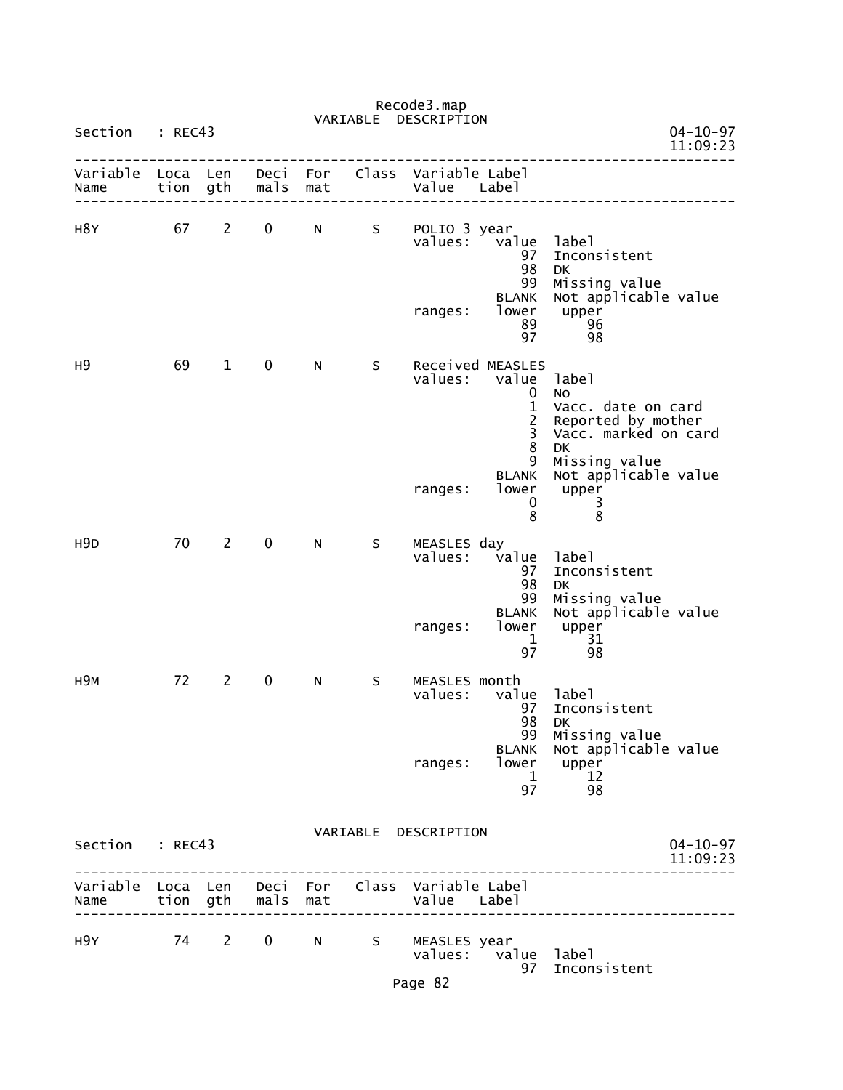|                                                         |                  |                |                   |                                                                                                                                                                                                                                | VARIABLE   | DESCRIPTION                         |                                                                                                          |                                                                                                                                         |                            |
|---------------------------------------------------------|------------------|----------------|-------------------|--------------------------------------------------------------------------------------------------------------------------------------------------------------------------------------------------------------------------------|------------|-------------------------------------|----------------------------------------------------------------------------------------------------------|-----------------------------------------------------------------------------------------------------------------------------------------|----------------------------|
| Section                                                 | : REC43          |                |                   |                                                                                                                                                                                                                                |            |                                     |                                                                                                          |                                                                                                                                         | $04 - 10 - 97$<br>11:09:23 |
| Variable<br>Name                                        | Loca Len<br>tion | gth            | Deci<br>mals      | For<br>mat                                                                                                                                                                                                                     | Class      | Variable Label<br>Value Label       |                                                                                                          |                                                                                                                                         |                            |
| H8Y                                                     | 67               | $2^{\circ}$    | $\mathbf 0$       | N and the set of the set of the set of the set of the set of the set of the set of the set of the set of the set of the set of the set of the set of the set of the set of the set of the set of the set of the set of the set | S.         | POLIO 3 year<br>values:<br>ranges:  | value<br>97<br>98<br>99<br><b>BLANK</b><br>lower<br>89<br>97                                             | label<br>Inconsistent<br><b>DK</b><br>Missing value<br>Not applicable value<br>upper<br>96<br>98                                        |                            |
| н9                                                      | 69               | $\mathbf{1}$   | $\mathbf 0$       | N                                                                                                                                                                                                                              | S          | values:<br>ranges:                  | Received MEASLES<br>value<br>0<br>$\mathbf{1}$<br>$\frac{2}{3}$<br>$\bf 8$<br>9<br><b>BLANK</b><br>lower | label<br>No<br>Vacc. date on card<br>Reported by mother<br>Vacc. marked on card<br>DK<br>Missing value<br>Not applicable value<br>upper |                            |
| H <sub>9</sub> D                                        | 70               | $2^{\circ}$    | $\mathbf 0$       | N.                                                                                                                                                                                                                             | S.         | MEASLES day<br>values:              | 0<br>8<br>value<br>97<br>98                                                                              | 3<br>8<br>label<br>Inconsistent<br>DK                                                                                                   |                            |
|                                                         |                  |                |                   |                                                                                                                                                                                                                                |            | ranges:                             | 99<br><b>BLANK</b><br>lower<br>$\mathbf{1}$<br>97                                                        | Missing value<br>Not applicable value<br>upper<br>31<br>98                                                                              |                            |
| H <sub>9M</sub>                                         | 72               | $\overline{2}$ | $\mathbf 0$       | N                                                                                                                                                                                                                              | S          | MEASLES month<br>values:<br>ranges: | value<br>97<br>98<br>BLANK<br>1<br>97                                                                    | label<br>Inconsistent<br>DK<br>99 Missing value<br>Not applicable value<br>lower upper<br>12<br>98                                      |                            |
| Section : REC43                                         |                  |                |                   |                                                                                                                                                                                                                                |            | VARIABLE DESCRIPTION                |                                                                                                          |                                                                                                                                         | $04 - 10 - 97$<br>11:09:23 |
| Variable Loca Len Deci For Class Variable Label<br>Name |                  |                | tion gth mals mat |                                                                                                                                                                                                                                |            | Value Label                         |                                                                                                          | ------------                                                                                                                            |                            |
| H9Y FOR                                                 |                  |                |                   |                                                                                                                                                                                                                                | 74 2 0 N S | MEASLES year<br>Page 82             | values: value label                                                                                      | 97 Inconsistent                                                                                                                         |                            |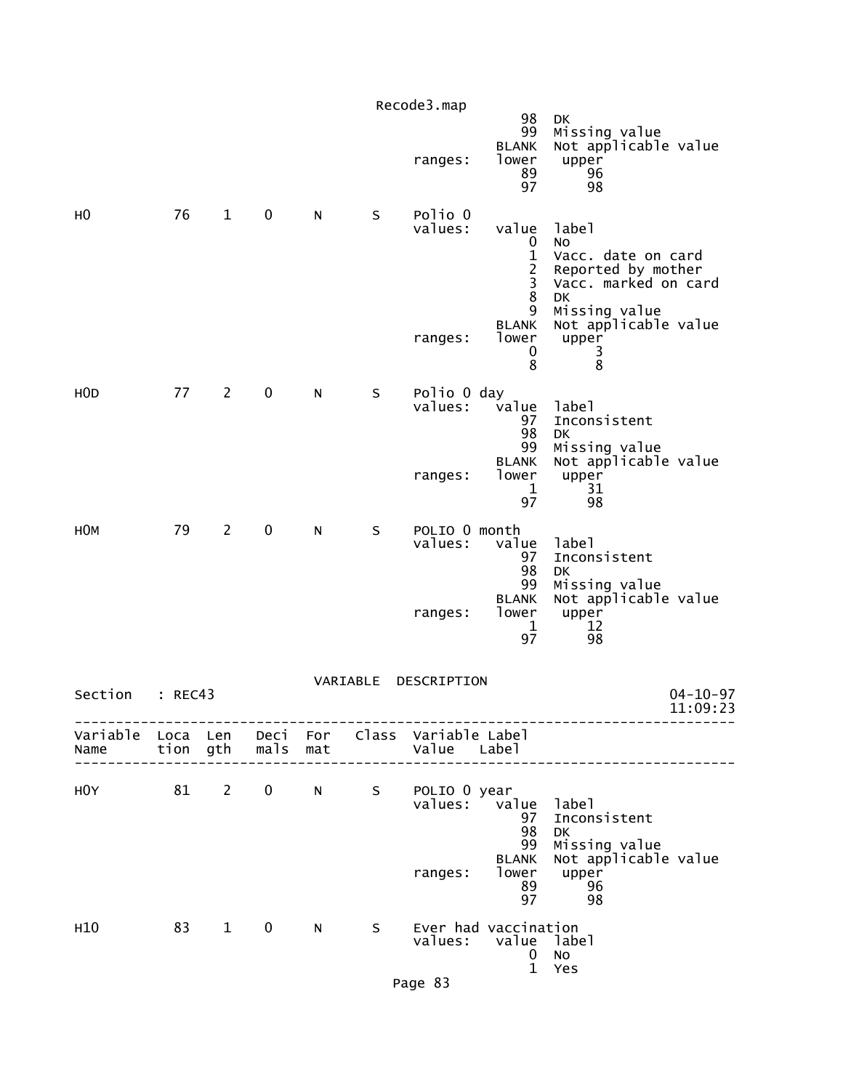|                                                         |         |                |                     |   |          | Recode3.map              | 98                                                                    | DK                                                                                    |                            |
|---------------------------------------------------------|---------|----------------|---------------------|---|----------|--------------------------|-----------------------------------------------------------------------|---------------------------------------------------------------------------------------|----------------------------|
|                                                         |         |                |                     |   |          | ranges:                  | 99<br><b>BLANK</b><br>lower<br>89<br>97                               | Missing value<br>Not applicable value<br>upper<br>96<br>98                            |                            |
| н0                                                      | 76      | $\mathbf{1}$   | 0                   | N | S        | Polio 0<br>values:       | value<br>0<br>$\mathbf{1}$<br>$\frac{2}{3}$<br>8                      | label<br>No<br>Vacc. date on card<br>Reported by mother<br>Vacc. marked on card<br>DK |                            |
|                                                         |         |                |                     |   |          | ranges:                  | 9<br><b>BLANK</b><br>lower<br>0<br>8                                  | Missing value<br>Not applicable value<br>upper<br>3<br>8                              |                            |
| H <sub>O</sub> D                                        | 77      | $\overline{2}$ | $\mathbf 0$         | N | S        | Polio 0 day<br>values:   | value<br>97<br>98<br>99                                               | label<br>Inconsistent<br><b>DK</b><br>Missing value                                   |                            |
|                                                         |         |                |                     |   |          | ranges:                  | <b>BLANK</b><br>lower<br>1<br>97                                      | Not applicable value<br>upper<br>31<br>98                                             |                            |
| H <sub>O</sub> M                                        | 79      | $\overline{2}$ | 0                   | N | S        | POLIO 0 month<br>values: | value<br>97<br>98                                                     | label<br>Inconsistent<br>DK                                                           |                            |
|                                                         |         |                |                     |   |          | ranges:                  | 99<br><b>BLANK</b><br>lower<br>1<br>97                                | Missing value<br>Not applicable value<br>upper<br>12<br>98                            |                            |
| Section                                                 | : REC43 |                |                     |   | VARIABLE | DESCRIPTION              |                                                                       |                                                                                       | $04 - 10 - 97$<br>11:09:23 |
| Variable Loca Len Deci For Class Variable Label<br>Name |         |                | tion gth  mals  mat |   |          | Value Label              |                                                                       |                                                                                       |                            |
| HOY                                                     | 81 2    |                |                     |   |          | 0 N S POLIO 0 year       | values: value label<br>97<br>98<br>99                                 | Inconsistent<br>DK<br>Missing value                                                   |                            |
|                                                         |         |                |                     |   |          | ranges:                  | <b>BLANK</b><br>lower<br>89<br>97                                     | Not applicable value<br>upper<br>96<br>98                                             |                            |
| H10                                                     |         | 83 1           | $\mathbf{0}$        | N | S.       |                          | Ever had vaccination<br>values: value<br>$\mathbf{0}$<br>$\mathbf{1}$ | label<br>No<br>Yes                                                                    |                            |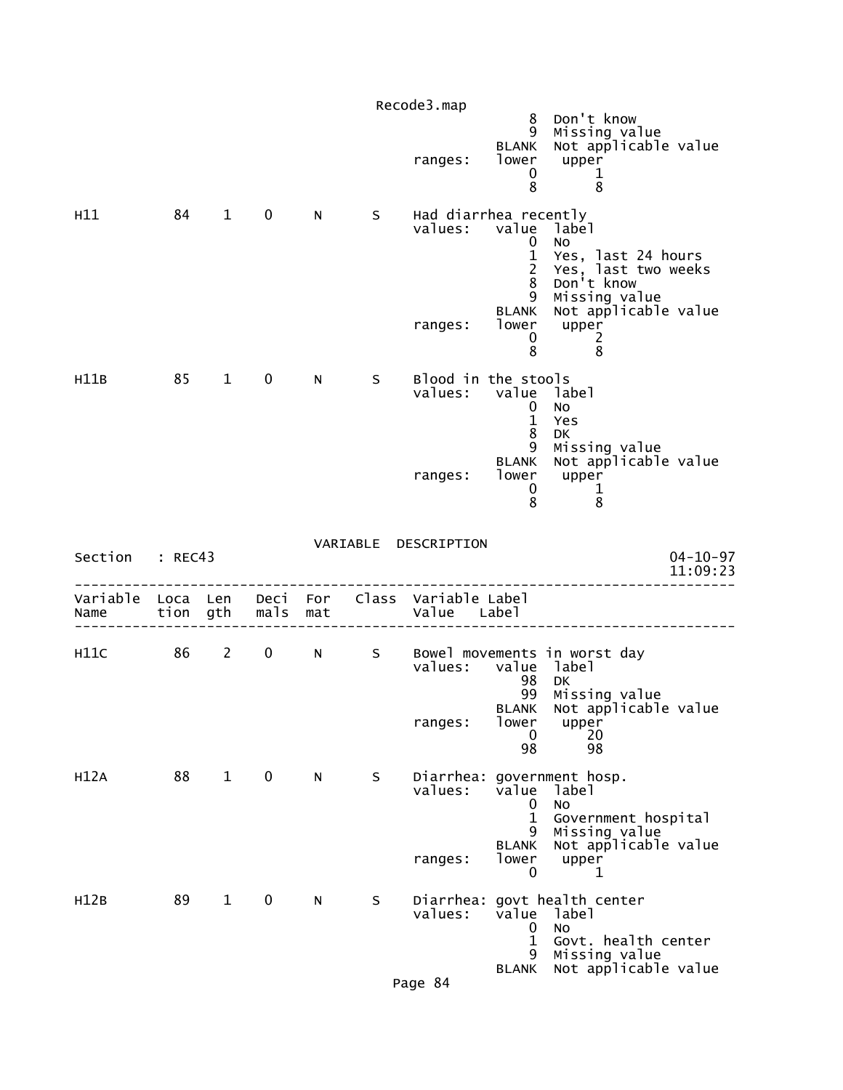|           |          |              |             |     |   | Recode3.map                                                    |                                                                        |                                                                                         |
|-----------|----------|--------------|-------------|-----|---|----------------------------------------------------------------|------------------------------------------------------------------------|-----------------------------------------------------------------------------------------|
|           |          |              |             |     |   | ranges:                                                        | 8<br>9<br><b>BLANK</b><br>lower<br>$\mathbf 0$<br>8                    | Don't know<br>Missing value<br>Not applicable value<br>upper<br>1<br>8                  |
| H11       | 84       | $\mathbf{1}$ | $\mathbf 0$ | N   | S | Had diarrhea recently<br>values:                               | value<br>0<br>$\mathbf{1}$<br>$\overline{2}$<br>8<br>9<br><b>BLANK</b> | label<br>No<br>Yes, last 24 hours<br>Yes, last two weeks<br>Don't know<br>Missing value |
|           |          |              |             |     |   | ranges:                                                        | lower<br>0<br>8                                                        | Not applicable value<br>upper<br>2<br>8                                                 |
| H11B      | 85       | $\mathbf{1}$ | $\mathbf 0$ | N   | S | Blood in the stools<br>values:                                 | value label<br>0<br>$\mathbf{1}$<br>8<br>9                             | No<br>Yes<br>DK<br>Missing value                                                        |
|           |          |              |             |     |   | ranges:                                                        | <b>BLANK</b><br>lower<br>0<br>8                                        | Not applicable value<br>upper<br>$\frac{1}{2}$<br>8                                     |
| Section   | : REC43  |              |             |     |   | VARIABLE DESCRIPTION                                           |                                                                        | $04 - 10 - 97$<br>11:09:23                                                              |
| Name      | tion gth |              | mals        | mat |   | Variable Loca Len Deci For Class Variable Label<br>Value Label |                                                                        |                                                                                         |
| H11C 86 2 |          |              |             | 0 N | S | values: value                                                  | 98                                                                     | Bowel movements in worst day<br>label<br>DK                                             |
|           |          |              |             |     |   | ranges:                                                        | 99<br>lower<br>0<br>98                                                 | Missing value<br>BLANK Not applicable value<br>upper<br>20<br>98                        |
| H12A      | 88       | $\mathbf{1}$ | $\mathbf 0$ | N   | S | values:                                                        | value<br>0                                                             | Diarrhea: government hosp.<br>label<br><b>NO</b>                                        |
|           |          |              |             |     |   | ranges:                                                        | $\mathbf 1$<br>9.<br><b>BLANK</b><br>lower<br>0                        | Government hospital<br>Missing value<br>Not applicable value<br>upper<br>1              |
| H12B      | 89       | $\mathbf{1}$ | $\mathbf 0$ | N   | S | Diarrhea:<br>values:                                           | value<br>0<br>$\mathbf{1}$<br>9                                        | govt health center<br>label<br>No<br>Govt. health center<br>Missing value               |
|           |          |              |             |     |   |                                                                |                                                                        |                                                                                         |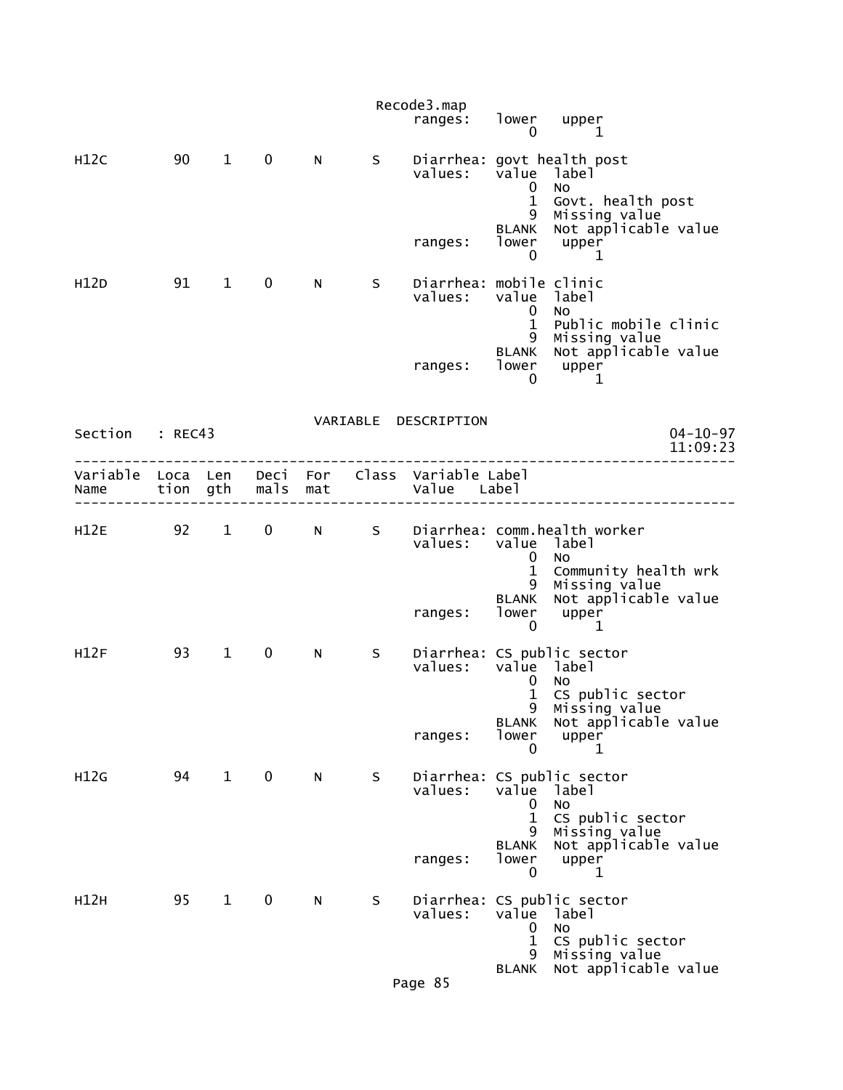|                 |    |                        |                   |            |     | Recode3.map<br>ranges:                                         | lower<br>0                             | upper<br>1                                                                     |
|-----------------|----|------------------------|-------------------|------------|-----|----------------------------------------------------------------|----------------------------------------|--------------------------------------------------------------------------------|
| H12C            | 90 | $\mathbf 1$            | $\mathbf 0$       | N          | S.  | values:                                                        | value<br>$\overline{0}$                | Diarrhea: govt health post<br>label<br><b>NO</b>                               |
|                 |    |                        |                   |            |     | ranges:                                                        | $\mathbf{1}$<br>9<br><b>BLANK</b><br>0 | Govt. health post<br>Missing value<br>Not applicable value<br>lower upper<br>1 |
| H12D            | 91 | $\mathbf 1$            | 0                 | N          | S   | Diarrhea: mobile clinic<br>values:                             | value<br>$\mathbf{0}$<br>$\mathbf{1}$  | label<br>No<br>Public mobile clinic                                            |
|                 |    |                        |                   |            |     | ranges: lower upper                                            | 9<br><b>BLANK</b><br>0                 | Missing value<br>Not applicable value<br>1                                     |
| Section : REC43 |    |                        |                   |            |     | VARIABLE DESCRIPTION                                           |                                        | $04 - 10 - 97$<br>11:09:23                                                     |
| Name            |    |                        | tion gth mals mat |            |     | Variable Loca Len Deci For Class Variable Label<br>Value Label |                                        |                                                                                |
| H12E 92         |    | $1 \quad$              | $\mathbf{0}$      | $N \sim 1$ |     | values:                                                        | value label<br>0<br>$\mathbf{1}$       | S Diarrhea: comm.health worker<br><b>NO</b><br>Community health wrk            |
|                 |    |                        |                   |            |     | ranges:                                                        | 9<br>0                                 | Missing value<br>BLANK Not applicable value<br>lower upper<br>1                |
| H12F            | 93 | $1 \quad \blacksquare$ | 0                 | N          | S – | values:                                                        | value label<br>0<br>$\mathbf{1}$<br>9  | Diarrhea: CS public sector<br><b>NO</b><br>CS public sector<br>Missing value   |
|                 |    |                        |                   |            |     | ranges:                                                        | <b>BLANK</b><br>lower<br>0             | Not applicable value<br>upper<br>1                                             |
| H12G            | 94 | $\mathbf{1}$           | 0                 | N          | S   | values:                                                        | value<br>0                             | Diarrhea: CS public sector<br>label<br><b>NO</b>                               |
|                 |    |                        |                   |            |     | ranges:                                                        | 1<br>9<br><b>BLANK</b><br>lower<br>0   | CS public sector<br>Missing value<br>Not applicable value<br>upper<br>1        |
| H12H            | 95 | $\mathbf{1}$           | 0                 | N          | S   | Diarrhea:<br>values:                                           | value<br>0<br>$\mathbf{1}$             | CS public sector<br>label<br>No<br>CS public sector                            |
|                 |    |                        |                   |            |     | Page 85                                                        | 9<br><b>BLANK</b>                      | Missing value<br>Not applicable value                                          |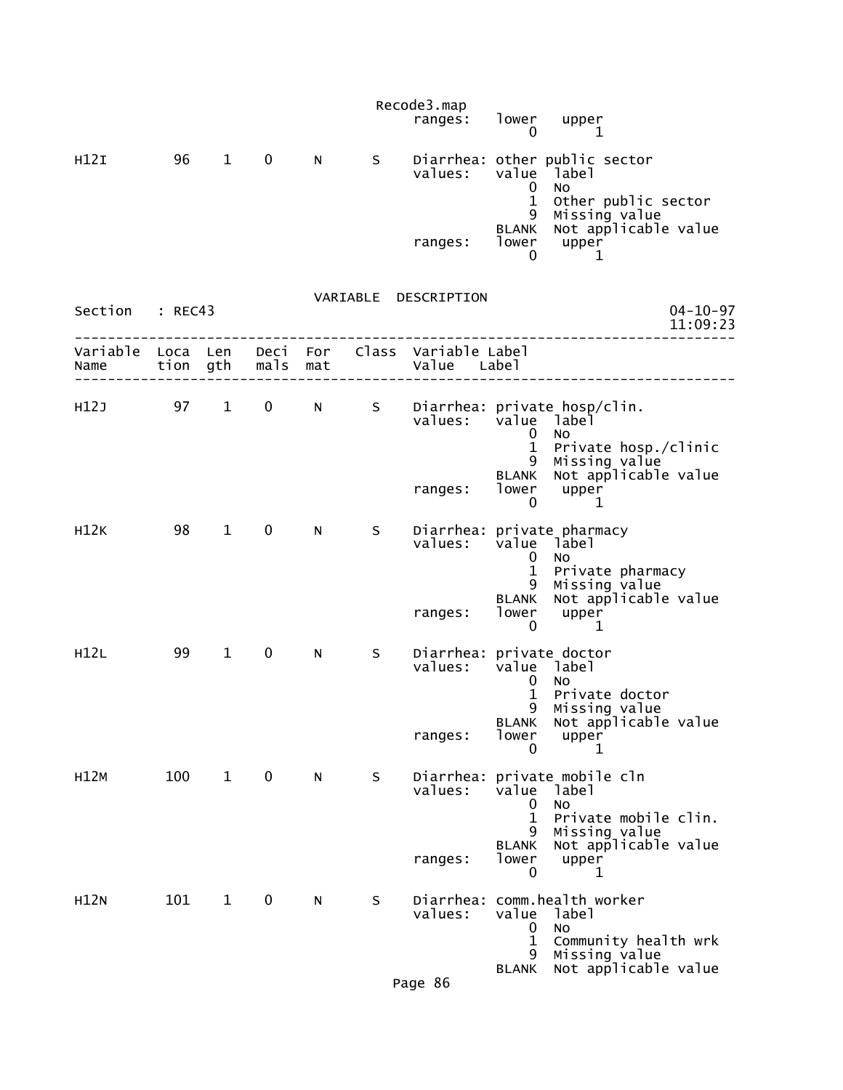|             |         |                        |               |     |   | Recode3.map<br>ranges:                                         | lower<br>0                                      | upper<br>1                                                                  |
|-------------|---------|------------------------|---------------|-----|---|----------------------------------------------------------------|-------------------------------------------------|-----------------------------------------------------------------------------|
| H12I        | 96      | $\mathbf{1}$           | $\mathbf 0$   | N   | S | values:                                                        | value<br>$\mathbf 0$                            | Diarrhea: other public sector<br><sup>1</sup> abel<br>No                    |
|             |         |                        |               |     |   | ranges:                                                        | $\mathbf{1}$<br>9<br><b>BLANK</b><br>lower<br>0 | Other public sector<br>Missing value<br>Not applicable value<br>upper<br>1  |
| Section     | : REC43 |                        |               |     |   | VARIABLE DESCRIPTION                                           |                                                 | $04 - 10 - 97$<br>11:09:23                                                  |
| Name        |         |                        | tion gth mals | mat |   | Variable Loca Len Deci For Class Variable Label<br>Value Label |                                                 |                                                                             |
| H12J        | 97      | $1 \quad \blacksquare$ | $\mathbf 0$   | N - | S | values:                                                        | value<br>0<br>$\mathbf{1}$                      | Diarrhea: private hosp/clin.<br>1abe1<br><b>NO</b><br>Private hosp./clinic  |
|             |         |                        |               |     |   | ranges:                                                        | 9<br><b>BLANK</b><br>lower<br>0                 | Missing value<br>Not applicable value<br>upper<br>1                         |
| H12K        | 98      | $\mathbf{1}$           | 0             | N   | S | values:                                                        | value<br>0<br>$\mathbf{1}$<br>9                 | Diarrhea: private pharmacy<br>label<br>No<br>Private pharmacy               |
|             |         |                        |               |     |   | ranges:                                                        | <b>BLANK</b><br>lower<br>0                      | Missing value<br>Not applicable value<br>upper<br>1                         |
| H12L        | 99      | $\mathbf{1}$           | 0             | N   | S | Diarrhea: private doctor<br>values:                            | value<br>0<br>1<br>9                            | label<br><b>NO</b><br>Private doctor                                        |
|             |         |                        |               |     |   | ranges:                                                        | <b>BLANK</b><br>lower<br>0                      | Missing value<br>Not applicable value<br>upper<br>1                         |
| H12M        | 100     | $\mathbf{1}$           | 0             | N   | S | values:                                                        | value<br>0                                      | Diarrhea: private mobile cln<br>label<br>No                                 |
|             |         |                        |               |     |   | ranges:                                                        | 1<br>9<br><b>BLANK</b><br>lower<br>0            | Private mobile clin.<br>Missing value<br>Not applicable value<br>upper<br>1 |
| <b>H12N</b> | 101     | $\mathbf{1}$           | 0             | N   | S | values:                                                        | value<br>0<br>1                                 | Diarrhea: comm.health worker<br>label<br>No<br>Community health wrk         |
|             |         |                        |               |     |   | Page 86                                                        | 9<br><b>BLANK</b>                               | Missing value<br>Not applicable value                                       |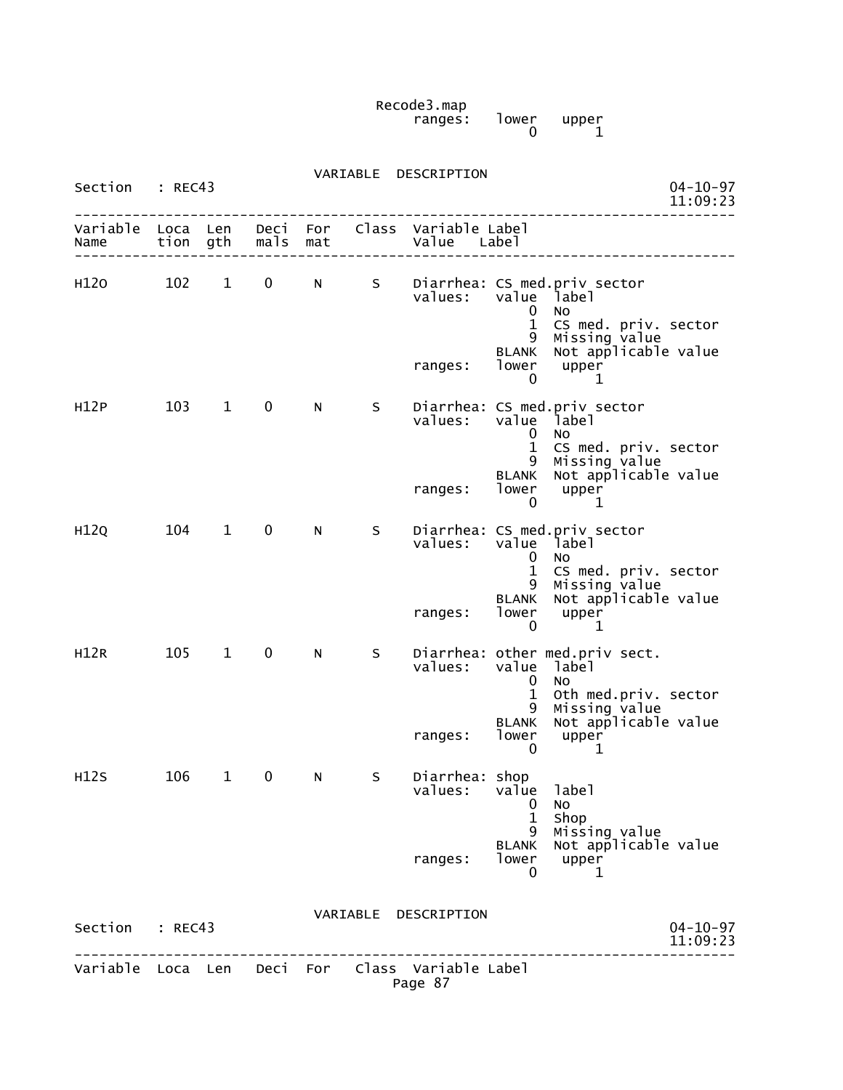Recode3.map ranges: lower upper  $\sim$  0 1

| Section           | : REC43      |              |              |            | VARIABLE | DESCRIPTION                                                |                                    |                                                                            | $04 - 10 - 97$             |
|-------------------|--------------|--------------|--------------|------------|----------|------------------------------------------------------------|------------------------------------|----------------------------------------------------------------------------|----------------------------|
|                   |              |              |              |            |          |                                                            |                                    |                                                                            | 11:09:23                   |
| Variable<br>Name  | Loca<br>tion | Len<br>gth   | Deci<br>mals | For<br>mat |          | Class Variable Label<br>Value Label                        |                                    |                                                                            |                            |
| H120              | 102          | $\mathbf{1}$ | 0            | N          | S.       | values:                                                    | value<br>0<br>$\mathbf{1}$         | Diarrhea: CS med.priv sector<br>label<br>No.<br>CS med. priv. sector       |                            |
|                   |              |              |              |            |          | ranges:                                                    | 9<br>BLANK<br>lower<br>$\mathbf 0$ | Missing value<br>Not applicable value<br>upper<br>1                        |                            |
| H <sub>12</sub> P | 103          | $\mathbf{1}$ | 0            | N          | S        | values:                                                    | value<br>0<br>1                    | Diarrhea: CS med.priv sector<br>label<br>No.<br>CS med. priv. sector       |                            |
|                   |              |              |              |            |          | ranges:                                                    | 9<br><b>BLANK</b><br>lower<br>0    | Missing value<br>Not applicable value<br>upper<br>1                        |                            |
| H <sub>12Q</sub>  | 104          | $\mathbf 1$  | 0            | N          | S        | values:                                                    | value<br>0<br>1                    | Diarrhea: CS med.priv sector<br>label<br><b>NO</b><br>CS med. priv. sector |                            |
|                   |              |              |              |            |          | ranges:                                                    | 9<br><b>BLANK</b><br>lower<br>0    | Missing value<br>Not applicable value<br>upper<br>1                        |                            |
| H12R              | 105          | $\mathbf{1}$ | 0            | N          | S        | values:                                                    | value<br>0<br>1                    | Diarrhea: other med.priv sect.<br>label<br>No<br>Oth med.priv. sector      |                            |
|                   |              |              |              |            |          | ranges:                                                    | 9<br><b>BLANK</b><br>lower<br>0    | Missing value<br>Not applicable value<br>upper<br>1                        |                            |
| H12S              | 106          | 1            | 0            | N          | S        | Diarrhea: shop<br>values:                                  | value label<br>0<br>$\mathbf{1}$   | No<br>Shop                                                                 |                            |
|                   |              |              |              |            |          | ranges:                                                    | 9<br><b>BLANK</b><br>lower<br>0    | Missing value<br>Not applicable value<br>upper<br>1                        |                            |
| Section : REC43   |              |              |              |            |          | VARIABLE DESCRIPTION                                       |                                    | .                                                                          | $04 - 10 - 97$<br>11:09:23 |
|                   |              |              |              |            |          | Variable Loca Len Deci For Class Variable Label<br>Page 87 |                                    |                                                                            |                            |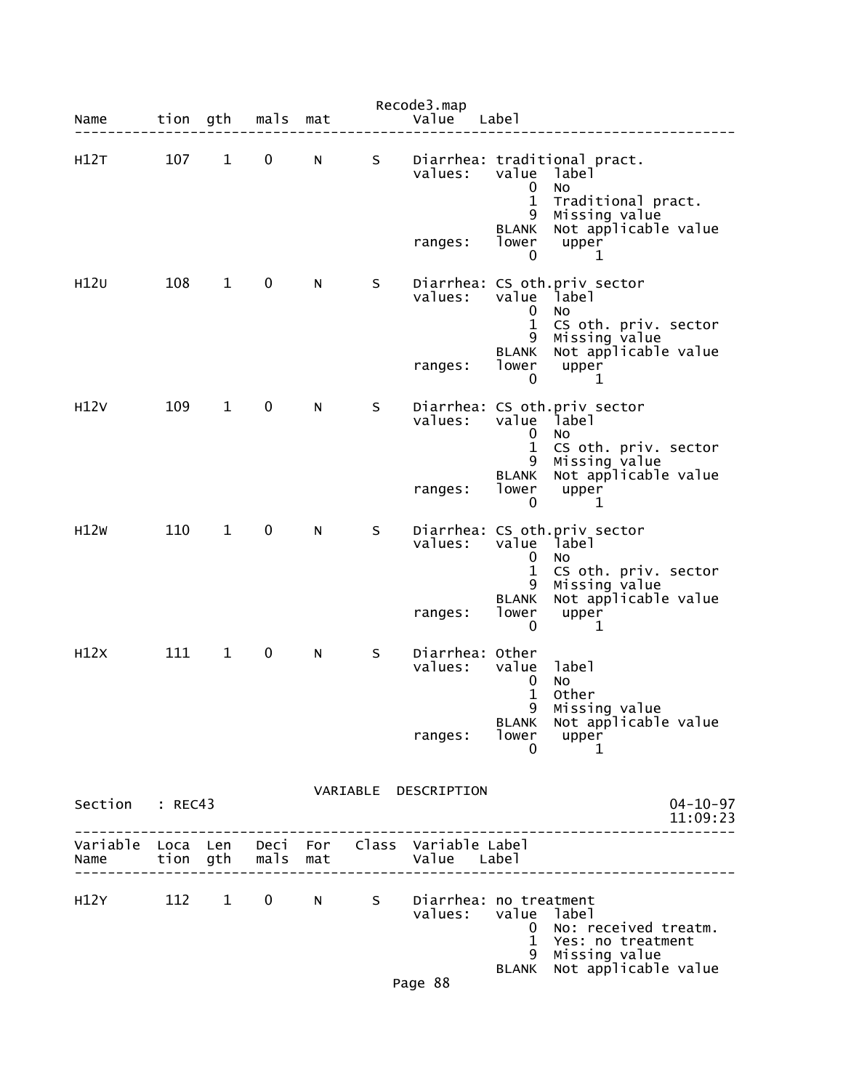| Name                                    |     |              | tion gth mals | mat |    | Recode3.map<br>Value                         | Label                                            |                                                                     |
|-----------------------------------------|-----|--------------|---------------|-----|----|----------------------------------------------|--------------------------------------------------|---------------------------------------------------------------------|
| H12T                                    | 107 | $\mathbf{1}$ | 0             | N   | S  | values:                                      | value<br>$\mathbf 0$<br>$\mathbf{1}$             | Diarrhea: traditional pract.<br>label<br>No<br>Traditional pract.   |
|                                         |     |              |               |     |    | ranges:                                      | 9<br><b>BLANK</b><br>lower<br>0                  | Missing value<br>Not applicable value<br>upper<br>1                 |
| H12U                                    | 108 | $\mathbf{1}$ | 0             | N   | S  | values:                                      | value<br>0<br>$\mathbf{1}$                       | Diarrhea: CS oth.priv_sector<br>label<br>No<br>CS oth. priv. sector |
|                                         |     |              |               |     |    | ranges:                                      | 9<br><b>BLANK</b><br>lower<br>0                  | Missing value<br>Not applicable value<br>upper<br>1                 |
| H12V                                    | 109 | $\mathbf{1}$ | 0             | N   | S. | values:                                      | value<br>0<br>$\mathbf{1}$                       | Diarrhea: CS oth.priv sector<br>label<br>No<br>CS oth. priv. sector |
|                                         |     |              |               |     |    | ranges:                                      | 9<br>BLANK<br>lower<br>0                         | Missing value<br>Not applicable value<br>upper<br>1                 |
| H12W                                    | 110 | $\mathbf{1}$ | 0             | N   | S  | values:                                      | value<br>0<br>$\mathbf{1}$                       | Diarrhea: CS oth.priv sector<br>label<br>No<br>CS oth. priv. sector |
|                                         |     |              |               |     |    | ranges:                                      | 9<br>BLANK<br>lower<br>0                         | Missing value<br>Not applicable value<br>upper<br>1                 |
| H12X                                    | 111 | $\mathbf{1}$ | 0             | N   | S  | Diarrhea: Other<br>values:                   | value<br>0<br>1                                  | label<br><b>NO</b><br>Other                                         |
|                                         |     |              |               |     |    | ranges:                                      | BLANK<br>lower<br>0                              | 9 Missing value<br>Not applicable value<br>upper<br>1               |
| Section : REC43                         |     |              |               |     |    | VARIABLE DESCRIPTION                         |                                                  | $04 - 10 - 97$<br>11:09:23                                          |
| Variable Loca Len<br>Name               |     |              | tion gth mals | mat |    | Deci For Class Variable Label<br>Value Label |                                                  |                                                                     |
| H12Y 112 1 0 N S Diarrhea: no treatment |     |              |               |     |    | values:                                      | value label<br>$\mathbf{0}$<br>$\mathbf{1}$<br>9 | No: received treatm.<br>Yes: no treatment<br>Missing value          |
|                                         |     |              |               |     |    | Page 88                                      | <b>BLANK</b>                                     | Not applicable value                                                |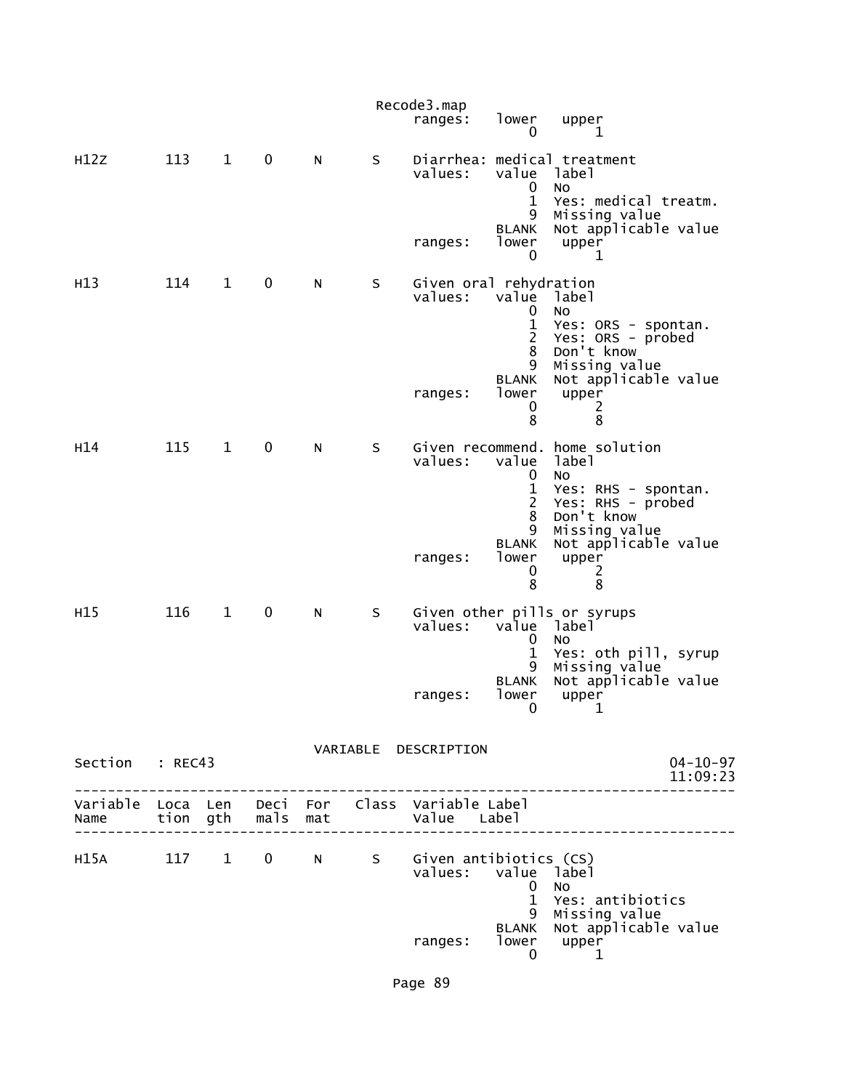|                 |     |              |             |   |   | Recode3.map<br>ranges:                                     | lower<br>0                                                                               | upper<br>1                                                                                                                                                          |
|-----------------|-----|--------------|-------------|---|---|------------------------------------------------------------|------------------------------------------------------------------------------------------|---------------------------------------------------------------------------------------------------------------------------------------------------------------------|
| H12Z            | 113 | $\mathbf{1}$ | 0           | N | S | values:<br>ranges:                                         | value label<br>0<br>$\mathbf{1}$<br>9<br><b>BLANK</b><br>lower<br>0                      | Diarrhea: medical treatment<br>No<br>Yes: medical treatm.<br>Missing value<br>Not applicable value<br>upper<br>1                                                    |
| H <sub>13</sub> | 114 | $\mathbf{1}$ | $\mathbf 0$ | N | S | Given oral rehydration<br>values:<br>ranges:               | value<br>0<br>$\mathbf 1$<br>$\overline{2}$<br>8<br>9<br><b>BLANK</b><br>lower<br>0<br>8 | label<br>No<br>Yes: ORS - spontan.<br>Yes: ORS - probed<br>Don't know<br>Missing value<br>Not applicable value<br>upper<br>2<br>8                                   |
| H <sub>14</sub> | 115 | $\mathbf{1}$ | 0           | N | S | values:<br>ranges:                                         | value<br>0<br>$\mathbf 1$<br>$\overline{2}$<br>8<br>9<br><b>BLANK</b><br>lower<br>0<br>8 | Given recommend. home solution<br>label<br>No<br>Yes: RHS - spontan.<br>Yes: RHS - probed<br>Don't know<br>Missing value<br>Not applicable value<br>upper<br>2<br>8 |
| H <sub>15</sub> | 116 | $\mathbf{1}$ | 0           | N | S | values:<br>ranges:                                         | value<br>0<br>1<br>9<br><b>BLANK</b><br>lower<br>$\overline{0}$                          | Given other pills or syrups<br>label<br>No<br>Yes: oth pill, syrup<br>Missing value<br>Not applicable value<br>upper<br>$\mathbf{1}$                                |
| Section : REC43 |     |              |             |   |   | VARIABLE DESCRIPTION                                       |                                                                                          | $04 - 10 - 97$<br>11:09:23                                                                                                                                          |
|                 |     |              |             |   |   |                                                            |                                                                                          | -----------------                                                                                                                                                   |
| H15A 117 1 0 N  |     |              |             |   |   | S Given antibiotics (CS)<br>values: value label<br>ranges: | $\overline{0}$<br>$\mathbf{1}$<br>9<br><b>BLANK</b><br>0                                 | <b>NO</b><br>Yes: antibiotics<br>Missing value<br>Not applicable value<br>lower upper<br>1                                                                          |

Page 89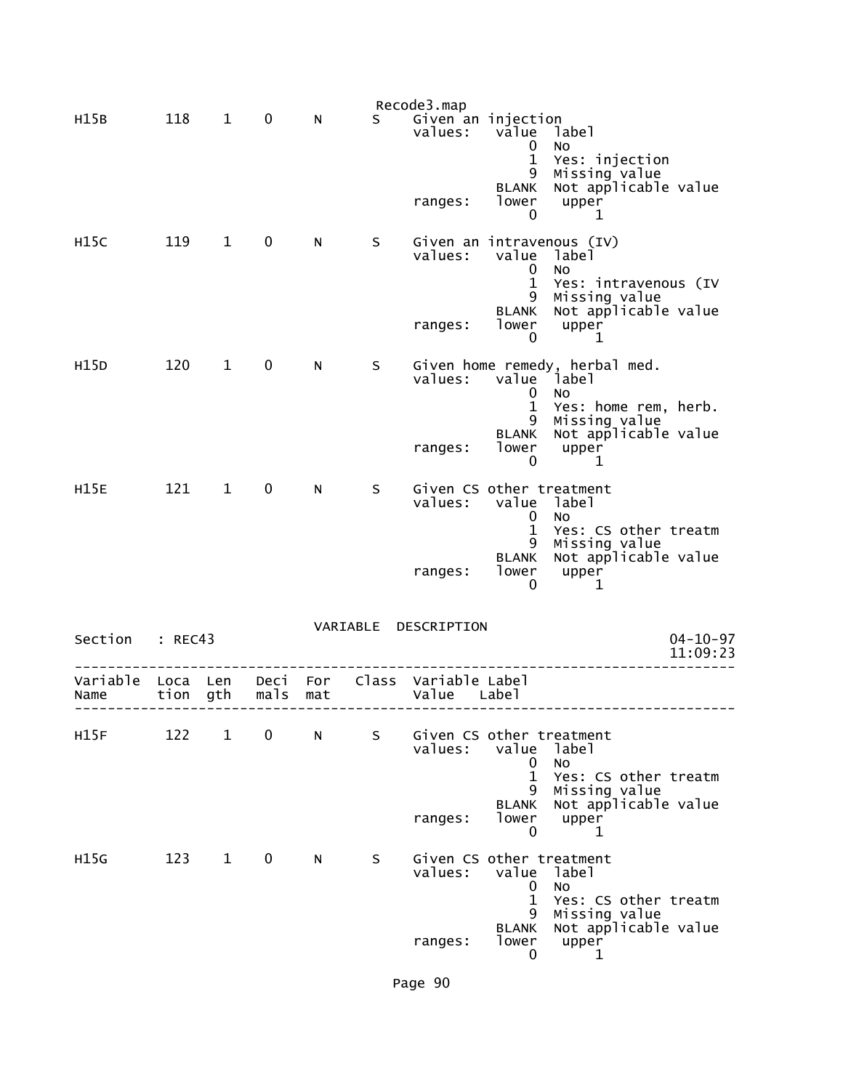|                  |      |                 |                  |     |     | Recode3.map                         |                                                 |                                                                                   |                            |
|------------------|------|-----------------|------------------|-----|-----|-------------------------------------|-------------------------------------------------|-----------------------------------------------------------------------------------|----------------------------|
| H15B             | 118  | $\mathbf{1}$    | 0                | N   | S.  | Given an injection<br>values:       | value<br>0<br>$\mathbf{1}$<br>9                 | label<br>No<br>Yes: injection<br>Missing value                                    |                            |
|                  |      |                 |                  |     |     | ranges:                             | <b>BLANK</b><br>lower<br>0                      | Not applicable value<br>upper<br>1                                                |                            |
| H15C             | 119  | $\mathbf{1}$    | 0                | N   | S   | values:                             | value<br>$\mathbf 0$<br>$\mathbf 1$<br>9        | Given an intravenous (IV)<br>label<br>No<br>Yes: intravenous (IV<br>Missing value |                            |
|                  |      |                 |                  |     |     | ranges:                             | BLANK<br>lower<br>0                             | Not applicable value<br>upper<br>1                                                |                            |
| H15D             | 120  | $\mathbf{1}$    | 0                | N   | S – | values:                             | value label<br>0<br>$\mathbf{1}$<br>9           | Given home remedy, herbal med.<br>No<br>Yes: home rem, herb.<br>Missing value     |                            |
|                  |      |                 |                  |     |     | ranges:                             | BLANK<br>lower<br>0                             | Not applicable value<br>upper<br>1                                                |                            |
| <b>H15E</b>      | 121  | $\overline{1}$  | $\mathbf 0$      | N   | S   | Given CS other treatment<br>values: | value<br>0<br>1<br>9                            | label<br>No<br>Yes: CS other treatm<br>Missing value<br>Not applicable value      |                            |
|                  |      |                 |                  |     |     | ranges:                             | <b>BLANK</b><br>lower<br>0                      | upper<br>1                                                                        |                            |
| Section : REC43  |      |                 |                  |     |     | VARIABLE DESCRIPTION                |                                                 |                                                                                   | $04 - 10 - 97$<br>11:09:23 |
| Variable<br>Name | tion | Loca Len<br>gth | Deci For<br>mals | mat |     | Class Variable Label<br>Value       | Label                                           |                                                                                   |                            |
| H15F             | 122  | $\mathbf{1}$    | 0                | N   | S   | Given CS other treatment<br>values: | value<br>0                                      | label<br>No                                                                       |                            |
|                  |      |                 |                  |     |     | ranges:                             | $\mathbf{1}$<br>9<br><b>BLANK</b><br>lower<br>0 | Yes: CS other treatm<br>Missing value<br>Not applicable value<br>upper<br>1       |                            |
| H15G             | 123  | $\mathbf{1}$    | 0                | N   | S   | Given CS other treatment<br>values: | value<br>$\mathbf 0$<br>$\mathbf{1}$<br>9       | label<br><b>NO</b><br>Yes: CS other treatm<br>Missing value                       |                            |
|                  |      |                 |                  |     |     | ranges:                             | <b>BLANK</b><br>lower<br>0                      | Not applicable value<br>upper<br>1                                                |                            |

Page 90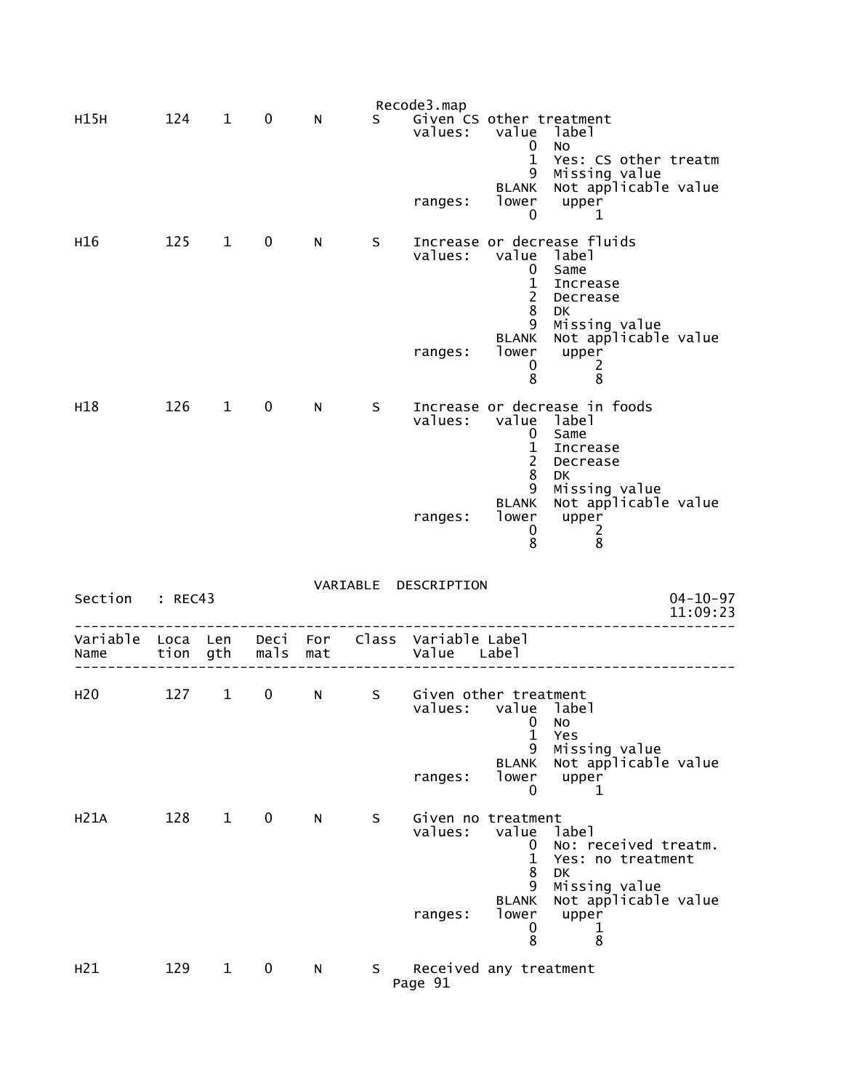|                  |              |              |              |            |    | Recode3.map                         |                                                             |                                                                              |
|------------------|--------------|--------------|--------------|------------|----|-------------------------------------|-------------------------------------------------------------|------------------------------------------------------------------------------|
| H15H             | 124          | $\mathbf{1}$ | 0            | N          | S. | Given CS other treatment<br>values: | value<br>0<br>$\mathbf 1$<br>9                              | label<br>No<br>Yes: CS other treatm<br>Missing value<br>Not applicable value |
|                  |              |              |              |            |    | ranges:                             | <b>BLANK</b><br>lower<br>0                                  | upper<br>1                                                                   |
| H16              | 125          | $\mathbf{1}$ | 0            | N          | S  | values:                             | value<br>0<br>$\mathbf{1}$<br>$\overline{2}$<br>8           | Increase or decrease fluids<br>label<br>Same<br>Increase<br>Decrease<br>DK   |
|                  |              |              |              |            |    | ranges:                             | 9<br><b>BLANK</b><br>lower<br>0<br>8                        | Missing value<br>Not applicable value<br>upper<br>2<br>8                     |
| H18              | 126          | $\mathbf 1$  | $\mathbf 0$  | N          | S  | values:                             | value<br>$\mathbf 0$<br>$\mathbf{1}$<br>$\overline{2}$<br>8 | Increase or decrease in foods<br>label<br>Same<br>Increase<br>Decrease<br>DK |
|                  |              |              |              |            |    | ranges:                             | 9<br><b>BLANK</b><br>lower<br>0<br>8                        | Missing value<br>Not applicable value<br>upper<br>2<br>8                     |
| Section          | : REC43      |              |              |            |    | VARIABLE DESCRIPTION                |                                                             | $04 - 10 - 97$<br>11:09:23                                                   |
| Variable<br>Name | Loca<br>tion | Len<br>gth   | Deci<br>mals | For<br>mat |    | Class Variable Label<br>Value       | Labe <sub>1</sub>                                           |                                                                              |
| H <sub>20</sub>  | 127          | $\mathbf{1}$ | 0            | N          | S  | Given other treatment<br>values:    | value label<br>0<br>$\mathbf{1}$                            | No<br>Yes                                                                    |
|                  |              |              |              |            |    | ranges:                             | 9<br><b>BLANK</b><br>lower<br>0                             | Missing value<br>Not applicable value<br>upper<br>1                          |
| H21A             | 128          | $\mathbf{1}$ | $\mathbf 0$  | N.         | S  | Given no treatment<br>values:       | value<br>0<br>$\mathbf{1}$<br>8                             | label<br>No: received treatm.<br>Yes: no treatment<br><b>DK</b>              |
|                  |              |              |              |            |    | ranges:                             | 9<br><b>BLANK</b><br>lower                                  | Missing value<br>Not applicable value<br>upper                               |
|                  |              |              |              |            |    |                                     | 0<br>8                                                      | 1<br>8                                                                       |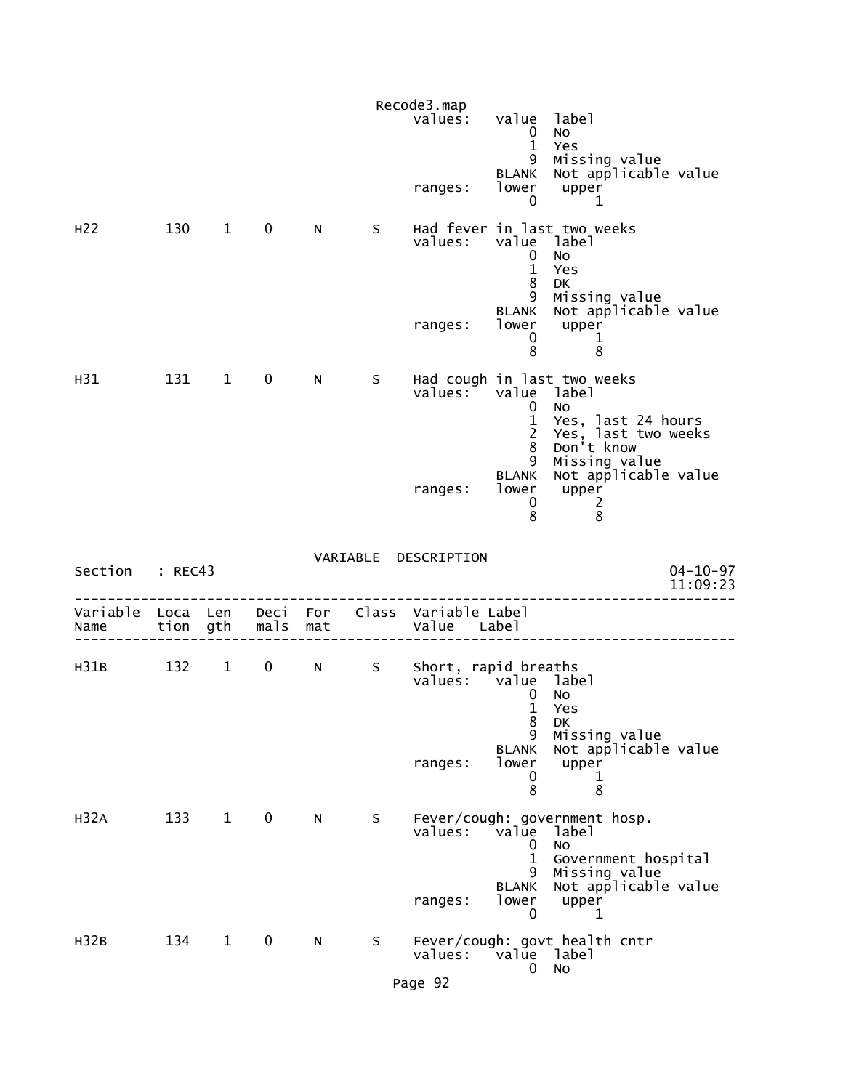|                           |          |              |              |                 |    | Recode3.map<br>values:                      | value                                                          | label                                                                                                 |
|---------------------------|----------|--------------|--------------|-----------------|----|---------------------------------------------|----------------------------------------------------------------|-------------------------------------------------------------------------------------------------------|
|                           |          |              |              |                 |    | ranges:                                     | $\bf{0}$<br>$\mathbf{1}$<br>9<br>BLANK<br>lower<br>$\mathbf 0$ | No<br>Yes<br>Missing value<br>Not applicable value<br>upper<br>1                                      |
| H <sub>22</sub>           | 130      | $\mathbf{1}$ | $\mathbf 0$  | N               | S. | values:                                     | value label<br>$\mathbf 0$<br>$\mathbf{1}$<br>8                | Had fever in last two weeks<br>No<br>Yes<br><b>DK</b>                                                 |
|                           |          |              |              |                 |    | ranges:                                     | 9<br><b>BLANK</b><br>lower<br>0<br>8                           | Missing value<br>Not applicable value<br>upper<br>1<br>8                                              |
| H <sub>31</sub>           | 131      | $\mathbf{1}$ | $\mathbf{0}$ | N               | S. | values:                                     | value<br>0<br>$\mathbf{1}$<br>$\overline{2}$                   | Had cough in last two weeks<br>label<br>No<br>Yes, last 24 hours<br>Yes, last two weeks<br>Don't know |
|                           |          |              |              |                 |    | ranges:                                     | 8<br>9<br><b>BLANK</b><br>lower<br>0<br>8                      | Missing value<br>Not applicable value<br>upper<br>$\overline{c}$<br>8                                 |
| Section : REC43           |          |              |              |                 |    | VARIABLE DESCRIPTION                        |                                                                | $04 - 10 - 97$<br>11:09:23                                                                            |
| Variable Loca Len<br>Name | tion gth |              | mals         | Deci For<br>mat |    | Class Variable Label<br>Value Label         |                                                                |                                                                                                       |
|                           |          |              |              |                 |    |                                             |                                                                |                                                                                                       |
| H31B                      | 132      | $\mathbf{1}$ | 0            | N.              | S  | Short, rapid breaths<br>values: value label | 0<br>1<br>8                                                    | No<br>Yes<br>DK                                                                                       |
|                           |          |              |              |                 |    | ranges:                                     | 9<br><b>BLANK</b><br>lower<br>0<br>8                           | Missing value<br>Not applicable value<br>upper<br>1<br>8                                              |
| H <sub>32A</sub>          | 133      | $\mathbf{1}$ | $\mathbf 0$  | N               | S  | values:                                     | value<br>0<br>$\mathbf{1}$<br>9.                               | Fever/cough: government hosp.<br>label<br>No<br>Government hospital<br>Missing value                  |
|                           |          |              |              |                 |    | ranges:                                     | <b>BLANK</b><br>lower<br>0                                     | Not applicable value<br>upper<br>1                                                                    |
| H <sub>32B</sub>          | 134      | $\mathbf{1}$ | 0            | N               | S  | values:                                     | value label<br>0                                               | Fever/cough: govt health cntr<br>No                                                                   |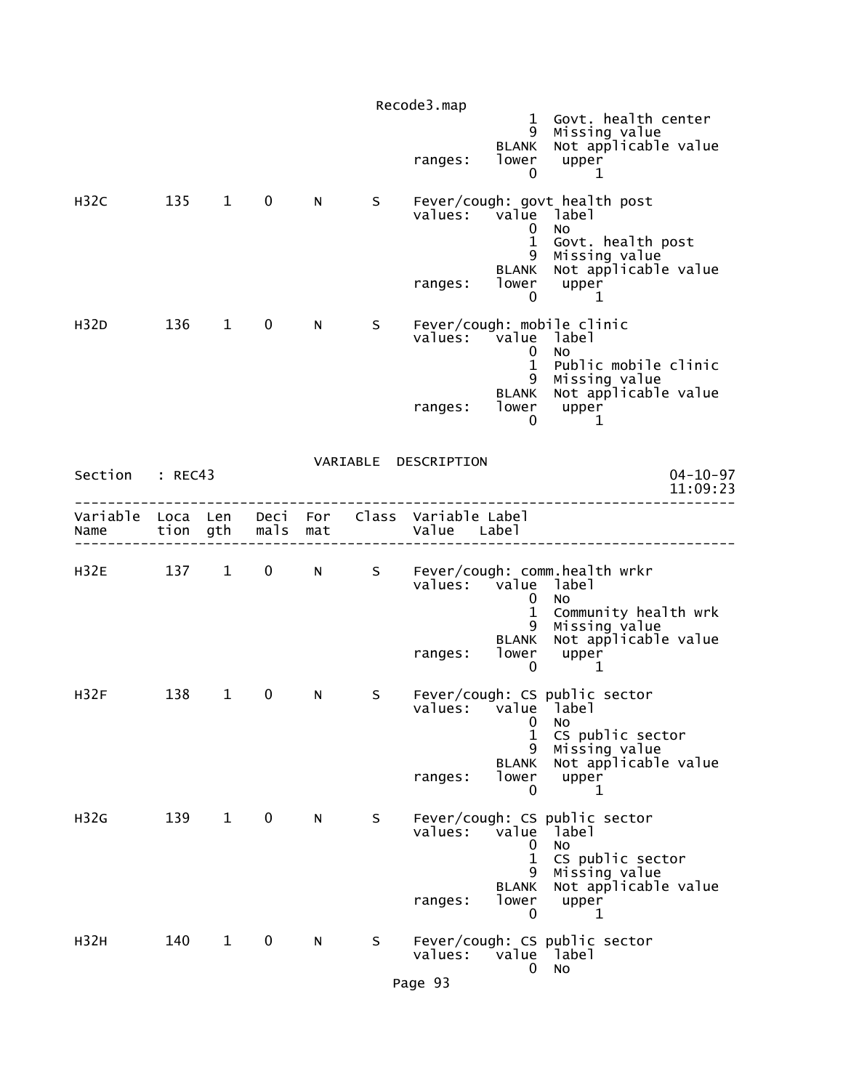|                                                         |      |              |                   |     |   | Recode3.map                    |                                                               | 1 Govt. health center                                                                                                              |
|---------------------------------------------------------|------|--------------|-------------------|-----|---|--------------------------------|---------------------------------------------------------------|------------------------------------------------------------------------------------------------------------------------------------|
|                                                         |      |              |                   |     |   | ranges:                        | 9<br><b>BLANK</b><br>lower<br>0                               | Missing value<br>Not applicable value<br>upper<br>1                                                                                |
| H <sub>32C</sub>                                        | 135  | $1 \quad$    | $\mathbf 0$       | N   | S | values:<br>ranges:             | value<br>0<br>$\mathbf{1}$<br>9<br><b>BLANK</b><br>lower<br>0 | Fever/cough: govt health post<br>label<br><b>NO</b><br>Govt. health post<br>Missing value<br>Not applicable value<br>upper<br>1    |
| H32D                                                    | 136  | $\mathbf{1}$ | $\mathbf 0$       | N.  | S | values: value<br>ranges:       | 0<br>$\mathbf{1}$<br>9<br>BLANK<br>lower<br>0                 | Fever/cough: mobile clinic<br>label<br><b>NO</b><br>Public mobile clinic<br>Missing value<br>Not applicable value<br>upper<br>1    |
| Section : REC43                                         |      |              |                   |     |   | VARIABLE DESCRIPTION           |                                                               | $04 - 10 - 97$<br>11:09:23                                                                                                         |
| Variable Loca Len Deci For Class Variable Label<br>Name | tion | gth          | mals              | mat |   | Value Label                    |                                                               |                                                                                                                                    |
| H32E                                                    |      | 137 1        | $0 \qquad \qquad$ | N - | S | values: value<br>ranges:       | 0<br>$\mathbf 1$<br>9<br>BLANK<br>lower<br>0                  | Fever/cough: comm.health wrkr<br>label<br><b>NO</b><br>Community health wrk<br>Missing value<br>Not applicable value<br>upper<br>1 |
| H32F                                                    | 138  | $\mathbf{1}$ | 0                 | N   | S | values: value label<br>ranges: | 0<br>$\mathbf{1}$<br>9<br><b>BLANK</b><br>lower<br>0          | Fever/cough: CS public sector<br>No<br>CS public sector<br>Missing value<br>Not applicable value<br>upper<br>1                     |
| H <sub>32G</sub>                                        | 139  | $\mathbf{1}$ | $\mathbf 0$       | N   | S | values:<br>ranges:             | value<br>0<br>$\mathbf 1$<br>9.<br><b>BLANK</b><br>lower<br>0 | Fever/cough: CS public sector<br>label<br>No<br>CS public sector<br>Missing value<br>Not applicable value<br>upper<br>1            |
| H32H                                                    | 140  | $\mathbf{1}$ | 0                 | N   | S | values:<br>Page 93             | 0                                                             | Fever/cough: CS public sector<br>value label<br>No                                                                                 |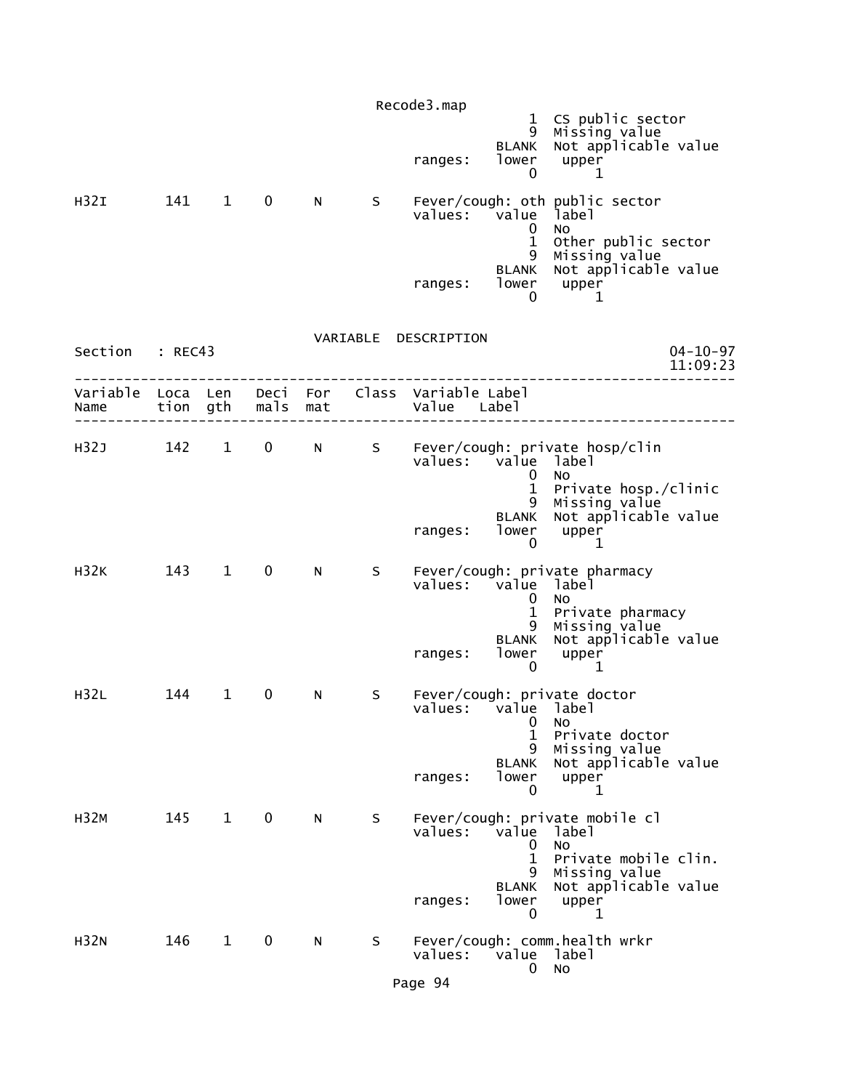|                  |                  |              |             |                 |   | Recode3.map                         | 9<br><b>BLANK</b>                              | 1 CS public sector<br>Missing value<br>Not applicable value                |
|------------------|------------------|--------------|-------------|-----------------|---|-------------------------------------|------------------------------------------------|----------------------------------------------------------------------------|
|                  |                  |              |             |                 |   | ranges:                             | lower<br>0                                     | upper<br>1                                                                 |
| H32I             | 141              | $\mathbf{1}$ | $\mathbf 0$ | N.              | S | values:                             | value<br>0                                     | Fever/cough: oth public sector<br>label<br>No                              |
|                  |                  |              |             |                 |   | ranges:                             | $\mathbf 1$<br>9<br><b>BLANK</b><br>lower<br>0 | Other public sector<br>Missing value<br>Not applicable value<br>upper<br>1 |
| Section : REC43  |                  |              |             |                 |   | VARIABLE DESCRIPTION                |                                                | $04 - 10 - 97$<br>11:09:23                                                 |
| Variable<br>Name | Loca Len<br>tion | gth          | mals        | Deci For<br>mat |   | Class Variable Label<br>Value Label |                                                |                                                                            |
| H32J             | 142              | $\mathbf{1}$ | $\mathbf 0$ | N               |   | values: value                       | 0<br>$\mathbf{1}$                              | S Fever/cough: private hosp/clin<br>1abe1<br>No.<br>Private hosp./clinic   |
|                  |                  |              |             |                 |   | ranges:                             | 9<br><b>BLANK</b><br>lower<br>$\mathbf{0}$     | Missing value<br>Not applicable value<br>upper<br>1                        |
| <b>H32K</b>      | 143              | $\mathbf{1}$ | $\mathbf 0$ | N               | S | values:                             | value label<br>0                               | Fever/cough: private pharmacy<br>No.                                       |
|                  |                  |              |             |                 |   | ranges:                             | 1<br>9<br><b>BLANK</b><br>lower<br>$\mathbf 0$ | Private pharmacy<br>Missing value<br>Not applicable value<br>upper<br>1    |
| H32L             | 144              | $\mathbf 1$  | 0           | N               | S | values: value label                 | 0<br>1<br>9                                    | Fever/cough: private doctor<br>NO<br>Private doctor                        |
|                  |                  |              |             |                 |   | ranges:                             | <b>BLANK</b><br>lower<br>0                     | Missing value<br>Not applicable value<br>upper<br>1                        |
| <b>H32M</b>      | 145              | $\mathbf{1}$ | $\mathbf 0$ | N.              | S | values:                             | value<br>0<br>$\mathbf 1$                      | Fever/cough: private mobile cl<br>label<br>No<br>Private mobile clin.      |
|                  |                  |              |             |                 |   | ranges:                             | 9<br><b>BLANK</b><br>lower<br>$\mathbf 0$      | Missing value<br>Not applicable value<br>upper<br>1                        |
| H32N             | 146              | $\mathbf{1}$ | 0           | N               | S | values:                             | value label<br>0                               | Fever/cough: comm.health wrkr<br>No                                        |
|                  |                  |              |             |                 |   | Page 94                             |                                                |                                                                            |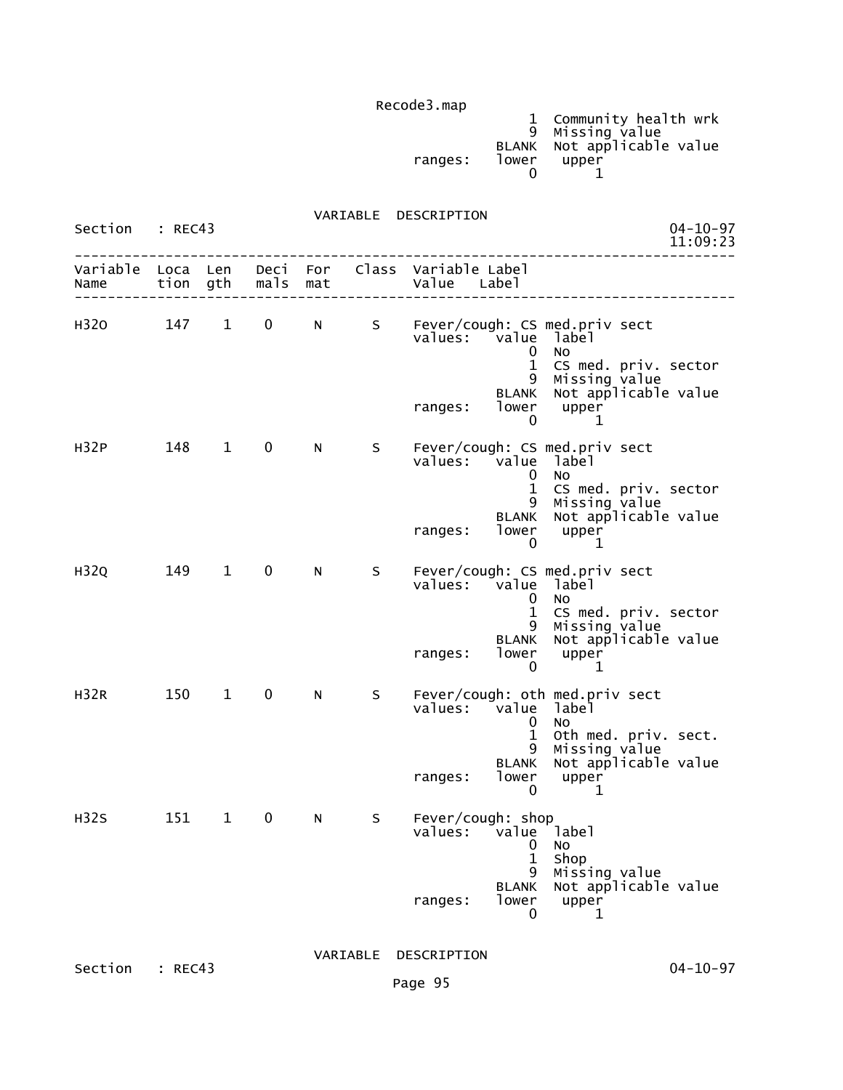| ranges: | lower | 1 Community health wrk<br>9 Missing value<br>BLANK Not applicable value<br>upper |
|---------|-------|----------------------------------------------------------------------------------|
|         |       |                                                                                  |

 VARIABLE DESCRIPTION Section : REC43 04-10-97<br>11:09:23 11:09:23 11:09:23 -------------------------------------------------------------------------------- Variable Loca Len Deci For Class Variable Label Name tion gth mals mat Value Label -------------------------------------------------------------------------------- H32O 147 1 0 N S Fever/cough: CS med.priv sect<br>values: value label value label<br>0 No de la construcción de la construcción de la construcción de la construcción de la construcción de la construcc 1 CS med. priv. sector 9 Missing value BLANK Not applicable value ranges: lower upper<br>0 1  $\sim$  0  $\sim$  1 H32P 148 1 0 N S Fever/cough: CS med.priv sect<br>values: value label value label<br>0 No de la construcción de la construcción de la construcción de la construcción de la construcción de la construcc 1 CS med. priv. sector 9 Missing value BLANK Not applicable value ranges: lower upper<br>0 1  $\sim$  0  $\sim$  1 H32Q 149 1 0 N S Fever/cough: CS med.priv sect values: value label<br>0 No de la construcción de la construcción de la construcción de la construcción de la construcción de la construcc 1 CS med. priv. sector 9 Missing value BLANK Not applicable value ranges: lower upper  $\sim$  0  $\sim$  1 H32R 150 1 0 N S Fever/cough: oth med.priv sect<br>values: value label value label de la construcción de la construcción de la construcción de la construcción de la construcción de la construcc 1 Oth med. priv. sect. 9 Missing value BLANK Not applicable value ranges: lower upper  $\sim$  0  $\sim$  1 H32S 151 1 0 N S Fever/cough: shop<br>values: value value label<br>0 No de la construcción de la construcción de la construcción de la construcción de la construcción de la construcc the contract of the contract of the contract of the contract of the contract of the contract of the contract o 9 Missing value BLANK Not applicable value ranges: lower upper<br>0 1  $\sim$  0 1

VARIABLE DESCRIPTION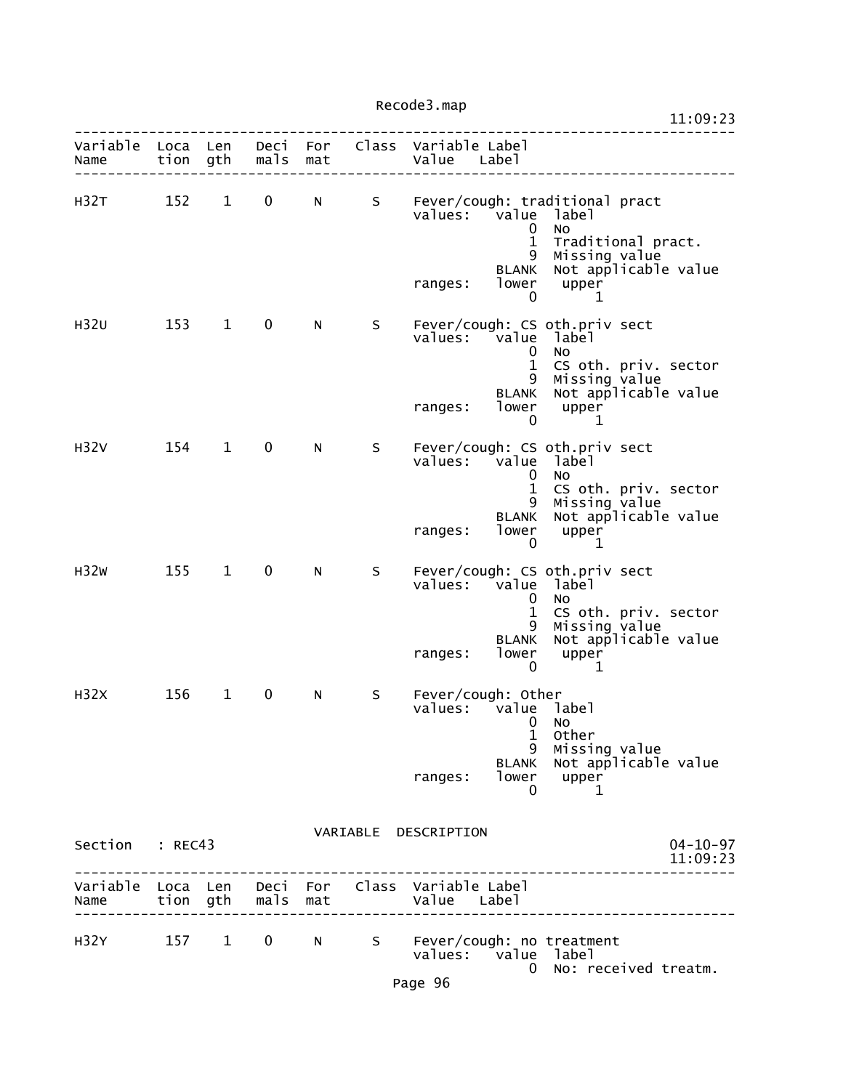|                           |       |              |                   |     |    | 11:09:23                                                                                                                                                                                                                              |  |
|---------------------------|-------|--------------|-------------------|-----|----|---------------------------------------------------------------------------------------------------------------------------------------------------------------------------------------------------------------------------------------|--|
| Variable Loca Len<br>Name | tion  | gth          | mals              | mat |    | Deci For Class Variable Label<br>Value Label                                                                                                                                                                                          |  |
| H32T                      | 152   | $\mathbf{1}$ | 0                 | N   | S  | Fever/cough: traditional pract<br>values:<br>value<br>label<br>$\mathbf 0$<br>No<br>$\mathbf{1}$<br>Traditional pract.<br>Missing value<br>9<br>Not applicable value<br><b>BLANK</b><br>lower<br>upper<br>ranges:<br>$\mathbf 0$<br>1 |  |
| H32U                      | 153   | $\mathbf{1}$ | 0                 | N   | S. | Fever/cough: CS oth.priv sect<br>values: value<br>label<br>$\mathbf 0$<br><b>NO</b><br>$\mathbf{1}$<br>CS oth. priv. sector<br>9<br>Missing value<br>Not applicable value<br><b>BLANK</b><br>lower<br>upper<br>ranges:<br>0<br>1      |  |
| H <sub>32V</sub>          | 154   | $\mathbf{1}$ | $\mathbf 0$       | N   | S  | Fever/cough: CS oth.priv sect<br>$value$ s:<br>value<br>label<br>0<br>No<br>$\mathbf 1$<br>CS oth. priv. sector<br>Missing value<br>9<br>Not applicable value<br>BLANK<br>lower<br>upper<br>ranges:<br>$\mathbf 0$<br>$\mathbf 1$     |  |
| H <sub>32W</sub>          | 155   | $\mathbf{1}$ | $\mathbf 0$       | N   | S  | Fever/cough: CS oth.priv sect<br>values: value label<br>$\mathbf 0$<br><b>NO</b><br>$\mathbf{1}$<br>CS oth. priv. sector<br>Missing value<br>Not applicable value<br>9<br><b>BLANK</b><br>lower<br>upper<br>ranges:<br>0<br>1         |  |
| H <sub>32X</sub>          | 156   | $\mathbf{1}$ | 0                 | N   | S  | Fever/cough: Other<br>values:<br>value label<br>0<br>No<br>1<br>Other<br>Missing value<br>9<br>Not applicable value<br><b>BLANK</b><br>lower upper<br>ranges:<br>0<br>1                                                               |  |
| Section : REC43           |       |              |                   |     |    | VARIABLE DESCRIPTION<br>$04 - 10 - 97$<br>11:09:23                                                                                                                                                                                    |  |
| Name                      |       |              | tion gth mals mat |     |    | Variable Loca Len Deci For Class Variable Label<br>Value Label                                                                                                                                                                        |  |
| H32Y                      | 157 1 |              | $\mathbf{0}$      | N a |    | S Fever/cough: no treatment<br>values: value label<br>No: received treatm.<br>$\bf{0}$                                                                                                                                                |  |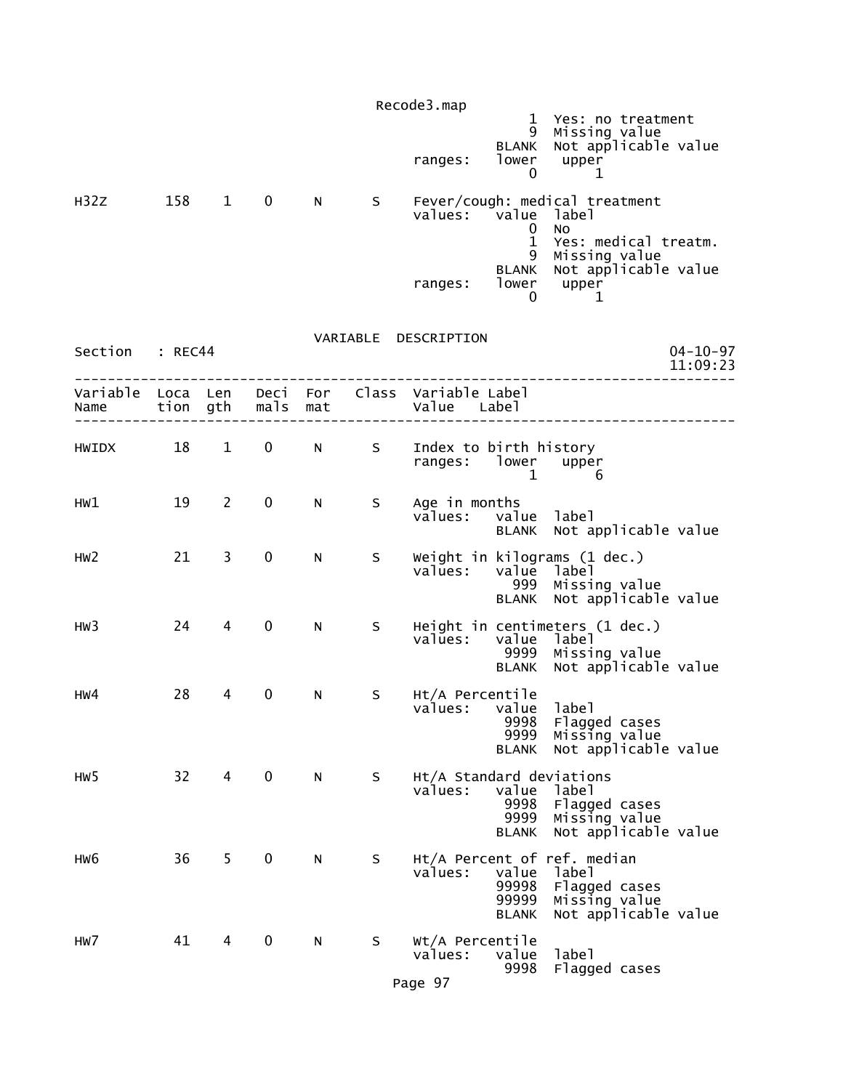|                  |                  |                |              |            |    | Recode3.map                         | 1<br>9<br><b>BLANK</b>                                 | Yes: no treatment<br>Missing value<br>Not applicable value                                                     |                            |
|------------------|------------------|----------------|--------------|------------|----|-------------------------------------|--------------------------------------------------------|----------------------------------------------------------------------------------------------------------------|----------------------------|
|                  |                  |                |              |            |    | ranges:                             | lower<br>0                                             | upper<br>1                                                                                                     |                            |
| H <sub>32Z</sub> | 158              | $\mathbf{1}$   | 0            | N.         | S  | values:                             | <i>v</i> alue<br>$\bf{0}$<br>$\mathbf 1$<br>9<br>BLANK | Fever/cough: medical treatment<br>label<br>No<br>Yes: medical treatm.<br>Missing value<br>Not applicable value |                            |
|                  |                  |                |              |            |    | ranges:                             | lower<br>0                                             | upper<br>1                                                                                                     |                            |
| Section          | : REC44          |                |              |            |    | VARIABLE DESCRIPTION                |                                                        |                                                                                                                | $04 - 10 - 97$<br>11:09:23 |
| Variable<br>Name | Loca Len<br>tion | gth            | Deci<br>mals | For<br>mat |    | Class Variable Label<br>Value Label |                                                        |                                                                                                                |                            |
| HWIDX            | 18               | $\mathbf{1}$   | 0            | N          | S  | Index to birth history<br>ranges:   | lower<br>1                                             | upper<br>6                                                                                                     |                            |
| HW1              | 19               | $\overline{2}$ | 0            | N          | S  | Age in months<br>values:            | value<br><b>BLANK</b>                                  | label<br>Not applicable value                                                                                  |                            |
| HW <sub>2</sub>  | 21               | 3              | 0            | N          | S  | values:                             | value<br>999<br><b>BLANK</b>                           | Weight in kilograms (1 dec.)<br>label<br>Missing value<br>Not applicable value                                 |                            |
| HW3              | 24               | 4              | 0            | N          | S  | values:                             | value<br>9999<br><b>BLANK</b>                          | Height in centimeters (1 dec.)<br>label<br>Missing value<br>Not applicable value                               |                            |
| HW4              | 28               | 4              | 0            | N          | S  | Ht/A Percentile<br>values:          | value<br>9998<br>9999<br><b>BLANK</b>                  | label<br>Flagged cases<br>Missing value<br>Not applicable value                                                |                            |
| HW <sub>5</sub>  | 32               | 4              | 0            | N          | S. | Ht/A Standard deviations<br>values: | value<br>9998<br>9999<br><b>BLANK</b>                  | label<br>Flagged cases<br>Missing value<br>Not applicable value                                                |                            |
| HW <sub>6</sub>  | 36               | 5 <sub>1</sub> | 0            | N          | S  | values:                             | value<br>99998<br>99999<br><b>BLANK</b>                | Ht/A Percent of ref. median<br>label<br>Flagged cases<br>Missing value<br>Not applicable value                 |                            |
| HW7              | 41               | 4              | 0            | N          | S  | Wt/A Percentile<br>values:          | value<br>9998                                          | label<br>Flagged cases                                                                                         |                            |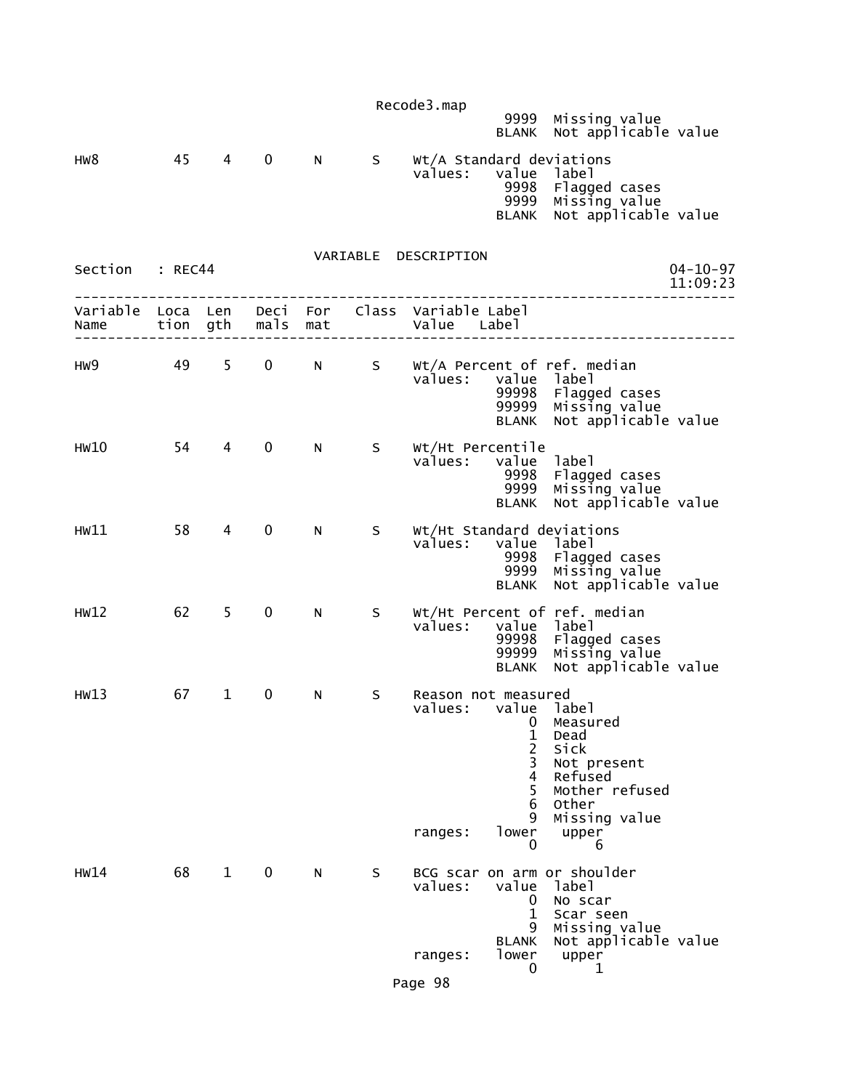|                  |         |                |              |     |                   | Recode3.map                                           |                                                                                         |                                                                                                                |                            |
|------------------|---------|----------------|--------------|-----|-------------------|-------------------------------------------------------|-----------------------------------------------------------------------------------------|----------------------------------------------------------------------------------------------------------------|----------------------------|
|                  |         |                |              |     |                   |                                                       | 9999                                                                                    | Missing value<br>BLANK Not applicable value                                                                    |                            |
| HW8              | 45      | $\overline{4}$ | $\mathbf 0$  | N   | S                 | Wt/A Standard deviations<br>values:                   | value label<br>9998<br>9999<br><b>BLANK</b>                                             | Flagged cases<br>Missing value<br>Not applicable value                                                         |                            |
| Section          | : REC44 |                |              |     |                   | VARIABLE DESCRIPTION                                  |                                                                                         |                                                                                                                | $04 - 10 - 97$<br>11:09:23 |
| Variable<br>Name |         |                |              |     | tion gth mals mat | Loca Len Deci For Class Variable Label<br>Value Label |                                                                                         |                                                                                                                |                            |
| HW9              |         | 49 5           | $\mathbf{0}$ |     | N <sub>S</sub>    | values:                                               | value label<br>99998<br>99999<br><b>BLANK</b>                                           | Wt/A Percent of ref. median<br>Flagged cases<br>Missing value<br>Not applicable value                          |                            |
| HW10             | 54      | $4 \quad$      | $\mathbf 0$  | N - | S                 | Wt/Ht Percentile<br>values:                           | value label<br>9998<br>9999<br><b>BLANK</b>                                             | Flagged cases<br>Missing value<br>Not applicable value                                                         |                            |
| HW11             | 58      | 4              | 0            | N.  | S                 | Wt/Ht Standard deviations<br>values:                  | value label<br>9998<br>9999<br><b>BLANK</b>                                             | Flagged cases<br>Missing value<br>Not applicable value                                                         |                            |
| HW12             | 62      | $5 -$          | $\mathbf 0$  | N   | S                 | values:                                               | value label<br>99998<br>99999<br><b>BLANK</b>                                           | Wt/Ht Percent of ref. median<br>Flagged cases<br>Missing value<br>Not applicable value                         |                            |
| HW13             | 67      | $1 \quad$      | $\mathbf 0$  | N   | S                 | Reason not measured<br>values: value label<br>ranges: | 0<br>$\mathbf{1}$<br>$\overline{2}$<br>3<br>$\overline{4}$<br>5<br>6<br>9<br>lower<br>0 | Measured<br>Dead<br>Sick<br>Not present<br>Refused<br>Mother refused<br>Other<br>Missing value<br>upper<br>6   |                            |
| HW14             | 68      | $\mathbf{1}$   | 0            | N   | S                 | values:<br>ranges:                                    | value<br>0<br>1<br>9<br>BLANK<br>lower                                                  | BCG scar on arm or shoulder<br>label<br>No scar<br>Scar seen<br>Missing value<br>Not applicable value<br>upper |                            |
|                  |         |                |              |     |                   | Page 98                                               | 0                                                                                       | 1                                                                                                              |                            |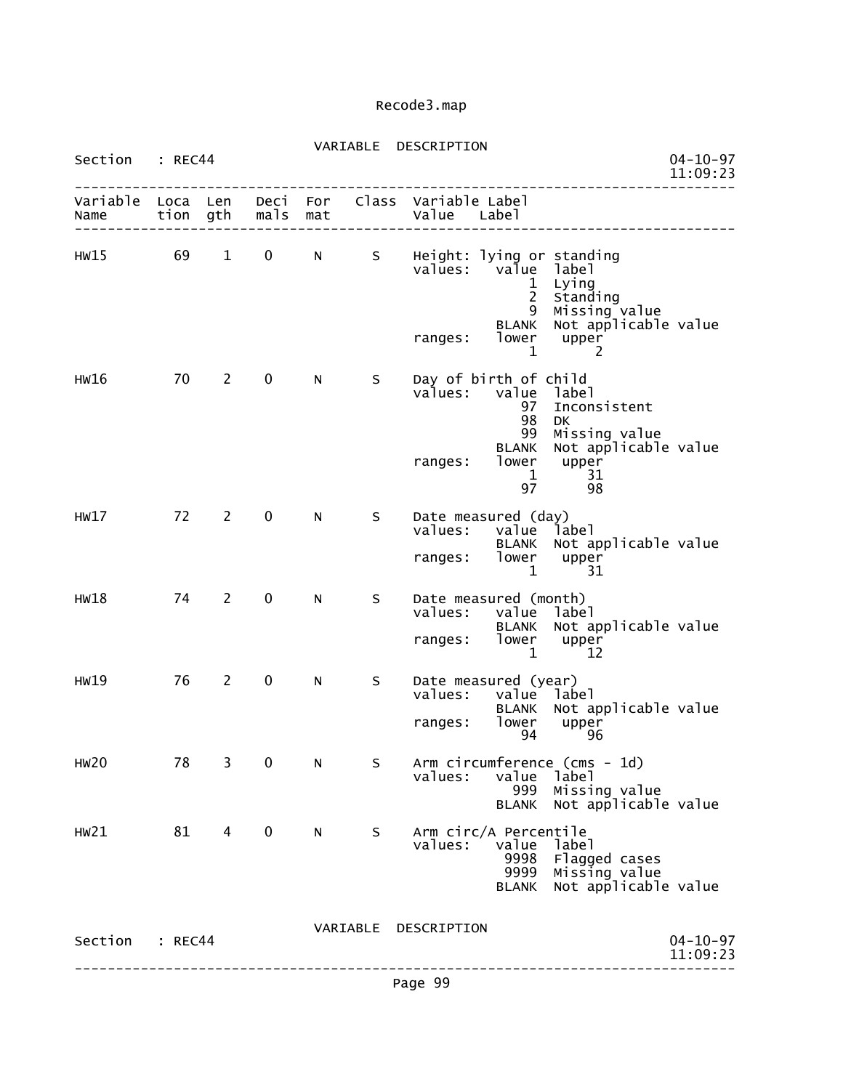| Section : REC44 |         |                                |                   |             |                | VARIABLE DESCRIPTION                                                |                                       |                                                                                                                             | $04 - 10 - 97$<br>11:09:23 |
|-----------------|---------|--------------------------------|-------------------|-------------|----------------|---------------------------------------------------------------------|---------------------------------------|-----------------------------------------------------------------------------------------------------------------------------|----------------------------|
|                 |         |                                |                   |             |                | value Label<br>Value Label                                          |                                       | ______________                                                                                                              |                            |
|                 |         |                                |                   |             |                | HW15 69 1 0 N S Height: lying or standing<br>values: value label    |                                       | 1 Lying<br>2 Standing<br>9 Missing value<br>BLANK Not applicable value<br>ranges: lower upper<br>$1 \qquad \qquad 2$        |                            |
| HW16            | 70 2    |                                | $\mathbf{0}$      | N           | S              | Day of birth of child<br>ranges: lower upper                        | 98                                    | values: value label<br>97 Inconsistent<br><b>DK</b><br>99 Missing value<br>BLANK Not applicable value<br>$1 \t 31$<br>97 98 |                            |
| HW17 72         |         | $2 \left( \frac{1}{2} \right)$ | $0 \qquad \qquad$ |             | N <sub>S</sub> | Date measured (day)<br>values: value label<br>ranges: lower upper   |                                       | BLANK Not applicable value<br>$1 \qquad 31$                                                                                 |                            |
| HW18            | 74      | $2^{\circ}$                    | $\mathbf 0$       | N           | S -            | Date measured (month)<br>values: value label<br>ranges: lower upper |                                       | BLANK Not applicable value<br>$1 \t 12$                                                                                     |                            |
| HW19            | 76      | $2^{\circ}$                    | $0 \qquad \qquad$ | $N$ and $N$ | $S$ and $S$    | Date measured (year)<br>values: value label<br>ranges: lower upper  | 94                                    | BLANK Not applicable value<br>96                                                                                            |                            |
| <b>HW20</b>     | 78      | 3                              | 0                 | N           | S              | values:                                                             | value<br>999<br><b>BLANK</b>          | Arm circumference (cms - 1d)<br>label<br>Missing value<br>Not applicable value                                              |                            |
| HW21            | 81      | 4                              | 0                 | N           | S.             | Arm circ/A Percentile<br>values:                                    | value<br>9998<br>9999<br><b>BLANK</b> | label<br>Flagged cases<br>Missing value<br>Not applicable value                                                             |                            |
| Section         | : REC44 |                                |                   |             |                | VARIABLE DESCRIPTION                                                |                                       |                                                                                                                             | $04 - 10 - 97$<br>11:09:23 |

--------------------------------------------------------------------------------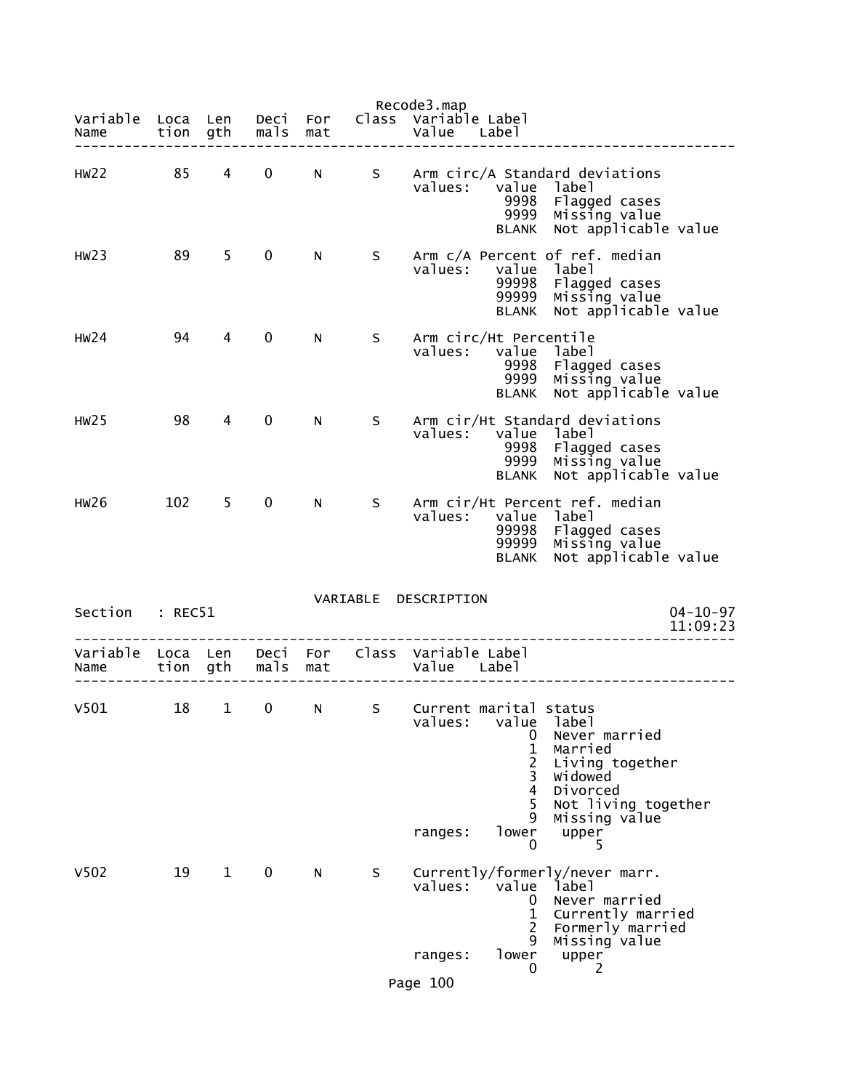|                                    |              |                |              |            |          | Recode3.map                                                                                                                                                                                                 |
|------------------------------------|--------------|----------------|--------------|------------|----------|-------------------------------------------------------------------------------------------------------------------------------------------------------------------------------------------------------------|
| Variable<br>Name                   | Loca<br>tion | Len<br>gth     | Deci<br>mals | For<br>mat |          | Class Variable Label<br>Value<br>Label                                                                                                                                                                      |
| HW22                               | 85           | 4              | $\mathbf 0$  | N.         | S        | Arm circ/A Standard deviations<br>value<br>values:<br>label<br>9998<br>Flagged cases<br>Missing value<br>9999<br>Not applicable value<br>BLANK                                                              |
| HW23                               | 89           | 5              | 0            | N.         | S.       | Arm c/A Percent of ref. median<br>values:<br>value label<br>99998<br>Flagged cases<br>Missing value<br>99999<br>Not applicable value<br><b>BLANK</b>                                                        |
| HW24                               | 94           | 4              | 0            | N.         | S.       | Arm circ/Ht Percentile<br>values:<br>value label<br>Flagged cases<br>9998<br>9999<br>Missing value<br>Not applicable value<br><b>BLANK</b>                                                                  |
| HW25                               | 98           | 4              | 0            | N.         | S.       | Arm cir/Ht Standard deviations<br>values:<br>value label<br>9998<br>Flagged cases<br>9999<br>Missing value<br>Not applicable value<br><b>BLANK</b>                                                          |
| <b>HW26</b>                        | 102          | 5 <sup>1</sup> | 0            | N          | S        | Arm cir/Ht Percent ref. median<br>values:<br>value label<br>99998<br>Flagged cases<br>99999<br>Missing value<br>Not applicable value<br><b>BLANK</b>                                                        |
| Section                            | : REC51      |                |              |            | VARIABLE | DESCRIPTION<br>$04 - 10 - 97$<br>11:09:23                                                                                                                                                                   |
| Variable Loca Len Deci For<br>Name | tion         | gth            | mals         | mat        |          | Class Variable Label<br>Value Label                                                                                                                                                                         |
| V501                               | 18           | $\mathbf{1}$   | 0            | N          | S.       | Current marital status<br>values:<br>value<br>label<br>Never married<br>0<br>1<br>Married<br>2<br>Living together<br><b>Widowed</b><br>3<br>4<br>Divorced<br>5<br>Not living together<br>Missing value<br>9 |
|                                    |              |                |              |            |          | lower<br>ranges:<br>upper<br>0<br>5                                                                                                                                                                         |
| V <sub>502</sub>                   | 19           | $\mathbf{1}$   | 0            | N          | S        | Currently/formerly/never marr.<br>values:<br>value<br>label<br>Never married<br>0<br>Currently married<br>$\mathbf{1}$<br>2<br>Formerly married<br>Missing value<br>9                                       |
|                                    |              |                |              |            |          | lower<br>ranges:<br>upper<br>2<br>0                                                                                                                                                                         |
|                                    |              |                |              |            |          | Page 100                                                                                                                                                                                                    |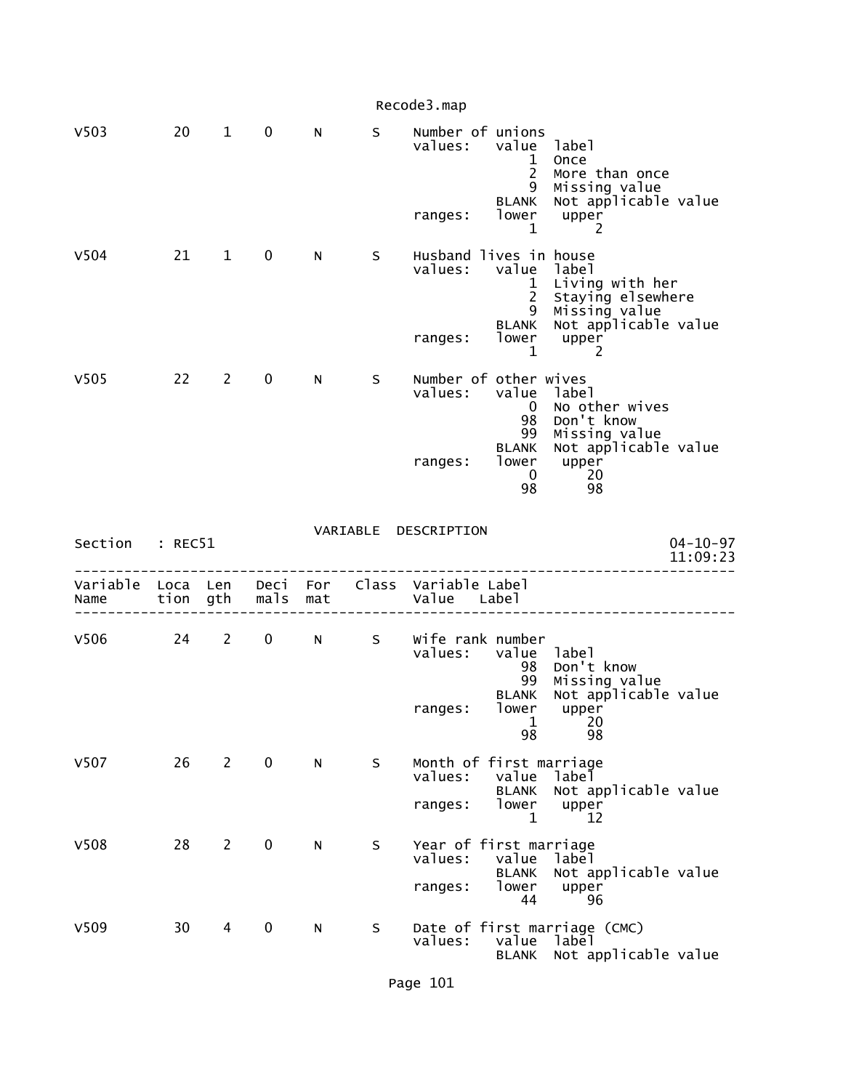|                           |      |                |             |                 |    | Recode3.map                                  |                                      |                                                                  |                            |
|---------------------------|------|----------------|-------------|-----------------|----|----------------------------------------------|--------------------------------------|------------------------------------------------------------------|----------------------------|
| V <sub>503</sub>          | 20   | $\mathbf{1}$   | $\mathbf 0$ | N               | S. | Number of unions<br>values:                  | value label<br>1<br>$\overline{2}$   | Once<br>More than once                                           |                            |
|                           |      |                |             |                 |    | ranges:                                      | 9<br><b>BLANK</b><br>lower<br>1      | Missing value<br>Not applicable value<br>upper<br>2              |                            |
| V504                      | 21   | $\mathbf{1}$   | $\mathbf 0$ | N               | S  | Husband lives in house<br>values:            | value label<br>1<br>$2^{\circ}$<br>9 | Living with her<br>Staying elsewhere<br>Missing value            |                            |
|                           |      |                |             |                 |    | ranges:                                      | <b>BLANK</b><br>$\mathbf 1$          | Not applicable value<br>lower upper<br>2                         |                            |
| V <sub>505</sub>          | 22   | $2^{\circ}$    | $\mathbf 0$ | N.              | S  | Number of other wives<br>values:             | value<br>$\mathbf{0}$<br>98<br>99    | label<br>No other wives<br>Don't know<br>Missing value           |                            |
|                           |      |                |             |                 |    | ranges:                                      | <b>BLANK</b><br>$\overline{0}$<br>98 | Not applicable value<br>lower upper<br>20<br>98                  |                            |
|                           |      |                |             |                 |    |                                              |                                      |                                                                  |                            |
| Section : REC51           |      |                |             |                 |    | VARIABLE DESCRIPTION                         |                                      |                                                                  | $04 - 10 - 97$<br>11:09:23 |
| Variable Loca Len<br>Name | tion | gth            | mals        | Deci For<br>mat |    | Class Variable Label<br>Value Label          |                                      |                                                                  |                            |
| V506                      | 24   | $2^{\circ}$    | $\mathbf 0$ | N               |    | S Wife rank number<br>values:                | value label<br>98<br>99              | Don't know                                                       |                            |
|                           |      |                |             |                 |    | ranges:                                      | <b>BLANK</b><br>1<br>98              | Missing value<br>Not applicable value<br>lower upper<br>20<br>98 |                            |
| V507                      | 26   | $\overline{2}$ | $\mathbf 0$ | N               | S  | Month of first marriage<br>values:           | value                                | label                                                            |                            |
|                           |      |                |             |                 |    | ranges:                                      | <b>BLANK</b><br>lower<br>1           | Not applicable value<br>upper<br>12                              |                            |
| V508                      | 28   | $\overline{2}$ | 0           | N               | S  | Year of first marriage<br>values:<br>ranges: | value<br><b>BLANK</b><br>lower<br>44 | label<br>Not applicable value<br>upper<br>96                     |                            |

Page 101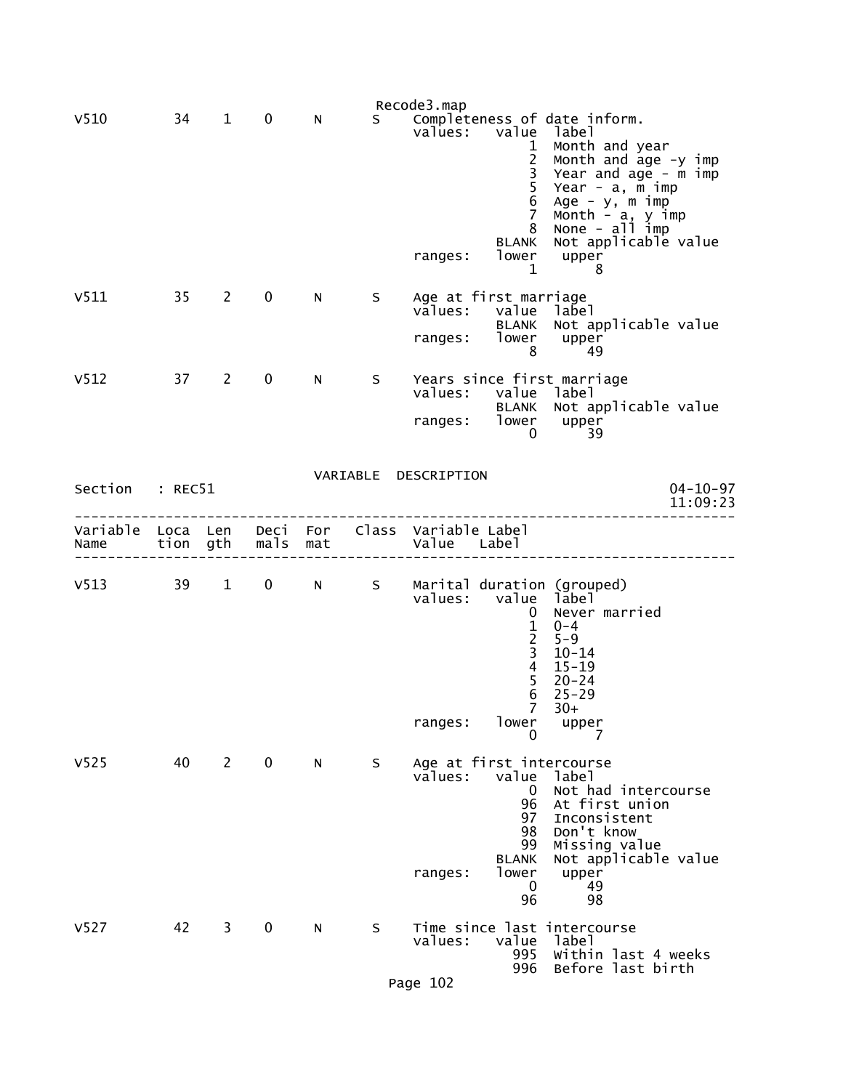|                           |    |                        |                   |   |       | Recode3.map                                  |                                                                                  |                                                                                                                                                                                                                        |
|---------------------------|----|------------------------|-------------------|---|-------|----------------------------------------------|----------------------------------------------------------------------------------|------------------------------------------------------------------------------------------------------------------------------------------------------------------------------------------------------------------------|
| V <sub>510</sub>          | 34 | $\mathbf{1}$           | 0                 | N | S.    | values:<br>ranges:                           | value<br>1<br>2<br>3<br>5<br>6<br>7<br>8<br><b>BLANK</b><br>lower                | Completeness of date inform.<br>label<br>Month and year<br>Month and age -y imp<br>Year and age - m imp<br>Year - $a, m, imp$<br>Age - y, m imp<br>Month - a, y imp<br>None - all imp<br>Not applicable value<br>upper |
| V511                      | 35 | 2                      | $\mathbf 0$       | N | S     | values:<br>ranges:                           | $\mathbf{1}$<br>Age at first marriage<br>value<br><b>BLANK</b><br>lower<br>8     | 8<br>label<br>Not applicable value<br>upper<br>49                                                                                                                                                                      |
| V <sub>512</sub>          | 37 | $\overline{2}$         | $\mathbf 0$       | N | S.    | ranges:                                      | values: value label<br><b>BLANK</b><br>lower<br>0                                | Years since first marriage<br>Not applicable value<br>upper<br>39                                                                                                                                                      |
| Section : REC51           |    |                        |                   |   |       | VARIABLE DESCRIPTION                         |                                                                                  | $04 - 10 - 97$<br>11:09:23                                                                                                                                                                                             |
| Variable Loca Len<br>Name |    |                        | tion gth mals mat |   |       | Deci For Class Variable Label<br>Value Label |                                                                                  |                                                                                                                                                                                                                        |
| $V513$ 39                 |    | $1 \quad \blacksquare$ |                   |   | 0 N S | ranges:                                      | 0<br>$\frac{1}{2}$<br>$\overline{4}$<br>$\frac{5}{6}$<br>$\overline{7}$<br>lower | Marital duration (grouped)<br>values: value label<br>Never married<br>$0 - 4$<br>$5 - 9$<br>$10 - 14$<br>$15 - 19$<br>$20 - 24$<br>$25 - 29$<br>$30+$<br>upper                                                         |
| V <sub>525</sub>          | 40 | $\mathbf{2}$           | 0                 | N | S     | values:<br>ranges:                           | 0<br>value<br>0<br>96<br>97<br>98<br>99<br><b>BLANK</b><br>lower<br>0<br>96      | 7<br>Age at first intercourse<br>label<br>Not had intercourse<br>At first union<br>Inconsistent<br>Don't know<br>Missing value<br>Not applicable value<br>upper<br>49<br>98                                            |
| V <sub>527</sub>          | 42 | 3                      | 0                 | N | S     | values:<br>Page 102                          | value<br>995<br>996                                                              | Time since last intercourse<br>label<br>Within last 4 weeks<br>Before last birth                                                                                                                                       |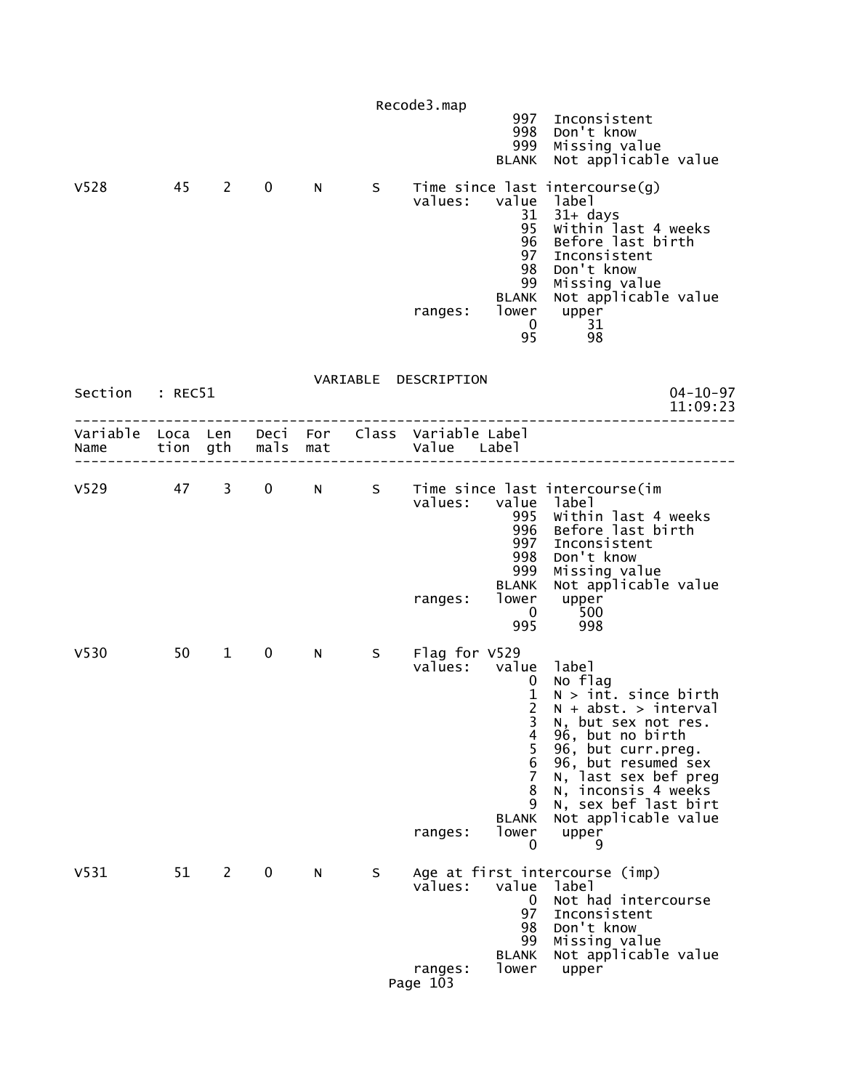| V <sub>528</sub>                                                      | 45 | $2^{\circ}$    | $\mathbf 0$ | N - | S     | Recode3.map<br>values:<br>ranges:               | 997<br>998<br>999<br><b>BLANK</b><br>value<br>31<br>95<br>96<br>97<br>98<br>99<br><b>BLANK</b><br>$\mathbf{0}$ | Inconsistent<br>Don't know<br>Missing value<br>Not applicable value<br>Time since last intercourse(g)<br>label<br>31+ days<br>Within last 4 weeks<br>Before last birth<br>Inconsistent<br>Don't know<br>Missing value<br>Not applicable value<br>lower upper<br>31 |
|-----------------------------------------------------------------------|----|----------------|-------------|-----|-------|-------------------------------------------------|----------------------------------------------------------------------------------------------------------------|--------------------------------------------------------------------------------------------------------------------------------------------------------------------------------------------------------------------------------------------------------------------|
| Section : REC51                                                       |    |                |             |     |       | VARIABLE DESCRIPTION                            | 95                                                                                                             | 98<br>$04 - 10 - 97$<br>11:09:23                                                                                                                                                                                                                                   |
| Variable Loca Len Deci For Class Variable Label<br>Name tion gth mals |    |                |             | mat |       | Value Label                                     |                                                                                                                |                                                                                                                                                                                                                                                                    |
| $V529$ 47 3                                                           |    |                |             |     | 0 N S | values:<br>ranges:                              | value<br>995<br>996<br>997<br>998<br>999<br><b>BLANK</b><br>lower<br>0<br>995                                  | Time since last intercourse(im<br>label<br>Within last 4 weeks<br>Before last birth<br>Inconsistent<br>Don't know<br>Missing value<br>Not applicable value<br>upper<br>500<br>998                                                                                  |
| V <sub>530</sub>                                                      | 50 | $\mathbf{1}$   | $\mathbf 0$ | N.  | S.    | Flag for V529<br>values: value label<br>ranges: | $\mathbf 0$<br>$\mathbf{1}$<br>$\overline{2}$<br>3<br>4<br>5<br>6<br>7<br>8<br>9<br><b>BLANK</b><br>lower<br>0 | No flag<br>$N > int.$ since birth<br>$N + abst. > interval$<br>N, but sex not res.<br>96, but no birth<br>96, but curr.preg.<br>96, but resumed sex<br>N, last sex bef preg<br>N, inconsis 4 weeks<br>N, sex bef last birt<br>Not applicable value<br>upper<br>9   |
| V <sub>531</sub>                                                      | 51 | $\overline{2}$ | $\mathbf 0$ | N   | S.    | values:<br>ranges:<br>Page 103                  | value<br>0<br>97<br>98<br>99<br><b>BLANK</b><br>lower                                                          | Age at first intercourse (imp)<br>label<br>Not had intercourse<br>Inconsistent<br>Don't know<br>Missing value<br>Not applicable value<br>upper                                                                                                                     |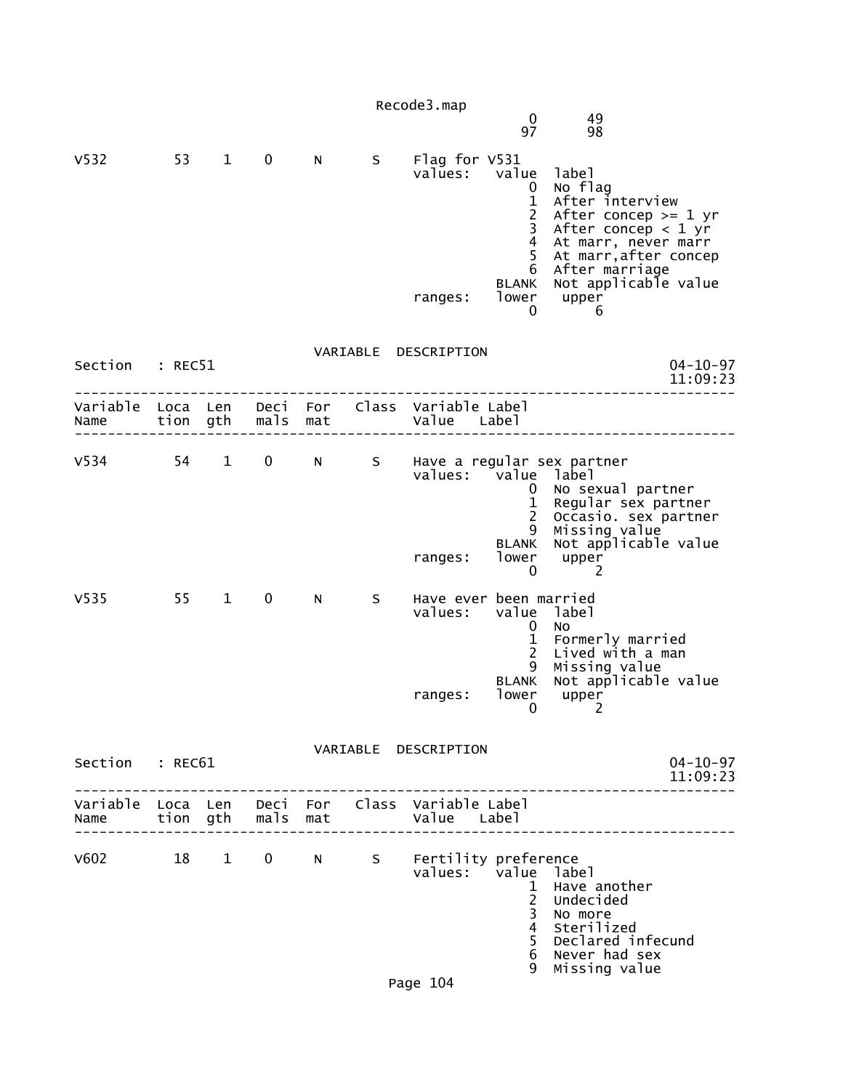|                  |      |              |                     |             |    | Recode3.map                                                    | $\mathbf 0$<br>97                                                                                                        | 49<br>98                                                                                                                                                                                       |
|------------------|------|--------------|---------------------|-------------|----|----------------------------------------------------------------|--------------------------------------------------------------------------------------------------------------------------|------------------------------------------------------------------------------------------------------------------------------------------------------------------------------------------------|
| V <sub>532</sub> | 53   | $\mathbf{1}$ | $\mathbf 0$         | N           | S. | Flag for V531<br>values: value<br>ranges:                      | 0<br>$\mathbf{1}$<br>$\overline{c}$<br>$\overline{\mathbf{3}}$<br>$\overline{4}$<br>5<br>6<br><b>BLANK</b><br>lower<br>0 | label<br>No flag<br>After interview<br>After concep $>= 1$ yr<br>After concep $<$ 1 yr<br>At marr, never marr<br>At marr, after concep<br>After marriage<br>Not applicable value<br>upper<br>6 |
| Section : REC51  |      |              |                     |             |    | VARIABLE DESCRIPTION                                           |                                                                                                                          | $04 - 10 - 97$<br>11:09:23                                                                                                                                                                     |
| Name tion gth    |      |              | mals mat            |             |    | Variable Loca Len Deci For Class Variable Label<br>Value Label |                                                                                                                          |                                                                                                                                                                                                |
| $V534$ 54 1      |      |              |                     |             |    | values: value label<br>ranges:                                 | $\mathbf{0}$<br>$\mathbf{1}$<br>$2^{\circ}$<br>9<br><b>BLANK</b><br>lower<br>$\mathbf 0$                                 | 0 N S Have a regular sex partner<br>No sexual partner<br>Regular sex partner<br>Occasio. sex partner<br>Missing value<br>Not applicable value<br>upper<br>-2                                   |
| V <sub>535</sub> | 55 1 |              | $\mathbf{0}$        | N           | S. | Have ever been married<br>values:<br>ranges:                   | value<br>0<br>1<br>$\overline{2}$<br>9<br><b>BLANK</b><br>lower                                                          | label<br>No<br>Formerly married<br>Lived with a man<br>Missing value<br>Not applicable value<br>upper<br>$\begin{array}{ccc} & & 0 & & 2 \end{array}$                                          |
| Section : REC61  |      |              |                     |             |    | VARIABLE DESCRIPTION                                           |                                                                                                                          | $04 - 10 - 97$<br>11:09:23                                                                                                                                                                     |
| Name             |      |              | tion gth  mals  mat |             |    | Variable Loca Len Deci For Class Variable Label<br>Value Label |                                                                                                                          |                                                                                                                                                                                                |
| V602             | 18 1 |              |                     | $0 \quad N$ | S  | Fertility preference<br>values: value label<br>Page 104        | $\mathbf{1}$<br>$2^{\circ}$<br>3<br>$\overline{4}$<br>5<br>6<br>9                                                        | Have another<br>Undecided<br>No more<br>Sterilized<br>Declared infecund<br>Never had sex<br>Missing value                                                                                      |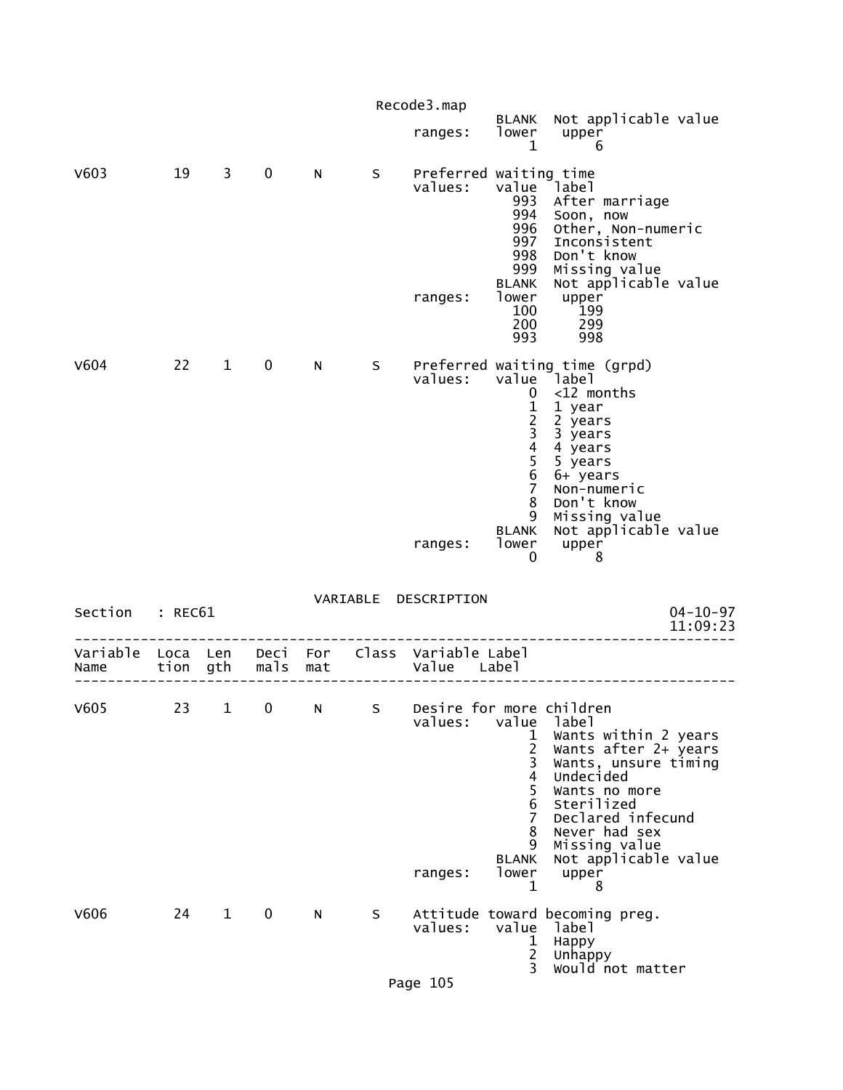|                  |                  |              |              |            |          | Recode3.map                                    |                                                                                                                       |                                                                                                                                                                                                                        |                            |
|------------------|------------------|--------------|--------------|------------|----------|------------------------------------------------|-----------------------------------------------------------------------------------------------------------------------|------------------------------------------------------------------------------------------------------------------------------------------------------------------------------------------------------------------------|----------------------------|
|                  |                  |              |              |            |          | ranges:                                        | BLANK<br>lower<br>1                                                                                                   | Not applicable value<br>upper<br>6                                                                                                                                                                                     |                            |
| V603             | 19               | 3            | $\mathbf 0$  | N          | S        | Preferred waiting time<br>values:<br>ranges:   | value<br>993<br>994<br>996<br>997<br>998<br>999<br><b>BLANK</b><br>lower<br>100<br>200<br>993                         | Iabel<br>After marriage<br>Soon, now<br>Other, Non-numeric<br>Inconsistent<br>Don't know<br>Missing value<br>Not applicable value<br>upper<br>199<br>299<br>998                                                        |                            |
| V604             | 22               | $\mathbf{1}$ | 0            | N          | S        | values:                                        | value<br>0<br>$\frac{1}{2}$<br>$\begin{array}{c} 4 \\ 5 \\ 6 \end{array}$<br>$\overline{7}$<br>8<br>9<br><b>BLANK</b> | Preferred waiting time (grpd)<br>label<br><12 months<br>1 year<br>2 years<br>3 years<br>4 years<br>5 years<br>6+ years<br>Non-numeric<br>Don't know<br>Missing value<br>Not applicable value                           |                            |
|                  |                  |              |              |            |          | ranges:                                        | lower<br>0                                                                                                            | upper<br>8                                                                                                                                                                                                             |                            |
| Section          | : REC61          |              |              |            | VARIABLE | DESCRIPTION                                    |                                                                                                                       |                                                                                                                                                                                                                        | $04 - 10 - 97$<br>11:09:23 |
| Variable<br>Name | Loca Len<br>tion | gth          | Deci<br>mals | For<br>mat | Class    | Variable Label<br>Value                        | Labe l                                                                                                                |                                                                                                                                                                                                                        |                            |
| V605             | 23               | 1            | 0            | N          | S        | Desire for more children<br>values:<br>ranges: | value<br>1<br>$\overline{c}$<br>3<br>$\overline{4}$<br>5<br>6<br>7<br>8<br>9<br><b>BLANK</b><br>lower<br>1            | label<br>Wants within 2 years<br>Wants after 2+ years<br>Wants, unsure timing<br>Undecided<br>Wants no more<br>Sterilized<br>Declared infecund<br>Never had sex<br>Missing value<br>Not applicable value<br>upper<br>8 |                            |
| V606             | 24               | $\mathbf 1$  | $\mathbf 0$  | N          | S.       | values:                                        | value<br>1<br>$\overline{2}$<br>3                                                                                     | Attitude toward becoming preg.<br>label<br>Happy<br>Unhappy<br>would not matter                                                                                                                                        |                            |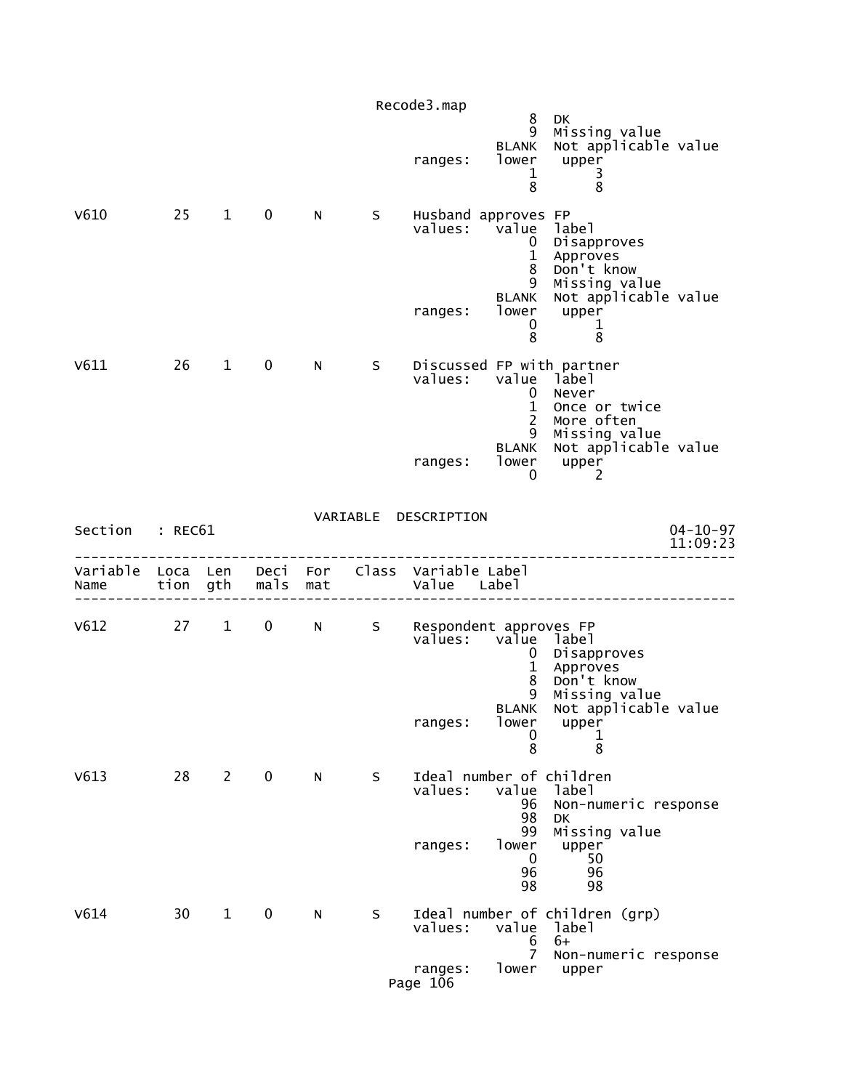|                  |                  |              |                  |     |   | Recode3.map                                    |                                                                               |                                                                                                                     |
|------------------|------------------|--------------|------------------|-----|---|------------------------------------------------|-------------------------------------------------------------------------------|---------------------------------------------------------------------------------------------------------------------|
|                  |                  |              |                  |     |   | ranges:                                        | 8<br>9<br><b>BLANK</b><br>lower<br>1<br>8                                     | <b>DK</b><br>Missing value<br>Not applicable value<br>upper<br>3<br>8                                               |
| V610             | 25               | $\mathbf{1}$ | $\mathbf 0$      | N   | S | Husband approves FP<br>values:<br>ranges:      | value<br>0<br>$\mathbf{1}$<br>8<br>9<br><b>BLANK</b><br>lower                 | label<br>Disapproves<br>Approves<br>Don't know<br>Missing value<br>Not applicable value<br>upper                    |
|                  |                  |              |                  |     |   |                                                | 0<br>8                                                                        | 1<br>8                                                                                                              |
| V611             | 26               | $\mathbf{1}$ | $\mathbf 0$      | N   | S | values:                                        | value<br>0<br>$\mathbf{1}$<br>$\overline{2}$<br>9<br><b>BLANK</b>             | Discussed FP_with_partner<br>label<br>Never<br>Once or twice<br>More often<br>Missing value<br>Not applicable value |
|                  |                  |              |                  |     |   | ranges:                                        | lower<br>0                                                                    | upper<br>2                                                                                                          |
| Section          | : REC61          |              |                  |     |   | VARIABLE DESCRIPTION                           |                                                                               | $04 - 10 - 97$<br>11:09:23                                                                                          |
| Variable<br>Name | Loca Len<br>tion | gth          | Deci For<br>mals | mat |   | Class Variable Label<br>Value Label            |                                                                               |                                                                                                                     |
| V612             | 27               | $\mathbf{1}$ | $\mathbf 0$      | N   |   | S Respondent approves FP<br>values:<br>ranges: | value label<br>$\mathbf{0}$<br>$\mathbf 1$<br>8<br>9<br><b>BLANK</b><br>lower | Disapproves<br>Approves<br>Don't know<br>Missing value<br>Not applicable value<br>upper                             |
|                  |                  |              |                  |     |   |                                                | 0<br>8                                                                        | 1<br>8                                                                                                              |
| V613             | 28               | $\mathbf{2}$ | $\mathbf 0$      | N   | S | Ideal number of children<br>values:            | value<br>96<br>98<br>99                                                       | label<br>Non-numeric response<br>DK<br>Missing value                                                                |
|                  |                  |              |                  |     |   | ranges:                                        | lower<br>$\mathbf 0$<br>96<br>98                                              | upper<br>50<br>96<br>98                                                                                             |
| V614             | 30               | $\mathbf{1}$ | $\mathbf 0$      | N   | S | values:                                        | value<br>6<br>$\overline{7}$                                                  | Ideal number of children (grp)<br>label<br>$6+$<br>Non-numeric response                                             |
|                  |                  |              |                  |     |   | ranges:<br>Page 106                            | lower                                                                         | upper                                                                                                               |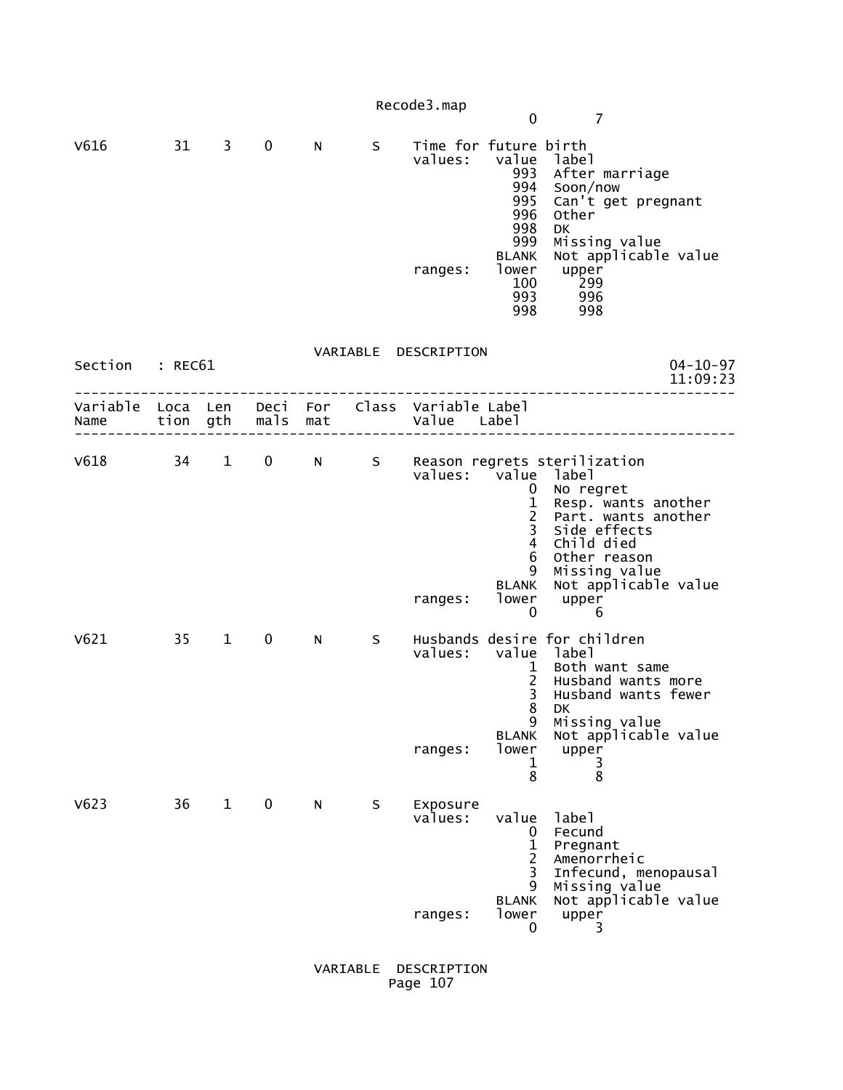|                                                                           |              |              |             |   |   | Recode3.map                                 | $\mathbf{0}$                                                                                                                         | 7                                                                                                                                                                                                            |
|---------------------------------------------------------------------------|--------------|--------------|-------------|---|---|---------------------------------------------|--------------------------------------------------------------------------------------------------------------------------------------|--------------------------------------------------------------------------------------------------------------------------------------------------------------------------------------------------------------|
| V616                                                                      | $31 \quad 3$ |              | $\mathbf 0$ | N | S | Time for future birth<br>values:<br>ranges: | value<br>993<br>994<br>995<br>996<br>998<br>999<br><b>BLANK</b><br>lower<br>100<br>993<br>998                                        | 1abe1<br>After marriage<br>Soon/now<br>Can't get pregnant<br>Other<br>DK<br>Missing value<br>Not applicable value<br>upper<br>299 <sup>.</sup><br>996<br>998                                                 |
| Section : REC61                                                           |              |              |             |   |   | VARIABLE DESCRIPTION                        |                                                                                                                                      | $04 - 10 - 97$<br>11:09:23                                                                                                                                                                                   |
| Variable Loca Len Deci For Class Variable Label<br>Name tion gth mals mat |              |              |             |   |   | Value Label                                 |                                                                                                                                      |                                                                                                                                                                                                              |
|                                                                           |              |              |             |   |   | values: value label<br>ranges:              | $\mathbf{0}$<br>$\mathbf{1}$<br>$\overline{2}$<br>$\overline{3}$<br>$\overline{4}$<br>6<br>9<br><b>BLANK</b><br>lower<br>$\mathbf 0$ | V618 34 1 0 N S Reason regrets sterilization<br>No regret<br>Resp. wants another<br>Part. wants another<br>Side effects<br>Child died<br>Other reason<br>Missing value<br>Not applicable value<br>upper<br>6 |
| V621                                                                      | 35           | $\mathbf{1}$ | 0           | N | S | values: value label<br>ranges:              | $\mathbf{1}$<br>$2^{\circ}$<br>3<br>8<br>9<br><b>BLANK</b><br>lower<br>1<br>8                                                        | Husbands desire for children<br>Both want same<br>Husband wants more<br>Husband wants fewer<br>DK<br>Missing value<br>Not applicable value<br>upper<br>3<br>8                                                |
| V623                                                                      | 36           | $\mathbf{1}$ | 0           | N | S | Exposure<br>values:<br>ranges:              | value<br>0<br>$\mathbf{1}$<br>$\overline{2}$<br>3<br>9<br><b>BLANK</b><br>lower<br>0                                                 | label<br>Fecund<br>Pregnant<br>Amenorrheic<br>Infecund, menopausal<br>Missing value<br>Not applicable value<br>upper<br>3                                                                                    |

 VARIABLE DESCRIPTION Page 107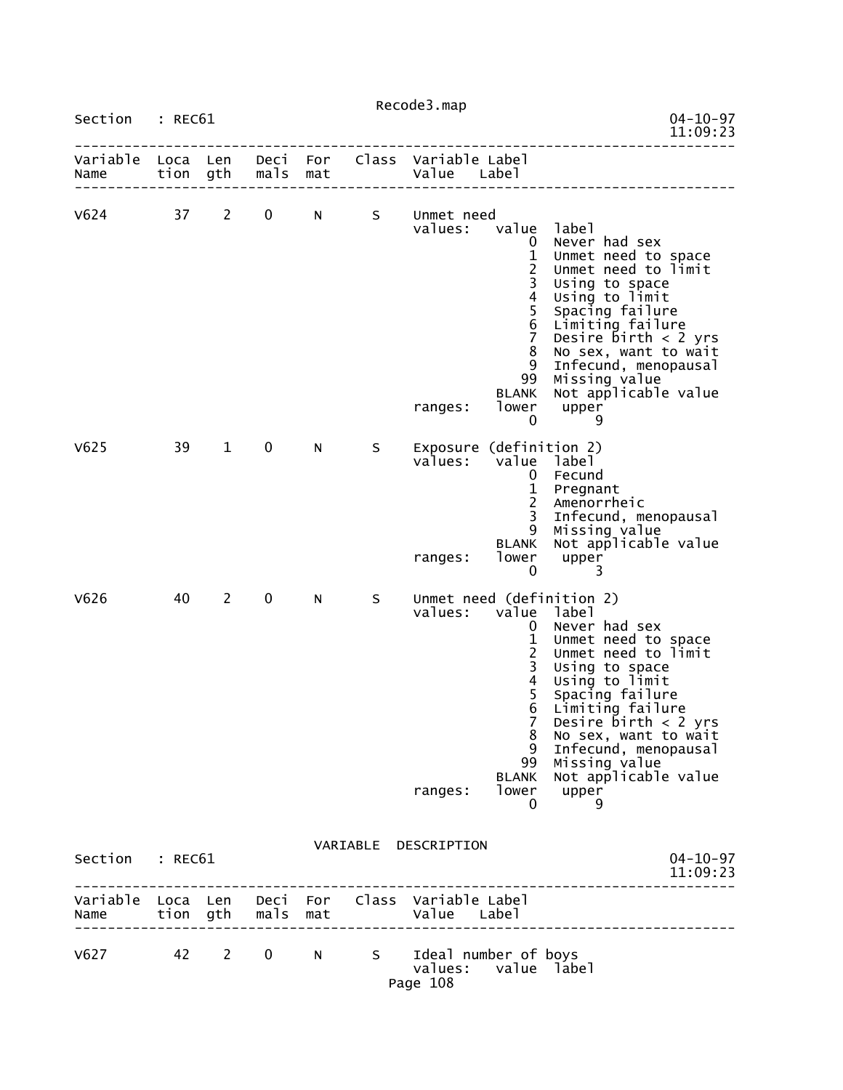|                                                         |    |                                |               |     |   | Recode3.map                                               |                                                                                                                                                                                       |                                                                                                                                                                                                                                                                                                      |
|---------------------------------------------------------|----|--------------------------------|---------------|-----|---|-----------------------------------------------------------|---------------------------------------------------------------------------------------------------------------------------------------------------------------------------------------|------------------------------------------------------------------------------------------------------------------------------------------------------------------------------------------------------------------------------------------------------------------------------------------------------|
| Section : REC61                                         |    |                                |               |     |   |                                                           |                                                                                                                                                                                       | $04 - 10 - 97$<br>11:09:23                                                                                                                                                                                                                                                                           |
| Variable Loca Len<br>Name                               |    | tion gth                       | mals          | mat |   | Deci For Class Variable Label<br>Value Label              |                                                                                                                                                                                       |                                                                                                                                                                                                                                                                                                      |
| $V624$ 37                                               |    | $2^{\circ}$                    | $\mathbf 0$   | N   |   | S Unmet need<br>values:<br>ranges:                        | value label<br>$\mathbf{0}$<br>$\mathbf{1}$<br>$\frac{2}{3}$<br>$\overline{\mathbf{4}}$<br>5<br>$\,$ 6 $\,$<br>$\overline{7}$<br>8<br>9<br>99<br><b>BLANK</b><br>lower<br>$\mathbf 0$ | Never had sex<br>Unmet need to space<br>Unmet need to limit<br>Using to space<br>Using to limit<br>Spacing failure<br>Limiting failure<br>Desire $birth < 2$ yrs<br>No sex, want to wait<br>Infecund, menopausal<br>Missing value<br>Not applicable value<br>upper<br>9                              |
| V625                                                    | 39 | $\mathbf{1}$                   | 0             | N   | S | values:<br>ranges:                                        | Exposure (definition 2)<br>value label<br>0<br>$\mathbf{1}$<br>$\overline{2}$<br>3<br>9<br><b>BLANK</b><br>lower<br>$\mathbf 0$                                                       | Fecund<br>Pregnant<br>Amenorrheic<br>Infecund, menopausal<br>Missing value<br>Not applicable value<br>upper<br>3                                                                                                                                                                                     |
| V626                                                    | 40 | $\mathbf{2}$                   | $\mathbf 0$   | N.  | S | values:<br>ranges:                                        | value label<br>0<br>$\mathbf{1}$<br>$\overline{2}$<br>$\overline{\mathbf{3}}$<br>$\overline{\mathbf{4}}$<br>5<br>$\overline{7}$<br>8<br>9<br>99<br>BLANK<br>lower<br>0                | Unmet need (definition 2)<br>Never had sex<br>Unmet need to space<br>Unmet need to limit<br>Using to space<br>Using to limit<br>Spacing failure<br>Limiting failure<br>Desire $birth < 2$ yrs<br>No sex, want to wait<br>Infecund, menopausal<br>Missing value<br>Not applicable value<br>upper<br>9 |
| Section : REC61                                         |    |                                |               |     |   | VARIABLE DESCRIPTION                                      |                                                                                                                                                                                       | $04 - 10 - 97$<br>11:09:23                                                                                                                                                                                                                                                                           |
| Variable Loca Len Deci For Class Variable Label<br>Name |    |                                | tion gth mals | mat |   | Value Label                                               |                                                                                                                                                                                       |                                                                                                                                                                                                                                                                                                      |
| V627                                                    | 42 | $2 \left( \frac{1}{2} \right)$ | $\mathbf{0}$  | N . |   | S Ideal number of boys<br>values: value label<br>Page 108 |                                                                                                                                                                                       |                                                                                                                                                                                                                                                                                                      |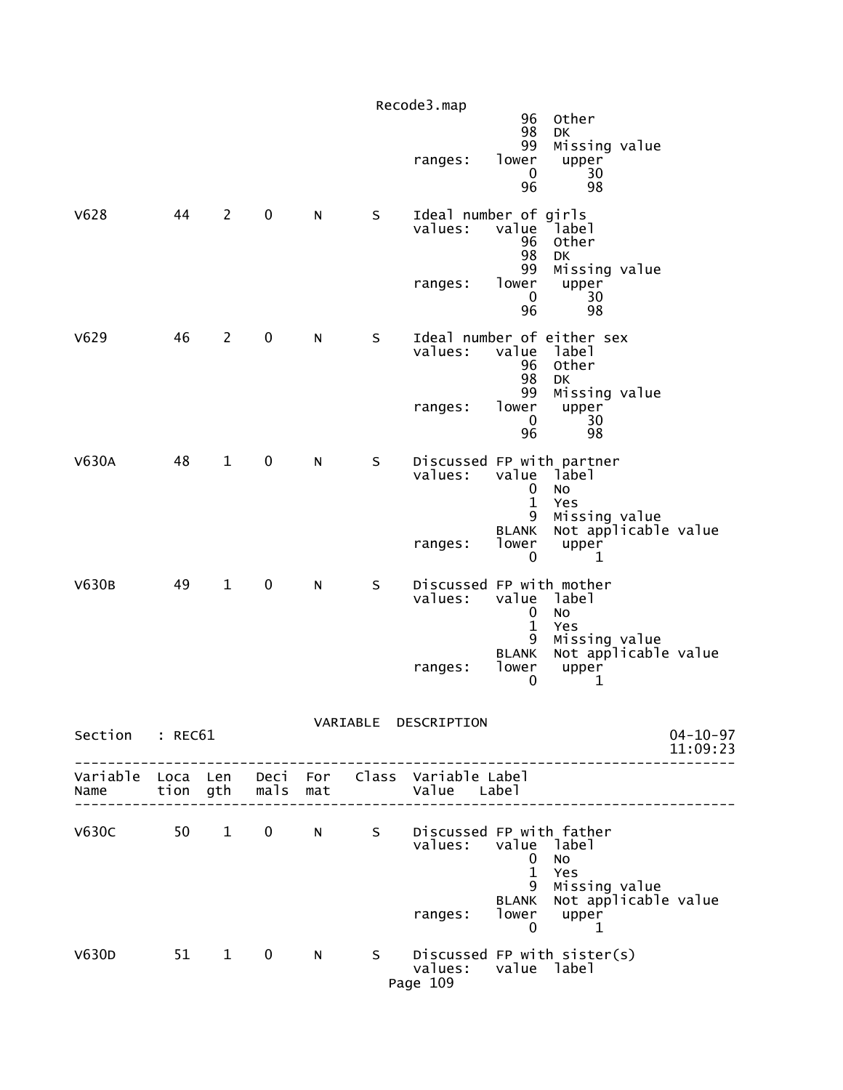|                 |      |                |                   |   |    | Recode3.map                                                    | 96                                                                                   | Other                                                                      |                            |
|-----------------|------|----------------|-------------------|---|----|----------------------------------------------------------------|--------------------------------------------------------------------------------------|----------------------------------------------------------------------------|----------------------------|
|                 |      |                |                   |   |    | ranges:                                                        | 98<br>99<br>lower<br>$\mathbf 0$<br>96                                               | DK<br>Missing value<br>upper<br>30<br>98                                   |                            |
| V628            | 44   | $\overline{2}$ | $\mathbf 0$       | N | S  | Ideal number of girls<br>values:<br>ranges:                    | value<br>96<br>98<br>99<br>lower<br>$\mathbf 0$<br>96                                | Iabel<br>Other<br>DK<br>Missing value<br>upper<br>30<br>98                 |                            |
| V629            | 46   | $\overline{2}$ | $\mathbf 0$       | N | S  | Ideal number of either sex<br>values:<br>ranges:               | value<br>96<br>98<br>99<br>lower<br>0<br>96                                          | 1abe1<br>Other<br><b>DK</b><br>Missing value<br>upper<br>30<br>98          |                            |
| <b>V630A</b>    | 48   | $\mathbf{1}$   | $\pmb{0}$         | N | S  | Discussed FP with partner<br>values:<br>ranges:                | value<br>$\mathbf 0$<br>$\mathbf{1}$<br>9<br><b>BLANK</b><br>lower<br>$\mathbf 0$    | label<br>No<br>Yes<br>Missing value<br>Not applicable value<br>upper<br>1  |                            |
| <b>V630B</b>    | 49   | $\mathbf{1}$   | $\pmb{0}$         | N | S  | Discussed FP with mother<br>values:<br>ranges:                 | value<br>$\mathbf 0$<br>$\mathbf{1}$<br>9<br><b>BLANK</b><br>lower<br>$\mathbf{0}$   | label<br>No<br>Yes<br>Missing value<br>Not applicable value<br>upper<br>1  |                            |
| Section : REC61 |      |                |                   |   |    | VARIABLE DESCRIPTION                                           |                                                                                      |                                                                            | $04 - 10 - 97$<br>11:09:23 |
| Name            |      |                | tion gth mals mat |   |    | Variable Loca Len Deci For Class Variable Label<br>Value Label |                                                                                      |                                                                            |                            |
| V630C 50 1      |      |                | $\mathbf{0}$      | N | S  | Discussed FP with father<br>values:<br>ranges:                 | value label<br>$\bf{0}$<br>$\mathbf{1}$<br>9<br><b>BLANK</b><br>lower<br>$\mathbf 0$ | No<br>Yes<br>Missing value<br>Not applicable value<br>upper<br>$\mathbf 1$ |                            |
| V630D           | 51 1 |                | $\bf{0}$          | N | S. | Discussed FP with sister(s)<br>values:<br>Page 109             | value label                                                                          |                                                                            |                            |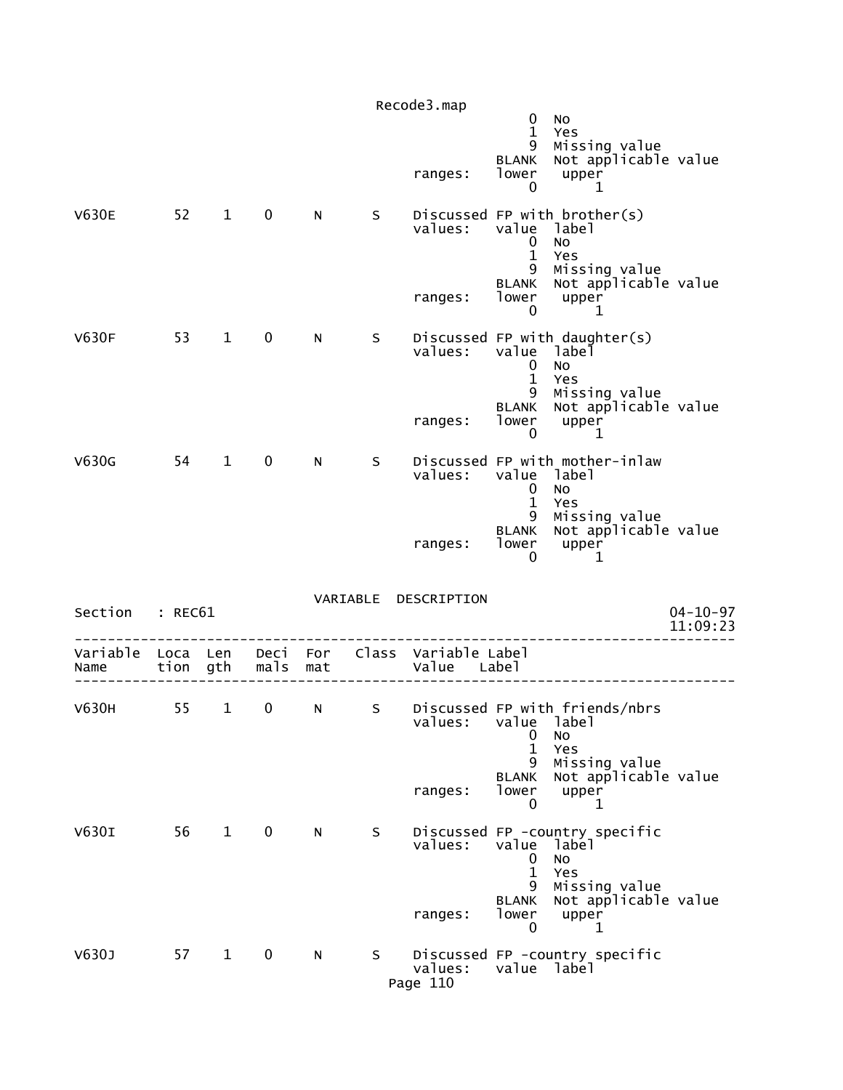|                  |                  |                        |              |            |          | Recode3.map             |                                                                          |                                                                                                             |                            |
|------------------|------------------|------------------------|--------------|------------|----------|-------------------------|--------------------------------------------------------------------------|-------------------------------------------------------------------------------------------------------------|----------------------------|
|                  |                  |                        |              |            |          | ranges:                 | 0<br>$\mathbf{1}$<br>9<br><b>BLANK</b><br>lower<br>0                     | No<br>Yes<br>Missing value<br>Not applicable value<br>upper<br>1                                            |                            |
| <b>V630E</b>     | 52               | $\mathbf{1}$           | 0            | N          | S        | values:<br>ranges:      | value<br>0<br>$\mathbf{1}$<br>9<br>BLANK<br>lower                        | Discussed FP with brother(s)<br>label<br><b>NO</b><br>Yes<br>Missing value<br>Not applicable value<br>upper |                            |
| <b>V630F</b>     | 53               | $\mathbf 1$            | $\mathbf 0$  | N          | S        | values:                 | $\mathbf 0$<br>value<br>$\mathbf 0$<br>1<br>9                            | 1<br>Discussed FP with daughter(s)<br>label<br>No<br>Yes<br>Missing value<br>Not applicable value           |                            |
|                  |                  |                        |              |            |          | ranges:                 | BLANK<br>lower<br>0                                                      | upper<br>1                                                                                                  |                            |
| V630G            | 54               | $\mathbf{1}$           | $\mathbf 0$  | N          | S        | values:                 | value<br>0<br>$\mathbf{1}$                                               | Discussed FP with mother-inlaw<br>label<br>No<br>Yes                                                        |                            |
|                  |                  |                        |              |            |          | ranges:                 | 9<br><b>BLANK</b><br>lower<br>0                                          | Missing value<br>Not applicable value<br>upper<br>1                                                         |                            |
| Section          | : REC61          |                        |              |            | VARIABLE | DESCRIPTION             |                                                                          |                                                                                                             | $04 - 10 - 97$<br>11:09:23 |
| Variable<br>Name | Loca Len<br>tion | gth                    | Deci<br>mals | For<br>mat | Class    | Variable Label<br>Value | Label                                                                    |                                                                                                             |                            |
| V630H            | 55               | 1                      | 0            | N          | S        | values:                 | value<br>0<br>$\mathbf{1}$<br>9                                          | Discussed FP with friends/nbrs<br>label<br>NO<br>Yes                                                        |                            |
|                  |                  |                        |              |            |          | ranges:                 | <b>BLANK</b><br>lower<br>$\mathbf{0}$                                    | Missing value<br>Not applicable value<br>upper<br>1                                                         |                            |
| V630I            | 56               | $\mathbf{1}$           | $\mathbf 0$  | N          | S        | values:<br>ranges:      | value<br>0<br>$\mathbf{1}$<br>9<br><b>BLANK</b><br>lower<br>$\mathbf{0}$ | Discussed FP -country specific<br>label<br>No<br>Yes<br>Missing value<br>Not applicable value<br>upper<br>1 |                            |
| V630J            | 57               | $1 \quad \blacksquare$ | $\mathbf 0$  | N          | S.       | values:<br>Page 110     | value label                                                              | Discussed FP -country specific                                                                              |                            |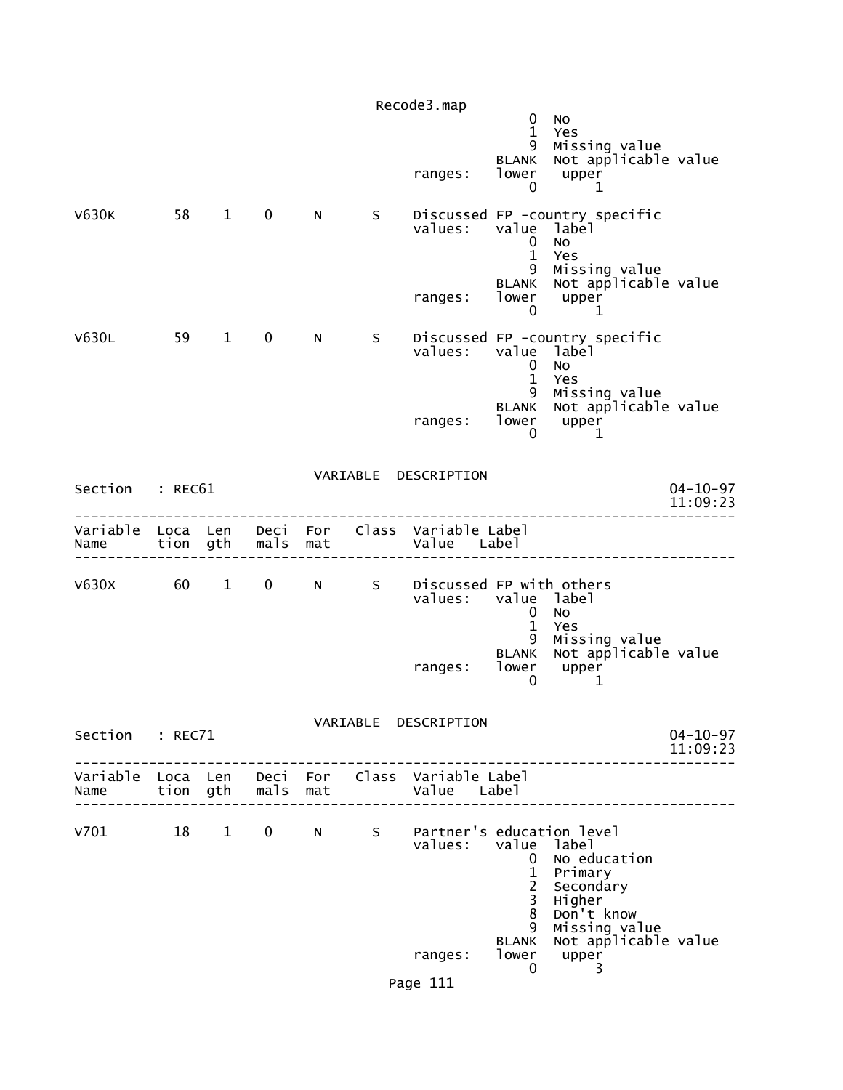|                 |    |                        |                                               |     |                | Recode3.map                                                    | $\mathbf 0$<br>$\mathbf{1}$                                           | No<br>Yes                                                        |                            |
|-----------------|----|------------------------|-----------------------------------------------|-----|----------------|----------------------------------------------------------------|-----------------------------------------------------------------------|------------------------------------------------------------------|----------------------------|
|                 |    |                        |                                               |     |                | ranges:                                                        | 9<br>BLANK<br>lower<br>0                                              | Missing value<br>Not applicable value<br>upper<br>1              |                            |
| V630K           | 58 | $\mathbf{1}$           | $\mathbf 0$                                   | N   | S              | values:                                                        | value label<br>$\mathbf 0$<br>$\mathbf{1}$<br>9                       | Discussed FP -country specific<br>No<br>Yes<br>Missing value     |                            |
|                 |    |                        |                                               |     |                | ranges:                                                        | <b>BLANK</b><br>lower<br>0                                            | Not applicable value<br>upper<br>1                               |                            |
| V630L           | 59 | $1 \quad \blacksquare$ | $\mathbf 0$                                   | N   | S.             | values:                                                        | value label<br>$\mathbf 0$<br>$\mathbf{1}$                            | Discussed FP -country specific<br><b>NO</b>                      |                            |
|                 |    |                        |                                               |     |                | ranges:                                                        | 9<br>lower<br>0                                                       | Yes<br>Missing value<br>BLANK Not applicable value<br>upper<br>1 |                            |
| Section : REC61 |    |                        |                                               |     |                | VARIABLE DESCRIPTION                                           |                                                                       |                                                                  | $04 - 10 - 97$             |
|                 |    |                        |                                               |     |                |                                                                |                                                                       |                                                                  | 11:09:23                   |
| Name            |    | tion gth               | mals                                          | mat |                | Variable Loca Len Deci For Class Variable Label<br>Value Label |                                                                       |                                                                  |                            |
| V630X 60 1      |    |                        | $\mathbf{0}$                                  |     | N <sub>S</sub> | Discussed FP with others<br>values: value label                | $\mathbf{0}$                                                          | <b>NO</b>                                                        |                            |
|                 |    |                        |                                               |     |                | ranges:                                                        | $\mathbf{1}$<br>9<br><b>BLANK</b><br>lower<br>0                       | Yes<br>Missing value<br>Not applicable value<br>upper<br>1       |                            |
| Section : REC71 |    |                        |                                               |     |                | VARIABLE DESCRIPTION                                           |                                                                       |                                                                  | $04 - 10 - 97$<br>11:09:23 |
| Name            |    |                        | tion gth  mals  mat<br>---------------------- |     |                | Variable Loca Len Deci For Class Variable Label<br>Value Label |                                                                       |                                                                  |                            |
| $V701$ 18 1     |    |                        | $\mathbf{0}$                                  | N   | S              | Partner's education level<br>values: value label               | $\mathbf{0}$<br>$\mathbf{1}$<br>$\overline{c}$<br>$\overline{3}$<br>8 | No education<br>Primary<br>Secondary<br>Higher<br>Don't know     |                            |
|                 |    |                        |                                               |     |                | ranges:<br>Page 111                                            | 9<br><b>BLANK</b><br>lower<br>$\mathbf{0}$                            | Missing value<br>Not applicable value<br>upper<br>3              |                            |
|                 |    |                        |                                               |     |                |                                                                |                                                                       |                                                                  |                            |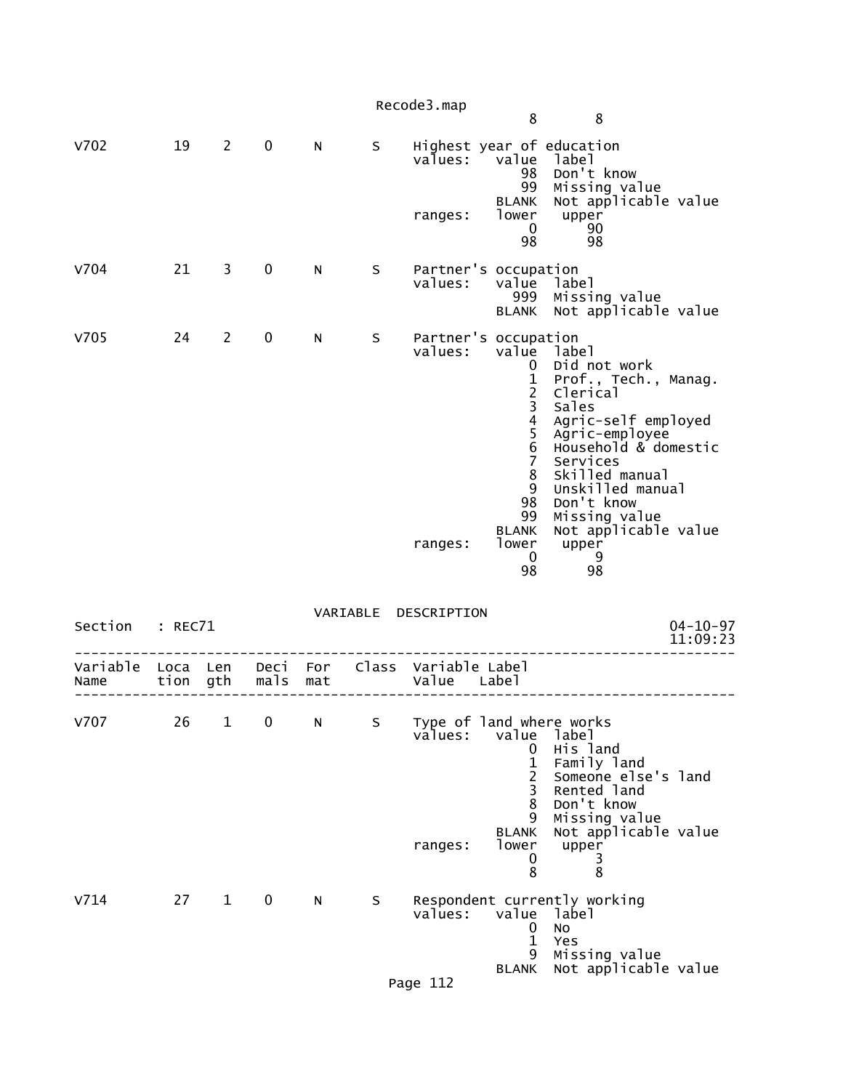|                  |              |                |              |            |          | Recode3.map                                |                                                                                                                                                 |                                                                                                                                                                                                                                                                   |
|------------------|--------------|----------------|--------------|------------|----------|--------------------------------------------|-------------------------------------------------------------------------------------------------------------------------------------------------|-------------------------------------------------------------------------------------------------------------------------------------------------------------------------------------------------------------------------------------------------------------------|
|                  |              |                |              |            |          |                                            | 8                                                                                                                                               | 8                                                                                                                                                                                                                                                                 |
| V702             | 19           | $\overline{2}$ | $\mathbf 0$  | N          | S        | values:<br>ranges:                         | value<br>98<br>99<br><b>BLANK</b><br>lower<br>$\mathbf 0$<br>98                                                                                 | Highest year of education<br>label<br>Don't know<br>Missing value<br>Not applicable value<br>upper<br>90<br>98                                                                                                                                                    |
| V704             | 21           | 3              | $\mathbf 0$  | N          | S        | Partner's occupation<br>values:            | value<br>999<br><b>BLANK</b>                                                                                                                    | label<br>Missing value<br>Not applicable value                                                                                                                                                                                                                    |
| V705             | 24           | 2              | 0            | N          | S        | Partner's occupation<br>values:<br>ranges: | value<br>0<br>1<br>$\frac{2}{3}$<br>$\overline{4}$<br>$\frac{5}{6}$<br>$\overline{7}$<br>8<br>9<br>98<br>99<br><b>BLANK</b><br>lower<br>0<br>98 | label<br>Did not work<br>Prof., Tech., Manag.<br>Clerical<br>Sales<br>Agric-self employed<br>Agric-employee<br>Household & domestic<br>Services<br>Skilled manual<br>Unskilled manual<br>Don't know<br>Missing value<br>Not applicable value<br>upper<br>-9<br>98 |
| Section          | : REC71      |                |              |            | VARIABLE | DESCRIPTION                                |                                                                                                                                                 | $04 - 10 - 97$<br>11:09:23                                                                                                                                                                                                                                        |
| Variable<br>Name | Loca<br>tion | Len<br>gth     | Deci<br>mals | For<br>mat |          | Class Variable Label<br>Value              | Label                                                                                                                                           |                                                                                                                                                                                                                                                                   |
| V707             | 26           | $\mathbf{1}$   | $\pmb{0}$    | N          | S        | values:<br>ranges:                         | value<br>0<br>1<br>$\overline{2}$<br>3<br>8<br>9<br><b>BLANK</b><br>lower<br>0<br>8                                                             | Type of land where works<br>label<br>His land<br>Family land<br>Someone else's land<br>Rented land<br>Don't know<br>Missing value<br>Not applicable value<br>upper<br>3<br>8                                                                                      |
| V714             | 27           | $\mathbf{1}$   | 0            | N          | S        | values:<br>Page 112                        | value<br>0<br>$\mathbf{1}$<br>9<br><b>BLANK</b>                                                                                                 | Respondent currently working<br>label<br><b>NO</b><br>Yes<br>Missing value<br>Not applicable value                                                                                                                                                                |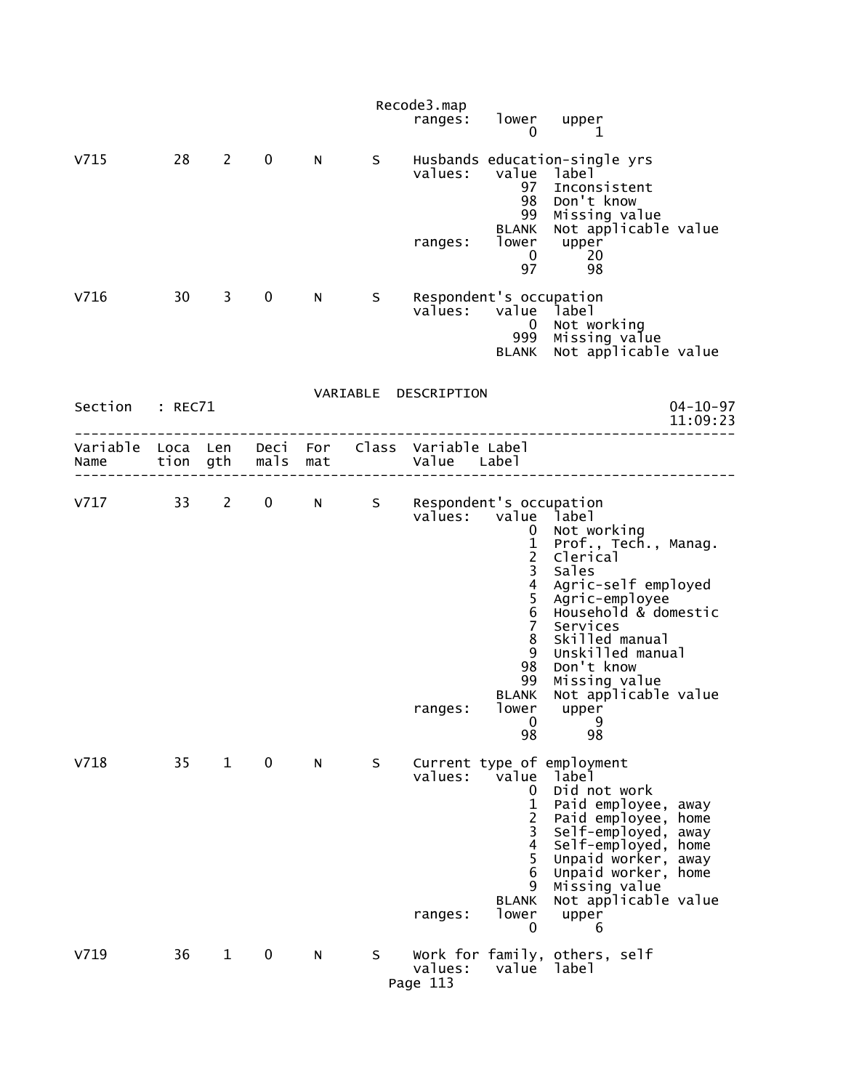|                                    |    |              |              |     |   | Recode3.map                                         |                                                                                                                                                                     |                                                                                                                                                                                                                                                                 |                            |
|------------------------------------|----|--------------|--------------|-----|---|-----------------------------------------------------|---------------------------------------------------------------------------------------------------------------------------------------------------------------------|-----------------------------------------------------------------------------------------------------------------------------------------------------------------------------------------------------------------------------------------------------------------|----------------------------|
|                                    |    |              |              |     |   | ranges:                                             | lower<br>0                                                                                                                                                          | upper<br>1                                                                                                                                                                                                                                                      |                            |
| V715                               | 28 | 2            | $\mathbf 0$  | N   | S | values:<br>ranges:                                  | value<br>97<br>98<br>99<br><b>BLANK</b><br>lower<br>0                                                                                                               | Husbands education-single yrs<br>label<br>Inconsistent<br>Don't know<br>Missing value<br>Not applicable value<br>upper<br>20                                                                                                                                    |                            |
| V716                               | 30 | 3            | $\mathbf 0$  | N.  | S | Respondent's occupation<br>values:                  | 97<br>value<br>$\overline{0}$<br>999<br><b>BLANK</b>                                                                                                                | 98<br>label<br>Not working<br>Missing value<br>Not applicable value                                                                                                                                                                                             |                            |
|                                    |    |              |              |     |   | VARIABLE DESCRIPTION                                |                                                                                                                                                                     |                                                                                                                                                                                                                                                                 |                            |
| Section : REC71                    |    |              |              |     |   |                                                     |                                                                                                                                                                     |                                                                                                                                                                                                                                                                 | $04 - 10 - 97$<br>11:09:23 |
| Variable Loca Len Deci For<br>Name |    | tion gth     | mals         | mat |   | Class Variable Label<br>Value Label                 |                                                                                                                                                                     |                                                                                                                                                                                                                                                                 |                            |
| V717                               | 33 | $2^{\sim}$   | $\mathbf{0}$ | N - | S | Respondent's occupation<br>values: value<br>ranges: | $\mathbf 0$<br>$\frac{1}{2}$<br>$\overline{\mathbf{4}}$<br>$\frac{5}{6}$<br>$\overline{7}$<br>8<br>9<br>98<br>99<br><b>BLANK</b><br>lower<br>$\boldsymbol{0}$<br>98 | label<br>Not working<br>Prof., Tech., Manag.<br>Clerical<br>Sales<br>Agric-self employed<br>Agric-employee<br>Household & domestic<br>Services<br>Skilled manual<br>Unskilled manual<br>Don't know<br>Missing value<br>Not applicable value<br>upper<br>9<br>98 |                            |
| V718                               | 35 | $\mathbf{1}$ | $\mathbf 0$  | N   | S | values:<br>ranges:                                  | value<br>$\mathbf 0$<br>1<br>$\overline{c}$<br>3<br>4<br>5<br>6<br>9<br><b>BLANK</b><br>lower<br>0                                                                  | Current type of employment<br>label<br>Did not work<br>Paid employee, away<br>Paid employee, home<br>Self-employed, away<br>Self-employed, home<br>Unpaid worker, away<br>Unpaid worker, home<br>Missing value<br>Not applicable value<br>upper<br>6            |                            |
| V719                               | 36 | $\mathbf{1}$ | 0            | N   | S | values:<br>Page 113                                 | value                                                                                                                                                               | Work for family, others, self<br>label                                                                                                                                                                                                                          |                            |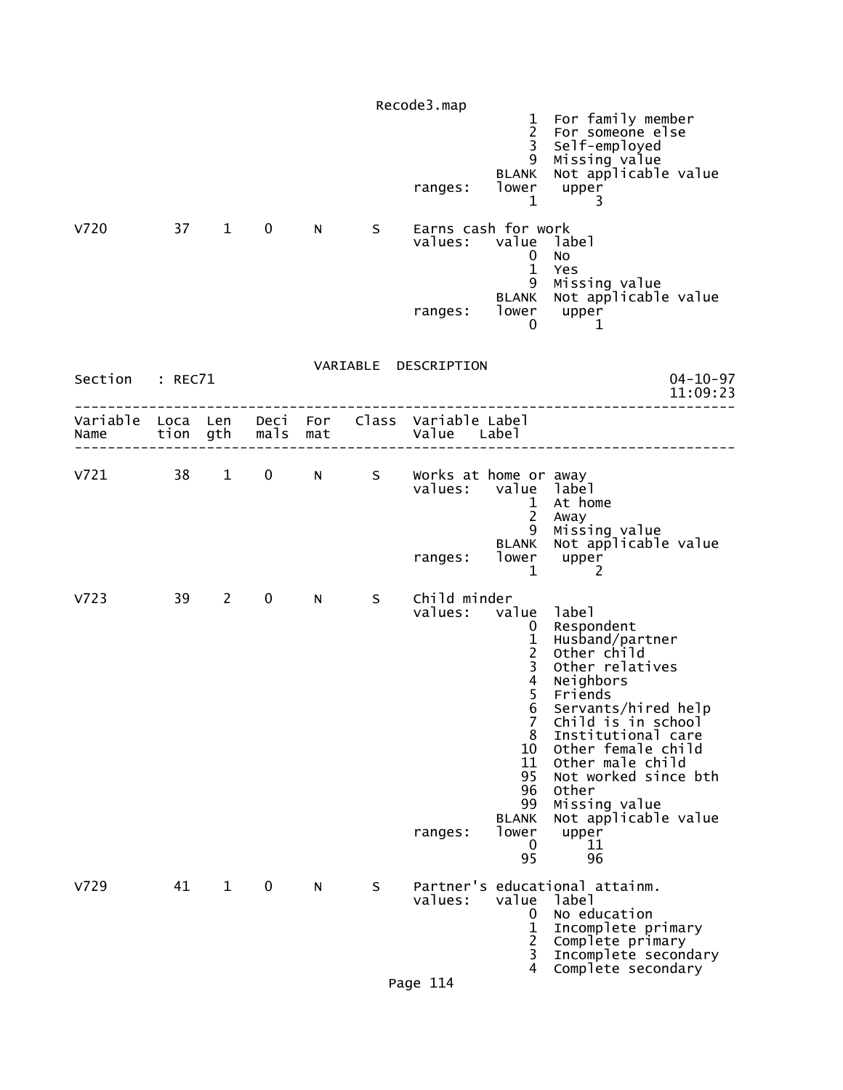|                                                         |         |                        |               |             |    | Recode3.map<br>ranges:             | $\mathbf{1}$<br>$\overline{2}$<br>$\overline{3}$<br>9<br>BLANK<br>lower<br>$\mathbf 1$                                                                | For family member<br>For someone else<br>Self-employed<br>Missing value<br>Not applicable value<br>upper<br>3                                                                                                                                                                                                |
|---------------------------------------------------------|---------|------------------------|---------------|-------------|----|------------------------------------|-------------------------------------------------------------------------------------------------------------------------------------------------------|--------------------------------------------------------------------------------------------------------------------------------------------------------------------------------------------------------------------------------------------------------------------------------------------------------------|
| v720                                                    | 37      | $1 \quad \blacksquare$ | $\mathbf 0$   | N           | S  | ranges:                            | Earns cash for work<br>values: value label<br>0<br>$\mathbf{1}$<br>9<br><b>BLANK</b><br>0                                                             | No<br>Yes<br>Missing value<br>Not applicable value<br>lower upper<br>1                                                                                                                                                                                                                                       |
| Section                                                 | : REC71 |                        |               |             |    | VARIABLE DESCRIPTION               |                                                                                                                                                       | $04 - 10 - 97$                                                                                                                                                                                                                                                                                               |
|                                                         |         |                        |               |             |    |                                    |                                                                                                                                                       | 11:09:23                                                                                                                                                                                                                                                                                                     |
| Variable Loca Len Deci For Class Variable Label<br>Name |         |                        | tion gth mals | mat         |    | Value Label                        |                                                                                                                                                       |                                                                                                                                                                                                                                                                                                              |
| $V721$ 38 1                                             |         |                        | $\mathbf{0}$  | $N$ and $N$ | S  | Works at home or away              | values: value label<br>1<br>$\overline{2}$                                                                                                            | At home<br>Away                                                                                                                                                                                                                                                                                              |
|                                                         |         |                        |               |             |    | ranges:                            | 9<br><b>BLANK</b><br>lower<br>$\mathbf 1$                                                                                                             | Missing value<br>Not applicable value<br>upper<br>2                                                                                                                                                                                                                                                          |
| V723                                                    | 39      | $2^{\sim}$             | $\mathbf 0$   | N           | S. | Child minder<br>values:<br>ranges: | value<br>$\mathbf{0}$<br>$\frac{1}{2}$<br>$\frac{4}{5}$<br>6<br>$\overline{7}$<br>8<br>10<br>11<br>95<br>96<br>99<br><b>BLANK</b><br>lower<br>0<br>95 | label<br>Respondent<br>Husband/partner<br>Other child<br>Other relatives<br>Neighbors<br>Friends<br>Servants/hired help<br>Child is in school<br>Institutional care<br>Other female child<br>Other male child<br>Not worked since bth<br>Other<br>Missing value<br>Not applicable value<br>upper<br>11<br>96 |
| V729                                                    | 41      | $\mathbf{1}$           | $\mathbf 0$   | N           | S  | values:<br>Page 114                | value<br>0<br>$\mathbf{1}$<br>$\overline{2}$<br>3<br>4                                                                                                | Partner's educational attainm.<br>label<br>No education<br>Incomplete primary<br>Complete primary<br>Incomplete secondary<br>Complete secondary                                                                                                                                                              |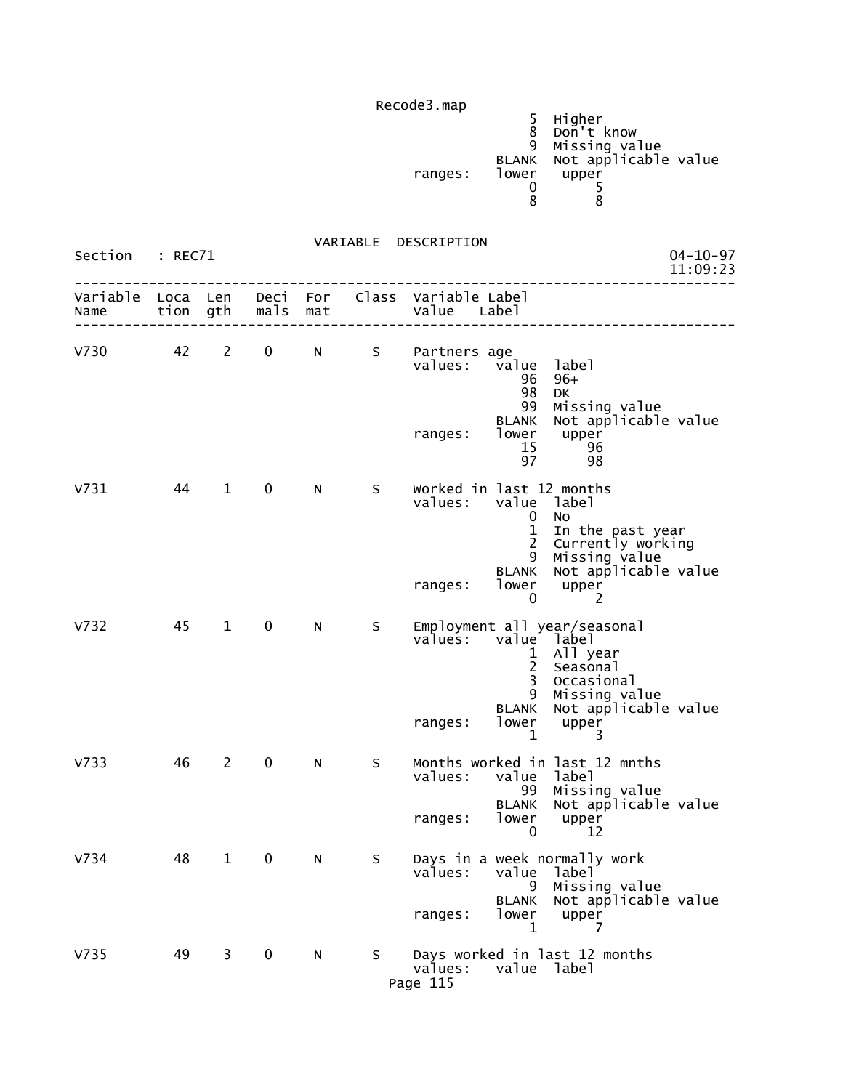|         |       | Higher                     |  |
|---------|-------|----------------------------|--|
|         |       | Don't know                 |  |
|         |       | 9 Missing value            |  |
|         |       | BLANK Not applicable value |  |
| ranges: | lower | upper                      |  |
|         |       |                            |  |
|         |       |                            |  |

| Section          | : REC71          |                |              |            |    | $04 - 10 - 97$<br>11:09:23                                                                                                                                                                                                                                        |  |
|------------------|------------------|----------------|--------------|------------|----|-------------------------------------------------------------------------------------------------------------------------------------------------------------------------------------------------------------------------------------------------------------------|--|
| Variable<br>Name | Loca Len<br>tion | gth            | Deci<br>mals | For<br>mat |    | Class Variable Label<br>Value<br>Labe <sub>1</sub>                                                                                                                                                                                                                |  |
| v730             | 42               | $\overline{2}$ | $\mathbf 0$  | N          | S  | Partners age<br>value<br>values:<br>label<br>$96+$<br>96<br>98<br>DK<br>99<br>Missing value<br>Not applicable value<br><b>BLANK</b><br>lower<br>upper<br>ranges:<br>15<br>96<br>97<br>98                                                                          |  |
| V731             | 44               | $\mathbf{1}$   | 0            | N          | S. | Worked in last 12 months<br>values:<br>value label<br>No<br>$\mathbf 0$<br>$\mathbf{1}$<br>In the past year<br>$\overline{c}$<br>Currently working<br>9<br>Missing value<br>Not applicable value<br><b>BLANK</b><br>lower<br>upper<br>ranges:<br>2<br>$\mathbf 0$ |  |
| V <sub>732</sub> | 45               | 1              | 0            | N          | S  | Employment all year/seasonal<br>values:<br>value label<br>All year<br>$\mathbf{1}$<br>$\overline{2}$<br>Seasonal<br>$\overline{3}$<br>Occasional<br>9<br>Missing value<br>Not applicable value<br><b>BLANK</b><br>lower<br>ranges:<br>upper<br>$\mathbf{1}$<br>3  |  |
| V <sub>733</sub> | 46               | $\overline{2}$ | $\mathbf 0$  | N          | S  | Months worked in last 12 mnths<br>values:<br>value label<br>99<br>Missing value<br>Not applicable value<br><b>BLANK</b><br>lower<br>ranges:<br>upper<br>0<br>12                                                                                                   |  |
| V734             | 48               | 1              | 0            | N          | S  | Days in a week normally work<br>values:<br>value<br>label<br>Missing value<br>9<br>Not applicable value<br><b>BLANK</b><br>lower<br>ranges:<br>upper<br>1<br>7                                                                                                    |  |
| V <sub>735</sub> | 49               | $\mathbf{3}$   | $\mathbf 0$  | N          | S. | Days worked in last 12 months<br>values:<br>value label<br>Page 115                                                                                                                                                                                               |  |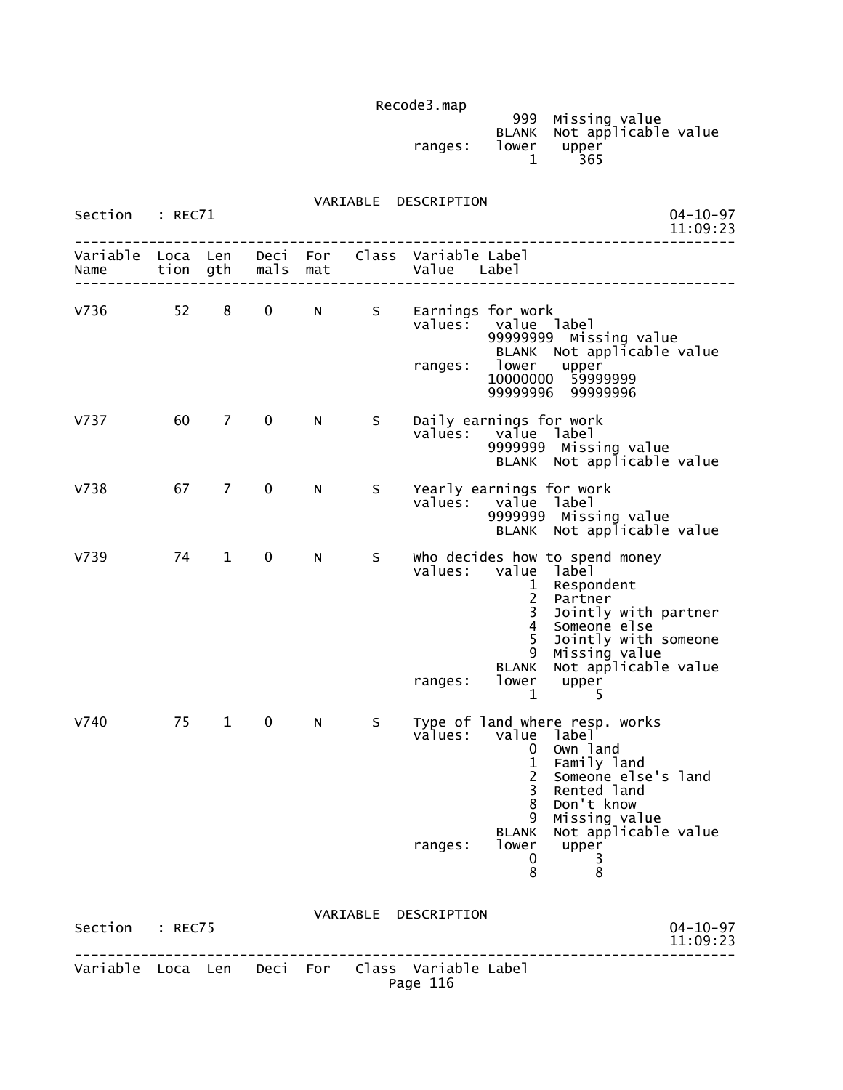| Recodes.map |       |                                                 |  |
|-------------|-------|-------------------------------------------------|--|
|             |       | 999 Missing value<br>BLANK Not applicable value |  |
| ranges:     | lower | upper<br>365                                    |  |

| Section          | : REC71      |                |              |            |    |                                                             | $04 - 10 - 97$<br>11:09:23                                                                                                                                                                                                                                                         |
|------------------|--------------|----------------|--------------|------------|----|-------------------------------------------------------------|------------------------------------------------------------------------------------------------------------------------------------------------------------------------------------------------------------------------------------------------------------------------------------|
| Variable<br>Name | Loca<br>tion | Len<br>gth     | Deci<br>mals | For<br>mat |    | Class Variable Label<br>Value                               | Label                                                                                                                                                                                                                                                                              |
| V736             | 52           | 8              | 0            | N          | S  | values:<br>ranges:                                          | Earnings for work<br>value label<br>99999999<br>Missing value<br>Not applicable value<br><b>BLANK</b><br>lower<br>lower upper<br>10000000 59999999<br>99999996<br>99999996                                                                                                         |
| V737             | 60           | 7              | 0            | N          | S  | values:                                                     | Daily earnings for work<br>value label<br>9999999 Missing value<br>BLANK Not applicable value                                                                                                                                                                                      |
| V738             | 67           | $\overline{7}$ | 0            | N          | S  | values:                                                     | Yearly earnings for work<br>value label<br>9999999 Missing value<br>BLANK Not applicable value                                                                                                                                                                                     |
| V739             | 74           | $\mathbf{1}$   | $\pmb{0}$    | N          | S. | values:<br>ranges:                                          | who decides how to spend money<br>value<br>label<br>Respondent<br>1<br>$\overline{\mathbf{c}}$<br>Partner<br>3<br>Jointly with partner<br>4<br>Someone else<br>5<br>Jointly with someone<br>9<br>Missing value<br>Not applicable value<br><b>BLANK</b><br>lower<br>upper<br>1<br>5 |
| V740             | 75           | $\mathbf{1}$   | 0            | N          | S. | values:                                                     | Type of land where resp. works<br>value<br>1abe1<br>Own land<br>0<br>$\mathbf 1$<br>Family land<br>Someone else's land<br>$\overline{2}$<br>3<br>Rented land<br>8<br>Don't know<br>9<br>Missing value                                                                              |
|                  |              |                |              |            |    | ranges:                                                     | BLANK Not applicable value<br>lower<br>upper<br>0<br>$\frac{3}{8}$<br>8                                                                                                                                                                                                            |
| Section : REC75  |              |                |              |            |    | VARIABLE DESCRIPTION                                        | $04 - 10 - 97$<br>11:09:23                                                                                                                                                                                                                                                         |
|                  |              |                |              |            |    | Variable Loca Len Deci For Class Variable Label<br>Page 116 | ---------------                                                                                                                                                                                                                                                                    |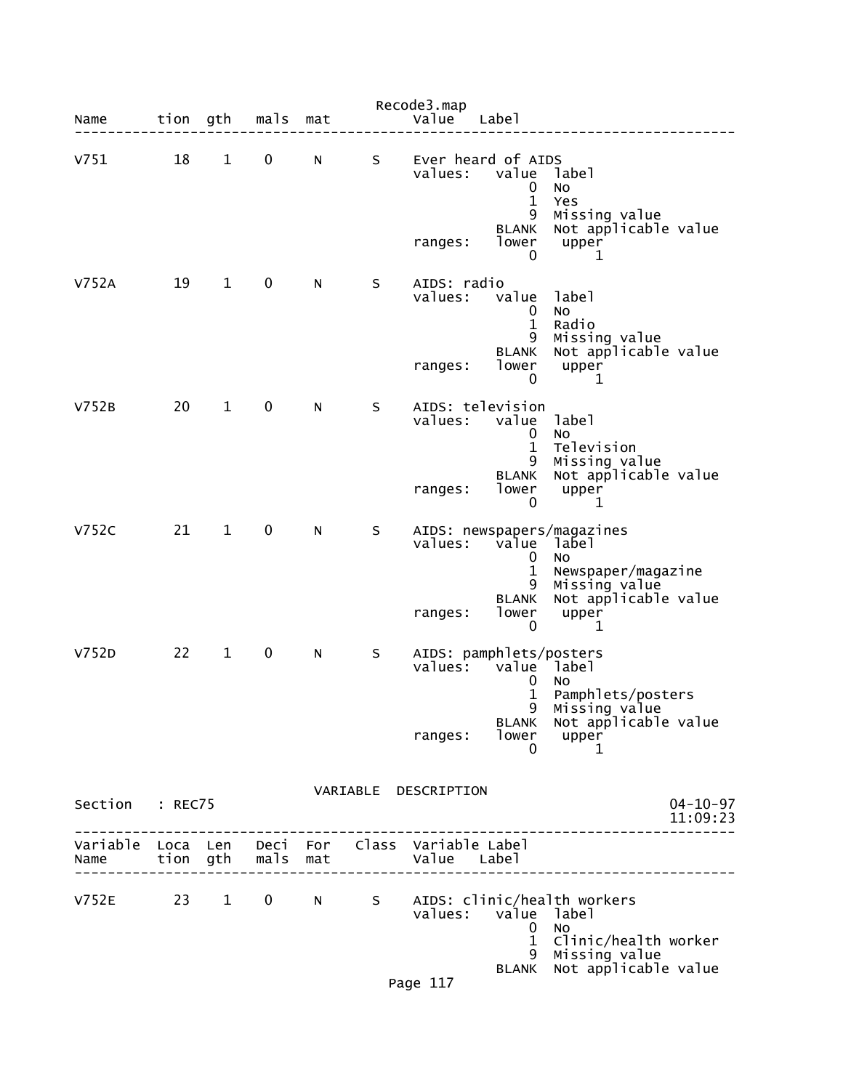| Name             | tion gth             |              | mals             | mat |    | Recode3.map<br>Value          | Labe]                                                                |                                                                                                             |
|------------------|----------------------|--------------|------------------|-----|----|-------------------------------|----------------------------------------------------------------------|-------------------------------------------------------------------------------------------------------------|
| V751             | 18                   | $\mathbf{1}$ | 0                | N   | S. | values:                       | Ever heard of AIDS<br>value<br>0<br>$\mathbf 1$<br>9<br><b>BLANK</b> | label<br>No<br>Yes<br>Missing value<br>Not applicable value                                                 |
|                  |                      |              |                  |     |    | ranges:                       | lower<br>0                                                           | upper<br>1                                                                                                  |
| V752A            | 19                   | $\mathbf{1}$ | $\mathbf 0$      | N   | S  | AIDS: radio<br>values:        | value<br>0<br>$\mathbf{1}$<br>9                                      | label<br>No<br>Radio<br>Missing value                                                                       |
|                  |                      |              |                  |     |    | ranges:                       | <b>BLANK</b><br>lower<br>0                                           | Not applicable value<br>upper<br>1                                                                          |
| V752B            | 20                   | $\mathbf{1}$ | $\mathbf 0$      | N   | S  | values:                       | AIDS: television<br>value<br>$\bf{0}$<br>$\mathbf 1$                 | label<br>No<br>Television                                                                                   |
|                  |                      |              |                  |     |    | ranges:                       | 9<br><b>BLANK</b><br>lower<br>0                                      | Missing value<br>Not applicable value<br>upper<br>1                                                         |
| <b>V752C</b>     | 21                   | $\mathbf{1}$ | $\mathbf 0$      | N   | S  | values:                       | value label<br>0<br>$\mathbf{1}$<br>9                                | AIDS: newspapers/magazines<br>No<br>Newspaper/magazine<br>Missing value                                     |
|                  |                      |              |                  |     |    | ranges:                       | <b>BLANK</b><br>lower<br>0                                           | Not applicable value<br>upper<br>1                                                                          |
| V752D            | 22                   | $\mathbf{1}$ | $\mathbf 0$      | N   | S  |                               | AIDS: pamphlets/posters<br>values: value label<br>0<br>$\mathbf{1}$  | No<br>Pamphlets/posters                                                                                     |
|                  |                      |              |                  |     |    | ranges:                       | 9<br>BLANK<br>lower<br>0                                             | Missing value<br>Not applicable value<br>upper<br>1                                                         |
| Section          | : REC75              |              |                  |     |    | VARIABLE DESCRIPTION          |                                                                      | $04 - 10 - 97$<br>11:09:23                                                                                  |
| Variable<br>Name | Loca Len<br>tion gth |              | Deci For<br>mals | mat |    | Class Variable Label<br>Value | Label                                                                |                                                                                                             |
| V752E            | 23                   | $1 \quad$    | 0                | N   | S  | values:<br>Page 117           | value<br>0<br>$\mathbf 1$<br>9<br><b>BLANK</b>                       | AIDS: clinic/health workers<br>label<br>NO<br>Clinic/health worker<br>Missing value<br>Not applicable value |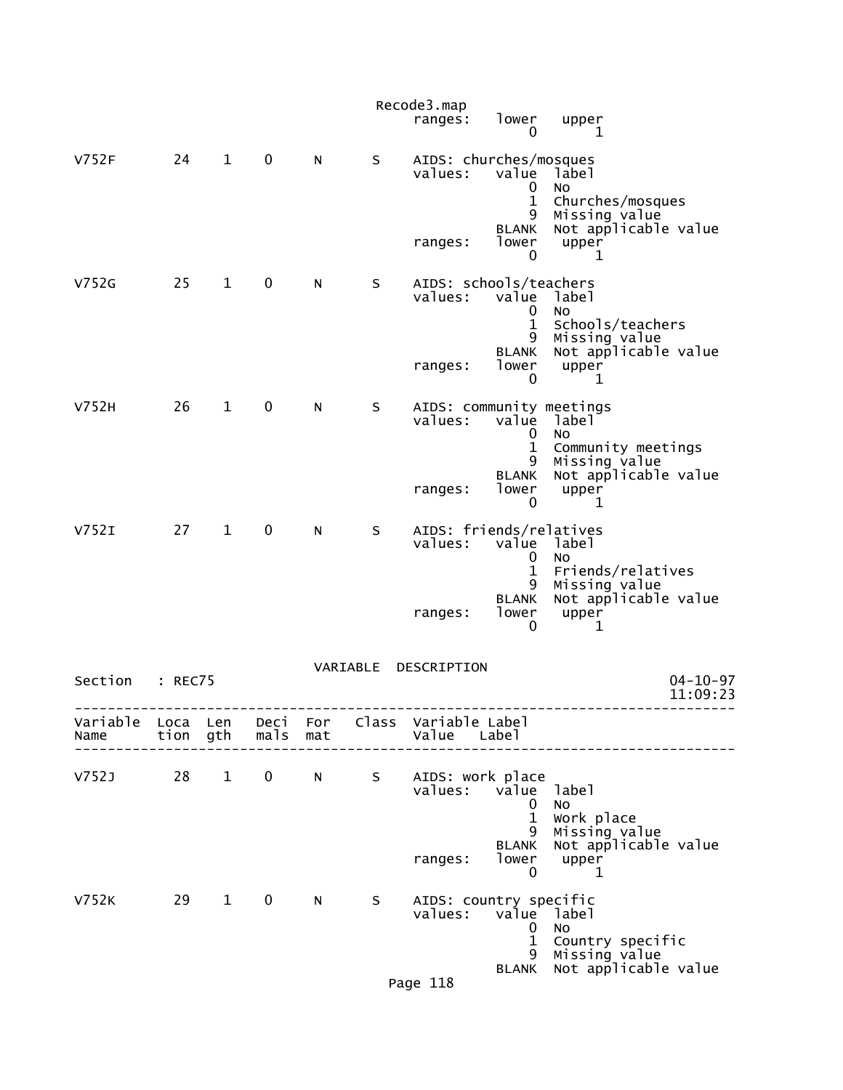|                  |              |              |                  |            |          | Recode3.map<br>ranges:  | lower<br>$\mathbf 0$                                            | upper<br>1                                                              |
|------------------|--------------|--------------|------------------|------------|----------|-------------------------|-----------------------------------------------------------------|-------------------------------------------------------------------------|
| V752F            | 24           | $\mathbf{1}$ | $\mathbf 0$      | N          | S        | values:                 | AIDS: churches/mosques<br>value<br>0                            | label<br>No                                                             |
|                  |              |              |                  |            |          | ranges:                 | $\mathbf{1}$<br>9<br><b>BLANK</b><br>lower<br>$\mathbf 0$       | Churches/mosques<br>Missing value<br>Not applicable value<br>upper<br>1 |
| V752G            | 25           | $\mathbf{1}$ | 0                | N          | S        | values:                 | AIDS: schools/teachers<br>value<br>0<br>$\mathbf{1}$<br>9       | label<br>No<br>Schools/teachers<br>Missing value                        |
|                  |              |              |                  |            |          | ranges:                 | <b>BLANK</b><br>lower<br>0                                      | Not applicable value<br>upper<br>1                                      |
| V752H            | 26           | $\mathbf{1}$ | $\mathbf 0$      | N          | S        | values:                 | AIDS: community meetings<br>value<br>0<br>$\mathbf{1}$<br>9     | label<br><b>NO</b><br>Community meetings                                |
|                  |              |              |                  |            |          | ranges:                 | <b>BLANK</b><br>lower<br>0                                      | Missing value<br>Not applicable value<br>upper<br>1                     |
| V752I            | 27           | $\mathbf{1}$ | $\mathbf 0$      | N          | S        | values:                 | AIDS: friends/relatives<br>value label<br>0<br>$\mathbf 1$<br>9 | No<br>Friends/relatives<br>Missing value                                |
|                  |              |              |                  |            |          | ranges:                 | <b>BLANK</b><br>lower<br>0                                      | Not applicable value<br>upper<br>1                                      |
| Section          | : REC75      |              |                  |            | VARIABLE | DESCRIPTION             |                                                                 | $04 - 10 - 97$<br>11:09:23                                              |
| Variable<br>Name | Loca<br>tion | Len<br>gth   | Deci<br>mals     | For<br>mat | Class    | Variable Label<br>Value | Label                                                           |                                                                         |
| V752J            | 28           | $\mathbf{1}$ | 0                | N          | S        |                         | AIDS: work place<br>values: value<br>0<br>$\mathbf{1}$          | label<br>No<br>Work place                                               |
|                  |              |              |                  |            |          | ranges:                 | 9<br>BLANK<br>lower<br>0                                        | Missing value<br>Not applicable value<br>upper<br>1                     |
| <b>V752K</b>     | 29           | $\mathbf{1}$ | $\boldsymbol{0}$ | N          | S.       | values:                 | AIDS: country specific<br>value<br>0<br>$\mathbf 1$             | label<br>No<br>Country specific                                         |
|                  |              |              |                  |            |          | Page 118                | 9<br>BLANK                                                      | Missing value<br>Not applicable value                                   |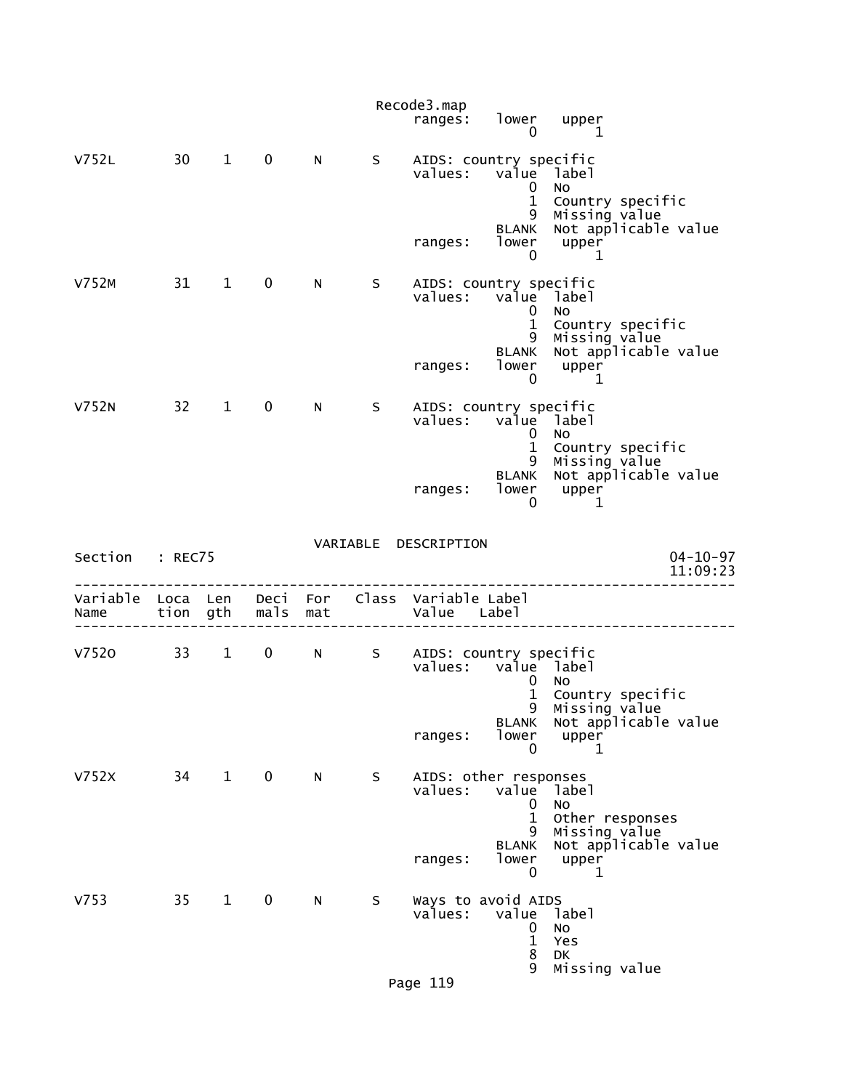|          |                      |                        |              |            |    | Recode3.map<br>ranges:                        | lower<br>$\mathbf{0}$                           | upper<br>$\begin{array}{\begin{array}{\small \begin{array}{\small \begin{array}{\small \begin{array}{\small \end{array}}}}\\{\small \end{array}}\\{\small \end{array}}\\{\small \end{array}}\\{\small \end{array}}{\small \end{array}}{\small \begin{array}{\small \end{array}}{\small \begin{array}{\small \textbf{1}}\\{\small \end{array}}\\{\small \end{array}}{\small \begin{array}{\small \textbf{1}}\\{\small \end{array}}{\small \begin{array}{\small \end{array}}{\small \begin{array}{\small \textbf{1}}\\{\small \end{array}}{\small \begin{array}{\small \end{array}}}}{\small \begin{array}{\small \textbf{1}}\\{\small \end{array$ |
|----------|----------------------|------------------------|--------------|------------|----|-----------------------------------------------|-------------------------------------------------|--------------------------------------------------------------------------------------------------------------------------------------------------------------------------------------------------------------------------------------------------------------------------------------------------------------------------------------------------------------------------------------------------------------------------------------------------------------------------------------------------------------------------------------------------------------------------------------------------------------------------------------------------|
| V752L    | 30 <sup>7</sup>      | $\mathbf{1}$           | $\mathbf 0$  | N          | S. | AIDS: country specific<br>values:             | value label<br>0<br>$\mathbf{1}$                | <b>NO</b><br>Country specific                                                                                                                                                                                                                                                                                                                                                                                                                                                                                                                                                                                                                    |
|          |                      |                        |              |            |    | ranges:                                       | 9<br><b>BLANK</b><br>lower<br>0                 | Missing value<br>Not applicable value<br>upper<br>1                                                                                                                                                                                                                                                                                                                                                                                                                                                                                                                                                                                              |
| V752M    | 31                   | $1 \quad \blacksquare$ | $\mathbf 0$  | N          | S. | AIDS: country specific<br>values:             | value label<br>0<br>$\mathbf{1}$                | No<br>Country specific                                                                                                                                                                                                                                                                                                                                                                                                                                                                                                                                                                                                                           |
|          |                      |                        |              |            |    | ranges:                                       | 9<br><b>BLANK</b><br>lower<br>0                 | Missing value<br>Not applicable value<br>upper<br>1                                                                                                                                                                                                                                                                                                                                                                                                                                                                                                                                                                                              |
| V752N    | 32                   | $\mathbf{1}$           | $\mathbf 0$  | N.         | S. | AIDS: country specific<br>values: value label | 0<br>$\mathbf{1}$                               | NO<br>Country specific                                                                                                                                                                                                                                                                                                                                                                                                                                                                                                                                                                                                                           |
|          |                      |                        |              |            |    | ranges:                                       | 9<br><b>BLANK</b><br>lower<br>0                 | Missing value<br>Not applicable value<br>upper<br>1                                                                                                                                                                                                                                                                                                                                                                                                                                                                                                                                                                                              |
| Section  | : REC75              |                        |              |            |    | VARIABLE DESCRIPTION                          |                                                 | $04 - 10 - 97$<br>11:09:23                                                                                                                                                                                                                                                                                                                                                                                                                                                                                                                                                                                                                       |
| Variable |                      |                        |              |            |    |                                               |                                                 |                                                                                                                                                                                                                                                                                                                                                                                                                                                                                                                                                                                                                                                  |
| Name     | Loca Len<br>tion gth |                        | Deci<br>mals | For<br>mat |    | Class Variable Label<br>Value Label           |                                                 |                                                                                                                                                                                                                                                                                                                                                                                                                                                                                                                                                                                                                                                  |
| V7520    | 33                   | $1 \quad \blacksquare$ | $\mathbf 0$  | N          | S  | AIDS: country specific<br>values: value label | 0<br>$\mathbf{1}$                               | No                                                                                                                                                                                                                                                                                                                                                                                                                                                                                                                                                                                                                                               |
|          |                      |                        |              |            |    | ranges:                                       | <b>BLANK</b><br>lower<br>0                      | Country specific<br>9 Missing value<br>Not applicable value<br>upper<br>1                                                                                                                                                                                                                                                                                                                                                                                                                                                                                                                                                                        |
| V752X    | 34                   | $1 \quad \blacksquare$ | $\mathbf 0$  | N          | S  | AIDS: other responses<br>values:              | value<br>0                                      | label<br>No                                                                                                                                                                                                                                                                                                                                                                                                                                                                                                                                                                                                                                      |
|          |                      |                        |              |            |    | ranges:                                       | $\mathbf{1}$<br>9<br><b>BLANK</b><br>lower<br>0 | Other responses<br>Missing value<br>Not applicable value<br>upper<br>1                                                                                                                                                                                                                                                                                                                                                                                                                                                                                                                                                                           |
| V753     | 35                   | $\mathbf{1}$           | $\mathbf 0$  | N          | S  | Ways to avoid AIDS<br>values:                 | value<br>0<br>$\mathbf{1}$<br>8                 | label<br>No<br>Yes<br><b>DK</b>                                                                                                                                                                                                                                                                                                                                                                                                                                                                                                                                                                                                                  |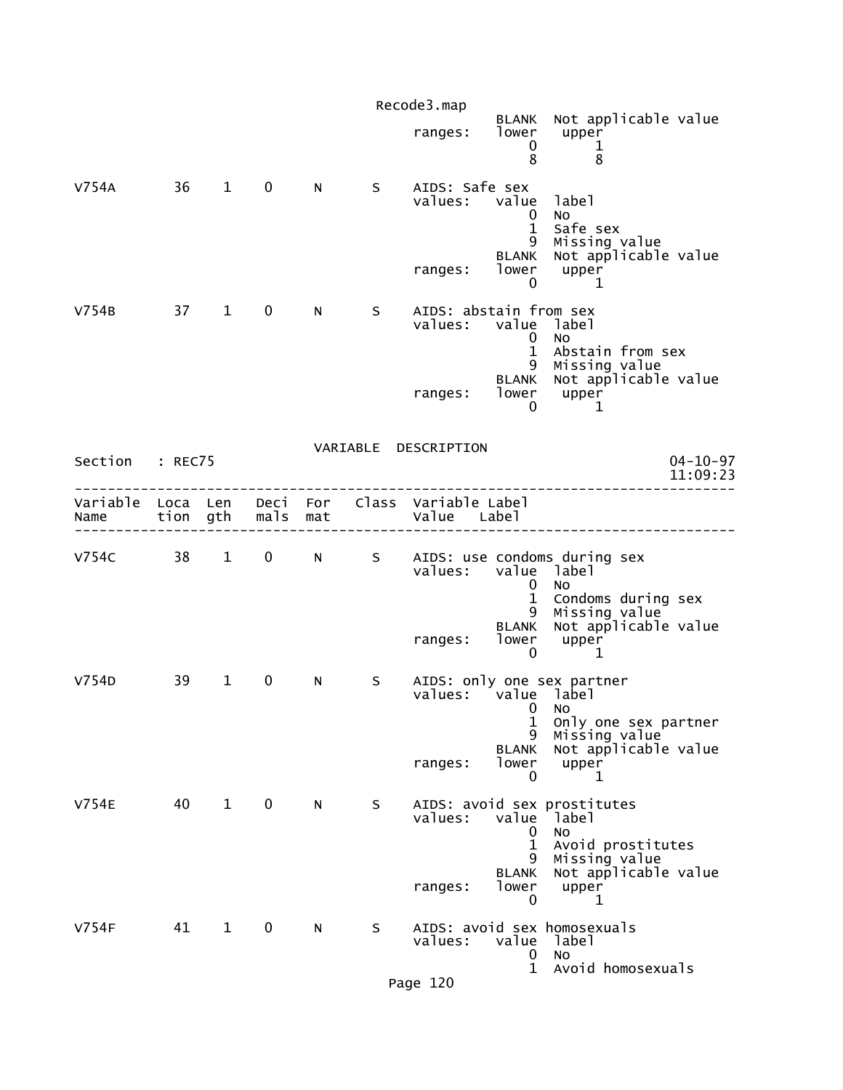|                  |                  |                        |              |            |    | Recode3.map                         |                                                 |                                                                                                           |
|------------------|------------------|------------------------|--------------|------------|----|-------------------------------------|-------------------------------------------------|-----------------------------------------------------------------------------------------------------------|
|                  |                  |                        |              |            |    | ranges:                             | <b>BLANK</b><br>lower<br>0<br>8                 | Not applicable value<br>upper<br>1<br>8                                                                   |
| V754A            | 36               | $\mathbf{1}$           | 0            | N          | S. | AIDS: Safe sex<br>values:           | value<br>0<br>$\mathbf{1}$<br>9                 | label<br>No<br>Safe sex<br>Missing value                                                                  |
|                  |                  |                        |              |            |    | ranges:                             | <b>BLANK</b><br>lower<br>0                      | Not applicable value<br>upper<br>1                                                                        |
| V754B            | 37               | $\mathbf{1}$           | $\mathbf 0$  | N          | S  | AIDS: abstain from sex<br>values:   | value<br>0<br>$\mathbf{1}$                      | label<br>NO<br>Abstain from sex                                                                           |
|                  |                  |                        |              |            |    | ranges:                             | 9<br><b>BLANK</b><br>lower<br>0                 | Missing value<br>Not applicable value<br>upper<br>1                                                       |
| Section          | : REC75          |                        |              |            |    | VARIABLE DESCRIPTION                |                                                 | $04 - 10 - 97$<br>11:09:23                                                                                |
| Variable<br>Name | Loca Len<br>tion | gth                    | Deci<br>mals | For<br>mat |    | Class Variable Label<br>Value Label |                                                 |                                                                                                           |
| <b>V754C</b>     | 38               | $\mathbf{1}$           | $\mathbf 0$  | N.         | S  | values:                             | 0<br>$\mathbf{1}$                               | AIDS: use condoms during sex<br>value label<br><b>NO</b><br>Condoms during sex                            |
|                  |                  |                        |              |            |    | ranges:                             | 9<br><b>BLANK</b><br>lower<br>$\mathbf 0$       | Missing value<br>Not applicable value<br>upper<br>1                                                       |
| V754D            | 39               | $\mathbf{1}$           | 0            | N          | S  | values:                             | $\mathbf{0}$<br>1                               | AIDS: only one sex partner<br>value label<br>No<br>Only one sex partner                                   |
|                  |                  |                        |              |            |    | ranges:                             | 9<br><b>BLANK</b><br>lower<br>0                 | Missing value<br>Not applicable value<br>upper<br>1                                                       |
| <b>V754E</b>     | 40               | $1 \quad \blacksquare$ | $\mathbf 0$  | N          | S. | values:                             | value<br>0<br>$\mathbf{1}$<br>9<br><b>BLANK</b> | AIDS: avoid sex prostitutes<br>dabel:<br>No<br>Avoid prostitutes<br>Missing value<br>Not applicable value |
|                  |                  |                        |              |            |    | ranges:                             | lower<br>0                                      | upper<br>$\mathbf 1$                                                                                      |
| V754F            | 41               | $\mathbf{1}$           | $\mathbf 0$  | N          | S  | values:                             | value<br>0<br>$\mathbf{1}$                      | AIDS: avoid sex homosexuals<br>label<br><b>NO</b><br>Avoid homosexuals                                    |
|                  |                  |                        |              |            |    |                                     |                                                 |                                                                                                           |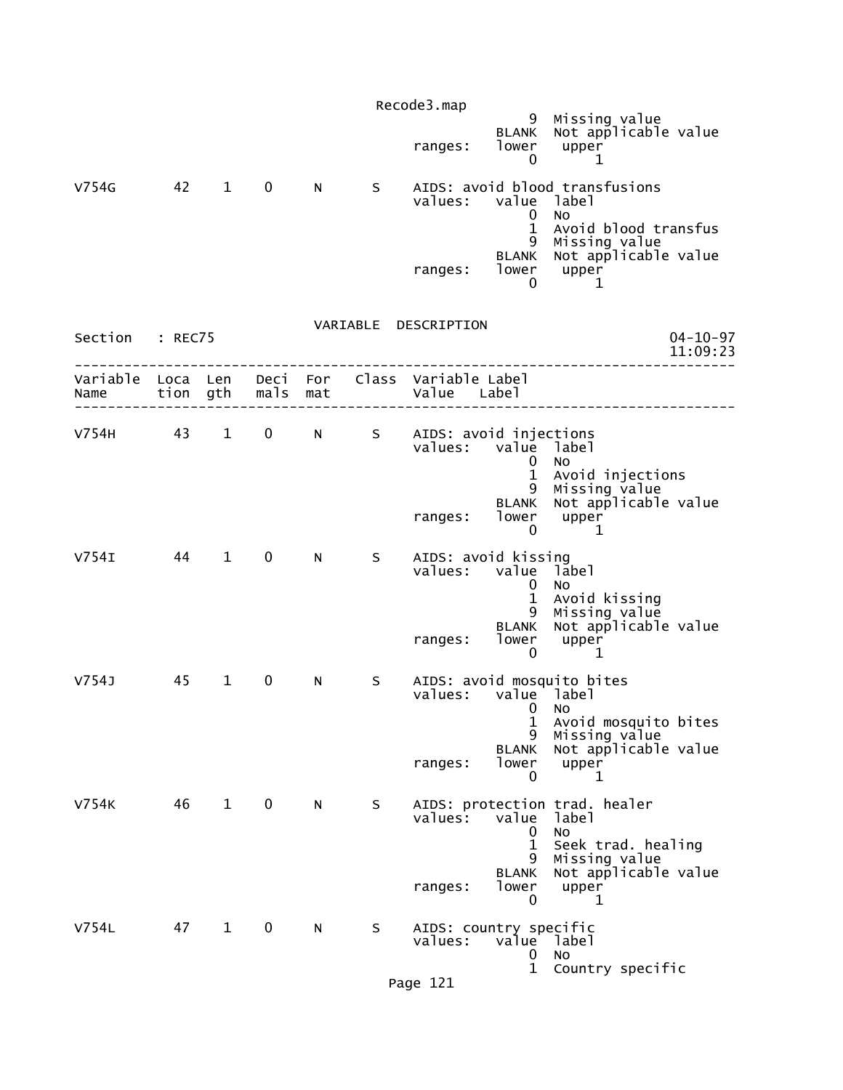|                           |    |                        |                   |    |    | Recode3.map                                                    |                                      |                                                                                           |                            |
|---------------------------|----|------------------------|-------------------|----|----|----------------------------------------------------------------|--------------------------------------|-------------------------------------------------------------------------------------------|----------------------------|
|                           |    |                        |                   |    |    | ranges:                                                        | <b>BLANK</b><br>lower<br>0           | 9 Missing value<br>WK Not applicable value<br>upper<br>1                                  |                            |
| V754G                     | 42 | $1 \quad \blacksquare$ | $\mathbf 0$       | N  | S  | values: value label                                            | 0                                    | AIDS: avoid blood transfusions<br><b>NO</b>                                               |                            |
|                           |    |                        |                   |    |    | ranges:                                                        | $\mathbf{1}$<br>0                    | Avoid blood transfus<br>9 Missing value<br>BLANK Not applicable value<br>lower upper<br>1 |                            |
|                           |    |                        |                   |    |    | VARIABLE DESCRIPTION                                           |                                      |                                                                                           |                            |
| Section : REC75           |    |                        |                   |    |    |                                                                |                                      |                                                                                           | $04 - 10 - 97$<br>11:09:23 |
| Variable Loca Len<br>Name |    |                        | tion gth mals mat |    |    | Deci For Class Variable Label<br>Value Label                   |                                      |                                                                                           |                            |
|                           |    |                        |                   |    |    | V754H 43 1 0 N S AIDS: avoid injections<br>values: value label | 0                                    | <b>NO</b>                                                                                 |                            |
|                           |    |                        |                   |    |    | ranges:                                                        | $\mathbf{1}$<br>0                    | Avoid injections<br>9 Missing value<br>BLANK Not applicable value<br>lower upper<br>1     |                            |
| V754I                     | 44 | $1 \quad \blacksquare$ | $\mathbf 0$       | N. | S  | AIDS: avoid kissing<br>values: value label                     | 0<br>$\mathbf{1}$                    | <b>NO</b><br>Avoid kissing                                                                |                            |
|                           |    |                        |                   |    |    | ranges:                                                        | 0                                    | 9 Missing value<br>BLANK Not applicable value<br>lower upper<br>$\mathbf 1$               |                            |
| V754J                     | 45 | $\mathbf{1}$           | 0                 | N  | S. | values: value label                                            | $\mathbf{0}$                         | AIDS: avoid mosquito bites<br>No                                                          |                            |
|                           |    |                        |                   |    |    | ranges:                                                        | 1<br>9<br><b>BLANK</b><br>lower<br>0 | Avoid mosquito bites<br>Missing value<br>Not applicable value<br>upper<br>1               |                            |
| V754K                     | 46 | $1 \quad \blacksquare$ | $\mathbf 0$       | N  | S  | values:                                                        | value<br>0<br>$\mathbf{1}$           | AIDS: protection trad. healer<br>label<br>No<br>Seek trad. healing                        |                            |
|                           |    |                        |                   |    |    | ranges:                                                        | 9<br><b>BLANK</b><br>lower<br>0      | Missing value<br>Not applicable value<br>upper<br>1                                       |                            |
| V754L                     | 47 | $\mathbf 1$            | $\mathbf 0$       | N  | S  | AIDS: country specific<br>values:                              | value<br>0                           | label<br>No                                                                               |                            |
|                           |    |                        |                   |    |    | Page 121                                                       | $\mathbf{1}$                         | Country specific                                                                          |                            |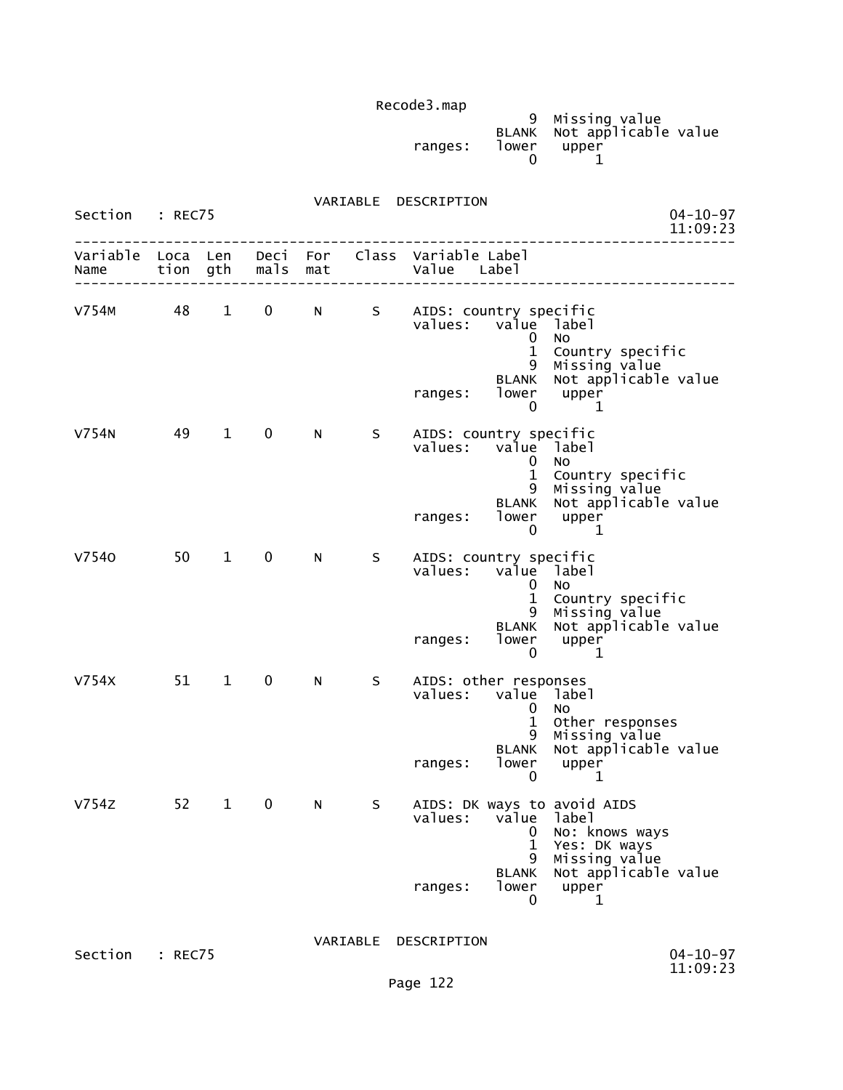| Recoues.map |       |                                                        |  |
|-------------|-------|--------------------------------------------------------|--|
| ranges:     | lower | 9 Missing value<br>BLANK Not applicable value<br>upper |  |

| Section : REC75        |      |                        |              |   |             | VARIABLE DESCRIPTION                                                                |                                                               | $04 - 10 - 97$<br>11:09:23                                                                                                      |
|------------------------|------|------------------------|--------------|---|-------------|-------------------------------------------------------------------------------------|---------------------------------------------------------------|---------------------------------------------------------------------------------------------------------------------------------|
| Name tion gth mals mat |      |                        |              |   |             | Variable Loca Len Deci For Class Variable Label<br>Value Label<br>----------------- |                                                               |                                                                                                                                 |
| V754M 48               |      | $1 \quad \blacksquare$ |              |   |             | 0 N S AIDS: country specific<br>values: value label<br>ranges: lower upper          | 0<br>$\mathbf{1}$<br>0                                        | <b>NO</b><br>Country specific<br>9 Missing value<br>BLANK Not applicable value<br>1                                             |
| V754N                  | 49   | $\mathbf{1}$           | $\mathbf{0}$ | N | $S_{\perp}$ | AIDS: country specific<br>values: value label<br>ranges:                            | 0<br>$\mathbf{1}$<br>0                                        | <b>NO</b><br>Country specific<br>9 Missing value<br>BLANK Not applicable value<br>lower upper<br>-1                             |
| V7540                  | 50   | $\mathbf{1}$           | $\mathbf{0}$ | N | S           | AIDS: country specific<br>values: value label<br>ranges:                            | $\mathbf{0}$<br>lower<br>0                                    | No<br>1 Country specific<br>9 Missing value<br>BLANK Not applicable value<br>upper<br>1                                         |
| V754X                  | 51 1 |                        | $0 \qquad$   | N | S –         | AIDS: other responses<br>values: value label<br>ranges:                             | $\bf{0}$<br>$\mathbf{1}$<br>lower<br>0                        | No<br>Other responses<br>9 Missing value<br>BLANK Not applicable value<br>upper<br>1                                            |
| V754Z                  | 52   |                        | 1 0 N        |   |             | values:<br>ranges:                                                                  | value<br>0<br>$\mathbf{1}$<br>9<br><b>BLANK</b><br>lower<br>0 | S AIDS: DK ways to avoid AIDS<br>label<br>No: knows ways<br>Yes: DK ways<br>Missing value<br>Not applicable value<br>upper<br>1 |
|                        |      |                        |              |   | VARIABLE    | DESCRIPTION                                                                         |                                                               |                                                                                                                                 |

Section : REC75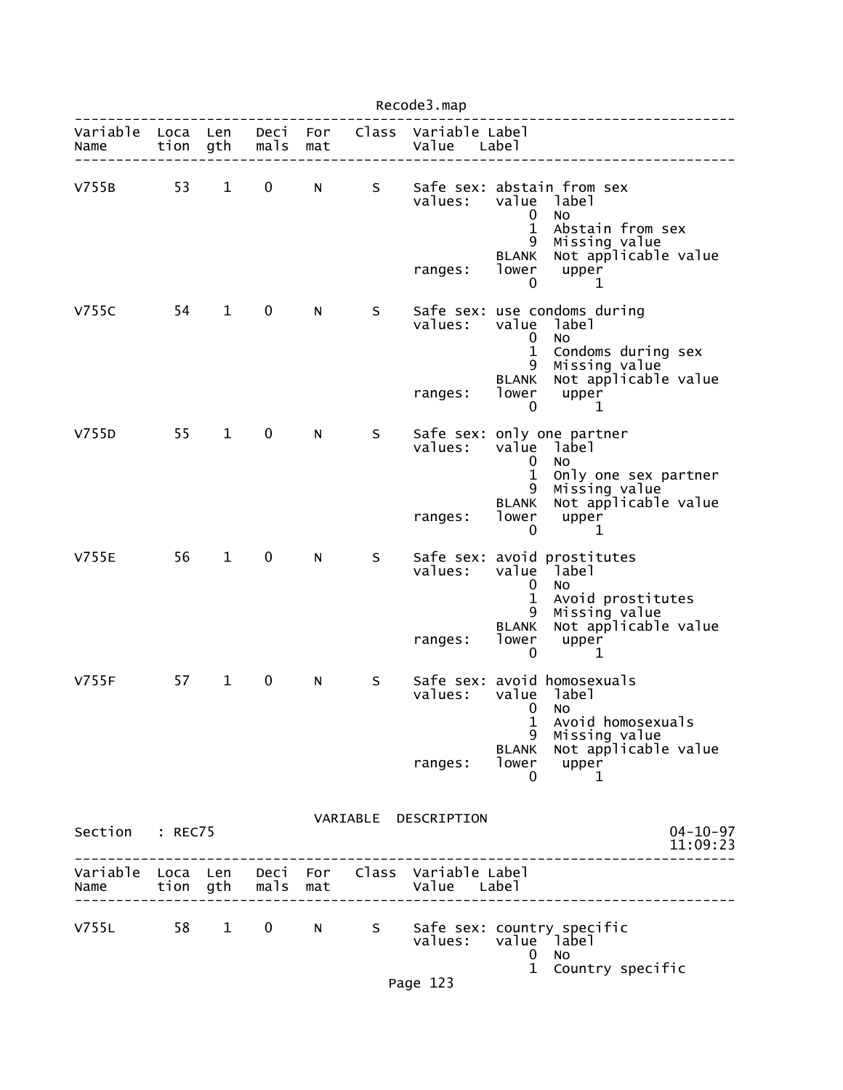|                           | Recode3.map |              |                   |            |    |                                              |                                                                 |                                                                                                                                 |                            |
|---------------------------|-------------|--------------|-------------------|------------|----|----------------------------------------------|-----------------------------------------------------------------|---------------------------------------------------------------------------------------------------------------------------------|----------------------------|
| Variable Loca Len<br>Name | tion        | gth          | Deci<br>mals      | For<br>mat |    | Class Variable Label<br>Value Label          |                                                                 |                                                                                                                                 |                            |
| V755B                     | 53          | $\mathbf{1}$ | 0                 | N          | S  | values:<br>ranges:                           | value<br>$\mathbf 0$<br>$\mathbf 1$<br>9<br>BLANK<br>lower<br>0 | Safe sex: abstain from sex<br>label<br><b>NO</b><br>Abstain from sex<br>Missing value<br>Not applicable value<br>upper<br>1     |                            |
| V755C                     | 54          | $\mathbf{1}$ | $\mathbf 0$       | N.         | S. | values:                                      | value<br>0<br>$\mathbf{1}$<br>9<br>BLANK                        | Safe sex: use condoms during<br>label<br><b>NO</b><br>Condoms during sex<br>Missing value<br>Not applicable value               |                            |
|                           |             |              |                   |            |    | ranges:                                      | lower<br>0                                                      | upper<br>1                                                                                                                      |                            |
| V755D                     | 55          | $\mathbf 1$  | $\mathbf 0$       | N          | S  | values:<br>ranges:                           | 0<br>$\mathbf{1}$<br>9<br>BLANK<br>lower<br>0                   | Safe sex: only one partner<br>value label<br>No.<br>Only one sex partner<br>Missing value<br>Not applicable value<br>upper<br>1 |                            |
| <b>V755E</b>              | 56          | $\mathbf{1}$ | $\mathbf 0$       | N          | S  | values:<br>ranges:                           | value<br>0<br>$\mathbf{1}$<br>9<br>BLANK<br>lower<br>0          | Safe sex: avoid prostitutes<br>label<br>No<br>Avoid prostitutes<br>Missing value<br>Not applicable value<br>upper<br>1          |                            |
| V755F                     | 57          | $\mathbf 1$  | 0                 | N          | S  | values:<br>ranges:                           | $0$ No<br>1<br>9<br><b>BLANK</b><br>lower<br>0                  | Safe sex: avoid homosexuals<br>value label<br>Avoid homosexuals<br>Missing value<br>Not applicable value<br>upper<br>1          |                            |
| Section : REC75           |             |              |                   |            |    | VARIABLE DESCRIPTION                         |                                                                 |                                                                                                                                 | $04 - 10 - 97$<br>11:09:23 |
| Variable Loca Len<br>Name |             |              | tion gth mals mat |            |    | Deci For Class Variable Label<br>Value Label |                                                                 |                                                                                                                                 |                            |
| V755L 58                  |             | $\mathbf{1}$ | $\mathbf 0$       | N a        |    | values:                                      | 0<br>$\mathbf{1}$                                               | S Safe sex: country specific<br>value label<br>No<br>Country specific                                                           |                            |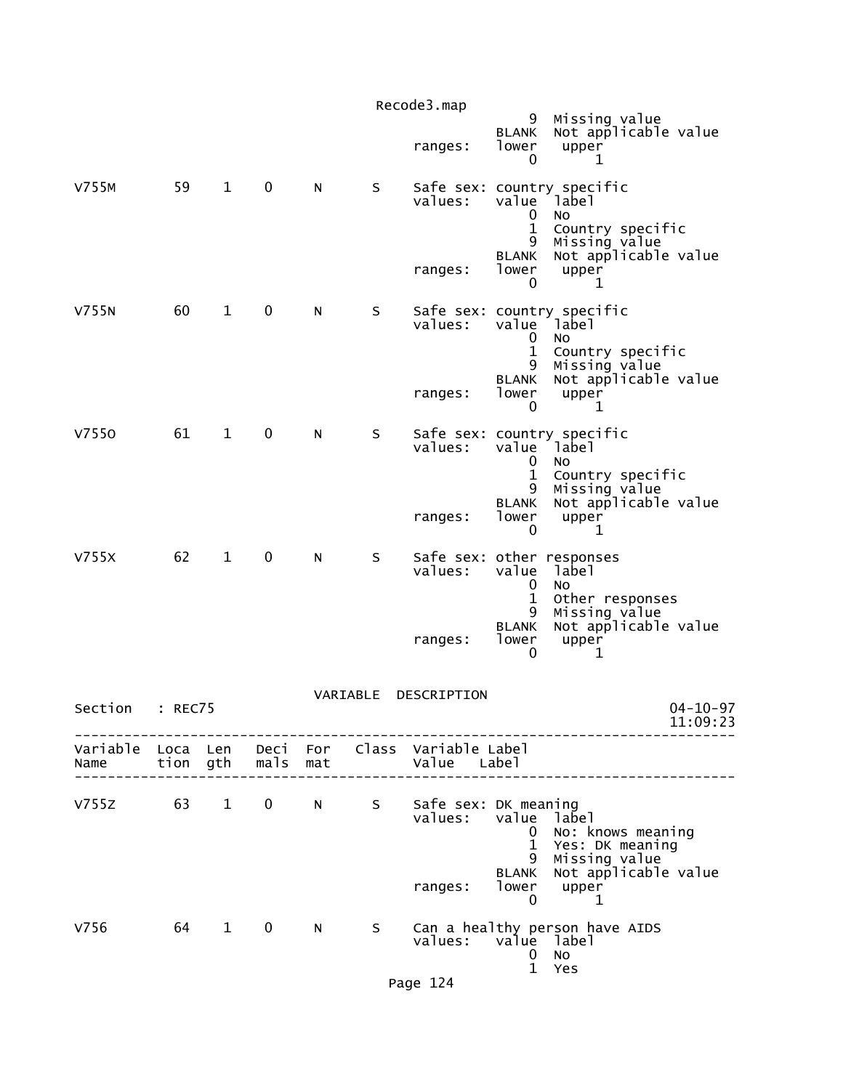|              |         |              |                   |                                                                                                                                                                                                                                |          | Recode3.map                                                    | 9                                               | Missing value                                                             |
|--------------|---------|--------------|-------------------|--------------------------------------------------------------------------------------------------------------------------------------------------------------------------------------------------------------------------------|----------|----------------------------------------------------------------|-------------------------------------------------|---------------------------------------------------------------------------|
|              |         |              |                   |                                                                                                                                                                                                                                |          | ranges:                                                        | <b>BLANK</b><br>lower<br>0                      | Not applicable value<br>upper<br>1                                        |
| V755M        | 59      | $\mathbf{1}$ | $\mathbf 0$       | N                                                                                                                                                                                                                              | S.       | values:                                                        | value<br>0                                      | Safe sex: country specific<br>Iabel<br>No.                                |
|              |         |              |                   |                                                                                                                                                                                                                                |          | ranges:                                                        | $\mathbf{1}$<br>9<br><b>BLANK</b><br>lower<br>0 | Country specific<br>Missing value<br>Not applicable value<br>upper<br>1   |
| V755N        | 60      | $\mathbf{1}$ | $\mathbf 0$       | N                                                                                                                                                                                                                              | S        | values:                                                        | value<br>0<br>$\mathbf 1$                       | Safe sex: country specific<br><sup>1</sup> abel<br>No<br>Country specific |
|              |         |              |                   |                                                                                                                                                                                                                                |          | ranges:                                                        | 9<br><b>BLANK</b><br>lower<br>0                 | Missing value<br>Not applicable value<br>upper<br>ı                       |
| V7550        | 61      | $\mathbf{1}$ | 0                 | N                                                                                                                                                                                                                              | S.       | values:                                                        | value<br>0                                      | Safe sex: country specific<br>Iabel<br>No                                 |
|              |         |              |                   |                                                                                                                                                                                                                                |          | ranges:                                                        | $\mathbf{1}$<br>9<br><b>BLANK</b><br>lower<br>0 | Country specific<br>Missing value<br>Not applicable value<br>upper<br>1   |
| V755X        | 62      | $\mathbf{1}$ | $\mathbf 0$       | N                                                                                                                                                                                                                              | S        | Safe sex: other responses<br>values:                           | value<br>0<br>$\mathbf 1$                       | label<br>No<br>Other responses                                            |
|              |         |              |                   |                                                                                                                                                                                                                                |          | ranges:                                                        | 9<br><b>BLANK</b><br>lower<br>0                 | Missing value<br>Not applicable value<br>upper<br>1                       |
| Section      | : REC75 |              |                   |                                                                                                                                                                                                                                | VARIABLE | DESCRIPTION                                                    |                                                 | $04 - 10 - 97$<br>11:09:23                                                |
| Name         |         |              | tion gth mals mat |                                                                                                                                                                                                                                |          | Variable Loca Len Deci For Class Variable Label<br>Value Label |                                                 |                                                                           |
| V755Z 63 1 0 |         |              |                   |                                                                                                                                                                                                                                |          | N S Safe sex: DK meaning<br>values: value label                | $\mathbf{0}$<br>9                               | No: knows meaning<br>1 Yes: DK meaning<br>Missing value                   |
|              |         |              |                   |                                                                                                                                                                                                                                |          | ranges:                                                        | <b>BLANK</b><br>$\mathbf 0$                     | Not applicable value<br>lower upper<br>$\mathbf 1$                        |
| V756         |         | 64 1         | $\mathbf 0$       | N and the set of the set of the set of the set of the set of the set of the set of the set of the set of the set of the set of the set of the set of the set of the set of the set of the set of the set of the set of the set | S        | values: value label                                            | $\mathbf{0}$<br>$\mathbf{1}$                    | Can a healthy person have AIDS<br>No<br>Yes                               |

Page 124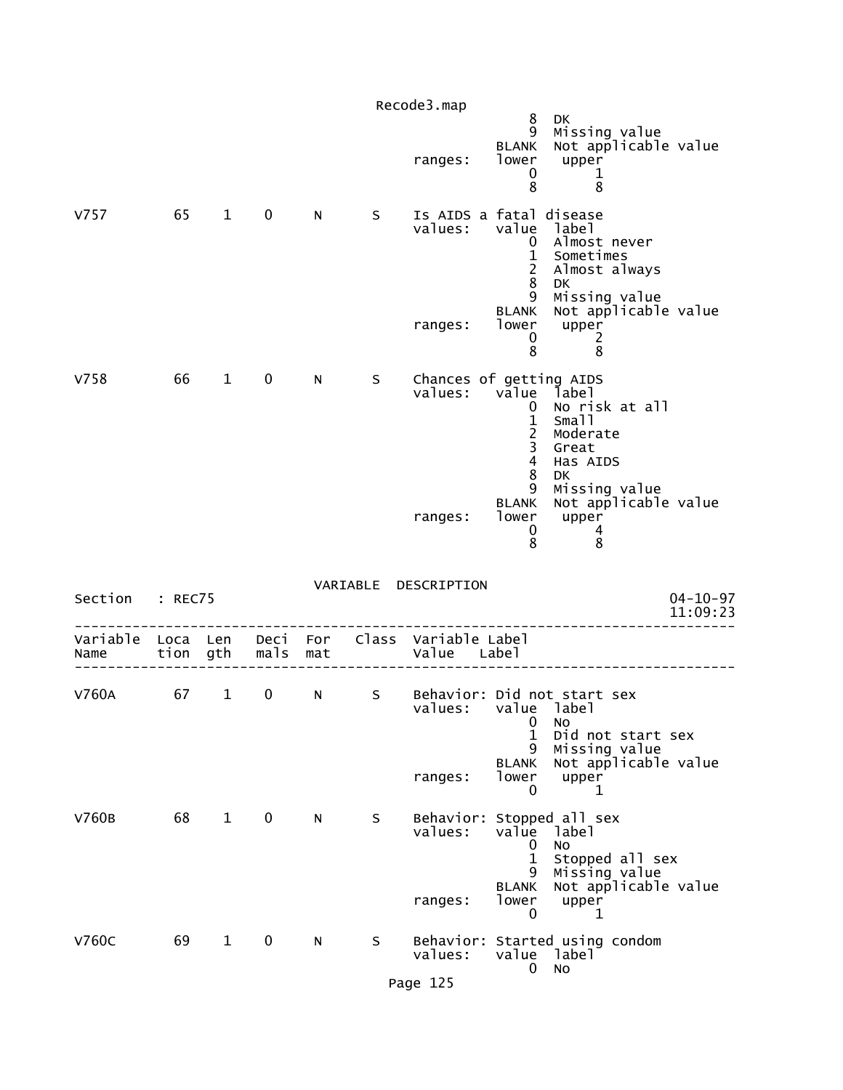|                  |                  |              |              |            |    | Recode3.map                      |                                                                                                     |                                                                                                            |
|------------------|------------------|--------------|--------------|------------|----|----------------------------------|-----------------------------------------------------------------------------------------------------|------------------------------------------------------------------------------------------------------------|
|                  |                  |              |              |            |    | ranges:                          | 8<br>9<br><b>BLANK</b><br>lower<br>0<br>8                                                           | DK<br>Missing value<br>Not applicable value<br>upper<br>$\mathbf 1$<br>8                                   |
| V757             | 65               | $\mathbf{1}$ | $\mathbf 0$  | N          | S  | values:                          | Is AIDS a fatal disease<br>value<br>0<br>$\mathbf 1$<br>$\overline{2}$<br>8                         | label<br>Almost never<br>Sometimes<br>Almost always<br><b>DK</b>                                           |
|                  |                  |              |              |            |    | ranges:                          | 9<br><b>BLANK</b><br>lower<br>0<br>8                                                                | Missing value<br>Not applicable value<br>upper<br>2<br>8                                                   |
| V758             | 66               | $\mathbf{1}$ | $\mathbf 0$  | N          | S  | values:                          | Chances of getting AIDS<br>value<br>0<br>$\mathbf{1}$<br>$\overline{c}$<br>3<br>$\overline{4}$<br>8 | label<br>No risk at all<br>Small<br>Moderate<br>Great<br>Has AIDS<br>DK                                    |
|                  |                  |              |              |            |    | ranges:                          | 9<br><b>BLANK</b><br>lower<br>0<br>8                                                                | Missing value<br>Not applicable value<br>upper<br>4<br>8                                                   |
| Section          | : REC75          |              |              |            |    | VARIABLE DESCRIPTION             |                                                                                                     | $04 - 10 - 97$<br>11:09:23                                                                                 |
| Variable<br>Name | Loca Len<br>tion | gth          | Deci<br>mals | For<br>mat |    | Class Variable Label<br>Value    | Label                                                                                               |                                                                                                            |
| V760A            | 67               | $\mathbf{1}$ | 0            | N          | S  | values:                          | 0                                                                                                   | Behavior: Did not start sex<br>value label<br>NO                                                           |
|                  |                  |              |              |            |    | ranges:                          | 1<br>9<br><b>BLANK</b><br>lower<br>0                                                                | Did not start sex<br>Missing value<br>Not applicable value<br>upper<br>1                                   |
| V760B            | 68               | $\mathbf{1}$ | $\mathbf 0$  | N          | S  | Behavior:<br>values:<br>ranges:  | value<br>0<br>$\mathbf{1}$<br>9<br><b>BLANK</b><br>lower                                            | Stopped all sex<br>label<br><b>NO</b><br>Stopped all sex<br>Missing value<br>Not applicable value<br>upper |
| <b>V760C</b>     | 69               | $\mathbf{1}$ | $\mathbf 0$  | N          | S. | Behavior:<br>values:<br>Page 125 | $\mathbf 0$<br>0                                                                                    | 1<br>Started using condom<br>value label<br><b>NO</b>                                                      |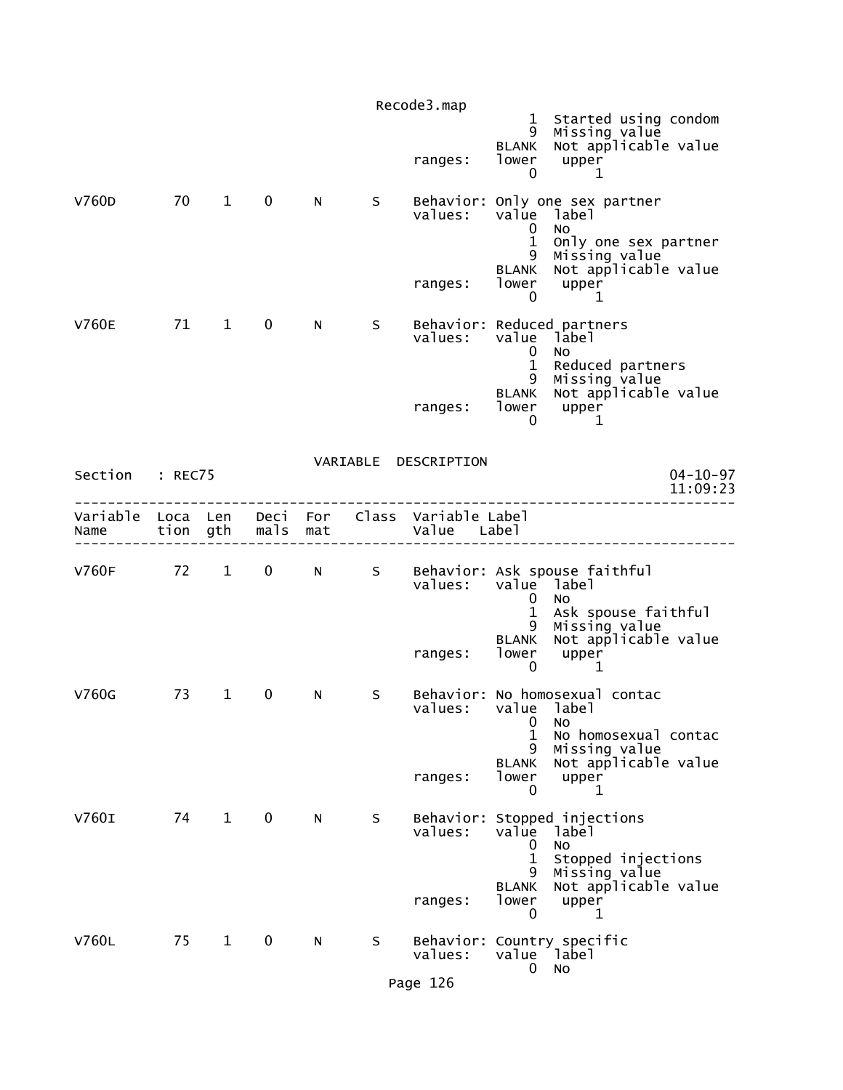|                                    |    |              |                   |     |    | Recode3.map                         |                                                 |                                                                                        |
|------------------------------------|----|--------------|-------------------|-----|----|-------------------------------------|-------------------------------------------------|----------------------------------------------------------------------------------------|
|                                    |    |              |                   |     |    | ranges:                             | 9<br><b>BLANK</b><br>lower<br>0                 | 1 Started using condom<br>Missing value<br>Not applicable value<br>upper<br>1          |
| V760D                              | 70 | $1 \quad$    | $\mathbf 0$       | N   | S  | values:                             | value<br>0<br>$\mathbf{1}$<br>9                 | Behavior: Only one sex partner<br>label<br>No<br>Only one sex partner<br>Missing value |
|                                    |    |              |                   |     |    | ranges:                             | <b>BLANK</b><br>lower<br>0                      | Not applicable value<br>upper<br>1                                                     |
| <b>V760E</b>                       | 71 | 1            | $\mathbf 0$       | N   | S. | values:                             | value<br>$\mathbf 0$                            | Behavior: Reduced partners<br>label<br>NO.                                             |
|                                    |    |              |                   |     |    | ranges:                             | $\mathbf{1}$<br>9<br><b>BLANK</b><br>lower<br>0 | Reduced partners<br>Missing value<br>Not applicable value<br>upper<br>1                |
| Section : REC75                    |    |              |                   |     |    | VARIABLE DESCRIPTION                |                                                 | $04 - 10 - 97$<br>11:09:23                                                             |
| Variable Loca Len Deci For<br>Name |    | tion gth     | mals              | mat |    | Class Variable Label<br>Value Label |                                                 |                                                                                        |
| V760F 72 1                         |    |              | $0 \qquad \qquad$ | N   | S  | values:                             | value label<br>0                                | Behavior: Ask spouse faithful<br>N <sub>O</sub>                                        |
|                                    |    |              |                   |     |    | ranges:                             | 1<br>9<br><b>BLANK</b><br>lower<br>0            | Ask spouse faithful<br>Missing value<br>Not applicable value<br>upper<br>1             |
| V760G                              | 73 | $\mathbf{1}$ | 0                 | N   | S  | values:                             | value label<br>0<br>1<br>9                      | Behavior: No homosexual contac<br>No<br>No homosexual contac<br>Missing value          |
|                                    |    |              |                   |     |    | ranges:                             | <b>BLANK</b><br>lower<br>0                      | Not applicable value<br>upper<br>1                                                     |
| V760I                              | 74 | $\mathbf{1}$ | $\mathbf 0$       | N   | S  | values:                             | value<br>0<br>1<br>9                            | Behavior: Stopped injections<br>label<br>No.<br>Stopped injections<br>Missing value    |
|                                    |    |              |                   |     |    | ranges:                             | <b>BLANK</b><br>lower<br>0                      | Not applicable value<br>upper<br>1                                                     |
| V760L                              | 75 | $\mathbf{1}$ | $\mathbf 0$       | N   | S  | values:                             | value label<br>0                                | Behavior: Country specific<br>No                                                       |
|                                    |    |              |                   |     |    | Page 126                            |                                                 |                                                                                        |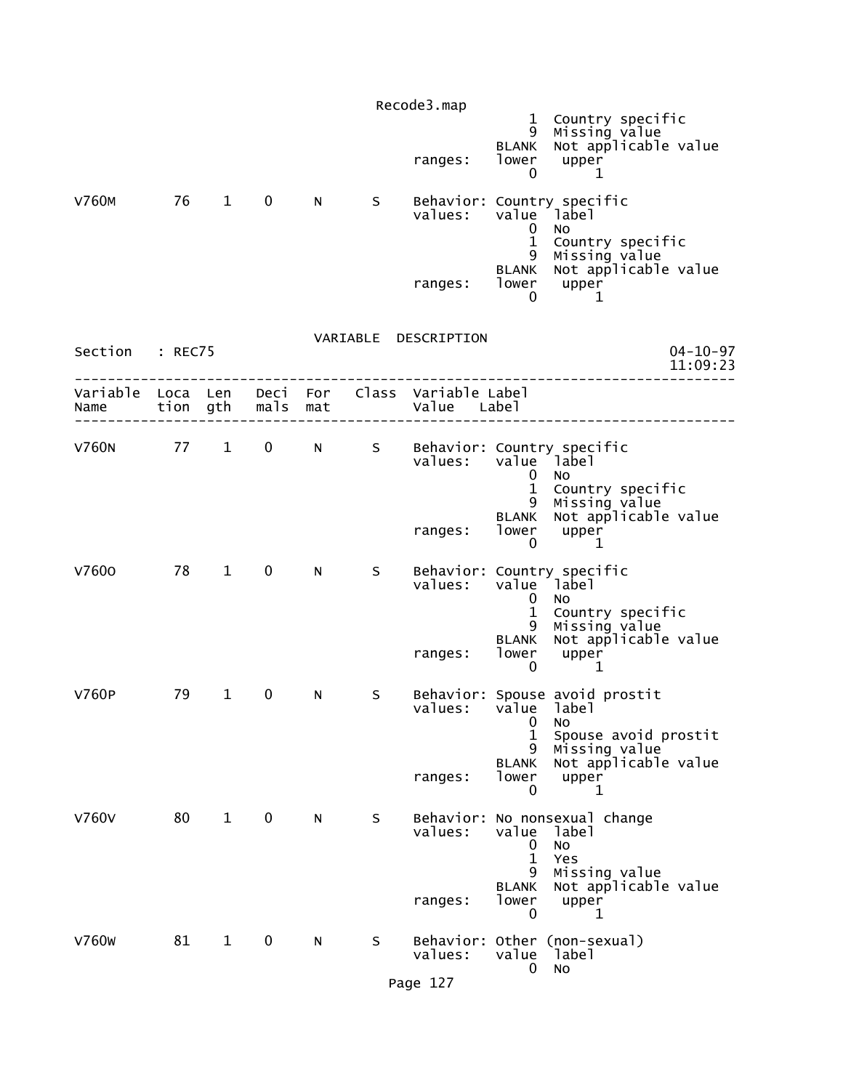|                           |    |                        |              |     |   | Recode3.map                                  |                                                 |                                                                                            |
|---------------------------|----|------------------------|--------------|-----|---|----------------------------------------------|-------------------------------------------------|--------------------------------------------------------------------------------------------|
|                           |    |                        |              |     |   | ranges:                                      | 9<br><b>BLANK</b><br>lower<br>0                 | 1 Country specific<br>Missing value<br>Not applicable value<br>upper<br>1                  |
| <b>V760M</b>              | 76 | $\mathbf{1}$           | $\mathbf 0$  | N   | S | values:                                      | 0<br>$\mathbf{1}$<br>9                          | Behavior: Country specific<br>value label<br><b>NO</b><br>Country specific                 |
|                           |    |                        |              |     |   | ranges: lower upper                          | <b>BLANK</b><br>0                               | Missing value<br>Not applicable value<br>1                                                 |
| Section : REC75           |    |                        |              |     |   | VARIABLE DESCRIPTION                         |                                                 | $04 - 10 - 97$<br>11:09:23                                                                 |
| Variable Loca Len<br>Name |    | tion gth               | mals         | mat |   | Deci For Class Variable Label<br>Value Label |                                                 |                                                                                            |
| V760N 77 1                |    |                        |              |     |   | values:                                      | 0<br>$\mathbf{1}$<br>9                          | 0 N S Behavior: Country specific<br>value label<br>No<br>Country specific<br>Missing value |
|                           |    |                        |              |     |   | ranges:                                      | <b>BLANK</b><br>lower<br>$\mathbf 0$            | Not applicable value<br>upper<br>1                                                         |
| V7600                     | 78 | $1 \quad \blacksquare$ | $\mathbf{0}$ | N   | S | values:                                      | $\mathbf{0}$                                    | Behavior: Country specific<br>value label<br>N <sub>O</sub>                                |
|                           |    |                        |              |     |   | ranges:                                      | $\mathbf{1}$<br>9<br><b>BLANK</b><br>lower<br>0 | Country specific<br>Missing value<br>Not applicable value<br>upper<br>1                    |
| <b>V760P</b>              | 79 | $\mathbf{1}$           | $\mathbf 0$  | N   | S | values:                                      | 0<br>1                                          | Behavior: Spouse avoid prostit<br>value label<br>NO<br>Spouse avoid prostit                |
|                           |    |                        |              |     |   | ranges:                                      | 9<br>BLANK<br>lower<br>0                        | Missing value<br>Not applicable value<br>upper<br>1                                        |
| <b>V760V</b>              | 80 | $\mathbf{1}$           | $\mathbf 0$  | N   | S | Behavior:<br>values:                         | value<br>0<br>$\mathbf{1}$<br>9                 | No nonsexual change<br>label<br>NO<br>Yes<br>Missing value                                 |
|                           |    |                        |              |     |   | ranges:                                      | <b>BLANK</b><br>lower<br>0                      | Not applicable value<br>upper<br>1                                                         |
| V760 <sub>W</sub>         | 81 | $\mathbf{1}$           | 0            | N   | S | Behavior:<br>values:                         | value<br>0                                      | Other (non-sexual)<br>label<br>No                                                          |
|                           |    |                        |              |     |   | Page 127                                     |                                                 |                                                                                            |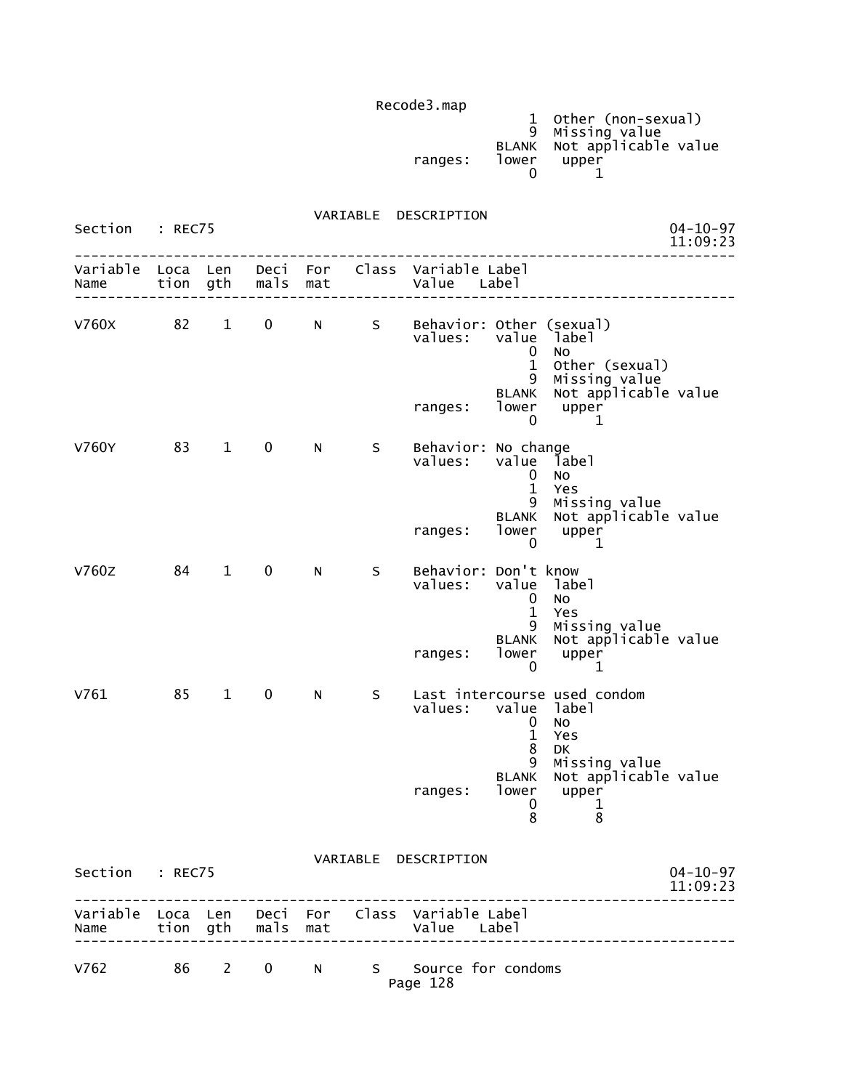|         |       | 1 Other (non-sexual)       |
|---------|-------|----------------------------|
|         |       | 9 Missing value            |
|         |       | BLANK Not applicable value |
| ranges: | lower | upper                      |
|         |       |                            |

 VARIABLE DESCRIPTION Section : REC75 04-10-97<br>11:09:23 11:09:23 -------------------------------------------------------------------------------- Variable Loca Len Deci For Class Variable Label Name tion gth mals mat Value Label -------------------------------------------------------------------------------- V760X 82 1 0 N S Behavior: Other (sexual)<br>values: value label value label<br>0 No de la construcción de la construcción de la construcción de la construcción de la construcción de la construcc 1 Other (sexual) 9 Missing value BLANK Not applicable value ranges: lower upper<br>0 1  $\sim$  0  $\sim$  1 V760Y 83 1 0 N S Behavior: No change<br>Values: value lab value label<br>0 No de la construcción de la construcción de la construcción de la construcción de la construcción de la construcc 1 Yes 9 Missing value BLANK Not applicable value ranges: lower upper<br>0 1  $\sim$  0  $\sim$  1 V760Z 84 1 0 N S Behavior: Don't know value label<br>0 No de la construcción de la construcción de la construcción de la construcción de la construcción de la construcc 1 Yes 9 Missing value BLANK Not applicable value ranges: lower upper<br>0 1  $\sim$  0  $\sim$  1 V761 85 1 0 N S Last intercourse used condom<br>
values: value label value label<br>O No de la construcción de la construcción de la construcción de la construcción de la construcción de la construcc 1 Yes en de la construction de la construction de la construction de la construction de la construction de la constr 9 Missing value BLANK Not applicable value ranges: lower upper<br>0 1  $\sim$  0  $\sim$  1 entitive and the state of the state of the state of the state of the state of the state of the state of the st VARIABLE DESCRIPTION

| Section : REC75 |  | $04 - 10 - 97$<br>11:09:23 |  |                |                                                                                       |  |
|-----------------|--|----------------------------|--|----------------|---------------------------------------------------------------------------------------|--|
|                 |  |                            |  |                | Variable Loca Len Deci For Class Variable Label<br>Name tion gth mals mat value Label |  |
| V762            |  | 86 2 0                     |  | N <sub>S</sub> | Source for condoms<br>Page 128                                                        |  |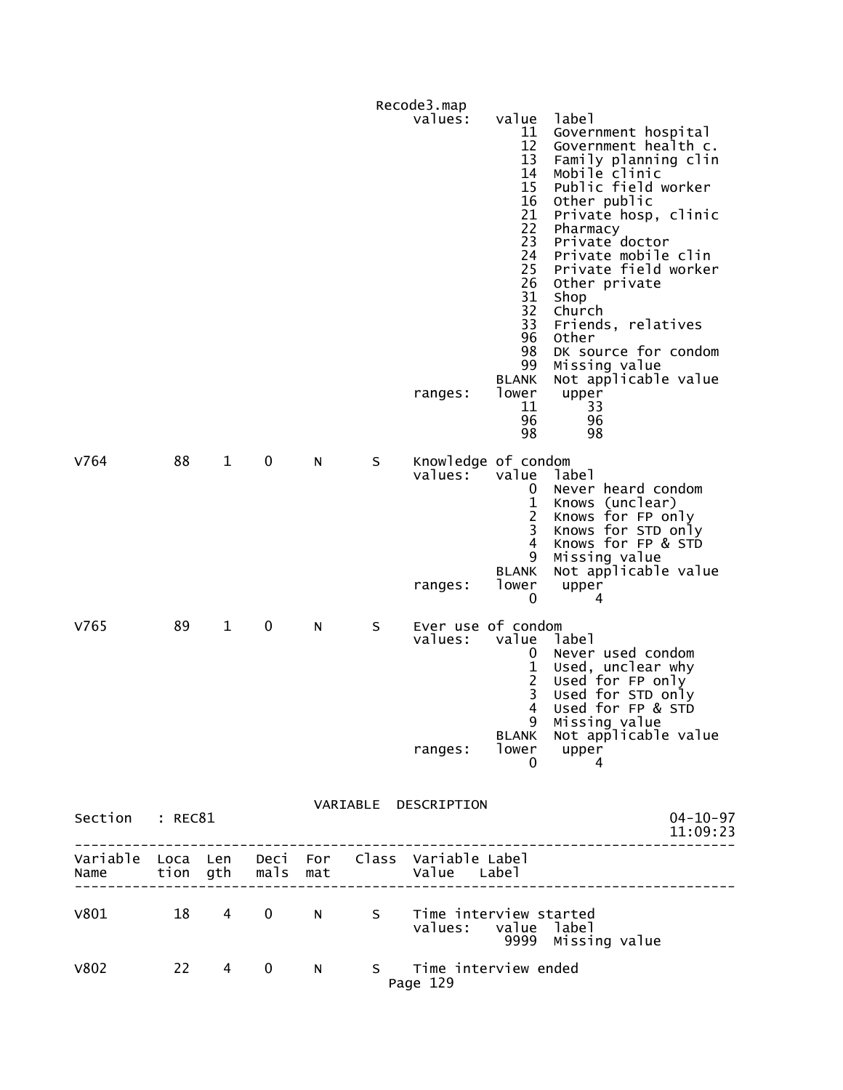|                                    |          |                |             |     |    | Recode3.map                               |                                                                                                                                                              |                                                                                                                                                                                                                                                                                                                                                                                                         |
|------------------------------------|----------|----------------|-------------|-----|----|-------------------------------------------|--------------------------------------------------------------------------------------------------------------------------------------------------------------|---------------------------------------------------------------------------------------------------------------------------------------------------------------------------------------------------------------------------------------------------------------------------------------------------------------------------------------------------------------------------------------------------------|
|                                    |          |                |             |     |    | values:<br>ranges:                        | value<br>11<br>12<br>13<br>14<br>15<br>16<br>21<br>22<br>23<br>24<br>25<br>26<br>31<br>32<br>33<br>96<br>98<br>99<br><b>BLANK</b><br>lower<br>11<br>96<br>98 | label<br>Government hospital<br>Government health c.<br>Family planning clin<br>Mobile clinic<br>Public field worker<br>Other public<br>Private hosp, clinic<br>Pharmacy<br>Private doctor<br>Private mobile clin<br>Private field worker<br>Other private<br>Shop<br>Church<br>Friends, relatives<br>Other<br>DK source for condom<br>Missing value<br>Not applicable value<br>upper<br>33<br>96<br>98 |
| V764                               | 88       | $\mathbf{1}$   | 0           | N   | S  | Knowledge of condom<br>values:<br>ranges: | value<br>0<br>$\mathbf 1$<br>3<br>$\overline{4}$<br>9<br><b>BLANK</b><br>lower<br>0                                                                          | label<br>Never heard condom<br>Knows (unclear)<br>Knows for FP only<br>Knows for STD only<br>Knows for FP & STD<br>Missing value<br>Not applicable value<br>upper<br>4                                                                                                                                                                                                                                  |
| V765                               | 89       | $\mathbf{1}$   | 0           | N   | S  | Ever use of condom<br>values:<br>ranges:  | value<br>0<br>1<br>$\overline{c}$<br>3<br>4<br>9<br>BLANK<br>lower<br>0                                                                                      | label<br>Never used condom<br>Used, unclear why<br>Used for FP only<br>Used for STD only<br>Used for FP & STD<br>Missing value<br>Not applicable value<br>upper<br>4                                                                                                                                                                                                                                    |
| Section                            | : REC81  |                |             |     |    | VARIABLE DESCRIPTION                      |                                                                                                                                                              | $04 - 10 - 97$<br>11:09:23                                                                                                                                                                                                                                                                                                                                                                              |
| Variable Loca Len Deci For<br>Name | tion gth |                | mals        | mat |    | Class Variable Label<br>Value Label       |                                                                                                                                                              |                                                                                                                                                                                                                                                                                                                                                                                                         |
| v801                               | 18       | $\overline{4}$ | $\mathbf 0$ | N.  | S  | Time interview started<br>values:         | value label<br>9999                                                                                                                                          | Missing value                                                                                                                                                                                                                                                                                                                                                                                           |
| V802                               | 22       | 4              | 0           | N   | S. | Time interview ended<br>Page 129          |                                                                                                                                                              |                                                                                                                                                                                                                                                                                                                                                                                                         |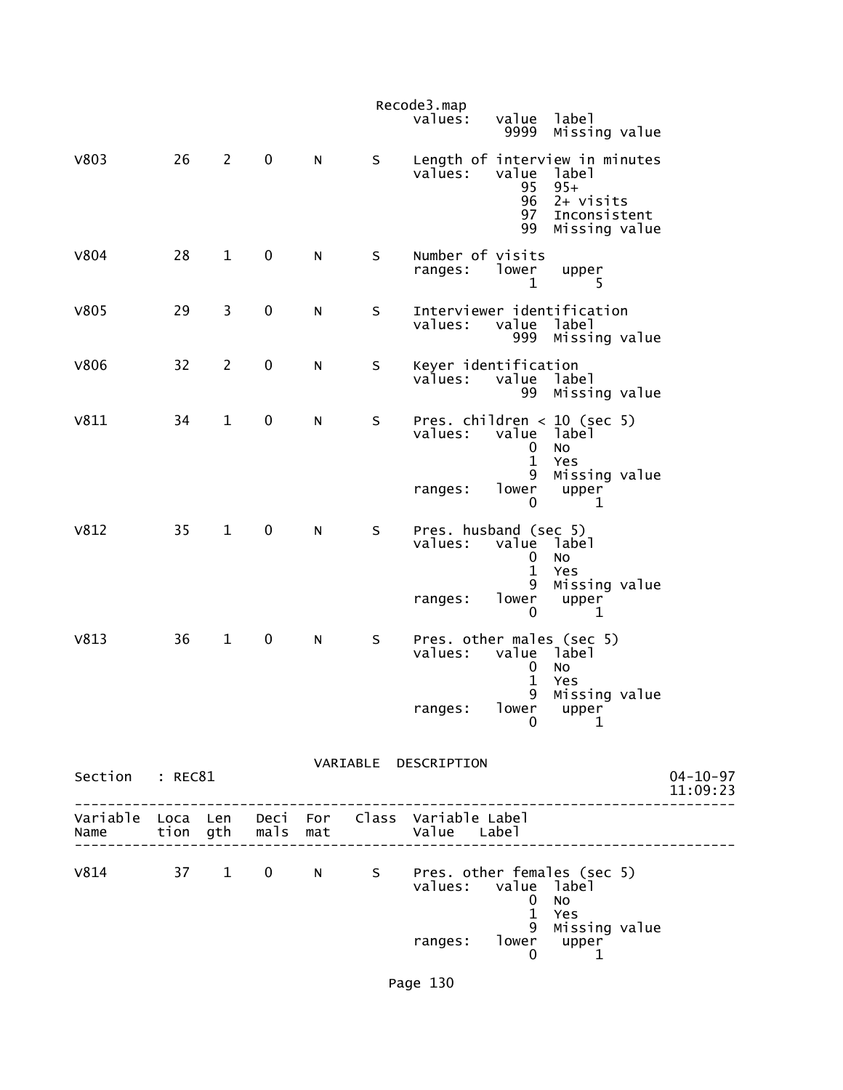|                 |    |                |             |           |         | Recode3.map<br>values:<br>value<br>label<br>9999<br>Missing value                                                                            |
|-----------------|----|----------------|-------------|-----------|---------|----------------------------------------------------------------------------------------------------------------------------------------------|
| <b>V803</b>     | 26 | $\overline{2}$ | $\mathbf 0$ | N         | S       | Length of interview in minutes<br>values:<br>value<br>label<br>95<br>$95+$<br>96<br>$2+$ visits<br>97<br>Inconsistent<br>Missing value<br>99 |
| <b>V804</b>     | 28 | $\mathbf{1}$   | $\mathbf 0$ | ${\sf N}$ | $\sf S$ | Number of visits<br>ranges:<br>lower<br>upper<br>5<br>1                                                                                      |
| <b>V805</b>     | 29 | 3              | $\pmb{0}$   | ${\sf N}$ | $\sf S$ | Interviewer identification<br>values:<br>label<br>value<br>Missing value<br>999                                                              |
| <b>V806</b>     | 32 | $\overline{2}$ | 0           | N         | $\sf S$ | Keyer identification<br>values:<br>value<br>label<br>99<br>Missing value                                                                     |
| V811            | 34 | $\mathbf{1}$   | 0           | N         | $\sf S$ | Pres. children $<$ 10 (sec 5)<br>values:<br>value<br>label<br>No<br>0<br>$\mathbf{1}$<br>Yes<br>9<br>Missing value                           |
|                 |    |                |             |           |         | lower<br>upper<br>ranges:<br>0<br>1                                                                                                          |
| V812            | 35 | $\mathbf{1}$   | $\pmb{0}$   | N         | S       | Pres. husband (sec 5)<br>values:<br>value label<br>0<br>No<br>$\mathbf{1}$<br>Yes<br>9<br>Missing value                                      |
|                 |    |                |             |           |         | lower<br>ranges:<br>upper<br>0<br>1                                                                                                          |
| V813            | 36 | $\mathbf{1}$   | $\pmb{0}$   | N         | S       | Pres. other males (sec 5)<br>values:<br>label<br>value<br>No<br>0<br>$\mathbf{1}$<br>Yes                                                     |
|                 |    |                |             |           |         | 9<br>Missing value<br>ranges: lower upper<br>0 1                                                                                             |
| Section : REC81 |    |                |             |           |         | VARIABLE DESCRIPTION<br>$04 - 10 - 97$<br>11:09:23                                                                                           |
|                 |    |                |             |           |         |                                                                                                                                              |
|                 |    |                |             |           |         | V814 37 1 0 N S Pres. other females (sec 5)<br>values: value label<br>$\mathbf 0$<br>No                                                      |
|                 |    |                |             |           |         | $\mathbf{1}$<br>Yes<br>9<br>Missing value<br>lower<br>ranges:<br>upper<br>0<br>1                                                             |

Page 130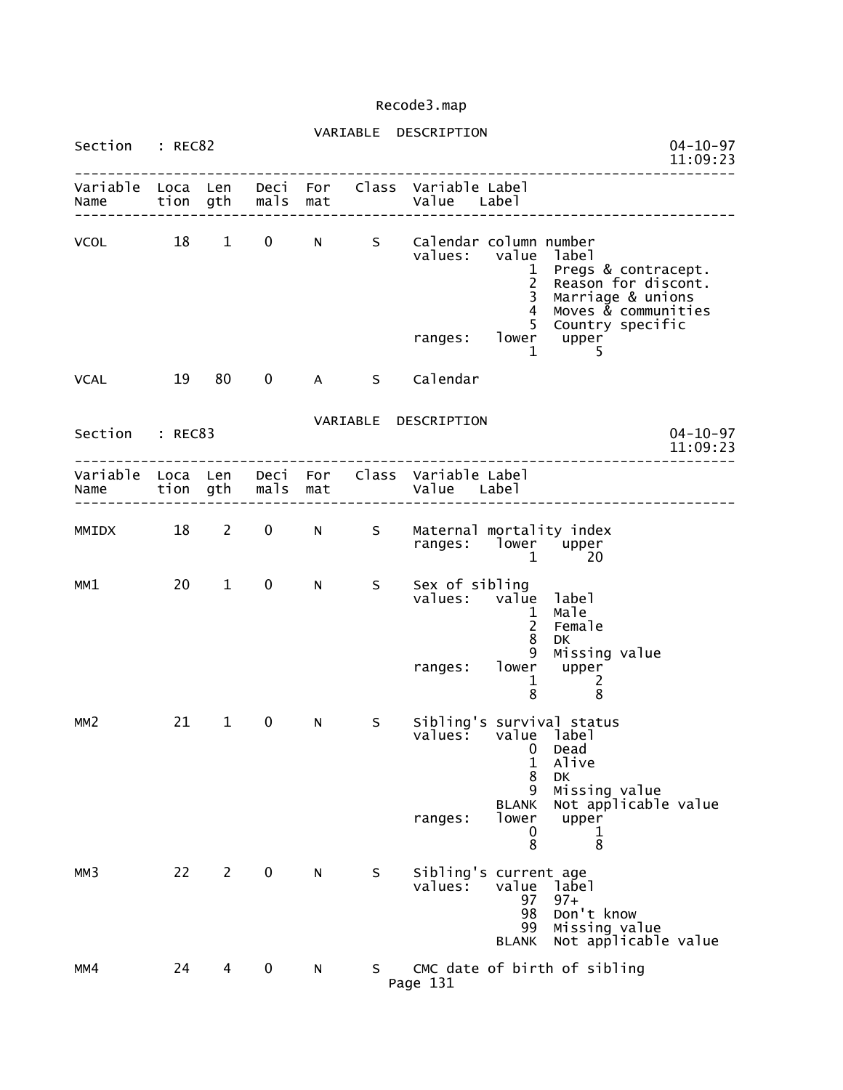|                 |       |              |             |   |                   | VARIABLE DESCRIPTION                                                                      |                                                                                                                                                          |                            |
|-----------------|-------|--------------|-------------|---|-------------------|-------------------------------------------------------------------------------------------|----------------------------------------------------------------------------------------------------------------------------------------------------------|----------------------------|
| Section : REC82 |       |              |             |   |                   |                                                                                           | ____________________                                                                                                                                     | $04 - 10 - 97$<br>11:09:23 |
| Name            |       |              |             |   | tion gth mals mat | Variable Loca Len Deci For Class Variable Label<br>Value Label                            |                                                                                                                                                          |                            |
| VCOL 18 1       |       |              |             |   |                   | 0 N S Calendar column number<br>values: value                                             | label<br>$\mathbf{1}$<br>Pregs & contracept.<br>$\overline{2}$<br>Reason for discont.<br>$\overline{3}$<br>Marriage & unions<br>Moves & communities<br>4 |                            |
|                 |       |              |             |   |                   | ranges:                                                                                   | 5 <sup>1</sup><br>Country specific<br>$lower$ upper<br>5<br>$\mathbf{1}$                                                                                 |                            |
| VCAL            | 19 80 |              | $\mathbf 0$ |   |                   | A S Calendar                                                                              |                                                                                                                                                          |                            |
| Section : REC83 |       |              |             |   |                   | VARIABLE DESCRIPTION                                                                      |                                                                                                                                                          | $04 - 10 - 97$<br>11:09:23 |
|                 |       |              |             |   |                   | Variable Loca Len Deci For Class Variable Label<br>Name tion gth mals mat and value Label |                                                                                                                                                          |                            |
|                 |       |              |             |   |                   | MMIDX 18 2 0 N S Maternal mortality index<br>ranges: lower upper                          | $\mathbf{1}$<br>-20                                                                                                                                      |                            |
| MM1             |       | $20 \t 1$    | $\mathbf 0$ | N | S                 | Sex of sibling<br>values: value label<br>ranges: lower upper                              | Male<br>$\mathbf{1}$<br>$\overline{2}$<br>Female<br>8<br><b>DK</b><br>9<br>Missing value                                                                 |                            |
| MM <sub>2</sub> | 21    | $\mathbf{1}$ | $\mathbf 0$ | N | S                 | Sibling's survival status<br>values: value label                                          | 1<br>2<br>8<br>8<br>0<br>Dead                                                                                                                            |                            |
|                 |       |              |             |   |                   | <b>BLANK</b><br>lower<br>ranges:                                                          | 1<br>Alive<br>8<br>DK<br>9<br>Missing value<br>Not applicable value<br>upper<br>0<br>1<br>8<br>8                                                         |                            |
| MM3             | 22    | $\mathbf{2}$ | 0           | N | S                 | Sibling's current age<br>values:<br>value<br><b>BLANK</b>                                 | label<br>97<br>$97+$<br>Don't know<br>98<br>Missing value<br>99<br>Not applicable value                                                                  |                            |
| MM4             | 24    | 4            | 0           | N | S.                | Page 131                                                                                  | CMC date of birth of sibling                                                                                                                             |                            |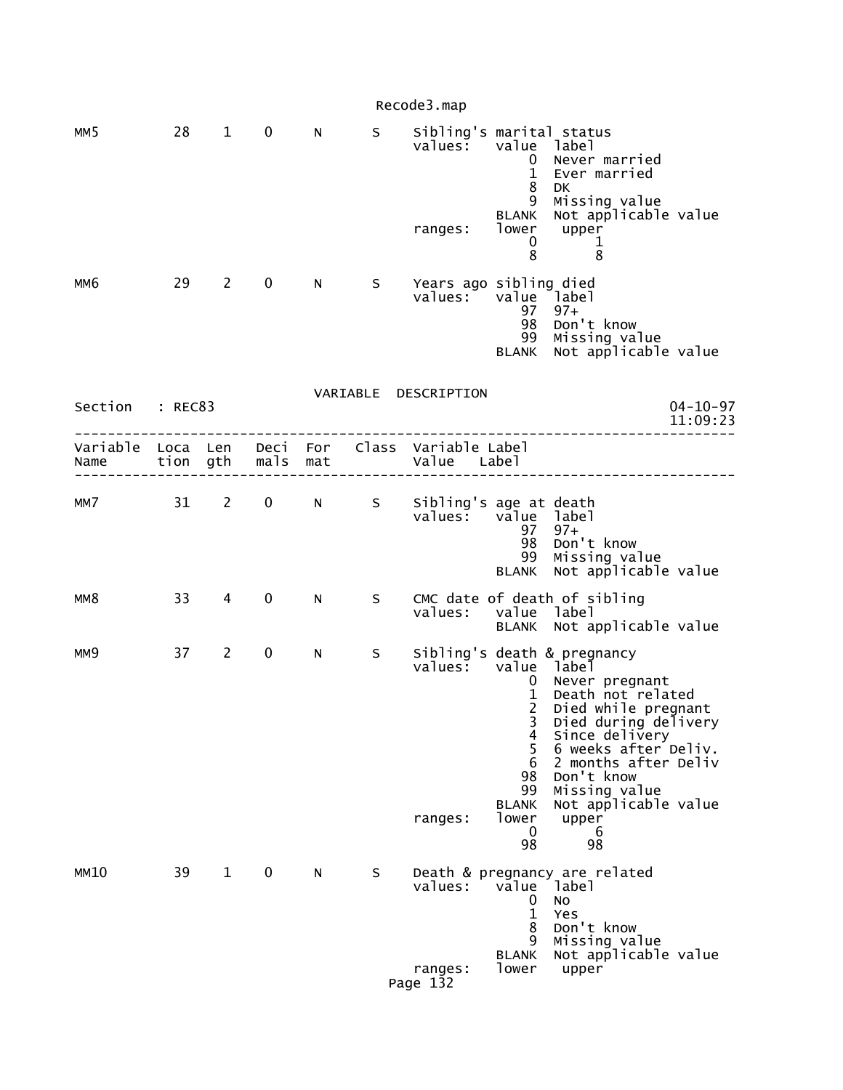|                  |          |                |                   |          |                 | Recode3.map                                    |                                                                                                                                  |                                                                                                                                                                                                                                                                |
|------------------|----------|----------------|-------------------|----------|-----------------|------------------------------------------------|----------------------------------------------------------------------------------------------------------------------------------|----------------------------------------------------------------------------------------------------------------------------------------------------------------------------------------------------------------------------------------------------------------|
| MM5              | 28       | $\mathbf{1}$   | $\mathbf 0$       | N        | S               | Sibling's marital status<br>values:<br>ranges: | value label<br>0<br>$\mathbf 1$<br>8<br>9<br><b>BLANK</b><br>lower<br>0<br>8                                                     | Never married<br>Ever married<br>DK<br>Missing value<br>Not applicable value<br>upper<br>ı<br>8                                                                                                                                                                |
| мм6              | 29       | $\overline{2}$ | 0                 | N        | S.              | Years ago sibling died<br>values:              | value label<br>97<br>98<br>99<br>BLANK                                                                                           | $97+$<br>Don't know<br>Missing value<br>Not applicable value                                                                                                                                                                                                   |
| Section          | : REC83  |                |                   |          |                 | VARIABLE DESCRIPTION                           |                                                                                                                                  | $04 - 10 - 97$<br>11:09:23                                                                                                                                                                                                                                     |
| Variable<br>Name | Loca Len | tion gth       | mals mat          | Deci For |                 | Class Variable Label<br>Value Label            |                                                                                                                                  |                                                                                                                                                                                                                                                                |
| MM7              |          | $31 \quad 2$   | $0 \qquad \qquad$ | N        | <b>Sandwick</b> | Sibling's age at death<br>values: value label  | 97<br>98<br>99<br><b>BLANK</b>                                                                                                   | $97+$<br>Don't know<br>Missing value<br>Not applicable value                                                                                                                                                                                                   |
| MM8              | 33       | 4              | 0                 | N        | S               | values:                                        | value                                                                                                                            | CMC date of death of sibling<br>1abe1<br>BLANK Not applicable value                                                                                                                                                                                            |
| MM <sub>9</sub>  | 37       | $\overline{2}$ | 0                 | N        | S               | values:<br>ranges:                             | value label<br>$\mathbf{0}$<br>1<br>$\overline{2}$<br>3<br>4<br>5<br>6<br>98<br>99<br><b>BLANK</b><br>lower<br>$\mathbf 0$<br>98 | Sibling's death & pregnancy<br>Never pregnant<br>Death not related<br>Died while pregnant<br>Died during delivery<br>Since delivery<br>6 weeks after Deliv.<br>2 months after Deliv<br>Don't know<br>Missing value<br>Not applicable value<br>upper<br>6<br>98 |
| MM10             | 39       | $\mathbf{1}$   | $\mathbf 0$       | N        | S               | values:<br>ranges:<br>Page 132                 | value<br>0<br>$\mathbf{1}$<br>8<br>9<br><b>BLANK</b><br>lower                                                                    | Death & pregnancy are related<br>label<br>No<br>Yes<br>Don't know<br>Missing value<br>Not applicable value<br>upper                                                                                                                                            |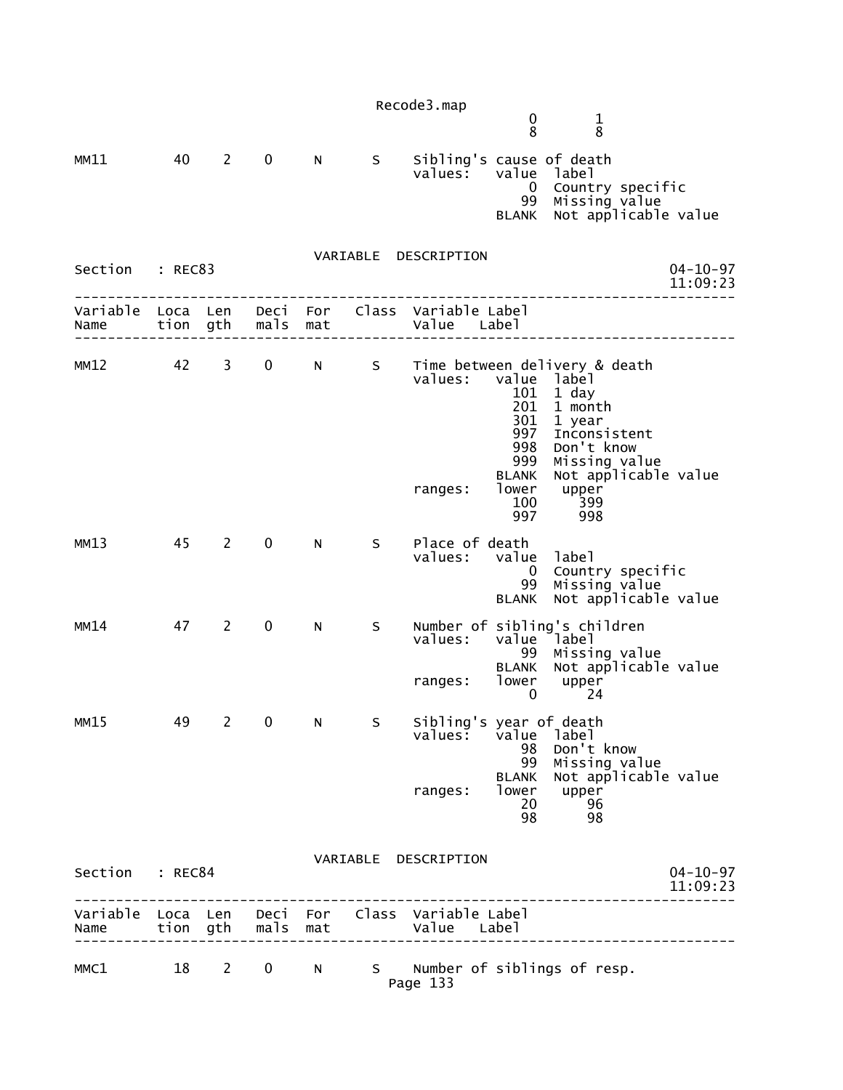| $\boldsymbol{0}$<br>$\mathbf 1$<br>$\overline{8}$<br>8<br>40<br>Sibling's cause of death<br>MM11<br>$2^{\sim}$<br>$\mathbf{0}$<br>N<br>S<br>values:<br>value<br>label<br>Country specific<br>$\overline{0}$<br>Missing value<br>99<br>Not applicable value<br><b>BLANK</b><br>VARIABLE DESCRIPTION                       | $04 - 10 - 97$             |
|--------------------------------------------------------------------------------------------------------------------------------------------------------------------------------------------------------------------------------------------------------------------------------------------------------------------------|----------------------------|
|                                                                                                                                                                                                                                                                                                                          |                            |
|                                                                                                                                                                                                                                                                                                                          |                            |
| Section : REC83                                                                                                                                                                                                                                                                                                          | 11:09:23                   |
| Variable Loca Len<br>Class Variable Label<br>Deci For<br>mals<br>tion gth<br>Value Label<br>Name<br>mat                                                                                                                                                                                                                  |                            |
| 42<br>S Time between delivery & death<br>MM12<br>3<br>$\mathbf 0$<br>N<br>values:<br>value label<br>101<br>1 day<br>201<br>1 month<br>301<br>1 year<br>997<br>Inconsistent<br>998<br>Don't know<br>999<br>Missing value<br>Not applicable value<br><b>BLANK</b><br>lower<br>upper<br>ranges:<br>399<br>100<br>997<br>998 |                            |
| 45<br>$\mathbf 0$<br>Place of death<br>MM13<br>2<br>N<br>$S_{\perp}$<br>values: value<br>label<br>Country specific<br>$\mathbf 0$<br>Missing value<br>Not applicable value<br>99<br><b>BLANK</b>                                                                                                                         |                            |
| $\mathbf 0$<br>Number of sibling's children<br>MM14<br>47<br>2<br>N<br>S.<br>value label<br>values:<br>99<br>Missing value<br>Not applicable value<br><b>BLANK</b><br>lower<br>upper<br>ranges:<br>0<br>24                                                                                                               |                            |
| $\overline{2}$<br>Sibling's year of death<br>MM15<br>49<br>0<br>S<br>N<br>values:<br>value<br>label<br>Don't know<br>98<br>99<br>Missing value<br>Not applicable value<br><b>BLANK</b><br>lower<br>upper<br>ranges:<br>20<br>96<br>98<br>98                                                                              |                            |
| VARIABLE DESCRIPTION<br>Section : REC84                                                                                                                                                                                                                                                                                  | $04 - 10 - 97$<br>11:09:23 |
| Variable Loca Len<br>Deci For Class Variable Label<br>mals<br>tion gth<br>Value Label<br>mat<br>Name                                                                                                                                                                                                                     |                            |

| MMC1 |  |  |          | N S Number of siblings of resp. |  |
|------|--|--|----------|---------------------------------|--|
|      |  |  | Page 133 |                                 |  |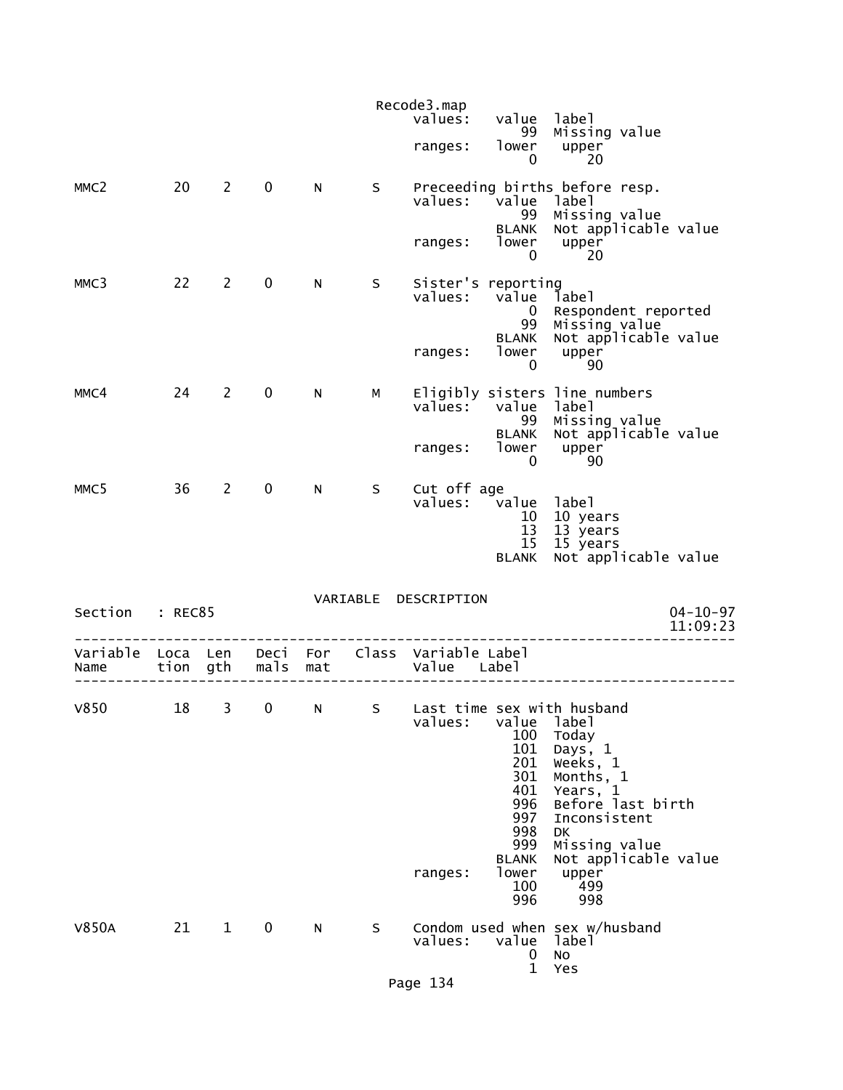|                  |          |                |             |     |    | Recode3.map<br>values:                                 | value                                                                                         | label                                                                                                                                                              |                            |
|------------------|----------|----------------|-------------|-----|----|--------------------------------------------------------|-----------------------------------------------------------------------------------------------|--------------------------------------------------------------------------------------------------------------------------------------------------------------------|----------------------------|
|                  |          |                |             |     |    | ranges:                                                | 99<br>lower<br>0                                                                              | Missing value<br>upper<br>20                                                                                                                                       |                            |
| MMC <sub>2</sub> | 20       | $\mathbf{2}$   | $\mathbf 0$ | N   | S  | values:                                                | value<br>99                                                                                   | Preceeding births before resp.<br>label<br>Missing value                                                                                                           |                            |
|                  |          |                |             |     |    | ranges:                                                | <b>BLANK</b><br>lower<br>0                                                                    | Not applicable value<br>upper<br>20                                                                                                                                |                            |
| MMC3             | 22       | $2^{\circ}$    | $\mathbf 0$ | N   | S. | Sister's reporting<br>values:                          | value<br>$\mathbf{0}$<br>99                                                                   | label<br>Respondent reported<br>Missing value                                                                                                                      |                            |
|                  |          |                |             |     |    | ranges:                                                | <b>BLANK</b><br>lower<br>0                                                                    | Not applicable value<br>upper<br>90                                                                                                                                |                            |
| MMC4             | 24       | $\overline{2}$ | $\mathbf 0$ | N   | M  | values:                                                | value<br>99                                                                                   | Eligibly sisters line numbers<br>label<br>Missing value                                                                                                            |                            |
|                  |          |                |             |     |    | ranges:                                                | <b>BLANK</b><br>lower<br>0                                                                    | Not applicable value<br>upper<br>90                                                                                                                                |                            |
| MMC <sub>5</sub> | 36       | 2              | $\mathbf 0$ | N   | S  | Cut off age<br>values: value                           | 10<br>13<br>15                                                                                | label<br>10 years<br>13 years<br>15 years                                                                                                                          |                            |
|                  |          |                |             |     |    |                                                        | <b>BLANK</b>                                                                                  | Not applicable value                                                                                                                                               |                            |
| Section          | : REC85  |                |             |     |    | VARIABLE DESCRIPTION                                   |                                                                                               |                                                                                                                                                                    | $04 - 10 - 97$<br>11:09:23 |
| Variable<br>Name | Loca Len | tion gth       | mals        | mat |    | Deci For Class Variable Label<br>Value Label           |                                                                                               |                                                                                                                                                                    |                            |
| V850             | 18       | $\overline{3}$ |             |     |    | 0 N S Last time sex with husband<br>values:<br>ranges: | value<br>100<br>101<br>201<br>301<br>401<br>996<br>997<br>998<br>999<br><b>BLANK</b><br>lower | label<br>Today<br>Days, 1<br>Weeks, 1<br>Months, 1<br>Years, 1<br>Before last birth<br>Inconsistent<br><b>DK</b><br>Missing value<br>Not applicable value<br>upper |                            |
|                  |          |                |             |     |    |                                                        | 100<br>996                                                                                    | 499<br>998                                                                                                                                                         |                            |
| <b>V850A</b>     | 21       | $\mathbf{1}$   | 0           | N   | S  | values:                                                | value<br>0<br>$\mathbf{1}$                                                                    | Condom used when sex w/husband<br>label<br>No<br>Yes                                                                                                               |                            |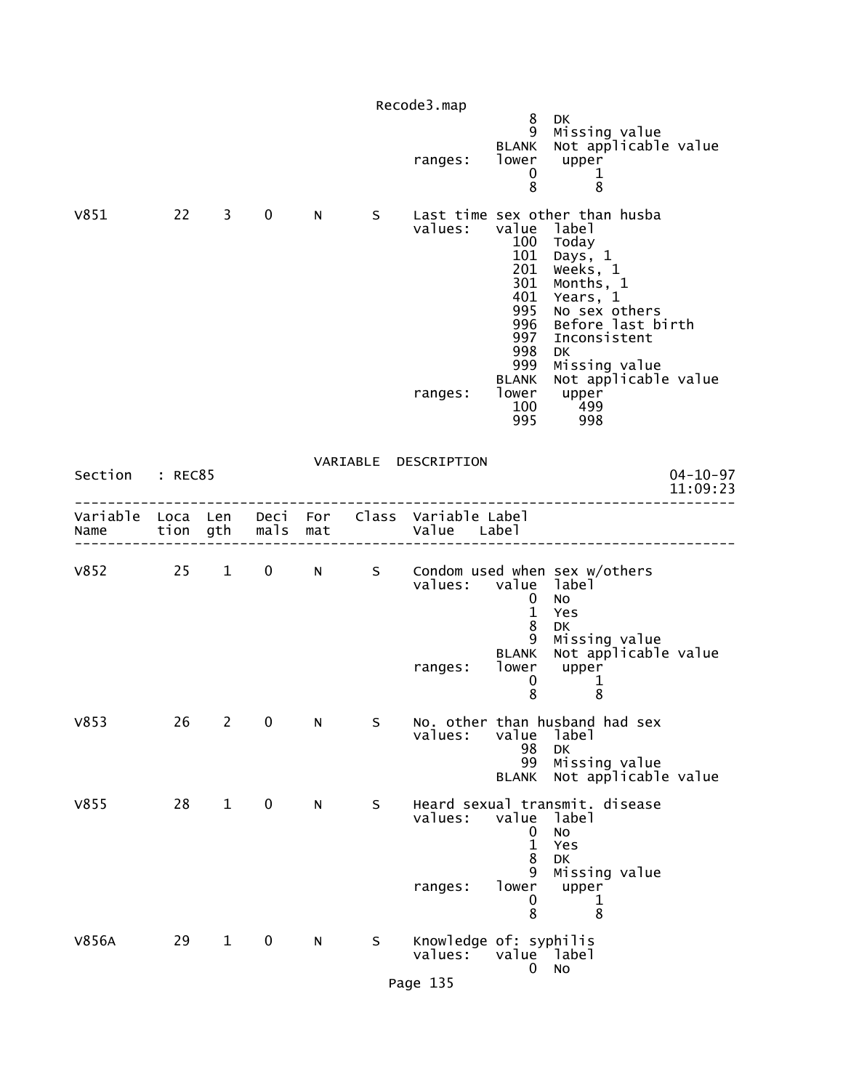|                        |          |                |             |   |   | Recode3.map                                                    |                                                                                                   |                                                                                                                                                                                                                                          |                            |
|------------------------|----------|----------------|-------------|---|---|----------------------------------------------------------------|---------------------------------------------------------------------------------------------------|------------------------------------------------------------------------------------------------------------------------------------------------------------------------------------------------------------------------------------------|----------------------------|
|                        |          |                |             |   |   | ranges:                                                        | 8<br>9<br><b>BLANK</b><br>0<br>8                                                                  | DK<br>Missing value<br>Not applicable value<br>lower upper<br>1<br>8                                                                                                                                                                     |                            |
| V851                   | $22 \t3$ |                | $\mathbf 0$ | N | S | values:<br>ranges:                                             | value label<br>100<br>101<br>201<br>301<br>401<br>995<br>996<br>997<br>998<br>999<br><b>BLANK</b> | Last time sex other than husba<br>Today<br>Days, 1<br>Weeks, 1<br>Months, 1<br>Years, 1<br>No sex others<br>Before last birth<br>Inconsistent<br><b>DK</b><br>Missing value<br>Not applicable value<br>lower upper<br>100 499<br>995 998 |                            |
| Section : REC85        |          |                |             |   |   | VARIABLE DESCRIPTION                                           |                                                                                                   |                                                                                                                                                                                                                                          | $04 - 10 - 97$<br>11:09:23 |
| Name tion gth mals mat |          |                |             |   |   | Variable Loca Len Deci For Class Variable Label<br>Value Label |                                                                                                   |                                                                                                                                                                                                                                          |                            |
|                        |          |                |             |   |   | values: value label                                            | $\mathbf{0}$<br>$\mathbf{1}$<br>8<br>9<br><b>BLANK</b>                                            | V852 25 1 0 N S Condom used when sex w/others<br><b>NO</b><br>Yes<br>DK<br>Missing value<br>Not applicable value                                                                                                                         |                            |
|                        |          |                |             |   |   | ranges:                                                        | lower<br>$\mathbf 0$<br>8                                                                         | upper<br>$\mathbf 1$<br>8                                                                                                                                                                                                                |                            |
| V853                   | 26       | $\overline{2}$ | 0           | N | S | values:                                                        | value<br>98<br>99<br><b>BLANK</b>                                                                 | No. other than husband had sex<br>label<br>DK<br>Missing value<br>Not applicable value                                                                                                                                                   |                            |
| V855                   | 28       | $\mathbf{1}$   | $\mathbf 0$ | N | S | values:<br>ranges:                                             | value<br>0<br>$\mathbf{1}$<br>8<br>9<br>lower<br>0<br>8                                           | Heard sexual transmit. disease<br>label<br>No<br>Yes<br>DK<br>Missing value<br>upper<br>1<br>8                                                                                                                                           |                            |
| V856A                  | 29       | $\mathbf{1}$   | $\mathbf 0$ | N | S | Knowledge of: syphilis<br>values:<br>Page 135                  | value label<br>0                                                                                  | No                                                                                                                                                                                                                                       |                            |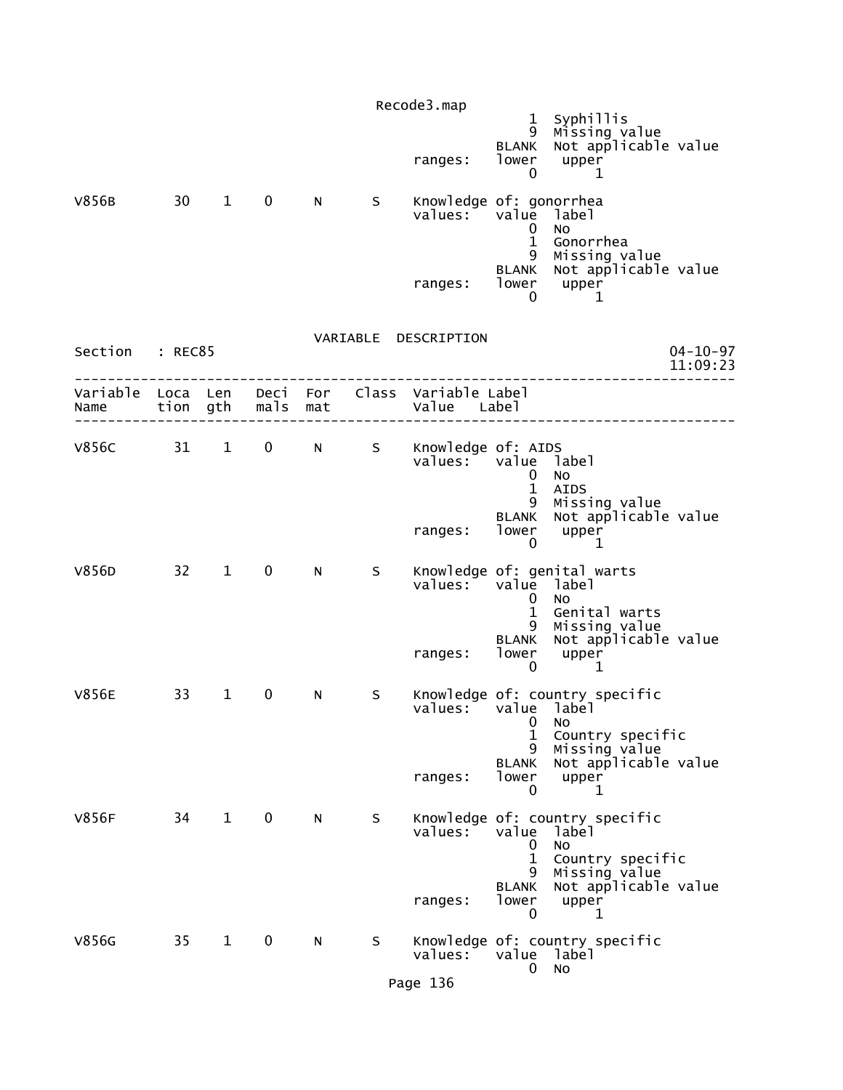| V856B                     | 30 | $\mathbf{1}$ | $\mathbf 0$  | N | S | Recode3.map<br>ranges:<br>Knowledge of: gonorrhea<br>values: | $\mathbf{1}$<br>9<br><b>BLANK</b><br>lower<br>0<br>value<br>0<br>$\mathbf 1$ | Syphillis<br>Missing value<br>Not applicable value<br>upper<br>1<br>label<br>No<br>Gonorrhea                        |                            |
|---------------------------|----|--------------|--------------|---|---|--------------------------------------------------------------|------------------------------------------------------------------------------|---------------------------------------------------------------------------------------------------------------------|----------------------------|
|                           |    |              |              |   |   | ranges:                                                      | 9<br><b>BLANK</b><br>0                                                       | Missing value<br>Not applicable value<br>lower upper<br>1                                                           |                            |
| Section : REC85           |    |              |              |   |   | VARIABLE DESCRIPTION                                         |                                                                              |                                                                                                                     | $04 - 10 - 97$<br>11:09:23 |
| Variable Loca Len<br>Name |    | tion gth     | mals mat     |   |   | Deci For Class Variable Label<br>Value Label                 |                                                                              |                                                                                                                     |                            |
| V856C 31 1                |    |              | $\mathbf{0}$ |   |   | N S Knowledge of: AIDS<br>values:                            | value label<br>0<br>$\mathbf{1}$<br>9                                        | NO<br><b>AIDS</b><br>Missing value                                                                                  |                            |
|                           |    |              |              |   |   | ranges:                                                      | <b>BLANK</b><br>lower<br>$\mathbf 0$                                         | Not applicable value<br>upper<br>1                                                                                  |                            |
| V856D                     |    | $32 \quad 1$ | $\mathbf 0$  | N | S | values:                                                      | value label<br>0<br>$\mathbf 1$<br>9<br><b>BLANK</b>                         | Knowledge of: genital warts<br>N <sub>O</sub><br>Genital warts<br>Missing value<br>Not applicable value             |                            |
|                           |    |              |              |   |   | ranges:                                                      | lower<br>0                                                                   | upper<br>1                                                                                                          |                            |
| <b>V856E</b>              | 33 | $\mathbf{1}$ | 0            | N | S | values:                                                      | value label<br>0<br>$\mathbf{1}$<br>9<br><b>BLANK</b>                        | Knowledge of: country specific<br>No<br>Country specific<br>Missing value<br>Not applicable value                   |                            |
|                           |    |              |              |   |   | ranges:                                                      | lower<br>$\mathbf{0}$                                                        | upper<br>1                                                                                                          |                            |
| <b>V856F</b>              | 34 | $\mathbf{1}$ | $\mathbf 0$  | N | S | values:<br>ranges:                                           | value<br>0<br>$\mathbf{1}$<br>9<br><b>BLANK</b><br>lower<br>0                | Knowledge of: country specific<br>label<br>No<br>Country specific<br>Missing value<br>Not applicable value<br>upper |                            |
| V856G                     | 35 | $\mathbf{1}$ | 0            | N | S | values:<br>Page 136                                          | value label<br>0                                                             | 1<br>Knowledge of: country specific<br>No                                                                           |                            |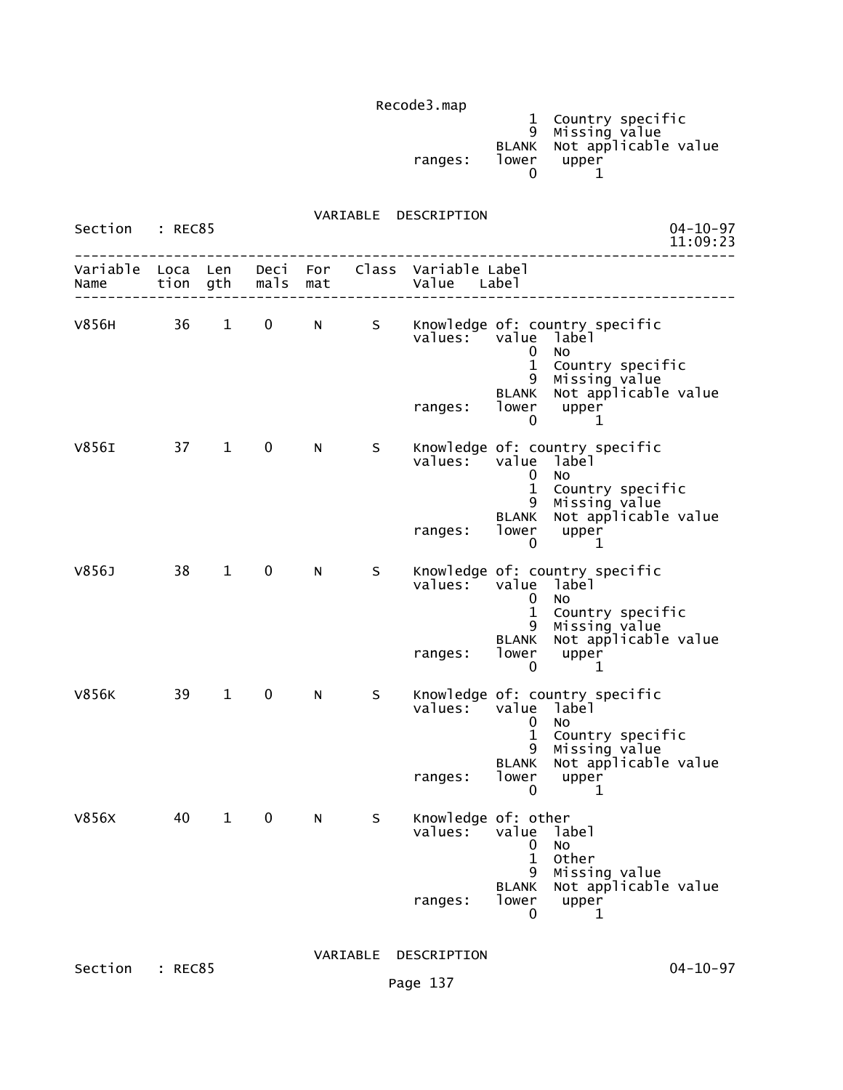|         |       | 1 Country specific         |
|---------|-------|----------------------------|
|         |       | 9 Missing value            |
|         |       | BLANK Not applicable value |
| ranges: | lower | upper                      |
|         |       |                            |

 VARIABLE DESCRIPTION Section : REC85 04-10-97<br>11:09:23 11:09:23 -------------------------------------------------------------------------------- Variable Loca Len Deci For Class Variable Label Name tion gth mals mat Value Label -------------------------------------------------------------------------------- V856H 36 1 0 N S Knowledge of: country specific<br>values: value label value label<br>0 No de la construcción de la construcción de la construcción de la construcción de la construcción de la construcc 1 Country specific 9 Missing value BLANK Not applicable value ranges: lower upper<br>0 1  $\sim$  0  $\sim$  1 V856I 37 1 0 N S Knowledge of: country specific<br>values: value label value label<br>0 No de la construcción de la construcción de la construcción de la construcción de la construcción de la construcc 1 Country specific 9 Missing value BLANK Not applicable value ranges: lower upper<br>1 0  $\sim$  0  $\sim$  1 V856J 38 1 0 N S Knowledge of: country specific<br>values: value label value label<br>O No de la construcción de la construcción de la construcción de la construcción de la construcción de la construcc 1 Country specific 9 Missing value BLANK Not applicable value ranges: lower upper  $\sim$  0  $\sim$  1 V856K 39 1 0 N S Knowledge of: country specific<br>values: value label value label de la construcción de la construcción de la construcción de la construcción de la construcción de la construcc 1 Country specific 9 Missing value BLANK Not applicable value ranges: lower upper  $\sim$  0  $\sim$  1 V856X 40 1 0 N S Knowledge of: other<br>values: value la value label<br>0 No de la construcción de la construcción de la construcción de la construcción de la construcción de la construcc 1 Other 9 Missing value BLANK Not applicable value ranges: lower upper<br>0 1  $\sim$  0 1

Section : REC85 04-10-97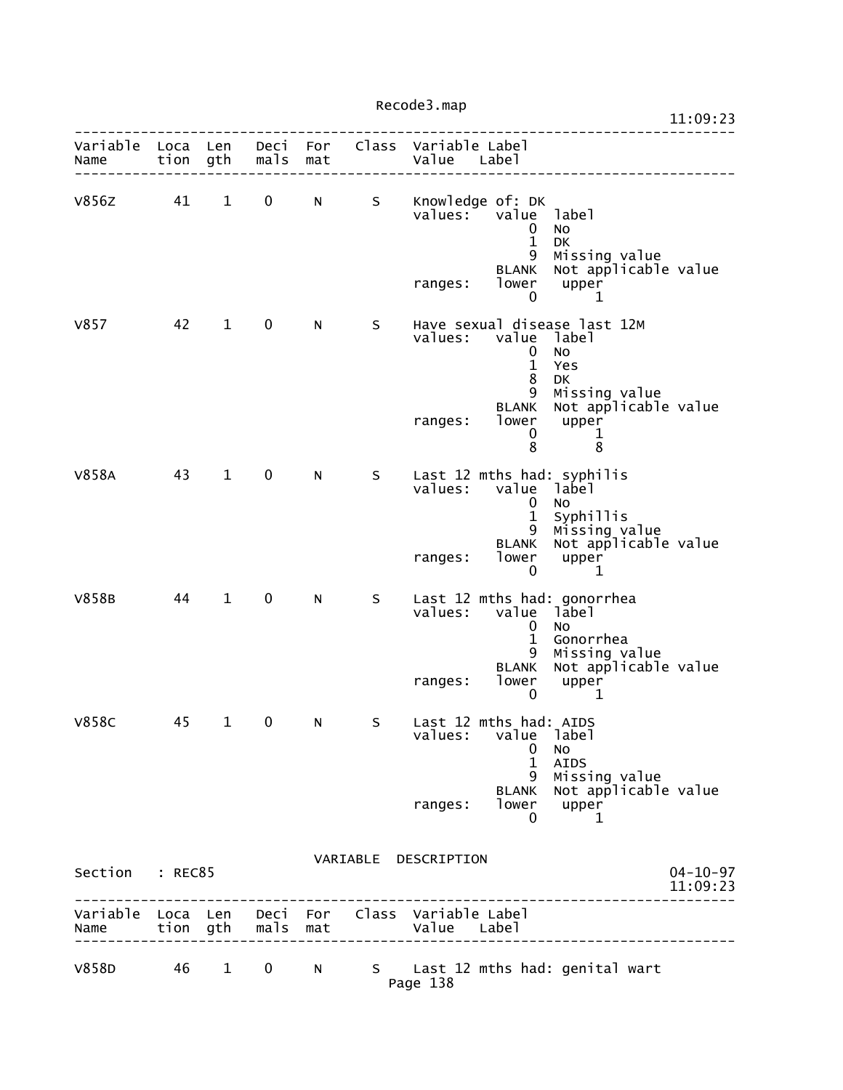|                           |      |              |             |                                                                                                                                                                                                                                |   |                                              |                                                                                                            |                                                                                                                                      | 11:09:23                   |
|---------------------------|------|--------------|-------------|--------------------------------------------------------------------------------------------------------------------------------------------------------------------------------------------------------------------------------|---|----------------------------------------------|------------------------------------------------------------------------------------------------------------|--------------------------------------------------------------------------------------------------------------------------------------|----------------------------|
| Variable Loca Len<br>Name | tion | gth          | mals        | mat                                                                                                                                                                                                                            |   | Deci For Class Variable Label<br>Value Label |                                                                                                            |                                                                                                                                      |                            |
| v856z                     | 41   | $\mathbf{1}$ | $\mathbf 0$ | N                                                                                                                                                                                                                              | S | values:<br>ranges:                           | Knowledge of: DK<br>value<br>$\mathbf 0$<br>$\mathbf{1}$<br>9<br>BLANK<br>lower                            | label<br><b>NO</b><br>DK<br>Missing value<br>Not applicable value<br>upper                                                           |                            |
| V857                      | 42   | $\mathbf{1}$ | $\mathbf 0$ | N.                                                                                                                                                                                                                             | S | values:<br>ranges:                           | $\mathbf 0$<br>value<br>$\mathbf 0$<br>$\mathbf{1}$<br>8<br>9<br><b>BLANK</b><br>lower<br>$\mathbf 0$<br>8 | 1<br>Have sexual disease last 12M<br>label<br>No<br>Yes<br>DK<br>Missing value<br>Not applicable value<br>upper<br>$\mathbf{1}$<br>8 |                            |
| V858A                     | 43   | $\mathbf{1}$ | $\mathbf 0$ | N                                                                                                                                                                                                                              | S | values:<br>ranges:                           | value<br>0<br>$\mathbf{1}$<br>9<br><b>BLANK</b><br>lower<br>0                                              | Last 12 mths had: syphilis<br>label<br>No<br>Syphillis<br>Missing value<br>Not applicable value<br>upper<br>1                        |                            |
| <b>V858B</b>              | 44   | $\mathbf{1}$ | 0           | N.                                                                                                                                                                                                                             | S | values:<br>ranges:                           | value<br>0<br>$\mathbf 1$<br>9<br><b>BLANK</b><br>lower<br>$\mathbf{0}$                                    | Last 12 mths had: gonorrhea<br>label<br>No<br>Gonorrhea<br>Missing value<br>Not applicable value<br>upper<br>$\mathbf 1$             |                            |
| <b>V858C</b>              | 45   | $\mathbf{1}$ | 0           | N                                                                                                                                                                                                                              | S | values:<br>ranges:                           | Last 12 mths had: AIDS<br>value<br>0<br>$\mathbf{1}$<br>9<br><b>BLANK</b><br>lower<br>0                    | label<br>No<br><b>AIDS</b><br>Missing value<br>Not applicable value<br>upper<br>1                                                    |                            |
| Section : REC85           |      |              |             |                                                                                                                                                                                                                                |   | VARIABLE DESCRIPTION                         |                                                                                                            |                                                                                                                                      | $04 - 10 - 97$<br>11:09:23 |
| Variable Loca Len<br>Name |      | tion gth     | mals        | mat                                                                                                                                                                                                                            |   | Deci For Class Variable Label<br>Value Label |                                                                                                            |                                                                                                                                      |                            |
| V858D                     | 46   | $\mathbf{1}$ | 0           | N and the set of the set of the set of the set of the set of the set of the set of the set of the set of the set of the set of the set of the set of the set of the set of the set of the set of the set of the set of the set | S |                                              |                                                                                                            | Last 12 mths had: genital wart                                                                                                       |                            |

Page 138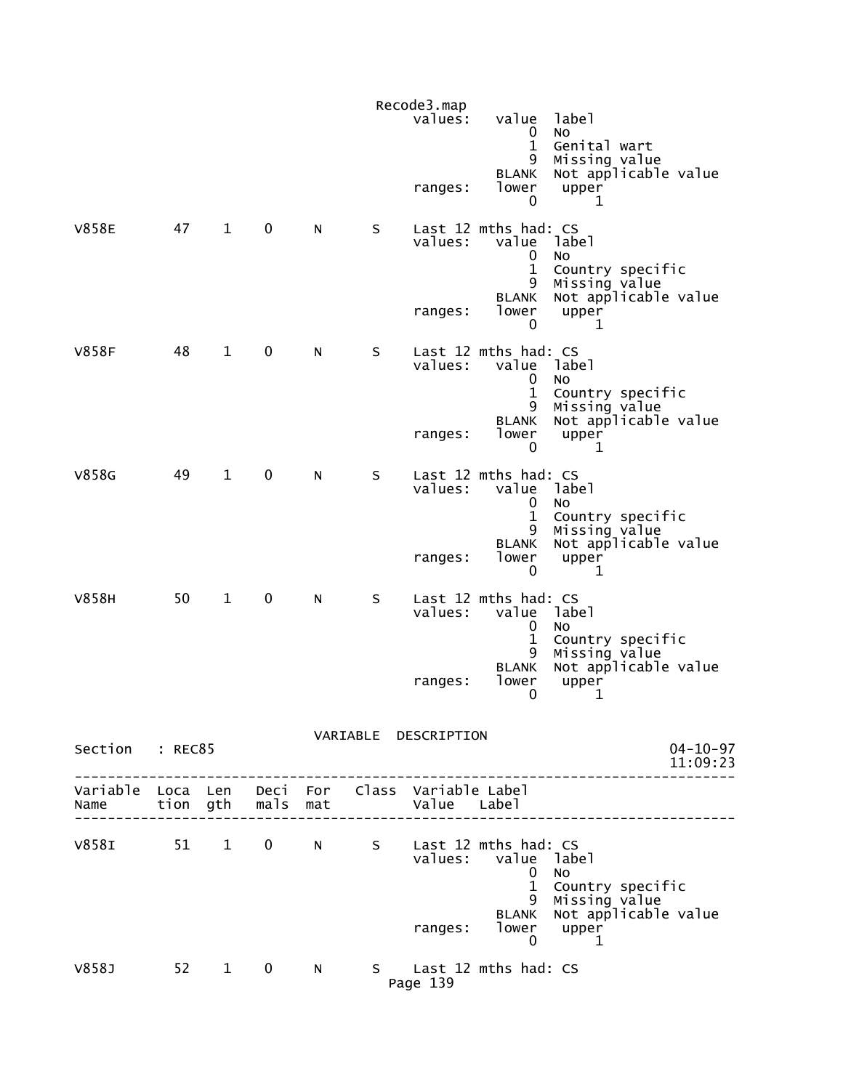|                                                         |      |              |                   |     |   | Recode3.map<br>values: | value<br>0                                                                    | label<br><b>NO</b>                                                     |
|---------------------------------------------------------|------|--------------|-------------------|-----|---|------------------------|-------------------------------------------------------------------------------|------------------------------------------------------------------------|
|                                                         |      |              |                   |     |   | ranges:                | $\mathbf{1}$<br>9<br><b>BLANK</b><br>lower<br>$\mathbf{0}$                    | Genital wart<br>Missing value<br>Not applicable value<br>upper<br>1    |
| <b>V858E</b>                                            | 47   | $\mathbf{1}$ | $\mathbf 0$       | N   | S | values:                | Last 12 mths had: CS<br>value label<br>0<br>$\mathbf{1}$<br>9<br><b>BLANK</b> | <b>NO</b><br>Country specific<br>Missing value<br>Not applicable value |
|                                                         |      |              |                   |     |   | ranges:                | lower<br>0                                                                    | upper<br>1                                                             |
| <b>V858F</b>                                            | 48   | $\mathbf{1}$ | $\mathbf 0$       | N   | S | values:                | Last 12 mths had: CS<br>value label<br>0<br>$\mathbf{1}$<br>9                 | No.<br>Country specific<br>Missing value                               |
|                                                         |      |              |                   |     |   | ranges:                | <b>BLANK</b><br>lower<br>$\mathbf{0}$                                         | Not applicable value<br>upper<br>$\mathbf{1}$                          |
| V858G                                                   | 49   | $\mathbf{1}$ | $\mathbf 0$       | N   | S | values:                | Last 12 mths had: CS<br>value label<br>0<br>$\mathbf{1}$<br>9                 | <b>NO</b><br>Country specific<br>Missing value                         |
|                                                         |      |              |                   |     |   | ranges:                | <b>BLANK</b><br>lower<br>0                                                    | Not applicable value<br>upper<br>$\mathbf 1$                           |
| V858H                                                   | 50   | $\mathbf{1}$ | $\mathbf 0$       | N   | S | values:                | Last 12 mths had: CS<br>value label<br>0<br>$\mathbf 1$                       | <b>NO</b><br>Country specific                                          |
|                                                         |      |              |                   |     |   | ranges:                | 9<br><b>BLANK</b><br>lower<br>0                                               | Missing value<br>Not applicable value<br>upper<br>1                    |
| Section : REC85                                         |      |              |                   |     |   | VARIABLE DESCRIPTION   |                                                                               | $04 - 10 - 97$<br>11:09:23                                             |
| Variable Loca Len Deci For Class Variable Label<br>Name |      |              | tion gth mals mat |     |   | Value Label            |                                                                               |                                                                        |
| V858I 51 1 0                                            |      |              |                   | N a | S |                        | Last 12 mths had: CS<br>values: value label<br>0<br>$\mathbf{1}$              | <b>NO</b><br>Country specific                                          |
|                                                         |      |              |                   |     |   | ranges:                | 9<br><b>BLANK</b><br>0                                                        | Missing value<br>Not applicable value<br>$lower$ upper<br>$\mathbf{1}$ |
| V858J                                                   | 52 1 |              | $\mathbf{0}$      | N.  |   | Page 139               | S Last 12 mths had: CS                                                        |                                                                        |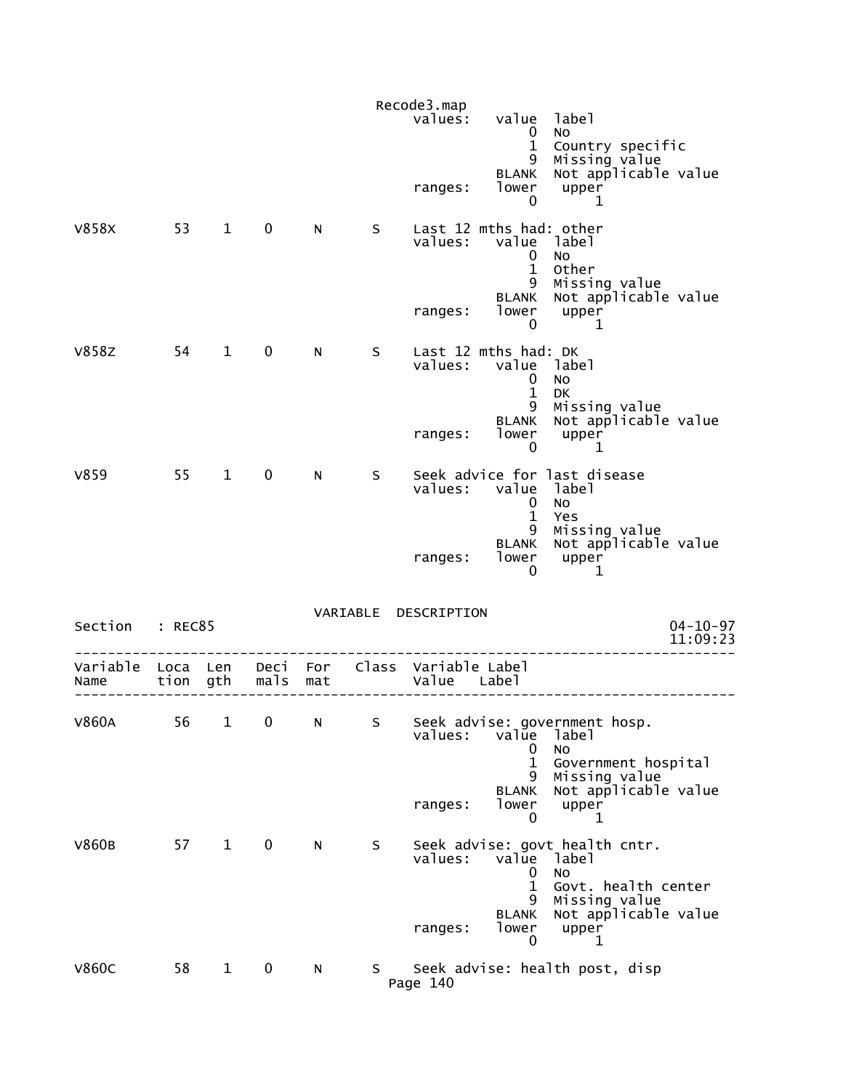|                  |                  |              |                  |     |    | Recode3.map<br>values:        | value                                                                       | label                                                                                        |
|------------------|------------------|--------------|------------------|-----|----|-------------------------------|-----------------------------------------------------------------------------|----------------------------------------------------------------------------------------------|
|                  |                  |              |                  |     |    | ranges:                       | $\mathbf{0}$<br>$\mathbf{1}$<br>9<br><b>BLANK</b><br>lower<br>0             | <b>NO</b><br>Country specific<br>Missing value<br>Not applicable value<br>upper<br>1         |
| V858X            | 53               | $\mathbf{1}$ | $\mathbf 0$      | N   | S  | values:                       | Last 12 mths had: other<br>$\mathbf 0$<br>$\mathbf{1}$<br>9<br><b>BLANK</b> | value label<br>No<br>Other<br>Missing value<br>Not applicable value                          |
|                  |                  |              |                  |     |    | ranges:                       | lower<br>$\mathbf{0}$                                                       | upper<br>1                                                                                   |
| <b>V858Z</b>     | 54               | $\mathbf{1}$ | $\mathbf 0$      | N.  | S  | values:                       | Last 12 mths had: DK<br>$\mathbf{0}$<br>$\mathbf{1}$<br>9                   | value label<br>No<br>DK<br>Missing value                                                     |
|                  |                  |              |                  |     |    | ranges:                       | <b>BLANK</b><br>lower<br>0                                                  | Not applicable value<br>upper<br>1                                                           |
| V859             | 55               | $\mathbf{1}$ | $\mathbf 0$      | N   | S  | values:                       | value label<br>0<br>$\mathbf{1}$                                            | Seek advice for last disease<br>No<br>Yes                                                    |
|                  |                  |              |                  |     |    | ranges:                       | 9<br><b>BLANK</b><br>lower<br>0                                             | Missing value<br>Not applicable value<br>upper<br>1                                          |
| Section          | : REC85          |              |                  |     |    | VARIABLE DESCRIPTION          |                                                                             | $04 - 10 - 97$<br>11:09:23                                                                   |
| Variable<br>Name | Loca Len<br>tion | gth          | Deci For<br>mals | mat |    | Class Variable Label<br>Value | Label                                                                       |                                                                                              |
| <b>V860A</b>     | 56               | $\mathbf{1}$ | 0                | N   | S  | values:                       | value<br>0                                                                  | Seek advise: government hosp.<br>label<br>NO                                                 |
|                  |                  |              |                  |     |    | ranges:                       | $\mathbf{1}$<br>9<br><b>BLANK</b><br>lower<br>0                             | Government hospital<br>Missing value<br>Not applicable value<br>upper<br>1                   |
| V860B            | 57               | $\mathbf{1}$ | $\mathbf 0$      | N   | S  | values:                       | value<br>0<br>$\mathbf{1}$<br>9                                             | Seek advise: govt health cntr.<br>label<br><b>NO</b><br>Govt. health center<br>Missing value |
|                  |                  |              |                  |     |    | ranges:                       | <b>BLANK</b><br>lower<br>0                                                  | Not applicable value<br>upper<br>1                                                           |
| <b>V860C</b>     | 58               | $\mathbf{1}$ | $\mathbf 0$      | N   | S. | Page 140                      |                                                                             | Seek advise: health post, disp                                                               |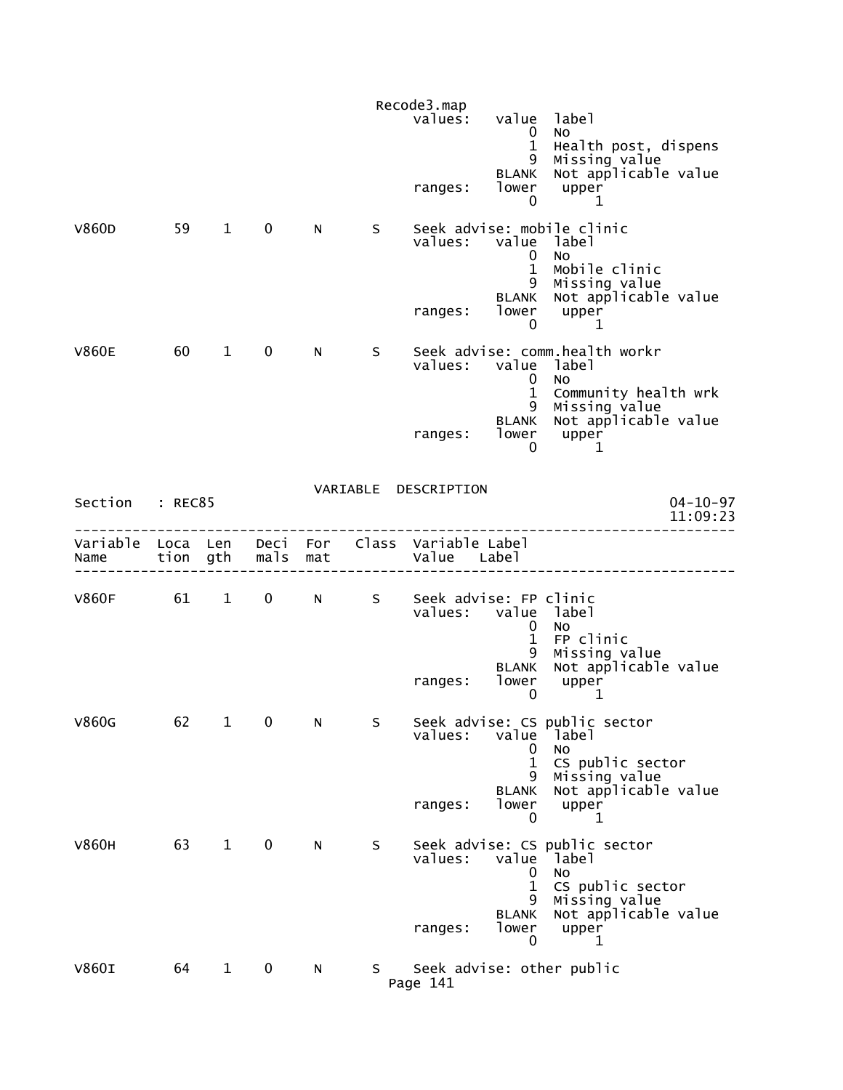|                                |         |                        |             |            |    | Recode3.map<br>values:              | value<br>$\overline{0}$<br>$\mathbf{1}$<br>9                  | label<br><b>NO</b><br>Health post, dispens<br>Missing value                                                              |
|--------------------------------|---------|------------------------|-------------|------------|----|-------------------------------------|---------------------------------------------------------------|--------------------------------------------------------------------------------------------------------------------------|
|                                |         |                        |             |            |    | ranges:                             | BLANK<br>lower<br>0                                           | Not applicable value<br>upper<br>1                                                                                       |
| V860D                          | 59      | $\mathbf{1}$           | 0           | N.         | S. | values:<br>ranges:                  | value<br>0<br>$\mathbf{1}$<br>9<br><b>BLANK</b><br>lower<br>0 | Seek advise: mobile clinic<br>label<br><b>NO</b><br>Mobile clinic<br>Missing value<br>Not applicable value<br>upper<br>1 |
| <b>V860E</b>                   | 60      | $\mathbf{1}$           | $\mathbf 0$ | N.         | S  | values:                             | value<br>$\mathbf 0$<br>$\mathbf 1$<br>9<br><b>BLANK</b>      | Seek advise: comm.health workr<br>label<br>No<br>Community health wrk<br>Missing value<br>Not applicable value           |
|                                |         |                        |             |            |    | ranges:                             | lower<br>0                                                    | upper<br>1                                                                                                               |
| Section                        | : REC85 |                        |             |            |    | VARIABLE DESCRIPTION                |                                                               | $04 - 10 - 97$<br>11:09:23                                                                                               |
| Variable Loca Len Deci<br>Name | tion    | gth                    | mals        | For<br>mat |    | Class Variable Label<br>Value Label |                                                               |                                                                                                                          |
| <b>V860F</b>                   | 61      | $1 \quad \blacksquare$ | $0 \qquad$  | N a        | S  | Seek advise: FP clinic<br>values:   | $\mathbf{0}$<br>$\mathbf{1}$<br>9                             | value label<br><b>NO</b><br>FP clinic<br>Missing value                                                                   |
|                                |         |                        |             |            |    | ranges:                             | <b>BLANK</b><br>lower<br>$\mathbf 0$                          | Not applicable value<br>upper<br>1                                                                                       |
| V860G                          | 62      | $\mathbf{1}$           | 0           | N          | S  | values:                             | value<br>0<br>1                                               | Seek advise: CS public sector<br>label<br>No<br>CS public sector                                                         |
|                                |         |                        |             |            |    | ranges:                             | 9<br>BLANK<br>lower<br>0                                      | Missing value<br>Not applicable value<br>upper<br>1                                                                      |
| <b>V860H</b>                   | 63      | $\mathbf{1}$           | $\mathbf 0$ | N.         | S  | values:                             | value<br>0<br>$\mathbf 1$<br>9                                | Seek advise: CS public sector<br>label<br>No<br>CS public sector<br>Missing value                                        |
|                                |         |                        |             |            |    | ranges:                             | BLANK<br>lower<br>$\mathbf 0$                                 | Not applicable value<br>upper<br>1                                                                                       |
| <b>V860I</b>                   | 64      | $\mathbf{1}$           | 0           | N          | S. | Page 141                            |                                                               | Seek advise: other public                                                                                                |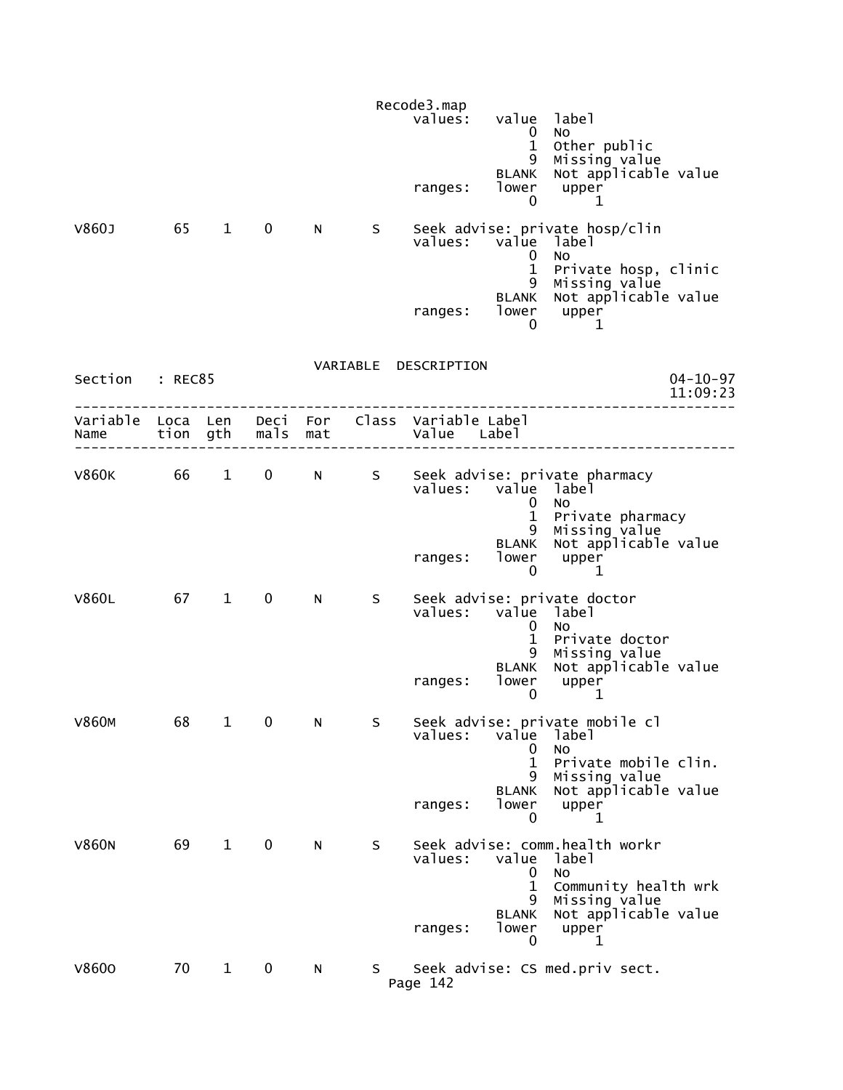|                          |                      |                        |              |            |    | Recode3.map<br>values:<br>ranges:   | value label<br>$\mathbf 0$<br>$\mathbf{1}$<br>9<br><b>BLANK</b><br>lower<br>0 | No<br>Other public<br>Missing value<br>Not applicable value<br>upper<br>1                                                           |                |
|--------------------------|----------------------|------------------------|--------------|------------|----|-------------------------------------|-------------------------------------------------------------------------------|-------------------------------------------------------------------------------------------------------------------------------------|----------------|
| V860J                    | 65                   | $\mathbf{1}$           | $\mathbf 0$  | N          | S. | values:<br>ranges:                  | value<br>0<br>$\mathbf{1}$<br>9<br><b>BLANK</b><br>lower                      | Seek advise: private hosp/clin<br>label<br>No<br>Private hosp, clinic<br>Missing value<br>Not applicable value<br>upper             |                |
| Section                  | : REC85              |                        |              |            |    | VARIABLE DESCRIPTION                | 0                                                                             | 1                                                                                                                                   | $04 - 10 - 97$ |
| Variable<br>Name         | Loca Len<br>tion gth |                        | Deci<br>mals | For<br>mat |    | Class Variable Label<br>Value Label |                                                                               |                                                                                                                                     | 11:09:23       |
| V860K <b>New York 10</b> | 66 —                 | $1 \quad \blacksquare$ | $\mathbf 0$  | N          | S  | values: value label<br>ranges:      | 0<br>$\mathbf{1}$<br>9<br><b>BLANK</b><br>lower<br>0                          | Seek advise: private pharmacy<br>No<br>Private pharmacy<br>Missing value<br>Not applicable value<br>upper<br>1                      |                |
| <b>V860L</b>             | 67 1                 |                        | $\mathbf 0$  | N          | S. | values:<br>ranges:                  | value<br>0<br>$\mathbf{1}$<br>9<br><b>BLANK</b><br>lower<br>0                 | Seek advise: private doctor<br>label<br>No<br>Private doctor<br>Missing value<br>Not applicable value<br>upper<br>1                 |                |
| <b>V860M</b>             | 68                   | $\mathbf{1}$           | 0            | N          | S  | values:<br>ranges:                  | value<br>U<br>$\mathbf{1}$<br>9<br><b>BLANK</b><br>lower<br>0                 | Seek advise: private mobile cl<br>label<br>No<br>Private mobile clin.<br>Missing value<br>Not applicable value<br>upper<br>1        |                |
| <b>V860N</b>             | 69                   | $\mathbf{1}$           | 0            | N.         | S  | values:<br>ranges:                  | value<br>0<br>1<br>9<br><b>BLANK</b><br>lower<br>0                            | Seek advise: comm.health workr<br>label<br><b>NO</b><br>Community health wrk<br>Missing value<br>Not applicable value<br>upper<br>1 |                |
| V8600                    | 70                   | $\mathbf{1}$           | 0            | ${\sf N}$  | S. | Page 142                            |                                                                               | Seek advise: CS med.priv sect.                                                                                                      |                |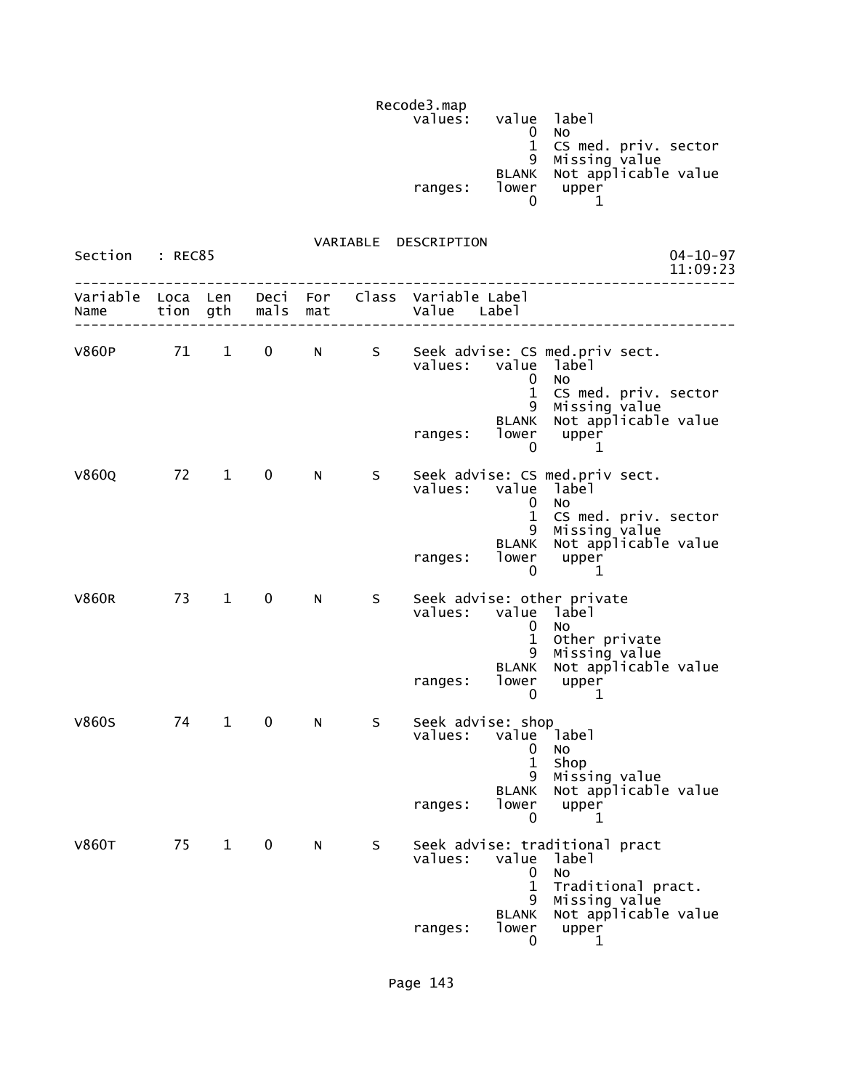Recode3.map values: value label (1999) values: value label (1999) value label (1999) value label (1999) value  $\sim$ de la construcción de la construcción de la construcción de la construcción de la construcción de la construcc 1 CS med. priv. sector 9 Missing value BLANK Not applicable value ranges: lower upper  $\sim$  0  $\sim$  1

| Section          | : REC85          |              |              |            |     |                                                                                                                                                                                                                                       | $04 - 10 - 97$<br>11:09:23 |
|------------------|------------------|--------------|--------------|------------|-----|---------------------------------------------------------------------------------------------------------------------------------------------------------------------------------------------------------------------------------------|----------------------------|
| Variable<br>Name | Loca Len<br>tion | gth          | Deci<br>mals | For<br>mat |     | Class Variable Label<br>Value Label                                                                                                                                                                                                   |                            |
| <b>V860P</b>     | 71               | $\mathbf{1}$ | 0            | N.         | S – | Seek advise: CS med.priv sect.<br>values:<br>value<br>label<br>$\Omega$<br><b>NO</b><br>$\mathbf{1}$<br>CS med. priv. sector<br>Missing value<br>Not applicable value<br>9<br>BLANK<br>lower<br>upper<br>ranges:<br>$\mathbf{0}$<br>1 |                            |
| V860Q            | 72               | $\mathbf{1}$ | 0            | N.         | S.  | Seek advise: CS med.priv sect.<br>value<br>values:<br>label<br>$\Omega$<br>No<br>$\mathbf{1}$<br>CS med. priv. sector<br>Missing value<br>9<br>Not applicable value<br><b>BLANK</b><br>lower<br>ranges:<br>upper<br>$\mathbf{0}$<br>1 |                            |
| <b>V860R</b>     | 73               | $\mathbf{1}$ | 0            | N.         | S   | Seek advise: other private<br>values:<br>value label<br>$\mathbf{0}$<br>No<br>$\mathbf{1}$<br>Other private<br>Missing value<br>9<br>Not applicable value<br><b>BLANK</b><br>lower<br>ranges:<br>upper<br>$\mathbf{0}$<br>1           |                            |
| <b>V860S</b>     | 74               | $\mathbf{1}$ | $\mathbf 0$  | N          | S   | Seek advise: shop<br>value label<br>values:<br>0<br>No<br>$\mathbf{1}$<br>Shop<br>Missing value<br>9<br>Not applicable value<br><b>BLANK</b><br>lower<br>upper<br>ranges:<br>$\mathbf{0}$<br>1                                        |                            |
| <b>V860T</b>     | 75               | $\mathbf{1}$ | $\mathbf 0$  | N          | S   | Seek advise: traditional pract<br>values:<br>value<br>label<br>$\mathbf{0}$<br>No<br>$\mathbf 1$<br>Traditional pract.<br>Missing value<br>9<br>Not applicable value<br>BLANK<br>lower<br>upper<br>ranges:<br>0<br>1                  |                            |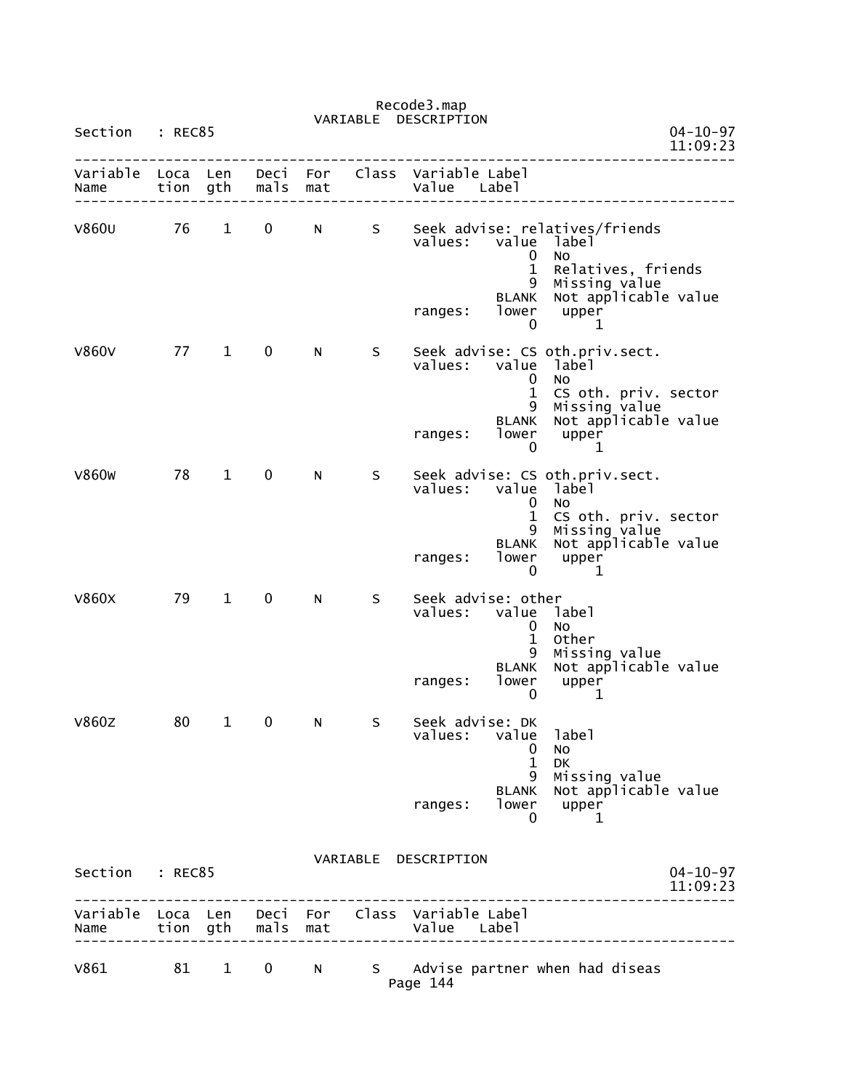|                           |              |              |              |            | VARIABLE | DESCRIPTION                                                                                                                                                                 |                                              |
|---------------------------|--------------|--------------|--------------|------------|----------|-----------------------------------------------------------------------------------------------------------------------------------------------------------------------------|----------------------------------------------|
| Section                   | : REC85      |              |              |            |          |                                                                                                                                                                             | $04 - 10 - 97$<br>11:09:23                   |
| Variable<br>Name          | Loca<br>tion | Len<br>gth   | Deci<br>mals | For<br>mat | Class    | Variable Label<br>Value<br>Label                                                                                                                                            |                                              |
| <b>V860U</b>              | 76           | $\mathbf 1$  | 0            | N          | S        | Seek advise: relatives/friends<br>values:<br>value<br>label<br>No<br>0<br>$\mathbf 1$<br>Missing value<br>9<br><b>BLANK</b><br>lower<br>upper<br>ranges:<br>0<br>1          | Relatives, friends<br>Not applicable value   |
| <b>V860V</b>              | 77           | $\mathbf{1}$ | 0            | N          | S        | Seek advise: CS oth.priv.sect.<br>values:<br>value<br>label<br>NO<br>U<br>$\mathbf 1$<br>Missing value<br>9<br><b>BLANK</b><br>lower<br>ranges:<br>upper<br>0<br>1          | CS oth. priv. sector<br>Not applicable value |
| <b>V860W</b>              | 78           | $\mathbf{1}$ | 0            | N          | S        | Seek advise: CS oth.priv.sect.<br>value<br>values:<br>label<br>No<br>0<br>$\mathbf 1$<br>Missing value<br>9<br><b>BLANK</b><br>lower<br>ranges:<br>upper<br>0<br>1          | CS oth. priv. sector<br>Not applicable value |
| <b>V860X</b>              | 79           | $\mathbf{1}$ | 0            | N          | S        | Seek advise: other<br>values:<br>value<br>label<br>0<br>No<br>$\mathbf{1}$<br>Other<br>Missing value<br>9<br><b>BLANK</b><br>lower<br>upper<br>ranges:<br>$\mathbf{0}$<br>1 | Not applicable value                         |
| <b>V860Z</b>              | 80           | $\mathbf{1}$ | 0            | N          | S        | Seek advise: DK<br>label<br>values:<br>value<br>$\bf{0}$<br>No<br>$\mathbf{1}$<br>DK<br>Missing value<br>9<br><b>BLANK</b><br>lower<br>ranges:<br>upper<br>0<br>1           | Not applicable value                         |
| Section : REC85           |              |              |              |            |          | VARIABLE DESCRIPTION                                                                                                                                                        | $04 - 10 - 97$<br>11:09:23                   |
| Variable Loca Len<br>Name |              | tion gth     | mals         | mat        |          | Deci For Class Variable Label<br>Value Label                                                                                                                                |                                              |
| V861                      | 81           | $\mathbf{1}$ | 0            | N          | S –      | Advise partner when had diseas                                                                                                                                              |                                              |

Page 144

## Recode3.map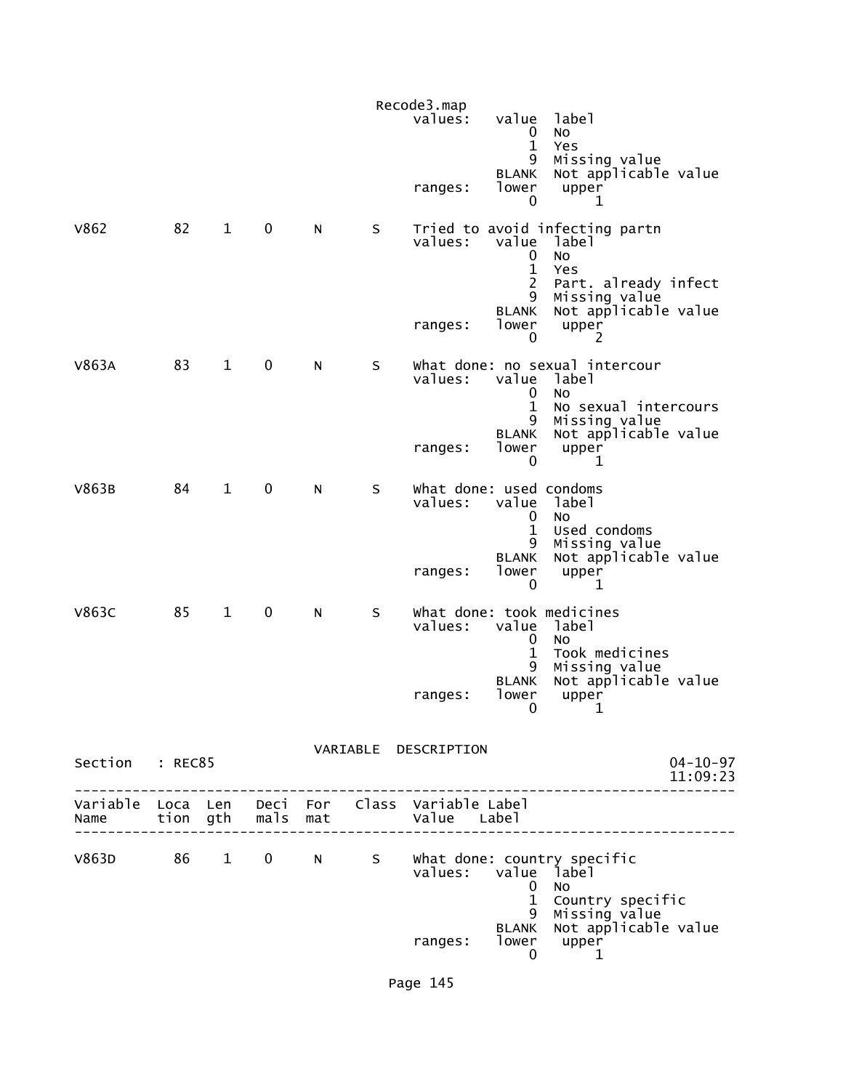|                 |    |              |             |   |            | Recode3.map<br>values:                                                                    | value                                                                           | label                                                                                                                                      |
|-----------------|----|--------------|-------------|---|------------|-------------------------------------------------------------------------------------------|---------------------------------------------------------------------------------|--------------------------------------------------------------------------------------------------------------------------------------------|
|                 |    |              |             |   |            | ranges:                                                                                   | 0<br>$\mathbf{1}$<br>9<br><b>BLANK</b><br>lower<br>0                            | <b>NO</b><br>Yes<br>Missing value<br>Not applicable value<br>upper<br>1                                                                    |
| V862            | 82 | $\mathbf{1}$ | 0           | N | S          | values:<br>ranges:                                                                        | value<br>0<br>$\mathbf{1}$<br>$\overline{2}$<br>9<br><b>BLANK</b><br>lower<br>0 | Tried to avoid infecting partn<br>label<br><b>NO</b><br>Yes<br>Part. already infect<br>Missing value<br>Not applicable value<br>upper<br>2 |
| V863A           | 83 | $\mathbf{1}$ | $\mathbf 0$ | N | $\sf S$    | values:<br>ranges:                                                                        | value<br>0<br>$\mathbf{1}$<br>9<br><b>BLANK</b><br>lower<br>0                   | what done: no sexual intercour<br>label<br>No<br>No sexual intercours<br>Missing value<br>Not applicable value<br>upper<br>$\mathbf 1$     |
| V863B           | 84 | $\mathbf{1}$ | $\pmb{0}$   | N | $\sf S$    | what done: used condoms<br>values:<br>ranges:                                             | value<br>0<br>$\mathbf{1}$<br>9<br><b>BLANK</b><br>lower<br>0                   | label<br>No<br>Used condoms<br>Missing value<br>Not applicable value<br>upper<br>1                                                         |
| <b>V863C</b>    | 85 | $\mathbf{1}$ | 0           | N | S          | values:<br>ranges:                                                                        | value<br>0<br>$\mathbf 1$<br>9<br><b>BLANK</b><br>lower<br>0                    | What done: took medicines<br>label<br>No<br>Took medicines<br>Missing value<br>Not applicable value<br>upper<br>1                          |
| Section : REC85 |    |              |             |   |            | VARIABLE DESCRIPTION                                                                      |                                                                                 | $04 - 10 - 97$<br>11:09:23                                                                                                                 |
|                 |    |              |             |   |            | Variable Loca Len Deci For Class Variable-Label<br>Name tion gth mals mat and Value Label |                                                                                 |                                                                                                                                            |
| V863D           |    |              |             |   | 86 1 0 N S | values: value label                                                                       | $\mathbf 0$<br>$\mathbf{1}$                                                     | What done: country specific<br>NO.<br>Country specific                                                                                     |
|                 |    |              |             |   |            | ranges:                                                                                   | 9<br>0                                                                          | Missing value<br>BLANK Not applicable value<br>lower upper<br>1                                                                            |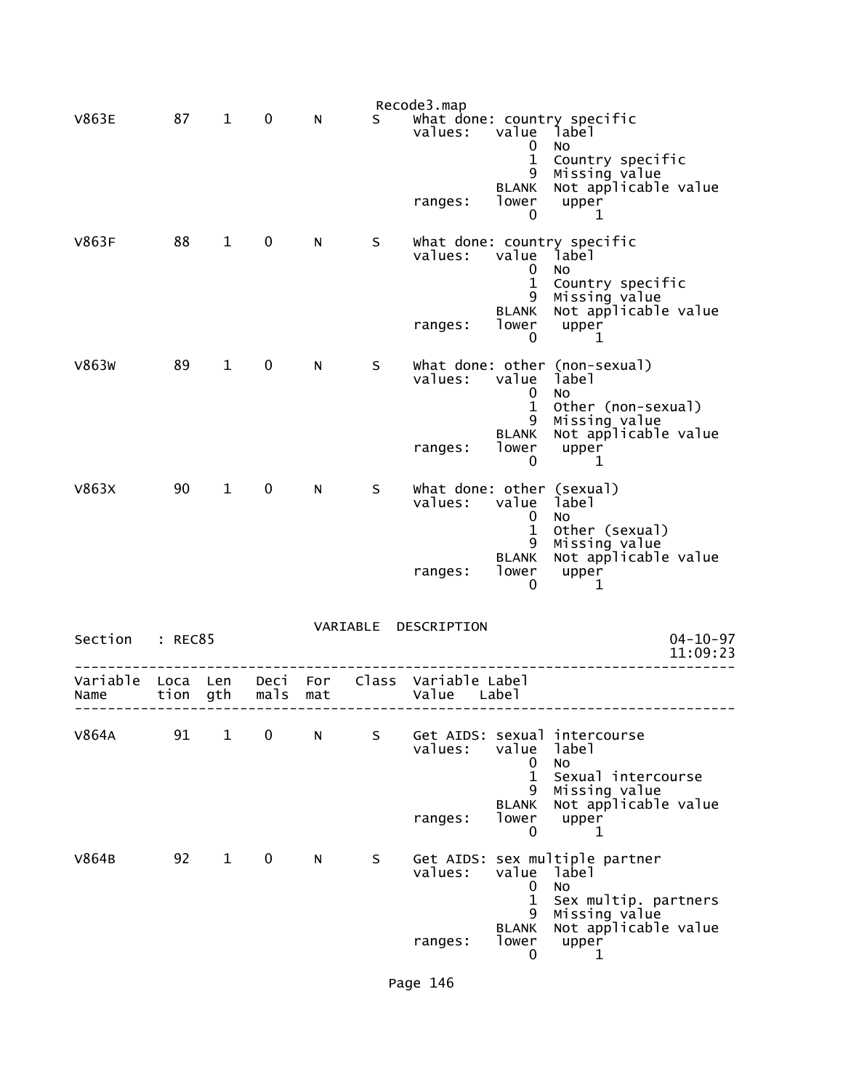|                           |          |                        |             |                 |    | Recode3.map                                |                                                    |                                                                                                         |                            |
|---------------------------|----------|------------------------|-------------|-----------------|----|--------------------------------------------|----------------------------------------------------|---------------------------------------------------------------------------------------------------------|----------------------------|
| <b>V863E</b>              | 87       | $\mathbf{1}$           | 0           | N               | S. | values:                                    | value<br>$\mathbf 0$<br>$\mathbf{1}$<br>9<br>BLANK | what done: country specific<br>label<br>No<br>Country specific<br>Missing value<br>Not applicable value |                            |
|                           |          |                        |             |                 |    | ranges:                                    | lower<br>$\mathbf 0$                               | upper<br>1                                                                                              |                            |
| V863F                     | 88 1     |                        | $\mathbf 0$ | N               | S  | values:                                    | value<br>$\Omega$<br>$\mathbf{1}$<br>9             | what done: country specific<br>label<br>No.<br>Country specific                                         |                            |
|                           |          |                        |             |                 |    | ranges:                                    | BLANK<br>lower<br>$\Omega$                         | Missing value<br>Not applicable value<br>upper<br>1                                                     |                            |
| V863W                     | 89       | $\mathbf{1}$           | $\mathbf 0$ | N               | S. | values:                                    | value<br>0<br>$\mathbf{1}$<br>9                    | What done: other (non-sexual)<br>label<br>No.<br>Other (non-sexual)                                     |                            |
|                           |          |                        |             |                 |    | ranges:                                    | <b>BLANK</b><br>lower<br>0                         | Missing value<br>Not applicable value<br>upper<br>1                                                     |                            |
| V863X                     | 90       | $1 \quad \blacksquare$ | $\mathbf 0$ | N               | S. | What done: other (sexual)<br>values: value | 0<br>$\mathbf{1}$<br>9                             | label<br><b>NO</b><br>Other (sexual)                                                                    |                            |
|                           |          |                        |             |                 |    | ranges:                                    | <b>BLANK</b><br>lower<br>0                         | Missing value<br>Not applicable value<br>upper<br>1                                                     |                            |
| Section : REC85           |          |                        |             |                 |    | VARIABLE DESCRIPTION                       |                                                    |                                                                                                         | $04 - 10 - 97$<br>11:09:23 |
| Variable Loca Len<br>Name | tion gth |                        | mals        | Deci For<br>mat |    | Class Variable Label<br>Value              | Label                                              |                                                                                                         |                            |
| V864A                     | 91       | $\mathbf{1}$           | 0           | N               | S  | values:                                    | value<br>0                                         | Get AIDS: sexual intercourse<br>label<br>No                                                             |                            |
|                           |          |                        |             |                 |    | ranges:                                    | $\mathbf 1$<br>9<br><b>BLANK</b><br>lower<br>0     | Sexual intercourse<br>Missing value<br>Not applicable value<br>upper<br>1                               |                            |
| V864B                     | 92       | $\mathbf{1}$           | 0           | N               | S  | values:                                    | value<br>0<br>$\mathbf 1$                          | Get AIDS: sex multiple partner<br>label<br><b>NO</b><br>Sex multip. partners                            |                            |
|                           |          |                        |             |                 |    | ranges:                                    | 9<br><b>BLANK</b><br>lower<br>0                    | Missing value<br>Not applicable value<br>upper<br>1                                                     |                            |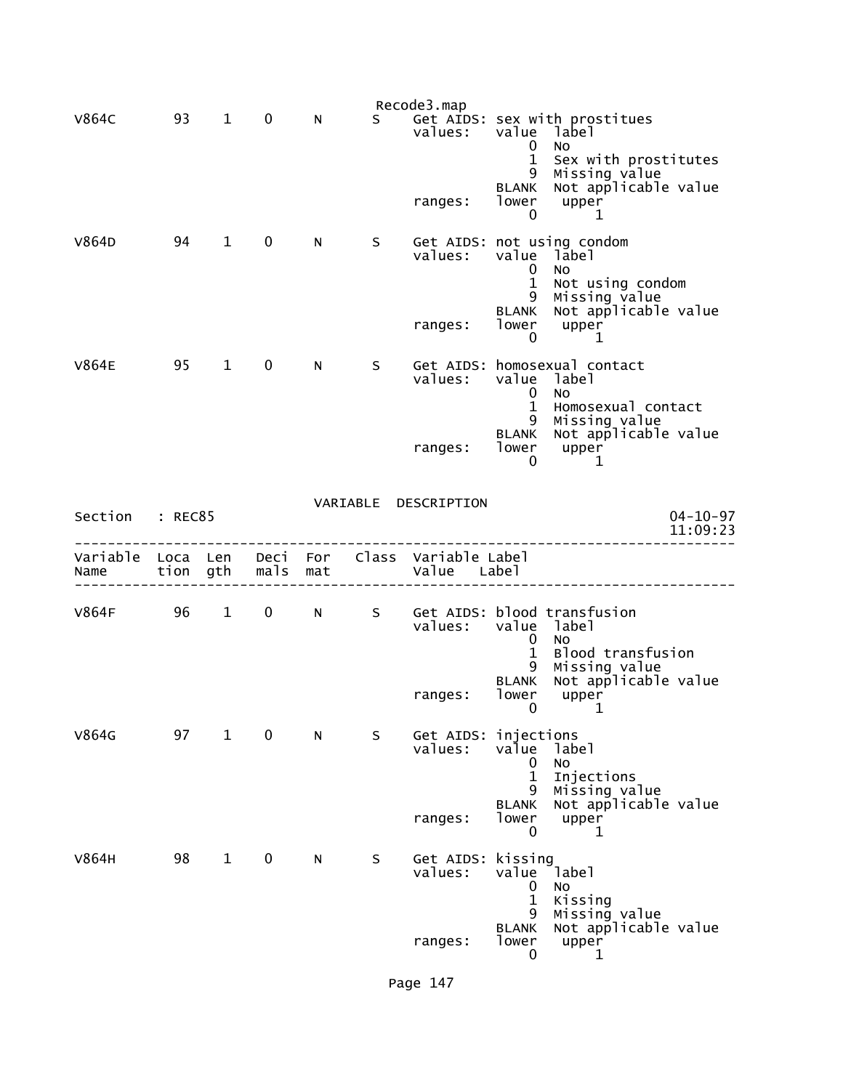|                  |                  |              |              |            |   | Recode3.map                   |                                                           |                                                                             |
|------------------|------------------|--------------|--------------|------------|---|-------------------------------|-----------------------------------------------------------|-----------------------------------------------------------------------------|
| <b>V864C</b>     | 93               | $\mathbf{1}$ | 0            | N          | S | values:                       | value<br>$\mathbf 0$                                      | Get AIDS: sex with prostitues<br>label<br>No                                |
|                  |                  |              |              |            |   | ranges:                       | $\mathbf 1$<br>9<br>BLANK<br>lower<br>0                   | Sex with prostitutes<br>Missing value<br>Not applicable value<br>upper<br>1 |
| V864D            | 94               | $\mathbf 1$  | $\mathbf 0$  | N          | S | values:                       | value<br>0<br>$\mathbf 1$<br>9                            | Get AIDS: not using condom<br>lābel<br>No<br>Not using condom               |
|                  |                  |              |              |            |   | ranges:                       | BLANK<br>lower<br>0                                       | Missing value<br>Not applicable value<br>upper<br>1                         |
| <b>V864E</b>     | 95               | $\mathbf{1}$ | $\mathbf 0$  | N          | S | values:                       | value<br>0<br>$\mathbf{1}$                                | Get AIDS: homosexual contact<br>label<br>No<br>Homosexual contact           |
|                  |                  |              |              |            |   | ranges:                       | 9<br><b>BLANK</b><br>lower<br>0                           | Missing value<br>Not applicable value<br>upper<br>1                         |
| Section          | : REC85          |              |              |            |   | VARIABLE DESCRIPTION          |                                                           | $04 - 10 - 97$                                                              |
|                  |                  |              |              |            |   |                               |                                                           | 11:09:23                                                                    |
| Variable<br>Name | Loca Len<br>tion | gth          | Deci<br>mals | For<br>mat |   | Class Variable Label<br>Value | Label                                                     |                                                                             |
| <b>V864F</b>     | 96               | $\mathbf{1}$ | 0            | N          | S | Get AIDS:<br>values:          | value<br>0                                                | blood transfusion<br>label<br>No                                            |
|                  |                  |              |              |            |   | ranges:                       | 1<br>9<br><b>BLANK</b><br>lower<br>0                      | Blood transfusion<br>Missing value<br>Not applicable value<br>upper<br>1    |
| V864G            | 97               | $\mathbf{1}$ | 0            | N          | S | Get AIDS:<br>values:          | injections<br>value<br>$\mathbf 0$                        | label<br>No                                                                 |
|                  |                  |              |              |            |   | ranges:                       | $\mathbf{1}$<br>9<br><b>BLANK</b><br>lower<br>$\mathbf 0$ | Injections<br>Missing value<br>Not applicable value<br>upper<br>1           |
|                  |                  |              |              |            |   |                               |                                                           |                                                                             |
| V864H            | 98               | $\mathbf{1}$ | 0            | N.         | S | Get AIDS:<br>values:          | kissing<br>value<br>$\mathbf 0$<br>$\mathbf{1}$<br>9      | Iabel<br><b>NO</b><br>Kissing<br>Missing value                              |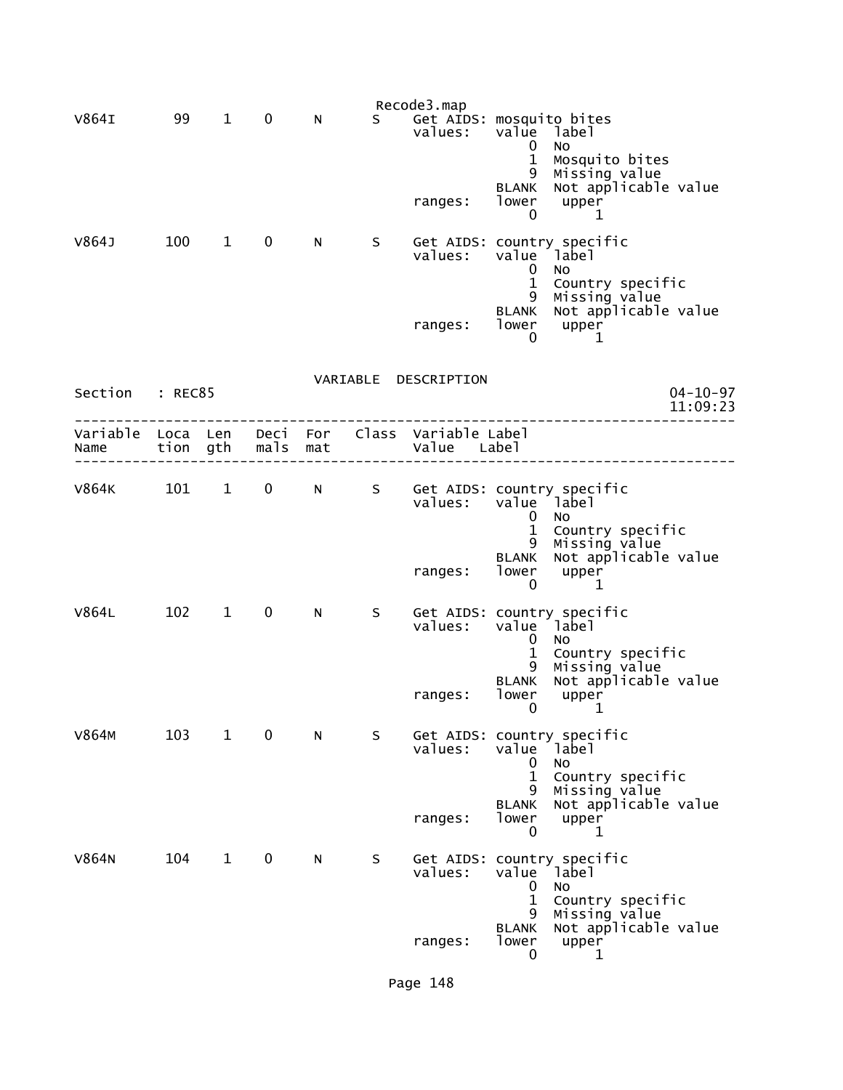|                           |          |                        |                  |     |    | Recode3.map                         |                                                                |                                                                                    |                            |
|---------------------------|----------|------------------------|------------------|-----|----|-------------------------------------|----------------------------------------------------------------|------------------------------------------------------------------------------------|----------------------------|
| V864I                     | 99       | $\mathbf 1$            | 0                | N   | S. | Get AIDS: mosquito bites<br>values: | value<br>0<br>$\mathbf{1}$<br>9                                | label<br>No<br>Mosquito bites                                                      |                            |
|                           |          |                        |                  |     |    | ranges:                             | BLANK<br>lower<br>0                                            | Missing value<br>Not applicable value<br>upper<br>1                                |                            |
| V864J                     | 100      | $\mathbf{1}$           | $\mathbf 0$      | N.  | S  | values:                             | value label<br>$\mathbf 0$<br>$\mathbf{1}$<br>9                | Get AIDS: country specific<br>No.<br>Country specific                              |                            |
|                           |          |                        |                  |     |    | ranges:                             | <b>BLANK</b><br>lower<br>0                                     | Missing value<br>Not applicable value<br>upper<br>1                                |                            |
|                           |          |                        |                  |     |    | VARIABLE DESCRIPTION                |                                                                |                                                                                    |                            |
| Section : REC85           |          |                        |                  |     |    |                                     |                                                                |                                                                                    | $04 - 10 - 97$<br>11:09:23 |
| Variable Loca Len<br>Name | tion gth |                        | Deci For<br>mals | mat |    | Class Variable Label<br>Value Label |                                                                |                                                                                    |                            |
| <b>V864K</b>              | 101      | $\mathbf{1}$           | $\mathbf{0}$     | N - | S  | values:                             | value label<br>$\mathbf 0$                                     | Get AIDS: country specific<br>No                                                   |                            |
|                           |          |                        |                  |     |    | ranges:                             | $\mathbf{1}$<br>9<br><b>BLANK</b><br>lower<br>0                | Country specific<br>Missing value<br>Not applicable value<br>upper<br>1            |                            |
| <b>V864L</b>              | 102      | $\mathbf{1}$           | $\mathbf 0$      | N   | S. | values:                             | value label                                                    | Get AIDS: country specific<br><b>NO</b>                                            |                            |
|                           |          |                        |                  |     |    | ranges:                             | 0<br>$\mathbf{1}$<br>9<br><b>BLANK</b><br>lower<br>$\mathbf 0$ | Country specific<br>Missing value<br>Not applicable value<br>upper<br>$\mathbf 1$  |                            |
| V864M                     | 103      | $\mathbf{1}$           | 0                | N   | S  | values:                             | value label<br>0                                               | Get AIDS: country specific<br><b>NO</b>                                            |                            |
|                           |          |                        |                  |     |    | ranges:                             | $\mathbf 1$<br>9<br><b>BLANK</b><br>lower<br>0                 | Country specific<br>Missing value<br>Not applicable value<br>upper<br>1            |                            |
| V864N                     | 104      | $1 \quad \blacksquare$ | $\mathbf 0$      | N   | S. |                                     | $\bf{0}$<br>$\mathbf{1}$                                       | Get AIDS: country specific<br>values: value label<br><b>NO</b><br>Country specific |                            |
|                           |          |                        |                  |     |    | ranges:                             | 9<br><b>BLANK</b><br>lower<br>$\mathbf{0}$                     | Missing value<br>Not applicable value<br>upper<br>1                                |                            |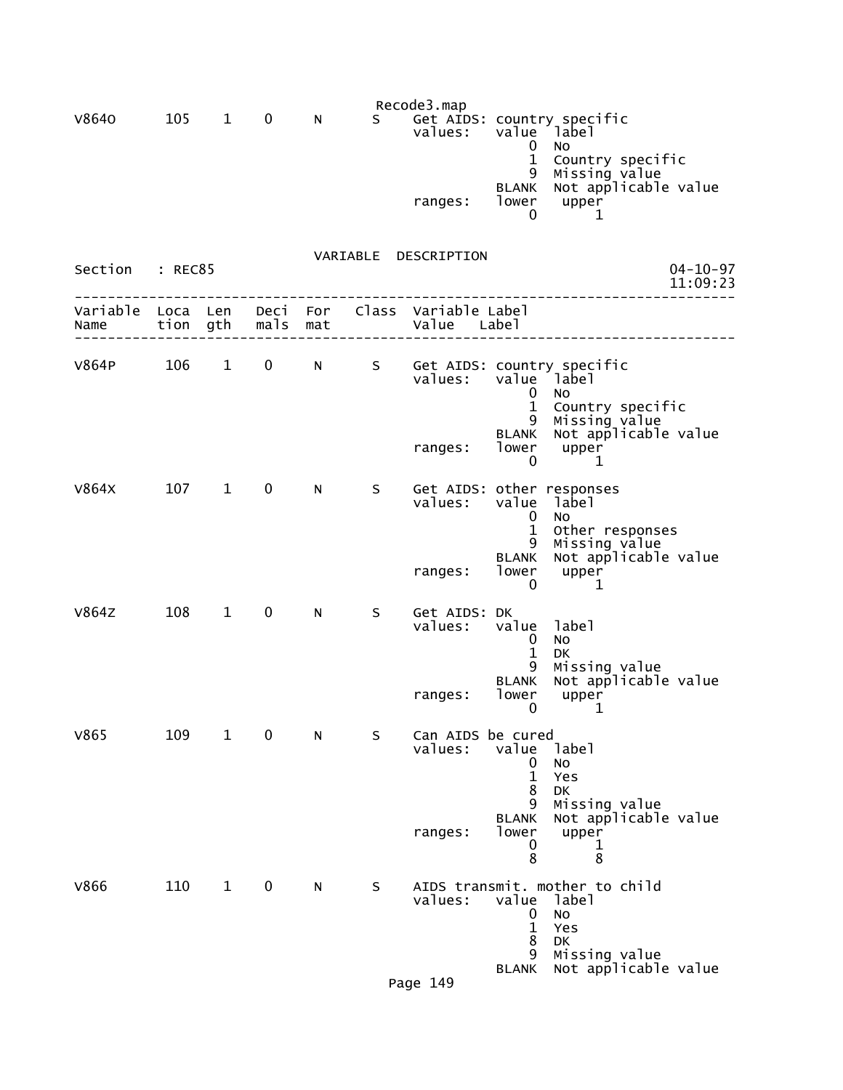|                  |                  |              |              |            |    | Recode3.map                          |                                                 |                                                                                |                            |
|------------------|------------------|--------------|--------------|------------|----|--------------------------------------|-------------------------------------------------|--------------------------------------------------------------------------------|----------------------------|
| V8640            | 105              | $\mathbf{1}$ | 0            | N          | S. | values:                              | value<br>0                                      | Get AIDS: country specific<br>dabel i<br>No                                    |                            |
|                  |                  |              |              |            |    | ranges:                              | $\mathbf{1}$<br>9<br><b>BLANK</b><br>lower<br>0 | Country specific<br>Missing value<br>Not applicable value<br>upper<br>1        |                            |
| Section          | : REC85          |              |              |            |    | VARIABLE DESCRIPTION                 |                                                 |                                                                                | $04 - 10 - 97$<br>11:09:23 |
| Variable<br>Name | Loca Len<br>tion | gth          | Deci<br>mals | For<br>mat |    | Class Variable Label<br>Value        | Labe <sub>1</sub>                               |                                                                                |                            |
| <b>V864P</b>     | 106              | $\mathbf{1}$ | $\mathbf 0$  | N          | S  | values:                              | value<br>$\mathbf 0$<br>$\mathbf{1}$<br>9       | Get AIDS: country specific<br>1abel <sup>-</sup><br>NO<br>Country specific     |                            |
|                  |                  |              |              |            |    | ranges:                              | BLANK<br>lower<br>$\mathbf 0$                   | Missing value<br>Not applicable value<br>upper<br>1                            |                            |
| V864X            | 107              | $\mathbf{1}$ | $\mathbf 0$  | N          | S  | Get AIDS: other responses<br>values: | value<br>$\mathbf 0$<br>$\mathbf{1}$<br>9       | label<br><b>NO</b><br>Other responses<br>Missing value<br>Not applicable value |                            |
|                  |                  |              |              |            |    | ranges:                              | <b>BLANK</b><br>lower<br>0                      | upper<br>1                                                                     |                            |
| <b>V864Z</b>     | 108              | $\mathbf{1}$ | $\mathbf 0$  | N          | S  | Get AIDS: DK<br>values:              | value<br>0<br>$\mathbf{1}$<br>9                 | label<br>No<br>DK<br>Missing value                                             |                            |
|                  |                  |              |              |            |    | ranges:                              | <b>BLANK</b><br>lower<br>$\mathbf 0$            | Not applicable value<br>upper<br>1                                             |                            |
| V865             | 109              | $\mathbf{1}$ | $\mathbf 0$  | ${\sf N}$  | S  | Can AIDS be cured<br>values:         | value<br>0<br>$\mathbf{1}$<br>8<br>9            | label<br>No<br>Yes<br><b>DK</b><br>Missing value                               |                            |
|                  |                  |              |              |            |    | ranges:                              | <b>BLANK</b><br>lower<br>0<br>8                 | Not applicable value<br>upper<br>1<br>8                                        |                            |
| <b>V866</b>      | 110              | $\mathbf{1}$ | $\mathbf 0$  | N          | S  | values:                              | value<br>$\mathbf 0$<br>$\mathbf{1}$<br>8<br>9  | AIDS transmit. mother to child<br>label<br>No<br>Yes<br>DK<br>Missing value    |                            |
|                  |                  |              |              |            |    | Page 149                             | <b>BLANK</b>                                    | Not applicable value                                                           |                            |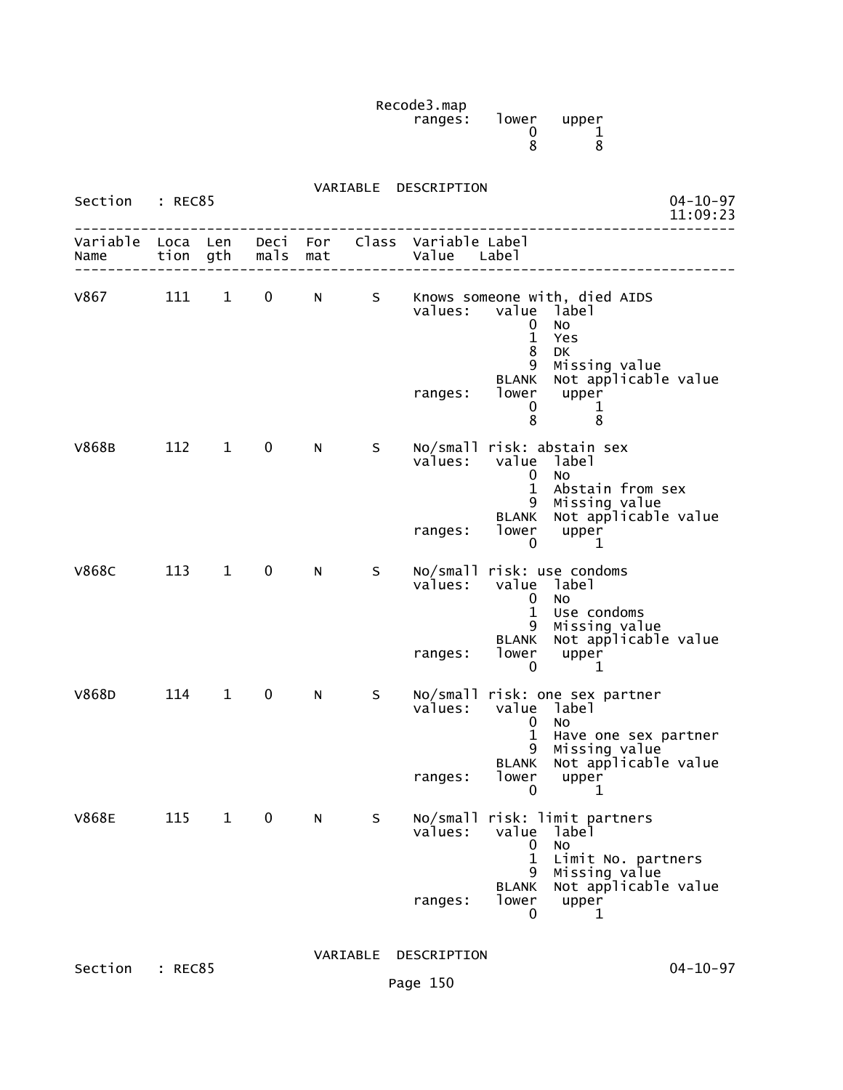Recode3.map ranges: lower upper  $\sim$  0 1 entration of the state of the state of the state of the state of the state of the state of the state of the st

| Section : REC85      |                  |              |             | $04 - 10 - 97$<br>11:09:23 |   |                                     |                                                                         |                                                                                                                              |
|----------------------|------------------|--------------|-------------|----------------------------|---|-------------------------------------|-------------------------------------------------------------------------|------------------------------------------------------------------------------------------------------------------------------|
| Variable<br>Name     | Loca Len<br>tion | gth          | mals        | Deci For<br>mat            |   | Class Variable Label<br>Value Label |                                                                         |                                                                                                                              |
| V867 <b>National</b> | 111              | $\mathbf{1}$ | 0           | N                          | S | values:<br>ranges:                  | value<br>0<br>$\mathbf{1}$<br>8<br>9<br><b>BLANK</b><br>lower<br>0<br>8 | Knows someone with, died AIDS<br>label<br>No<br>Yes<br>DK<br>Missing value<br>Not applicable value<br>upper<br>1<br>8        |
| <b>V868B</b>         | 112              | $\mathbf{1}$ | 0           | N                          | S | values:<br>ranges:                  | value<br>0<br>$\mathbf{1}$<br>9<br><b>BLANK</b><br>lower<br>0           | No/small risk: abstain sex<br>label<br><b>NO</b><br>Abstain from sex<br>Missing value<br>Not applicable value<br>upper<br>1  |
| <b>V868C</b>         | 113              | $\mathbf{1}$ | $\mathbf 0$ | N                          | S | values:<br>ranges:                  | $\mathbf 0$<br>1<br>9<br>BLANK<br>lower<br>0                            | No/small risk: use condoms<br>value label<br>No<br>Use condoms<br>Missing value<br>Not applicable value<br>upper<br>1        |
| V868D                | 114              | $\mathbf{1}$ | 0           | N                          | S | values:<br>ranges:                  | value<br>0<br>$\mathbf{1}$<br>9<br>BLANK<br>lower<br>$\mathbf 0$        | No/small risk: one sex partner<br>label<br>No<br>Have one sex partner<br>Missing value<br>Not applicable value<br>upper<br>1 |
| <b>V868E</b>         | 115              | $\mathbf{1}$ | 0           | N                          | S | values:<br>ranges:                  | value<br>0<br>$\mathbf{1}$<br>9<br><b>BLANK</b><br>lower<br>0           | No/small risk: limit partners<br>label<br>No<br>Limit No. partners<br>Missing value<br>Not applicable value<br>upper<br>1    |
|                      |                  |              |             |                            |   | VARIABLE DESCRIPTION                |                                                                         |                                                                                                                              |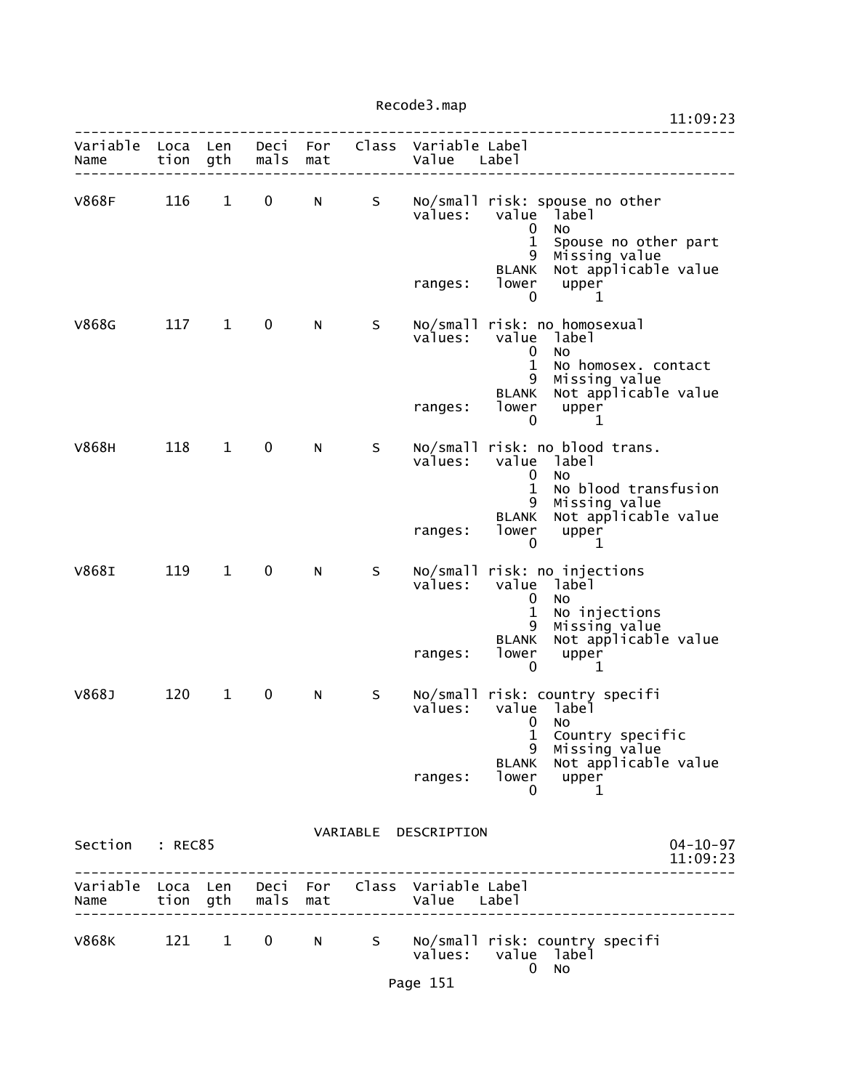Recode3.map

|                           |      |              |              |     |   |                                                                |                                                                            |                                                                                                                                            | 11:09:23                   |
|---------------------------|------|--------------|--------------|-----|---|----------------------------------------------------------------|----------------------------------------------------------------------------|--------------------------------------------------------------------------------------------------------------------------------------------|----------------------------|
| Variable Loca Len<br>Name | tion | gth          | mals         | mat |   | Deci For Class Variable Label<br>Value Label                   |                                                                            |                                                                                                                                            |                            |
| V868F                     | 116  | $\mathbf 1$  | 0            | N   | S | values:<br>ranges: lower                                       | value<br>$\mathbf 0$<br>$\mathbf 1$<br>9<br><b>BLANK</b>                   | No/small risk: spouse no other<br>dabel <sup>-</sup><br>No<br>Spouse no other part<br>Missing value<br>Not applicable value<br>upper       |                            |
| V868G                     |      | 117 1        | 0            | N   | S | values: value label<br>ranges:                                 | $\mathbf 0$<br>$\mathbf{0}$<br>$\mathbf{1}$<br>9<br>BLANK<br>lower<br>0    | 1<br>No/small risk: no homosexual<br>No<br>No homosex. contact<br>Missing value<br>Not applicable value<br>upper<br>1                      |                            |
| V868H                     | 118  | $\mathbf{1}$ | $\mathbf 0$  | N   | S | values:<br>ranges:                                             | value<br>0<br>$\mathbf{1}$<br>9<br><b>BLANK</b><br>lower<br>0              | No/small risk: no blood trans.<br>label<br>No<br>No blood transfusion<br>Missing value<br>Not applicable value<br>upper<br>1               |                            |
| V868I                     | 119  | 1            | $\mathbf{0}$ | N   | S | values:<br>ranges:                                             | $\mathbf{0}$<br>$\mathbf{1}$<br>9<br><b>BLANK</b><br>lower<br>$\mathbf{0}$ | No/small risk: no injections<br>value label<br>No.<br>No injections<br>Missing value<br>Not applicable value<br>upper<br>1                 |                            |
| V868J                     | 120  | $\mathbf{1}$ | 0            | N   | S | values:<br>ranges:                                             | $\mathbf{0}$<br>$\mathbf{1}$<br>9<br>$\overline{0}$                        | No/small risk: country specifi<br>value label<br>No<br>Country specific<br>Missing value<br>BLANK Not applicable value<br>lower upper<br>1 |                            |
| Section : REC85           |      |              |              |     |   | VARIABLE DESCRIPTION                                           |                                                                            |                                                                                                                                            | $04 - 10 - 97$<br>11:09:23 |
| Name tion gth mals mat    |      |              |              |     |   | Variable Loca Len Deci For Class Variable Label<br>Value Label |                                                                            |                                                                                                                                            |                            |
| V868K                     |      |              |              |     |   | values: value label                                            | $\overline{0}$                                                             | 121 1 0 N S No/small risk: country specifi<br><b>NO</b>                                                                                    |                            |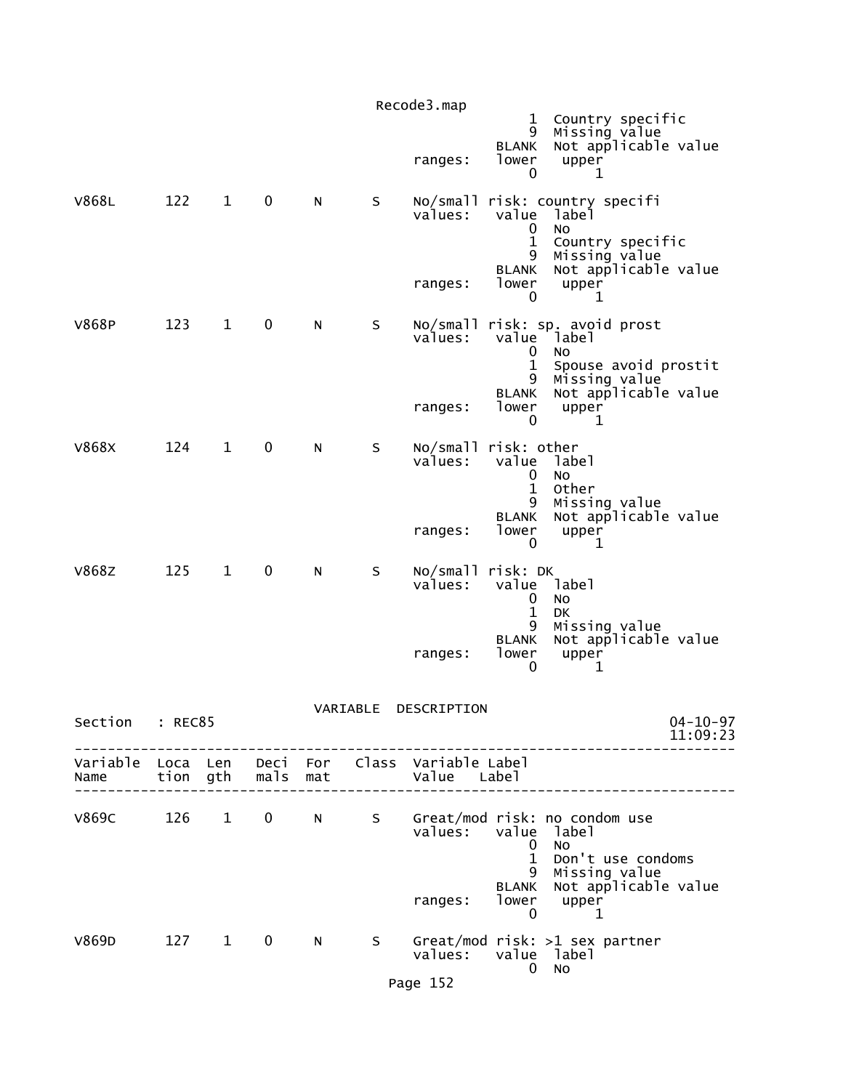|                           |         |              |             |     |          | Recode3.map                                  | $\mathbf{1}$<br>9                                        | Country specific<br>Missing value                                                                                   |
|---------------------------|---------|--------------|-------------|-----|----------|----------------------------------------------|----------------------------------------------------------|---------------------------------------------------------------------------------------------------------------------|
|                           |         |              |             |     |          | ranges:                                      | <b>BLANK</b><br>lower<br>0                               | Not applicable value<br>upper<br>1                                                                                  |
| V868L                     | 122     | $\mathbf{1}$ | $\mathbf 0$ | N.  | S        | values:<br>ranges:                           | value<br>0<br>$\mathbf{1}$<br>9<br><b>BLANK</b><br>lower | No/small risk: country specifi<br>label<br>No<br>Country specific<br>Missing value<br>Not applicable value<br>upper |
| <b>V868P</b>              | 123     | $\mathbf{1}$ | 0           | N   | S        |                                              | 0                                                        | 1<br>No/small risk: sp. avoid prost                                                                                 |
|                           |         |              |             |     |          | values:<br>ranges:                           | value<br>0<br>1<br>9<br><b>BLANK</b><br>lower            | label<br><b>NO</b><br>Spouse avoid prostit<br>Missing value<br>Not applicable value<br>upper                        |
| <b>V868X</b>              | 124     | $\mathbf{1}$ | $\mathbf 0$ | N   | S        | No/small risk: other<br>values:              | 0<br>value<br>0<br>$\mathbf 1$                           | 1<br>label<br>No<br>Other                                                                                           |
|                           |         |              |             |     |          | ranges:                                      | 9<br><b>BLANK</b><br>lower<br>$\mathbf{0}$               | Missing value<br>Not applicable value<br>upper<br>1                                                                 |
| V868Z                     | 125     | $\mathbf{1}$ | $\mathbf 0$ | N   | S        | No/small risk: DK<br>values:                 | value<br>0<br>$\mathbf{1}$                               | label<br>No<br><b>DK</b>                                                                                            |
|                           |         |              |             |     |          | ranges:                                      | 9<br><b>BLANK</b><br>lower<br>0                          | Missing value<br>Not applicable value<br>upper<br>1                                                                 |
| Section                   | : REC85 |              |             |     | VARIABLE | DESCRIPTION                                  |                                                          | $04 - 10 - 97$<br>11:09:23                                                                                          |
| Variable Loca Len<br>Name |         | tion gth     | mals        | mat |          | Deci For Class Variable Label<br>Value Label |                                                          |                                                                                                                     |
| <b>V869C</b>              | 126     | $\mathbf{1}$ | $\mathbf 0$ | N   |          | values:                                      | value<br>0<br>$\mathbf{1}$<br>9<br><b>BLANK</b>          | S Great/mod risk: no condom use<br>label<br><b>NO</b><br>Don't use condoms<br>Missing value<br>Not applicable value |
|                           |         |              |             |     |          | ranges:                                      | lower<br>$\mathbf 0$                                     | upper<br>1                                                                                                          |
| V869D                     | 127 1   |              | $\mathbf 0$ | N   | S –      | values:                                      | $\mathbf 0$                                              | Great/mod risk: >1 sex partner<br>value label<br>No                                                                 |
|                           |         |              |             |     |          | Page 152                                     |                                                          |                                                                                                                     |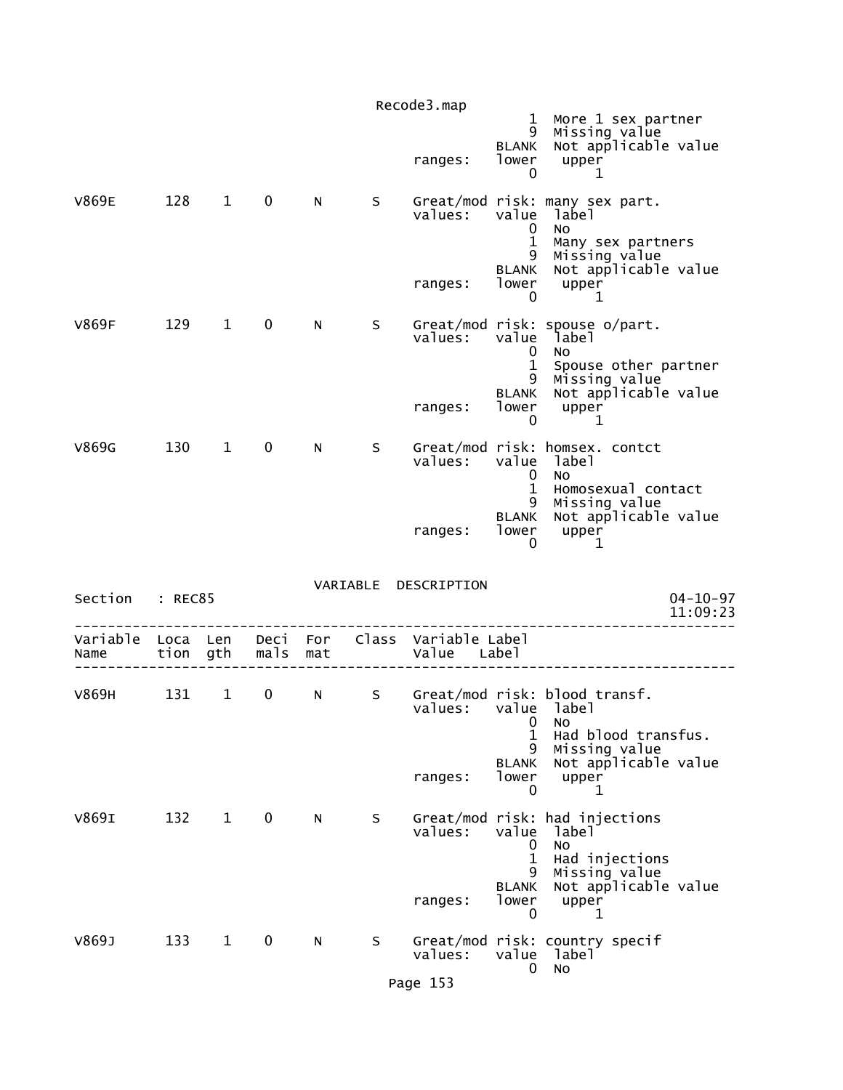|                  |                  |              |              |            |   | Recode3.map                         | $\mathbf 1$                          | More 1 sex partner                                                                         |
|------------------|------------------|--------------|--------------|------------|---|-------------------------------------|--------------------------------------|--------------------------------------------------------------------------------------------|
|                  |                  |              |              |            |   | ranges:                             | 9<br><b>BLANK</b><br>lower<br>0      | Missing value<br>Not applicable value<br>upper<br>1                                        |
| <b>V869E</b>     | 128              | $\mathbf{1}$ | 0            | N          | S | values:                             | value<br>0<br>$\mathbf{1}$<br>9      | Great/mod risk: many sex part.<br>label<br><b>NO</b><br>Many sex partners<br>Missing value |
|                  |                  |              |              |            |   | ranges:                             | <b>BLANK</b><br>lower<br>0           | Not applicable value<br>upper<br>1                                                         |
| <b>V869F</b>     | 129              | $\mathbf{1}$ | 0            | N          | S | values:                             | value<br>0                           | Great/mod risk: spouse o/part.<br>label<br>No.                                             |
|                  |                  |              |              |            |   | ranges:                             | 1<br>9<br><b>BLANK</b><br>lower<br>0 | Spouse other partner<br>Missing value<br>Not applicable value<br>upper<br>1                |
| V869G            | 130              | $\mathbf{1}$ | 0            | N.         | S | values:                             | value<br>0<br>$\mathbf 1$            | Great/mod risk: homsex. contct<br>label<br>No<br>Homosexual contact                        |
|                  |                  |              |              |            |   | ranges:                             | 9<br><b>BLANK</b><br>lower<br>0      | Missing value<br>Not applicable value<br>upper<br>1                                        |
| Section          | : REC85          |              |              |            |   | VARIABLE DESCRIPTION                |                                      | $04 - 10 - 97$<br>11:09:23                                                                 |
| Variable<br>Name | Loca Len<br>tion | gth          | Deci<br>mals | For<br>mat |   | Class Variable Label<br>Value Label |                                      |                                                                                            |
| V869H            | 131              | $\mathbf{1}$ | 0            | N          | S | values:                             | 0                                    | Great/mod risk: blood transf.<br>value label<br>No                                         |
|                  |                  |              |              |            |   | ranges:                             | 1<br>9<br><b>BLANK</b><br>lower<br>0 | Had blood transfus.<br>Missing value<br>Not applicable value<br>upper<br>1                 |
| V869I            | 132              | $\mathbf{1}$ | 0            | N          | S | values:                             | value<br>0<br>1                      | Great/mod risk: had injections<br>label<br>No<br>Had injections                            |
|                  |                  |              |              |            |   | ranges:                             | 9<br><b>BLANK</b><br>lower<br>0      | Missing value<br>Not applicable value<br>upper<br>1                                        |
| V869J            | 133              | $\mathbf{1}$ | 0            | N          | S | values:                             | value<br>0                           | Great/mod risk: country specif<br>label<br>No                                              |
|                  |                  |              |              |            |   | Page 153                            |                                      |                                                                                            |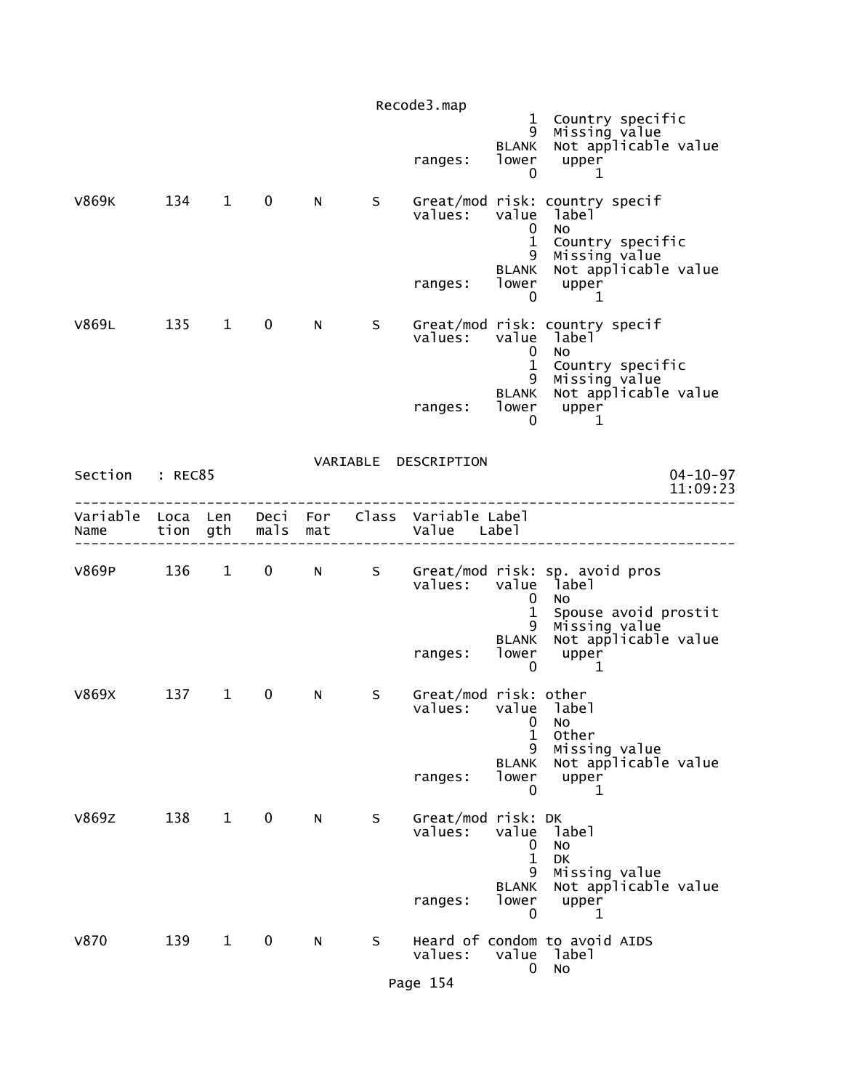|                                    |          |              |              |     |    | Recode3.map                         |                                                 |                                                                             |
|------------------------------------|----------|--------------|--------------|-----|----|-------------------------------------|-------------------------------------------------|-----------------------------------------------------------------------------|
|                                    |          |              |              |     |    | ranges:                             | $\mathbf{1}$<br>9<br><b>BLANK</b><br>lower<br>0 | Country specific<br>Missing value<br>Not applicable value<br>upper<br>1     |
| <b>V869K</b>                       | 134      | $\mathbf{1}$ | $\mathbf 0$  | N.  | S. | values:                             | value<br>$\mathbf 0$<br>$\mathbf{1}$            | Great/mod risk: country specif<br>label<br><b>NO</b><br>Country specific    |
|                                    |          |              |              |     |    | ranges:                             | 9<br>BLANK<br>lower<br>0                        | Missing value<br>Not applicable value<br>upper<br>1                         |
| V869L                              | 135      | $\mathbf{1}$ | $\mathbf 0$  | N   | S  | values:                             | value<br>$\mathbf 0$<br>$\mathbf 1$             | Great/mod risk: country specif<br>label<br><b>NO</b><br>Country specific    |
|                                    |          |              |              |     |    | ranges:                             | 9<br><b>BLANK</b><br>lower<br>0                 | Missing value<br>Not applicable value<br>upper<br>1                         |
| Section : REC85                    |          |              |              |     |    | VARIABLE DESCRIPTION                |                                                 | $04 - 10 - 97$<br>11:09:23                                                  |
| Variable Loca Len Deci For<br>Name | tion gth |              | mals         | mat |    | Class Variable Label<br>Value Label |                                                 |                                                                             |
| V869P                              | 136      | $\mathbf{1}$ | $\mathbf{0}$ | N - | S  | values:                             | value<br>0                                      | Great/mod risk: sp. avoid pros<br>label<br>No.                              |
|                                    |          |              |              |     |    | ranges:                             | 1<br>9<br><b>BLANK</b><br>lower<br>0            | Spouse avoid prostit<br>Missing value<br>Not applicable value<br>upper<br>1 |
| V869X                              | 137      | $\mathbf 1$  | $\mathbf 0$  | N   | S  | Great/mod risk: other<br>values:    | 0<br>$\mathbf{1}$<br>9                          | value label<br>No<br>Other<br>Missing value                                 |
|                                    |          |              |              |     |    | ranges:                             | <b>BLANK</b><br>lower<br>0                      | Not applicable value<br>upper<br>1                                          |
| <b>V869Z</b>                       | 138      | $\mathbf{1}$ | $\mathbf 0$  | N.  | S  | Great/mod risk: DK<br>values:       | value<br>0<br>$\mathbf{1}$<br>9                 | label<br>No<br>DK<br>Missing value                                          |
|                                    |          |              |              |     |    | ranges:                             | <b>BLANK</b><br>lower<br>0                      | Not applicable value<br>upper<br>1                                          |
| V870                               | 139      | $\mathbf{1}$ | 0            | N   | S  | values:                             | value<br>0                                      | Heard of condom to avoid AIDS<br>label<br>No                                |
|                                    |          |              |              |     |    | Page 154                            |                                                 |                                                                             |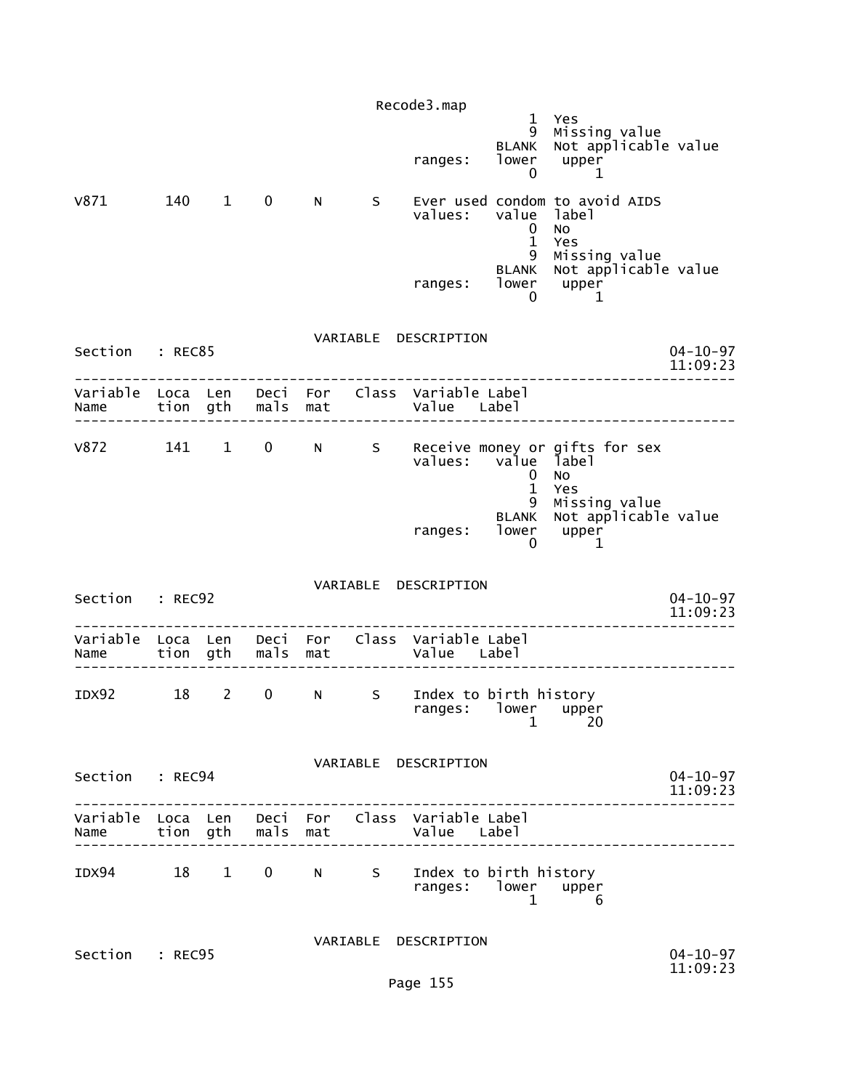|                                                                                       |     |                |                   |     |   | Recode3.map                                           |                                        |                                                                  |                            |
|---------------------------------------------------------------------------------------|-----|----------------|-------------------|-----|---|-------------------------------------------------------|----------------------------------------|------------------------------------------------------------------|----------------------------|
|                                                                                       |     |                |                   |     |   | ranges:                                               | $\mathbf{1}$<br>9<br><b>BLANK</b><br>0 | Yes<br>Missing value<br>Not applicable value<br>lower upper<br>1 |                            |
| v871                                                                                  | 140 | $\overline{1}$ | $\mathbf 0$       | N   | S | values:                                               | value<br>$\mathbf{0}$<br>$\mathbf{1}$  | Ever used condom to avoid AIDS<br>label<br>No<br>Yes             |                            |
|                                                                                       |     |                |                   |     |   | ranges: lower upper                                   | 9<br><b>BLANK</b><br>0                 | Missing value<br>Not applicable value<br>1                       |                            |
| Section : REC85                                                                       |     |                |                   |     |   | VARIABLE DESCRIPTION                                  |                                        |                                                                  | $04 - 10 - 97$<br>11:09:23 |
| Variable Loca Len Deci For Class Variable Label<br>Name                               |     |                | tion gth mals mat |     |   | Value Label                                           |                                        |                                                                  |                            |
| V872 141 1                                                                            |     |                |                   |     |   | values:                                               | value label<br>0<br>$\mathbf{1}$       | 0 N S Receive money or gifts for sex<br>No<br>Yes                |                            |
|                                                                                       |     |                |                   |     |   | ranges: lower upper                                   | 9<br>0                                 | Missing value<br>BLANK Not applicable value<br>1                 |                            |
| Section : REC92                                                                       |     |                |                   |     |   | VARIABLE DESCRIPTION                                  |                                        |                                                                  | $04 - 10 - 97$<br>11:09:23 |
| Variable Loca Len Deci For Class Variable Label<br>Name                               |     |                | tion gth mals     | mat |   | Value Label                                           |                                        |                                                                  |                            |
| IDX92                                                                                 | 18  | $2^{\circ}$    | $\mathbf 0$       | N   | S | Index to birth history<br>ranges: lower upper<br>1 20 |                                        |                                                                  |                            |
| Section : REC94                                                                       |     |                |                   |     |   | VARIABLE DESCRIPTION                                  |                                        | --------------                                                   | $04 - 10 - 97$<br>11:09:23 |
| Variable Loca Len Deci For Class Variable Label<br>Name tion gth mals mat Value Label |     |                |                   |     |   |                                                       |                                        |                                                                  |                            |
| IDX94 18 1 0 N S Index to birth history                                               |     |                |                   |     |   | ranges: lower upper                                   |                                        | $\overline{1}$ $\overline{1}$<br>6                               |                            |
| Section : REC95                                                                       |     |                |                   |     |   | VARIABLE DESCRIPTION<br>Page 155                      |                                        |                                                                  | $04 - 10 - 97$<br>11:09:23 |